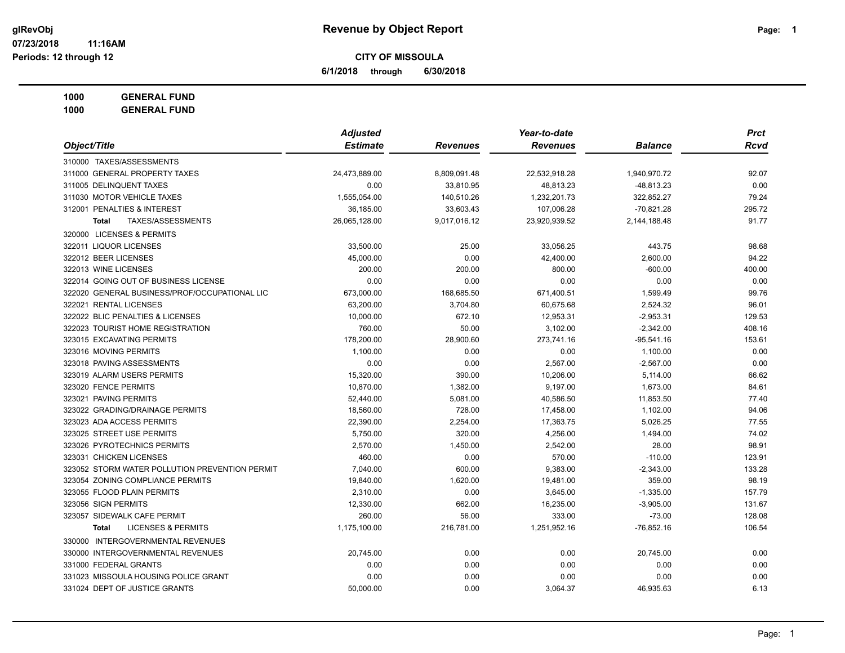**6/1/2018 through 6/30/2018**

**1000 GENERAL FUND**

| Object/Title                                   | <b>Adjusted</b> |                 | Year-to-date    |                | <b>Prct</b> |
|------------------------------------------------|-----------------|-----------------|-----------------|----------------|-------------|
|                                                | <b>Estimate</b> | <b>Revenues</b> | <b>Revenues</b> | <b>Balance</b> | <b>Rcvd</b> |
| 310000 TAXES/ASSESSMENTS                       |                 |                 |                 |                |             |
| 311000 GENERAL PROPERTY TAXES                  | 24,473,889.00   | 8,809,091.48    | 22,532,918.28   | 1,940,970.72   | 92.07       |
| 311005 DELINQUENT TAXES                        | 0.00            | 33,810.95       | 48,813.23       | $-48,813.23$   | 0.00        |
| 311030 MOTOR VEHICLE TAXES                     | 1,555,054.00    | 140,510.26      | 1,232,201.73    | 322,852.27     | 79.24       |
| 312001 PENALTIES & INTEREST                    | 36,185.00       | 33,603.43       | 107,006.28      | $-70,821.28$   | 295.72      |
| TAXES/ASSESSMENTS<br>Total                     | 26,065,128.00   | 9,017,016.12    | 23,920,939.52   | 2,144,188.48   | 91.77       |
| 320000 LICENSES & PERMITS                      |                 |                 |                 |                |             |
| 322011 LIQUOR LICENSES                         | 33,500.00       | 25.00           | 33,056.25       | 443.75         | 98.68       |
| 322012 BEER LICENSES                           | 45,000.00       | 0.00            | 42,400.00       | 2,600.00       | 94.22       |
| 322013 WINE LICENSES                           | 200.00          | 200.00          | 800.00          | $-600.00$      | 400.00      |
| 322014 GOING OUT OF BUSINESS LICENSE           | 0.00            | 0.00            | 0.00            | 0.00           | 0.00        |
| 322020 GENERAL BUSINESS/PROF/OCCUPATIONAL LIC  | 673,000.00      | 168,685.50      | 671,400.51      | 1,599.49       | 99.76       |
| 322021 RENTAL LICENSES                         | 63,200.00       | 3,704.80        | 60,675.68       | 2,524.32       | 96.01       |
| 322022 BLIC PENALTIES & LICENSES               | 10,000.00       | 672.10          | 12,953.31       | $-2,953.31$    | 129.53      |
| 322023 TOURIST HOME REGISTRATION               | 760.00          | 50.00           | 3,102.00        | $-2,342.00$    | 408.16      |
| 323015 EXCAVATING PERMITS                      | 178,200.00      | 28,900.60       | 273,741.16      | $-95,541.16$   | 153.61      |
| 323016 MOVING PERMITS                          | 1,100.00        | 0.00            | 0.00            | 1,100.00       | 0.00        |
| 323018 PAVING ASSESSMENTS                      | 0.00            | 0.00            | 2,567.00        | $-2,567.00$    | 0.00        |
| 323019 ALARM USERS PERMITS                     | 15,320.00       | 390.00          | 10,206.00       | 5,114.00       | 66.62       |
| 323020 FENCE PERMITS                           | 10,870.00       | 1,382.00        | 9,197.00        | 1,673.00       | 84.61       |
| 323021 PAVING PERMITS                          | 52,440.00       | 5,081.00        | 40,586.50       | 11,853.50      | 77.40       |
| 323022 GRADING/DRAINAGE PERMITS                | 18,560.00       | 728.00          | 17,458.00       | 1,102.00       | 94.06       |
| 323023 ADA ACCESS PERMITS                      | 22,390.00       | 2,254.00        | 17,363.75       | 5,026.25       | 77.55       |
| 323025 STREET USE PERMITS                      | 5,750.00        | 320.00          | 4,256.00        | 1,494.00       | 74.02       |
| 323026 PYROTECHNICS PERMITS                    | 2,570.00        | 1,450.00        | 2,542.00        | 28.00          | 98.91       |
| 323031 CHICKEN LICENSES                        | 460.00          | 0.00            | 570.00          | $-110.00$      | 123.91      |
| 323052 STORM WATER POLLUTION PREVENTION PERMIT | 7,040.00        | 600.00          | 9,383.00        | $-2,343.00$    | 133.28      |
| 323054 ZONING COMPLIANCE PERMITS               | 19,840.00       | 1,620.00        | 19,481.00       | 359.00         | 98.19       |
| 323055 FLOOD PLAIN PERMITS                     | 2,310.00        | 0.00            | 3,645.00        | $-1,335.00$    | 157.79      |
| 323056 SIGN PERMITS                            | 12,330.00       | 662.00          | 16,235.00       | $-3,905.00$    | 131.67      |
| 323057 SIDEWALK CAFE PERMIT                    | 260.00          | 56.00           | 333.00          | $-73.00$       | 128.08      |
| <b>LICENSES &amp; PERMITS</b><br><b>Total</b>  | 1,175,100.00    | 216,781.00      | 1,251,952.16    | $-76,852.16$   | 106.54      |
| 330000 INTERGOVERNMENTAL REVENUES              |                 |                 |                 |                |             |
| 330000 INTERGOVERNMENTAL REVENUES              | 20,745.00       | 0.00            | 0.00            | 20,745.00      | 0.00        |
| 331000 FEDERAL GRANTS                          | 0.00            | 0.00            | 0.00            | 0.00           | 0.00        |
| 331023 MISSOULA HOUSING POLICE GRANT           | 0.00            | 0.00            | 0.00            | 0.00           | 0.00        |
| 331024 DEPT OF JUSTICE GRANTS                  | 50,000.00       | 0.00            | 3,064.37        | 46,935.63      | 6.13        |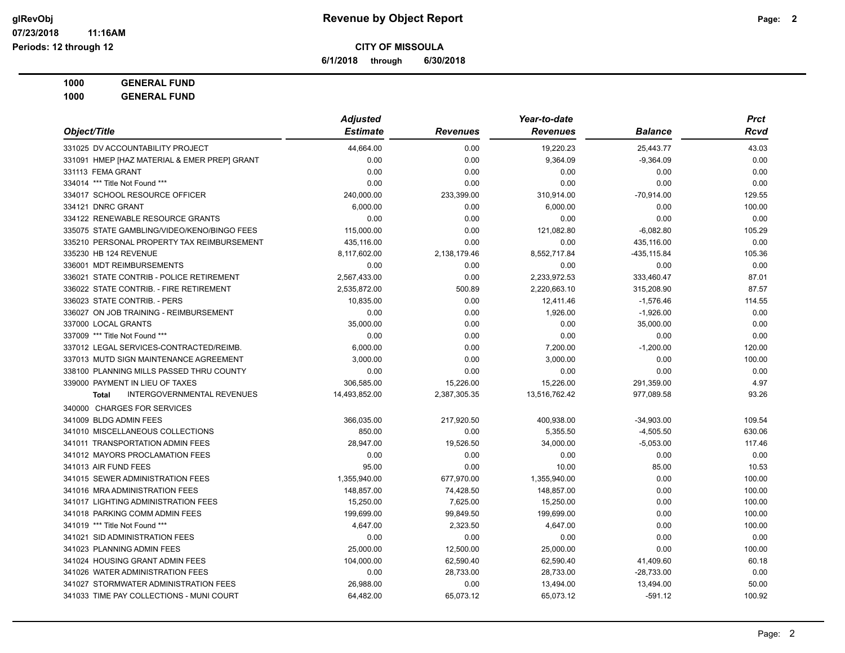**6/1/2018 through 6/30/2018**

**1000 GENERAL FUND**

| Object/Title                                      | <b>Adjusted</b> |                 | Year-to-date    |                |        |
|---------------------------------------------------|-----------------|-----------------|-----------------|----------------|--------|
|                                                   | <b>Estimate</b> | <b>Revenues</b> | <b>Revenues</b> | <b>Balance</b> | Rcvd   |
| 331025 DV ACCOUNTABILITY PROJECT                  | 44,664.00       | 0.00            | 19,220.23       | 25,443.77      | 43.03  |
| 331091 HMEP [HAZ MATERIAL & EMER PREP] GRANT      | 0.00            | 0.00            | 9,364.09        | $-9,364.09$    | 0.00   |
| 331113 FEMA GRANT                                 | 0.00            | 0.00            | 0.00            | 0.00           | 0.00   |
| 334014 *** Title Not Found ***                    | 0.00            | 0.00            | 0.00            | 0.00           | 0.00   |
| 334017 SCHOOL RESOURCE OFFICER                    | 240,000.00      | 233,399.00      | 310,914.00      | $-70,914.00$   | 129.55 |
| 334121 DNRC GRANT                                 | 6,000.00        | 0.00            | 6,000.00        | 0.00           | 100.00 |
| 334122 RENEWABLE RESOURCE GRANTS                  | 0.00            | 0.00            | 0.00            | 0.00           | 0.00   |
| 335075 STATE GAMBLING/VIDEO/KENO/BINGO FEES       | 115,000.00      | 0.00            | 121,082.80      | $-6,082.80$    | 105.29 |
| 335210 PERSONAL PROPERTY TAX REIMBURSEMENT        | 435,116.00      | 0.00            | 0.00            | 435,116.00     | 0.00   |
| 335230 HB 124 REVENUE                             | 8,117,602.00    | 2,138,179.46    | 8,552,717.84    | $-435, 115.84$ | 105.36 |
| 336001 MDT REIMBURSEMENTS                         | 0.00            | 0.00            | 0.00            | 0.00           | 0.00   |
| 336021 STATE CONTRIB - POLICE RETIREMENT          | 2,567,433.00    | 0.00            | 2,233,972.53    | 333,460.47     | 87.01  |
| 336022 STATE CONTRIB. - FIRE RETIREMENT           | 2,535,872.00    | 500.89          | 2,220,663.10    | 315,208.90     | 87.57  |
| 336023 STATE CONTRIB. - PERS                      | 10,835.00       | 0.00            | 12,411.46       | $-1,576.46$    | 114.55 |
| 336027 ON JOB TRAINING - REIMBURSEMENT            | 0.00            | 0.00            | 1,926.00        | $-1,926.00$    | 0.00   |
| 337000 LOCAL GRANTS                               | 35,000.00       | 0.00            | 0.00            | 35,000.00      | 0.00   |
| 337009 *** Title Not Found ***                    | 0.00            | 0.00            | 0.00            | 0.00           | 0.00   |
| 337012 LEGAL SERVICES-CONTRACTED/REIMB.           | 6,000.00        | 0.00            | 7,200.00        | $-1,200.00$    | 120.00 |
| 337013 MUTD SIGN MAINTENANCE AGREEMENT            | 3,000.00        | 0.00            | 3,000.00        | 0.00           | 100.00 |
| 338100 PLANNING MILLS PASSED THRU COUNTY          | 0.00            | 0.00            | 0.00            | 0.00           | 0.00   |
| 339000 PAYMENT IN LIEU OF TAXES                   | 306.585.00      | 15,226.00       | 15,226.00       | 291,359.00     | 4.97   |
| <b>INTERGOVERNMENTAL REVENUES</b><br><b>Total</b> | 14,493,852.00   | 2,387,305.35    | 13,516,762.42   | 977,089.58     | 93.26  |
| 340000 CHARGES FOR SERVICES                       |                 |                 |                 |                |        |
| 341009 BLDG ADMIN FEES                            | 366,035.00      | 217,920.50      | 400,938.00      | $-34,903.00$   | 109.54 |
| 341010 MISCELLANEOUS COLLECTIONS                  | 850.00          | 0.00            | 5,355.50        | $-4,505.50$    | 630.06 |
| 341011 TRANSPORTATION ADMIN FEES                  | 28,947.00       | 19,526.50       | 34,000.00       | $-5,053.00$    | 117.46 |
| 341012 MAYORS PROCLAMATION FEES                   | 0.00            | 0.00            | 0.00            | 0.00           | 0.00   |
| 341013 AIR FUND FEES                              | 95.00           | 0.00            | 10.00           | 85.00          | 10.53  |
| 341015 SEWER ADMINISTRATION FEES                  | 1,355,940.00    | 677,970.00      | 1,355,940.00    | 0.00           | 100.00 |
| 341016 MRA ADMINISTRATION FEES                    | 148,857.00      | 74,428.50       | 148.857.00      | 0.00           | 100.00 |
| 341017 LIGHTING ADMINISTRATION FEES               | 15,250.00       | 7,625.00        | 15,250.00       | 0.00           | 100.00 |
| 341018 PARKING COMM ADMIN FEES                    | 199,699.00      | 99,849.50       | 199,699.00      | 0.00           | 100.00 |
| 341019 *** Title Not Found ***                    | 4,647.00        | 2,323.50        | 4,647.00        | 0.00           | 100.00 |
| 341021 SID ADMINISTRATION FEES                    | 0.00            | 0.00            | 0.00            | 0.00           | 0.00   |
| 341023 PLANNING ADMIN FEES                        | 25,000.00       | 12,500.00       | 25,000.00       | 0.00           | 100.00 |
| 341024 HOUSING GRANT ADMIN FEES                   | 104,000.00      | 62,590.40       | 62,590.40       | 41,409.60      | 60.18  |
| 341026 WATER ADMINISTRATION FEES                  | 0.00            | 28,733.00       | 28,733.00       | $-28,733.00$   | 0.00   |
| 341027 STORMWATER ADMINISTRATION FEES             | 26,988.00       | 0.00            | 13,494.00       | 13,494.00      | 50.00  |
| 341033 TIME PAY COLLECTIONS - MUNI COURT          | 64,482.00       | 65.073.12       | 65,073.12       | $-591.12$      | 100.92 |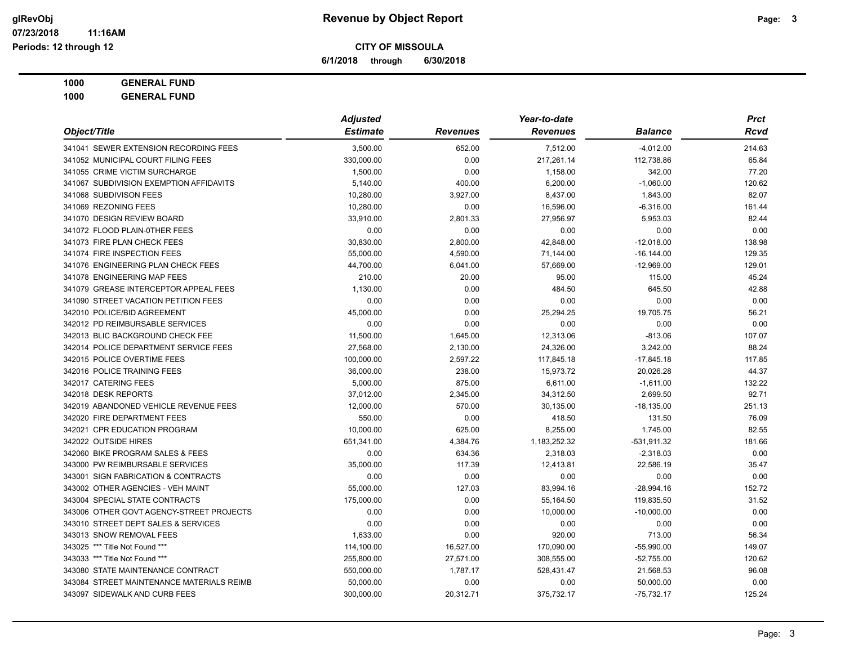**6/1/2018 through 6/30/2018**

#### **1000 GENERAL FUND**

| Object/Title                              | <b>Adjusted</b> |                 | Year-to-date    |                | <b>Prct</b> |
|-------------------------------------------|-----------------|-----------------|-----------------|----------------|-------------|
|                                           | <b>Estimate</b> | <b>Revenues</b> | <b>Revenues</b> | <b>Balance</b> | Rcvd        |
| 341041 SEWER EXTENSION RECORDING FEES     | 3,500.00        | 652.00          | 7,512.00        | $-4,012.00$    | 214.63      |
| 341052 MUNICIPAL COURT FILING FEES        | 330,000.00      | 0.00            | 217,261.14      | 112,738.86     | 65.84       |
| 341055 CRIME VICTIM SURCHARGE             | 1,500.00        | 0.00            | 1,158.00        | 342.00         | 77.20       |
| 341067 SUBDIVISION EXEMPTION AFFIDAVITS   | 5,140.00        | 400.00          | 6,200.00        | $-1,060.00$    | 120.62      |
| 341068 SUBDIVISON FEES                    | 10,280.00       | 3,927.00        | 8,437.00        | 1,843.00       | 82.07       |
| 341069 REZONING FEES                      | 10,280.00       | 0.00            | 16,596.00       | $-6,316.00$    | 161.44      |
| 341070 DESIGN REVIEW BOARD                | 33,910.00       | 2,801.33        | 27,956.97       | 5,953.03       | 82.44       |
| 341072 FLOOD PLAIN-0THER FEES             | 0.00            | 0.00            | 0.00            | 0.00           | 0.00        |
| 341073 FIRE PLAN CHECK FEES               | 30,830.00       | 2,800.00        | 42,848.00       | $-12,018.00$   | 138.98      |
| 341074 FIRE INSPECTION FEES               | 55,000.00       | 4,590.00        | 71,144.00       | $-16, 144.00$  | 129.35      |
| 341076 ENGINEERING PLAN CHECK FEES        | 44,700.00       | 6,041.00        | 57,669.00       | $-12,969.00$   | 129.01      |
| 341078 ENGINEERING MAP FEES               | 210.00          | 20.00           | 95.00           | 115.00         | 45.24       |
| 341079 GREASE INTERCEPTOR APPEAL FEES     | 1,130.00        | 0.00            | 484.50          | 645.50         | 42.88       |
| 341090 STREET VACATION PETITION FEES      | 0.00            | 0.00            | 0.00            | 0.00           | 0.00        |
| 342010 POLICE/BID AGREEMENT               | 45,000.00       | 0.00            | 25,294.25       | 19,705.75      | 56.21       |
| 342012 PD REIMBURSABLE SERVICES           | 0.00            | 0.00            | 0.00            | 0.00           | 0.00        |
| 342013 BLIC BACKGROUND CHECK FEE          | 11,500.00       | 1,645.00        | 12,313.06       | $-813.06$      | 107.07      |
| 342014 POLICE DEPARTMENT SERVICE FEES     | 27,568.00       | 2,130.00        | 24,326.00       | 3,242.00       | 88.24       |
| 342015 POLICE OVERTIME FEES               | 100,000.00      | 2,597.22        | 117,845.18      | $-17,845.18$   | 117.85      |
| 342016 POLICE TRAINING FEES               | 36,000.00       | 238.00          | 15,973.72       | 20,026.28      | 44.37       |
| 342017 CATERING FEES                      | 5,000.00        | 875.00          | 6,611.00        | $-1,611.00$    | 132.22      |
| 342018 DESK REPORTS                       | 37,012.00       | 2,345.00        | 34,312.50       | 2,699.50       | 92.71       |
| 342019 ABANDONED VEHICLE REVENUE FEES     | 12,000.00       | 570.00          | 30,135.00       | $-18,135.00$   | 251.13      |
| 342020 FIRE DEPARTMENT FEES               | 550.00          | 0.00            | 418.50          | 131.50         | 76.09       |
| 342021 CPR EDUCATION PROGRAM              | 10,000.00       | 625.00          | 8,255.00        | 1,745.00       | 82.55       |
| 342022 OUTSIDE HIRES                      | 651,341.00      | 4,384.76        | 1,183,252.32    | -531,911.32    | 181.66      |
| 342060 BIKE PROGRAM SALES & FEES          | 0.00            | 634.36          | 2,318.03        | $-2,318.03$    | 0.00        |
| 343000 PW REIMBURSABLE SERVICES           | 35,000.00       | 117.39          | 12,413.81       | 22,586.19      | 35.47       |
| 343001 SIGN FABRICATION & CONTRACTS       | 0.00            | 0.00            | 0.00            | 0.00           | 0.00        |
| 343002 OTHER AGENCIES - VEH MAINT         | 55,000.00       | 127.03          | 83,994.16       | $-28,994.16$   | 152.72      |
| 343004 SPECIAL STATE CONTRACTS            | 175,000.00      | 0.00            | 55,164.50       | 119,835.50     | 31.52       |
| 343006 OTHER GOVT AGENCY-STREET PROJECTS  | 0.00            | 0.00            | 10,000.00       | $-10,000.00$   | 0.00        |
| 343010 STREET DEPT SALES & SERVICES       | 0.00            | 0.00            | 0.00            | 0.00           | 0.00        |
| 343013 SNOW REMOVAL FEES                  | 1,633.00        | 0.00            | 920.00          | 713.00         | 56.34       |
| 343025 *** Title Not Found ***            | 114,100.00      | 16,527.00       | 170,090.00      | $-55,990.00$   | 149.07      |
| 343033 *** Title Not Found ***            | 255,800.00      | 27,571.00       | 308,555.00      | $-52,755.00$   | 120.62      |
| 343080 STATE MAINTENANCE CONTRACT         | 550,000.00      | 1,787.17        | 528,431.47      | 21,568.53      | 96.08       |
| 343084 STREET MAINTENANCE MATERIALS REIMB | 50,000.00       | 0.00            | 0.00            | 50,000.00      | 0.00        |
| 343097 SIDEWALK AND CURB FEES             | 300,000.00      | 20,312.71       | 375,732.17      | $-75,732.17$   | 125.24      |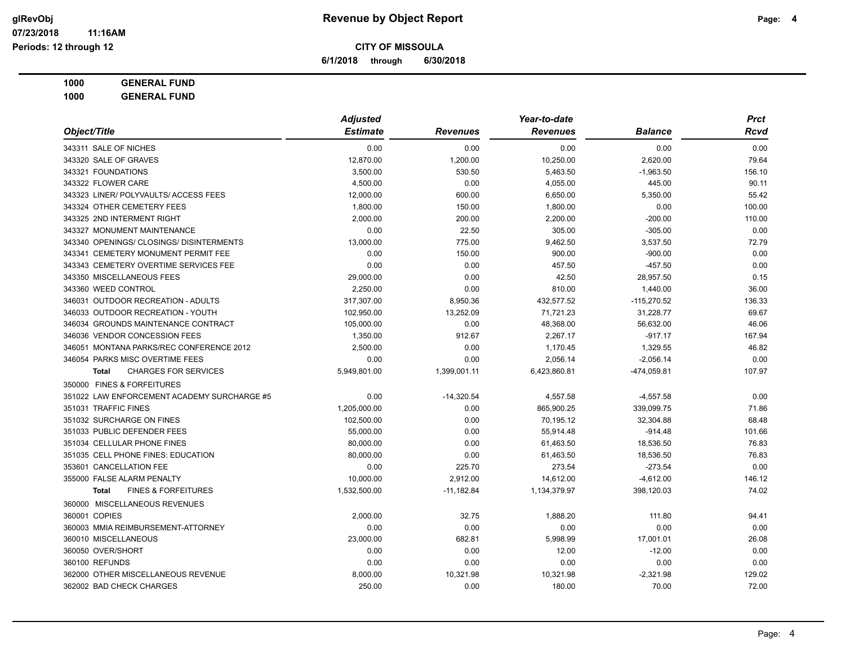**6/1/2018 through 6/30/2018**

## **1000 GENERAL FUND**

| Object/Title                                   | <b>Adjusted</b> |                 | Year-to-date    |                | <b>Prct</b> |
|------------------------------------------------|-----------------|-----------------|-----------------|----------------|-------------|
|                                                | <b>Estimate</b> | <b>Revenues</b> | <b>Revenues</b> | <b>Balance</b> | <b>Rcvd</b> |
| 343311 SALE OF NICHES                          | 0.00            | 0.00            | 0.00            | 0.00           | 0.00        |
| 343320 SALE OF GRAVES                          | 12,870.00       | 1,200.00        | 10,250.00       | 2,620.00       | 79.64       |
| 343321 FOUNDATIONS                             | 3,500.00        | 530.50          | 5,463.50        | $-1,963.50$    | 156.10      |
| 343322 FLOWER CARE                             | 4,500.00        | 0.00            | 4,055.00        | 445.00         | 90.11       |
| 343323 LINER/ POLYVAULTS/ ACCESS FEES          | 12,000.00       | 600.00          | 6,650.00        | 5,350.00       | 55.42       |
| 343324 OTHER CEMETERY FEES                     | 1,800.00        | 150.00          | 1,800.00        | 0.00           | 100.00      |
| 343325 2ND INTERMENT RIGHT                     | 2,000.00        | 200.00          | 2,200.00        | $-200.00$      | 110.00      |
| 343327 MONUMENT MAINTENANCE                    | 0.00            | 22.50           | 305.00          | $-305.00$      | 0.00        |
| 343340 OPENINGS/ CLOSINGS/ DISINTERMENTS       | 13,000.00       | 775.00          | 9,462.50        | 3,537.50       | 72.79       |
| 343341 CEMETERY MONUMENT PERMIT FEE            | 0.00            | 150.00          | 900.00          | $-900.00$      | 0.00        |
| 343343 CEMETERY OVERTIME SERVICES FEE          | 0.00            | 0.00            | 457.50          | $-457.50$      | 0.00        |
| 343350 MISCELLANEOUS FEES                      | 29,000.00       | 0.00            | 42.50           | 28,957.50      | 0.15        |
| 343360 WEED CONTROL                            | 2,250.00        | 0.00            | 810.00          | 1,440.00       | 36.00       |
| 346031 OUTDOOR RECREATION - ADULTS             | 317,307.00      | 8,950.36        | 432,577.52      | $-115,270.52$  | 136.33      |
| 346033 OUTDOOR RECREATION - YOUTH              | 102,950.00      | 13,252.09       | 71,721.23       | 31,228.77      | 69.67       |
| 346034 GROUNDS MAINTENANCE CONTRACT            | 105,000.00      | 0.00            | 48,368.00       | 56,632.00      | 46.06       |
| 346036 VENDOR CONCESSION FEES                  | 1,350.00        | 912.67          | 2,267.17        | $-917.17$      | 167.94      |
| 346051 MONTANA PARKS/REC CONFERENCE 2012       | 2,500.00        | 0.00            | 1,170.45        | 1,329.55       | 46.82       |
| 346054 PARKS MISC OVERTIME FEES                | 0.00            | 0.00            | 2,056.14        | $-2,056.14$    | 0.00        |
| <b>CHARGES FOR SERVICES</b><br><b>Total</b>    | 5,949,801.00    | 1,399,001.11    | 6,423,860.81    | -474,059.81    | 107.97      |
| 350000 FINES & FORFEITURES                     |                 |                 |                 |                |             |
| 351022 LAW ENFORCEMENT ACADEMY SURCHARGE #5    | 0.00            | $-14,320.54$    | 4,557.58        | $-4,557.58$    | 0.00        |
| 351031 TRAFFIC FINES                           | 1,205,000.00    | 0.00            | 865,900.25      | 339,099.75     | 71.86       |
| 351032 SURCHARGE ON FINES                      | 102,500.00      | 0.00            | 70,195.12       | 32,304.88      | 68.48       |
| 351033 PUBLIC DEFENDER FEES                    | 55,000.00       | 0.00            | 55,914.48       | $-914.48$      | 101.66      |
| 351034 CELLULAR PHONE FINES                    | 80,000.00       | 0.00            | 61,463.50       | 18,536.50      | 76.83       |
| 351035 CELL PHONE FINES: EDUCATION             | 80,000.00       | 0.00            | 61,463.50       | 18,536.50      | 76.83       |
| 353601 CANCELLATION FEE                        | 0.00            | 225.70          | 273.54          | $-273.54$      | 0.00        |
| 355000 FALSE ALARM PENALTY                     | 10,000.00       | 2,912.00        | 14,612.00       | $-4,612.00$    | 146.12      |
| <b>FINES &amp; FORFEITURES</b><br><b>Total</b> | 1,532,500.00    | $-11,182.84$    | 1,134,379.97    | 398,120.03     | 74.02       |
| 360000 MISCELLANEOUS REVENUES                  |                 |                 |                 |                |             |
| 360001 COPIES                                  | 2,000.00        | 32.75           | 1,888.20        | 111.80         | 94.41       |
| 360003 MMIA REIMBURSEMENT-ATTORNEY             | 0.00            | 0.00            | 0.00            | 0.00           | 0.00        |
| 360010 MISCELLANEOUS                           | 23,000.00       | 682.81          | 5,998.99        | 17,001.01      | 26.08       |
| 360050 OVER/SHORT                              | 0.00            | 0.00            | 12.00           | $-12.00$       | 0.00        |
| 360100 REFUNDS                                 | 0.00            | 0.00            | 0.00            | 0.00           | 0.00        |
| 362000 OTHER MISCELLANEOUS REVENUE             | 8,000.00        | 10,321.98       | 10,321.98       | $-2,321.98$    | 129.02      |
| 362002 BAD CHECK CHARGES                       | 250.00          | 0.00            | 180.00          | 70.00          | 72.00       |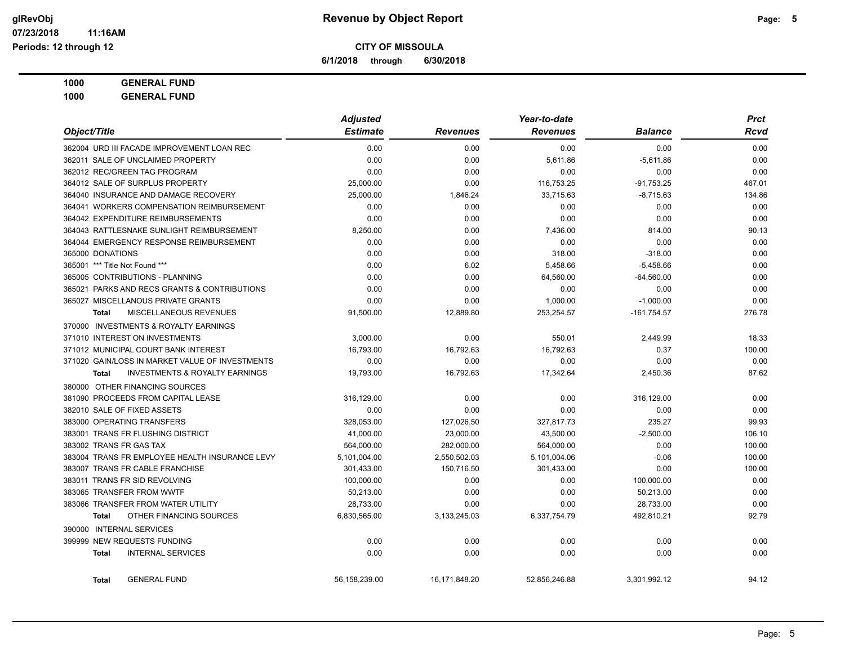**6/1/2018 through 6/30/2018**

### **1000 GENERAL FUND**

|                                                    | <b>Adjusted</b> |                 | Year-to-date    |                | <b>Prct</b> |
|----------------------------------------------------|-----------------|-----------------|-----------------|----------------|-------------|
| Object/Title                                       | <b>Estimate</b> | <b>Revenues</b> | <b>Revenues</b> | <b>Balance</b> | <b>Rcvd</b> |
| 362004 URD III FACADE IMPROVEMENT LOAN REC         | 0.00            | 0.00            | 0.00            | 0.00           | 0.00        |
| 362011 SALE OF UNCLAIMED PROPERTY                  | 0.00            | 0.00            | 5,611.86        | $-5,611.86$    | 0.00        |
| 362012 REC/GREEN TAG PROGRAM                       | 0.00            | 0.00            | 0.00            | 0.00           | 0.00        |
| 364012 SALE OF SURPLUS PROPERTY                    | 25,000.00       | 0.00            | 116,753.25      | $-91,753.25$   | 467.01      |
| 364040 INSURANCE AND DAMAGE RECOVERY               | 25,000.00       | 1,846.24        | 33,715.63       | $-8,715.63$    | 134.86      |
| 364041 WORKERS COMPENSATION REIMBURSEMENT          | 0.00            | 0.00            | 0.00            | 0.00           | 0.00        |
| 364042 EXPENDITURE REIMBURSEMENTS                  | 0.00            | 0.00            | 0.00            | 0.00           | 0.00        |
| 364043 RATTLESNAKE SUNLIGHT REIMBURSEMENT          | 8,250.00        | 0.00            | 7,436.00        | 814.00         | 90.13       |
| 364044 EMERGENCY RESPONSE REIMBURSEMENT            | 0.00            | 0.00            | 0.00            | 0.00           | 0.00        |
| 365000 DONATIONS                                   | 0.00            | 0.00            | 318.00          | $-318.00$      | 0.00        |
| 365001 *** Title Not Found ***                     | 0.00            | 6.02            | 5,458.66        | $-5,458.66$    | 0.00        |
| 365005 CONTRIBUTIONS - PLANNING                    | 0.00            | 0.00            | 64,560.00       | $-64,560.00$   | 0.00        |
| 365021 PARKS AND RECS GRANTS & CONTRIBUTIONS       | 0.00            | 0.00            | 0.00            | 0.00           | 0.00        |
| 365027 MISCELLANOUS PRIVATE GRANTS                 | 0.00            | 0.00            | 1,000.00        | $-1,000.00$    | 0.00        |
| MISCELLANEOUS REVENUES<br><b>Total</b>             | 91,500.00       | 12,889.80       | 253,254.57      | $-161,754.57$  | 276.78      |
| 370000 INVESTMENTS & ROYALTY EARNINGS              |                 |                 |                 |                |             |
| 371010 INTEREST ON INVESTMENTS                     | 3,000.00        | 0.00            | 550.01          | 2,449.99       | 18.33       |
| 371012 MUNICIPAL COURT BANK INTEREST               | 16,793.00       | 16,792.63       | 16,792.63       | 0.37           | 100.00      |
| 371020 GAIN/LOSS IN MARKET VALUE OF INVESTMENTS    | 0.00            | 0.00            | 0.00            | 0.00           | 0.00        |
| <b>INVESTMENTS &amp; ROYALTY EARNINGS</b><br>Total | 19,793.00       | 16,792.63       | 17,342.64       | 2,450.36       | 87.62       |
| 380000 OTHER FINANCING SOURCES                     |                 |                 |                 |                |             |
| 381090 PROCEEDS FROM CAPITAL LEASE                 | 316,129.00      | 0.00            | 0.00            | 316,129.00     | 0.00        |
| 382010 SALE OF FIXED ASSETS                        | 0.00            | 0.00            | 0.00            | 0.00           | 0.00        |
| 383000 OPERATING TRANSFERS                         | 328,053.00      | 127,026.50      | 327,817.73      | 235.27         | 99.93       |
| 383001 TRANS FR FLUSHING DISTRICT                  | 41,000.00       | 23,000.00       | 43,500.00       | $-2,500.00$    | 106.10      |
| 383002 TRANS FR GAS TAX                            | 564,000.00      | 282,000.00      | 564,000.00      | 0.00           | 100.00      |
| 383004 TRANS FR EMPLOYEE HEALTH INSURANCE LEVY     | 5,101,004.00    | 2,550,502.03    | 5,101,004.06    | $-0.06$        | 100.00      |
| 383007 TRANS FR CABLE FRANCHISE                    | 301,433.00      | 150,716.50      | 301,433.00      | 0.00           | 100.00      |
| 383011 TRANS FR SID REVOLVING                      | 100,000.00      | 0.00            | 0.00            | 100,000.00     | 0.00        |
| 383065 TRANSFER FROM WWTF                          | 50,213.00       | 0.00            | 0.00            | 50,213.00      | 0.00        |
| 383066 TRANSFER FROM WATER UTILITY                 | 28,733.00       | 0.00            | 0.00            | 28,733.00      | 0.00        |
| OTHER FINANCING SOURCES<br><b>Total</b>            | 6,830,565.00    | 3,133,245.03    | 6,337,754.79    | 492,810.21     | 92.79       |
| 390000 INTERNAL SERVICES                           |                 |                 |                 |                |             |
| 399999 NEW REQUESTS FUNDING                        | 0.00            | 0.00            | 0.00            | 0.00           | 0.00        |
| <b>INTERNAL SERVICES</b><br><b>Total</b>           | 0.00            | 0.00            | 0.00            | 0.00           | 0.00        |
| <b>GENERAL FUND</b><br>Total                       | 56,158,239.00   | 16,171,848.20   | 52,856,246.88   | 3,301,992.12   | 94.12       |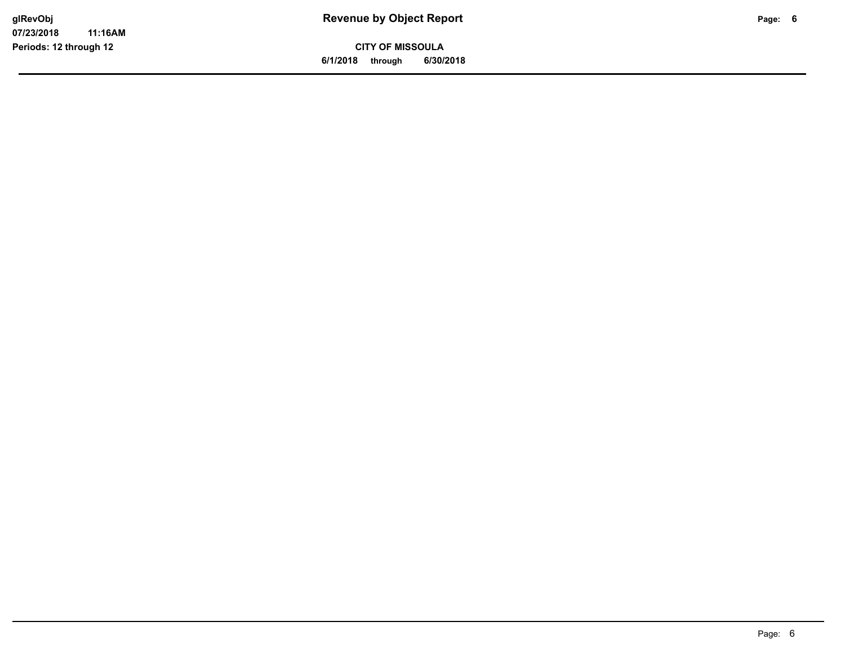**CITY OF MISSOULA 6/1/2018 through 6/30/2018**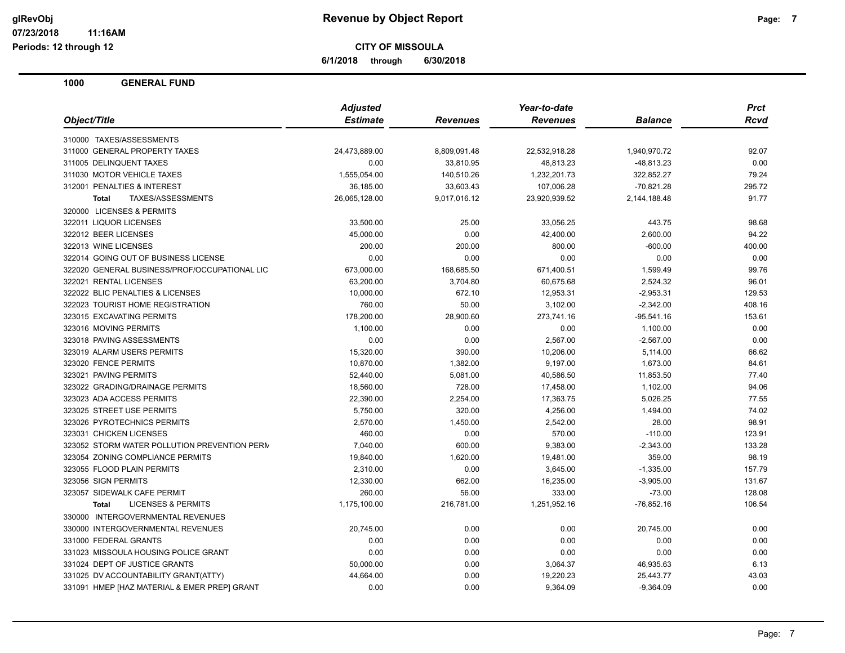**6/1/2018 through 6/30/2018**

|                                               | <b>Adjusted</b> |                 | Year-to-date    | <b>Prct</b>    |             |
|-----------------------------------------------|-----------------|-----------------|-----------------|----------------|-------------|
| Object/Title                                  | <b>Estimate</b> | <b>Revenues</b> | <b>Revenues</b> | <b>Balance</b> | <b>Rcvd</b> |
| 310000 TAXES/ASSESSMENTS                      |                 |                 |                 |                |             |
| 311000 GENERAL PROPERTY TAXES                 | 24,473,889.00   | 8,809,091.48    | 22,532,918.28   | 1,940,970.72   | 92.07       |
| 311005 DELINQUENT TAXES                       | 0.00            | 33,810.95       | 48,813.23       | $-48,813.23$   | 0.00        |
| 311030 MOTOR VEHICLE TAXES                    | 1,555,054.00    | 140,510.26      | 1,232,201.73    | 322,852.27     | 79.24       |
| 312001 PENALTIES & INTEREST                   | 36,185.00       | 33,603.43       | 107,006.28      | $-70,821.28$   | 295.72      |
| TAXES/ASSESSMENTS<br><b>Total</b>             | 26,065,128.00   | 9,017,016.12    | 23,920,939.52   | 2,144,188.48   | 91.77       |
| 320000 LICENSES & PERMITS                     |                 |                 |                 |                |             |
| 322011 LIQUOR LICENSES                        | 33,500.00       | 25.00           | 33,056.25       | 443.75         | 98.68       |
| 322012 BEER LICENSES                          | 45,000.00       | 0.00            | 42,400.00       | 2,600.00       | 94.22       |
| 322013 WINE LICENSES                          | 200.00          | 200.00          | 800.00          | $-600.00$      | 400.00      |
| 322014 GOING OUT OF BUSINESS LICENSE          | 0.00            | 0.00            | 0.00            | 0.00           | 0.00        |
| 322020 GENERAL BUSINESS/PROF/OCCUPATIONAL LIC | 673,000.00      | 168,685.50      | 671,400.51      | 1,599.49       | 99.76       |
| 322021 RENTAL LICENSES                        | 63,200.00       | 3,704.80        | 60,675.68       | 2,524.32       | 96.01       |
| 322022 BLIC PENALTIES & LICENSES              | 10,000.00       | 672.10          | 12,953.31       | $-2,953.31$    | 129.53      |
| 322023 TOURIST HOME REGISTRATION              | 760.00          | 50.00           | 3,102.00        | $-2,342.00$    | 408.16      |
| 323015 EXCAVATING PERMITS                     | 178,200.00      | 28,900.60       | 273,741.16      | $-95,541.16$   | 153.61      |
| 323016 MOVING PERMITS                         | 1,100.00        | 0.00            | 0.00            | 1,100.00       | 0.00        |
| 323018 PAVING ASSESSMENTS                     | 0.00            | 0.00            | 2,567.00        | $-2,567.00$    | 0.00        |
| 323019 ALARM USERS PERMITS                    | 15,320.00       | 390.00          | 10,206.00       | 5,114.00       | 66.62       |
| 323020 FENCE PERMITS                          | 10,870.00       | 1,382.00        | 9,197.00        | 1,673.00       | 84.61       |
| 323021 PAVING PERMITS                         | 52,440.00       | 5,081.00        | 40,586.50       | 11,853.50      | 77.40       |
| 323022 GRADING/DRAINAGE PERMITS               | 18,560.00       | 728.00          | 17,458.00       | 1,102.00       | 94.06       |
| 323023 ADA ACCESS PERMITS                     | 22,390.00       | 2,254.00        | 17,363.75       | 5,026.25       | 77.55       |
| 323025 STREET USE PERMITS                     | 5,750.00        | 320.00          | 4,256.00        | 1,494.00       | 74.02       |
| 323026 PYROTECHNICS PERMITS                   | 2,570.00        | 1,450.00        | 2,542.00        | 28.00          | 98.91       |
| 323031 CHICKEN LICENSES                       | 460.00          | 0.00            | 570.00          | $-110.00$      | 123.91      |
| 323052 STORM WATER POLLUTION PREVENTION PERM  | 7,040.00        | 600.00          | 9,383.00        | $-2,343.00$    | 133.28      |
| 323054 ZONING COMPLIANCE PERMITS              | 19,840.00       | 1,620.00        | 19,481.00       | 359.00         | 98.19       |
| 323055 FLOOD PLAIN PERMITS                    | 2,310.00        | 0.00            | 3,645.00        | $-1,335.00$    | 157.79      |
| 323056 SIGN PERMITS                           | 12,330.00       | 662.00          | 16,235.00       | $-3,905.00$    | 131.67      |
| 323057 SIDEWALK CAFE PERMIT                   | 260.00          | 56.00           | 333.00          | $-73.00$       | 128.08      |
| <b>LICENSES &amp; PERMITS</b><br><b>Total</b> | 1,175,100.00    | 216,781.00      | 1,251,952.16    | $-76,852.16$   | 106.54      |
| 330000 INTERGOVERNMENTAL REVENUES             |                 |                 |                 |                |             |
| 330000 INTERGOVERNMENTAL REVENUES             | 20,745.00       | 0.00            | 0.00            | 20,745.00      | 0.00        |
| 331000 FEDERAL GRANTS                         | 0.00            | 0.00            | 0.00            | 0.00           | 0.00        |
| 331023 MISSOULA HOUSING POLICE GRANT          | 0.00            | 0.00            | 0.00            | 0.00           | 0.00        |
| 331024 DEPT OF JUSTICE GRANTS                 | 50,000.00       | 0.00            | 3,064.37        | 46,935.63      | 6.13        |
| 331025 DV ACCOUNTABILITY GRANT(ATTY)          | 44,664.00       | 0.00            | 19,220.23       | 25,443.77      | 43.03       |
| 331091 HMEP [HAZ MATERIAL & EMER PREP] GRANT  | 0.00            | 0.00            | 9,364.09        | $-9,364.09$    | 0.00        |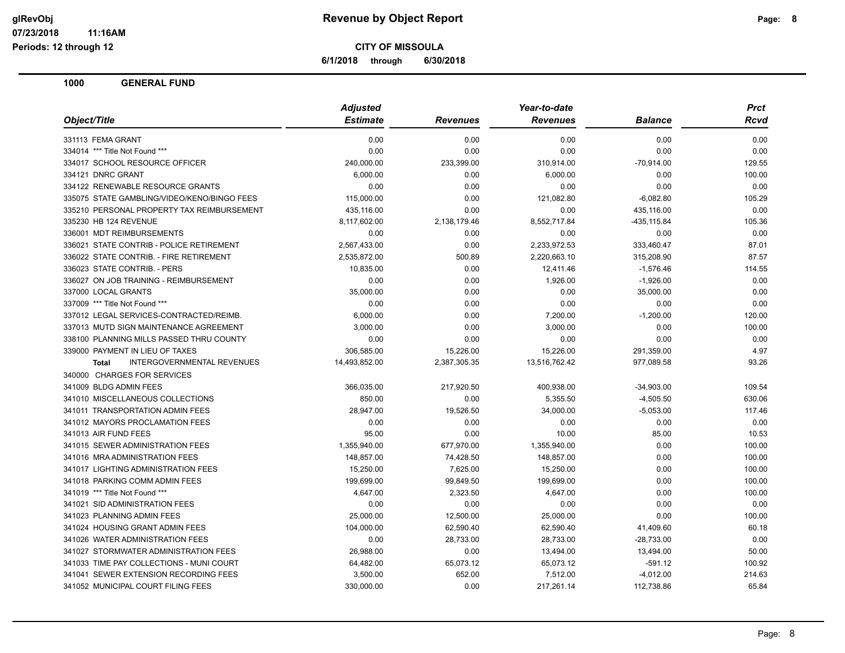**Periods: 12 through 12**

**CITY OF MISSOULA**

**6/1/2018 through 6/30/2018**

|                                             | <b>Adjusted</b> |              | Year-to-date    | <b>Prct</b>    |        |  |
|---------------------------------------------|-----------------|--------------|-----------------|----------------|--------|--|
| Object/Title                                | <b>Estimate</b> | Revenues     | <b>Revenues</b> | <b>Balance</b> | Rcvd   |  |
| 331113 FEMA GRANT                           | 0.00            | 0.00         | 0.00            | 0.00           | 0.00   |  |
| 334014 *** Title Not Found ***              | 0.00            | 0.00         | 0.00            | 0.00           | 0.00   |  |
| 334017 SCHOOL RESOURCE OFFICER              | 240,000.00      | 233,399.00   | 310,914.00      | $-70,914.00$   | 129.55 |  |
| 334121 DNRC GRANT                           | 6,000.00        | 0.00         | 6,000.00        | 0.00           | 100.00 |  |
| 334122 RENEWABLE RESOURCE GRANTS            | 0.00            | 0.00         | 0.00            | 0.00           | 0.00   |  |
| 335075 STATE GAMBLING/VIDEO/KENO/BINGO FEES | 115,000.00      | 0.00         | 121,082.80      | $-6,082.80$    | 105.29 |  |
| 335210 PERSONAL PROPERTY TAX REIMBURSEMENT  | 435,116.00      | 0.00         | 0.00            | 435,116.00     | 0.00   |  |
| 335230 HB 124 REVENUE                       | 8,117,602.00    | 2,138,179.46 | 8,552,717.84    | -435,115.84    | 105.36 |  |
| 336001 MDT REIMBURSEMENTS                   | 0.00            | 0.00         | 0.00            | 0.00           | 0.00   |  |
| 336021 STATE CONTRIB - POLICE RETIREMENT    | 2,567,433.00    | 0.00         | 2,233,972.53    | 333,460.47     | 87.01  |  |
| 336022 STATE CONTRIB. - FIRE RETIREMENT     | 2,535,872.00    | 500.89       | 2,220,663.10    | 315,208.90     | 87.57  |  |
| 336023 STATE CONTRIB. - PERS                | 10,835.00       | 0.00         | 12,411.46       | $-1,576.46$    | 114.55 |  |
| 336027 ON JOB TRAINING - REIMBURSEMENT      | 0.00            | 0.00         | 1,926.00        | $-1,926.00$    | 0.00   |  |
| 337000 LOCAL GRANTS                         | 35,000.00       | 0.00         | 0.00            | 35,000.00      | 0.00   |  |
| 337009 *** Title Not Found ***              | 0.00            | 0.00         | 0.00            | 0.00           | 0.00   |  |
| 337012 LEGAL SERVICES-CONTRACTED/REIMB.     | 6,000.00        | 0.00         | 7,200.00        | $-1,200.00$    | 120.00 |  |
| 337013 MUTD SIGN MAINTENANCE AGREEMENT      | 3,000.00        | 0.00         | 3,000.00        | 0.00           | 100.00 |  |
| 338100 PLANNING MILLS PASSED THRU COUNTY    | 0.00            | 0.00         | 0.00            | 0.00           | 0.00   |  |
| 339000 PAYMENT IN LIEU OF TAXES             | 306,585.00      | 15,226.00    | 15,226.00       | 291,359.00     | 4.97   |  |
| INTERGOVERNMENTAL REVENUES<br><b>Total</b>  | 14,493,852.00   | 2,387,305.35 | 13,516,762.42   | 977,089.58     | 93.26  |  |
| 340000 CHARGES FOR SERVICES                 |                 |              |                 |                |        |  |
| 341009 BLDG ADMIN FEES                      | 366,035.00      | 217,920.50   | 400,938.00      | $-34,903.00$   | 109.54 |  |
| 341010 MISCELLANEOUS COLLECTIONS            | 850.00          | 0.00         | 5,355.50        | $-4,505.50$    | 630.06 |  |
| 341011 TRANSPORTATION ADMIN FEES            | 28,947.00       | 19,526.50    | 34,000.00       | $-5,053.00$    | 117.46 |  |
| 341012 MAYORS PROCLAMATION FEES             | 0.00            | 0.00         | 0.00            | 0.00           | 0.00   |  |
| 341013 AIR FUND FEES                        | 95.00           | 0.00         | 10.00           | 85.00          | 10.53  |  |
| 341015 SEWER ADMINISTRATION FEES            | 1,355,940.00    | 677,970.00   | 1,355,940.00    | 0.00           | 100.00 |  |
| 341016 MRA ADMINISTRATION FEES              | 148,857.00      | 74,428.50    | 148,857.00      | 0.00           | 100.00 |  |
| 341017 LIGHTING ADMINISTRATION FEES         | 15,250.00       | 7,625.00     | 15,250.00       | 0.00           | 100.00 |  |
| 341018 PARKING COMM ADMIN FEES              | 199,699.00      | 99,849.50    | 199,699.00      | 0.00           | 100.00 |  |
| 341019 *** Title Not Found ***              | 4,647.00        | 2,323.50     | 4,647.00        | 0.00           | 100.00 |  |
| 341021 SID ADMINISTRATION FEES              | 0.00            | 0.00         | 0.00            | 0.00           | 0.00   |  |
| 341023 PLANNING ADMIN FEES                  | 25,000.00       | 12,500.00    | 25,000.00       | 0.00           | 100.00 |  |
| 341024 HOUSING GRANT ADMIN FEES             | 104,000.00      | 62,590.40    | 62,590.40       | 41,409.60      | 60.18  |  |
| 341026 WATER ADMINISTRATION FEES            | 0.00            | 28,733.00    | 28,733.00       | $-28,733.00$   | 0.00   |  |
| 341027 STORMWATER ADMINISTRATION FEES       | 26,988.00       | 0.00         | 13,494.00       | 13,494.00      | 50.00  |  |
| 341033 TIME PAY COLLECTIONS - MUNI COURT    | 64,482.00       | 65,073.12    | 65,073.12       | $-591.12$      | 100.92 |  |
| 341041 SEWER EXTENSION RECORDING FEES       | 3,500.00        | 652.00       | 7,512.00        | $-4,012.00$    | 214.63 |  |
| 341052 MUNICIPAL COURT FILING FEES          | 330,000.00      | 0.00         | 217,261.14      | 112,738.86     | 65.84  |  |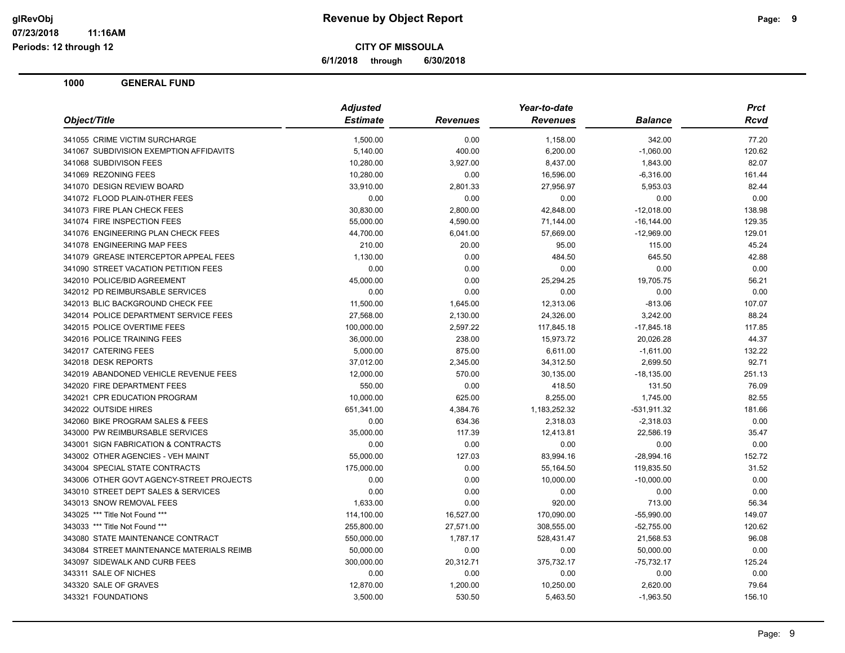**Periods: 12 through 12**

**CITY OF MISSOULA**

**6/1/2018 through 6/30/2018**

| Object/Title                              | <b>Adjusted</b> |                 | Year-to-date    | <b>Prct</b>    |        |
|-------------------------------------------|-----------------|-----------------|-----------------|----------------|--------|
|                                           | <b>Estimate</b> | <b>Revenues</b> | <b>Revenues</b> | <b>Balance</b> | Rcvd   |
| 341055 CRIME VICTIM SURCHARGE             | 1,500.00        | 0.00            | 1,158.00        | 342.00         | 77.20  |
| 341067 SUBDIVISION EXEMPTION AFFIDAVITS   | 5,140.00        | 400.00          | 6,200.00        | $-1,060.00$    | 120.62 |
| 341068 SUBDIVISON FEES                    | 10,280.00       | 3,927.00        | 8,437.00        | 1,843.00       | 82.07  |
| 341069 REZONING FEES                      | 10,280.00       | 0.00            | 16,596.00       | $-6,316.00$    | 161.44 |
| 341070 DESIGN REVIEW BOARD                | 33,910.00       | 2,801.33        | 27,956.97       | 5,953.03       | 82.44  |
| 341072 FLOOD PLAIN-0THER FEES             | 0.00            | 0.00            | 0.00            | 0.00           | 0.00   |
| 341073 FIRE PLAN CHECK FEES               | 30,830.00       | 2,800.00        | 42,848.00       | $-12,018.00$   | 138.98 |
| 341074 FIRE INSPECTION FEES               | 55,000.00       | 4,590.00        | 71,144.00       | $-16, 144.00$  | 129.35 |
| 341076 ENGINEERING PLAN CHECK FEES        | 44,700.00       | 6,041.00        | 57,669.00       | $-12,969.00$   | 129.01 |
| 341078 ENGINEERING MAP FEES               | 210.00          | 20.00           | 95.00           | 115.00         | 45.24  |
| 341079 GREASE INTERCEPTOR APPEAL FEES     | 1,130.00        | 0.00            | 484.50          | 645.50         | 42.88  |
| 341090 STREET VACATION PETITION FEES      | 0.00            | 0.00            | 0.00            | 0.00           | 0.00   |
| 342010 POLICE/BID AGREEMENT               | 45,000.00       | 0.00            | 25,294.25       | 19,705.75      | 56.21  |
| 342012 PD REIMBURSABLE SERVICES           | 0.00            | 0.00            | 0.00            | 0.00           | 0.00   |
| 342013 BLIC BACKGROUND CHECK FEE          | 11,500.00       | 1,645.00        | 12,313.06       | $-813.06$      | 107.07 |
| 342014 POLICE DEPARTMENT SERVICE FEES     | 27,568.00       | 2,130.00        | 24,326.00       | 3,242.00       | 88.24  |
| 342015 POLICE OVERTIME FEES               | 100,000.00      | 2,597.22        | 117,845.18      | $-17,845.18$   | 117.85 |
| 342016 POLICE TRAINING FEES               | 36,000.00       | 238.00          | 15,973.72       | 20,026.28      | 44.37  |
| 342017 CATERING FEES                      | 5,000.00        | 875.00          | 6,611.00        | $-1,611.00$    | 132.22 |
| 342018 DESK REPORTS                       | 37,012.00       | 2,345.00        | 34,312.50       | 2,699.50       | 92.71  |
| 342019 ABANDONED VEHICLE REVENUE FEES     | 12,000.00       | 570.00          | 30,135.00       | $-18,135.00$   | 251.13 |
| 342020 FIRE DEPARTMENT FEES               | 550.00          | 0.00            | 418.50          | 131.50         | 76.09  |
| 342021 CPR EDUCATION PROGRAM              | 10,000.00       | 625.00          | 8,255.00        | 1,745.00       | 82.55  |
| 342022 OUTSIDE HIRES                      | 651,341.00      | 4,384.76        | 1,183,252.32    | $-531,911.32$  | 181.66 |
| 342060 BIKE PROGRAM SALES & FEES          | 0.00            | 634.36          | 2,318.03        | $-2,318.03$    | 0.00   |
| 343000 PW REIMBURSABLE SERVICES           | 35,000.00       | 117.39          | 12,413.81       | 22,586.19      | 35.47  |
| 343001 SIGN FABRICATION & CONTRACTS       | 0.00            | 0.00            | 0.00            | 0.00           | 0.00   |
| 343002 OTHER AGENCIES - VEH MAINT         | 55,000.00       | 127.03          | 83,994.16       | $-28,994.16$   | 152.72 |
| 343004 SPECIAL STATE CONTRACTS            | 175,000.00      | 0.00            | 55,164.50       | 119,835.50     | 31.52  |
| 343006 OTHER GOVT AGENCY-STREET PROJECTS  | 0.00            | 0.00            | 10,000.00       | $-10,000.00$   | 0.00   |
| 343010 STREET DEPT SALES & SERVICES       | 0.00            | 0.00            | 0.00            | 0.00           | 0.00   |
| 343013 SNOW REMOVAL FEES                  | 1,633.00        | 0.00            | 920.00          | 713.00         | 56.34  |
| 343025 *** Title Not Found ***            | 114,100.00      | 16,527.00       | 170,090.00      | $-55,990.00$   | 149.07 |
| 343033 *** Title Not Found ***            | 255,800.00      | 27,571.00       | 308,555.00      | $-52,755.00$   | 120.62 |
| 343080 STATE MAINTENANCE CONTRACT         | 550,000.00      | 1,787.17        | 528,431.47      | 21,568.53      | 96.08  |
| 343084 STREET MAINTENANCE MATERIALS REIMB | 50,000.00       | 0.00            | 0.00            | 50,000.00      | 0.00   |
| 343097 SIDEWALK AND CURB FEES             | 300,000.00      | 20,312.71       | 375,732.17      | $-75,732.17$   | 125.24 |
| 343311 SALE OF NICHES                     | 0.00            | 0.00            | 0.00            | 0.00           | 0.00   |
| 343320 SALE OF GRAVES                     | 12,870.00       | 1,200.00        | 10,250.00       | 2,620.00       | 79.64  |
| 343321 FOUNDATIONS                        | 3,500.00        | 530.50          | 5,463.50        | $-1,963.50$    | 156.10 |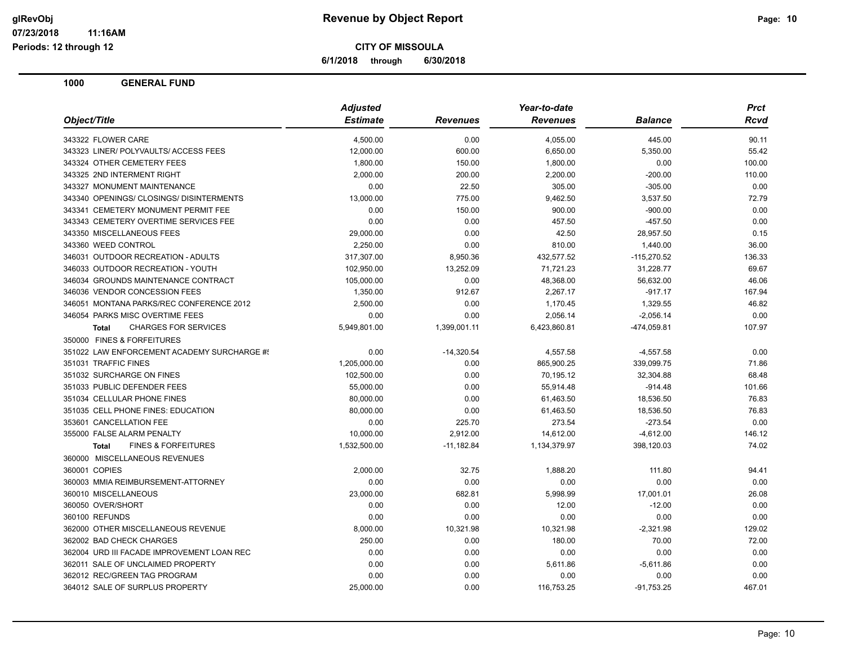**Periods: 12 through 12**

**CITY OF MISSOULA**

**6/1/2018 through 6/30/2018**

| Object/Title                                   | <b>Adjusted</b> |                 | Year-to-date    |                | <b>Prct</b> |
|------------------------------------------------|-----------------|-----------------|-----------------|----------------|-------------|
|                                                | <b>Estimate</b> | <b>Revenues</b> | <b>Revenues</b> | <b>Balance</b> | Rcvd        |
| 343322 FLOWER CARE                             | 4,500.00        | 0.00            | 4,055.00        | 445.00         | 90.11       |
| 343323 LINER/ POLYVAULTS/ ACCESS FEES          | 12,000.00       | 600.00          | 6,650.00        | 5,350.00       | 55.42       |
| 343324 OTHER CEMETERY FEES                     | 1,800.00        | 150.00          | 1,800.00        | 0.00           | 100.00      |
| 343325 2ND INTERMENT RIGHT                     | 2,000.00        | 200.00          | 2,200.00        | $-200.00$      | 110.00      |
| 343327 MONUMENT MAINTENANCE                    | 0.00            | 22.50           | 305.00          | $-305.00$      | 0.00        |
| 343340 OPENINGS/ CLOSINGS/ DISINTERMENTS       | 13,000.00       | 775.00          | 9,462.50        | 3,537.50       | 72.79       |
| 343341 CEMETERY MONUMENT PERMIT FEE            | 0.00            | 150.00          | 900.00          | $-900.00$      | 0.00        |
| 343343 CEMETERY OVERTIME SERVICES FEE          | 0.00            | 0.00            | 457.50          | $-457.50$      | 0.00        |
| 343350 MISCELLANEOUS FEES                      | 29,000.00       | 0.00            | 42.50           | 28,957.50      | 0.15        |
| 343360 WEED CONTROL                            | 2,250.00        | 0.00            | 810.00          | 1,440.00       | 36.00       |
| 346031 OUTDOOR RECREATION - ADULTS             | 317,307.00      | 8,950.36        | 432,577.52      | $-115,270.52$  | 136.33      |
| 346033 OUTDOOR RECREATION - YOUTH              | 102,950.00      | 13,252.09       | 71,721.23       | 31,228.77      | 69.67       |
| 346034 GROUNDS MAINTENANCE CONTRACT            | 105,000.00      | 0.00            | 48,368.00       | 56,632.00      | 46.06       |
| 346036 VENDOR CONCESSION FEES                  | 1,350.00        | 912.67          | 2,267.17        | $-917.17$      | 167.94      |
| 346051 MONTANA PARKS/REC CONFERENCE 2012       | 2,500.00        | 0.00            | 1,170.45        | 1,329.55       | 46.82       |
| 346054 PARKS MISC OVERTIME FEES                | 0.00            | 0.00            | 2,056.14        | $-2,056.14$    | 0.00        |
| <b>CHARGES FOR SERVICES</b><br><b>Total</b>    | 5,949,801.00    | 1,399,001.11    | 6,423,860.81    | -474,059.81    | 107.97      |
| 350000 FINES & FORFEITURES                     |                 |                 |                 |                |             |
| 351022 LAW ENFORCEMENT ACADEMY SURCHARGE #!    | 0.00            | $-14,320.54$    | 4,557.58        | $-4,557.58$    | 0.00        |
| 351031 TRAFFIC FINES                           | 1,205,000.00    | 0.00            | 865,900.25      | 339,099.75     | 71.86       |
| 351032 SURCHARGE ON FINES                      | 102,500.00      | 0.00            | 70,195.12       | 32,304.88      | 68.48       |
| 351033 PUBLIC DEFENDER FEES                    | 55,000.00       | 0.00            | 55,914.48       | $-914.48$      | 101.66      |
| 351034 CELLULAR PHONE FINES                    | 80,000.00       | 0.00            | 61,463.50       | 18,536.50      | 76.83       |
| 351035 CELL PHONE FINES: EDUCATION             | 80,000.00       | 0.00            | 61,463.50       | 18,536.50      | 76.83       |
| 353601 CANCELLATION FEE                        | 0.00            | 225.70          | 273.54          | $-273.54$      | 0.00        |
| 355000 FALSE ALARM PENALTY                     | 10,000.00       | 2,912.00        | 14,612.00       | $-4,612.00$    | 146.12      |
| <b>FINES &amp; FORFEITURES</b><br><b>Total</b> | 1,532,500.00    | $-11,182.84$    | 1,134,379.97    | 398,120.03     | 74.02       |
| 360000 MISCELLANEOUS REVENUES                  |                 |                 |                 |                |             |
| 360001 COPIES                                  | 2,000.00        | 32.75           | 1,888.20        | 111.80         | 94.41       |
| 360003 MMIA REIMBURSEMENT-ATTORNEY             | 0.00            | 0.00            | 0.00            | 0.00           | 0.00        |
| 360010 MISCELLANEOUS                           | 23,000.00       | 682.81          | 5,998.99        | 17,001.01      | 26.08       |
| 360050 OVER/SHORT                              | 0.00            | 0.00            | 12.00           | $-12.00$       | 0.00        |
| 360100 REFUNDS                                 | 0.00            | 0.00            | 0.00            | 0.00           | 0.00        |
| 362000 OTHER MISCELLANEOUS REVENUE             | 8,000.00        | 10,321.98       | 10,321.98       | $-2,321.98$    | 129.02      |
| 362002 BAD CHECK CHARGES                       | 250.00          | 0.00            | 180.00          | 70.00          | 72.00       |
| 362004 URD III FACADE IMPROVEMENT LOAN REC     | 0.00            | 0.00            | 0.00            | 0.00           | 0.00        |
| 362011 SALE OF UNCLAIMED PROPERTY              | 0.00            | 0.00            | 5,611.86        | $-5,611.86$    | 0.00        |
| 362012 REC/GREEN TAG PROGRAM                   | 0.00            | 0.00            | 0.00            | 0.00           | 0.00        |
| 364012 SALE OF SURPLUS PROPERTY                | 25.000.00       | 0.00            | 116,753.25      | $-91,753.25$   | 467.01      |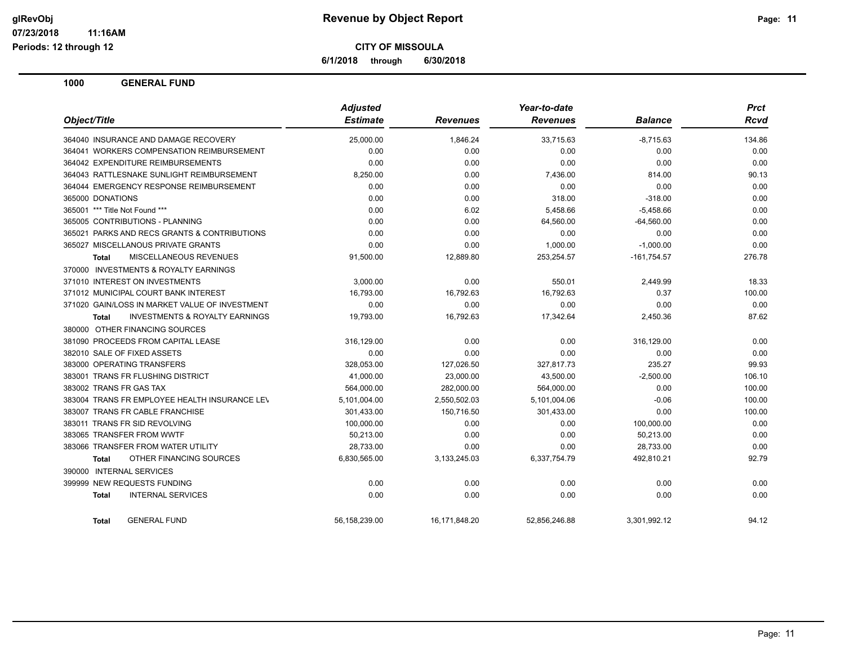**6/1/2018 through 6/30/2018**

|                                                    | <b>Adjusted</b> |                 | Year-to-date    |                | <b>Prct</b> |  |
|----------------------------------------------------|-----------------|-----------------|-----------------|----------------|-------------|--|
| Object/Title                                       | <b>Estimate</b> | <b>Revenues</b> | <b>Revenues</b> | <b>Balance</b> | <b>Rcvd</b> |  |
| 364040 INSURANCE AND DAMAGE RECOVERY               | 25,000.00       | 1,846.24        | 33,715.63       | $-8,715.63$    | 134.86      |  |
| 364041 WORKERS COMPENSATION REIMBURSEMENT          | 0.00            | 0.00            | 0.00            | 0.00           | 0.00        |  |
| 364042 EXPENDITURE REIMBURSEMENTS                  | 0.00            | 0.00            | 0.00            | 0.00           | 0.00        |  |
| 364043 RATTLESNAKE SUNLIGHT REIMBURSEMENT          | 8,250.00        | 0.00            | 7,436.00        | 814.00         | 90.13       |  |
| 364044 EMERGENCY RESPONSE REIMBURSEMENT            | 0.00            | 0.00            | 0.00            | 0.00           | 0.00        |  |
| 365000 DONATIONS                                   | 0.00            | 0.00            | 318.00          | $-318.00$      | 0.00        |  |
| 365001 *** Title Not Found ***                     | 0.00            | 6.02            | 5,458.66        | $-5,458.66$    | 0.00        |  |
| 365005 CONTRIBUTIONS - PLANNING                    | 0.00            | 0.00            | 64,560.00       | $-64,560.00$   | 0.00        |  |
| 365021 PARKS AND RECS GRANTS & CONTRIBUTIONS       | 0.00            | 0.00            | 0.00            | 0.00           | 0.00        |  |
| 365027 MISCELLANOUS PRIVATE GRANTS                 | 0.00            | 0.00            | 1,000.00        | $-1,000.00$    | 0.00        |  |
| <b>MISCELLANEOUS REVENUES</b><br><b>Total</b>      | 91,500.00       | 12,889.80       | 253,254.57      | $-161,754.57$  | 276.78      |  |
| 370000 INVESTMENTS & ROYALTY EARNINGS              |                 |                 |                 |                |             |  |
| 371010 INTEREST ON INVESTMENTS                     | 3.000.00        | 0.00            | 550.01          | 2,449.99       | 18.33       |  |
| 371012 MUNICIPAL COURT BANK INTEREST               | 16,793.00       | 16,792.63       | 16,792.63       | 0.37           | 100.00      |  |
| 371020 GAIN/LOSS IN MARKET VALUE OF INVESTMENT     | 0.00            | 0.00            | 0.00            | 0.00           | 0.00        |  |
| <b>INVESTMENTS &amp; ROYALTY EARNINGS</b><br>Total | 19,793.00       | 16,792.63       | 17,342.64       | 2,450.36       | 87.62       |  |
| 380000 OTHER FINANCING SOURCES                     |                 |                 |                 |                |             |  |
| 381090 PROCEEDS FROM CAPITAL LEASE                 | 316,129.00      | 0.00            | 0.00            | 316,129.00     | 0.00        |  |
| 382010 SALE OF FIXED ASSETS                        | 0.00            | 0.00            | 0.00            | 0.00           | 0.00        |  |
| 383000 OPERATING TRANSFERS                         | 328,053.00      | 127,026.50      | 327,817.73      | 235.27         | 99.93       |  |
| 383001 TRANS FR FLUSHING DISTRICT                  | 41,000.00       | 23,000.00       | 43,500.00       | $-2,500.00$    | 106.10      |  |
| 383002 TRANS FR GAS TAX                            | 564,000.00      | 282,000.00      | 564,000.00      | 0.00           | 100.00      |  |
| 383004 TRANS FR EMPLOYEE HEALTH INSURANCE LEV      | 5,101,004.00    | 2,550,502.03    | 5,101,004.06    | $-0.06$        | 100.00      |  |
| 383007 TRANS FR CABLE FRANCHISE                    | 301,433.00      | 150,716.50      | 301,433.00      | 0.00           | 100.00      |  |
| 383011 TRANS FR SID REVOLVING                      | 100,000.00      | 0.00            | 0.00            | 100,000.00     | 0.00        |  |
| 383065 TRANSFER FROM WWTF                          | 50,213.00       | 0.00            | 0.00            | 50,213.00      | 0.00        |  |
| 383066 TRANSFER FROM WATER UTILITY                 | 28,733.00       | 0.00            | 0.00            | 28,733.00      | 0.00        |  |
| OTHER FINANCING SOURCES<br><b>Total</b>            | 6,830,565.00    | 3,133,245.03    | 6,337,754.79    | 492,810.21     | 92.79       |  |
| 390000 INTERNAL SERVICES                           |                 |                 |                 |                |             |  |
| 399999 NEW REQUESTS FUNDING                        | 0.00            | 0.00            | 0.00            | 0.00           | 0.00        |  |
| <b>INTERNAL SERVICES</b><br><b>Total</b>           | 0.00            | 0.00            | 0.00            | 0.00           | 0.00        |  |
| <b>GENERAL FUND</b><br><b>Total</b>                | 56,158,239.00   | 16,171,848.20   | 52,856,246.88   | 3,301,992.12   | 94.12       |  |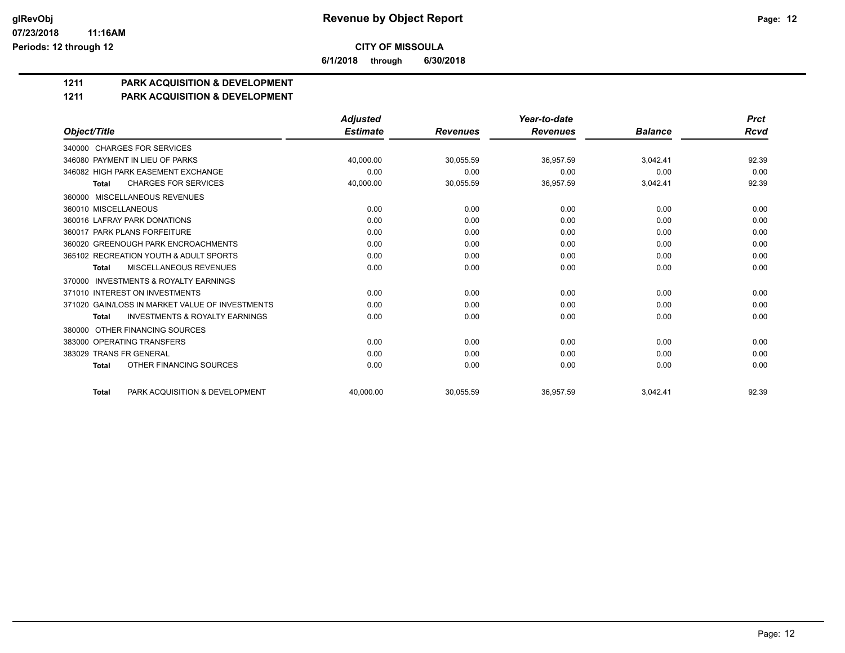**6/1/2018 through 6/30/2018**

## **1211 PARK ACQUISITION & DEVELOPMENT**

#### **1211 PARK ACQUISITION & DEVELOPMENT**

|                                                           | <b>Adjusted</b> |                 | Year-to-date    |                | <b>Prct</b> |
|-----------------------------------------------------------|-----------------|-----------------|-----------------|----------------|-------------|
| Object/Title                                              | <b>Estimate</b> | <b>Revenues</b> | <b>Revenues</b> | <b>Balance</b> | Rcvd        |
| 340000 CHARGES FOR SERVICES                               |                 |                 |                 |                |             |
| 346080 PAYMENT IN LIEU OF PARKS                           | 40,000.00       | 30,055.59       | 36,957.59       | 3,042.41       | 92.39       |
| 346082 HIGH PARK EASEMENT EXCHANGE                        | 0.00            | 0.00            | 0.00            | 0.00           | 0.00        |
| <b>CHARGES FOR SERVICES</b><br><b>Total</b>               | 40,000.00       | 30,055.59       | 36,957.59       | 3,042.41       | 92.39       |
| 360000 MISCELLANEOUS REVENUES                             |                 |                 |                 |                |             |
| 360010 MISCELLANEOUS                                      | 0.00            | 0.00            | 0.00            | 0.00           | 0.00        |
| 360016 LAFRAY PARK DONATIONS                              | 0.00            | 0.00            | 0.00            | 0.00           | 0.00        |
| 360017 PARK PLANS FORFEITURE                              | 0.00            | 0.00            | 0.00            | 0.00           | 0.00        |
| 360020 GREENOUGH PARK ENCROACHMENTS                       | 0.00            | 0.00            | 0.00            | 0.00           | 0.00        |
| 365102 RECREATION YOUTH & ADULT SPORTS                    | 0.00            | 0.00            | 0.00            | 0.00           | 0.00        |
| <b>MISCELLANEOUS REVENUES</b><br><b>Total</b>             | 0.00            | 0.00            | 0.00            | 0.00           | 0.00        |
| <b>INVESTMENTS &amp; ROYALTY EARNINGS</b><br>370000       |                 |                 |                 |                |             |
| 371010 INTEREST ON INVESTMENTS                            | 0.00            | 0.00            | 0.00            | 0.00           | 0.00        |
| 371020 GAIN/LOSS IN MARKET VALUE OF INVESTMENTS           | 0.00            | 0.00            | 0.00            | 0.00           | 0.00        |
| <b>INVESTMENTS &amp; ROYALTY EARNINGS</b><br><b>Total</b> | 0.00            | 0.00            | 0.00            | 0.00           | 0.00        |
| OTHER FINANCING SOURCES<br>380000                         |                 |                 |                 |                |             |
| 383000 OPERATING TRANSFERS                                | 0.00            | 0.00            | 0.00            | 0.00           | 0.00        |
| 383029 TRANS FR GENERAL                                   | 0.00            | 0.00            | 0.00            | 0.00           | 0.00        |
| OTHER FINANCING SOURCES<br><b>Total</b>                   | 0.00            | 0.00            | 0.00            | 0.00           | 0.00        |
| PARK ACQUISITION & DEVELOPMENT<br>Total                   | 40,000.00       | 30,055.59       | 36,957.59       | 3,042.41       | 92.39       |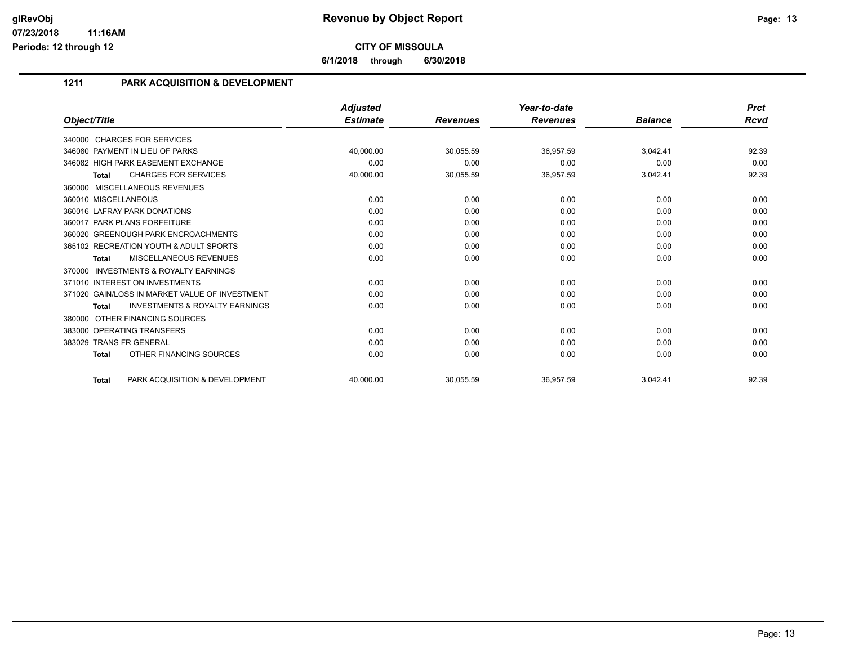**6/1/2018 through 6/30/2018**

#### **1211 PARK ACQUISITION & DEVELOPMENT**

|                                                           | <b>Adjusted</b> |                 | Year-to-date    |                | <b>Prct</b> |
|-----------------------------------------------------------|-----------------|-----------------|-----------------|----------------|-------------|
| Object/Title                                              | <b>Estimate</b> | <b>Revenues</b> | <b>Revenues</b> | <b>Balance</b> | Rcvd        |
| 340000 CHARGES FOR SERVICES                               |                 |                 |                 |                |             |
| 346080 PAYMENT IN LIEU OF PARKS                           | 40,000.00       | 30,055.59       | 36,957.59       | 3,042.41       | 92.39       |
| 346082 HIGH PARK EASEMENT EXCHANGE                        | 0.00            | 0.00            | 0.00            | 0.00           | 0.00        |
| <b>CHARGES FOR SERVICES</b><br><b>Total</b>               | 40,000.00       | 30,055.59       | 36,957.59       | 3,042.41       | 92.39       |
| 360000 MISCELLANEOUS REVENUES                             |                 |                 |                 |                |             |
| 360010 MISCELLANEOUS                                      | 0.00            | 0.00            | 0.00            | 0.00           | 0.00        |
| 360016 LAFRAY PARK DONATIONS                              | 0.00            | 0.00            | 0.00            | 0.00           | 0.00        |
| 360017 PARK PLANS FORFEITURE                              | 0.00            | 0.00            | 0.00            | 0.00           | 0.00        |
| 360020 GREENOUGH PARK ENCROACHMENTS                       | 0.00            | 0.00            | 0.00            | 0.00           | 0.00        |
| 365102 RECREATION YOUTH & ADULT SPORTS                    | 0.00            | 0.00            | 0.00            | 0.00           | 0.00        |
| <b>MISCELLANEOUS REVENUES</b><br><b>Total</b>             | 0.00            | 0.00            | 0.00            | 0.00           | 0.00        |
| <b>INVESTMENTS &amp; ROYALTY EARNINGS</b><br>370000       |                 |                 |                 |                |             |
| 371010 INTEREST ON INVESTMENTS                            | 0.00            | 0.00            | 0.00            | 0.00           | 0.00        |
| 371020 GAIN/LOSS IN MARKET VALUE OF INVESTMENT            | 0.00            | 0.00            | 0.00            | 0.00           | 0.00        |
| <b>INVESTMENTS &amp; ROYALTY EARNINGS</b><br><b>Total</b> | 0.00            | 0.00            | 0.00            | 0.00           | 0.00        |
| OTHER FINANCING SOURCES<br>380000                         |                 |                 |                 |                |             |
| 383000 OPERATING TRANSFERS                                | 0.00            | 0.00            | 0.00            | 0.00           | 0.00        |
| 383029 TRANS FR GENERAL                                   | 0.00            | 0.00            | 0.00            | 0.00           | 0.00        |
| OTHER FINANCING SOURCES<br><b>Total</b>                   | 0.00            | 0.00            | 0.00            | 0.00           | 0.00        |
| PARK ACQUISITION & DEVELOPMENT<br><b>Total</b>            | 40,000.00       | 30,055.59       | 36,957.59       | 3,042.41       | 92.39       |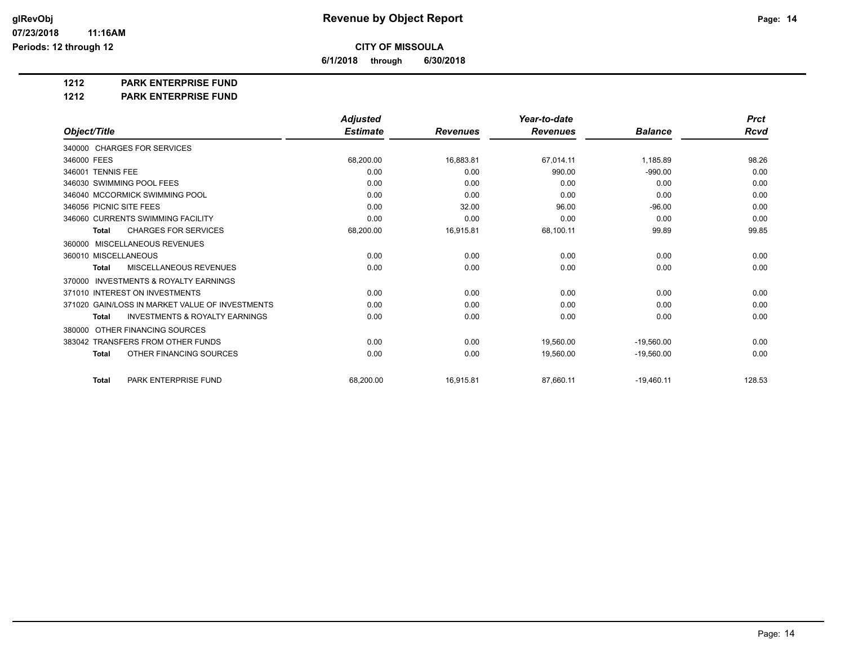**6/1/2018 through 6/30/2018**

**1212 PARK ENTERPRISE FUND**

**1212 PARK ENTERPRISE FUND**

|                                                           | <b>Adjusted</b> |                 | Year-to-date    |                | <b>Prct</b> |
|-----------------------------------------------------------|-----------------|-----------------|-----------------|----------------|-------------|
| Object/Title                                              | <b>Estimate</b> | <b>Revenues</b> | <b>Revenues</b> | <b>Balance</b> | Rcvd        |
| 340000 CHARGES FOR SERVICES                               |                 |                 |                 |                |             |
| 346000 FEES                                               | 68,200.00       | 16,883.81       | 67,014.11       | 1,185.89       | 98.26       |
| 346001 TENNIS FEE                                         | 0.00            | 0.00            | 990.00          | $-990.00$      | 0.00        |
| 346030 SWIMMING POOL FEES                                 | 0.00            | 0.00            | 0.00            | 0.00           | 0.00        |
| 346040 MCCORMICK SWIMMING POOL                            | 0.00            | 0.00            | 0.00            | 0.00           | 0.00        |
| 346056 PICNIC SITE FEES                                   | 0.00            | 32.00           | 96.00           | $-96.00$       | 0.00        |
| 346060 CURRENTS SWIMMING FACILITY                         | 0.00            | 0.00            | 0.00            | 0.00           | 0.00        |
| <b>CHARGES FOR SERVICES</b><br><b>Total</b>               | 68,200.00       | 16,915.81       | 68,100.11       | 99.89          | 99.85       |
| MISCELLANEOUS REVENUES<br>360000                          |                 |                 |                 |                |             |
| 360010 MISCELLANEOUS                                      | 0.00            | 0.00            | 0.00            | 0.00           | 0.00        |
| <b>MISCELLANEOUS REVENUES</b><br><b>Total</b>             | 0.00            | 0.00            | 0.00            | 0.00           | 0.00        |
| <b>INVESTMENTS &amp; ROYALTY EARNINGS</b><br>370000       |                 |                 |                 |                |             |
| 371010 INTEREST ON INVESTMENTS                            | 0.00            | 0.00            | 0.00            | 0.00           | 0.00        |
| 371020 GAIN/LOSS IN MARKET VALUE OF INVESTMENTS           | 0.00            | 0.00            | 0.00            | 0.00           | 0.00        |
| <b>INVESTMENTS &amp; ROYALTY EARNINGS</b><br><b>Total</b> | 0.00            | 0.00            | 0.00            | 0.00           | 0.00        |
| OTHER FINANCING SOURCES<br>380000                         |                 |                 |                 |                |             |
| 383042 TRANSFERS FROM OTHER FUNDS                         | 0.00            | 0.00            | 19,560.00       | $-19,560.00$   | 0.00        |
| OTHER FINANCING SOURCES<br><b>Total</b>                   | 0.00            | 0.00            | 19,560.00       | $-19,560.00$   | 0.00        |
| PARK ENTERPRISE FUND<br><b>Total</b>                      | 68,200.00       | 16,915.81       | 87,660.11       | $-19,460.11$   | 128.53      |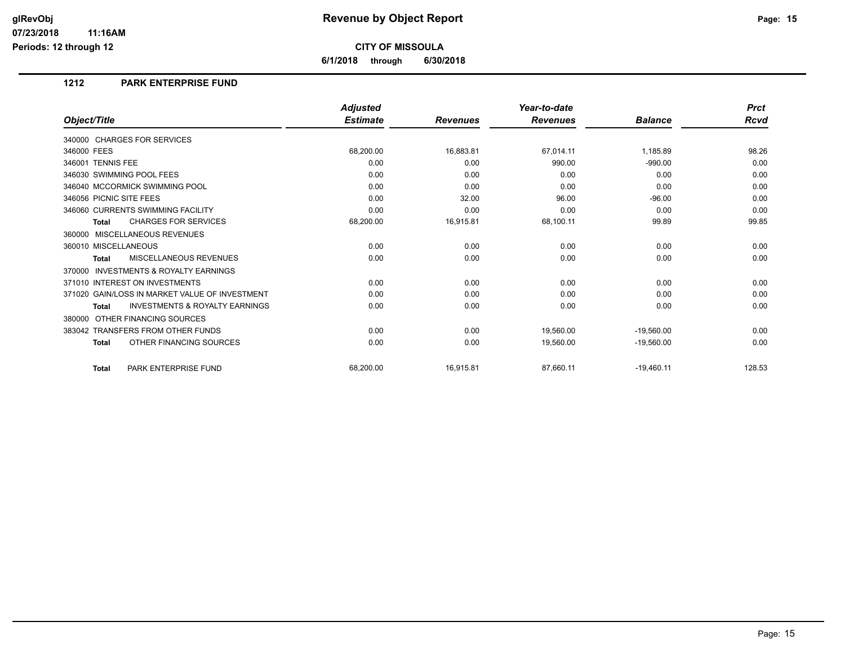**6/1/2018 through 6/30/2018**

#### **1212 PARK ENTERPRISE FUND**

|                                                           | <b>Adjusted</b> |                 | Year-to-date    |                | <b>Prct</b> |
|-----------------------------------------------------------|-----------------|-----------------|-----------------|----------------|-------------|
| Object/Title                                              | <b>Estimate</b> | <b>Revenues</b> | <b>Revenues</b> | <b>Balance</b> | Rcvd        |
| 340000 CHARGES FOR SERVICES                               |                 |                 |                 |                |             |
| 346000 FEES                                               | 68,200.00       | 16,883.81       | 67,014.11       | 1,185.89       | 98.26       |
| 346001 TENNIS FEE                                         | 0.00            | 0.00            | 990.00          | $-990.00$      | 0.00        |
| 346030 SWIMMING POOL FEES                                 | 0.00            | 0.00            | 0.00            | 0.00           | 0.00        |
| 346040 MCCORMICK SWIMMING POOL                            | 0.00            | 0.00            | 0.00            | 0.00           | 0.00        |
| 346056 PICNIC SITE FEES                                   | 0.00            | 32.00           | 96.00           | $-96.00$       | 0.00        |
| 346060 CURRENTS SWIMMING FACILITY                         | 0.00            | 0.00            | 0.00            | 0.00           | 0.00        |
| <b>CHARGES FOR SERVICES</b><br>Total                      | 68,200.00       | 16,915.81       | 68,100.11       | 99.89          | 99.85       |
| 360000 MISCELLANEOUS REVENUES                             |                 |                 |                 |                |             |
| 360010 MISCELLANEOUS                                      | 0.00            | 0.00            | 0.00            | 0.00           | 0.00        |
| MISCELLANEOUS REVENUES<br>Total                           | 0.00            | 0.00            | 0.00            | 0.00           | 0.00        |
| <b>INVESTMENTS &amp; ROYALTY EARNINGS</b><br>370000       |                 |                 |                 |                |             |
| 371010 INTEREST ON INVESTMENTS                            | 0.00            | 0.00            | 0.00            | 0.00           | 0.00        |
| 371020 GAIN/LOSS IN MARKET VALUE OF INVESTMENT            | 0.00            | 0.00            | 0.00            | 0.00           | 0.00        |
| <b>INVESTMENTS &amp; ROYALTY EARNINGS</b><br><b>Total</b> | 0.00            | 0.00            | 0.00            | 0.00           | 0.00        |
| OTHER FINANCING SOURCES<br>380000                         |                 |                 |                 |                |             |
| 383042 TRANSFERS FROM OTHER FUNDS                         | 0.00            | 0.00            | 19.560.00       | $-19,560.00$   | 0.00        |
| OTHER FINANCING SOURCES<br>Total                          | 0.00            | 0.00            | 19,560.00       | $-19,560.00$   | 0.00        |
| <b>PARK ENTERPRISE FUND</b><br>Total                      | 68,200.00       | 16,915.81       | 87,660.11       | $-19,460.11$   | 128.53      |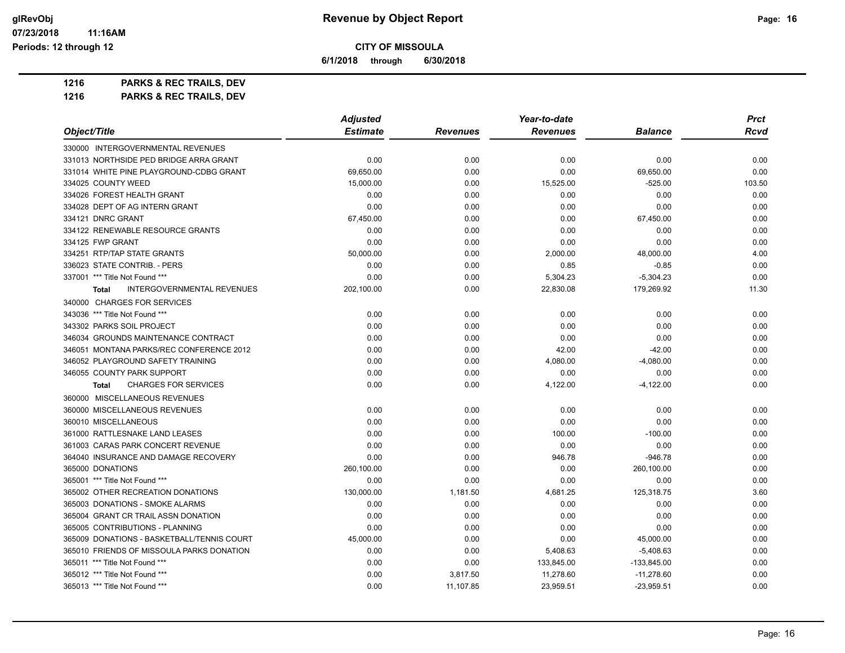**6/1/2018 through 6/30/2018**

**1216 PARKS & REC TRAILS, DEV**

|                                                   | <b>Adjusted</b> |                 | Year-to-date    |                | <b>Prct</b> |
|---------------------------------------------------|-----------------|-----------------|-----------------|----------------|-------------|
| Object/Title                                      | <b>Estimate</b> | <b>Revenues</b> | <b>Revenues</b> | <b>Balance</b> | <b>Rcvd</b> |
| 330000 INTERGOVERNMENTAL REVENUES                 |                 |                 |                 |                |             |
| 331013 NORTHSIDE PED BRIDGE ARRA GRANT            | 0.00            | 0.00            | 0.00            | 0.00           | 0.00        |
| 331014 WHITE PINE PLAYGROUND-CDBG GRANT           | 69,650.00       | 0.00            | 0.00            | 69,650.00      | 0.00        |
| 334025 COUNTY WEED                                | 15,000.00       | 0.00            | 15,525.00       | $-525.00$      | 103.50      |
| 334026 FOREST HEALTH GRANT                        | 0.00            | 0.00            | 0.00            | 0.00           | 0.00        |
| 334028 DEPT OF AG INTERN GRANT                    | 0.00            | 0.00            | 0.00            | 0.00           | 0.00        |
| 334121 DNRC GRANT                                 | 67,450.00       | 0.00            | 0.00            | 67,450.00      | 0.00        |
| 334122 RENEWABLE RESOURCE GRANTS                  | 0.00            | 0.00            | 0.00            | 0.00           | 0.00        |
| 334125 FWP GRANT                                  | 0.00            | 0.00            | 0.00            | 0.00           | 0.00        |
| 334251 RTP/TAP STATE GRANTS                       | 50,000.00       | 0.00            | 2,000.00        | 48,000.00      | 4.00        |
| 336023 STATE CONTRIB. - PERS                      | 0.00            | 0.00            | 0.85            | $-0.85$        | 0.00        |
| 337001 *** Title Not Found ***                    | 0.00            | 0.00            | 5,304.23        | $-5,304.23$    | 0.00        |
| <b>INTERGOVERNMENTAL REVENUES</b><br><b>Total</b> | 202,100.00      | 0.00            | 22,830.08       | 179,269.92     | 11.30       |
| 340000 CHARGES FOR SERVICES                       |                 |                 |                 |                |             |
| 343036 *** Title Not Found ***                    | 0.00            | 0.00            | 0.00            | 0.00           | 0.00        |
| 343302 PARKS SOIL PROJECT                         | 0.00            | 0.00            | 0.00            | 0.00           | 0.00        |
| 346034 GROUNDS MAINTENANCE CONTRACT               | 0.00            | 0.00            | 0.00            | 0.00           | 0.00        |
| 346051 MONTANA PARKS/REC CONFERENCE 2012          | 0.00            | 0.00            | 42.00           | $-42.00$       | 0.00        |
| 346052 PLAYGROUND SAFETY TRAINING                 | 0.00            | 0.00            | 4,080.00        | $-4,080.00$    | 0.00        |
| 346055 COUNTY PARK SUPPORT                        | 0.00            | 0.00            | 0.00            | 0.00           | 0.00        |
| <b>CHARGES FOR SERVICES</b><br><b>Total</b>       | 0.00            | 0.00            | 4,122.00        | $-4,122.00$    | 0.00        |
| 360000 MISCELLANEOUS REVENUES                     |                 |                 |                 |                |             |
| 360000 MISCELLANEOUS REVENUES                     | 0.00            | 0.00            | 0.00            | 0.00           | 0.00        |
| 360010 MISCELLANEOUS                              | 0.00            | 0.00            | 0.00            | 0.00           | 0.00        |
| 361000 RATTLESNAKE LAND LEASES                    | 0.00            | 0.00            | 100.00          | $-100.00$      | 0.00        |
| 361003 CARAS PARK CONCERT REVENUE                 | 0.00            | 0.00            | 0.00            | 0.00           | 0.00        |
| 364040 INSURANCE AND DAMAGE RECOVERY              | 0.00            | 0.00            | 946.78          | $-946.78$      | 0.00        |
| 365000 DONATIONS                                  | 260,100.00      | 0.00            | 0.00            | 260,100.00     | 0.00        |
| 365001 *** Title Not Found ***                    | 0.00            | 0.00            | 0.00            | 0.00           | 0.00        |
| 365002 OTHER RECREATION DONATIONS                 | 130,000.00      | 1,181.50        | 4,681.25        | 125,318.75     | 3.60        |
| 365003 DONATIONS - SMOKE ALARMS                   | 0.00            | 0.00            | 0.00            | 0.00           | 0.00        |
| 365004 GRANT CR TRAIL ASSN DONATION               | 0.00            | 0.00            | 0.00            | 0.00           | 0.00        |
| 365005 CONTRIBUTIONS - PLANNING                   | 0.00            | 0.00            | 0.00            | 0.00           | 0.00        |
| 365009 DONATIONS - BASKETBALL/TENNIS COURT        | 45,000.00       | 0.00            | 0.00            | 45,000.00      | 0.00        |
| 365010 FRIENDS OF MISSOULA PARKS DONATION         | 0.00            | 0.00            | 5,408.63        | $-5,408.63$    | 0.00        |
| 365011 *** Title Not Found ***                    | 0.00            | 0.00            | 133,845.00      | $-133,845.00$  | 0.00        |
| 365012 *** Title Not Found ***                    | 0.00            | 3,817.50        | 11,278.60       | $-11,278.60$   | 0.00        |
| 365013 *** Title Not Found ***                    | 0.00            | 11,107.85       | 23,959.51       | $-23,959.51$   | 0.00        |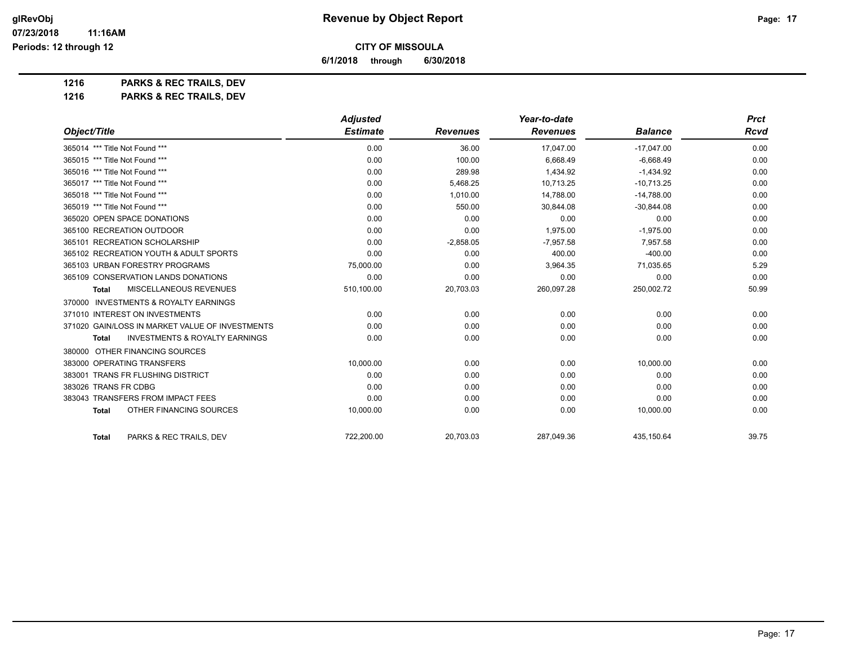**6/1/2018 through 6/30/2018**

**1216 PARKS & REC TRAILS, DEV**

|                                                           | <b>Adjusted</b> |                 | Year-to-date    |                | <b>Prct</b> |
|-----------------------------------------------------------|-----------------|-----------------|-----------------|----------------|-------------|
| Object/Title                                              | <b>Estimate</b> | <b>Revenues</b> | <b>Revenues</b> | <b>Balance</b> | <b>Rcvd</b> |
| 365014 *** Title Not Found ***                            | 0.00            | 36.00           | 17,047.00       | $-17,047.00$   | 0.00        |
| 365015 *** Title Not Found ***                            | 0.00            | 100.00          | 6,668.49        | $-6,668.49$    | 0.00        |
| 365016 *** Title Not Found ***                            | 0.00            | 289.98          | 1,434.92        | $-1,434.92$    | 0.00        |
| 365017 *** Title Not Found ***                            | 0.00            | 5,468.25        | 10,713.25       | $-10,713.25$   | 0.00        |
| 365018 *** Title Not Found ***                            | 0.00            | 1,010.00        | 14,788.00       | $-14,788.00$   | 0.00        |
| 365019 *** Title Not Found ***                            | 0.00            | 550.00          | 30,844.08       | $-30,844.08$   | 0.00        |
| 365020 OPEN SPACE DONATIONS                               | 0.00            | 0.00            | 0.00            | 0.00           | 0.00        |
| 365100 RECREATION OUTDOOR                                 | 0.00            | 0.00            | 1,975.00        | $-1,975.00$    | 0.00        |
| 365101 RECREATION SCHOLARSHIP                             | 0.00            | $-2,858.05$     | $-7.957.58$     | 7,957.58       | 0.00        |
| 365102 RECREATION YOUTH & ADULT SPORTS                    | 0.00            | 0.00            | 400.00          | $-400.00$      | 0.00        |
| 365103 URBAN FORESTRY PROGRAMS                            | 75,000.00       | 0.00            | 3,964.35        | 71,035.65      | 5.29        |
| 365109 CONSERVATION LANDS DONATIONS                       | 0.00            | 0.00            | 0.00            | 0.00           | 0.00        |
| MISCELLANEOUS REVENUES<br><b>Total</b>                    | 510,100.00      | 20,703.03       | 260,097.28      | 250,002.72     | 50.99       |
| 370000 INVESTMENTS & ROYALTY EARNINGS                     |                 |                 |                 |                |             |
| 371010 INTEREST ON INVESTMENTS                            | 0.00            | 0.00            | 0.00            | 0.00           | 0.00        |
| 371020 GAIN/LOSS IN MARKET VALUE OF INVESTMENTS           | 0.00            | 0.00            | 0.00            | 0.00           | 0.00        |
| <b>INVESTMENTS &amp; ROYALTY EARNINGS</b><br><b>Total</b> | 0.00            | 0.00            | 0.00            | 0.00           | 0.00        |
| 380000 OTHER FINANCING SOURCES                            |                 |                 |                 |                |             |
| 383000 OPERATING TRANSFERS                                | 10,000.00       | 0.00            | 0.00            | 10,000.00      | 0.00        |
| 383001 TRANS FR FLUSHING DISTRICT                         | 0.00            | 0.00            | 0.00            | 0.00           | 0.00        |
| 383026 TRANS FR CDBG                                      | 0.00            | 0.00            | 0.00            | 0.00           | 0.00        |
| 383043 TRANSFERS FROM IMPACT FEES                         | 0.00            | 0.00            | 0.00            | 0.00           | 0.00        |
| OTHER FINANCING SOURCES<br><b>Total</b>                   | 10,000.00       | 0.00            | 0.00            | 10,000.00      | 0.00        |
| PARKS & REC TRAILS, DEV<br>Total                          | 722,200.00      | 20,703.03       | 287,049.36      | 435,150.64     | 39.75       |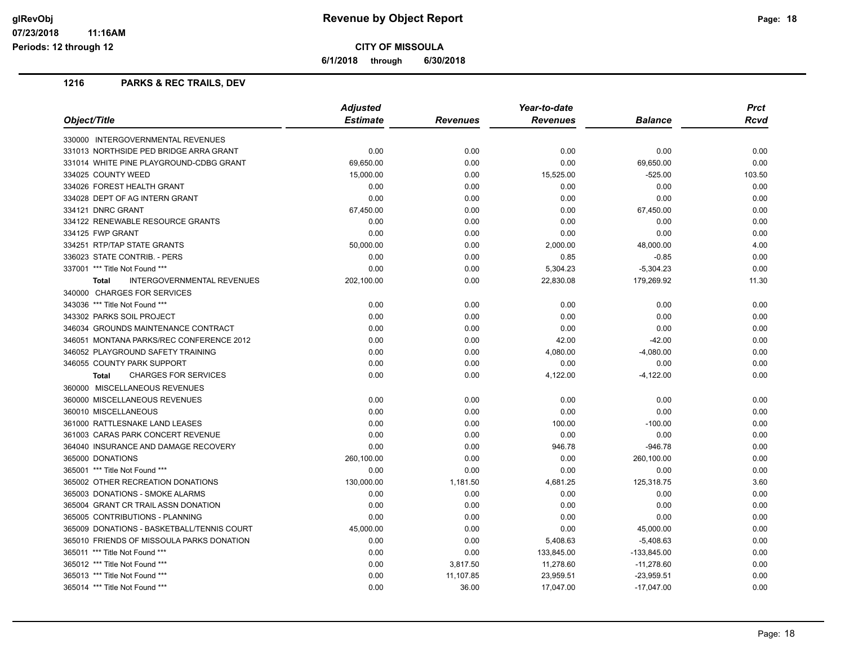**6/1/2018 through 6/30/2018**

|                                                   | <b>Adjusted</b> |           | Year-to-date    | <b>Prct</b>    |        |  |
|---------------------------------------------------|-----------------|-----------|-----------------|----------------|--------|--|
| Object/Title                                      | <b>Estimate</b> | Revenues  | <b>Revenues</b> | <b>Balance</b> | Rcvd   |  |
| 330000 INTERGOVERNMENTAL REVENUES                 |                 |           |                 |                |        |  |
| 331013 NORTHSIDE PED BRIDGE ARRA GRANT            | 0.00            | 0.00      | 0.00            | 0.00           | 0.00   |  |
| 331014 WHITE PINE PLAYGROUND-CDBG GRANT           | 69,650.00       | 0.00      | 0.00            | 69,650.00      | 0.00   |  |
| 334025 COUNTY WEED                                | 15,000.00       | 0.00      | 15,525.00       | $-525.00$      | 103.50 |  |
| 334026 FOREST HEALTH GRANT                        | 0.00            | 0.00      | 0.00            | 0.00           | 0.00   |  |
| 334028 DEPT OF AG INTERN GRANT                    | 0.00            | 0.00      | 0.00            | 0.00           | 0.00   |  |
| 334121 DNRC GRANT                                 | 67,450.00       | 0.00      | 0.00            | 67,450.00      | 0.00   |  |
| 334122 RENEWABLE RESOURCE GRANTS                  | 0.00            | 0.00      | 0.00            | 0.00           | 0.00   |  |
| 334125 FWP GRANT                                  | 0.00            | 0.00      | 0.00            | 0.00           | 0.00   |  |
| 334251 RTP/TAP STATE GRANTS                       | 50,000.00       | 0.00      | 2,000.00        | 48,000.00      | 4.00   |  |
| 336023 STATE CONTRIB. - PERS                      | 0.00            | 0.00      | 0.85            | $-0.85$        | 0.00   |  |
| 337001 *** Title Not Found ***                    | 0.00            | 0.00      | 5,304.23        | $-5,304.23$    | 0.00   |  |
| <b>INTERGOVERNMENTAL REVENUES</b><br><b>Total</b> | 202,100.00      | 0.00      | 22,830.08       | 179,269.92     | 11.30  |  |
| 340000 CHARGES FOR SERVICES                       |                 |           |                 |                |        |  |
| 343036 *** Title Not Found ***                    | 0.00            | 0.00      | 0.00            | 0.00           | 0.00   |  |
| 343302 PARKS SOIL PROJECT                         | 0.00            | 0.00      | 0.00            | 0.00           | 0.00   |  |
| 346034 GROUNDS MAINTENANCE CONTRACT               | 0.00            | 0.00      | 0.00            | 0.00           | 0.00   |  |
| 346051 MONTANA PARKS/REC CONFERENCE 2012          | 0.00            | 0.00      | 42.00           | $-42.00$       | 0.00   |  |
| 346052 PLAYGROUND SAFETY TRAINING                 | 0.00            | 0.00      | 4,080.00        | $-4,080.00$    | 0.00   |  |
| 346055 COUNTY PARK SUPPORT                        | 0.00            | 0.00      | 0.00            | 0.00           | 0.00   |  |
| <b>CHARGES FOR SERVICES</b><br><b>Total</b>       | 0.00            | 0.00      | 4,122.00        | $-4,122.00$    | 0.00   |  |
| 360000 MISCELLANEOUS REVENUES                     |                 |           |                 |                |        |  |
| 360000 MISCELLANEOUS REVENUES                     | 0.00            | 0.00      | 0.00            | 0.00           | 0.00   |  |
| 360010 MISCELLANEOUS                              | 0.00            | 0.00      | 0.00            | 0.00           | 0.00   |  |
| 361000 RATTLESNAKE LAND LEASES                    | 0.00            | 0.00      | 100.00          | $-100.00$      | 0.00   |  |
| 361003 CARAS PARK CONCERT REVENUE                 | 0.00            | 0.00      | 0.00            | 0.00           | 0.00   |  |
| 364040 INSURANCE AND DAMAGE RECOVERY              | 0.00            | 0.00      | 946.78          | $-946.78$      | 0.00   |  |
| 365000 DONATIONS                                  | 260,100.00      | 0.00      | 0.00            | 260,100.00     | 0.00   |  |
| 365001 *** Title Not Found ***                    | 0.00            | 0.00      | 0.00            | 0.00           | 0.00   |  |
| 365002 OTHER RECREATION DONATIONS                 | 130,000.00      | 1,181.50  | 4,681.25        | 125,318.75     | 3.60   |  |
| 365003 DONATIONS - SMOKE ALARMS                   | 0.00            | 0.00      | 0.00            | 0.00           | 0.00   |  |
| 365004 GRANT CR TRAIL ASSN DONATION               | 0.00            | 0.00      | 0.00            | 0.00           | 0.00   |  |
| 365005 CONTRIBUTIONS - PLANNING                   | 0.00            | 0.00      | 0.00            | 0.00           | 0.00   |  |
| 365009 DONATIONS - BASKETBALL/TENNIS COURT        | 45,000.00       | 0.00      | 0.00            | 45,000.00      | 0.00   |  |
| 365010 FRIENDS OF MISSOULA PARKS DONATION         | 0.00            | 0.00      | 5,408.63        | $-5,408.63$    | 0.00   |  |
| 365011 *** Title Not Found ***                    | 0.00            | 0.00      | 133,845.00      | $-133,845.00$  | 0.00   |  |
| 365012 *** Title Not Found ***                    | 0.00            | 3,817.50  | 11,278.60       | $-11,278.60$   | 0.00   |  |
| 365013 *** Title Not Found ***                    | 0.00            | 11,107.85 | 23,959.51       | $-23,959.51$   | 0.00   |  |
| 365014 *** Title Not Found ***                    | 0.00            | 36.00     | 17.047.00       | $-17.047.00$   | 0.00   |  |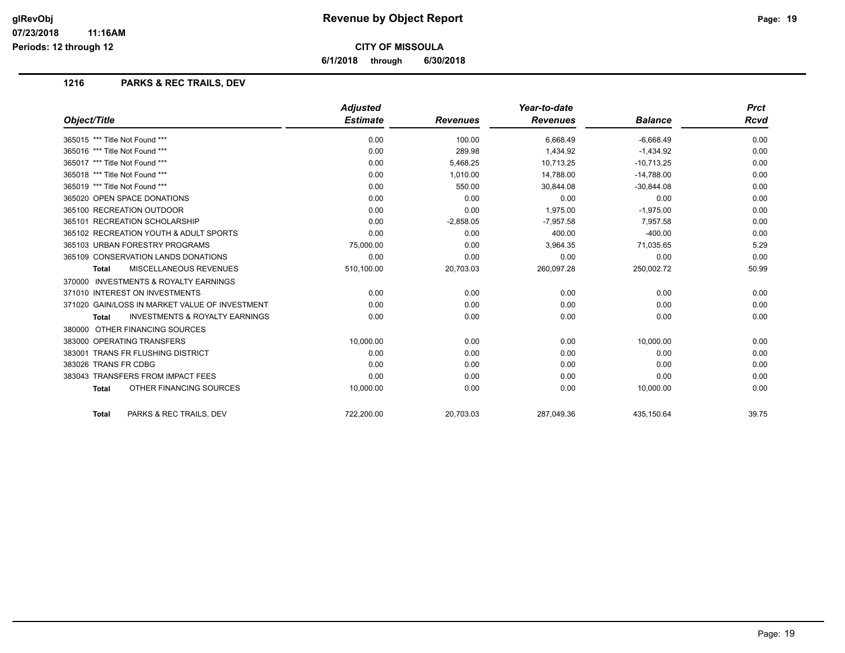**6/1/2018 through 6/30/2018**

|                                                           | <b>Adjusted</b> |                 | Year-to-date    |                | <b>Prct</b> |
|-----------------------------------------------------------|-----------------|-----------------|-----------------|----------------|-------------|
| Object/Title                                              | <b>Estimate</b> | <b>Revenues</b> | <b>Revenues</b> | <b>Balance</b> | <b>Rcvd</b> |
| 365015 *** Title Not Found ***                            | 0.00            | 100.00          | 6,668.49        | $-6,668.49$    | 0.00        |
| 365016 *** Title Not Found ***                            | 0.00            | 289.98          | 1,434.92        | $-1,434.92$    | 0.00        |
| 365017 *** Title Not Found ***                            | 0.00            | 5,468.25        | 10,713.25       | $-10,713.25$   | 0.00        |
| 365018 *** Title Not Found ***                            | 0.00            | 1,010.00        | 14,788.00       | $-14,788.00$   | 0.00        |
| 365019 *** Title Not Found ***                            | 0.00            | 550.00          | 30,844.08       | $-30,844.08$   | 0.00        |
| 365020 OPEN SPACE DONATIONS                               | 0.00            | 0.00            | 0.00            | 0.00           | 0.00        |
| 365100 RECREATION OUTDOOR                                 | 0.00            | 0.00            | 1.975.00        | $-1,975.00$    | 0.00        |
| 365101 RECREATION SCHOLARSHIP                             | 0.00            | $-2,858.05$     | $-7,957.58$     | 7,957.58       | 0.00        |
| 365102 RECREATION YOUTH & ADULT SPORTS                    | 0.00            | 0.00            | 400.00          | $-400.00$      | 0.00        |
| 365103 URBAN FORESTRY PROGRAMS                            | 75,000.00       | 0.00            | 3,964.35        | 71,035.65      | 5.29        |
| 365109 CONSERVATION LANDS DONATIONS                       | 0.00            | 0.00            | 0.00            | 0.00           | 0.00        |
| <b>MISCELLANEOUS REVENUES</b><br><b>Total</b>             | 510,100.00      | 20,703.03       | 260,097.28      | 250,002.72     | 50.99       |
| <b>INVESTMENTS &amp; ROYALTY EARNINGS</b><br>370000       |                 |                 |                 |                |             |
| 371010 INTEREST ON INVESTMENTS                            | 0.00            | 0.00            | 0.00            | 0.00           | 0.00        |
| 371020 GAIN/LOSS IN MARKET VALUE OF INVESTMENT            | 0.00            | 0.00            | 0.00            | 0.00           | 0.00        |
| <b>INVESTMENTS &amp; ROYALTY EARNINGS</b><br><b>Total</b> | 0.00            | 0.00            | 0.00            | 0.00           | 0.00        |
| OTHER FINANCING SOURCES<br>380000                         |                 |                 |                 |                |             |
| 383000 OPERATING TRANSFERS                                | 10,000.00       | 0.00            | 0.00            | 10,000.00      | 0.00        |
| 383001 TRANS FR FLUSHING DISTRICT                         | 0.00            | 0.00            | 0.00            | 0.00           | 0.00        |
| 383026 TRANS FR CDBG                                      | 0.00            | 0.00            | 0.00            | 0.00           | 0.00        |
| 383043 TRANSFERS FROM IMPACT FEES                         | 0.00            | 0.00            | 0.00            | 0.00           | 0.00        |
| OTHER FINANCING SOURCES<br><b>Total</b>                   | 10,000.00       | 0.00            | 0.00            | 10,000.00      | 0.00        |
| PARKS & REC TRAILS, DEV<br><b>Total</b>                   | 722,200.00      | 20,703.03       | 287,049.36      | 435,150.64     | 39.75       |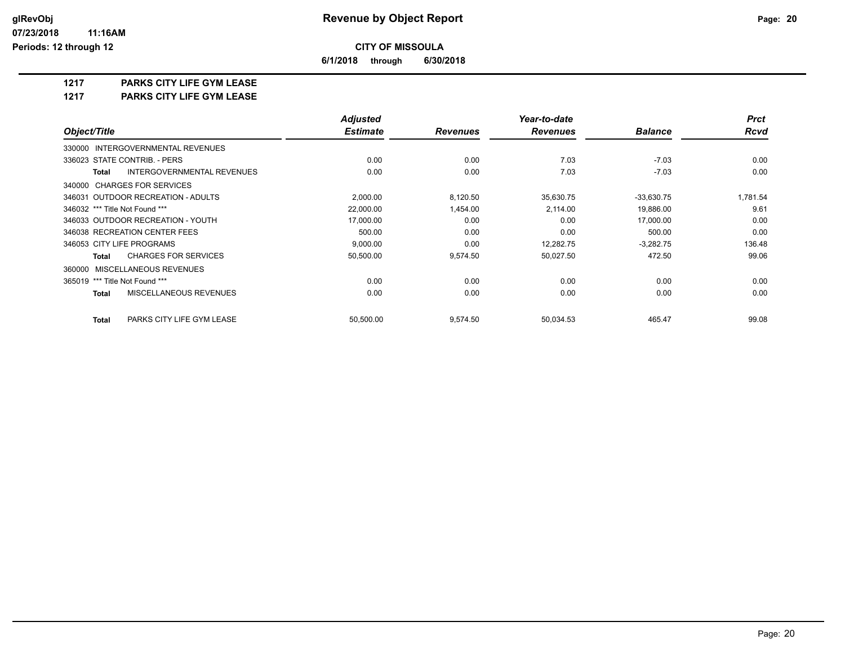**6/1/2018 through 6/30/2018**

#### **1217 PARKS CITY LIFE GYM LEASE**

**1217 PARKS CITY LIFE GYM LEASE**

|                                                   | <b>Adjusted</b> |                 | Year-to-date    |                | <b>Prct</b> |
|---------------------------------------------------|-----------------|-----------------|-----------------|----------------|-------------|
| Object/Title                                      | <b>Estimate</b> | <b>Revenues</b> | <b>Revenues</b> | <b>Balance</b> | <b>Rcvd</b> |
| 330000 INTERGOVERNMENTAL REVENUES                 |                 |                 |                 |                |             |
| 336023 STATE CONTRIB. - PERS                      | 0.00            | 0.00            | 7.03            | $-7.03$        | 0.00        |
| <b>INTERGOVERNMENTAL REVENUES</b><br><b>Total</b> | 0.00            | 0.00            | 7.03            | $-7.03$        | 0.00        |
| 340000 CHARGES FOR SERVICES                       |                 |                 |                 |                |             |
| 346031 OUTDOOR RECREATION - ADULTS                | 2,000.00        | 8,120.50        | 35,630.75       | $-33,630.75$   | 1,781.54    |
| 346032 *** Title Not Found ***                    | 22,000.00       | 1,454.00        | 2,114.00        | 19,886.00      | 9.61        |
| 346033 OUTDOOR RECREATION - YOUTH                 | 17,000.00       | 0.00            | 0.00            | 17,000.00      | 0.00        |
| 346038 RECREATION CENTER FEES                     | 500.00          | 0.00            | 0.00            | 500.00         | 0.00        |
| 346053 CITY LIFE PROGRAMS                         | 9,000.00        | 0.00            | 12,282.75       | $-3,282.75$    | 136.48      |
| <b>CHARGES FOR SERVICES</b><br>Total              | 50,500.00       | 9,574.50        | 50,027.50       | 472.50         | 99.06       |
| 360000 MISCELLANEOUS REVENUES                     |                 |                 |                 |                |             |
| 365019 *** Title Not Found ***                    | 0.00            | 0.00            | 0.00            | 0.00           | 0.00        |
| <b>MISCELLANEOUS REVENUES</b><br>Total            | 0.00            | 0.00            | 0.00            | 0.00           | 0.00        |
| PARKS CITY LIFE GYM LEASE<br><b>Total</b>         | 50,500.00       | 9.574.50        | 50,034.53       | 465.47         | 99.08       |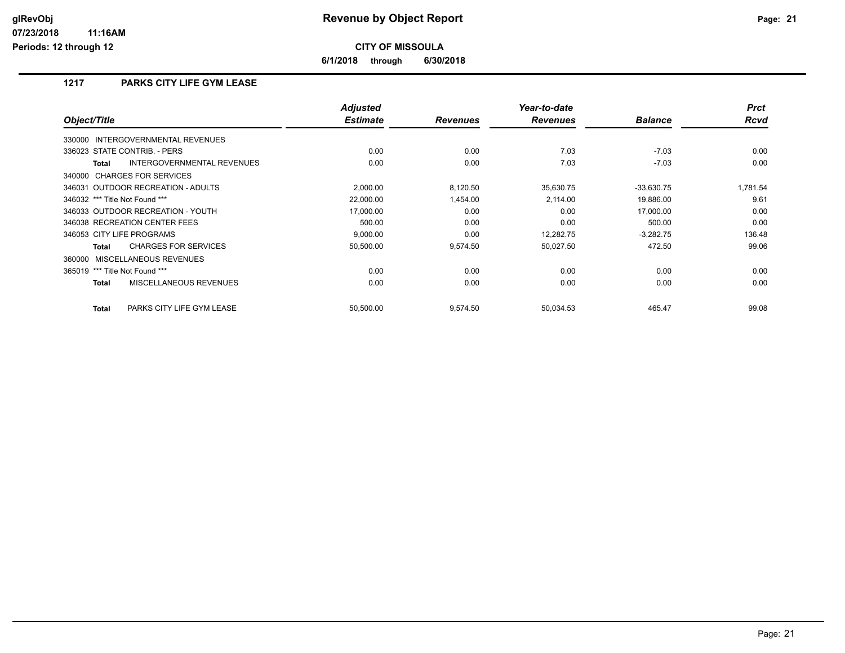**6/1/2018 through 6/30/2018**

#### **1217 PARKS CITY LIFE GYM LEASE**

| Object/Title                              | <b>Adjusted</b><br><b>Estimate</b> | <b>Revenues</b> | Year-to-date<br><b>Revenues</b> | <b>Balance</b> | <b>Prct</b><br><b>Rcvd</b> |
|-------------------------------------------|------------------------------------|-----------------|---------------------------------|----------------|----------------------------|
|                                           |                                    |                 |                                 |                |                            |
| INTERGOVERNMENTAL REVENUES<br>330000      |                                    |                 |                                 |                |                            |
| 336023 STATE CONTRIB. - PERS              | 0.00                               | 0.00            | 7.03                            | $-7.03$        | 0.00                       |
| INTERGOVERNMENTAL REVENUES<br>Total       | 0.00                               | 0.00            | 7.03                            | $-7.03$        | 0.00                       |
| 340000 CHARGES FOR SERVICES               |                                    |                 |                                 |                |                            |
| 346031 OUTDOOR RECREATION - ADULTS        | 2,000.00                           | 8,120.50        | 35,630.75                       | $-33,630.75$   | 1,781.54                   |
| 346032 *** Title Not Found ***            | 22,000.00                          | 1,454.00        | 2,114.00                        | 19,886.00      | 9.61                       |
| 346033 OUTDOOR RECREATION - YOUTH         | 17,000.00                          | 0.00            | 0.00                            | 17,000.00      | 0.00                       |
| 346038 RECREATION CENTER FEES             | 500.00                             | 0.00            | 0.00                            | 500.00         | 0.00                       |
| 346053 CITY LIFE PROGRAMS                 | 9,000.00                           | 0.00            | 12,282.75                       | $-3,282.75$    | 136.48                     |
| <b>CHARGES FOR SERVICES</b><br>Total      | 50,500.00                          | 9,574.50        | 50,027.50                       | 472.50         | 99.06                      |
| 360000 MISCELLANEOUS REVENUES             |                                    |                 |                                 |                |                            |
| 365019 *** Title Not Found ***            | 0.00                               | 0.00            | 0.00                            | 0.00           | 0.00                       |
| MISCELLANEOUS REVENUES<br>Total           | 0.00                               | 0.00            | 0.00                            | 0.00           | 0.00                       |
| PARKS CITY LIFE GYM LEASE<br><b>Total</b> | 50,500.00                          | 9,574.50        | 50,034.53                       | 465.47         | 99.08                      |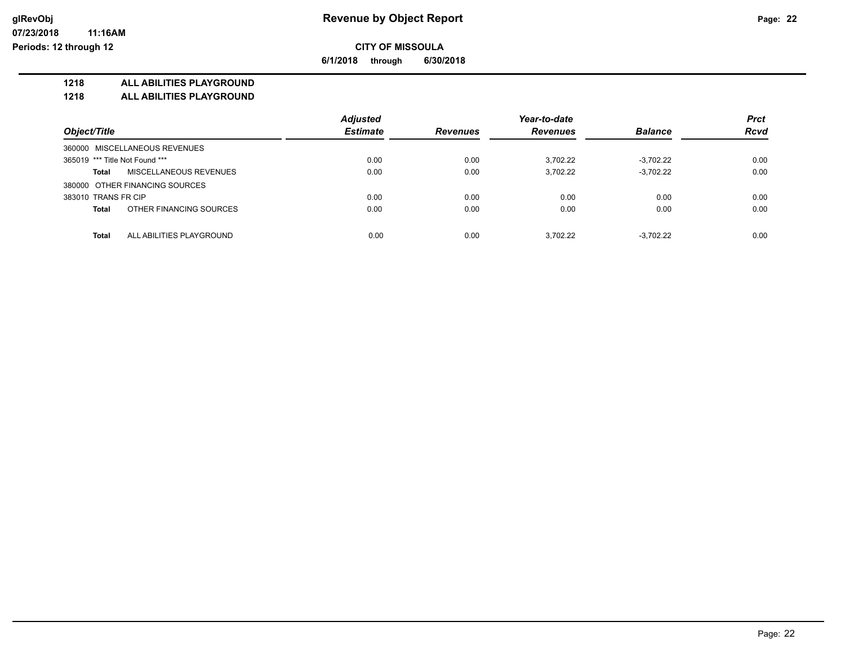**6/1/2018 through 6/30/2018**

#### **1218 ALL ABILITIES PLAYGROUND**

#### **1218 ALL ABILITIES PLAYGROUND**

|                                          | <b>Adjusted</b> |                 | Year-to-date |                | <b>Prct</b> |
|------------------------------------------|-----------------|-----------------|--------------|----------------|-------------|
| Object/Title                             | <b>Estimate</b> | <b>Revenues</b> | Revenues     | <b>Balance</b> | <b>Rcvd</b> |
| 360000 MISCELLANEOUS REVENUES            |                 |                 |              |                |             |
| 365019 *** Title Not Found ***           | 0.00            | 0.00            | 3,702.22     | $-3,702.22$    | 0.00        |
| MISCELLANEOUS REVENUES<br><b>Total</b>   | 0.00            | 0.00            | 3,702.22     | $-3,702.22$    | 0.00        |
| 380000 OTHER FINANCING SOURCES           |                 |                 |              |                |             |
| 383010 TRANS FR CIP                      | 0.00            | 0.00            | 0.00         | 0.00           | 0.00        |
| OTHER FINANCING SOURCES<br><b>Total</b>  | 0.00            | 0.00            | 0.00         | 0.00           | 0.00        |
| ALL ABILITIES PLAYGROUND<br><b>Total</b> | 0.00            | 0.00            | 3.702.22     | $-3.702.22$    | 0.00        |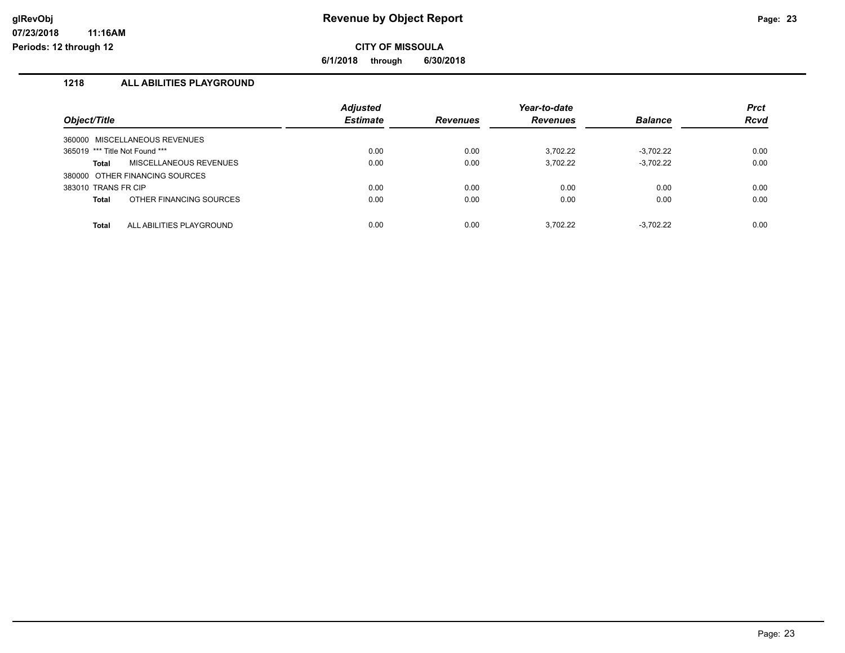**6/1/2018 through 6/30/2018**

#### **1218 ALL ABILITIES PLAYGROUND**

| Object/Title                   |                                | <b>Adjusted</b><br><b>Estimate</b> | Revenues | Year-to-date<br><b>Revenues</b> | <b>Balance</b> | <b>Prct</b><br><b>Rcvd</b> |
|--------------------------------|--------------------------------|------------------------------------|----------|---------------------------------|----------------|----------------------------|
|                                | 360000 MISCELLANEOUS REVENUES  |                                    |          |                                 |                |                            |
| 365019 *** Title Not Found *** |                                | 0.00                               | 0.00     | 3.702.22                        | $-3.702.22$    | 0.00                       |
| Total                          | MISCELLANEOUS REVENUES         | 0.00                               | 0.00     | 3,702.22                        | $-3,702.22$    | 0.00                       |
|                                | 380000 OTHER FINANCING SOURCES |                                    |          |                                 |                |                            |
| 383010 TRANS FR CIP            |                                | 0.00                               | 0.00     | 0.00                            | 0.00           | 0.00                       |
| <b>Total</b>                   | OTHER FINANCING SOURCES        | 0.00                               | 0.00     | 0.00                            | 0.00           | 0.00                       |
| <b>Total</b>                   | ALL ABILITIES PLAYGROUND       | 0.00                               | 0.00     | 3.702.22                        | $-3.702.22$    | 0.00                       |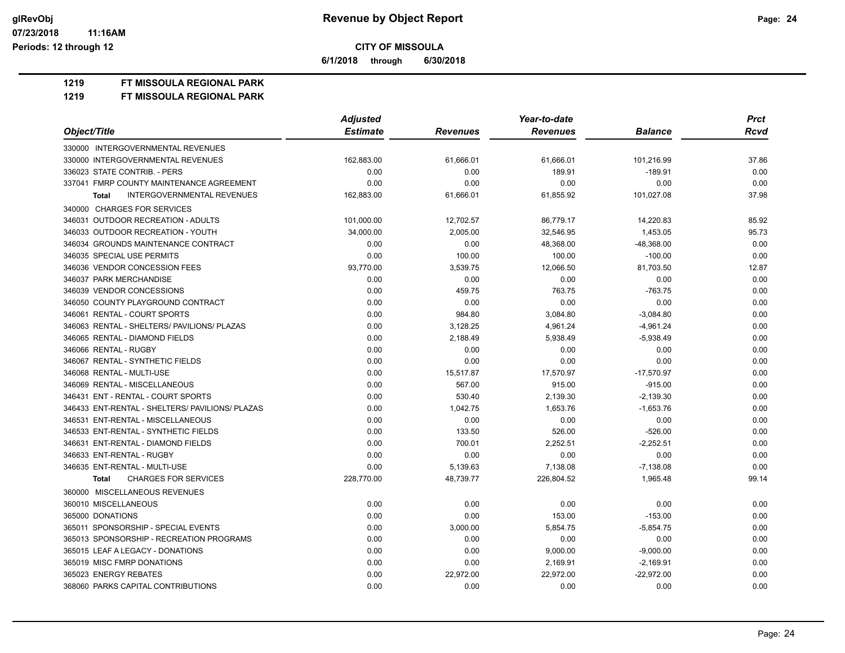**6/1/2018 through 6/30/2018**

#### **1219 FT MISSOULA REGIONAL PARK**

|                                                   | <b>Adjusted</b> |                 | Year-to-date    |                | <b>Prct</b> |
|---------------------------------------------------|-----------------|-----------------|-----------------|----------------|-------------|
| Object/Title                                      | <b>Estimate</b> | <b>Revenues</b> | <b>Revenues</b> | <b>Balance</b> | Rcvd        |
| 330000 INTERGOVERNMENTAL REVENUES                 |                 |                 |                 |                |             |
| 330000 INTERGOVERNMENTAL REVENUES                 | 162,883.00      | 61,666.01       | 61,666.01       | 101,216.99     | 37.86       |
| 336023 STATE CONTRIB. - PERS                      | 0.00            | 0.00            | 189.91          | $-189.91$      | 0.00        |
| 337041 FMRP COUNTY MAINTENANCE AGREEMENT          | 0.00            | 0.00            | 0.00            | 0.00           | 0.00        |
| <b>INTERGOVERNMENTAL REVENUES</b><br><b>Total</b> | 162,883.00      | 61,666.01       | 61,855.92       | 101,027.08     | 37.98       |
| 340000 CHARGES FOR SERVICES                       |                 |                 |                 |                |             |
| 346031 OUTDOOR RECREATION - ADULTS                | 101,000.00      | 12,702.57       | 86,779.17       | 14,220.83      | 85.92       |
| 346033 OUTDOOR RECREATION - YOUTH                 | 34,000.00       | 2,005.00        | 32,546.95       | 1,453.05       | 95.73       |
| 346034 GROUNDS MAINTENANCE CONTRACT               | 0.00            | 0.00            | 48,368.00       | $-48,368.00$   | 0.00        |
| 346035 SPECIAL USE PERMITS                        | 0.00            | 100.00          | 100.00          | $-100.00$      | 0.00        |
| 346036 VENDOR CONCESSION FEES                     | 93,770.00       | 3,539.75        | 12,066.50       | 81,703.50      | 12.87       |
| 346037 PARK MERCHANDISE                           | 0.00            | 0.00            | 0.00            | 0.00           | 0.00        |
| 346039 VENDOR CONCESSIONS                         | 0.00            | 459.75          | 763.75          | $-763.75$      | 0.00        |
| 346050 COUNTY PLAYGROUND CONTRACT                 | 0.00            | 0.00            | 0.00            | 0.00           | 0.00        |
| 346061 RENTAL - COURT SPORTS                      | 0.00            | 984.80          | 3,084.80        | $-3,084.80$    | 0.00        |
| 346063 RENTAL - SHELTERS/ PAVILIONS/ PLAZAS       | 0.00            | 3,128.25        | 4,961.24        | $-4,961.24$    | 0.00        |
| 346065 RENTAL - DIAMOND FIELDS                    | 0.00            | 2,188.49        | 5,938.49        | $-5,938.49$    | 0.00        |
| 346066 RENTAL - RUGBY                             | 0.00            | 0.00            | 0.00            | 0.00           | 0.00        |
| 346067 RENTAL - SYNTHETIC FIELDS                  | 0.00            | 0.00            | 0.00            | 0.00           | 0.00        |
| 346068 RENTAL - MULTI-USE                         | 0.00            | 15,517.87       | 17,570.97       | $-17,570.97$   | 0.00        |
| 346069 RENTAL - MISCELLANEOUS                     | 0.00            | 567.00          | 915.00          | $-915.00$      | 0.00        |
| 346431 ENT - RENTAL - COURT SPORTS                | 0.00            | 530.40          | 2,139.30        | $-2,139.30$    | 0.00        |
| 346433 ENT-RENTAL - SHELTERS/ PAVILIONS/ PLAZAS   | 0.00            | 1,042.75        | 1,653.76        | $-1,653.76$    | 0.00        |
| 346531 ENT-RENTAL - MISCELLANEOUS                 | 0.00            | 0.00            | 0.00            | 0.00           | 0.00        |
| 346533 ENT-RENTAL - SYNTHETIC FIELDS              | 0.00            | 133.50          | 526.00          | $-526.00$      | 0.00        |
| 346631 ENT-RENTAL - DIAMOND FIELDS                | 0.00            | 700.01          | 2,252.51        | $-2,252.51$    | 0.00        |
| 346633 ENT-RENTAL - RUGBY                         | 0.00            | 0.00            | 0.00            | 0.00           | 0.00        |
| 346635 ENT-RENTAL - MULTI-USE                     | 0.00            | 5,139.63        | 7,138.08        | $-7,138.08$    | 0.00        |
| <b>CHARGES FOR SERVICES</b><br><b>Total</b>       | 228,770.00      | 48,739.77       | 226,804.52      | 1,965.48       | 99.14       |
| 360000 MISCELLANEOUS REVENUES                     |                 |                 |                 |                |             |
| 360010 MISCELLANEOUS                              | 0.00            | 0.00            | 0.00            | 0.00           | 0.00        |
| 365000 DONATIONS                                  | 0.00            | 0.00            | 153.00          | $-153.00$      | 0.00        |
| 365011 SPONSORSHIP - SPECIAL EVENTS               | 0.00            | 3,000.00        | 5,854.75        | $-5,854.75$    | 0.00        |
| 365013 SPONSORSHIP - RECREATION PROGRAMS          | 0.00            | 0.00            | 0.00            | 0.00           | 0.00        |
| 365015 LEAF A LEGACY - DONATIONS                  | 0.00            | 0.00            | 9,000.00        | $-9,000.00$    | 0.00        |
| 365019 MISC FMRP DONATIONS                        | 0.00            | 0.00            | 2,169.91        | $-2,169.91$    | 0.00        |
| 365023 ENERGY REBATES                             | 0.00            | 22,972.00       | 22,972.00       | $-22,972.00$   | 0.00        |
| 368060 PARKS CAPITAL CONTRIBUTIONS                | 0.00            | 0.00            | 0.00            | 0.00           | 0.00        |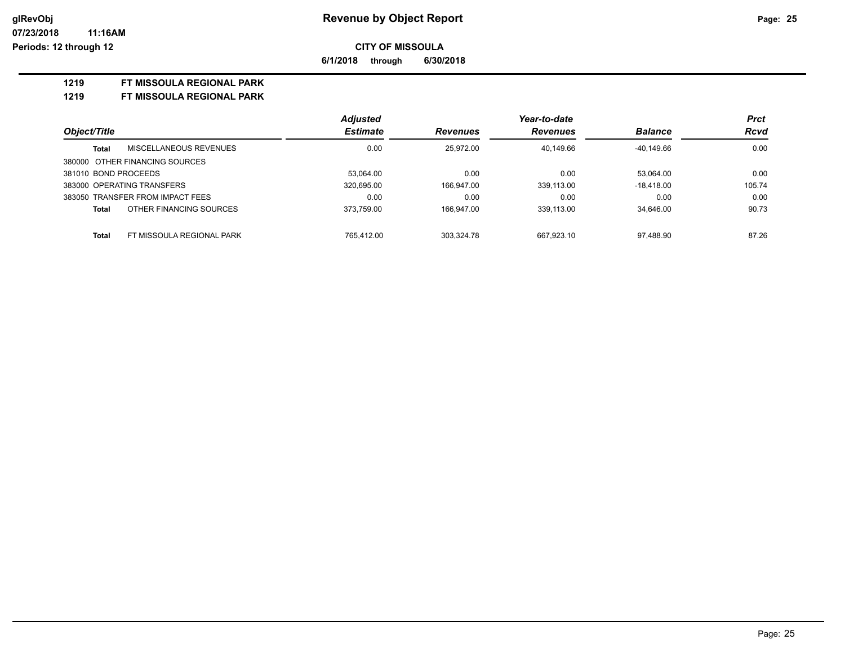**6/1/2018 through 6/30/2018**

#### **1219 FT MISSOULA REGIONAL PARK**

|                                           | <b>Adjusted</b> |            | Year-to-date    |                | <b>Prct</b> |
|-------------------------------------------|-----------------|------------|-----------------|----------------|-------------|
| Object/Title                              | <b>Estimate</b> | Revenues   | <b>Revenues</b> | <b>Balance</b> | Rcvd        |
| MISCELLANEOUS REVENUES<br><b>Total</b>    | 0.00            | 25.972.00  | 40.149.66       | $-40.149.66$   | 0.00        |
| 380000 OTHER FINANCING SOURCES            |                 |            |                 |                |             |
| 381010 BOND PROCEEDS                      | 53.064.00       | 0.00       | 0.00            | 53.064.00      | 0.00        |
| 383000 OPERATING TRANSFERS                | 320,695.00      | 166,947.00 | 339.113.00      | $-18.418.00$   | 105.74      |
| 383050 TRANSFER FROM IMPACT FEES          | 0.00            | 0.00       | 0.00            | 0.00           | 0.00        |
| OTHER FINANCING SOURCES<br><b>Total</b>   | 373.759.00      | 166.947.00 | 339.113.00      | 34.646.00      | 90.73       |
| FT MISSOULA REGIONAL PARK<br><b>Total</b> | 765.412.00      | 303.324.78 | 667.923.10      | 97.488.90      | 87.26       |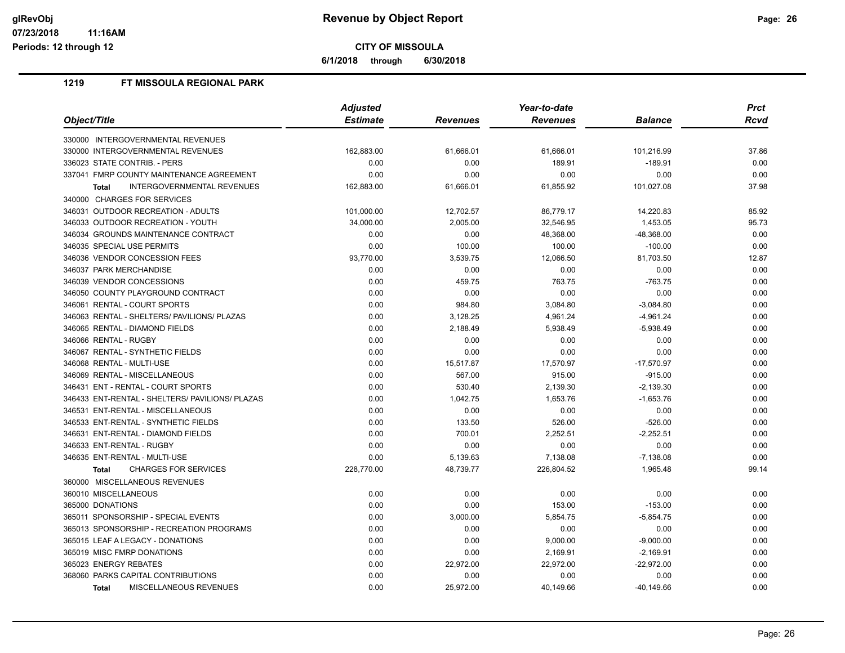**6/1/2018 through 6/30/2018**

|                                                 | <b>Adjusted</b> |                 | Year-to-date    |                | <b>Prct</b> |
|-------------------------------------------------|-----------------|-----------------|-----------------|----------------|-------------|
| Object/Title                                    | <b>Estimate</b> | <b>Revenues</b> | <b>Revenues</b> | <b>Balance</b> | Rcvd        |
| 330000 INTERGOVERNMENTAL REVENUES               |                 |                 |                 |                |             |
| 330000 INTERGOVERNMENTAL REVENUES               | 162,883.00      | 61,666.01       | 61,666.01       | 101,216.99     | 37.86       |
| 336023 STATE CONTRIB. - PERS                    | 0.00            | 0.00            | 189.91          | $-189.91$      | 0.00        |
| 337041 FMRP COUNTY MAINTENANCE AGREEMENT        | 0.00            | 0.00            | 0.00            | 0.00           | 0.00        |
| INTERGOVERNMENTAL REVENUES<br><b>Total</b>      | 162,883.00      | 61,666.01       | 61,855.92       | 101,027.08     | 37.98       |
| 340000 CHARGES FOR SERVICES                     |                 |                 |                 |                |             |
| 346031 OUTDOOR RECREATION - ADULTS              | 101,000.00      | 12,702.57       | 86,779.17       | 14,220.83      | 85.92       |
| 346033 OUTDOOR RECREATION - YOUTH               | 34,000.00       | 2,005.00        | 32,546.95       | 1,453.05       | 95.73       |
| 346034 GROUNDS MAINTENANCE CONTRACT             | 0.00            | 0.00            | 48,368.00       | $-48,368.00$   | 0.00        |
| 346035 SPECIAL USE PERMITS                      | 0.00            | 100.00          | 100.00          | $-100.00$      | 0.00        |
| 346036 VENDOR CONCESSION FEES                   | 93,770.00       | 3,539.75        | 12,066.50       | 81,703.50      | 12.87       |
| 346037 PARK MERCHANDISE                         | 0.00            | 0.00            | 0.00            | 0.00           | 0.00        |
| 346039 VENDOR CONCESSIONS                       | 0.00            | 459.75          | 763.75          | $-763.75$      | 0.00        |
| 346050 COUNTY PLAYGROUND CONTRACT               | 0.00            | 0.00            | 0.00            | 0.00           | 0.00        |
| 346061 RENTAL - COURT SPORTS                    | 0.00            | 984.80          | 3,084.80        | $-3,084.80$    | 0.00        |
| 346063 RENTAL - SHELTERS/ PAVILIONS/ PLAZAS     | 0.00            | 3,128.25        | 4,961.24        | $-4,961.24$    | 0.00        |
| 346065 RENTAL - DIAMOND FIELDS                  | 0.00            | 2,188.49        | 5,938.49        | $-5,938.49$    | 0.00        |
| 346066 RENTAL - RUGBY                           | 0.00            | 0.00            | 0.00            | 0.00           | 0.00        |
| 346067 RENTAL - SYNTHETIC FIELDS                | 0.00            | 0.00            | 0.00            | 0.00           | 0.00        |
| 346068 RENTAL - MULTI-USE                       | 0.00            | 15,517.87       | 17,570.97       | $-17,570.97$   | 0.00        |
| 346069 RENTAL - MISCELLANEOUS                   | 0.00            | 567.00          | 915.00          | $-915.00$      | 0.00        |
| 346431 ENT - RENTAL - COURT SPORTS              | 0.00            | 530.40          | 2,139.30        | $-2,139.30$    | 0.00        |
| 346433 ENT-RENTAL - SHELTERS/ PAVILIONS/ PLAZAS | 0.00            | 1,042.75        | 1,653.76        | $-1,653.76$    | 0.00        |
| 346531 ENT-RENTAL - MISCELLANEOUS               | 0.00            | 0.00            | 0.00            | 0.00           | 0.00        |
| 346533 ENT-RENTAL - SYNTHETIC FIELDS            | 0.00            | 133.50          | 526.00          | $-526.00$      | 0.00        |
| 346631 ENT-RENTAL - DIAMOND FIELDS              | 0.00            | 700.01          | 2,252.51        | $-2,252.51$    | 0.00        |
| 346633 ENT-RENTAL - RUGBY                       | 0.00            | 0.00            | 0.00            | 0.00           | 0.00        |
| 346635 ENT-RENTAL - MULTI-USE                   | 0.00            | 5,139.63        | 7,138.08        | $-7,138.08$    | 0.00        |
| <b>CHARGES FOR SERVICES</b><br><b>Total</b>     | 228,770.00      | 48,739.77       | 226,804.52      | 1,965.48       | 99.14       |
| 360000 MISCELLANEOUS REVENUES                   |                 |                 |                 |                |             |
| 360010 MISCELLANEOUS                            | 0.00            | 0.00            | 0.00            | 0.00           | 0.00        |
| 365000 DONATIONS                                | 0.00            | 0.00            | 153.00          | $-153.00$      | 0.00        |
| 365011 SPONSORSHIP - SPECIAL EVENTS             | 0.00            | 3,000.00        | 5,854.75        | $-5,854.75$    | 0.00        |
| 365013 SPONSORSHIP - RECREATION PROGRAMS        | 0.00            | 0.00            | 0.00            | 0.00           | 0.00        |
| 365015 LEAF A LEGACY - DONATIONS                | 0.00            | 0.00            | 9,000.00        | $-9,000.00$    | 0.00        |
| 365019 MISC FMRP DONATIONS                      | 0.00            | 0.00            | 2,169.91        | $-2,169.91$    | 0.00        |
| 365023 ENERGY REBATES                           | 0.00            | 22,972.00       | 22,972.00       | $-22,972.00$   | 0.00        |
| 368060 PARKS CAPITAL CONTRIBUTIONS              | 0.00            | 0.00            | 0.00            | 0.00           | 0.00        |
| MISCELLANEOUS REVENUES<br><b>Total</b>          | 0.00            | 25.972.00       | 40,149.66       | $-40,149.66$   | 0.00        |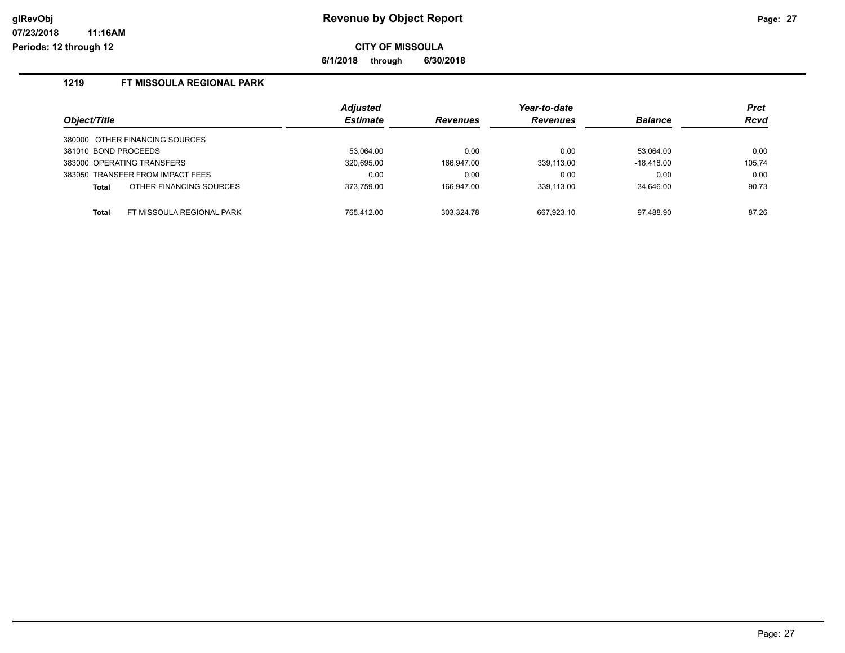**6/1/2018 through 6/30/2018**

| Object/Title                              | <b>Adjusted</b><br><b>Estimate</b> | <b>Revenues</b> | Year-to-date<br><b>Revenues</b> | <b>Balance</b> | <b>Prct</b><br><b>Rcvd</b> |
|-------------------------------------------|------------------------------------|-----------------|---------------------------------|----------------|----------------------------|
| 380000 OTHER FINANCING SOURCES            |                                    |                 |                                 |                |                            |
| 381010 BOND PROCEEDS                      | 53.064.00                          | 0.00            | 0.00                            | 53.064.00      | 0.00                       |
| 383000 OPERATING TRANSFERS                | 320.695.00                         | 166.947.00      | 339.113.00                      | $-18.418.00$   | 105.74                     |
| 383050 TRANSFER FROM IMPACT FEES          | 0.00                               | 0.00            | 0.00                            | 0.00           | 0.00                       |
| OTHER FINANCING SOURCES<br><b>Total</b>   | 373.759.00                         | 166.947.00      | 339.113.00                      | 34.646.00      | 90.73                      |
| FT MISSOULA REGIONAL PARK<br><b>Total</b> | 765.412.00                         | 303.324.78      | 667.923.10                      | 97.488.90      | 87.26                      |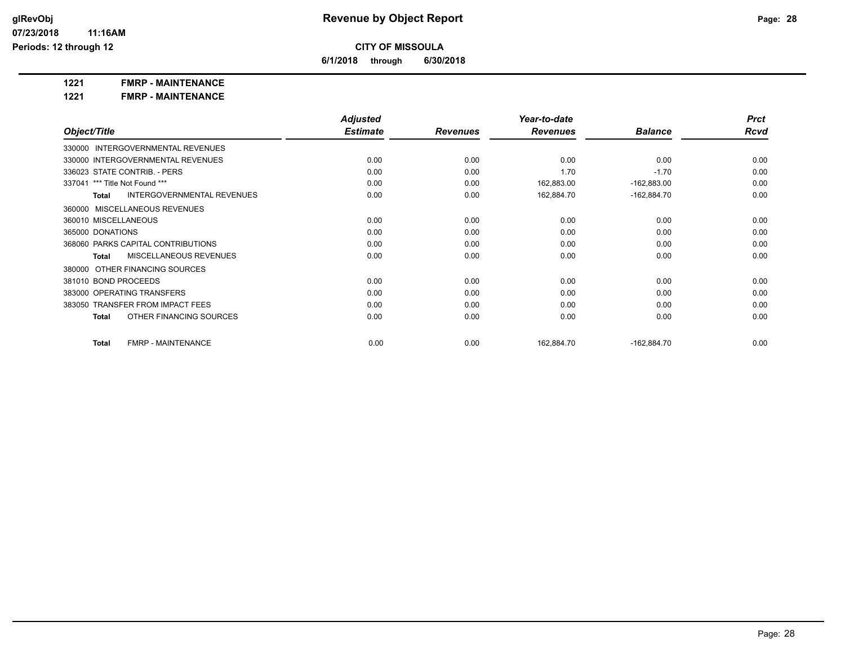**6/1/2018 through 6/30/2018**

**1221 FMRP - MAINTENANCE**

**1221 FMRP - MAINTENANCE**

|                                                   | <b>Adjusted</b> |                 | Year-to-date    |                | <b>Prct</b> |
|---------------------------------------------------|-----------------|-----------------|-----------------|----------------|-------------|
| Object/Title                                      | <b>Estimate</b> | <b>Revenues</b> | <b>Revenues</b> | <b>Balance</b> | <b>Rcvd</b> |
| 330000 INTERGOVERNMENTAL REVENUES                 |                 |                 |                 |                |             |
| 330000 INTERGOVERNMENTAL REVENUES                 | 0.00            | 0.00            | 0.00            | 0.00           | 0.00        |
| 336023 STATE CONTRIB. - PERS                      | 0.00            | 0.00            | 1.70            | $-1.70$        | 0.00        |
| 337041 *** Title Not Found ***                    | 0.00            | 0.00            | 162,883.00      | $-162,883.00$  | 0.00        |
| <b>INTERGOVERNMENTAL REVENUES</b><br><b>Total</b> | 0.00            | 0.00            | 162,884.70      | $-162,884.70$  | 0.00        |
| MISCELLANEOUS REVENUES<br>360000                  |                 |                 |                 |                |             |
| 360010 MISCELLANEOUS                              | 0.00            | 0.00            | 0.00            | 0.00           | 0.00        |
| 365000 DONATIONS                                  | 0.00            | 0.00            | 0.00            | 0.00           | 0.00        |
| 368060 PARKS CAPITAL CONTRIBUTIONS                | 0.00            | 0.00            | 0.00            | 0.00           | 0.00        |
| <b>MISCELLANEOUS REVENUES</b><br><b>Total</b>     | 0.00            | 0.00            | 0.00            | 0.00           | 0.00        |
| OTHER FINANCING SOURCES<br>380000                 |                 |                 |                 |                |             |
| 381010 BOND PROCEEDS                              | 0.00            | 0.00            | 0.00            | 0.00           | 0.00        |
| 383000 OPERATING TRANSFERS                        | 0.00            | 0.00            | 0.00            | 0.00           | 0.00        |
| 383050 TRANSFER FROM IMPACT FEES                  | 0.00            | 0.00            | 0.00            | 0.00           | 0.00        |
| OTHER FINANCING SOURCES<br><b>Total</b>           | 0.00            | 0.00            | 0.00            | 0.00           | 0.00        |
| <b>FMRP - MAINTENANCE</b><br><b>Total</b>         | 0.00            | 0.00            | 162,884.70      | $-162,884.70$  | 0.00        |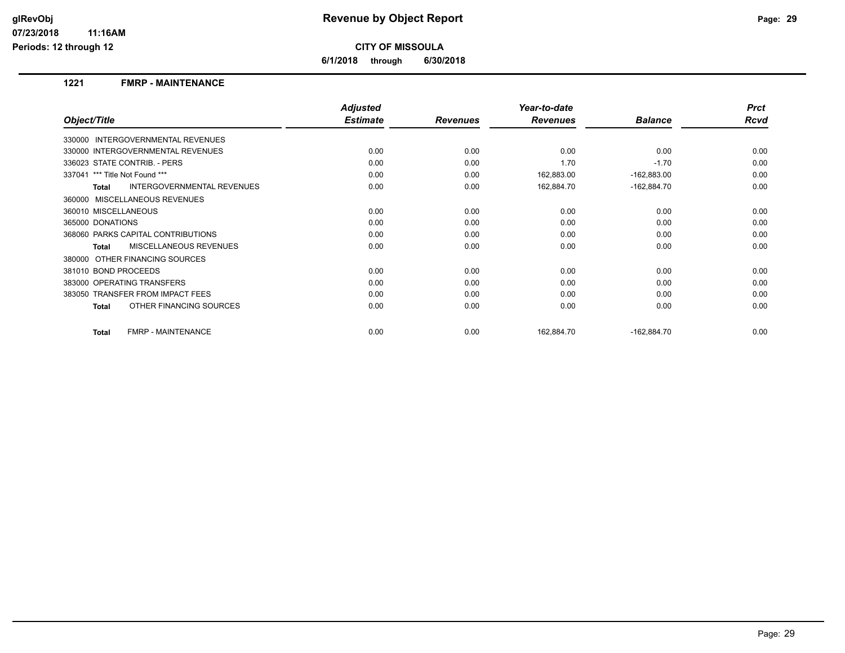**6/1/2018 through 6/30/2018**

#### **1221 FMRP - MAINTENANCE**

|                                        | <b>Adjusted</b> |                 | Year-to-date    |                | <b>Prct</b> |
|----------------------------------------|-----------------|-----------------|-----------------|----------------|-------------|
| Object/Title                           | <b>Estimate</b> | <b>Revenues</b> | <b>Revenues</b> | <b>Balance</b> | <b>Rcvd</b> |
| 330000 INTERGOVERNMENTAL REVENUES      |                 |                 |                 |                |             |
| 330000 INTERGOVERNMENTAL REVENUES      | 0.00            | 0.00            | 0.00            | 0.00           | 0.00        |
| 336023 STATE CONTRIB. - PERS           | 0.00            | 0.00            | 1.70            | $-1.70$        | 0.00        |
| 337041 *** Title Not Found ***         | 0.00            | 0.00            | 162,883.00      | $-162,883.00$  | 0.00        |
| INTERGOVERNMENTAL REVENUES<br>Total    | 0.00            | 0.00            | 162,884.70      | $-162,884.70$  | 0.00        |
| 360000 MISCELLANEOUS REVENUES          |                 |                 |                 |                |             |
| 360010 MISCELLANEOUS                   | 0.00            | 0.00            | 0.00            | 0.00           | 0.00        |
| 365000 DONATIONS                       | 0.00            | 0.00            | 0.00            | 0.00           | 0.00        |
| 368060 PARKS CAPITAL CONTRIBUTIONS     | 0.00            | 0.00            | 0.00            | 0.00           | 0.00        |
| MISCELLANEOUS REVENUES<br><b>Total</b> | 0.00            | 0.00            | 0.00            | 0.00           | 0.00        |
| 380000 OTHER FINANCING SOURCES         |                 |                 |                 |                |             |
| 381010 BOND PROCEEDS                   | 0.00            | 0.00            | 0.00            | 0.00           | 0.00        |
| 383000 OPERATING TRANSFERS             | 0.00            | 0.00            | 0.00            | 0.00           | 0.00        |
| 383050 TRANSFER FROM IMPACT FEES       | 0.00            | 0.00            | 0.00            | 0.00           | 0.00        |
| OTHER FINANCING SOURCES<br>Total       | 0.00            | 0.00            | 0.00            | 0.00           | 0.00        |
| <b>FMRP - MAINTENANCE</b><br>Total     | 0.00            | 0.00            | 162,884.70      | $-162,884.70$  | 0.00        |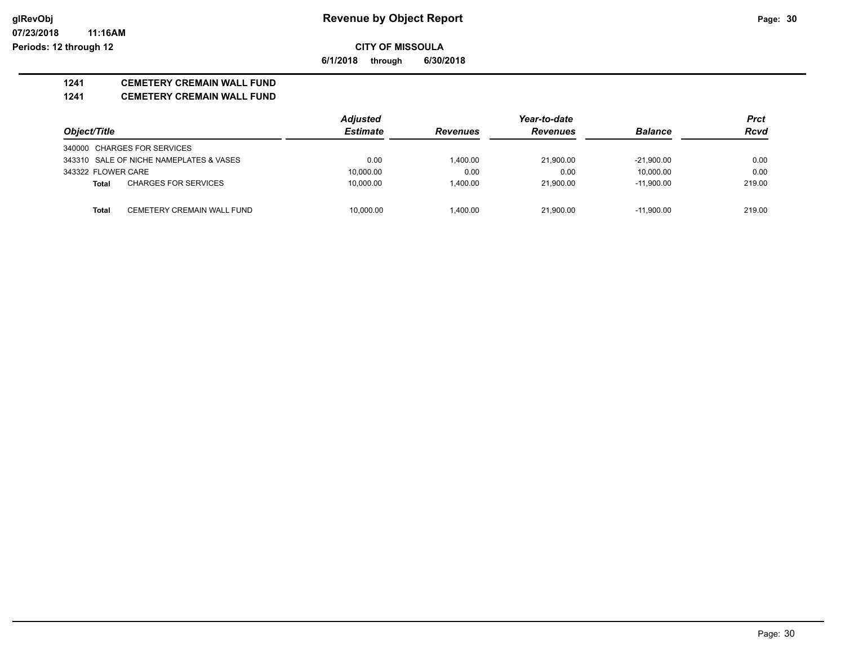**6/1/2018 through 6/30/2018**

## **1241 CEMETERY CREMAIN WALL FUND**

**1241 CEMETERY CREMAIN WALL FUND**

|                             |                                         | <b>Adjusted</b> |                 | Year-to-date    |                | Prct   |
|-----------------------------|-----------------------------------------|-----------------|-----------------|-----------------|----------------|--------|
| Object/Title                |                                         | <b>Estimate</b> | <b>Revenues</b> | <b>Revenues</b> | <b>Balance</b> | Rcvd   |
| 340000 CHARGES FOR SERVICES |                                         |                 |                 |                 |                |        |
|                             | 343310 SALE OF NICHE NAMEPLATES & VASES | 0.00            | 1.400.00        | 21.900.00       | $-21.900.00$   | 0.00   |
| 343322 FLOWER CARE          |                                         | 10.000.00       | 0.00            | 0.00            | 10.000.00      | 0.00   |
| <b>Total</b>                | <b>CHARGES FOR SERVICES</b>             | 10.000.00       | 1.400.00        | 21.900.00       | $-11.900.00$   | 219.00 |
| <b>Total</b>                | CEMETERY CREMAIN WALL FUND              | 10,000.00       | 1.400.00        | 21.900.00       | $-11.900.00$   | 219.00 |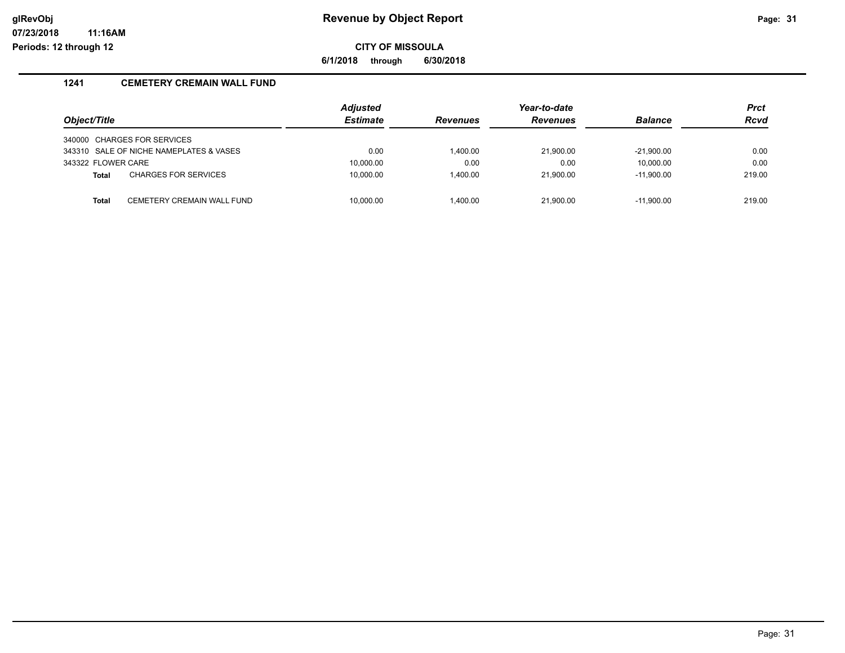**6/1/2018 through 6/30/2018**

#### **1241 CEMETERY CREMAIN WALL FUND**

| Object/Title       |                                         | <b>Adjusted</b><br><b>Estimate</b> | <b>Revenues</b> | Year-to-date<br><b>Revenues</b> | <b>Balance</b> | <b>Prct</b><br><b>Rcvd</b> |
|--------------------|-----------------------------------------|------------------------------------|-----------------|---------------------------------|----------------|----------------------------|
|                    | 340000 CHARGES FOR SERVICES             |                                    |                 |                                 |                |                            |
|                    | 343310 SALE OF NICHE NAMEPLATES & VASES | 0.00                               | 1.400.00        | 21.900.00                       | $-21.900.00$   | 0.00                       |
| 343322 FLOWER CARE |                                         | 10,000.00                          | 0.00            | 0.00                            | 10.000.00      | 0.00                       |
| Total              | <b>CHARGES FOR SERVICES</b>             | 10.000.00                          | 1.400.00        | 21.900.00                       | $-11.900.00$   | 219.00                     |
|                    |                                         |                                    |                 |                                 |                |                            |
| <b>Total</b>       | CEMETERY CREMAIN WALL FUND              | 10.000.00                          | 1.400.00        | 21.900.00                       | $-11.900.00$   | 219.00                     |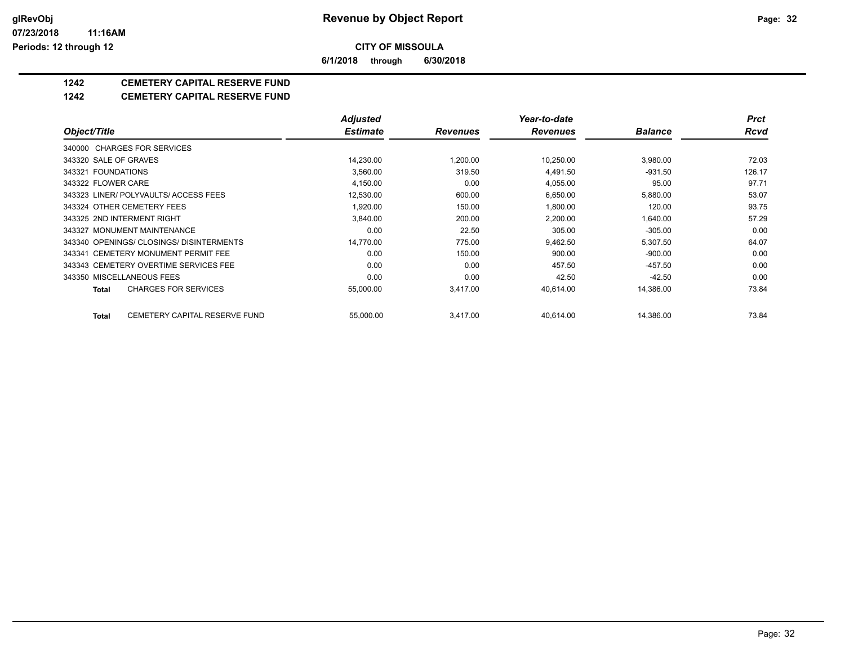**6/1/2018 through 6/30/2018**

## **1242 CEMETERY CAPITAL RESERVE FUND**

**1242 CEMETERY CAPITAL RESERVE FUND**

|                                                      | <b>Adjusted</b> |                 | Year-to-date    |                | <b>Prct</b> |
|------------------------------------------------------|-----------------|-----------------|-----------------|----------------|-------------|
| Object/Title                                         | <b>Estimate</b> | <b>Revenues</b> | <b>Revenues</b> | <b>Balance</b> | Rcvd        |
| 340000 CHARGES FOR SERVICES                          |                 |                 |                 |                |             |
| 343320 SALE OF GRAVES                                | 14,230.00       | 1,200.00        | 10,250.00       | 3,980.00       | 72.03       |
| 343321 FOUNDATIONS                                   | 3,560.00        | 319.50          | 4,491.50        | $-931.50$      | 126.17      |
| 343322 FLOWER CARE                                   | 4,150.00        | 0.00            | 4,055.00        | 95.00          | 97.71       |
| 343323 LINER/ POLYVAULTS/ ACCESS FEES                | 12,530.00       | 600.00          | 6,650.00        | 5,880.00       | 53.07       |
| 343324 OTHER CEMETERY FEES                           | 1,920.00        | 150.00          | 1,800.00        | 120.00         | 93.75       |
| 343325 2ND INTERMENT RIGHT                           | 3,840.00        | 200.00          | 2,200.00        | 1,640.00       | 57.29       |
| 343327 MONUMENT MAINTENANCE                          | 0.00            | 22.50           | 305.00          | $-305.00$      | 0.00        |
| 343340 OPENINGS/ CLOSINGS/ DISINTERMENTS             | 14.770.00       | 775.00          | 9,462.50        | 5,307.50       | 64.07       |
| 343341 CEMETERY MONUMENT PERMIT FEE                  | 0.00            | 150.00          | 900.00          | $-900.00$      | 0.00        |
| 343343 CEMETERY OVERTIME SERVICES FEE                | 0.00            | 0.00            | 457.50          | $-457.50$      | 0.00        |
| 343350 MISCELLANEOUS FEES                            | 0.00            | 0.00            | 42.50           | $-42.50$       | 0.00        |
| <b>CHARGES FOR SERVICES</b><br>Total                 | 55,000.00       | 3,417.00        | 40,614.00       | 14,386.00      | 73.84       |
| <b>CEMETERY CAPITAL RESERVE FUND</b><br><b>Total</b> | 55,000.00       | 3.417.00        | 40.614.00       | 14.386.00      | 73.84       |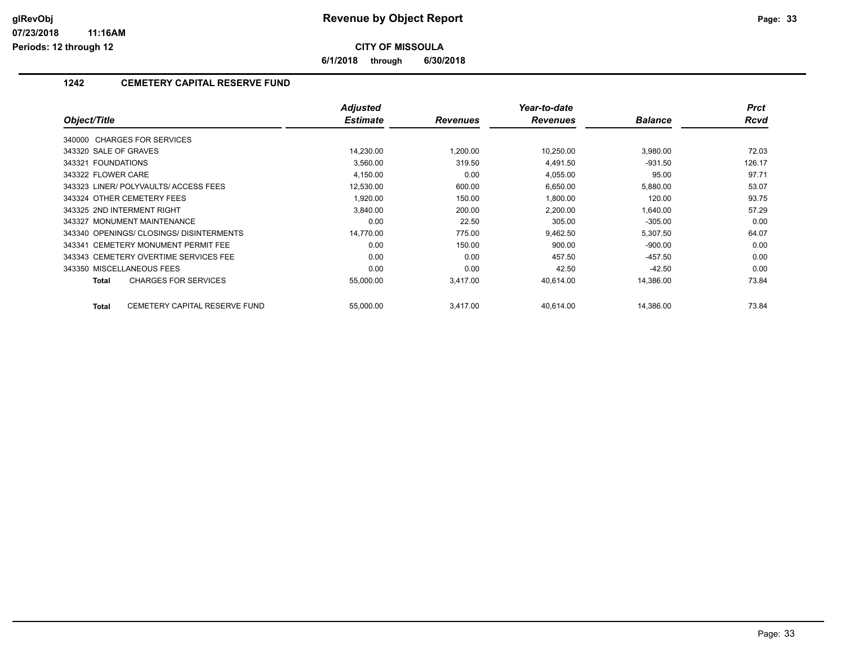**6/1/2018 through 6/30/2018**

#### **1242 CEMETERY CAPITAL RESERVE FUND**

|                                               | <b>Adjusted</b> |                 | Year-to-date    |                | <b>Prct</b> |
|-----------------------------------------------|-----------------|-----------------|-----------------|----------------|-------------|
| Object/Title                                  | <b>Estimate</b> | <b>Revenues</b> | <b>Revenues</b> | <b>Balance</b> | <b>Rcvd</b> |
| 340000 CHARGES FOR SERVICES                   |                 |                 |                 |                |             |
| 343320 SALE OF GRAVES                         | 14,230.00       | 1,200.00        | 10,250.00       | 3,980.00       | 72.03       |
| 343321 FOUNDATIONS                            | 3,560.00        | 319.50          | 4,491.50        | $-931.50$      | 126.17      |
| 343322 FLOWER CARE                            | 4,150.00        | 0.00            | 4,055.00        | 95.00          | 97.71       |
| 343323 LINER/POLYVAULTS/ACCESS FEES           | 12,530.00       | 600.00          | 6,650.00        | 5,880.00       | 53.07       |
| 343324 OTHER CEMETERY FEES                    | 1.920.00        | 150.00          | 1,800.00        | 120.00         | 93.75       |
| 343325 2ND INTERMENT RIGHT                    | 3,840.00        | 200.00          | 2,200.00        | 1,640.00       | 57.29       |
| 343327 MONUMENT MAINTENANCE                   | 0.00            | 22.50           | 305.00          | $-305.00$      | 0.00        |
| 343340 OPENINGS/ CLOSINGS/ DISINTERMENTS      | 14.770.00       | 775.00          | 9,462.50        | 5,307.50       | 64.07       |
| 343341 CEMETERY MONUMENT PERMIT FEE           | 0.00            | 150.00          | 900.00          | $-900.00$      | 0.00        |
| 343343 CEMETERY OVERTIME SERVICES FEE         | 0.00            | 0.00            | 457.50          | $-457.50$      | 0.00        |
| 343350 MISCELLANEOUS FEES                     | 0.00            | 0.00            | 42.50           | $-42.50$       | 0.00        |
| <b>CHARGES FOR SERVICES</b><br>Total          | 55,000.00       | 3,417.00        | 40,614.00       | 14,386.00      | 73.84       |
| CEMETERY CAPITAL RESERVE FUND<br><b>Total</b> | 55,000.00       | 3,417.00        | 40,614.00       | 14,386.00      | 73.84       |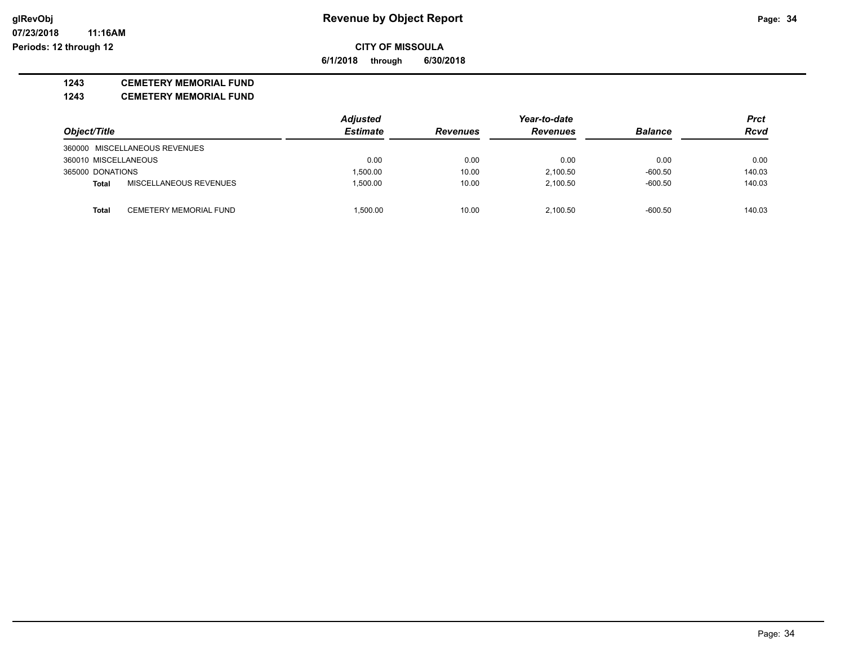**6/1/2018 through 6/30/2018**

#### **1243 CEMETERY MEMORIAL FUND**

**1243 CEMETERY MEMORIAL FUND**

|                      |                               | <b>Adjusted</b> | Year-to-date    |                 |                | Prct   |
|----------------------|-------------------------------|-----------------|-----------------|-----------------|----------------|--------|
| Object/Title         |                               | <b>Estimate</b> | <b>Revenues</b> | <b>Revenues</b> | <b>Balance</b> | Rcvd   |
|                      | 360000 MISCELLANEOUS REVENUES |                 |                 |                 |                |        |
| 360010 MISCELLANEOUS |                               | 0.00            | 0.00            | 0.00            | 0.00           | 0.00   |
| 365000 DONATIONS     |                               | 1.500.00        | 10.00           | 2,100.50        | $-600.50$      | 140.03 |
| Total                | MISCELLANEOUS REVENUES        | 1.500.00        | 10.00           | 2.100.50        | $-600.50$      | 140.03 |
| Total                | <b>CEMETERY MEMORIAL FUND</b> | 1.500.00        | 10.00           | 2.100.50        | $-600.50$      | 140.03 |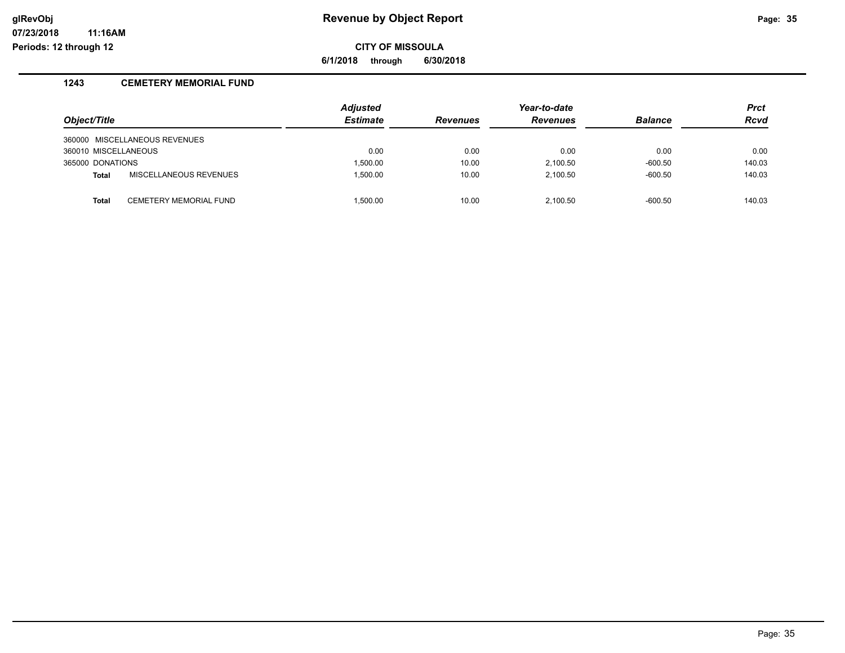**6/1/2018 through 6/30/2018**

#### **1243 CEMETERY MEMORIAL FUND**

| Object/Title         |                               | <b>Adjusted</b><br><b>Estimate</b> | <b>Revenues</b> | Year-to-date<br><b>Revenues</b> | <b>Balance</b> | <b>Prct</b><br><b>Rcvd</b> |
|----------------------|-------------------------------|------------------------------------|-----------------|---------------------------------|----------------|----------------------------|
|                      | 360000 MISCELLANEOUS REVENUES |                                    |                 |                                 |                |                            |
| 360010 MISCELLANEOUS |                               | 0.00                               | 0.00            | 0.00                            | 0.00           | 0.00                       |
| 365000 DONATIONS     |                               | 1,500.00                           | 10.00           | 2,100.50                        | $-600.50$      | 140.03                     |
| Total                | MISCELLANEOUS REVENUES        | 1.500.00                           | 10.00           | 2.100.50                        | $-600.50$      | 140.03                     |
| Total                | <b>CEMETERY MEMORIAL FUND</b> | 1.500.00                           | 10.00           | 2.100.50                        | $-600.50$      | 140.03                     |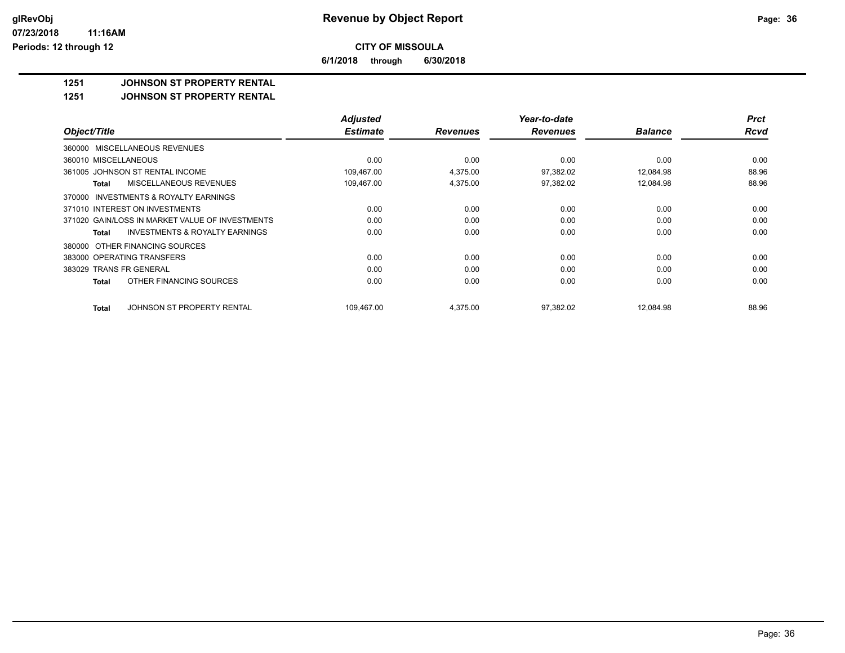**6/1/2018 through 6/30/2018**

### **1251 JOHNSON ST PROPERTY RENTAL**

**1251 JOHNSON ST PROPERTY RENTAL**

|                                                           | <b>Adjusted</b> |                 | Year-to-date    |                | <b>Prct</b> |
|-----------------------------------------------------------|-----------------|-----------------|-----------------|----------------|-------------|
| Object/Title                                              | <b>Estimate</b> | <b>Revenues</b> | <b>Revenues</b> | <b>Balance</b> | <b>Rcvd</b> |
| 360000 MISCELLANEOUS REVENUES                             |                 |                 |                 |                |             |
| 360010 MISCELLANEOUS                                      | 0.00            | 0.00            | 0.00            | 0.00           | 0.00        |
| 361005 JOHNSON ST RENTAL INCOME                           | 109,467.00      | 4.375.00        | 97,382.02       | 12,084.98      | 88.96       |
| MISCELLANEOUS REVENUES<br><b>Total</b>                    | 109,467.00      | 4,375.00        | 97,382.02       | 12,084.98      | 88.96       |
| 370000 INVESTMENTS & ROYALTY EARNINGS                     |                 |                 |                 |                |             |
| 371010 INTEREST ON INVESTMENTS                            | 0.00            | 0.00            | 0.00            | 0.00           | 0.00        |
| 371020 GAIN/LOSS IN MARKET VALUE OF INVESTMENTS           | 0.00            | 0.00            | 0.00            | 0.00           | 0.00        |
| <b>INVESTMENTS &amp; ROYALTY EARNINGS</b><br><b>Total</b> | 0.00            | 0.00            | 0.00            | 0.00           | 0.00        |
| 380000 OTHER FINANCING SOURCES                            |                 |                 |                 |                |             |
| 383000 OPERATING TRANSFERS                                | 0.00            | 0.00            | 0.00            | 0.00           | 0.00        |
| 383029 TRANS FR GENERAL                                   | 0.00            | 0.00            | 0.00            | 0.00           | 0.00        |
| OTHER FINANCING SOURCES<br><b>Total</b>                   | 0.00            | 0.00            | 0.00            | 0.00           | 0.00        |
| JOHNSON ST PROPERTY RENTAL<br><b>Total</b>                | 109.467.00      | 4,375.00        | 97,382.02       | 12,084.98      | 88.96       |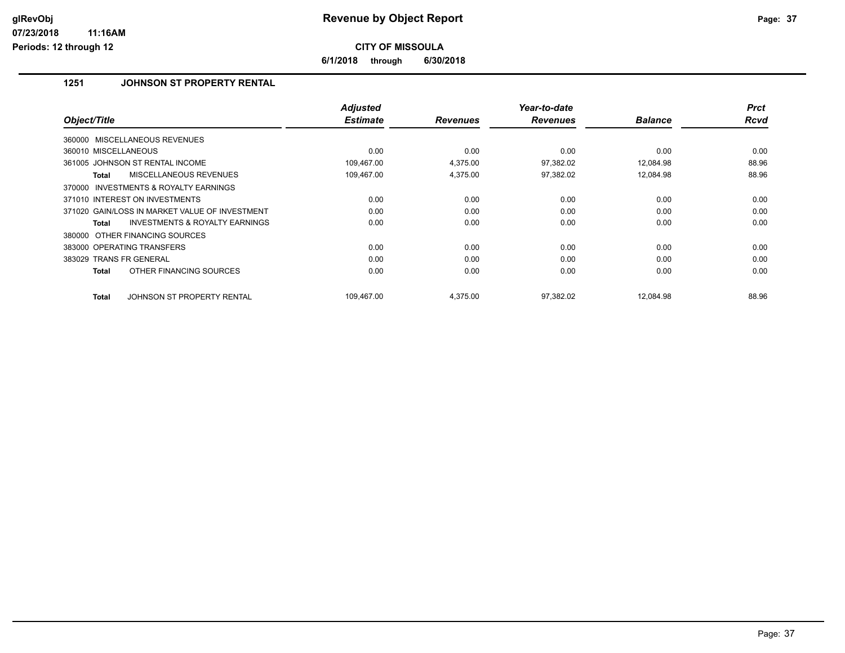**6/1/2018 through 6/30/2018**

#### **1251 JOHNSON ST PROPERTY RENTAL**

| Object/Title                                              | <b>Adjusted</b><br><b>Estimate</b> | <b>Revenues</b> | Year-to-date<br><b>Revenues</b> | <b>Balance</b> | <b>Prct</b><br><b>Rcvd</b> |
|-----------------------------------------------------------|------------------------------------|-----------------|---------------------------------|----------------|----------------------------|
|                                                           |                                    |                 |                                 |                |                            |
| 360000 MISCELLANEOUS REVENUES                             |                                    |                 |                                 |                |                            |
| 360010 MISCELLANEOUS                                      | 0.00                               | 0.00            | 0.00                            | 0.00           | 0.00                       |
| 361005 JOHNSON ST RENTAL INCOME                           | 109,467.00                         | 4,375.00        | 97,382.02                       | 12,084.98      | 88.96                      |
| MISCELLANEOUS REVENUES<br><b>Total</b>                    | 109,467.00                         | 4,375.00        | 97,382.02                       | 12,084.98      | 88.96                      |
| INVESTMENTS & ROYALTY EARNINGS<br>370000                  |                                    |                 |                                 |                |                            |
| 371010 INTEREST ON INVESTMENTS                            | 0.00                               | 0.00            | 0.00                            | 0.00           | 0.00                       |
| 371020 GAIN/LOSS IN MARKET VALUE OF INVESTMENT            | 0.00                               | 0.00            | 0.00                            | 0.00           | 0.00                       |
| <b>INVESTMENTS &amp; ROYALTY EARNINGS</b><br><b>Total</b> | 0.00                               | 0.00            | 0.00                            | 0.00           | 0.00                       |
| 380000 OTHER FINANCING SOURCES                            |                                    |                 |                                 |                |                            |
| 383000 OPERATING TRANSFERS                                | 0.00                               | 0.00            | 0.00                            | 0.00           | 0.00                       |
| 383029 TRANS FR GENERAL                                   | 0.00                               | 0.00            | 0.00                            | 0.00           | 0.00                       |
| OTHER FINANCING SOURCES<br><b>Total</b>                   | 0.00                               | 0.00            | 0.00                            | 0.00           | 0.00                       |
| JOHNSON ST PROPERTY RENTAL<br><b>Total</b>                | 109,467.00                         | 4,375.00        | 97,382.02                       | 12,084.98      | 88.96                      |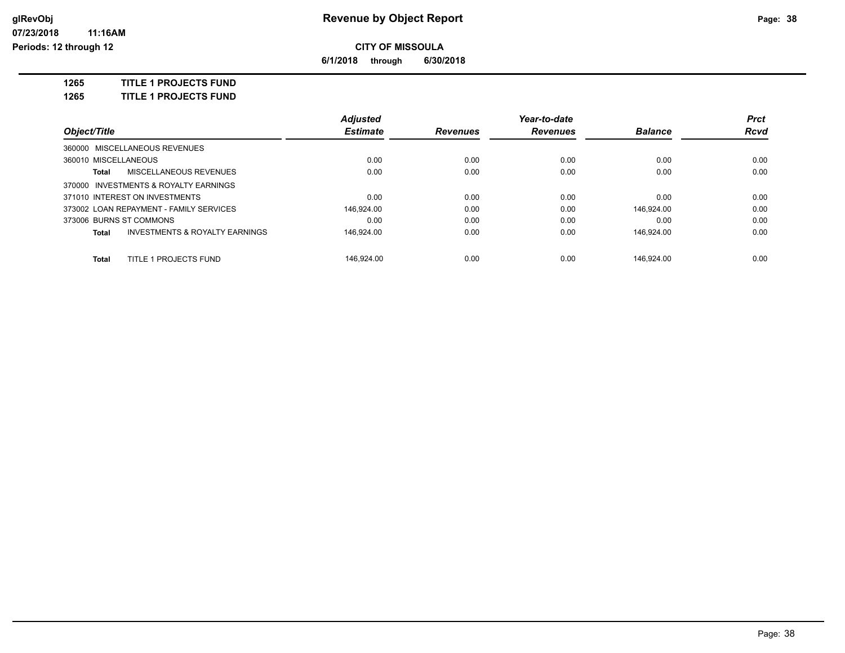**6/1/2018 through 6/30/2018**

**1265 TITLE 1 PROJECTS FUND**

**1265 TITLE 1 PROJECTS FUND**

|                                         | <b>Adjusted</b> |                 | Year-to-date    |                | <b>Prct</b> |
|-----------------------------------------|-----------------|-----------------|-----------------|----------------|-------------|
| Object/Title                            | <b>Estimate</b> | <b>Revenues</b> | <b>Revenues</b> | <b>Balance</b> | Rcvd        |
| 360000 MISCELLANEOUS REVENUES           |                 |                 |                 |                |             |
| 360010 MISCELLANEOUS                    | 0.00            | 0.00            | 0.00            | 0.00           | 0.00        |
| MISCELLANEOUS REVENUES<br>Total         | 0.00            | 0.00            | 0.00            | 0.00           | 0.00        |
| 370000 INVESTMENTS & ROYALTY EARNINGS   |                 |                 |                 |                |             |
| 371010 INTEREST ON INVESTMENTS          | 0.00            | 0.00            | 0.00            | 0.00           | 0.00        |
| 373002 LOAN REPAYMENT - FAMILY SERVICES | 146.924.00      | 0.00            | 0.00            | 146.924.00     | 0.00        |
| 373006 BURNS ST COMMONS                 | 0.00            | 0.00            | 0.00            | 0.00           | 0.00        |
| INVESTMENTS & ROYALTY EARNINGS<br>Total | 146.924.00      | 0.00            | 0.00            | 146.924.00     | 0.00        |
| TITLE 1 PROJECTS FUND<br>Total          | 146.924.00      | 0.00            | 0.00            | 146.924.00     | 0.00        |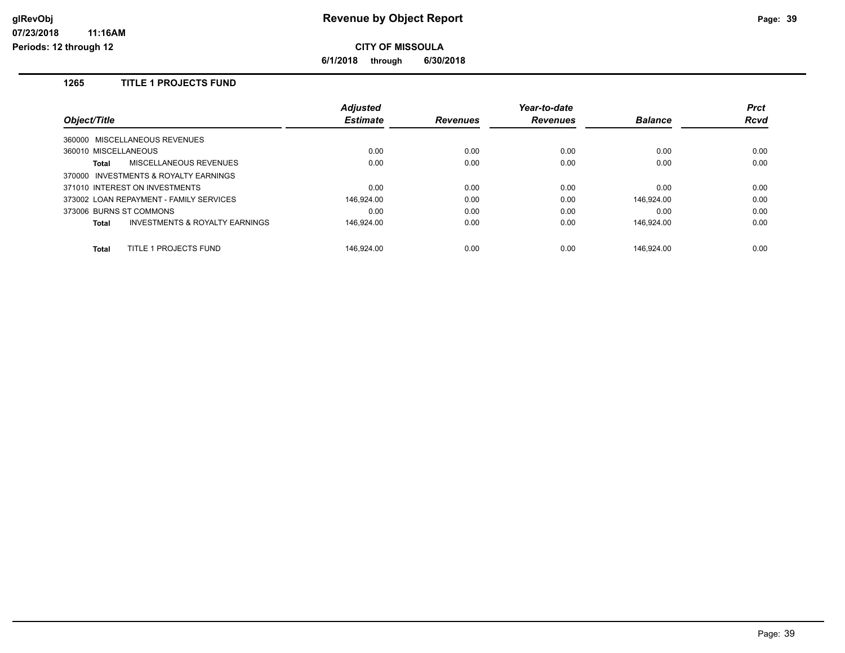**6/1/2018 through 6/30/2018**

#### **1265 TITLE 1 PROJECTS FUND**

|                                                    | <b>Adjusted</b> |                 | Year-to-date    |                | <b>Prct</b> |
|----------------------------------------------------|-----------------|-----------------|-----------------|----------------|-------------|
| Object/Title                                       | <b>Estimate</b> | <b>Revenues</b> | <b>Revenues</b> | <b>Balance</b> | <b>Rcvd</b> |
| 360000 MISCELLANEOUS REVENUES                      |                 |                 |                 |                |             |
| 360010 MISCELLANEOUS                               | 0.00            | 0.00            | 0.00            | 0.00           | 0.00        |
| MISCELLANEOUS REVENUES<br>Total                    | 0.00            | 0.00            | 0.00            | 0.00           | 0.00        |
| 370000 INVESTMENTS & ROYALTY EARNINGS              |                 |                 |                 |                |             |
| 371010 INTEREST ON INVESTMENTS                     | 0.00            | 0.00            | 0.00            | 0.00           | 0.00        |
| 373002 LOAN REPAYMENT - FAMILY SERVICES            | 146,924.00      | 0.00            | 0.00            | 146,924.00     | 0.00        |
| 373006 BURNS ST COMMONS                            | 0.00            | 0.00            | 0.00            | 0.00           | 0.00        |
| <b>INVESTMENTS &amp; ROYALTY EARNINGS</b><br>Total | 146,924.00      | 0.00            | 0.00            | 146.924.00     | 0.00        |
| TITLE 1 PROJECTS FUND<br><b>Total</b>              | 146.924.00      | 0.00            | 0.00            | 146.924.00     | 0.00        |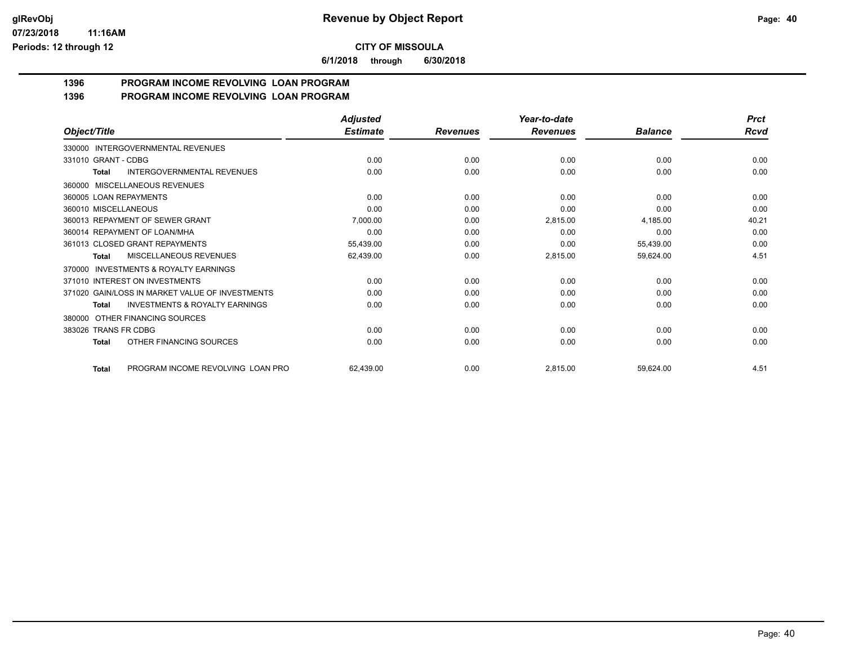**6/1/2018 through 6/30/2018**

# **1396 PROGRAM INCOME REVOLVING LOAN PROGRAM**

| 1396 | PROGRAM INCOME REVOLVING LOAN PROGRAM |
|------|---------------------------------------|
|------|---------------------------------------|

|                                                           | <b>Adjusted</b> |                 | Year-to-date    |                | <b>Prct</b> |
|-----------------------------------------------------------|-----------------|-----------------|-----------------|----------------|-------------|
| Object/Title                                              | <b>Estimate</b> | <b>Revenues</b> | <b>Revenues</b> | <b>Balance</b> | Rcvd        |
| 330000 INTERGOVERNMENTAL REVENUES                         |                 |                 |                 |                |             |
| 331010 GRANT - CDBG                                       | 0.00            | 0.00            | 0.00            | 0.00           | 0.00        |
| <b>INTERGOVERNMENTAL REVENUES</b><br><b>Total</b>         | 0.00            | 0.00            | 0.00            | 0.00           | 0.00        |
| 360000 MISCELLANEOUS REVENUES                             |                 |                 |                 |                |             |
| 360005 LOAN REPAYMENTS                                    | 0.00            | 0.00            | 0.00            | 0.00           | 0.00        |
| 360010 MISCELLANEOUS                                      | 0.00            | 0.00            | 0.00            | 0.00           | 0.00        |
| 360013 REPAYMENT OF SEWER GRANT                           | 7,000.00        | 0.00            | 2,815.00        | 4,185.00       | 40.21       |
| 360014 REPAYMENT OF LOAN/MHA                              | 0.00            | 0.00            | 0.00            | 0.00           | 0.00        |
| 361013 CLOSED GRANT REPAYMENTS                            | 55,439.00       | 0.00            | 0.00            | 55,439.00      | 0.00        |
| MISCELLANEOUS REVENUES<br><b>Total</b>                    | 62,439.00       | 0.00            | 2,815.00        | 59,624.00      | 4.51        |
| <b>INVESTMENTS &amp; ROYALTY EARNINGS</b><br>370000       |                 |                 |                 |                |             |
| 371010 INTEREST ON INVESTMENTS                            | 0.00            | 0.00            | 0.00            | 0.00           | 0.00        |
| 371020 GAIN/LOSS IN MARKET VALUE OF INVESTMENTS           | 0.00            | 0.00            | 0.00            | 0.00           | 0.00        |
| <b>INVESTMENTS &amp; ROYALTY EARNINGS</b><br><b>Total</b> | 0.00            | 0.00            | 0.00            | 0.00           | 0.00        |
| OTHER FINANCING SOURCES<br>380000                         |                 |                 |                 |                |             |
| 383026 TRANS FR CDBG                                      | 0.00            | 0.00            | 0.00            | 0.00           | 0.00        |
| OTHER FINANCING SOURCES<br>Total                          | 0.00            | 0.00            | 0.00            | 0.00           | 0.00        |
| PROGRAM INCOME REVOLVING LOAN PRO<br><b>Total</b>         | 62,439.00       | 0.00            | 2,815.00        | 59,624.00      | 4.51        |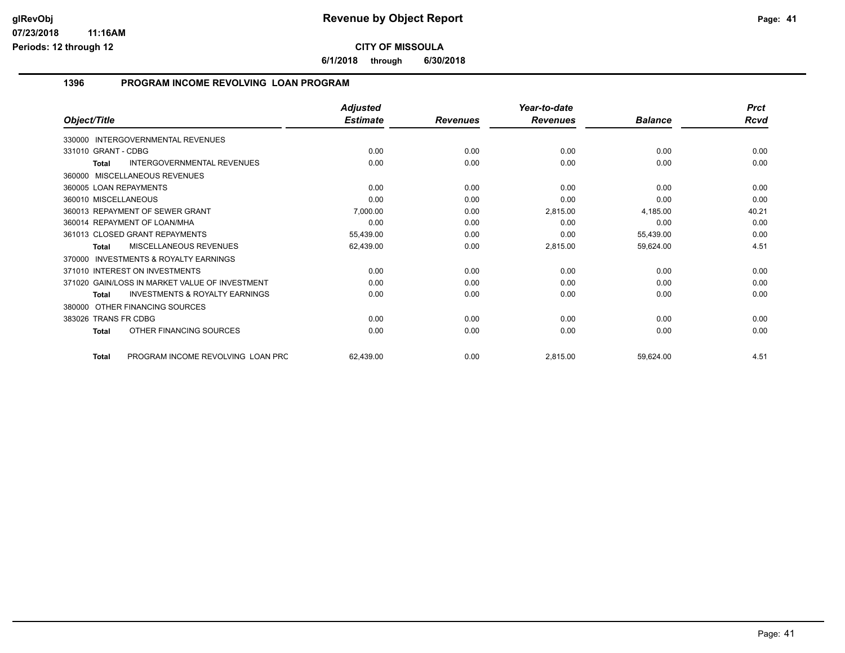**6/1/2018 through 6/30/2018**

#### **1396 PROGRAM INCOME REVOLVING LOAN PROGRAM**

|                                                           | <b>Adjusted</b> |                 | Year-to-date    |                | <b>Prct</b> |
|-----------------------------------------------------------|-----------------|-----------------|-----------------|----------------|-------------|
| Object/Title                                              | <b>Estimate</b> | <b>Revenues</b> | <b>Revenues</b> | <b>Balance</b> | <b>Rcvd</b> |
| 330000 INTERGOVERNMENTAL REVENUES                         |                 |                 |                 |                |             |
| 331010 GRANT - CDBG                                       | 0.00            | 0.00            | 0.00            | 0.00           | 0.00        |
| <b>INTERGOVERNMENTAL REVENUES</b><br><b>Total</b>         | 0.00            | 0.00            | 0.00            | 0.00           | 0.00        |
| 360000 MISCELLANEOUS REVENUES                             |                 |                 |                 |                |             |
| 360005 LOAN REPAYMENTS                                    | 0.00            | 0.00            | 0.00            | 0.00           | 0.00        |
| 360010 MISCELLANEOUS                                      | 0.00            | 0.00            | 0.00            | 0.00           | 0.00        |
| 360013 REPAYMENT OF SEWER GRANT                           | 7,000.00        | 0.00            | 2,815.00        | 4,185.00       | 40.21       |
| 360014 REPAYMENT OF LOAN/MHA                              | 0.00            | 0.00            | 0.00            | 0.00           | 0.00        |
| 361013 CLOSED GRANT REPAYMENTS                            | 55,439.00       | 0.00            | 0.00            | 55,439.00      | 0.00        |
| <b>MISCELLANEOUS REVENUES</b><br><b>Total</b>             | 62,439.00       | 0.00            | 2,815.00        | 59,624.00      | 4.51        |
| <b>INVESTMENTS &amp; ROYALTY EARNINGS</b><br>370000       |                 |                 |                 |                |             |
| 371010 INTEREST ON INVESTMENTS                            | 0.00            | 0.00            | 0.00            | 0.00           | 0.00        |
| 371020 GAIN/LOSS IN MARKET VALUE OF INVESTMENT            | 0.00            | 0.00            | 0.00            | 0.00           | 0.00        |
| <b>INVESTMENTS &amp; ROYALTY EARNINGS</b><br><b>Total</b> | 0.00            | 0.00            | 0.00            | 0.00           | 0.00        |
| 380000 OTHER FINANCING SOURCES                            |                 |                 |                 |                |             |
| 383026 TRANS FR CDBG                                      | 0.00            | 0.00            | 0.00            | 0.00           | 0.00        |
| OTHER FINANCING SOURCES<br><b>Total</b>                   | 0.00            | 0.00            | 0.00            | 0.00           | 0.00        |
| PROGRAM INCOME REVOLVING LOAN PRC<br><b>Total</b>         | 62,439.00       | 0.00            | 2,815.00        | 59,624.00      | 4.51        |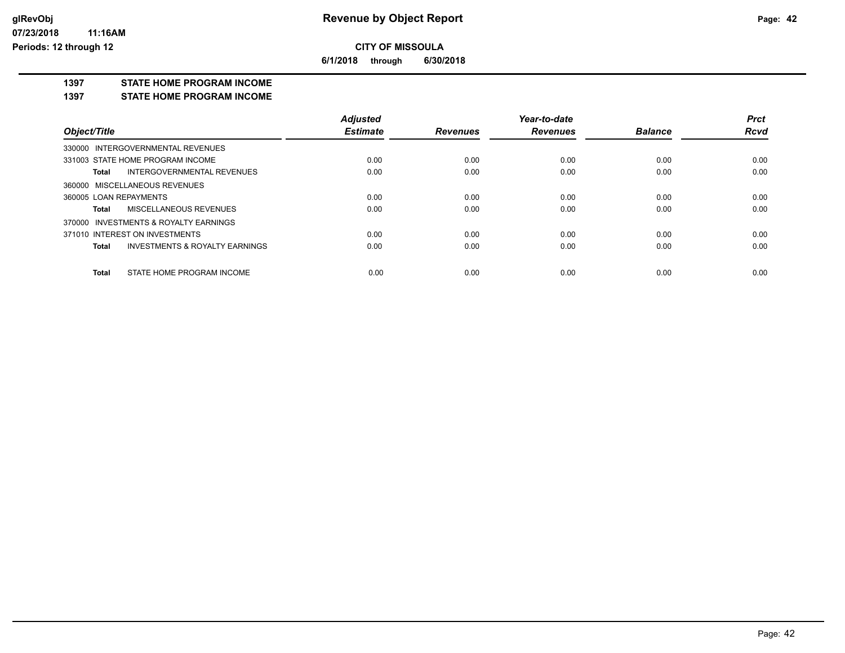**6/1/2018 through 6/30/2018**

#### **1397 STATE HOME PROGRAM INCOME**

**1397 STATE HOME PROGRAM INCOME**

|                                                           | <b>Adjusted</b> |                 | Year-to-date    |                | <b>Prct</b> |
|-----------------------------------------------------------|-----------------|-----------------|-----------------|----------------|-------------|
| Object/Title                                              | <b>Estimate</b> | <b>Revenues</b> | <b>Revenues</b> | <b>Balance</b> | <b>Rcvd</b> |
| 330000 INTERGOVERNMENTAL REVENUES                         |                 |                 |                 |                |             |
| 331003 STATE HOME PROGRAM INCOME                          | 0.00            | 0.00            | 0.00            | 0.00           | 0.00        |
| INTERGOVERNMENTAL REVENUES<br><b>Total</b>                | 0.00            | 0.00            | 0.00            | 0.00           | 0.00        |
| 360000 MISCELLANEOUS REVENUES                             |                 |                 |                 |                |             |
| 360005 LOAN REPAYMENTS                                    | 0.00            | 0.00            | 0.00            | 0.00           | 0.00        |
| MISCELLANEOUS REVENUES<br>Total                           | 0.00            | 0.00            | 0.00            | 0.00           | 0.00        |
| 370000 INVESTMENTS & ROYALTY EARNINGS                     |                 |                 |                 |                |             |
| 371010 INTEREST ON INVESTMENTS                            | 0.00            | 0.00            | 0.00            | 0.00           | 0.00        |
| <b>INVESTMENTS &amp; ROYALTY EARNINGS</b><br><b>Total</b> | 0.00            | 0.00            | 0.00            | 0.00           | 0.00        |
| STATE HOME PROGRAM INCOME<br><b>Total</b>                 | 0.00            | 0.00            | 0.00            | 0.00           | 0.00        |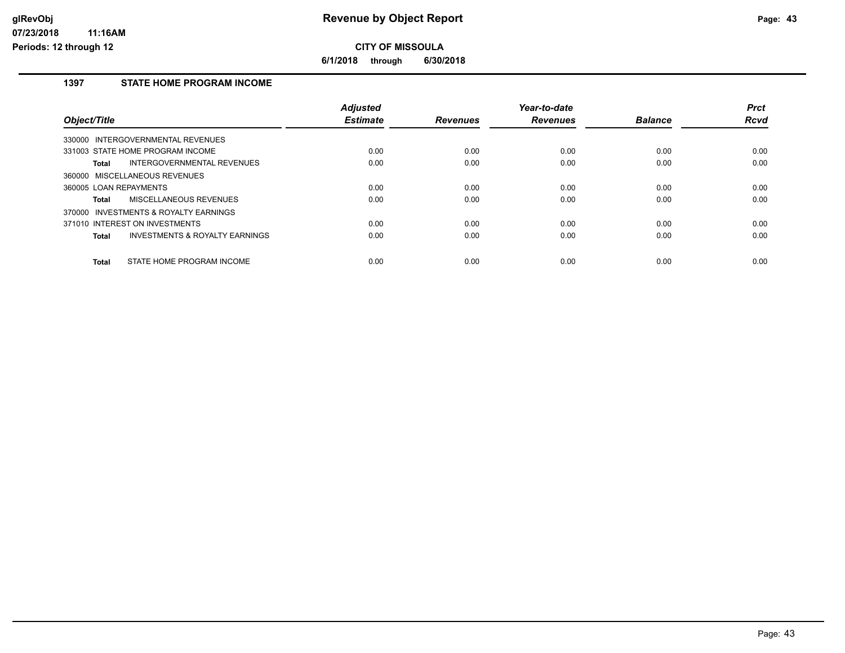**6/1/2018 through 6/30/2018**

#### **1397 STATE HOME PROGRAM INCOME**

| Object/Title                          |                                | <b>Adjusted</b><br><b>Estimate</b> | <b>Revenues</b> | Year-to-date<br><b>Revenues</b> | <b>Balance</b> | <b>Prct</b><br><b>Rcvd</b> |
|---------------------------------------|--------------------------------|------------------------------------|-----------------|---------------------------------|----------------|----------------------------|
| 330000 INTERGOVERNMENTAL REVENUES     |                                |                                    |                 |                                 |                |                            |
| 331003 STATE HOME PROGRAM INCOME      |                                | 0.00                               | 0.00            | 0.00                            | 0.00           | 0.00                       |
| <b>Total</b>                          | INTERGOVERNMENTAL REVENUES     | 0.00                               | 0.00            | 0.00                            | 0.00           | 0.00                       |
| 360000 MISCELLANEOUS REVENUES         |                                |                                    |                 |                                 |                |                            |
| 360005 LOAN REPAYMENTS                |                                | 0.00                               | 0.00            | 0.00                            | 0.00           | 0.00                       |
| <b>Total</b>                          | MISCELLANEOUS REVENUES         | 0.00                               | 0.00            | 0.00                            | 0.00           | 0.00                       |
| 370000 INVESTMENTS & ROYALTY EARNINGS |                                |                                    |                 |                                 |                |                            |
| 371010 INTEREST ON INVESTMENTS        |                                | 0.00                               | 0.00            | 0.00                            | 0.00           | 0.00                       |
| <b>Total</b>                          | INVESTMENTS & ROYALTY EARNINGS | 0.00                               | 0.00            | 0.00                            | 0.00           | 0.00                       |
| <b>Total</b>                          | STATE HOME PROGRAM INCOME      | 0.00                               | 0.00            | 0.00                            | 0.00           | 0.00                       |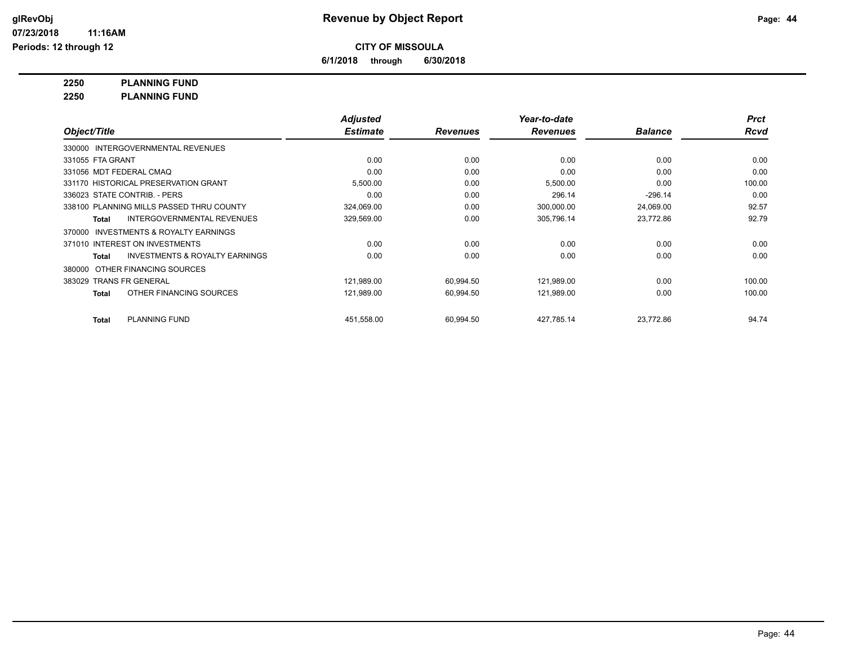**6/1/2018 through 6/30/2018**

#### **2250 PLANNING FUND**

**2250 PLANNING FUND**

|                                          |                                           | <b>Adjusted</b> |                 | Year-to-date    |                | <b>Prct</b> |
|------------------------------------------|-------------------------------------------|-----------------|-----------------|-----------------|----------------|-------------|
| Object/Title                             |                                           | <b>Estimate</b> | <b>Revenues</b> | <b>Revenues</b> | <b>Balance</b> | <b>Rcvd</b> |
| 330000 INTERGOVERNMENTAL REVENUES        |                                           |                 |                 |                 |                |             |
| 331055 FTA GRANT                         |                                           | 0.00            | 0.00            | 0.00            | 0.00           | 0.00        |
| 331056 MDT FEDERAL CMAQ                  |                                           | 0.00            | 0.00            | 0.00            | 0.00           | 0.00        |
| 331170 HISTORICAL PRESERVATION GRANT     |                                           | 5,500.00        | 0.00            | 5,500.00        | 0.00           | 100.00      |
| 336023 STATE CONTRIB. - PERS             |                                           | 0.00            | 0.00            | 296.14          | $-296.14$      | 0.00        |
| 338100 PLANNING MILLS PASSED THRU COUNTY |                                           | 324,069.00      | 0.00            | 300,000.00      | 24,069.00      | 92.57       |
| <b>Total</b>                             | <b>INTERGOVERNMENTAL REVENUES</b>         | 329,569.00      | 0.00            | 305,796.14      | 23,772.86      | 92.79       |
| 370000                                   | INVESTMENTS & ROYALTY EARNINGS            |                 |                 |                 |                |             |
| 371010 INTEREST ON INVESTMENTS           |                                           | 0.00            | 0.00            | 0.00            | 0.00           | 0.00        |
| Total                                    | <b>INVESTMENTS &amp; ROYALTY EARNINGS</b> | 0.00            | 0.00            | 0.00            | 0.00           | 0.00        |
| OTHER FINANCING SOURCES<br>380000        |                                           |                 |                 |                 |                |             |
| 383029 TRANS FR GENERAL                  |                                           | 121,989.00      | 60,994.50       | 121,989.00      | 0.00           | 100.00      |
| <b>Total</b>                             | OTHER FINANCING SOURCES                   | 121,989.00      | 60,994.50       | 121,989.00      | 0.00           | 100.00      |
| <b>PLANNING FUND</b><br><b>Total</b>     |                                           | 451,558.00      | 60.994.50       | 427.785.14      | 23.772.86      | 94.74       |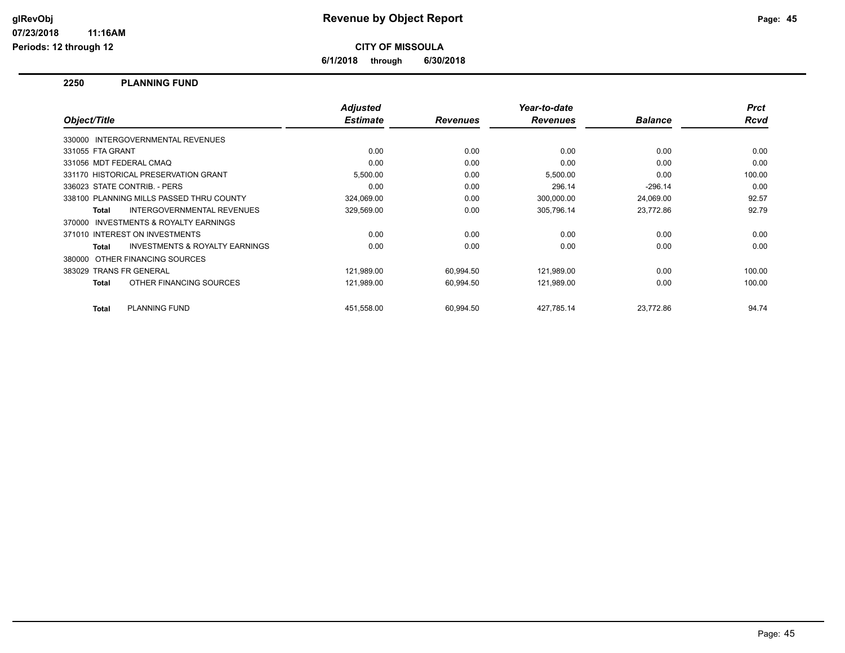**6/1/2018 through 6/30/2018**

#### **2250 PLANNING FUND**

| Object/Title                                        | <b>Adjusted</b><br><b>Estimate</b> | <b>Revenues</b> | Year-to-date<br><b>Revenues</b> | <b>Balance</b> | <b>Prct</b><br><b>Rcvd</b> |
|-----------------------------------------------------|------------------------------------|-----------------|---------------------------------|----------------|----------------------------|
| 330000 INTERGOVERNMENTAL REVENUES                   |                                    |                 |                                 |                |                            |
| 331055 FTA GRANT                                    | 0.00                               | 0.00            | 0.00                            | 0.00           | 0.00                       |
| 331056 MDT FEDERAL CMAQ                             | 0.00                               | 0.00            | 0.00                            | 0.00           | 0.00                       |
| 331170 HISTORICAL PRESERVATION GRANT                | 5,500.00                           | 0.00            | 5,500.00                        | 0.00           | 100.00                     |
| 336023 STATE CONTRIB. - PERS                        | 0.00                               | 0.00            | 296.14                          | $-296.14$      | 0.00                       |
| 338100 PLANNING MILLS PASSED THRU COUNTY            | 324,069.00                         | 0.00            | 300,000.00                      | 24,069.00      | 92.57                      |
| <b>INTERGOVERNMENTAL REVENUES</b><br>Total          | 329,569.00                         | 0.00            | 305,796.14                      | 23,772.86      | 92.79                      |
| <b>INVESTMENTS &amp; ROYALTY EARNINGS</b><br>370000 |                                    |                 |                                 |                |                            |
| 371010 INTEREST ON INVESTMENTS                      | 0.00                               | 0.00            | 0.00                            | 0.00           | 0.00                       |
| <b>INVESTMENTS &amp; ROYALTY EARNINGS</b><br>Total  | 0.00                               | 0.00            | 0.00                            | 0.00           | 0.00                       |
| 380000 OTHER FINANCING SOURCES                      |                                    |                 |                                 |                |                            |
| 383029 TRANS FR GENERAL                             | 121,989.00                         | 60,994.50       | 121.989.00                      | 0.00           | 100.00                     |
| OTHER FINANCING SOURCES<br>Total                    | 121,989.00                         | 60,994.50       | 121,989.00                      | 0.00           | 100.00                     |
| <b>PLANNING FUND</b><br>Total                       | 451,558.00                         | 60,994.50       | 427,785.14                      | 23,772.86      | 94.74                      |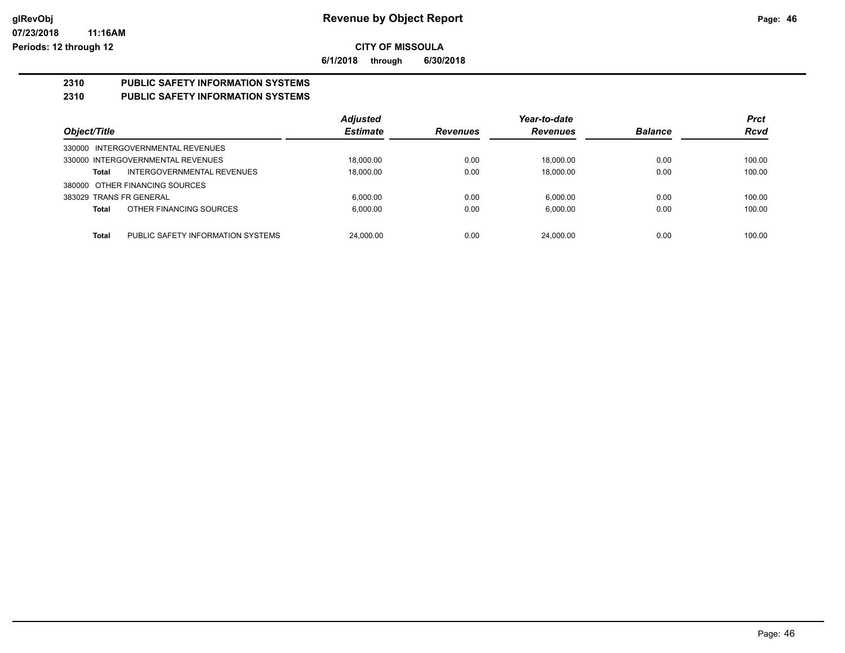**6/1/2018 through 6/30/2018**

#### **2310 PUBLIC SAFETY INFORMATION SYSTEMS 2310 PUBLIC SAFETY INFORMATION SYSTEMS**

|                                            | <b>Adjusted</b> |                 | Year-to-date    |                | <b>Prct</b> |
|--------------------------------------------|-----------------|-----------------|-----------------|----------------|-------------|
| Object/Title                               | <b>Estimate</b> | <b>Revenues</b> | <b>Revenues</b> | <b>Balance</b> | Rcvd        |
| 330000 INTERGOVERNMENTAL REVENUES          |                 |                 |                 |                |             |
| 330000 INTERGOVERNMENTAL REVENUES          | 18.000.00       | 0.00            | 18.000.00       | 0.00           | 100.00      |
| <b>INTERGOVERNMENTAL REVENUES</b><br>Total | 18.000.00       | 0.00            | 18.000.00       | 0.00           | 100.00      |
| 380000 OTHER FINANCING SOURCES             |                 |                 |                 |                |             |
| 383029 TRANS FR GENERAL                    | 6.000.00        | 0.00            | 6,000.00        | 0.00           | 100.00      |
| OTHER FINANCING SOURCES<br>Total           | 6.000.00        | 0.00            | 6.000.00        | 0.00           | 100.00      |
|                                            |                 |                 |                 |                |             |
| PUBLIC SAFETY INFORMATION SYSTEMS<br>Total | 24.000.00       | 0.00            | 24.000.00       | 0.00           | 100.00      |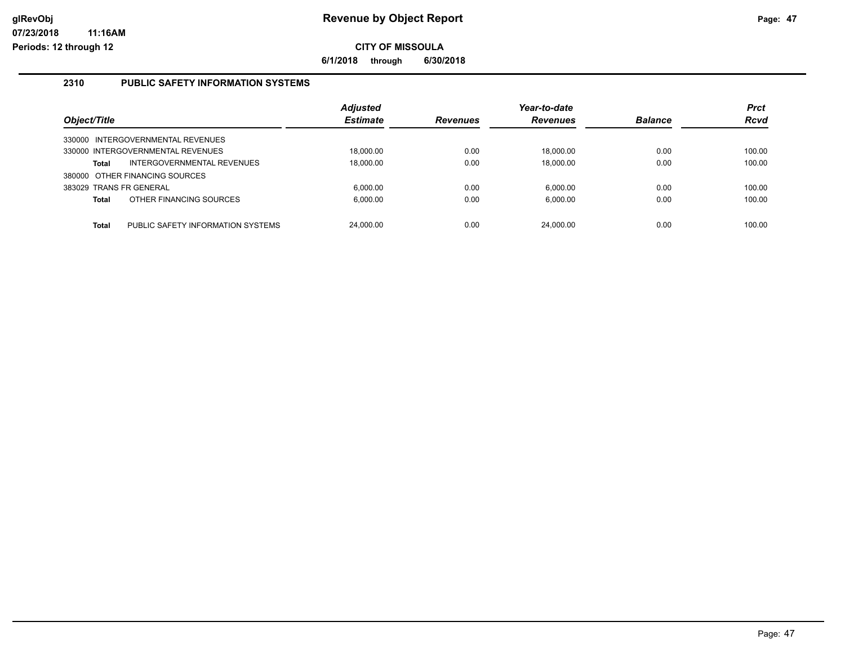**6/1/2018 through 6/30/2018**

#### **2310 PUBLIC SAFETY INFORMATION SYSTEMS**

| Object/Title                                      | <b>Adjusted</b><br><b>Estimate</b> | <b>Revenues</b> | Year-to-date<br><b>Revenues</b> | <b>Balance</b> | <b>Prct</b><br><b>Rcvd</b> |
|---------------------------------------------------|------------------------------------|-----------------|---------------------------------|----------------|----------------------------|
| 330000 INTERGOVERNMENTAL REVENUES                 |                                    |                 |                                 |                |                            |
| 330000 INTERGOVERNMENTAL REVENUES                 | 18.000.00                          | 0.00            | 18.000.00                       | 0.00           | 100.00                     |
| INTERGOVERNMENTAL REVENUES<br><b>Total</b>        | 18.000.00                          | 0.00            | 18.000.00                       | 0.00           | 100.00                     |
| 380000 OTHER FINANCING SOURCES                    |                                    |                 |                                 |                |                            |
| 383029 TRANS FR GENERAL                           | 6,000.00                           | 0.00            | 6,000.00                        | 0.00           | 100.00                     |
| OTHER FINANCING SOURCES<br>Total                  | 6,000.00                           | 0.00            | 6,000.00                        | 0.00           | 100.00                     |
|                                                   |                                    |                 |                                 |                |                            |
| PUBLIC SAFETY INFORMATION SYSTEMS<br><b>Total</b> | 24.000.00                          | 0.00            | 24.000.00                       | 0.00           | 100.00                     |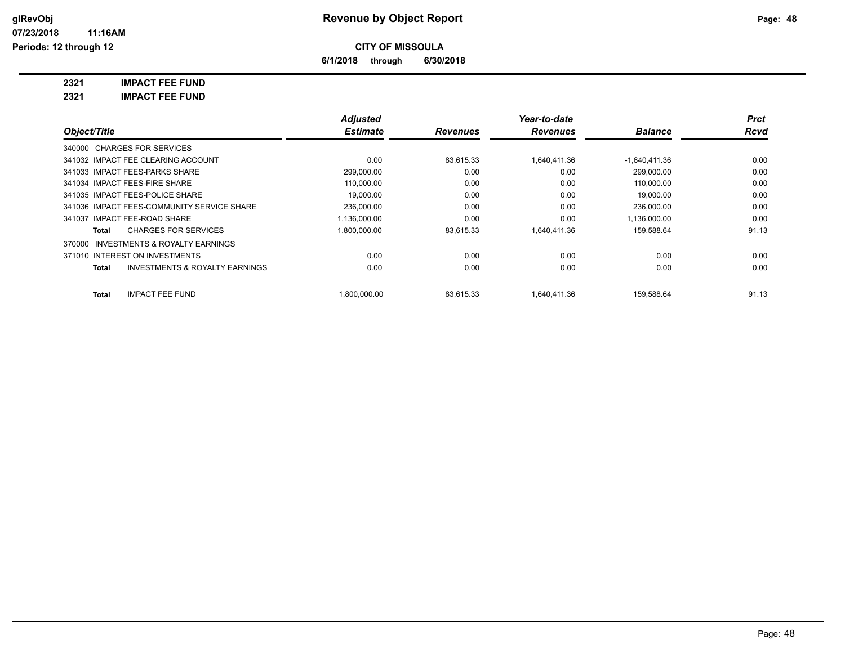**6/1/2018 through 6/30/2018**

**2321 IMPACT FEE FUND**

**2321 IMPACT FEE FUND**

|                                                           | <b>Adjusted</b> |                 | Year-to-date    |                 | <b>Prct</b> |
|-----------------------------------------------------------|-----------------|-----------------|-----------------|-----------------|-------------|
| Object/Title                                              | <b>Estimate</b> | <b>Revenues</b> | <b>Revenues</b> | <b>Balance</b>  | Rcvd        |
| 340000 CHARGES FOR SERVICES                               |                 |                 |                 |                 |             |
| 341032 IMPACT FEE CLEARING ACCOUNT                        | 0.00            | 83.615.33       | 1.640.411.36    | $-1,640,411.36$ | 0.00        |
| 341033 IMPACT FEES-PARKS SHARE                            | 299,000.00      | 0.00            | 0.00            | 299.000.00      | 0.00        |
| 341034 IMPACT FEES-FIRE SHARE                             | 110,000.00      | 0.00            | 0.00            | 110.000.00      | 0.00        |
| 341035 IMPACT FEES-POLICE SHARE                           | 19.000.00       | 0.00            | 0.00            | 19.000.00       | 0.00        |
| 341036 IMPACT FEES-COMMUNITY SERVICE SHARE                | 236,000.00      | 0.00            | 0.00            | 236,000.00      | 0.00        |
| 341037 IMPACT FEE-ROAD SHARE                              | 1,136,000.00    | 0.00            | 0.00            | 1,136,000.00    | 0.00        |
| <b>CHARGES FOR SERVICES</b><br>Total                      | 1,800,000.00    | 83,615.33       | 1,640,411.36    | 159,588.64      | 91.13       |
| 370000 INVESTMENTS & ROYALTY EARNINGS                     |                 |                 |                 |                 |             |
| 371010 INTEREST ON INVESTMENTS                            | 0.00            | 0.00            | 0.00            | 0.00            | 0.00        |
| <b>INVESTMENTS &amp; ROYALTY EARNINGS</b><br><b>Total</b> | 0.00            | 0.00            | 0.00            | 0.00            | 0.00        |
| <b>IMPACT FEE FUND</b><br><b>Total</b>                    | 1.800.000.00    | 83.615.33       | 1.640.411.36    | 159.588.64      | 91.13       |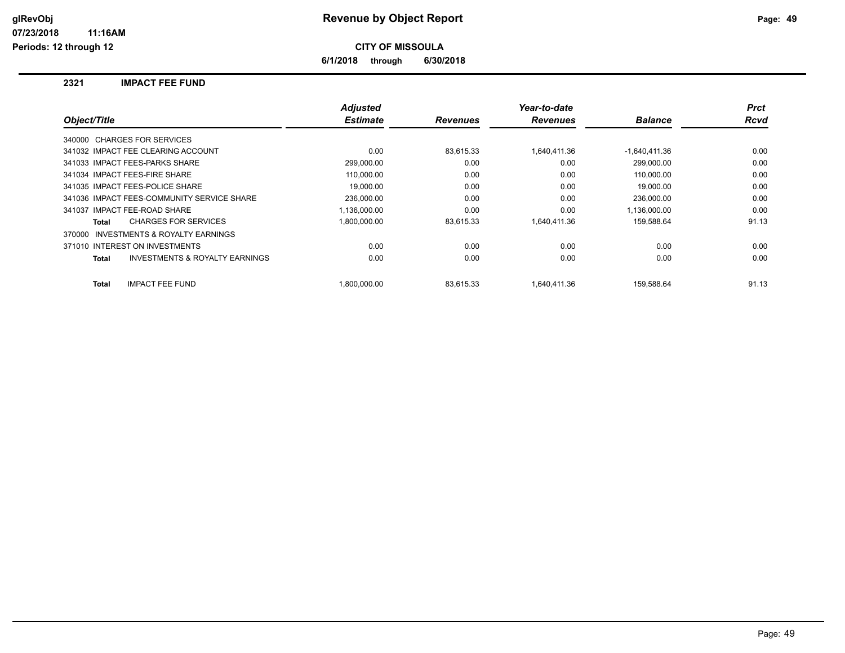**6/1/2018 through 6/30/2018**

#### **2321 IMPACT FEE FUND**

|                                                           | <b>Adjusted</b><br><b>Estimate</b> | <b>Revenues</b> | Year-to-date<br><b>Revenues</b> | <b>Balance</b> | <b>Prct</b><br><b>Rcvd</b> |
|-----------------------------------------------------------|------------------------------------|-----------------|---------------------------------|----------------|----------------------------|
| Object/Title                                              |                                    |                 |                                 |                |                            |
| 340000 CHARGES FOR SERVICES                               |                                    |                 |                                 |                |                            |
| 341032 IMPACT FEE CLEARING ACCOUNT                        | 0.00                               | 83.615.33       | 1.640.411.36                    | -1,640,411.36  | 0.00                       |
| 341033 IMPACT FEES-PARKS SHARE                            | 299,000.00                         | 0.00            | 0.00                            | 299,000.00     | 0.00                       |
| 341034 IMPACT FEES-FIRE SHARE                             | 110,000.00                         | 0.00            | 0.00                            | 110,000.00     | 0.00                       |
| 341035 IMPACT FEES-POLICE SHARE                           | 19.000.00                          | 0.00            | 0.00                            | 19.000.00      | 0.00                       |
| 341036 IMPACT FEES-COMMUNITY SERVICE SHARE                | 236,000.00                         | 0.00            | 0.00                            | 236,000.00     | 0.00                       |
| 341037 IMPACT FEE-ROAD SHARE                              | 1,136,000.00                       | 0.00            | 0.00                            | 1,136,000.00   | 0.00                       |
| <b>CHARGES FOR SERVICES</b><br>Total                      | 1.800.000.00                       | 83.615.33       | 1,640,411.36                    | 159.588.64     | 91.13                      |
| INVESTMENTS & ROYALTY EARNINGS<br>370000                  |                                    |                 |                                 |                |                            |
| 371010 INTEREST ON INVESTMENTS                            | 0.00                               | 0.00            | 0.00                            | 0.00           | 0.00                       |
| <b>INVESTMENTS &amp; ROYALTY EARNINGS</b><br><b>Total</b> | 0.00                               | 0.00            | 0.00                            | 0.00           | 0.00                       |
| <b>IMPACT FEE FUND</b><br><b>Total</b>                    | 1,800,000.00                       | 83,615.33       | 1,640,411.36                    | 159,588.64     | 91.13                      |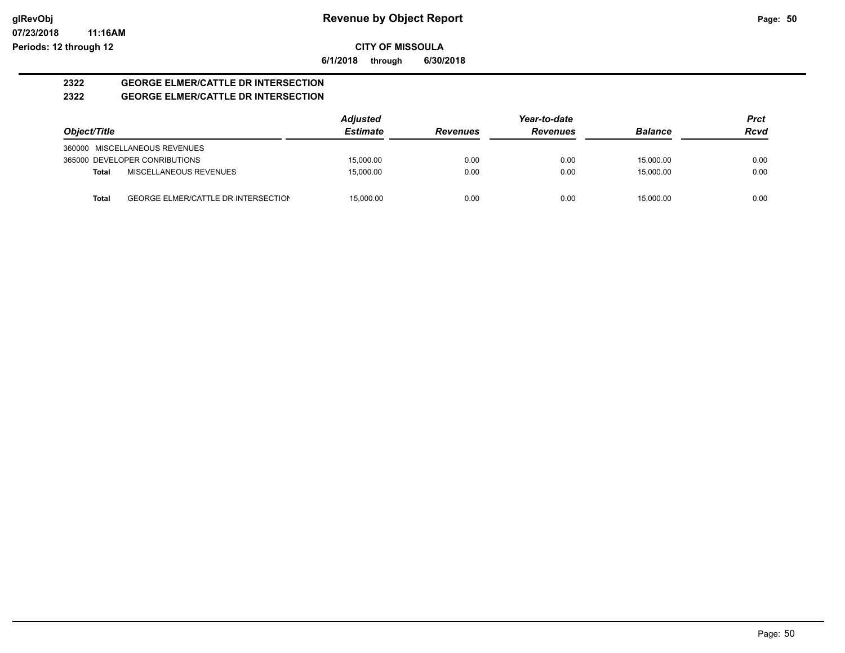**6/1/2018 through 6/30/2018**

#### **2322 GEORGE ELMER/CATTLE DR INTERSECTION 2322 GEORGE ELMER/CATTLE DR INTERSECTION**

|                                                            | <b>Adjusted</b> |                 | Year-to-date    |                | Prct |
|------------------------------------------------------------|-----------------|-----------------|-----------------|----------------|------|
| Object/Title                                               | <b>Estimate</b> | <b>Revenues</b> | <b>Revenues</b> | <b>Balance</b> | Rcvd |
| 360000 MISCELLANEOUS REVENUES                              |                 |                 |                 |                |      |
| 365000 DEVELOPER CONRIBUTIONS                              | 15,000.00       | 0.00            | 0.00            | 15,000.00      | 0.00 |
| MISCELLANEOUS REVENUES<br>Total                            | 15.000.00       | 0.00            | 0.00            | 15,000.00      | 0.00 |
| <b>GEORGE ELMER/CATTLE DR INTERSECTION</b><br><b>Total</b> | 15.000.00       | 0.00            | 0.00            | 15,000.00      | 0.00 |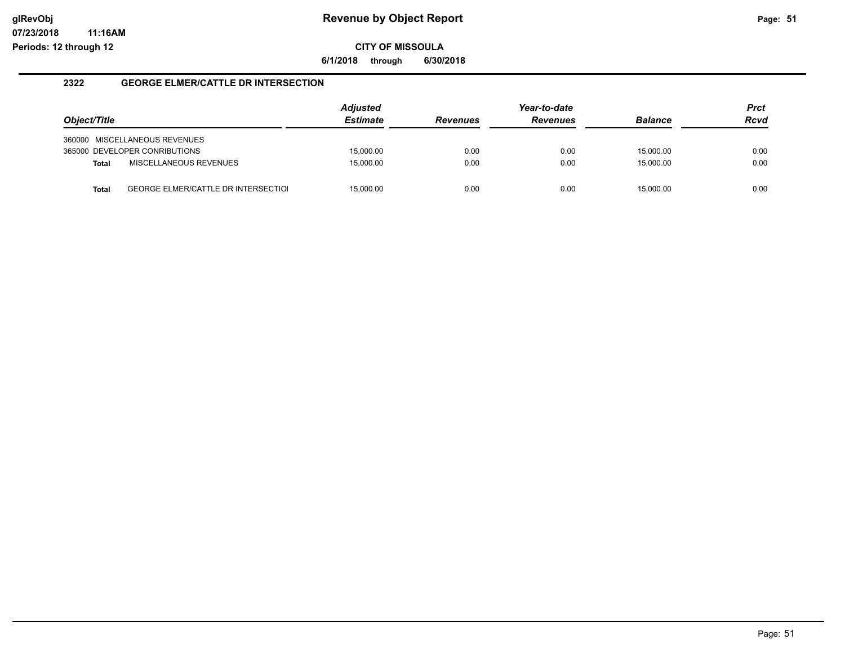**6/1/2018 through 6/30/2018**

#### **2322 GEORGE ELMER/CATTLE DR INTERSECTION**

| Object/Title |                                            | <b>Adjusted</b><br><b>Estimate</b> | <b>Revenues</b> | Year-to-date<br><b>Revenues</b> | <b>Balance</b> | <b>Prct</b><br><b>Rcvd</b> |
|--------------|--------------------------------------------|------------------------------------|-----------------|---------------------------------|----------------|----------------------------|
|              | 360000 MISCELLANEOUS REVENUES              |                                    |                 |                                 |                |                            |
|              | 365000 DEVELOPER CONRIBUTIONS              | 15.000.00                          | 0.00            | 0.00                            | 15.000.00      | 0.00                       |
| <b>Total</b> | MISCELLANEOUS REVENUES                     | 15.000.00                          | 0.00            | 0.00                            | 15.000.00      | 0.00                       |
| Total        | <b>GEORGE ELMER/CATTLE DR INTERSECTIOL</b> | 15.000.00                          | 0.00            | 0.00                            | 15.000.00      | 0.00                       |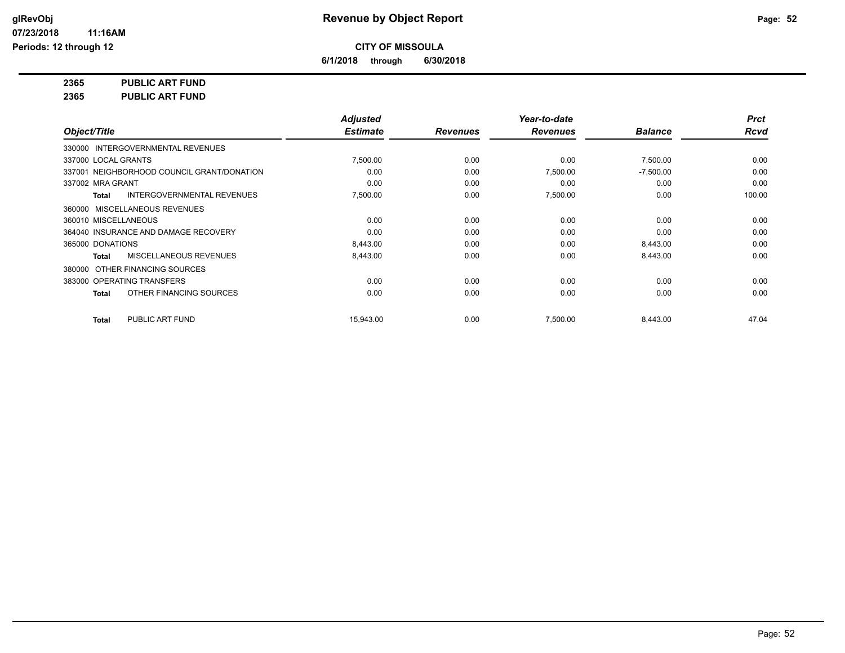**6/1/2018 through 6/30/2018**

**2365 PUBLIC ART FUND**

**2365 PUBLIC ART FUND**

|                                                   | <b>Adjusted</b> |                 | Year-to-date    |                | <b>Prct</b> |
|---------------------------------------------------|-----------------|-----------------|-----------------|----------------|-------------|
| Object/Title                                      | <b>Estimate</b> | <b>Revenues</b> | <b>Revenues</b> | <b>Balance</b> | <b>Rcvd</b> |
| 330000 INTERGOVERNMENTAL REVENUES                 |                 |                 |                 |                |             |
| 337000 LOCAL GRANTS                               | 7,500.00        | 0.00            | 0.00            | 7,500.00       | 0.00        |
| 337001 NEIGHBORHOOD COUNCIL GRANT/DONATION        | 0.00            | 0.00            | 7,500.00        | $-7,500.00$    | 0.00        |
| 337002 MRA GRANT                                  | 0.00            | 0.00            | 0.00            | 0.00           | 0.00        |
| <b>INTERGOVERNMENTAL REVENUES</b><br><b>Total</b> | 7,500.00        | 0.00            | 7,500.00        | 0.00           | 100.00      |
| 360000 MISCELLANEOUS REVENUES                     |                 |                 |                 |                |             |
| 360010 MISCELLANEOUS                              | 0.00            | 0.00            | 0.00            | 0.00           | 0.00        |
| 364040 INSURANCE AND DAMAGE RECOVERY              | 0.00            | 0.00            | 0.00            | 0.00           | 0.00        |
| 365000 DONATIONS                                  | 8,443.00        | 0.00            | 0.00            | 8,443.00       | 0.00        |
| MISCELLANEOUS REVENUES<br><b>Total</b>            | 8,443.00        | 0.00            | 0.00            | 8,443.00       | 0.00        |
| 380000 OTHER FINANCING SOURCES                    |                 |                 |                 |                |             |
| 383000 OPERATING TRANSFERS                        | 0.00            | 0.00            | 0.00            | 0.00           | 0.00        |
| OTHER FINANCING SOURCES<br><b>Total</b>           | 0.00            | 0.00            | 0.00            | 0.00           | 0.00        |
| PUBLIC ART FUND<br><b>Total</b>                   | 15.943.00       | 0.00            | 7,500.00        | 8,443.00       | 47.04       |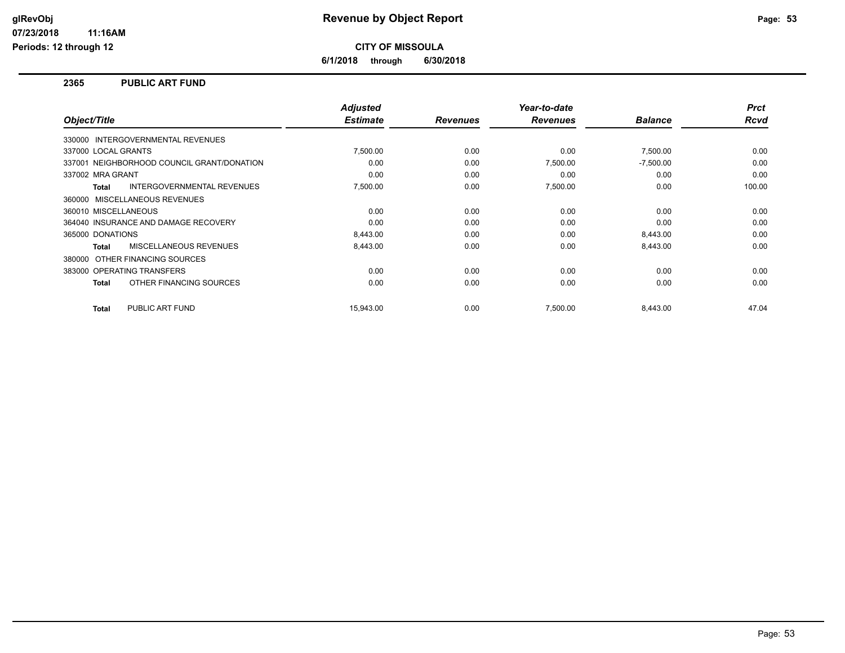**6/1/2018 through 6/30/2018**

#### **2365 PUBLIC ART FUND**

| Object/Title                               | <b>Adjusted</b><br><b>Estimate</b> | <b>Revenues</b> | Year-to-date<br><b>Revenues</b> | <b>Balance</b> | <b>Prct</b><br><b>Rcvd</b> |
|--------------------------------------------|------------------------------------|-----------------|---------------------------------|----------------|----------------------------|
| 330000 INTERGOVERNMENTAL REVENUES          |                                    |                 |                                 |                |                            |
| 337000 LOCAL GRANTS                        | 7,500.00                           | 0.00            | 0.00                            | 7,500.00       | 0.00                       |
| 337001 NEIGHBORHOOD COUNCIL GRANT/DONATION | 0.00                               | 0.00            | 7,500.00                        | $-7,500.00$    | 0.00                       |
| 337002 MRA GRANT                           | 0.00                               | 0.00            | 0.00                            | 0.00           | 0.00                       |
| INTERGOVERNMENTAL REVENUES<br><b>Total</b> | 7,500.00                           | 0.00            | 7,500.00                        | 0.00           | 100.00                     |
| 360000 MISCELLANEOUS REVENUES              |                                    |                 |                                 |                |                            |
| 360010 MISCELLANEOUS                       | 0.00                               | 0.00            | 0.00                            | 0.00           | 0.00                       |
| 364040 INSURANCE AND DAMAGE RECOVERY       | 0.00                               | 0.00            | 0.00                            | 0.00           | 0.00                       |
| 365000 DONATIONS                           | 8,443.00                           | 0.00            | 0.00                            | 8,443.00       | 0.00                       |
| MISCELLANEOUS REVENUES<br><b>Total</b>     | 8,443.00                           | 0.00            | 0.00                            | 8,443.00       | 0.00                       |
| 380000 OTHER FINANCING SOURCES             |                                    |                 |                                 |                |                            |
| 383000 OPERATING TRANSFERS                 | 0.00                               | 0.00            | 0.00                            | 0.00           | 0.00                       |
| OTHER FINANCING SOURCES<br><b>Total</b>    | 0.00                               | 0.00            | 0.00                            | 0.00           | 0.00                       |
| PUBLIC ART FUND<br><b>Total</b>            | 15.943.00                          | 0.00            | 7,500.00                        | 8,443.00       | 47.04                      |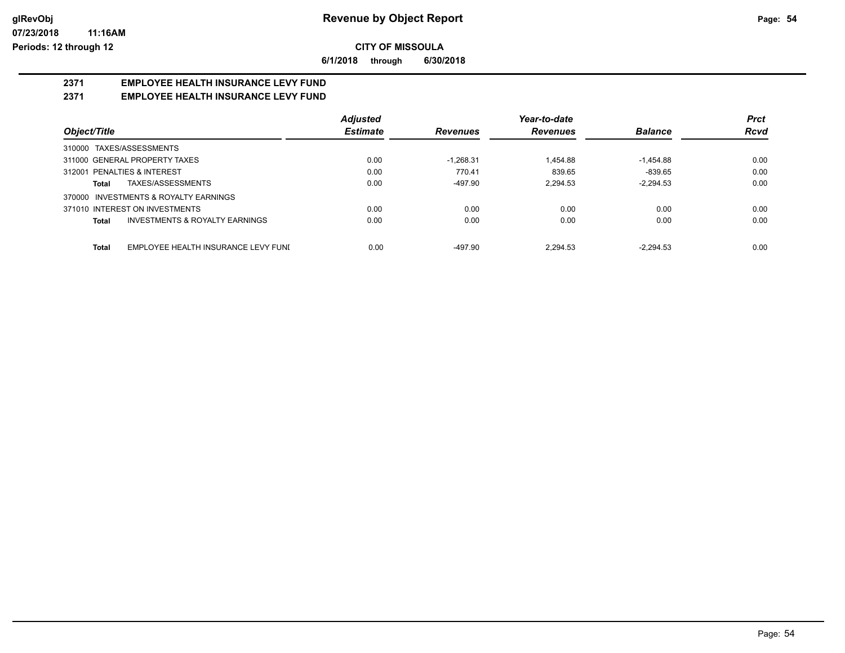**6/1/2018 through 6/30/2018**

# **2371 EMPLOYEE HEALTH INSURANCE LEVY FUND**

**2371 EMPLOYEE HEALTH INSURANCE LEVY FUND**

|                                              | <b>Adjusted</b> |                 | Year-to-date    |                | <b>Prct</b> |
|----------------------------------------------|-----------------|-----------------|-----------------|----------------|-------------|
| Object/Title                                 | <b>Estimate</b> | <b>Revenues</b> | <b>Revenues</b> | <b>Balance</b> | <b>Rcvd</b> |
| 310000 TAXES/ASSESSMENTS                     |                 |                 |                 |                |             |
| 311000 GENERAL PROPERTY TAXES                | 0.00            | $-1.268.31$     | 1.454.88        | $-1.454.88$    | 0.00        |
| 312001 PENALTIES & INTEREST                  | 0.00            | 770.41          | 839.65          | $-839.65$      | 0.00        |
| TAXES/ASSESSMENTS<br>Total                   | 0.00            | $-497.90$       | 2.294.53        | $-2.294.53$    | 0.00        |
| 370000 INVESTMENTS & ROYALTY EARNINGS        |                 |                 |                 |                |             |
| 371010 INTEREST ON INVESTMENTS               | 0.00            | 0.00            | 0.00            | 0.00           | 0.00        |
| INVESTMENTS & ROYALTY EARNINGS<br>Total      | 0.00            | 0.00            | 0.00            | 0.00           | 0.00        |
| EMPLOYEE HEALTH INSURANCE LEVY FUNI<br>Total | 0.00            | $-497.90$       | 2.294.53        | $-2.294.53$    | 0.00        |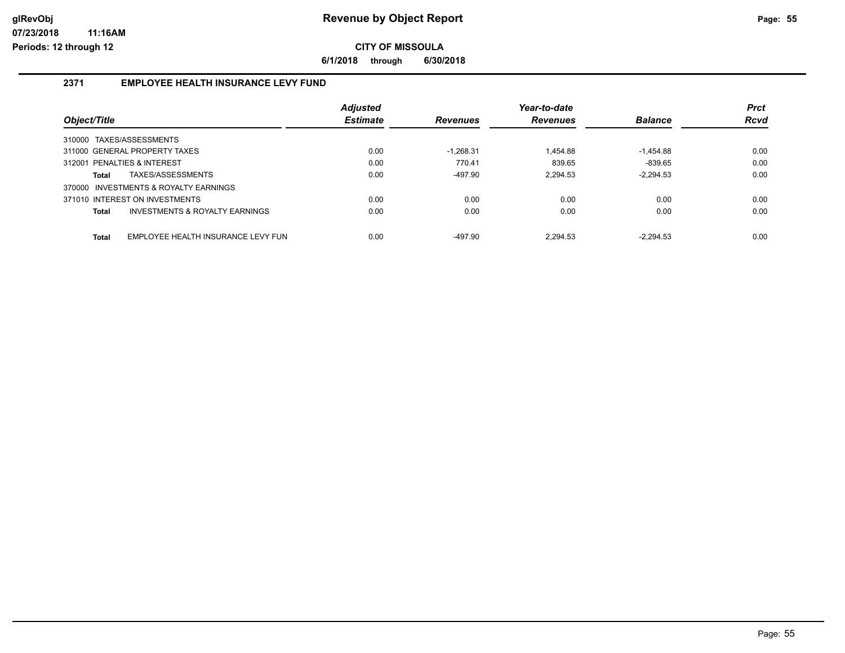**6/1/2018 through 6/30/2018**

#### **2371 EMPLOYEE HEALTH INSURANCE LEVY FUND**

|                                                    | <b>Adjusted</b> |                 | Year-to-date    |                | <b>Prct</b> |
|----------------------------------------------------|-----------------|-----------------|-----------------|----------------|-------------|
| Object/Title                                       | <b>Estimate</b> | <b>Revenues</b> | <b>Revenues</b> | <b>Balance</b> | <b>Rcvd</b> |
| 310000 TAXES/ASSESSMENTS                           |                 |                 |                 |                |             |
| 311000 GENERAL PROPERTY TAXES                      | 0.00            | $-1.268.31$     | 1.454.88        | $-1.454.88$    | 0.00        |
| 312001 PENALTIES & INTEREST                        | 0.00            | 770.41          | 839.65          | -839.65        | 0.00        |
| TAXES/ASSESSMENTS<br><b>Total</b>                  | 0.00            | $-497.90$       | 2.294.53        | $-2.294.53$    | 0.00        |
| 370000 INVESTMENTS & ROYALTY EARNINGS              |                 |                 |                 |                |             |
| 371010 INTEREST ON INVESTMENTS                     | 0.00            | 0.00            | 0.00            | 0.00           | 0.00        |
| INVESTMENTS & ROYALTY EARNINGS<br><b>Total</b>     | 0.00            | 0.00            | 0.00            | 0.00           | 0.00        |
|                                                    |                 |                 |                 |                |             |
| <b>Total</b><br>EMPLOYEE HEALTH INSURANCE LEVY FUN | 0.00            | -497.90         | 2.294.53        | $-2.294.53$    | 0.00        |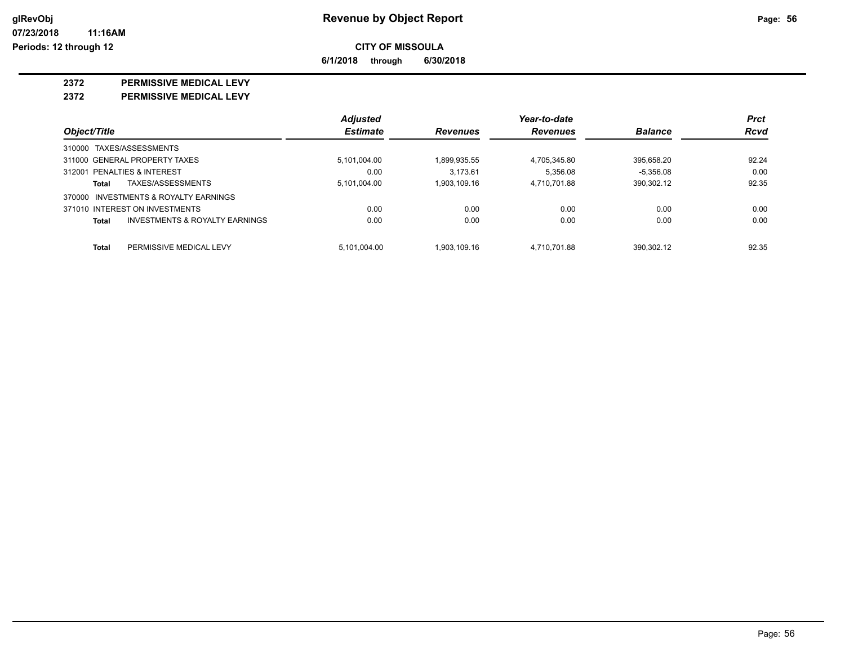**6/1/2018 through 6/30/2018**

**2372 PERMISSIVE MEDICAL LEVY**

**2372 PERMISSIVE MEDICAL LEVY**

|                                                    | <b>Adjusted</b> |                 | Year-to-date    |                | <b>Prct</b> |
|----------------------------------------------------|-----------------|-----------------|-----------------|----------------|-------------|
| Object/Title                                       | <b>Estimate</b> | <b>Revenues</b> | <b>Revenues</b> | <b>Balance</b> | Rcvd        |
| 310000 TAXES/ASSESSMENTS                           |                 |                 |                 |                |             |
| 311000 GENERAL PROPERTY TAXES                      | 5,101,004.00    | 1,899,935.55    | 4,705,345.80    | 395.658.20     | 92.24       |
| 312001 PENALTIES & INTEREST                        | 0.00            | 3.173.61        | 5.356.08        | $-5.356.08$    | 0.00        |
| TAXES/ASSESSMENTS<br>Total                         | 5.101.004.00    | 1.903.109.16    | 4.710.701.88    | 390.302.12     | 92.35       |
| 370000 INVESTMENTS & ROYALTY EARNINGS              |                 |                 |                 |                |             |
| 371010 INTEREST ON INVESTMENTS                     | 0.00            | 0.00            | 0.00            | 0.00           | 0.00        |
| <b>INVESTMENTS &amp; ROYALTY EARNINGS</b><br>Total | 0.00            | 0.00            | 0.00            | 0.00           | 0.00        |
| Total<br>PERMISSIVE MEDICAL LEVY                   | 5.101.004.00    | 1.903.109.16    | 4.710.701.88    | 390.302.12     | 92.35       |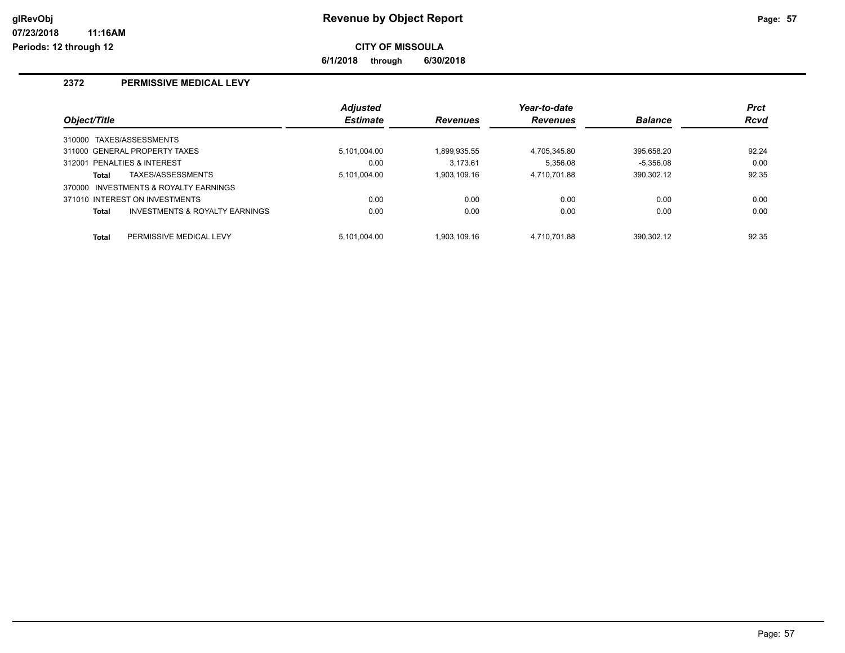**6/1/2018 through 6/30/2018**

#### **2372 PERMISSIVE MEDICAL LEVY**

|              |                                       | <b>Adjusted</b> |                 | Year-to-date    |                | <b>Prct</b> |
|--------------|---------------------------------------|-----------------|-----------------|-----------------|----------------|-------------|
| Object/Title |                                       | <b>Estimate</b> | <b>Revenues</b> | <b>Revenues</b> | <b>Balance</b> | <b>Rcvd</b> |
| 310000       | TAXES/ASSESSMENTS                     |                 |                 |                 |                |             |
|              | 311000 GENERAL PROPERTY TAXES         | 5.101.004.00    | 1.899.935.55    | 4,705,345.80    | 395.658.20     | 92.24       |
|              | 312001 PENALTIES & INTEREST           | 0.00            | 3.173.61        | 5.356.08        | $-5.356.08$    | 0.00        |
| <b>Total</b> | TAXES/ASSESSMENTS                     | 5.101.004.00    | 1.903.109.16    | 4.710.701.88    | 390.302.12     | 92.35       |
|              | 370000 INVESTMENTS & ROYALTY EARNINGS |                 |                 |                 |                |             |
|              | 371010 INTEREST ON INVESTMENTS        | 0.00            | 0.00            | 0.00            | 0.00           | 0.00        |
| <b>Total</b> | INVESTMENTS & ROYALTY EARNINGS        | 0.00            | 0.00            | 0.00            | 0.00           | 0.00        |
| <b>Total</b> | PERMISSIVE MEDICAL LEVY               | 5.101.004.00    | 1.903.109.16    | 4.710.701.88    | 390.302.12     | 92.35       |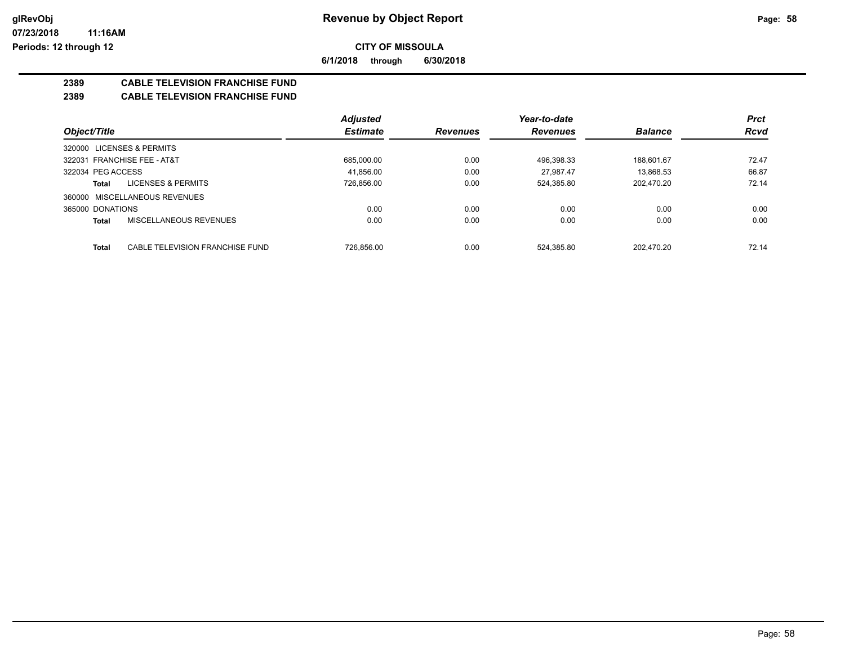**6/1/2018 through 6/30/2018**

# **2389 CABLE TELEVISION FRANCHISE FUND**

### **2389 CABLE TELEVISION FRANCHISE FUND**

|                                          | <b>Adjusted</b> |                 | Year-to-date    |                | <b>Prct</b> |
|------------------------------------------|-----------------|-----------------|-----------------|----------------|-------------|
| Object/Title                             | <b>Estimate</b> | <b>Revenues</b> | <b>Revenues</b> | <b>Balance</b> | <b>Rcvd</b> |
| 320000 LICENSES & PERMITS                |                 |                 |                 |                |             |
| 322031 FRANCHISE FEE - AT&T              | 685.000.00      | 0.00            | 496,398.33      | 188.601.67     | 72.47       |
| 322034 PEG ACCESS                        | 41,856.00       | 0.00            | 27.987.47       | 13.868.53      | 66.87       |
| <b>LICENSES &amp; PERMITS</b><br>Total   | 726.856.00      | 0.00            | 524.385.80      | 202.470.20     | 72.14       |
| 360000 MISCELLANEOUS REVENUES            |                 |                 |                 |                |             |
| 365000 DONATIONS                         | 0.00            | 0.00            | 0.00            | 0.00           | 0.00        |
| MISCELLANEOUS REVENUES<br>Total          | 0.00            | 0.00            | 0.00            | 0.00           | 0.00        |
|                                          |                 |                 |                 |                |             |
| CABLE TELEVISION FRANCHISE FUND<br>Total | 726.856.00      | 0.00            | 524.385.80      | 202.470.20     | 72.14       |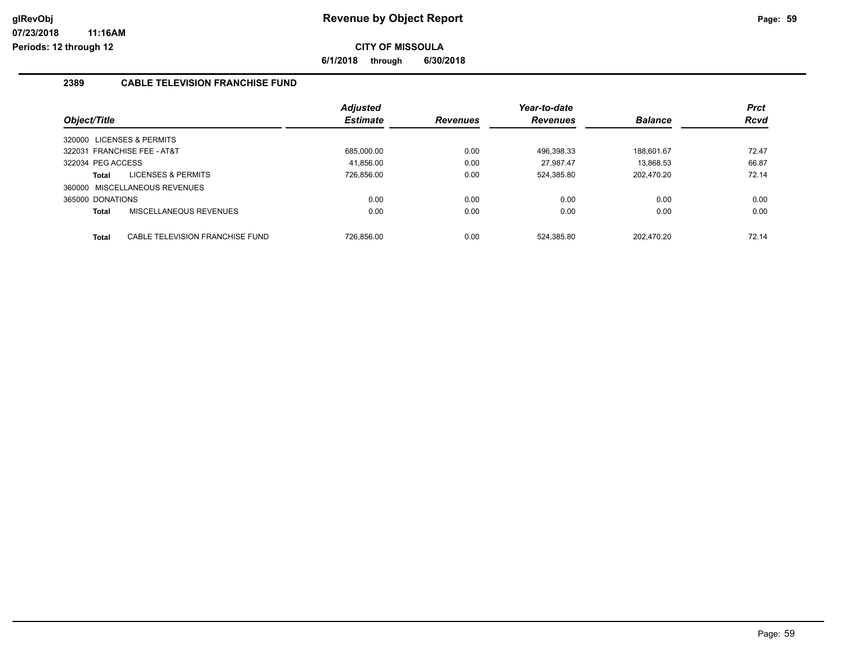**6/1/2018 through 6/30/2018**

#### **2389 CABLE TELEVISION FRANCHISE FUND**

|                           |                                 | <b>Adjusted</b> |                 | Year-to-date    |                | <b>Prct</b> |
|---------------------------|---------------------------------|-----------------|-----------------|-----------------|----------------|-------------|
| Object/Title              |                                 | <b>Estimate</b> | <b>Revenues</b> | <b>Revenues</b> | <b>Balance</b> | <b>Rcvd</b> |
| 320000 LICENSES & PERMITS |                                 |                 |                 |                 |                |             |
|                           | 322031 FRANCHISE FEE - AT&T     | 685,000.00      | 0.00            | 496,398.33      | 188,601.67     | 72.47       |
| 322034 PEG ACCESS         |                                 | 41.856.00       | 0.00            | 27.987.47       | 13.868.53      | 66.87       |
| Total                     | <b>LICENSES &amp; PERMITS</b>   | 726.856.00      | 0.00            | 524,385.80      | 202.470.20     | 72.14       |
|                           | 360000 MISCELLANEOUS REVENUES   |                 |                 |                 |                |             |
| 365000 DONATIONS          |                                 | 0.00            | 0.00            | 0.00            | 0.00           | 0.00        |
| Total                     | MISCELLANEOUS REVENUES          | 0.00            | 0.00            | 0.00            | 0.00           | 0.00        |
|                           |                                 |                 |                 |                 |                |             |
| Total                     | CABLE TELEVISION FRANCHISE FUND | 726,856.00      | 0.00            | 524.385.80      | 202.470.20     | 72.14       |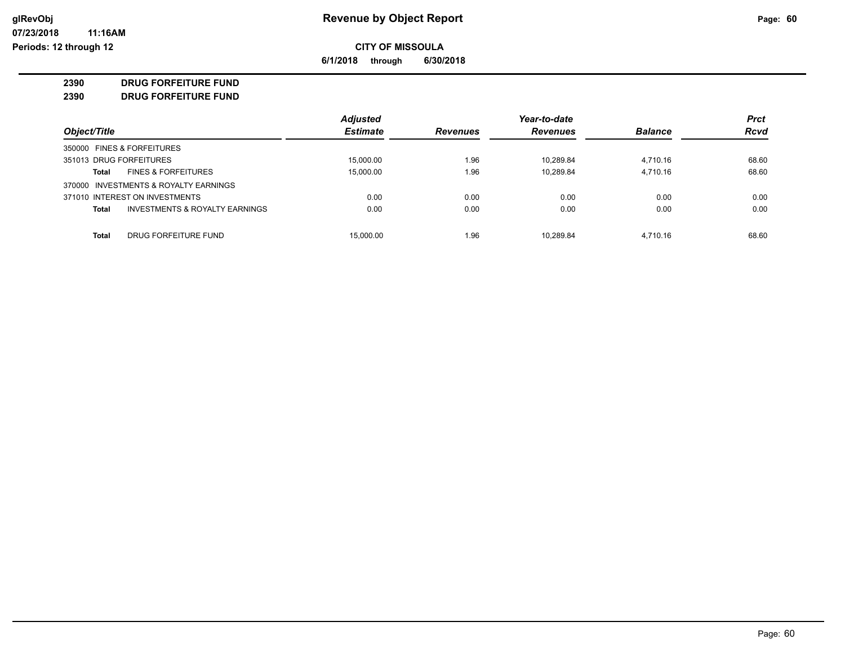**6/1/2018 through 6/30/2018**

#### **2390 DRUG FORFEITURE FUND**

**2390 DRUG FORFEITURE FUND**

|                                                    | <b>Adiusted</b> |                 | Year-to-date    |                | <b>Prct</b> |
|----------------------------------------------------|-----------------|-----------------|-----------------|----------------|-------------|
| Object/Title                                       | <b>Estimate</b> | <b>Revenues</b> | <b>Revenues</b> | <b>Balance</b> | <b>Rcvd</b> |
| 350000 FINES & FORFEITURES                         |                 |                 |                 |                |             |
| 351013 DRUG FORFEITURES                            | 15.000.00       | 1.96            | 10.289.84       | 4.710.16       | 68.60       |
| <b>FINES &amp; FORFEITURES</b><br><b>Total</b>     | 15.000.00       | 1.96            | 10,289.84       | 4,710.16       | 68.60       |
| 370000 INVESTMENTS & ROYALTY EARNINGS              |                 |                 |                 |                |             |
| 371010 INTEREST ON INVESTMENTS                     | 0.00            | 0.00            | 0.00            | 0.00           | 0.00        |
| <b>INVESTMENTS &amp; ROYALTY EARNINGS</b><br>Total | 0.00            | 0.00            | 0.00            | 0.00           | 0.00        |
| DRUG FORFEITURE FUND<br>Total                      | 15,000.00       | 1.96            | 10.289.84       | 4.710.16       | 68.60       |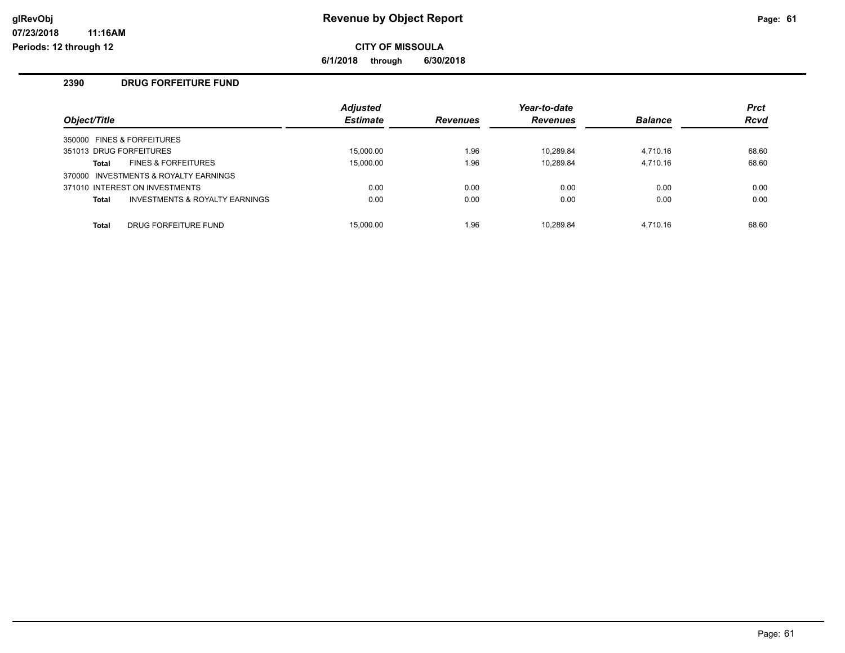**Periods: 12 through 12**

**CITY OF MISSOULA**

**6/1/2018 through 6/30/2018**

#### **2390 DRUG FORFEITURE FUND**

|              |                                           | <b>Adjusted</b> |                 | Year-to-date    |                | <b>Prct</b> |
|--------------|-------------------------------------------|-----------------|-----------------|-----------------|----------------|-------------|
| Object/Title |                                           | <b>Estimate</b> | <b>Revenues</b> | <b>Revenues</b> | <b>Balance</b> | <b>Rcvd</b> |
| 350000       | <b>FINES &amp; FORFEITURES</b>            |                 |                 |                 |                |             |
|              | 351013 DRUG FORFEITURES                   | 15.000.00       | 1.96            | 10.289.84       | 4.710.16       | 68.60       |
| Total        | <b>FINES &amp; FORFEITURES</b>            | 15,000.00       | 1.96            | 10.289.84       | 4,710.16       | 68.60       |
| 370000       | INVESTMENTS & ROYALTY EARNINGS            |                 |                 |                 |                |             |
|              | 371010 INTEREST ON INVESTMENTS            | 0.00            | 0.00            | 0.00            | 0.00           | 0.00        |
| <b>Total</b> | <b>INVESTMENTS &amp; ROYALTY EARNINGS</b> | 0.00            | 0.00            | 0.00            | 0.00           | 0.00        |
| Total        | DRUG FORFEITURE FUND                      | 15.000.00       | 1.96            | 10.289.84       | 4.710.16       | 68.60       |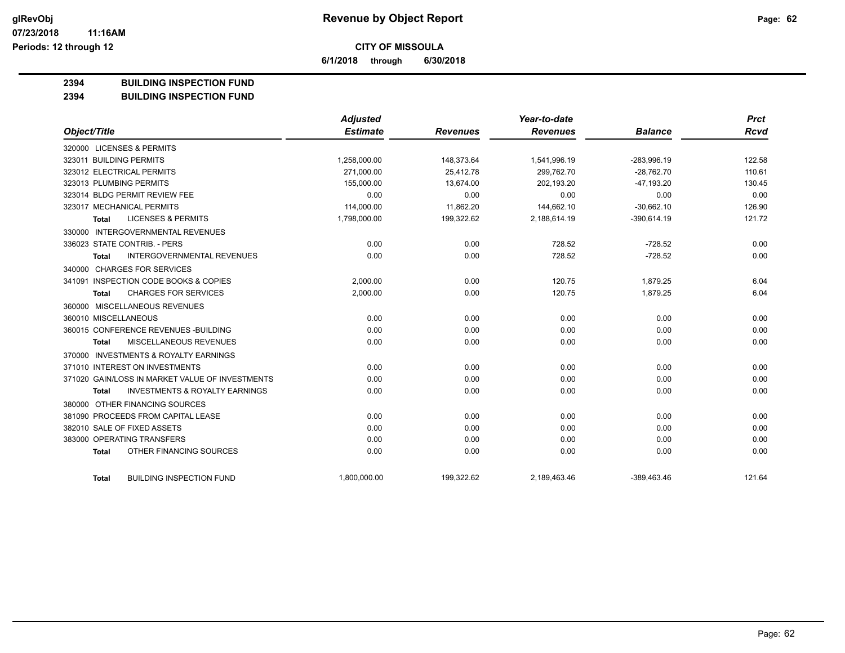**6/1/2018 through 6/30/2018**

#### **2394 BUILDING INSPECTION FUND**

#### **2394 BUILDING INSPECTION FUND**

|                         |                                                 | <b>Adjusted</b> |                 | Year-to-date    |                | <b>Prct</b> |
|-------------------------|-------------------------------------------------|-----------------|-----------------|-----------------|----------------|-------------|
| Object/Title            |                                                 | <b>Estimate</b> | <b>Revenues</b> | <b>Revenues</b> | <b>Balance</b> | <b>Rcvd</b> |
|                         | 320000 LICENSES & PERMITS                       |                 |                 |                 |                |             |
| 323011 BUILDING PERMITS |                                                 | 1,258,000.00    | 148,373.64      | 1,541,996.19    | $-283,996.19$  | 122.58      |
|                         | 323012 ELECTRICAL PERMITS                       | 271.000.00      | 25.412.78       | 299.762.70      | $-28.762.70$   | 110.61      |
| 323013 PLUMBING PERMITS |                                                 | 155,000.00      | 13,674.00       | 202,193.20      | $-47,193.20$   | 130.45      |
|                         | 323014 BLDG PERMIT REVIEW FEE                   | 0.00            | 0.00            | 0.00            | 0.00           | 0.00        |
|                         | 323017 MECHANICAL PERMITS                       | 114,000.00      | 11,862.20       | 144,662.10      | $-30,662.10$   | 126.90      |
| <b>Total</b>            | <b>LICENSES &amp; PERMITS</b>                   | 1,798,000.00    | 199,322.62      | 2,188,614.19    | $-390,614.19$  | 121.72      |
|                         | 330000 INTERGOVERNMENTAL REVENUES               |                 |                 |                 |                |             |
|                         | 336023 STATE CONTRIB. - PERS                    | 0.00            | 0.00            | 728.52          | $-728.52$      | 0.00        |
| <b>Total</b>            | <b>INTERGOVERNMENTAL REVENUES</b>               | 0.00            | 0.00            | 728.52          | $-728.52$      | 0.00        |
|                         | 340000 CHARGES FOR SERVICES                     |                 |                 |                 |                |             |
|                         | 341091 INSPECTION CODE BOOKS & COPIES           | 2,000.00        | 0.00            | 120.75          | 1.879.25       | 6.04        |
| <b>Total</b>            | <b>CHARGES FOR SERVICES</b>                     | 2,000.00        | 0.00            | 120.75          | 1,879.25       | 6.04        |
|                         | 360000 MISCELLANEOUS REVENUES                   |                 |                 |                 |                |             |
| 360010 MISCELLANEOUS    |                                                 | 0.00            | 0.00            | 0.00            | 0.00           | 0.00        |
|                         | 360015 CONFERENCE REVENUES - BUILDING           | 0.00            | 0.00            | 0.00            | 0.00           | 0.00        |
| <b>Total</b>            | <b>MISCELLANEOUS REVENUES</b>                   | 0.00            | 0.00            | 0.00            | 0.00           | 0.00        |
|                         | 370000 INVESTMENTS & ROYALTY EARNINGS           |                 |                 |                 |                |             |
|                         | 371010 INTEREST ON INVESTMENTS                  | 0.00            | 0.00            | 0.00            | 0.00           | 0.00        |
|                         | 371020 GAIN/LOSS IN MARKET VALUE OF INVESTMENTS | 0.00            | 0.00            | 0.00            | 0.00           | 0.00        |
| <b>Total</b>            | <b>INVESTMENTS &amp; ROYALTY EARNINGS</b>       | 0.00            | 0.00            | 0.00            | 0.00           | 0.00        |
|                         | 380000 OTHER FINANCING SOURCES                  |                 |                 |                 |                |             |
|                         | 381090 PROCEEDS FROM CAPITAL LEASE              | 0.00            | 0.00            | 0.00            | 0.00           | 0.00        |
|                         | 382010 SALE OF FIXED ASSETS                     | 0.00            | 0.00            | 0.00            | 0.00           | 0.00        |
|                         | 383000 OPERATING TRANSFERS                      | 0.00            | 0.00            | 0.00            | 0.00           | 0.00        |
| <b>Total</b>            | OTHER FINANCING SOURCES                         | 0.00            | 0.00            | 0.00            | 0.00           | 0.00        |
| <b>Total</b>            | <b>BUILDING INSPECTION FUND</b>                 | 1,800,000.00    | 199,322.62      | 2,189,463.46    | $-389,463.46$  | 121.64      |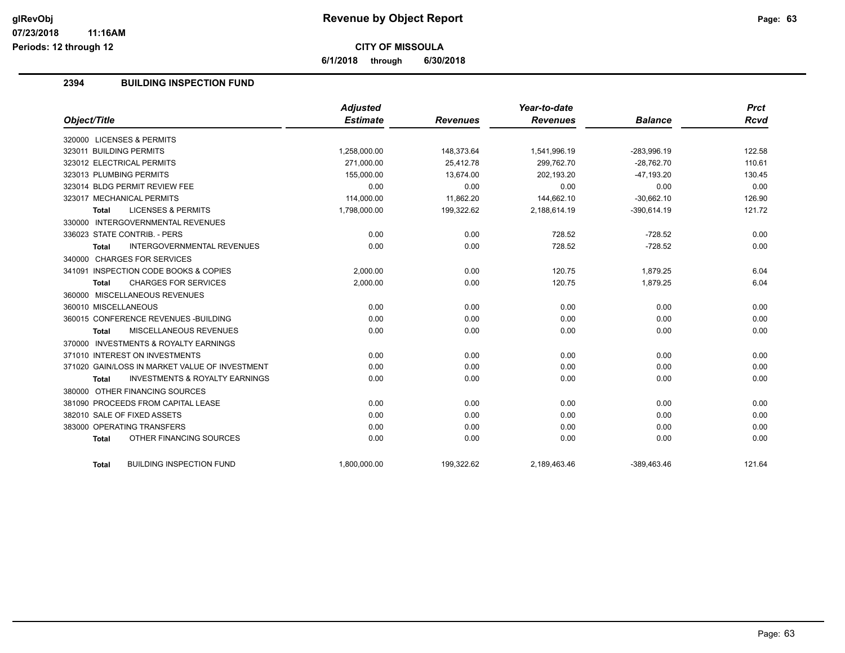**6/1/2018 through 6/30/2018**

#### **2394 BUILDING INSPECTION FUND**

|                                                           | <b>Adjusted</b> |                 | Year-to-date    |                | <b>Prct</b> |
|-----------------------------------------------------------|-----------------|-----------------|-----------------|----------------|-------------|
| Object/Title                                              | <b>Estimate</b> | <b>Revenues</b> | <b>Revenues</b> | <b>Balance</b> | <b>Rcvd</b> |
| 320000 LICENSES & PERMITS                                 |                 |                 |                 |                |             |
| 323011 BUILDING PERMITS                                   | 1,258,000.00    | 148,373.64      | 1,541,996.19    | $-283,996.19$  | 122.58      |
| 323012 ELECTRICAL PERMITS                                 | 271,000.00      | 25,412.78       | 299,762.70      | $-28,762.70$   | 110.61      |
| 323013 PLUMBING PERMITS                                   | 155,000.00      | 13,674.00       | 202,193.20      | $-47,193.20$   | 130.45      |
| 323014 BLDG PERMIT REVIEW FEE                             | 0.00            | 0.00            | 0.00            | 0.00           | 0.00        |
| 323017 MECHANICAL PERMITS                                 | 114,000.00      | 11,862.20       | 144,662.10      | $-30,662.10$   | 126.90      |
| <b>LICENSES &amp; PERMITS</b><br><b>Total</b>             | 1,798,000.00    | 199,322.62      | 2,188,614.19    | $-390,614.19$  | 121.72      |
| 330000 INTERGOVERNMENTAL REVENUES                         |                 |                 |                 |                |             |
| 336023 STATE CONTRIB. - PERS                              | 0.00            | 0.00            | 728.52          | $-728.52$      | 0.00        |
| <b>INTERGOVERNMENTAL REVENUES</b><br>Total                | 0.00            | 0.00            | 728.52          | $-728.52$      | 0.00        |
| 340000 CHARGES FOR SERVICES                               |                 |                 |                 |                |             |
| 341091 INSPECTION CODE BOOKS & COPIES                     | 2,000.00        | 0.00            | 120.75          | 1,879.25       | 6.04        |
| <b>CHARGES FOR SERVICES</b><br><b>Total</b>               | 2,000.00        | 0.00            | 120.75          | 1,879.25       | 6.04        |
| 360000 MISCELLANEOUS REVENUES                             |                 |                 |                 |                |             |
| 360010 MISCELLANEOUS                                      | 0.00            | 0.00            | 0.00            | 0.00           | 0.00        |
| 360015 CONFERENCE REVENUES - BUILDING                     | 0.00            | 0.00            | 0.00            | 0.00           | 0.00        |
| MISCELLANEOUS REVENUES<br><b>Total</b>                    | 0.00            | 0.00            | 0.00            | 0.00           | 0.00        |
| 370000 INVESTMENTS & ROYALTY EARNINGS                     |                 |                 |                 |                |             |
| 371010 INTEREST ON INVESTMENTS                            | 0.00            | 0.00            | 0.00            | 0.00           | 0.00        |
| 371020 GAIN/LOSS IN MARKET VALUE OF INVESTMENT            | 0.00            | 0.00            | 0.00            | 0.00           | 0.00        |
| <b>INVESTMENTS &amp; ROYALTY EARNINGS</b><br><b>Total</b> | 0.00            | 0.00            | 0.00            | 0.00           | 0.00        |
| 380000 OTHER FINANCING SOURCES                            |                 |                 |                 |                |             |
| 381090 PROCEEDS FROM CAPITAL LEASE                        | 0.00            | 0.00            | 0.00            | 0.00           | 0.00        |
| 382010 SALE OF FIXED ASSETS                               | 0.00            | 0.00            | 0.00            | 0.00           | 0.00        |
| 383000 OPERATING TRANSFERS                                | 0.00            | 0.00            | 0.00            | 0.00           | 0.00        |
| OTHER FINANCING SOURCES<br><b>Total</b>                   | 0.00            | 0.00            | 0.00            | 0.00           | 0.00        |
| <b>BUILDING INSPECTION FUND</b><br><b>Total</b>           | 1,800,000.00    | 199,322.62      | 2,189,463.46    | $-389,463.46$  | 121.64      |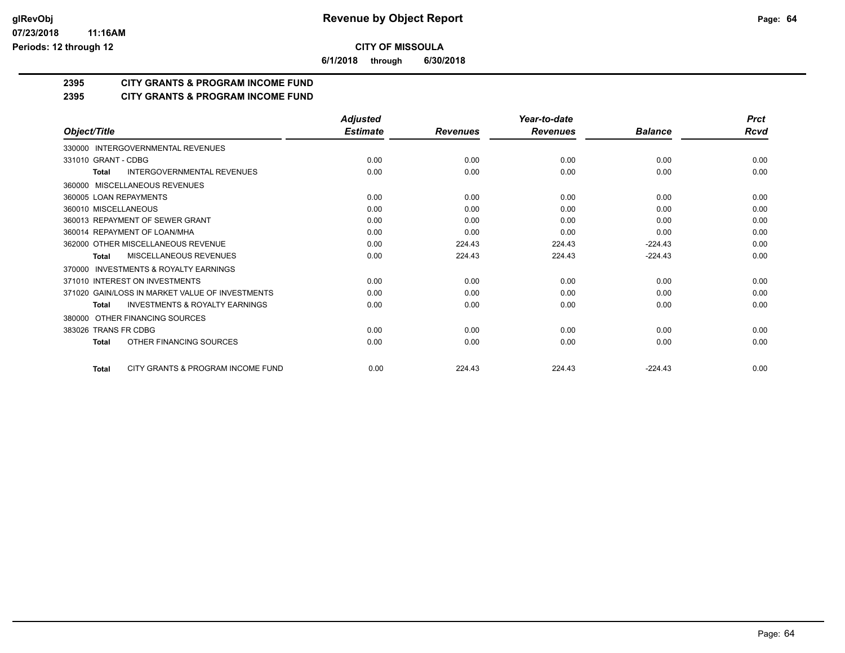**6/1/2018 through 6/30/2018**

## **2395 CITY GRANTS & PROGRAM INCOME FUND**

### **2395 CITY GRANTS & PROGRAM INCOME FUND**

|                                                           | <b>Adjusted</b> |                 | Year-to-date    |                | <b>Prct</b> |
|-----------------------------------------------------------|-----------------|-----------------|-----------------|----------------|-------------|
| Object/Title                                              | <b>Estimate</b> | <b>Revenues</b> | <b>Revenues</b> | <b>Balance</b> | Rcvd        |
| 330000 INTERGOVERNMENTAL REVENUES                         |                 |                 |                 |                |             |
| 331010 GRANT - CDBG                                       | 0.00            | 0.00            | 0.00            | 0.00           | 0.00        |
| <b>INTERGOVERNMENTAL REVENUES</b><br><b>Total</b>         | 0.00            | 0.00            | 0.00            | 0.00           | 0.00        |
| MISCELLANEOUS REVENUES<br>360000                          |                 |                 |                 |                |             |
| 360005 LOAN REPAYMENTS                                    | 0.00            | 0.00            | 0.00            | 0.00           | 0.00        |
| 360010 MISCELLANEOUS                                      | 0.00            | 0.00            | 0.00            | 0.00           | 0.00        |
| 360013 REPAYMENT OF SEWER GRANT                           | 0.00            | 0.00            | 0.00            | 0.00           | 0.00        |
| 360014 REPAYMENT OF LOAN/MHA                              | 0.00            | 0.00            | 0.00            | 0.00           | 0.00        |
| 362000 OTHER MISCELLANEOUS REVENUE                        | 0.00            | 224.43          | 224.43          | $-224.43$      | 0.00        |
| MISCELLANEOUS REVENUES<br><b>Total</b>                    | 0.00            | 224.43          | 224.43          | $-224.43$      | 0.00        |
| INVESTMENTS & ROYALTY EARNINGS<br>370000                  |                 |                 |                 |                |             |
| 371010 INTEREST ON INVESTMENTS                            | 0.00            | 0.00            | 0.00            | 0.00           | 0.00        |
| 371020 GAIN/LOSS IN MARKET VALUE OF INVESTMENTS           | 0.00            | 0.00            | 0.00            | 0.00           | 0.00        |
| <b>INVESTMENTS &amp; ROYALTY EARNINGS</b><br><b>Total</b> | 0.00            | 0.00            | 0.00            | 0.00           | 0.00        |
| OTHER FINANCING SOURCES<br>380000                         |                 |                 |                 |                |             |
| 383026 TRANS FR CDBG                                      | 0.00            | 0.00            | 0.00            | 0.00           | 0.00        |
| OTHER FINANCING SOURCES<br><b>Total</b>                   | 0.00            | 0.00            | 0.00            | 0.00           | 0.00        |
| CITY GRANTS & PROGRAM INCOME FUND<br><b>Total</b>         | 0.00            | 224.43          | 224.43          | $-224.43$      | 0.00        |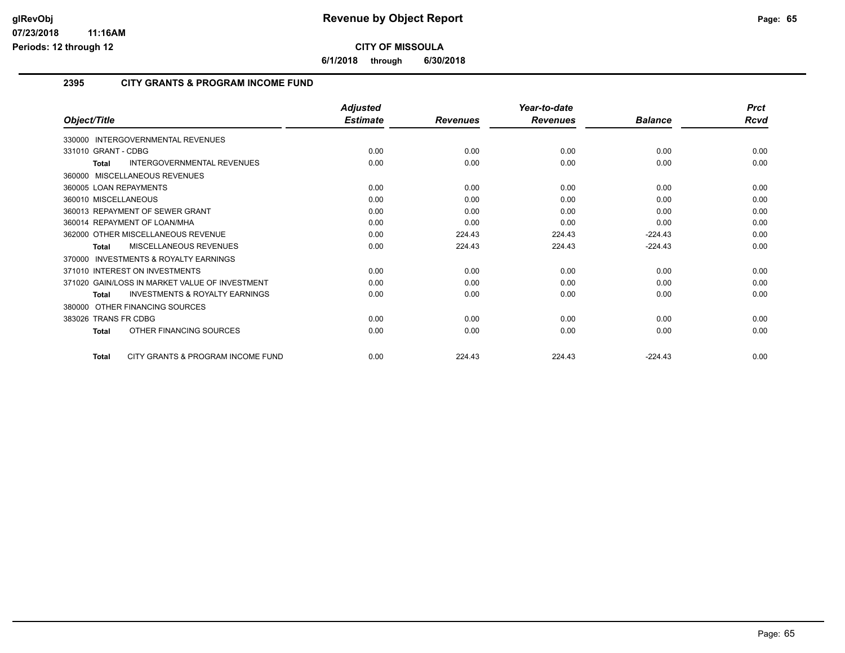**6/1/2018 through 6/30/2018**

#### **2395 CITY GRANTS & PROGRAM INCOME FUND**

|                                                    | <b>Adjusted</b> |                 | Year-to-date    |                | <b>Prct</b> |
|----------------------------------------------------|-----------------|-----------------|-----------------|----------------|-------------|
| Object/Title                                       | <b>Estimate</b> | <b>Revenues</b> | <b>Revenues</b> | <b>Balance</b> | Rcvd        |
| 330000 INTERGOVERNMENTAL REVENUES                  |                 |                 |                 |                |             |
| 331010 GRANT - CDBG                                | 0.00            | 0.00            | 0.00            | 0.00           | 0.00        |
| <b>INTERGOVERNMENTAL REVENUES</b><br><b>Total</b>  | 0.00            | 0.00            | 0.00            | 0.00           | 0.00        |
| 360000 MISCELLANEOUS REVENUES                      |                 |                 |                 |                |             |
| 360005 LOAN REPAYMENTS                             | 0.00            | 0.00            | 0.00            | 0.00           | 0.00        |
| 360010 MISCELLANEOUS                               | 0.00            | 0.00            | 0.00            | 0.00           | 0.00        |
| 360013 REPAYMENT OF SEWER GRANT                    | 0.00            | 0.00            | 0.00            | 0.00           | 0.00        |
| 360014 REPAYMENT OF LOAN/MHA                       | 0.00            | 0.00            | 0.00            | 0.00           | 0.00        |
| 362000 OTHER MISCELLANEOUS REVENUE                 | 0.00            | 224.43          | 224.43          | $-224.43$      | 0.00        |
| MISCELLANEOUS REVENUES<br><b>Total</b>             | 0.00            | 224.43          | 224.43          | $-224.43$      | 0.00        |
| 370000 INVESTMENTS & ROYALTY EARNINGS              |                 |                 |                 |                |             |
| 371010 INTEREST ON INVESTMENTS                     | 0.00            | 0.00            | 0.00            | 0.00           | 0.00        |
| 371020 GAIN/LOSS IN MARKET VALUE OF INVESTMENT     | 0.00            | 0.00            | 0.00            | 0.00           | 0.00        |
| <b>INVESTMENTS &amp; ROYALTY EARNINGS</b><br>Total | 0.00            | 0.00            | 0.00            | 0.00           | 0.00        |
| 380000 OTHER FINANCING SOURCES                     |                 |                 |                 |                |             |
| 383026 TRANS FR CDBG                               | 0.00            | 0.00            | 0.00            | 0.00           | 0.00        |
| OTHER FINANCING SOURCES<br>Total                   | 0.00            | 0.00            | 0.00            | 0.00           | 0.00        |
| CITY GRANTS & PROGRAM INCOME FUND<br><b>Total</b>  | 0.00            | 224.43          | 224.43          | $-224.43$      | 0.00        |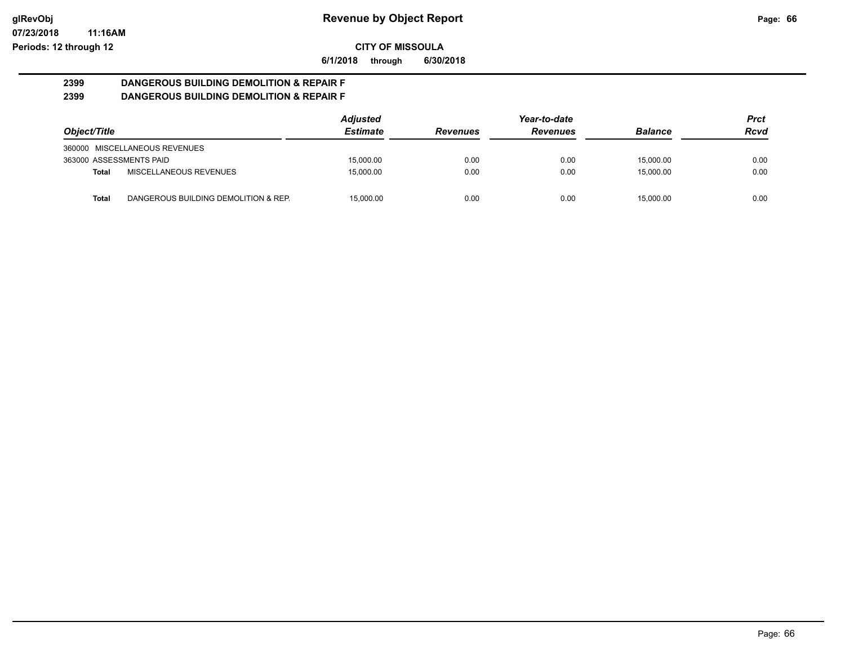**6/1/2018 through 6/30/2018**

#### **2399 DANGEROUS BUILDING DEMOLITION & REPAIR F 2399 DANGEROUS BUILDING DEMOLITION & REPAIR F**

|                         |                                      | <b>Adjusted</b> |                 | Year-to-date    |                | Prct |
|-------------------------|--------------------------------------|-----------------|-----------------|-----------------|----------------|------|
| Object/Title            |                                      | <b>Estimate</b> | <b>Revenues</b> | <b>Revenues</b> | <b>Balance</b> | Rcvd |
|                         | 360000 MISCELLANEOUS REVENUES        |                 |                 |                 |                |      |
| 363000 ASSESSMENTS PAID |                                      | 15.000.00       | 0.00            | 0.00            | 15.000.00      | 0.00 |
| Total                   | MISCELLANEOUS REVENUES               | 15.000.00       | 0.00            | 0.00            | 15.000.00      | 0.00 |
| <b>Total</b>            | DANGEROUS BUILDING DEMOLITION & REP. | 15.000.00       | 0.00            | 0.00            | 15.000.00      | 0.00 |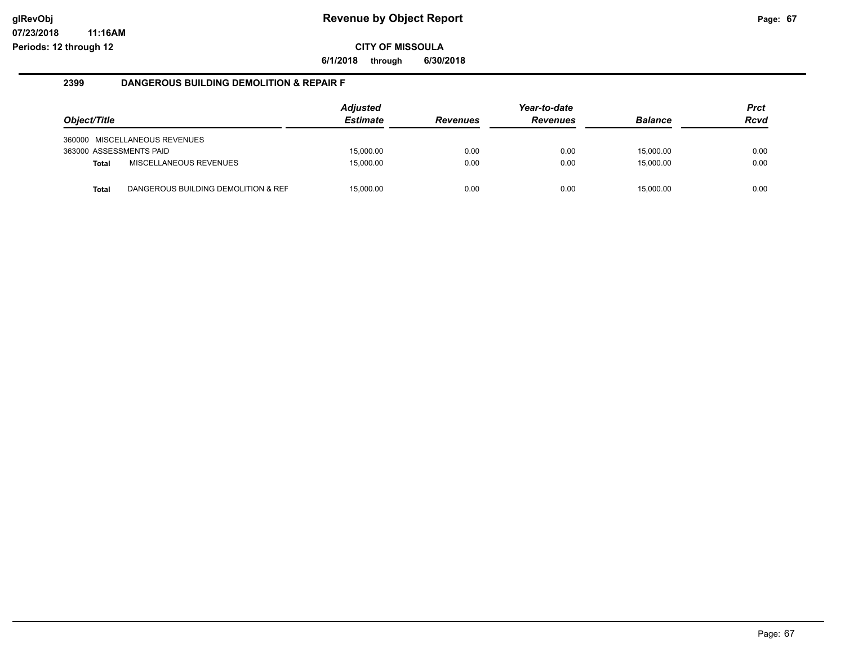**6/1/2018 through 6/30/2018**

#### **2399 DANGEROUS BUILDING DEMOLITION & REPAIR F**

|                         |                                     | <b>Adjusted</b> |                 | Year-to-date    |                | <b>Prct</b> |
|-------------------------|-------------------------------------|-----------------|-----------------|-----------------|----------------|-------------|
| Object/Title            |                                     | <b>Estimate</b> | <b>Revenues</b> | <b>Revenues</b> | <b>Balance</b> | <b>Rcvd</b> |
|                         | 360000 MISCELLANEOUS REVENUES       |                 |                 |                 |                |             |
| 363000 ASSESSMENTS PAID |                                     | 15,000.00       | 0.00            | 0.00            | 15.000.00      | 0.00        |
| <b>Total</b>            | MISCELLANEOUS REVENUES              | 15.000.00       | 0.00            | 0.00            | 15.000.00      | 0.00        |
| <b>Total</b>            | DANGEROUS BUILDING DEMOLITION & REF | 15,000.00       | 0.00            | 0.00            | 15,000.00      | 0.00        |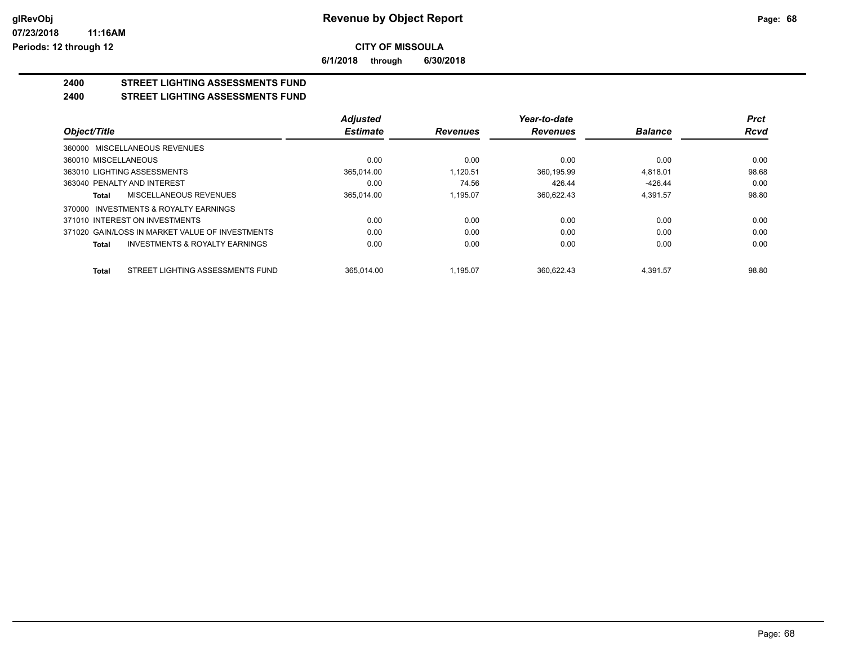**6/1/2018 through 6/30/2018**

# **2400 STREET LIGHTING ASSESSMENTS FUND**

### **2400 STREET LIGHTING ASSESSMENTS FUND**

|                                                    | <b>Adjusted</b> |                 | Year-to-date    |                | <b>Prct</b> |
|----------------------------------------------------|-----------------|-----------------|-----------------|----------------|-------------|
| Object/Title                                       | <b>Estimate</b> | <b>Revenues</b> | <b>Revenues</b> | <b>Balance</b> | <b>Rcvd</b> |
| 360000 MISCELLANEOUS REVENUES                      |                 |                 |                 |                |             |
| 360010 MISCELLANEOUS                               | 0.00            | 0.00            | 0.00            | 0.00           | 0.00        |
| 363010 LIGHTING ASSESSMENTS                        | 365,014.00      | 1.120.51        | 360,195.99      | 4,818.01       | 98.68       |
| 363040 PENALTY AND INTEREST                        | 0.00            | 74.56           | 426.44          | $-426.44$      | 0.00        |
| MISCELLANEOUS REVENUES<br>Total                    | 365.014.00      | 1.195.07        | 360,622.43      | 4.391.57       | 98.80       |
| 370000 INVESTMENTS & ROYALTY EARNINGS              |                 |                 |                 |                |             |
| 371010 INTEREST ON INVESTMENTS                     | 0.00            | 0.00            | 0.00            | 0.00           | 0.00        |
| 371020 GAIN/LOSS IN MARKET VALUE OF INVESTMENTS    | 0.00            | 0.00            | 0.00            | 0.00           | 0.00        |
| <b>INVESTMENTS &amp; ROYALTY EARNINGS</b><br>Total | 0.00            | 0.00            | 0.00            | 0.00           | 0.00        |
| STREET LIGHTING ASSESSMENTS FUND<br><b>Total</b>   | 365.014.00      | 1.195.07        | 360.622.43      | 4.391.57       | 98.80       |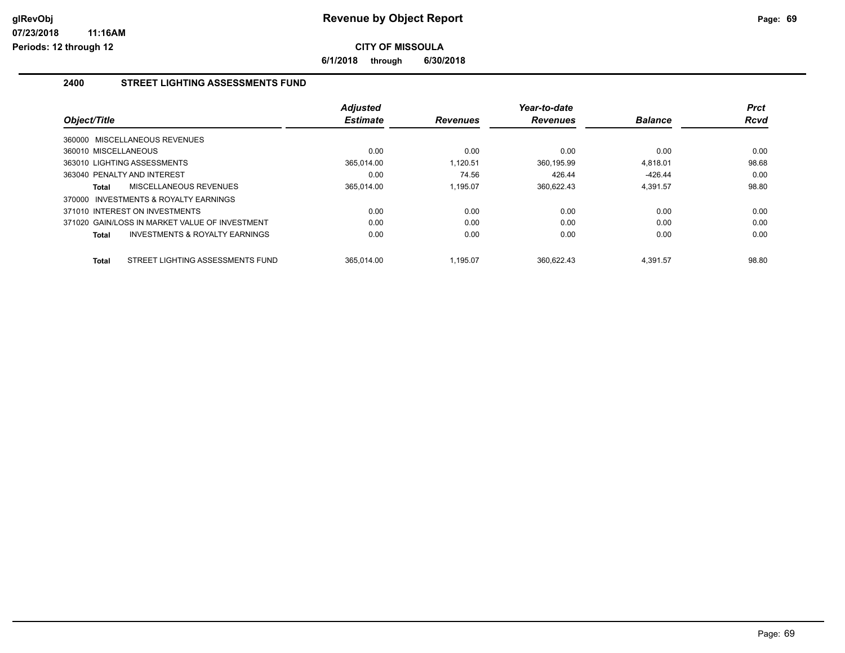**6/1/2018 through 6/30/2018**

#### **2400 STREET LIGHTING ASSESSMENTS FUND**

| Object/Title                                       | <b>Adjusted</b><br><b>Estimate</b> | <b>Revenues</b> | Year-to-date<br><b>Revenues</b> | <b>Balance</b> | <b>Prct</b><br><b>Rcvd</b> |
|----------------------------------------------------|------------------------------------|-----------------|---------------------------------|----------------|----------------------------|
| 360000 MISCELLANEOUS REVENUES                      |                                    |                 |                                 |                |                            |
| 360010 MISCELLANEOUS                               | 0.00                               | 0.00            | 0.00                            | 0.00           | 0.00                       |
| 363010 LIGHTING ASSESSMENTS                        | 365.014.00                         | 1.120.51        | 360.195.99                      | 4.818.01       | 98.68                      |
| 363040 PENALTY AND INTEREST                        | 0.00                               | 74.56           | 426.44                          | $-426.44$      | 0.00                       |
| MISCELLANEOUS REVENUES<br>Total                    | 365,014.00                         | 1.195.07        | 360,622.43                      | 4,391.57       | 98.80                      |
| 370000 INVESTMENTS & ROYALTY EARNINGS              |                                    |                 |                                 |                |                            |
| 371010 INTEREST ON INVESTMENTS                     | 0.00                               | 0.00            | 0.00                            | 0.00           | 0.00                       |
| 371020 GAIN/LOSS IN MARKET VALUE OF INVESTMENT     | 0.00                               | 0.00            | 0.00                            | 0.00           | 0.00                       |
| <b>INVESTMENTS &amp; ROYALTY EARNINGS</b><br>Total | 0.00                               | 0.00            | 0.00                            | 0.00           | 0.00                       |
| STREET LIGHTING ASSESSMENTS FUND<br>Total          | 365.014.00                         | 1.195.07        | 360.622.43                      | 4.391.57       | 98.80                      |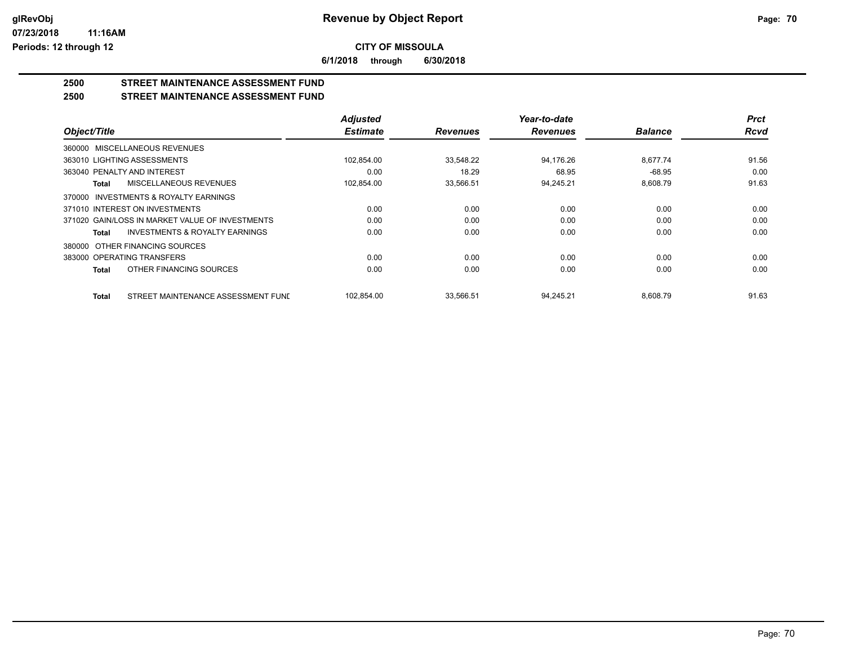**6/1/2018 through 6/30/2018**

# **2500 STREET MAINTENANCE ASSESSMENT FUND**

### **2500 STREET MAINTENANCE ASSESSMENT FUND**

|                                                    | <b>Adjusted</b> |                 | Year-to-date    |                | <b>Prct</b> |
|----------------------------------------------------|-----------------|-----------------|-----------------|----------------|-------------|
| Object/Title                                       | <b>Estimate</b> | <b>Revenues</b> | <b>Revenues</b> | <b>Balance</b> | <b>Rcvd</b> |
| 360000 MISCELLANEOUS REVENUES                      |                 |                 |                 |                |             |
| 363010 LIGHTING ASSESSMENTS                        | 102,854.00      | 33,548.22       | 94,176.26       | 8,677.74       | 91.56       |
| 363040 PENALTY AND INTEREST                        | 0.00            | 18.29           | 68.95           | $-68.95$       | 0.00        |
| <b>MISCELLANEOUS REVENUES</b><br>Total             | 102,854.00      | 33,566.51       | 94,245.21       | 8,608.79       | 91.63       |
| 370000 INVESTMENTS & ROYALTY EARNINGS              |                 |                 |                 |                |             |
| 371010 INTEREST ON INVESTMENTS                     | 0.00            | 0.00            | 0.00            | 0.00           | 0.00        |
| 371020 GAIN/LOSS IN MARKET VALUE OF INVESTMENTS    | 0.00            | 0.00            | 0.00            | 0.00           | 0.00        |
| <b>INVESTMENTS &amp; ROYALTY EARNINGS</b><br>Total | 0.00            | 0.00            | 0.00            | 0.00           | 0.00        |
| OTHER FINANCING SOURCES<br>380000                  |                 |                 |                 |                |             |
| 383000 OPERATING TRANSFERS                         | 0.00            | 0.00            | 0.00            | 0.00           | 0.00        |
| OTHER FINANCING SOURCES<br><b>Total</b>            | 0.00            | 0.00            | 0.00            | 0.00           | 0.00        |
| STREET MAINTENANCE ASSESSMENT FUND<br>Total        | 102.854.00      | 33.566.51       | 94.245.21       | 8.608.79       | 91.63       |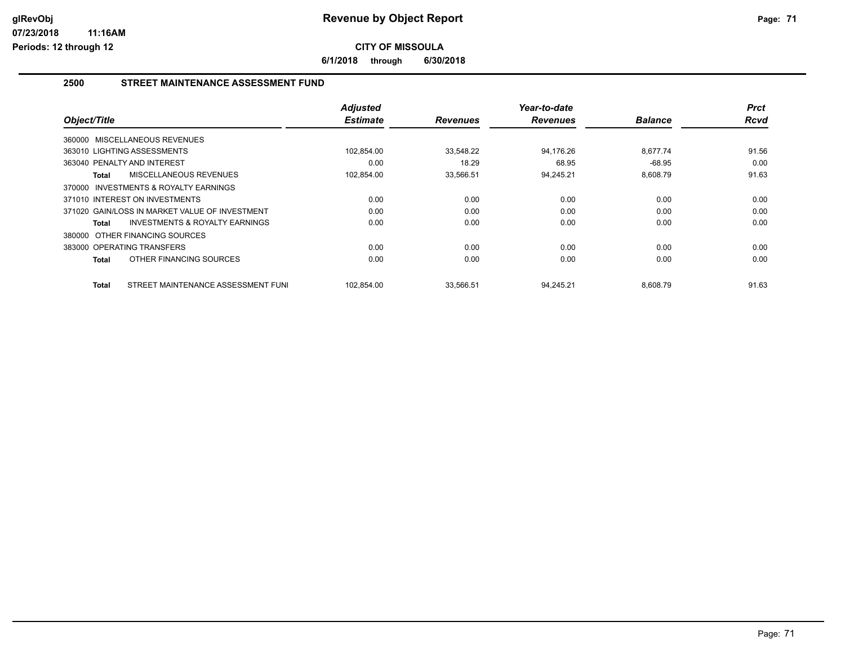**6/1/2018 through 6/30/2018**

#### **2500 STREET MAINTENANCE ASSESSMENT FUND**

| Object/Title                |                                                | <b>Adjusted</b><br><b>Estimate</b> | <b>Revenues</b> | Year-to-date<br><b>Revenues</b> | <b>Balance</b> | <b>Prct</b><br>Rcvd |
|-----------------------------|------------------------------------------------|------------------------------------|-----------------|---------------------------------|----------------|---------------------|
|                             | 360000 MISCELLANEOUS REVENUES                  |                                    |                 |                                 |                |                     |
|                             |                                                |                                    |                 |                                 |                |                     |
|                             | 363010 LIGHTING ASSESSMENTS                    | 102,854.00                         | 33,548.22       | 94.176.26                       | 8.677.74       | 91.56               |
| 363040 PENALTY AND INTEREST |                                                | 0.00                               | 18.29           | 68.95                           | $-68.95$       | 0.00                |
| Total                       | <b>MISCELLANEOUS REVENUES</b>                  | 102,854.00                         | 33,566.51       | 94,245.21                       | 8,608.79       | 91.63               |
| 370000                      | <b>INVESTMENTS &amp; ROYALTY EARNINGS</b>      |                                    |                 |                                 |                |                     |
|                             | 371010 INTEREST ON INVESTMENTS                 | 0.00                               | 0.00            | 0.00                            | 0.00           | 0.00                |
|                             | 371020 GAIN/LOSS IN MARKET VALUE OF INVESTMENT | 0.00                               | 0.00            | 0.00                            | 0.00           | 0.00                |
| Total                       | <b>INVESTMENTS &amp; ROYALTY EARNINGS</b>      | 0.00                               | 0.00            | 0.00                            | 0.00           | 0.00                |
|                             | 380000 OTHER FINANCING SOURCES                 |                                    |                 |                                 |                |                     |
|                             | 383000 OPERATING TRANSFERS                     | 0.00                               | 0.00            | 0.00                            | 0.00           | 0.00                |
| Total                       | OTHER FINANCING SOURCES                        | 0.00                               | 0.00            | 0.00                            | 0.00           | 0.00                |
| <b>Total</b>                | STREET MAINTENANCE ASSESSMENT FUNI             | 102.854.00                         | 33.566.51       | 94.245.21                       | 8.608.79       | 91.63               |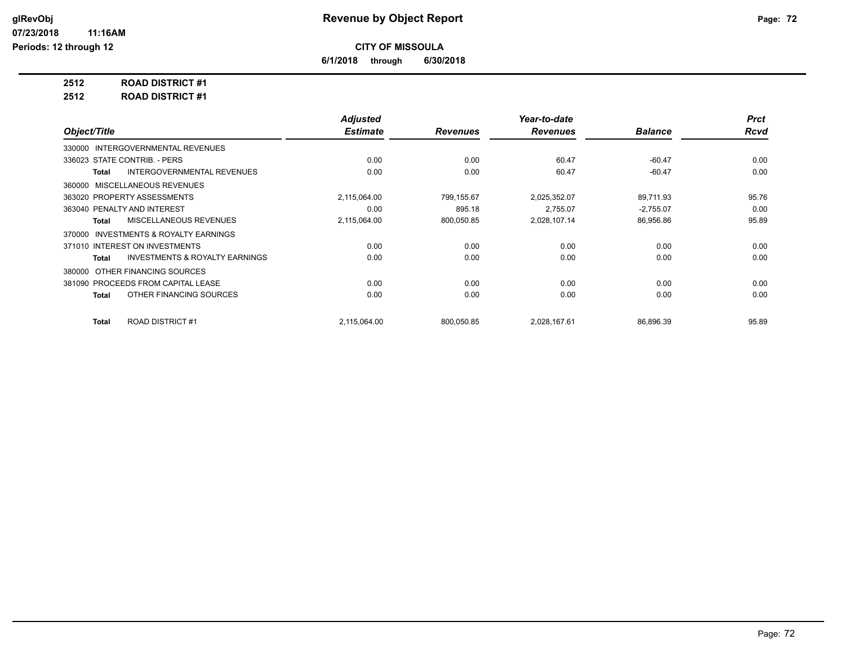**6/1/2018 through 6/30/2018**

**2512 ROAD DISTRICT #1**

**2512 ROAD DISTRICT #1**

| Object/Title                                              | <b>Adjusted</b> |                 | Year-to-date    |                | <b>Prct</b> |
|-----------------------------------------------------------|-----------------|-----------------|-----------------|----------------|-------------|
|                                                           | <b>Estimate</b> | <b>Revenues</b> | <b>Revenues</b> | <b>Balance</b> | <b>Rcvd</b> |
| INTERGOVERNMENTAL REVENUES<br>330000                      |                 |                 |                 |                |             |
| 336023 STATE CONTRIB. - PERS                              | 0.00            | 0.00            | 60.47           | $-60.47$       | 0.00        |
| INTERGOVERNMENTAL REVENUES<br>Total                       | 0.00            | 0.00            | 60.47           | $-60.47$       | 0.00        |
| MISCELLANEOUS REVENUES<br>360000                          |                 |                 |                 |                |             |
| 363020 PROPERTY ASSESSMENTS                               | 2,115,064.00    | 799,155.67      | 2,025,352.07    | 89,711.93      | 95.76       |
| 363040 PENALTY AND INTEREST                               | 0.00            | 895.18          | 2,755.07        | $-2,755.07$    | 0.00        |
| MISCELLANEOUS REVENUES<br><b>Total</b>                    | 2,115,064.00    | 800,050.85      | 2,028,107.14    | 86,956.86      | 95.89       |
| <b>INVESTMENTS &amp; ROYALTY EARNINGS</b><br>370000       |                 |                 |                 |                |             |
| 371010 INTEREST ON INVESTMENTS                            | 0.00            | 0.00            | 0.00            | 0.00           | 0.00        |
| <b>INVESTMENTS &amp; ROYALTY EARNINGS</b><br><b>Total</b> | 0.00            | 0.00            | 0.00            | 0.00           | 0.00        |
| OTHER FINANCING SOURCES<br>380000                         |                 |                 |                 |                |             |
| 381090 PROCEEDS FROM CAPITAL LEASE                        | 0.00            | 0.00            | 0.00            | 0.00           | 0.00        |
| OTHER FINANCING SOURCES<br>Total                          | 0.00            | 0.00            | 0.00            | 0.00           | 0.00        |
| ROAD DISTRICT #1<br>Total                                 | 2,115,064.00    | 800,050.85      | 2,028,167.61    | 86,896.39      | 95.89       |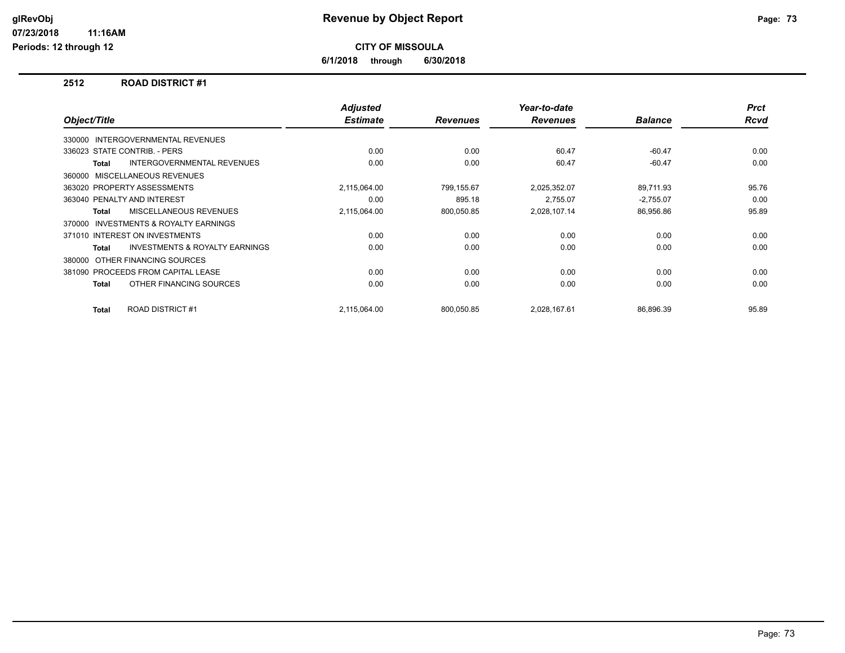**6/1/2018 through 6/30/2018**

### **2512 ROAD DISTRICT #1**

|                                                           | <b>Adjusted</b> |                 | Year-to-date    |                | <b>Prct</b> |
|-----------------------------------------------------------|-----------------|-----------------|-----------------|----------------|-------------|
| Object/Title                                              | <b>Estimate</b> | <b>Revenues</b> | <b>Revenues</b> | <b>Balance</b> | <b>Rcvd</b> |
| 330000 INTERGOVERNMENTAL REVENUES                         |                 |                 |                 |                |             |
| 336023 STATE CONTRIB. - PERS                              | 0.00            | 0.00            | 60.47           | $-60.47$       | 0.00        |
| <b>INTERGOVERNMENTAL REVENUES</b><br><b>Total</b>         | 0.00            | 0.00            | 60.47           | $-60.47$       | 0.00        |
| 360000 MISCELLANEOUS REVENUES                             |                 |                 |                 |                |             |
| 363020 PROPERTY ASSESSMENTS                               | 2,115,064.00    | 799,155.67      | 2,025,352.07    | 89,711.93      | 95.76       |
| 363040 PENALTY AND INTEREST                               | 0.00            | 895.18          | 2,755.07        | $-2,755.07$    | 0.00        |
| <b>MISCELLANEOUS REVENUES</b><br><b>Total</b>             | 2,115,064.00    | 800,050.85      | 2,028,107.14    | 86,956.86      | 95.89       |
| <b>INVESTMENTS &amp; ROYALTY EARNINGS</b><br>370000       |                 |                 |                 |                |             |
| 371010 INTEREST ON INVESTMENTS                            | 0.00            | 0.00            | 0.00            | 0.00           | 0.00        |
| <b>INVESTMENTS &amp; ROYALTY EARNINGS</b><br><b>Total</b> | 0.00            | 0.00            | 0.00            | 0.00           | 0.00        |
| 380000 OTHER FINANCING SOURCES                            |                 |                 |                 |                |             |
| 381090 PROCEEDS FROM CAPITAL LEASE                        | 0.00            | 0.00            | 0.00            | 0.00           | 0.00        |
| OTHER FINANCING SOURCES<br>Total                          | 0.00            | 0.00            | 0.00            | 0.00           | 0.00        |
| ROAD DISTRICT #1<br><b>Total</b>                          | 2,115,064.00    | 800,050.85      | 2,028,167.61    | 86,896.39      | 95.89       |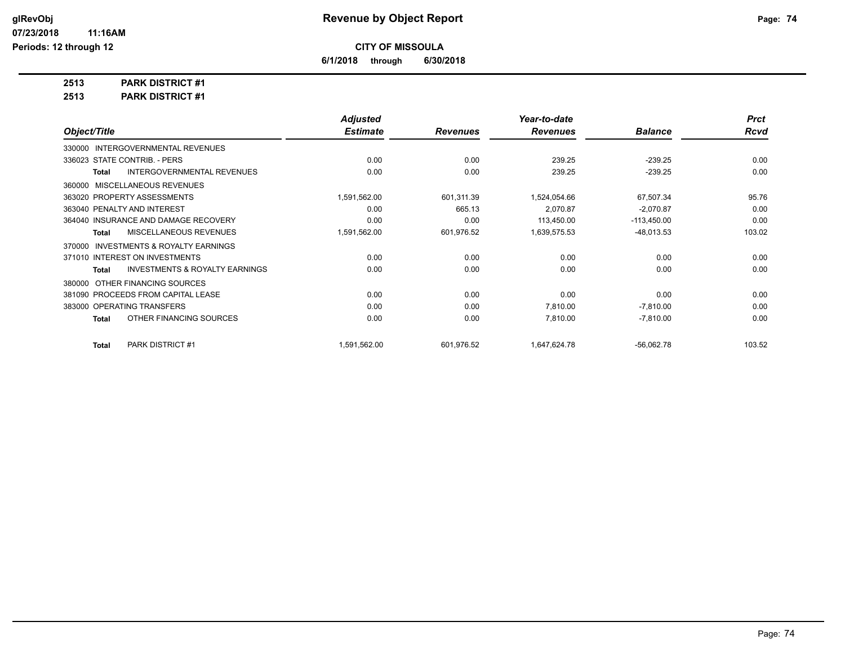**6/1/2018 through 6/30/2018**

**2513 PARK DISTRICT #1**

**2513 PARK DISTRICT #1**

|                                                           | <b>Adjusted</b> |                 | Year-to-date    |                | <b>Prct</b> |
|-----------------------------------------------------------|-----------------|-----------------|-----------------|----------------|-------------|
| Object/Title                                              | <b>Estimate</b> | <b>Revenues</b> | <b>Revenues</b> | <b>Balance</b> | Rcvd        |
| INTERGOVERNMENTAL REVENUES<br>330000                      |                 |                 |                 |                |             |
| 336023 STATE CONTRIB. - PERS                              | 0.00            | 0.00            | 239.25          | $-239.25$      | 0.00        |
| <b>INTERGOVERNMENTAL REVENUES</b><br><b>Total</b>         | 0.00            | 0.00            | 239.25          | $-239.25$      | 0.00        |
| 360000 MISCELLANEOUS REVENUES                             |                 |                 |                 |                |             |
| 363020 PROPERTY ASSESSMENTS                               | 1,591,562.00    | 601,311.39      | 1,524,054.66    | 67,507.34      | 95.76       |
| 363040 PENALTY AND INTEREST                               | 0.00            | 665.13          | 2,070.87        | $-2,070.87$    | 0.00        |
| 364040 INSURANCE AND DAMAGE RECOVERY                      | 0.00            | 0.00            | 113,450.00      | $-113,450.00$  | 0.00        |
| <b>MISCELLANEOUS REVENUES</b><br>Total                    | 1,591,562.00    | 601,976.52      | 1,639,575.53    | $-48,013.53$   | 103.02      |
| <b>INVESTMENTS &amp; ROYALTY EARNINGS</b><br>370000       |                 |                 |                 |                |             |
| 371010 INTEREST ON INVESTMENTS                            | 0.00            | 0.00            | 0.00            | 0.00           | 0.00        |
| <b>INVESTMENTS &amp; ROYALTY EARNINGS</b><br><b>Total</b> | 0.00            | 0.00            | 0.00            | 0.00           | 0.00        |
| OTHER FINANCING SOURCES<br>380000                         |                 |                 |                 |                |             |
| 381090 PROCEEDS FROM CAPITAL LEASE                        | 0.00            | 0.00            | 0.00            | 0.00           | 0.00        |
| 383000 OPERATING TRANSFERS                                | 0.00            | 0.00            | 7,810.00        | $-7,810.00$    | 0.00        |
| OTHER FINANCING SOURCES<br><b>Total</b>                   | 0.00            | 0.00            | 7,810.00        | $-7,810.00$    | 0.00        |
| PARK DISTRICT #1<br>Total                                 | 1,591,562.00    | 601,976.52      | 1,647,624.78    | $-56,062.78$   | 103.52      |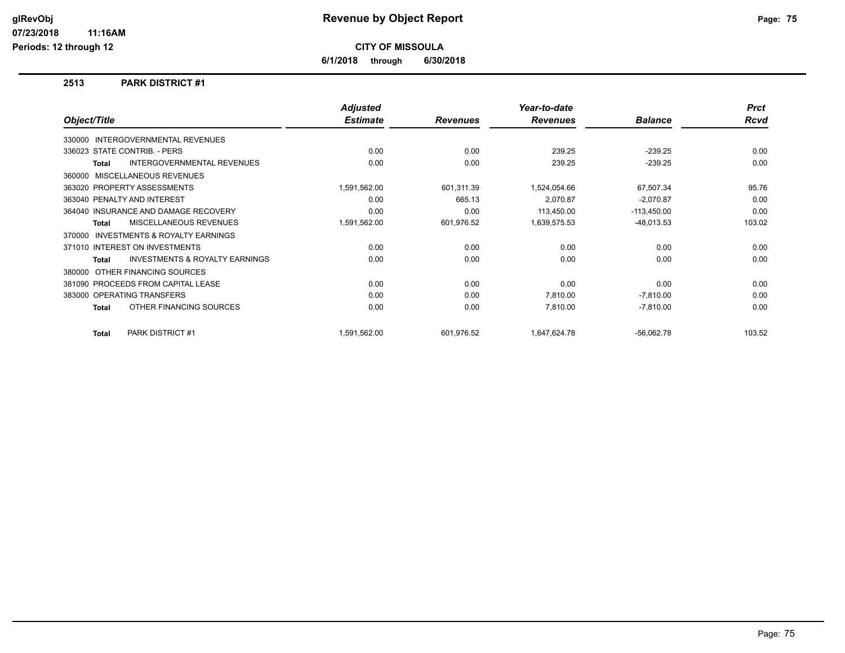**6/1/2018 through 6/30/2018**

### **2513 PARK DISTRICT #1**

|                                                           | <b>Adjusted</b> |                 | Year-to-date    |                | <b>Prct</b> |
|-----------------------------------------------------------|-----------------|-----------------|-----------------|----------------|-------------|
| Object/Title                                              | <b>Estimate</b> | <b>Revenues</b> | <b>Revenues</b> | <b>Balance</b> | <b>Rcvd</b> |
| 330000 INTERGOVERNMENTAL REVENUES                         |                 |                 |                 |                |             |
| 336023 STATE CONTRIB. - PERS                              | 0.00            | 0.00            | 239.25          | $-239.25$      | 0.00        |
| <b>INTERGOVERNMENTAL REVENUES</b><br><b>Total</b>         | 0.00            | 0.00            | 239.25          | $-239.25$      | 0.00        |
| 360000 MISCELLANEOUS REVENUES                             |                 |                 |                 |                |             |
| 363020 PROPERTY ASSESSMENTS                               | 1,591,562.00    | 601,311.39      | 1,524,054.66    | 67,507.34      | 95.76       |
| 363040 PENALTY AND INTEREST                               | 0.00            | 665.13          | 2,070.87        | $-2,070.87$    | 0.00        |
| 364040 INSURANCE AND DAMAGE RECOVERY                      | 0.00            | 0.00            | 113,450.00      | $-113,450.00$  | 0.00        |
| <b>MISCELLANEOUS REVENUES</b><br><b>Total</b>             | 1,591,562.00    | 601,976.52      | 1,639,575.53    | $-48,013.53$   | 103.02      |
| INVESTMENTS & ROYALTY EARNINGS<br>370000                  |                 |                 |                 |                |             |
| 371010 INTEREST ON INVESTMENTS                            | 0.00            | 0.00            | 0.00            | 0.00           | 0.00        |
| <b>INVESTMENTS &amp; ROYALTY EARNINGS</b><br><b>Total</b> | 0.00            | 0.00            | 0.00            | 0.00           | 0.00        |
| 380000 OTHER FINANCING SOURCES                            |                 |                 |                 |                |             |
| 381090 PROCEEDS FROM CAPITAL LEASE                        | 0.00            | 0.00            | 0.00            | 0.00           | 0.00        |
| 383000 OPERATING TRANSFERS                                | 0.00            | 0.00            | 7,810.00        | $-7,810.00$    | 0.00        |
| OTHER FINANCING SOURCES<br><b>Total</b>                   | 0.00            | 0.00            | 7,810.00        | $-7,810.00$    | 0.00        |
| <b>PARK DISTRICT #1</b><br>Total                          | 1,591,562.00    | 601,976.52      | 1,647,624.78    | $-56,062.78$   | 103.52      |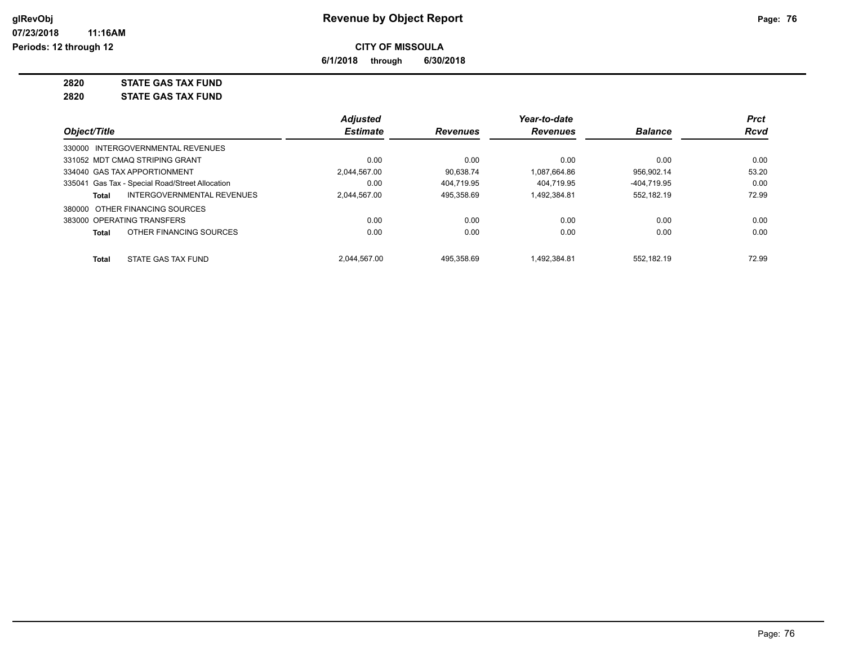**6/1/2018 through 6/30/2018**

**2820 STATE GAS TAX FUND**

**2820 STATE GAS TAX FUND**

|                                                 | <b>Adjusted</b> |                 | Year-to-date    |                | <b>Prct</b> |
|-------------------------------------------------|-----------------|-----------------|-----------------|----------------|-------------|
| Object/Title                                    | <b>Estimate</b> | <b>Revenues</b> | <b>Revenues</b> | <b>Balance</b> | Rcvd        |
| 330000 INTERGOVERNMENTAL REVENUES               |                 |                 |                 |                |             |
| 331052 MDT CMAQ STRIPING GRANT                  | 0.00            | 0.00            | 0.00            | 0.00           | 0.00        |
| 334040 GAS TAX APPORTIONMENT                    | 2.044.567.00    | 90.638.74       | 1.087.664.86    | 956.902.14     | 53.20       |
| 335041 Gas Tax - Special Road/Street Allocation | 0.00            | 404.719.95      | 404.719.95      | -404.719.95    | 0.00        |
| INTERGOVERNMENTAL REVENUES<br>Total             | 2.044.567.00    | 495.358.69      | 1.492.384.81    | 552.182.19     | 72.99       |
| 380000 OTHER FINANCING SOURCES                  |                 |                 |                 |                |             |
| 383000 OPERATING TRANSFERS                      | 0.00            | 0.00            | 0.00            | 0.00           | 0.00        |
| OTHER FINANCING SOURCES<br><b>Total</b>         | 0.00            | 0.00            | 0.00            | 0.00           | 0.00        |
| STATE GAS TAX FUND<br>Total                     | 2.044.567.00    | 495.358.69      | 1.492.384.81    | 552.182.19     | 72.99       |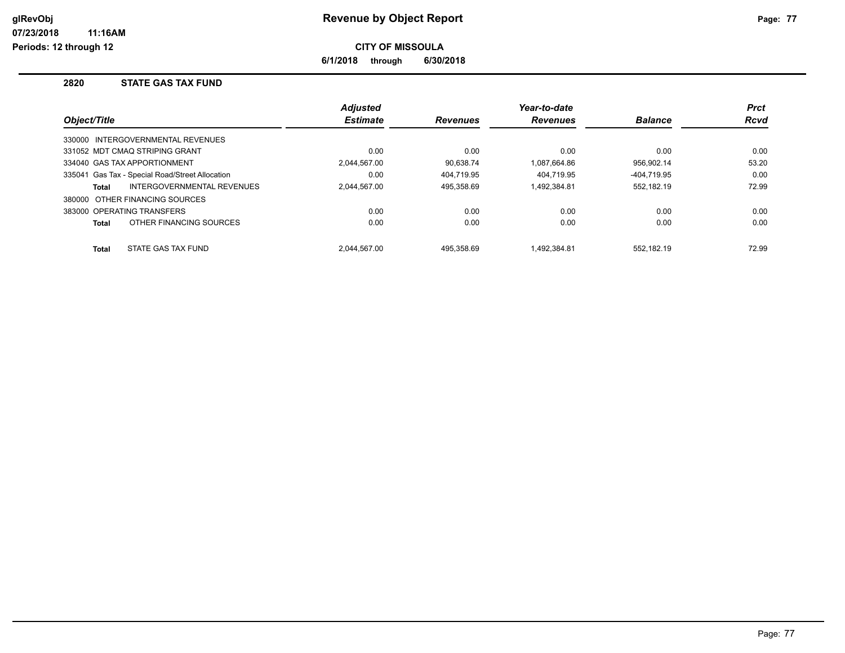**6/1/2018 through 6/30/2018**

### **2820 STATE GAS TAX FUND**

|                                                 | <b>Adjusted</b> |                 | Year-to-date    |                | <b>Prct</b> |
|-------------------------------------------------|-----------------|-----------------|-----------------|----------------|-------------|
| Object/Title                                    | <b>Estimate</b> | <b>Revenues</b> | <b>Revenues</b> | <b>Balance</b> | <b>Rcvd</b> |
| 330000 INTERGOVERNMENTAL REVENUES               |                 |                 |                 |                |             |
| 331052 MDT CMAQ STRIPING GRANT                  | 0.00            | 0.00            | 0.00            | 0.00           | 0.00        |
| 334040 GAS TAX APPORTIONMENT                    | 2.044.567.00    | 90.638.74       | 1.087.664.86    | 956.902.14     | 53.20       |
| 335041 Gas Tax - Special Road/Street Allocation | 0.00            | 404.719.95      | 404.719.95      | -404.719.95    | 0.00        |
| INTERGOVERNMENTAL REVENUES<br><b>Total</b>      | 2.044.567.00    | 495.358.69      | 1.492.384.81    | 552.182.19     | 72.99       |
| 380000 OTHER FINANCING SOURCES                  |                 |                 |                 |                |             |
| 383000 OPERATING TRANSFERS                      | 0.00            | 0.00            | 0.00            | 0.00           | 0.00        |
| OTHER FINANCING SOURCES<br><b>Total</b>         | 0.00            | 0.00            | 0.00            | 0.00           | 0.00        |
| STATE GAS TAX FUND<br><b>Total</b>              | 2.044.567.00    | 495.358.69      | 1.492.384.81    | 552.182.19     | 72.99       |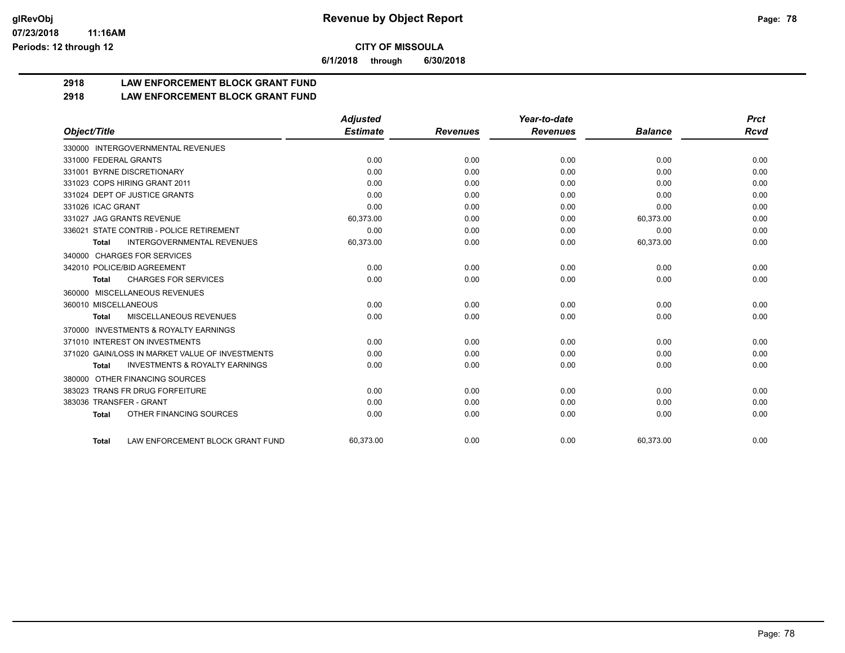**6/1/2018 through 6/30/2018**

### **2918 LAW ENFORCEMENT BLOCK GRANT FUND**

### **2918 LAW ENFORCEMENT BLOCK GRANT FUND**

|                               |                                                 | <b>Adjusted</b> |                 | Year-to-date    |                | <b>Prct</b> |
|-------------------------------|-------------------------------------------------|-----------------|-----------------|-----------------|----------------|-------------|
| Object/Title                  |                                                 | <b>Estimate</b> | <b>Revenues</b> | <b>Revenues</b> | <b>Balance</b> | <b>Rcvd</b> |
|                               | 330000 INTERGOVERNMENTAL REVENUES               |                 |                 |                 |                |             |
| 331000 FEDERAL GRANTS         |                                                 | 0.00            | 0.00            | 0.00            | 0.00           | 0.00        |
| 331001 BYRNE DISCRETIONARY    |                                                 | 0.00            | 0.00            | 0.00            | 0.00           | 0.00        |
| 331023 COPS HIRING GRANT 2011 |                                                 | 0.00            | 0.00            | 0.00            | 0.00           | 0.00        |
|                               | 331024 DEPT OF JUSTICE GRANTS                   | 0.00            | 0.00            | 0.00            | 0.00           | 0.00        |
| 331026 ICAC GRANT             |                                                 | 0.00            | 0.00            | 0.00            | 0.00           | 0.00        |
| 331027 JAG GRANTS REVENUE     |                                                 | 60,373.00       | 0.00            | 0.00            | 60,373.00      | 0.00        |
|                               | 336021 STATE CONTRIB - POLICE RETIREMENT        | 0.00            | 0.00            | 0.00            | 0.00           | 0.00        |
| <b>Total</b>                  | <b>INTERGOVERNMENTAL REVENUES</b>               | 60,373.00       | 0.00            | 0.00            | 60,373.00      | 0.00        |
|                               | 340000 CHARGES FOR SERVICES                     |                 |                 |                 |                |             |
| 342010 POLICE/BID AGREEMENT   |                                                 | 0.00            | 0.00            | 0.00            | 0.00           | 0.00        |
| <b>Total</b>                  | <b>CHARGES FOR SERVICES</b>                     | 0.00            | 0.00            | 0.00            | 0.00           | 0.00        |
| 360000                        | MISCELLANEOUS REVENUES                          |                 |                 |                 |                |             |
| 360010 MISCELLANEOUS          |                                                 | 0.00            | 0.00            | 0.00            | 0.00           | 0.00        |
| <b>Total</b>                  | <b>MISCELLANEOUS REVENUES</b>                   | 0.00            | 0.00            | 0.00            | 0.00           | 0.00        |
| 370000                        | <b>INVESTMENTS &amp; ROYALTY EARNINGS</b>       |                 |                 |                 |                |             |
|                               | 371010 INTEREST ON INVESTMENTS                  | 0.00            | 0.00            | 0.00            | 0.00           | 0.00        |
|                               | 371020 GAIN/LOSS IN MARKET VALUE OF INVESTMENTS | 0.00            | 0.00            | 0.00            | 0.00           | 0.00        |
| <b>Total</b>                  | <b>INVESTMENTS &amp; ROYALTY EARNINGS</b>       | 0.00            | 0.00            | 0.00            | 0.00           | 0.00        |
| 380000                        | OTHER FINANCING SOURCES                         |                 |                 |                 |                |             |
|                               | 383023 TRANS FR DRUG FORFEITURE                 | 0.00            | 0.00            | 0.00            | 0.00           | 0.00        |
| 383036 TRANSFER - GRANT       |                                                 | 0.00            | 0.00            | 0.00            | 0.00           | 0.00        |
| <b>Total</b>                  | OTHER FINANCING SOURCES                         | 0.00            | 0.00            | 0.00            | 0.00           | 0.00        |
| <b>Total</b>                  | LAW ENFORCEMENT BLOCK GRANT FUND                | 60.373.00       | 0.00            | 0.00            | 60,373.00      | 0.00        |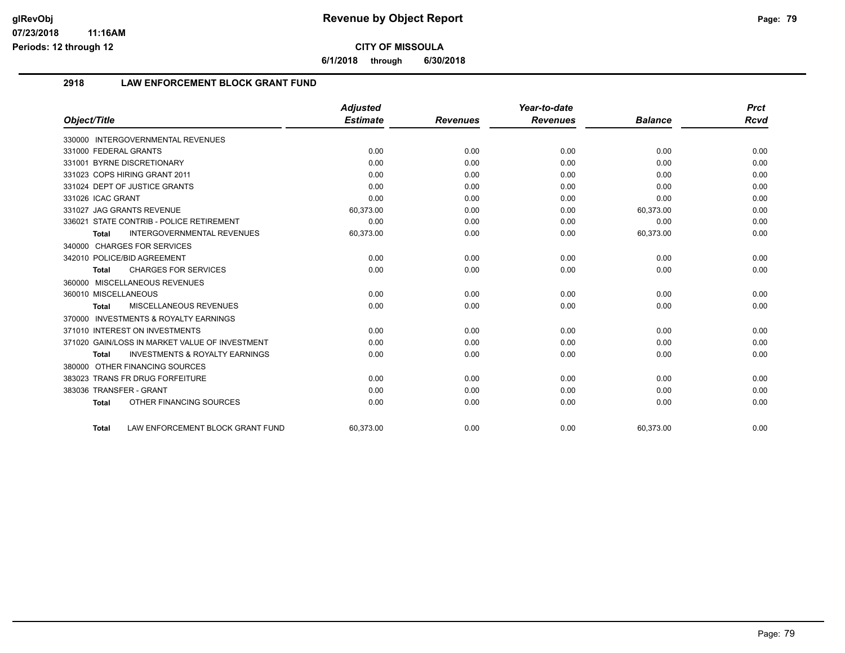**6/1/2018 through 6/30/2018**

### **2918 LAW ENFORCEMENT BLOCK GRANT FUND**

|                                 |                                                | <b>Adjusted</b> |                 | Year-to-date    |                | <b>Prct</b> |
|---------------------------------|------------------------------------------------|-----------------|-----------------|-----------------|----------------|-------------|
| Object/Title                    |                                                | <b>Estimate</b> | <b>Revenues</b> | <b>Revenues</b> | <b>Balance</b> | <b>Rcvd</b> |
| 330000                          | <b>INTERGOVERNMENTAL REVENUES</b>              |                 |                 |                 |                |             |
| 331000 FEDERAL GRANTS           |                                                | 0.00            | 0.00            | 0.00            | 0.00           | 0.00        |
| 331001 BYRNE DISCRETIONARY      |                                                | 0.00            | 0.00            | 0.00            | 0.00           | 0.00        |
| 331023 COPS HIRING GRANT 2011   |                                                | 0.00            | 0.00            | 0.00            | 0.00           | 0.00        |
| 331024 DEPT OF JUSTICE GRANTS   |                                                | 0.00            | 0.00            | 0.00            | 0.00           | 0.00        |
| 331026 ICAC GRANT               |                                                | 0.00            | 0.00            | 0.00            | 0.00           | 0.00        |
| 331027 JAG GRANTS REVENUE       |                                                | 60,373.00       | 0.00            | 0.00            | 60,373.00      | 0.00        |
|                                 | 336021 STATE CONTRIB - POLICE RETIREMENT       | 0.00            | 0.00            | 0.00            | 0.00           | 0.00        |
| <b>Total</b>                    | <b>INTERGOVERNMENTAL REVENUES</b>              | 60,373.00       | 0.00            | 0.00            | 60,373.00      | 0.00        |
| 340000 CHARGES FOR SERVICES     |                                                |                 |                 |                 |                |             |
| 342010 POLICE/BID AGREEMENT     |                                                | 0.00            | 0.00            | 0.00            | 0.00           | 0.00        |
| <b>Total</b>                    | <b>CHARGES FOR SERVICES</b>                    | 0.00            | 0.00            | 0.00            | 0.00           | 0.00        |
| 360000 MISCELLANEOUS REVENUES   |                                                |                 |                 |                 |                |             |
| 360010 MISCELLANEOUS            |                                                | 0.00            | 0.00            | 0.00            | 0.00           | 0.00        |
| <b>Total</b>                    | MISCELLANEOUS REVENUES                         | 0.00            | 0.00            | 0.00            | 0.00           | 0.00        |
|                                 | 370000 INVESTMENTS & ROYALTY EARNINGS          |                 |                 |                 |                |             |
| 371010 INTEREST ON INVESTMENTS  |                                                | 0.00            | 0.00            | 0.00            | 0.00           | 0.00        |
|                                 | 371020 GAIN/LOSS IN MARKET VALUE OF INVESTMENT | 0.00            | 0.00            | 0.00            | 0.00           | 0.00        |
| <b>Total</b>                    | <b>INVESTMENTS &amp; ROYALTY EARNINGS</b>      | 0.00            | 0.00            | 0.00            | 0.00           | 0.00        |
| 380000 OTHER FINANCING SOURCES  |                                                |                 |                 |                 |                |             |
| 383023 TRANS FR DRUG FORFEITURE |                                                | 0.00            | 0.00            | 0.00            | 0.00           | 0.00        |
| 383036 TRANSFER - GRANT         |                                                | 0.00            | 0.00            | 0.00            | 0.00           | 0.00        |
| <b>Total</b>                    | OTHER FINANCING SOURCES                        | 0.00            | 0.00            | 0.00            | 0.00           | 0.00        |
| <b>Total</b>                    | LAW ENFORCEMENT BLOCK GRANT FUND               | 60.373.00       | 0.00            | 0.00            | 60,373.00      | 0.00        |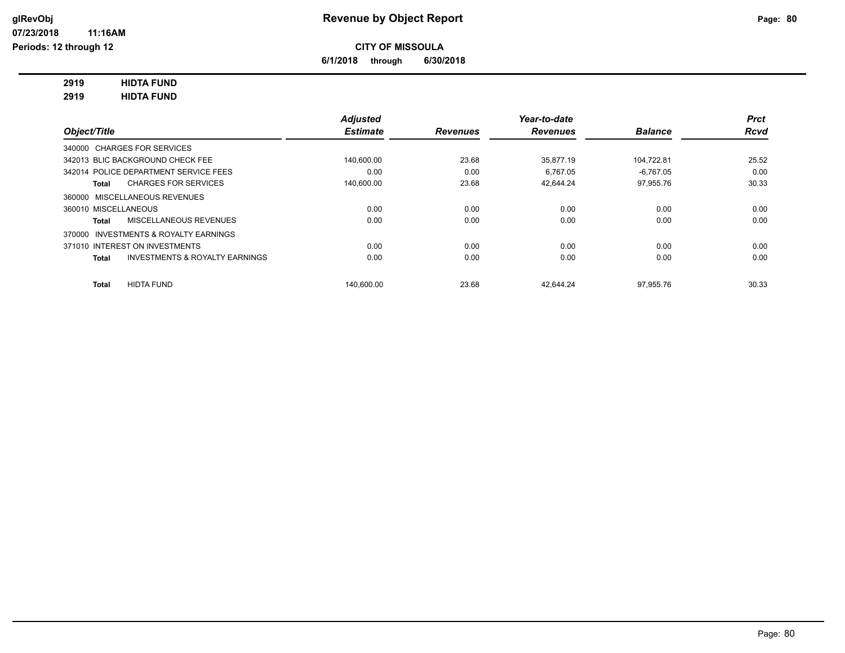**6/1/2018 through 6/30/2018**

### **2919 HIDTA FUND**

**2919 HIDTA FUND**

|                                                           | <b>Adjusted</b> |                 | Year-to-date    |                | <b>Prct</b> |
|-----------------------------------------------------------|-----------------|-----------------|-----------------|----------------|-------------|
| Object/Title                                              | <b>Estimate</b> | <b>Revenues</b> | <b>Revenues</b> | <b>Balance</b> | <b>Rcvd</b> |
| 340000 CHARGES FOR SERVICES                               |                 |                 |                 |                |             |
| 342013 BLIC BACKGROUND CHECK FEE                          | 140,600.00      | 23.68           | 35,877.19       | 104,722.81     | 25.52       |
| 342014 POLICE DEPARTMENT SERVICE FEES                     | 0.00            | 0.00            | 6.767.05        | $-6,767.05$    | 0.00        |
| <b>CHARGES FOR SERVICES</b><br>Total                      | 140,600.00      | 23.68           | 42,644.24       | 97,955.76      | 30.33       |
| 360000 MISCELLANEOUS REVENUES                             |                 |                 |                 |                |             |
| 360010 MISCELLANEOUS                                      | 0.00            | 0.00            | 0.00            | 0.00           | 0.00        |
| MISCELLANEOUS REVENUES<br><b>Total</b>                    | 0.00            | 0.00            | 0.00            | 0.00           | 0.00        |
| INVESTMENTS & ROYALTY EARNINGS<br>370000                  |                 |                 |                 |                |             |
| 371010 INTEREST ON INVESTMENTS                            | 0.00            | 0.00            | 0.00            | 0.00           | 0.00        |
| <b>INVESTMENTS &amp; ROYALTY EARNINGS</b><br><b>Total</b> | 0.00            | 0.00            | 0.00            | 0.00           | 0.00        |
| <b>HIDTA FUND</b><br><b>Total</b>                         | 140.600.00      | 23.68           | 42.644.24       | 97.955.76      | 30.33       |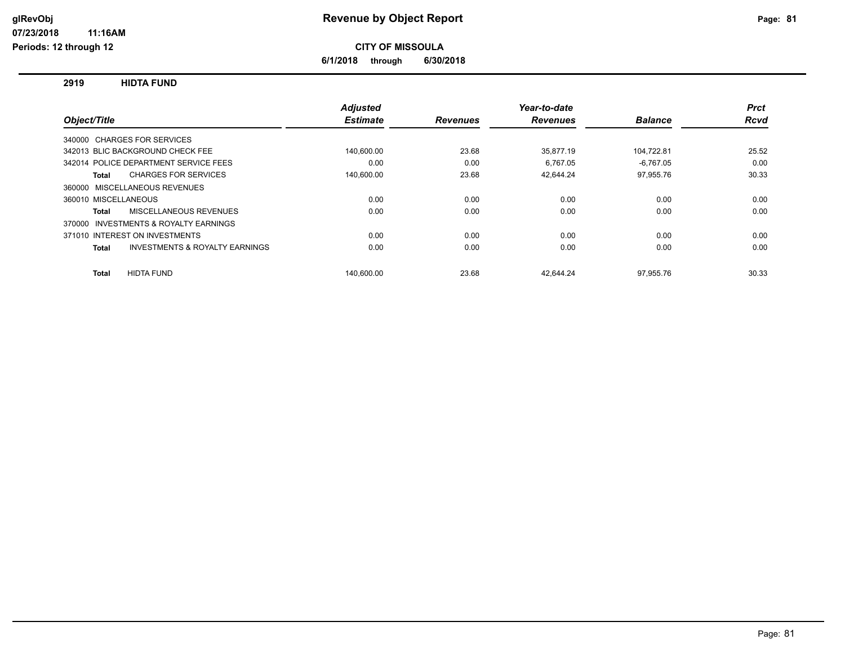**6/1/2018 through 6/30/2018**

**2919 HIDTA FUND**

|                                                    | <b>Adjusted</b> |                 | Year-to-date    |                | <b>Prct</b> |
|----------------------------------------------------|-----------------|-----------------|-----------------|----------------|-------------|
| Object/Title                                       | <b>Estimate</b> | <b>Revenues</b> | <b>Revenues</b> | <b>Balance</b> | Rcvd        |
| 340000 CHARGES FOR SERVICES                        |                 |                 |                 |                |             |
| 342013 BLIC BACKGROUND CHECK FEE                   | 140.600.00      | 23.68           | 35,877.19       | 104,722.81     | 25.52       |
| 342014 POLICE DEPARTMENT SERVICE FEES              | 0.00            | 0.00            | 6.767.05        | $-6.767.05$    | 0.00        |
| <b>CHARGES FOR SERVICES</b><br>Total               | 140,600.00      | 23.68           | 42,644.24       | 97,955.76      | 30.33       |
| 360000 MISCELLANEOUS REVENUES                      |                 |                 |                 |                |             |
| 360010 MISCELLANEOUS                               | 0.00            | 0.00            | 0.00            | 0.00           | 0.00        |
| MISCELLANEOUS REVENUES<br>Total                    | 0.00            | 0.00            | 0.00            | 0.00           | 0.00        |
| 370000 INVESTMENTS & ROYALTY EARNINGS              |                 |                 |                 |                |             |
| 371010 INTEREST ON INVESTMENTS                     | 0.00            | 0.00            | 0.00            | 0.00           | 0.00        |
| <b>INVESTMENTS &amp; ROYALTY EARNINGS</b><br>Total | 0.00            | 0.00            | 0.00            | 0.00           | 0.00        |
| <b>HIDTA FUND</b><br><b>Total</b>                  | 140.600.00      | 23.68           | 42.644.24       | 97,955.76      | 30.33       |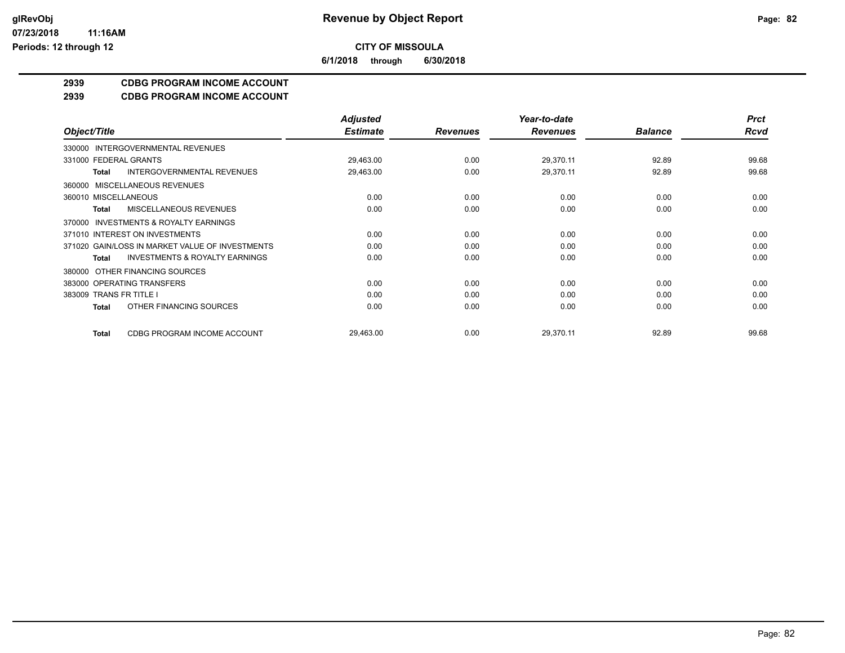**6/1/2018 through 6/30/2018**

### **2939 CDBG PROGRAM INCOME ACCOUNT**

### **2939 CDBG PROGRAM INCOME ACCOUNT**

|                                                           | <b>Adjusted</b> |                 | Year-to-date    |                | <b>Prct</b> |
|-----------------------------------------------------------|-----------------|-----------------|-----------------|----------------|-------------|
| Object/Title                                              | <b>Estimate</b> | <b>Revenues</b> | <b>Revenues</b> | <b>Balance</b> | Rcvd        |
| 330000 INTERGOVERNMENTAL REVENUES                         |                 |                 |                 |                |             |
| 331000 FEDERAL GRANTS                                     | 29,463.00       | 0.00            | 29,370.11       | 92.89          | 99.68       |
| INTERGOVERNMENTAL REVENUES<br><b>Total</b>                | 29,463.00       | 0.00            | 29,370.11       | 92.89          | 99.68       |
| 360000 MISCELLANEOUS REVENUES                             |                 |                 |                 |                |             |
| 360010 MISCELLANEOUS                                      | 0.00            | 0.00            | 0.00            | 0.00           | 0.00        |
| <b>MISCELLANEOUS REVENUES</b><br><b>Total</b>             | 0.00            | 0.00            | 0.00            | 0.00           | 0.00        |
| 370000 INVESTMENTS & ROYALTY EARNINGS                     |                 |                 |                 |                |             |
| 371010 INTEREST ON INVESTMENTS                            | 0.00            | 0.00            | 0.00            | 0.00           | 0.00        |
| 371020 GAIN/LOSS IN MARKET VALUE OF INVESTMENTS           | 0.00            | 0.00            | 0.00            | 0.00           | 0.00        |
| <b>INVESTMENTS &amp; ROYALTY EARNINGS</b><br><b>Total</b> | 0.00            | 0.00            | 0.00            | 0.00           | 0.00        |
| 380000 OTHER FINANCING SOURCES                            |                 |                 |                 |                |             |
| 383000 OPERATING TRANSFERS                                | 0.00            | 0.00            | 0.00            | 0.00           | 0.00        |
| 383009 TRANS FR TITLE I                                   | 0.00            | 0.00            | 0.00            | 0.00           | 0.00        |
| OTHER FINANCING SOURCES<br><b>Total</b>                   | 0.00            | 0.00            | 0.00            | 0.00           | 0.00        |
| CDBG PROGRAM INCOME ACCOUNT<br>Total                      | 29.463.00       | 0.00            | 29,370.11       | 92.89          | 99.68       |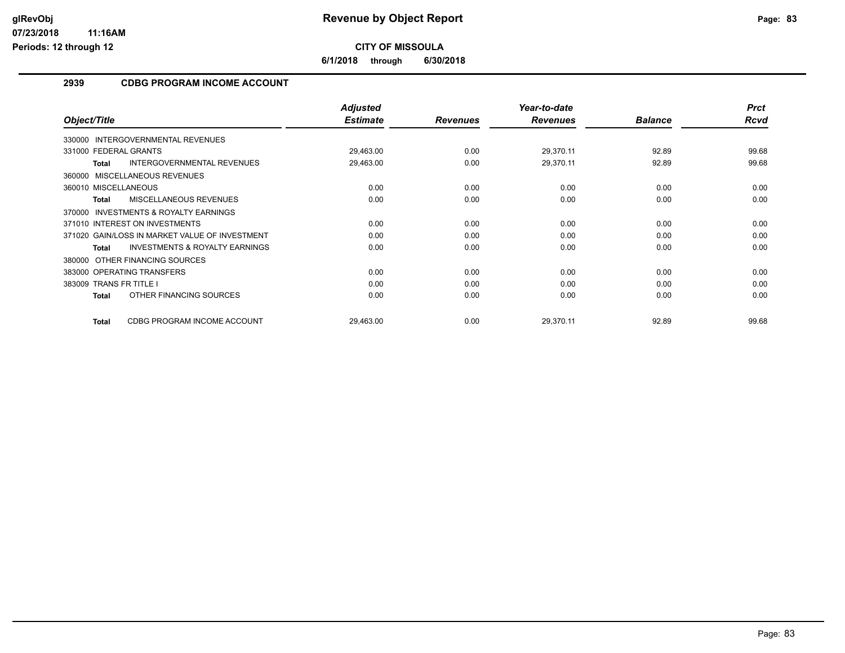**6/1/2018 through 6/30/2018**

### **2939 CDBG PROGRAM INCOME ACCOUNT**

|                                                           | <b>Adjusted</b> |                 | Year-to-date    |                | <b>Prct</b> |
|-----------------------------------------------------------|-----------------|-----------------|-----------------|----------------|-------------|
| Object/Title                                              | <b>Estimate</b> | <b>Revenues</b> | <b>Revenues</b> | <b>Balance</b> | <b>Rcvd</b> |
| 330000 INTERGOVERNMENTAL REVENUES                         |                 |                 |                 |                |             |
| 331000 FEDERAL GRANTS                                     | 29,463.00       | 0.00            | 29,370.11       | 92.89          | 99.68       |
| <b>INTERGOVERNMENTAL REVENUES</b><br><b>Total</b>         | 29,463.00       | 0.00            | 29,370.11       | 92.89          | 99.68       |
| MISCELLANEOUS REVENUES<br>360000                          |                 |                 |                 |                |             |
| 360010 MISCELLANEOUS                                      | 0.00            | 0.00            | 0.00            | 0.00           | 0.00        |
| <b>MISCELLANEOUS REVENUES</b><br><b>Total</b>             | 0.00            | 0.00            | 0.00            | 0.00           | 0.00        |
| <b>INVESTMENTS &amp; ROYALTY EARNINGS</b><br>370000       |                 |                 |                 |                |             |
| 371010 INTEREST ON INVESTMENTS                            | 0.00            | 0.00            | 0.00            | 0.00           | 0.00        |
| 371020 GAIN/LOSS IN MARKET VALUE OF INVESTMENT            | 0.00            | 0.00            | 0.00            | 0.00           | 0.00        |
| <b>INVESTMENTS &amp; ROYALTY EARNINGS</b><br><b>Total</b> | 0.00            | 0.00            | 0.00            | 0.00           | 0.00        |
| OTHER FINANCING SOURCES<br>380000                         |                 |                 |                 |                |             |
| 383000 OPERATING TRANSFERS                                | 0.00            | 0.00            | 0.00            | 0.00           | 0.00        |
| 383009 TRANS FR TITLE I                                   | 0.00            | 0.00            | 0.00            | 0.00           | 0.00        |
| OTHER FINANCING SOURCES<br><b>Total</b>                   | 0.00            | 0.00            | 0.00            | 0.00           | 0.00        |
| <b>Total</b><br>CDBG PROGRAM INCOME ACCOUNT               | 29,463.00       | 0.00            | 29.370.11       | 92.89          | 99.68       |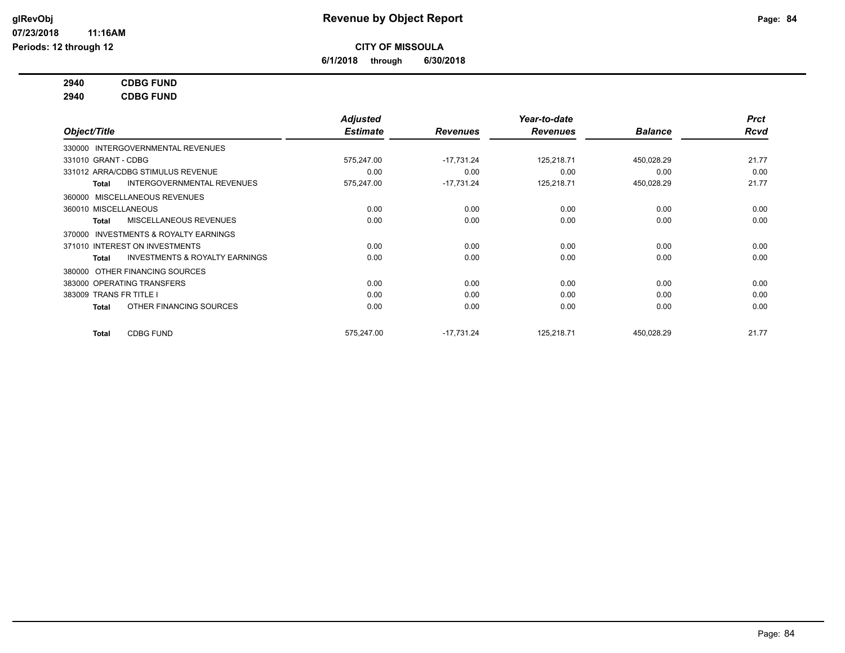**6/1/2018 through 6/30/2018**

### **2940 CDBG FUND**

**2940 CDBG FUND**

|                                                     |                                           | <b>Adjusted</b> |                 | Year-to-date    |                | <b>Prct</b> |
|-----------------------------------------------------|-------------------------------------------|-----------------|-----------------|-----------------|----------------|-------------|
| Object/Title                                        |                                           | <b>Estimate</b> | <b>Revenues</b> | <b>Revenues</b> | <b>Balance</b> | Rcvd        |
| 330000 INTERGOVERNMENTAL REVENUES                   |                                           |                 |                 |                 |                |             |
| 331010 GRANT - CDBG                                 |                                           | 575,247.00      | $-17,731.24$    | 125,218.71      | 450,028.29     | 21.77       |
| 331012 ARRA/CDBG STIMULUS REVENUE                   |                                           | 0.00            | 0.00            | 0.00            | 0.00           | 0.00        |
| <b>INTERGOVERNMENTAL REVENUES</b><br>Total          |                                           | 575,247.00      | $-17,731.24$    | 125,218.71      | 450,028.29     | 21.77       |
| 360000 MISCELLANEOUS REVENUES                       |                                           |                 |                 |                 |                |             |
| 360010 MISCELLANEOUS                                |                                           | 0.00            | 0.00            | 0.00            | 0.00           | 0.00        |
| <b>MISCELLANEOUS REVENUES</b><br>Total              |                                           | 0.00            | 0.00            | 0.00            | 0.00           | 0.00        |
| <b>INVESTMENTS &amp; ROYALTY EARNINGS</b><br>370000 |                                           |                 |                 |                 |                |             |
| 371010 INTEREST ON INVESTMENTS                      |                                           | 0.00            | 0.00            | 0.00            | 0.00           | 0.00        |
| Total                                               | <b>INVESTMENTS &amp; ROYALTY EARNINGS</b> | 0.00            | 0.00            | 0.00            | 0.00           | 0.00        |
| OTHER FINANCING SOURCES<br>380000                   |                                           |                 |                 |                 |                |             |
| 383000 OPERATING TRANSFERS                          |                                           | 0.00            | 0.00            | 0.00            | 0.00           | 0.00        |
| 383009 TRANS FR TITLE I                             |                                           | 0.00            | 0.00            | 0.00            | 0.00           | 0.00        |
| OTHER FINANCING SOURCES<br>Total                    |                                           | 0.00            | 0.00            | 0.00            | 0.00           | 0.00        |
| <b>CDBG FUND</b><br>Total                           |                                           | 575,247.00      | $-17,731.24$    | 125,218.71      | 450,028.29     | 21.77       |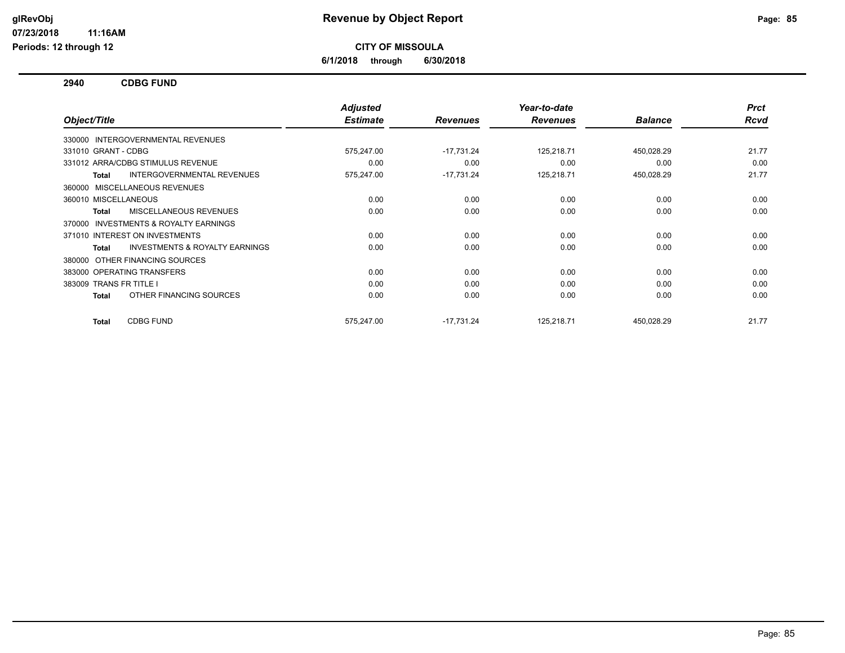**6/1/2018 through 6/30/2018**

**2940 CDBG FUND**

|                                                    | <b>Adjusted</b> |                 | Year-to-date    |                | <b>Prct</b> |
|----------------------------------------------------|-----------------|-----------------|-----------------|----------------|-------------|
| Object/Title                                       | <b>Estimate</b> | <b>Revenues</b> | <b>Revenues</b> | <b>Balance</b> | Rcvd        |
| 330000 INTERGOVERNMENTAL REVENUES                  |                 |                 |                 |                |             |
| 331010 GRANT - CDBG                                | 575,247.00      | $-17,731.24$    | 125,218.71      | 450,028.29     | 21.77       |
| 331012 ARRA/CDBG STIMULUS REVENUE                  | 0.00            | 0.00            | 0.00            | 0.00           | 0.00        |
| <b>INTERGOVERNMENTAL REVENUES</b><br>Total         | 575,247.00      | $-17,731.24$    | 125,218.71      | 450,028.29     | 21.77       |
| 360000 MISCELLANEOUS REVENUES                      |                 |                 |                 |                |             |
| 360010 MISCELLANEOUS                               | 0.00            | 0.00            | 0.00            | 0.00           | 0.00        |
| MISCELLANEOUS REVENUES<br>Total                    | 0.00            | 0.00            | 0.00            | 0.00           | 0.00        |
| 370000 INVESTMENTS & ROYALTY EARNINGS              |                 |                 |                 |                |             |
| 371010 INTEREST ON INVESTMENTS                     | 0.00            | 0.00            | 0.00            | 0.00           | 0.00        |
| <b>INVESTMENTS &amp; ROYALTY EARNINGS</b><br>Total | 0.00            | 0.00            | 0.00            | 0.00           | 0.00        |
| 380000 OTHER FINANCING SOURCES                     |                 |                 |                 |                |             |
| 383000 OPERATING TRANSFERS                         | 0.00            | 0.00            | 0.00            | 0.00           | 0.00        |
| 383009 TRANS FR TITLE I                            | 0.00            | 0.00            | 0.00            | 0.00           | 0.00        |
| OTHER FINANCING SOURCES<br><b>Total</b>            | 0.00            | 0.00            | 0.00            | 0.00           | 0.00        |
| <b>CDBG FUND</b><br>Total                          | 575,247.00      | $-17,731.24$    | 125.218.71      | 450,028.29     | 21.77       |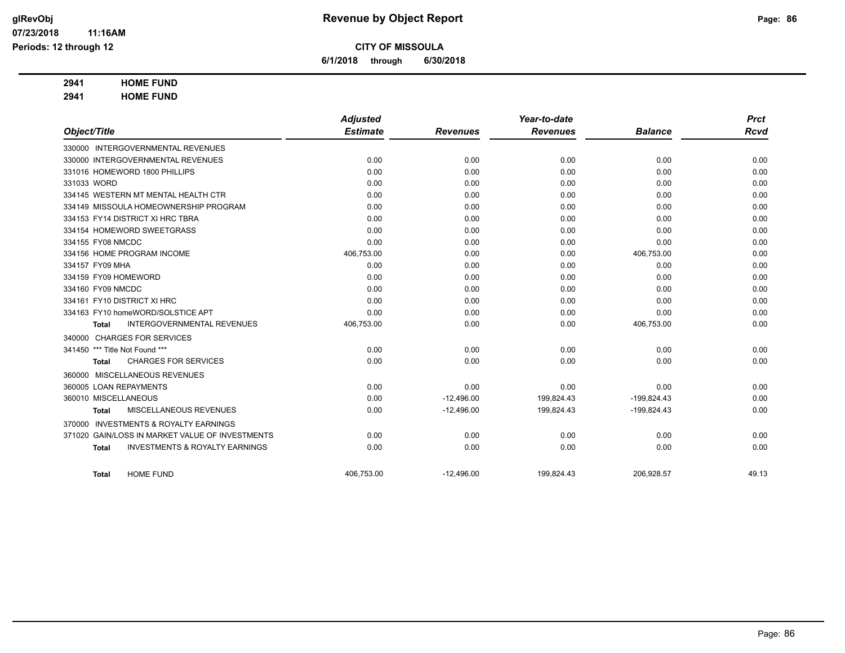**6/1/2018 through 6/30/2018**

### **2941 HOME FUND**

**2941 HOME FUND**

|                                                           | <b>Adjusted</b> |                 | Year-to-date    |                | <b>Prct</b> |
|-----------------------------------------------------------|-----------------|-----------------|-----------------|----------------|-------------|
| Object/Title                                              | <b>Estimate</b> | <b>Revenues</b> | <b>Revenues</b> | <b>Balance</b> | <b>Rcvd</b> |
| 330000 INTERGOVERNMENTAL REVENUES                         |                 |                 |                 |                |             |
| 330000 INTERGOVERNMENTAL REVENUES                         | 0.00            | 0.00            | 0.00            | 0.00           | 0.00        |
| 331016 HOMEWORD 1800 PHILLIPS                             | 0.00            | 0.00            | 0.00            | 0.00           | 0.00        |
| 331033 WORD                                               | 0.00            | 0.00            | 0.00            | 0.00           | 0.00        |
| 334145 WESTERN MT MENTAL HEALTH CTR                       | 0.00            | 0.00            | 0.00            | 0.00           | 0.00        |
| 334149 MISSOULA HOMEOWNERSHIP PROGRAM                     | 0.00            | 0.00            | 0.00            | 0.00           | 0.00        |
| 334153 FY14 DISTRICT XI HRC TBRA                          | 0.00            | 0.00            | 0.00            | 0.00           | 0.00        |
| 334154 HOMEWORD SWEETGRASS                                | 0.00            | 0.00            | 0.00            | 0.00           | 0.00        |
| 334155 FY08 NMCDC                                         | 0.00            | 0.00            | 0.00            | 0.00           | 0.00        |
| 334156 HOME PROGRAM INCOME                                | 406,753.00      | 0.00            | 0.00            | 406,753.00     | 0.00        |
| 334157 FY09 MHA                                           | 0.00            | 0.00            | 0.00            | 0.00           | 0.00        |
| 334159 FY09 HOMEWORD                                      | 0.00            | 0.00            | 0.00            | 0.00           | 0.00        |
| 334160 FY09 NMCDC                                         | 0.00            | 0.00            | 0.00            | 0.00           | 0.00        |
| 334161 FY10 DISTRICT XI HRC                               | 0.00            | 0.00            | 0.00            | 0.00           | 0.00        |
| 334163 FY10 homeWORD/SOLSTICE APT                         | 0.00            | 0.00            | 0.00            | 0.00           | 0.00        |
| <b>INTERGOVERNMENTAL REVENUES</b><br><b>Total</b>         | 406,753.00      | 0.00            | 0.00            | 406,753.00     | 0.00        |
| <b>CHARGES FOR SERVICES</b><br>340000                     |                 |                 |                 |                |             |
| 341450 *** Title Not Found ***                            | 0.00            | 0.00            | 0.00            | 0.00           | 0.00        |
| <b>CHARGES FOR SERVICES</b><br>Total                      | 0.00            | 0.00            | 0.00            | 0.00           | 0.00        |
| 360000 MISCELLANEOUS REVENUES                             |                 |                 |                 |                |             |
| 360005 LOAN REPAYMENTS                                    | 0.00            | 0.00            | 0.00            | 0.00           | 0.00        |
| 360010 MISCELLANEOUS                                      | 0.00            | $-12,496.00$    | 199,824.43      | $-199,824.43$  | 0.00        |
| MISCELLANEOUS REVENUES<br>Total                           | 0.00            | $-12,496.00$    | 199,824.43      | $-199,824.43$  | 0.00        |
| 370000 INVESTMENTS & ROYALTY EARNINGS                     |                 |                 |                 |                |             |
| 371020 GAIN/LOSS IN MARKET VALUE OF INVESTMENTS           | 0.00            | 0.00            | 0.00            | 0.00           | 0.00        |
| <b>INVESTMENTS &amp; ROYALTY EARNINGS</b><br><b>Total</b> | 0.00            | 0.00            | 0.00            | 0.00           | 0.00        |
| <b>HOME FUND</b><br><b>Total</b>                          | 406,753.00      | $-12,496.00$    | 199,824.43      | 206,928.57     | 49.13       |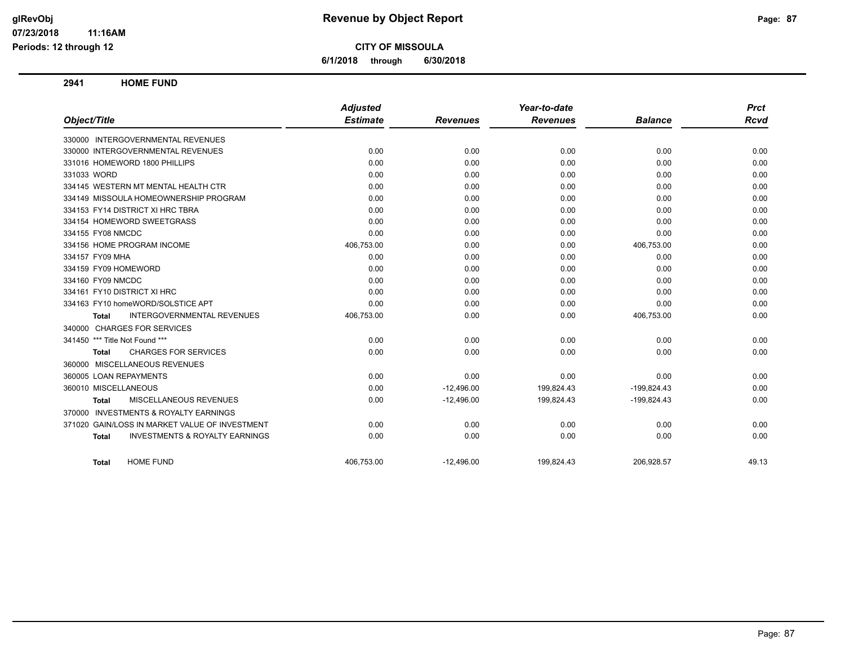**6/1/2018 through 6/30/2018**

**2941 HOME FUND**

|                                                           | <b>Adjusted</b> |                 | Year-to-date    |                | <b>Prct</b> |
|-----------------------------------------------------------|-----------------|-----------------|-----------------|----------------|-------------|
| Object/Title                                              | <b>Estimate</b> | <b>Revenues</b> | <b>Revenues</b> | <b>Balance</b> | <b>Rcvd</b> |
| 330000 INTERGOVERNMENTAL REVENUES                         |                 |                 |                 |                |             |
| 330000 INTERGOVERNMENTAL REVENUES                         | 0.00            | 0.00            | 0.00            | 0.00           | 0.00        |
| 331016 HOMEWORD 1800 PHILLIPS                             | 0.00            | 0.00            | 0.00            | 0.00           | 0.00        |
| 331033 WORD                                               | 0.00            | 0.00            | 0.00            | 0.00           | 0.00        |
| 334145 WESTERN MT MENTAL HEALTH CTR                       | 0.00            | 0.00            | 0.00            | 0.00           | 0.00        |
| 334149 MISSOULA HOMEOWNERSHIP PROGRAM                     | 0.00            | 0.00            | 0.00            | 0.00           | 0.00        |
| 334153 FY14 DISTRICT XI HRC TBRA                          | 0.00            | 0.00            | 0.00            | 0.00           | 0.00        |
| 334154 HOMEWORD SWEETGRASS                                | 0.00            | 0.00            | 0.00            | 0.00           | 0.00        |
| 334155 FY08 NMCDC                                         | 0.00            | 0.00            | 0.00            | 0.00           | 0.00        |
| 334156 HOME PROGRAM INCOME                                | 406,753.00      | 0.00            | 0.00            | 406,753.00     | 0.00        |
| 334157 FY09 MHA                                           | 0.00            | 0.00            | 0.00            | 0.00           | 0.00        |
| 334159 FY09 HOMEWORD                                      | 0.00            | 0.00            | 0.00            | 0.00           | 0.00        |
| 334160 FY09 NMCDC                                         | 0.00            | 0.00            | 0.00            | 0.00           | 0.00        |
| 334161 FY10 DISTRICT XI HRC                               | 0.00            | 0.00            | 0.00            | 0.00           | 0.00        |
| 334163 FY10 homeWORD/SOLSTICE APT                         | 0.00            | 0.00            | 0.00            | 0.00           | 0.00        |
| <b>INTERGOVERNMENTAL REVENUES</b><br><b>Total</b>         | 406,753.00      | 0.00            | 0.00            | 406,753.00     | 0.00        |
| 340000 CHARGES FOR SERVICES                               |                 |                 |                 |                |             |
| 341450 *** Title Not Found ***                            | 0.00            | 0.00            | 0.00            | 0.00           | 0.00        |
| <b>CHARGES FOR SERVICES</b><br><b>Total</b>               | 0.00            | 0.00            | 0.00            | 0.00           | 0.00        |
| 360000 MISCELLANEOUS REVENUES                             |                 |                 |                 |                |             |
| 360005 LOAN REPAYMENTS                                    | 0.00            | 0.00            | 0.00            | 0.00           | 0.00        |
| 360010 MISCELLANEOUS                                      | 0.00            | $-12,496.00$    | 199,824.43      | $-199,824.43$  | 0.00        |
| <b>MISCELLANEOUS REVENUES</b><br><b>Total</b>             | 0.00            | $-12,496.00$    | 199,824.43      | $-199,824.43$  | 0.00        |
| 370000 INVESTMENTS & ROYALTY EARNINGS                     |                 |                 |                 |                |             |
| 371020 GAIN/LOSS IN MARKET VALUE OF INVESTMENT            | 0.00            | 0.00            | 0.00            | 0.00           | 0.00        |
| <b>INVESTMENTS &amp; ROYALTY EARNINGS</b><br><b>Total</b> | 0.00            | 0.00            | 0.00            | 0.00           | 0.00        |
| <b>HOME FUND</b><br><b>Total</b>                          | 406,753.00      | $-12,496.00$    | 199,824.43      | 206,928.57     | 49.13       |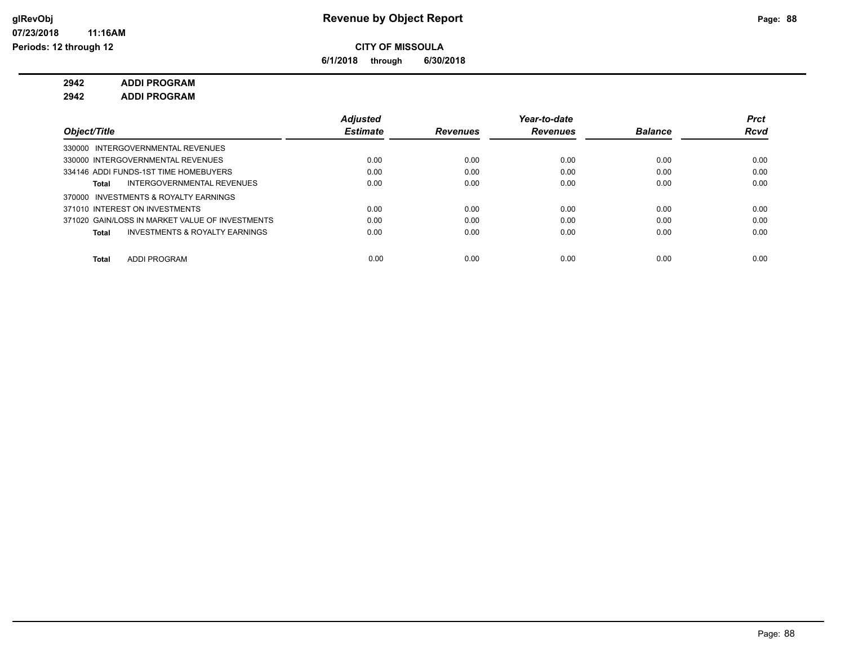**6/1/2018 through 6/30/2018**

**2942 ADDI PROGRAM**

**2942 ADDI PROGRAM**

|                                                    | <b>Adjusted</b> |                 | Year-to-date    |                | <b>Prct</b> |
|----------------------------------------------------|-----------------|-----------------|-----------------|----------------|-------------|
| Object/Title                                       | <b>Estimate</b> | <b>Revenues</b> | <b>Revenues</b> | <b>Balance</b> | <b>Rcvd</b> |
| 330000 INTERGOVERNMENTAL REVENUES                  |                 |                 |                 |                |             |
| 330000 INTERGOVERNMENTAL REVENUES                  | 0.00            | 0.00            | 0.00            | 0.00           | 0.00        |
| 334146 ADDI FUNDS-1ST TIME HOMEBUYERS              | 0.00            | 0.00            | 0.00            | 0.00           | 0.00        |
| <b>INTERGOVERNMENTAL REVENUES</b><br>Total         | 0.00            | 0.00            | 0.00            | 0.00           | 0.00        |
| 370000 INVESTMENTS & ROYALTY EARNINGS              |                 |                 |                 |                |             |
| 371010 INTEREST ON INVESTMENTS                     | 0.00            | 0.00            | 0.00            | 0.00           | 0.00        |
| 371020 GAIN/LOSS IN MARKET VALUE OF INVESTMENTS    | 0.00            | 0.00            | 0.00            | 0.00           | 0.00        |
| <b>INVESTMENTS &amp; ROYALTY EARNINGS</b><br>Total | 0.00            | 0.00            | 0.00            | 0.00           | 0.00        |
|                                                    |                 |                 |                 |                |             |
| ADDI PROGRAM<br><b>Total</b>                       | 0.00            | 0.00            | 0.00            | 0.00           | 0.00        |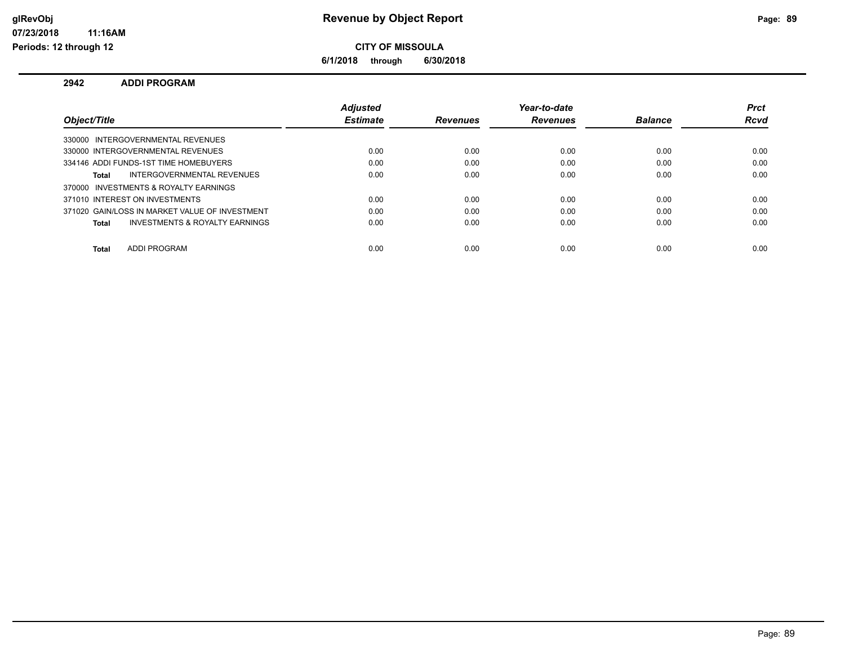**6/1/2018 through 6/30/2018**

### **2942 ADDI PROGRAM**

|                                                | <b>Adiusted</b> |                 | Year-to-date    |                | <b>Prct</b> |
|------------------------------------------------|-----------------|-----------------|-----------------|----------------|-------------|
| Object/Title                                   | <b>Estimate</b> | <b>Revenues</b> | <b>Revenues</b> | <b>Balance</b> | <b>Rcvd</b> |
| 330000 INTERGOVERNMENTAL REVENUES              |                 |                 |                 |                |             |
| 330000 INTERGOVERNMENTAL REVENUES              | 0.00            | 0.00            | 0.00            | 0.00           | 0.00        |
| 334146 ADDI FUNDS-1ST TIME HOMEBUYERS          | 0.00            | 0.00            | 0.00            | 0.00           | 0.00        |
| INTERGOVERNMENTAL REVENUES<br>Total            | 0.00            | 0.00            | 0.00            | 0.00           | 0.00        |
| 370000 INVESTMENTS & ROYALTY EARNINGS          |                 |                 |                 |                |             |
| 371010 INTEREST ON INVESTMENTS                 | 0.00            | 0.00            | 0.00            | 0.00           | 0.00        |
| 371020 GAIN/LOSS IN MARKET VALUE OF INVESTMENT | 0.00            | 0.00            | 0.00            | 0.00           | 0.00        |
| INVESTMENTS & ROYALTY EARNINGS<br><b>Total</b> | 0.00            | 0.00            | 0.00            | 0.00           | 0.00        |
| ADDI PROGRAM<br><b>Total</b>                   | 0.00            | 0.00            | 0.00            | 0.00           | 0.00        |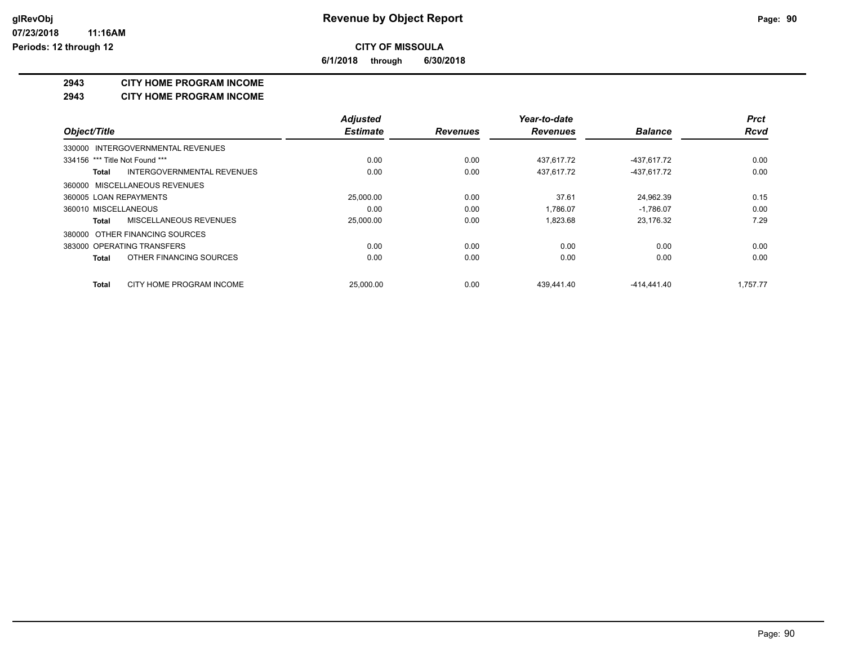**6/1/2018 through 6/30/2018**

### **2943 CITY HOME PROGRAM INCOME**

### **2943 CITY HOME PROGRAM INCOME**

|                                         | <b>Adjusted</b> |                 | Year-to-date    |                | <b>Prct</b> |
|-----------------------------------------|-----------------|-----------------|-----------------|----------------|-------------|
| Object/Title                            | <b>Estimate</b> | <b>Revenues</b> | <b>Revenues</b> | <b>Balance</b> | <b>Rcvd</b> |
| 330000 INTERGOVERNMENTAL REVENUES       |                 |                 |                 |                |             |
| 334156 *** Title Not Found ***          | 0.00            | 0.00            | 437,617.72      | -437,617.72    | 0.00        |
| INTERGOVERNMENTAL REVENUES<br>Total     | 0.00            | 0.00            | 437,617.72      | -437,617.72    | 0.00        |
| 360000 MISCELLANEOUS REVENUES           |                 |                 |                 |                |             |
| 360005 LOAN REPAYMENTS                  | 25,000.00       | 0.00            | 37.61           | 24,962.39      | 0.15        |
| 360010 MISCELLANEOUS                    | 0.00            | 0.00            | 1.786.07        | $-1,786.07$    | 0.00        |
| MISCELLANEOUS REVENUES<br>Total         | 25,000.00       | 0.00            | 1,823.68        | 23.176.32      | 7.29        |
| 380000 OTHER FINANCING SOURCES          |                 |                 |                 |                |             |
| 383000 OPERATING TRANSFERS              | 0.00            | 0.00            | 0.00            | 0.00           | 0.00        |
| OTHER FINANCING SOURCES<br><b>Total</b> | 0.00            | 0.00            | 0.00            | 0.00           | 0.00        |
| CITY HOME PROGRAM INCOME<br>Total       | 25.000.00       | 0.00            | 439.441.40      | $-414.441.40$  | 1.757.77    |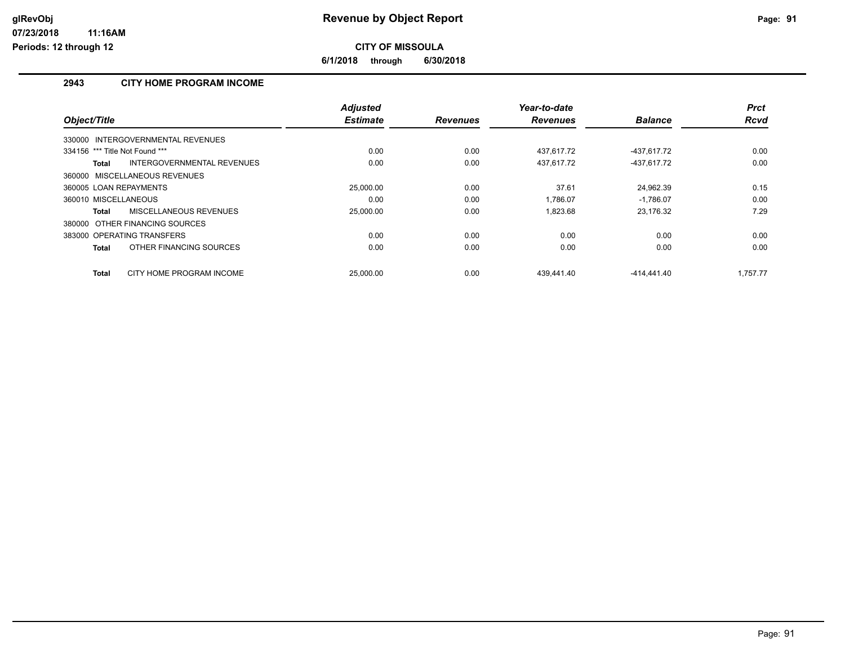**6/1/2018 through 6/30/2018**

### **2943 CITY HOME PROGRAM INCOME**

| Object/Title                             | <b>Adjusted</b><br><b>Estimate</b> | <b>Revenues</b> | Year-to-date<br><b>Revenues</b> | <b>Balance</b> | <b>Prct</b><br><b>Rcvd</b> |
|------------------------------------------|------------------------------------|-----------------|---------------------------------|----------------|----------------------------|
|                                          |                                    |                 |                                 |                |                            |
| 330000 INTERGOVERNMENTAL REVENUES        |                                    |                 |                                 |                |                            |
| 334156 *** Title Not Found ***           | 0.00                               | 0.00            | 437,617.72                      | -437,617.72    | 0.00                       |
| INTERGOVERNMENTAL REVENUES<br>Total      | 0.00                               | 0.00            | 437,617.72                      | -437.617.72    | 0.00                       |
| 360000 MISCELLANEOUS REVENUES            |                                    |                 |                                 |                |                            |
| 360005 LOAN REPAYMENTS                   | 25,000.00                          | 0.00            | 37.61                           | 24,962.39      | 0.15                       |
| 360010 MISCELLANEOUS                     | 0.00                               | 0.00            | 1.786.07                        | $-1,786.07$    | 0.00                       |
| MISCELLANEOUS REVENUES<br>Total          | 25,000.00                          | 0.00            | 1.823.68                        | 23.176.32      | 7.29                       |
| 380000 OTHER FINANCING SOURCES           |                                    |                 |                                 |                |                            |
| 383000 OPERATING TRANSFERS               | 0.00                               | 0.00            | 0.00                            | 0.00           | 0.00                       |
| OTHER FINANCING SOURCES<br><b>Total</b>  | 0.00                               | 0.00            | 0.00                            | 0.00           | 0.00                       |
| CITY HOME PROGRAM INCOME<br><b>Total</b> | 25,000.00                          | 0.00            | 439.441.40                      | -414.441.40    | 1.757.77                   |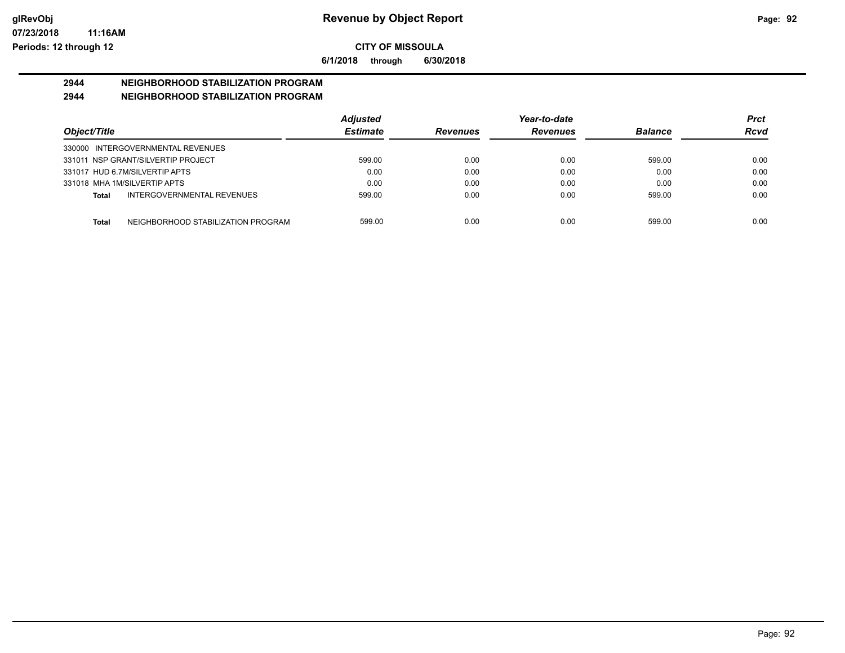**6/1/2018 through 6/30/2018**

# **2944 NEIGHBORHOOD STABILIZATION PROGRAM**

### **2944 NEIGHBORHOOD STABILIZATION PROGRAM**

|                                                    | <b>Adjusted</b> |                 | Year-to-date    |                | <b>Prct</b> |
|----------------------------------------------------|-----------------|-----------------|-----------------|----------------|-------------|
| Object/Title                                       | <b>Estimate</b> | <b>Revenues</b> | <b>Revenues</b> | <b>Balance</b> | Rcvd        |
| 330000 INTERGOVERNMENTAL REVENUES                  |                 |                 |                 |                |             |
| 331011 NSP GRANT/SILVERTIP PROJECT                 | 599.00          | 0.00            | 0.00            | 599.00         | 0.00        |
| 331017 HUD 6.7M/SILVERTIP APTS                     | 0.00            | 0.00            | 0.00            | 0.00           | 0.00        |
| 331018 MHA 1M/SILVERTIP APTS                       | 0.00            | 0.00            | 0.00            | 0.00           | 0.00        |
| INTERGOVERNMENTAL REVENUES<br>Total                | 599.00          | 0.00            | 0.00            | 599.00         | 0.00        |
| NEIGHBORHOOD STABILIZATION PROGRAM<br><b>Total</b> | 599.00          | 0.00            | 0.00            | 599.00         | 0.00        |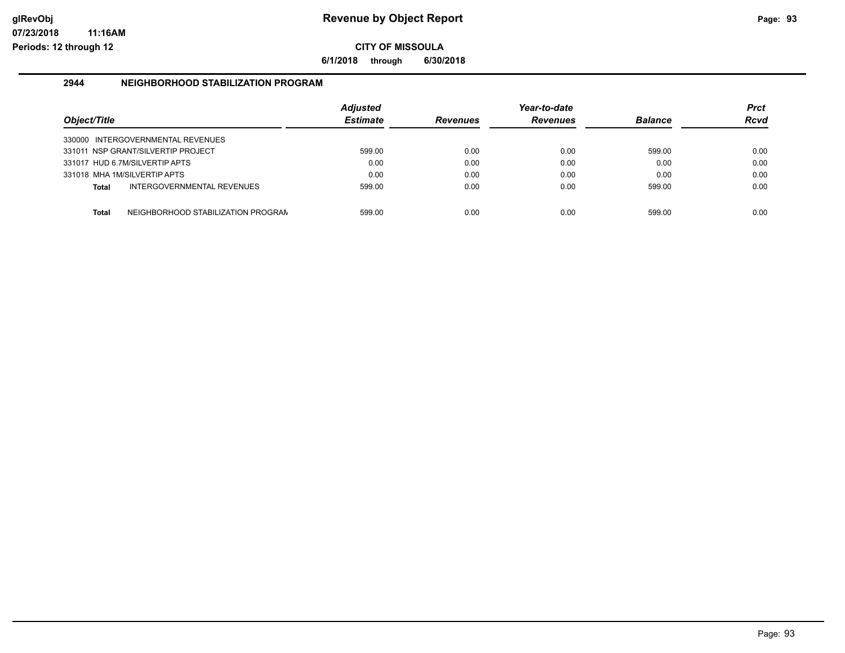**6/1/2018 through 6/30/2018**

### **2944 NEIGHBORHOOD STABILIZATION PROGRAM**

| Object/Title                                       | Adjusted<br><b>Estimate</b> | <b>Revenues</b> | Year-to-date<br><b>Revenues</b> | <b>Balance</b> | <b>Prct</b><br><b>Rcvd</b> |
|----------------------------------------------------|-----------------------------|-----------------|---------------------------------|----------------|----------------------------|
| 330000 INTERGOVERNMENTAL REVENUES                  |                             |                 |                                 |                |                            |
| 331011 NSP GRANT/SILVERTIP PROJECT                 | 599.00                      | 0.00            | 0.00                            | 599.00         | 0.00                       |
| 331017 HUD 6.7M/SILVERTIP APTS                     | 0.00                        | 0.00            | 0.00                            | 0.00           | 0.00                       |
| 331018 MHA 1M/SILVERTIP APTS                       | 0.00                        | 0.00            | 0.00                            | 0.00           | 0.00                       |
| INTERGOVERNMENTAL REVENUES<br><b>Total</b>         | 599.00                      | 0.00            | 0.00                            | 599.00         | 0.00                       |
| NEIGHBORHOOD STABILIZATION PROGRAN<br><b>Total</b> | 599.00                      | 0.00            | 0.00                            | 599.00         | 0.00                       |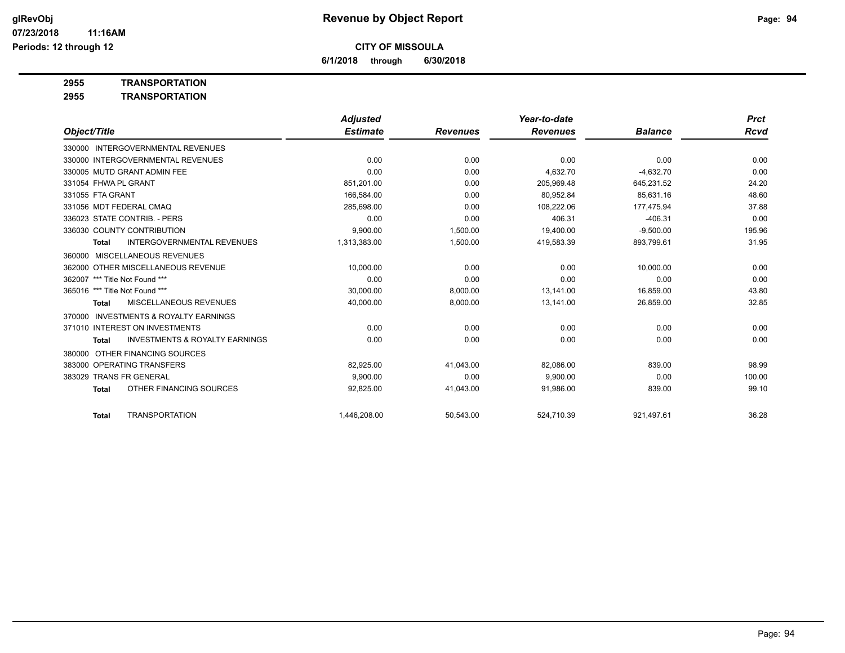**6/1/2018 through 6/30/2018**

**2955 TRANSPORTATION**

**2955 TRANSPORTATION**

|                                                           | <b>Adjusted</b> |                 | Year-to-date    |                | <b>Prct</b> |
|-----------------------------------------------------------|-----------------|-----------------|-----------------|----------------|-------------|
| Object/Title                                              | <b>Estimate</b> | <b>Revenues</b> | <b>Revenues</b> | <b>Balance</b> | Rcvd        |
| INTERGOVERNMENTAL REVENUES<br>330000                      |                 |                 |                 |                |             |
| 330000 INTERGOVERNMENTAL REVENUES                         | 0.00            | 0.00            | 0.00            | 0.00           | 0.00        |
| 330005 MUTD GRANT ADMIN FEE                               | 0.00            | 0.00            | 4,632.70        | $-4,632.70$    | 0.00        |
| 331054 FHWA PL GRANT                                      | 851,201.00      | 0.00            | 205,969.48      | 645,231.52     | 24.20       |
| 331055 FTA GRANT                                          | 166,584.00      | 0.00            | 80.952.84       | 85.631.16      | 48.60       |
| 331056 MDT FEDERAL CMAO                                   | 285,698.00      | 0.00            | 108,222.06      | 177,475.94     | 37.88       |
| 336023 STATE CONTRIB. - PERS                              | 0.00            | 0.00            | 406.31          | $-406.31$      | 0.00        |
| 336030 COUNTY CONTRIBUTION                                | 9.900.00        | 1.500.00        | 19.400.00       | $-9.500.00$    | 195.96      |
| <b>INTERGOVERNMENTAL REVENUES</b><br><b>Total</b>         | 1,313,383.00    | 1,500.00        | 419,583.39      | 893,799.61     | 31.95       |
| MISCELLANEOUS REVENUES<br>360000                          |                 |                 |                 |                |             |
| 362000 OTHER MISCELLANEOUS REVENUE                        | 10,000.00       | 0.00            | 0.00            | 10,000.00      | 0.00        |
| 362007 *** Title Not Found ***                            | 0.00            | 0.00            | 0.00            | 0.00           | 0.00        |
| 365016 *** Title Not Found ***                            | 30,000.00       | 8,000.00        | 13,141.00       | 16,859.00      | 43.80       |
| <b>MISCELLANEOUS REVENUES</b><br><b>Total</b>             | 40,000.00       | 8,000.00        | 13,141.00       | 26,859.00      | 32.85       |
| <b>INVESTMENTS &amp; ROYALTY EARNINGS</b><br>370000       |                 |                 |                 |                |             |
| 371010 INTEREST ON INVESTMENTS                            | 0.00            | 0.00            | 0.00            | 0.00           | 0.00        |
| <b>INVESTMENTS &amp; ROYALTY EARNINGS</b><br><b>Total</b> | 0.00            | 0.00            | 0.00            | 0.00           | 0.00        |
| OTHER FINANCING SOURCES<br>380000                         |                 |                 |                 |                |             |
| 383000 OPERATING TRANSFERS                                | 82.925.00       | 41.043.00       | 82.086.00       | 839.00         | 98.99       |
| 383029 TRANS FR GENERAL                                   | 9.900.00        | 0.00            | 9.900.00        | 0.00           | 100.00      |
| OTHER FINANCING SOURCES<br><b>Total</b>                   | 92,825.00       | 41,043.00       | 91,986.00       | 839.00         | 99.10       |
| <b>TRANSPORTATION</b><br><b>Total</b>                     | 1,446,208.00    | 50,543.00       | 524,710.39      | 921,497.61     | 36.28       |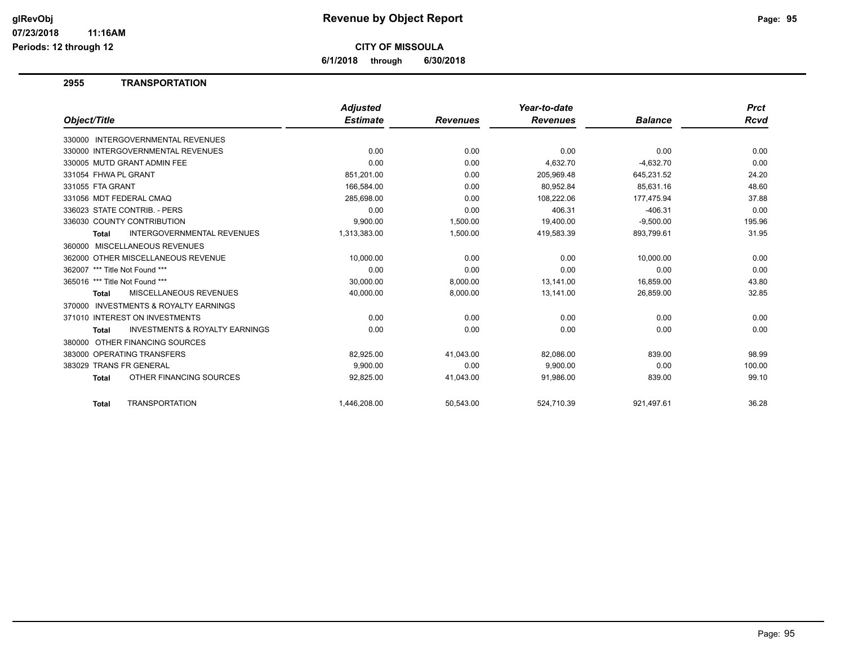**6/1/2018 through 6/30/2018**

### **2955 TRANSPORTATION**

|                                                           | <b>Adjusted</b> |                 | Year-to-date    |                | <b>Prct</b> |
|-----------------------------------------------------------|-----------------|-----------------|-----------------|----------------|-------------|
| Object/Title                                              | <b>Estimate</b> | <b>Revenues</b> | <b>Revenues</b> | <b>Balance</b> | Rcvd        |
| 330000 INTERGOVERNMENTAL REVENUES                         |                 |                 |                 |                |             |
| 330000 INTERGOVERNMENTAL REVENUES                         | 0.00            | 0.00            | 0.00            | 0.00           | 0.00        |
| 330005 MUTD GRANT ADMIN FEE                               | 0.00            | 0.00            | 4.632.70        | $-4.632.70$    | 0.00        |
| 331054 FHWA PL GRANT                                      | 851,201.00      | 0.00            | 205,969.48      | 645,231.52     | 24.20       |
| 331055 FTA GRANT                                          | 166,584.00      | 0.00            | 80,952.84       | 85,631.16      | 48.60       |
| 331056 MDT FEDERAL CMAQ                                   | 285,698.00      | 0.00            | 108,222.06      | 177,475.94     | 37.88       |
| 336023 STATE CONTRIB. - PERS                              | 0.00            | 0.00            | 406.31          | $-406.31$      | 0.00        |
| 336030 COUNTY CONTRIBUTION                                | 9,900.00        | 1,500.00        | 19,400.00       | $-9,500.00$    | 195.96      |
| <b>INTERGOVERNMENTAL REVENUES</b><br><b>Total</b>         | 1,313,383.00    | 1,500.00        | 419,583.39      | 893,799.61     | 31.95       |
| 360000 MISCELLANEOUS REVENUES                             |                 |                 |                 |                |             |
| 362000 OTHER MISCELLANEOUS REVENUE                        | 10.000.00       | 0.00            | 0.00            | 10.000.00      | 0.00        |
| 362007 *** Title Not Found ***                            | 0.00            | 0.00            | 0.00            | 0.00           | 0.00        |
| 365016 *** Title Not Found ***                            | 30,000.00       | 8,000.00        | 13,141.00       | 16,859.00      | 43.80       |
| MISCELLANEOUS REVENUES<br><b>Total</b>                    | 40,000.00       | 8,000.00        | 13,141.00       | 26,859.00      | 32.85       |
| 370000 INVESTMENTS & ROYALTY EARNINGS                     |                 |                 |                 |                |             |
| 371010 INTEREST ON INVESTMENTS                            | 0.00            | 0.00            | 0.00            | 0.00           | 0.00        |
| <b>INVESTMENTS &amp; ROYALTY EARNINGS</b><br><b>Total</b> | 0.00            | 0.00            | 0.00            | 0.00           | 0.00        |
| 380000 OTHER FINANCING SOURCES                            |                 |                 |                 |                |             |
| 383000 OPERATING TRANSFERS                                | 82,925.00       | 41,043.00       | 82,086.00       | 839.00         | 98.99       |
| 383029 TRANS FR GENERAL                                   | 9,900.00        | 0.00            | 9,900.00        | 0.00           | 100.00      |
| OTHER FINANCING SOURCES<br>Total                          | 92,825.00       | 41,043.00       | 91,986.00       | 839.00         | 99.10       |
| <b>TRANSPORTATION</b><br><b>Total</b>                     | 1.446.208.00    | 50.543.00       | 524.710.39      | 921.497.61     | 36.28       |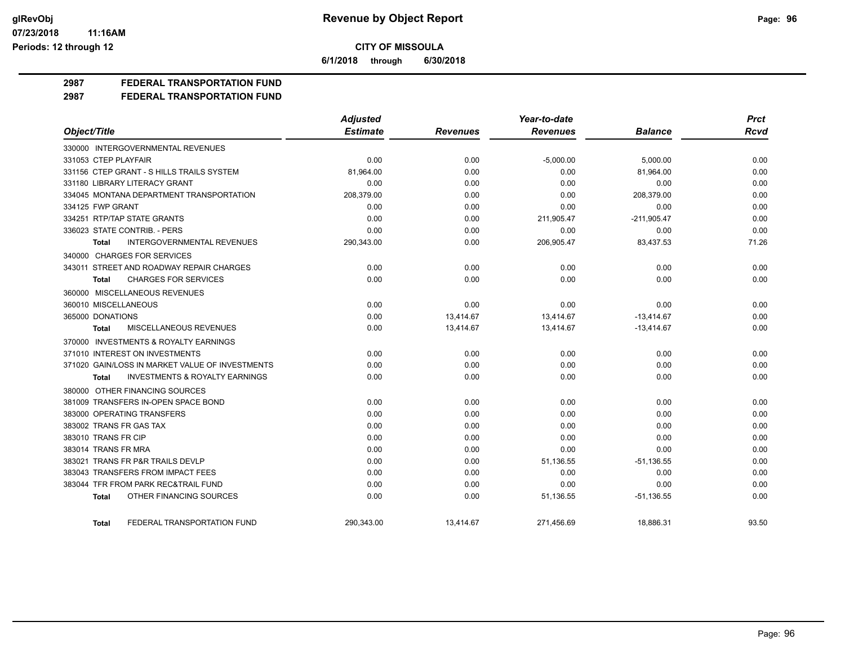**6/1/2018 through 6/30/2018**

**2987 FEDERAL TRANSPORTATION FUND**

**2987 FEDERAL TRANSPORTATION FUND**

|                                                           | <b>Adjusted</b> |                 | Year-to-date    |                | <b>Prct</b> |
|-----------------------------------------------------------|-----------------|-----------------|-----------------|----------------|-------------|
| Object/Title                                              | <b>Estimate</b> | <b>Revenues</b> | <b>Revenues</b> | <b>Balance</b> | <b>Rcvd</b> |
| 330000 INTERGOVERNMENTAL REVENUES                         |                 |                 |                 |                |             |
| 331053 CTEP PLAYFAIR                                      | 0.00            | 0.00            | $-5,000.00$     | 5,000.00       | 0.00        |
| 331156 CTEP GRANT - S HILLS TRAILS SYSTEM                 | 81,964.00       | 0.00            | 0.00            | 81,964.00      | 0.00        |
| 331180 LIBRARY LITERACY GRANT                             | 0.00            | 0.00            | 0.00            | 0.00           | 0.00        |
| 334045 MONTANA DEPARTMENT TRANSPORTATION                  | 208,379.00      | 0.00            | 0.00            | 208,379.00     | 0.00        |
| 334125 FWP GRANT                                          | 0.00            | 0.00            | 0.00            | 0.00           | 0.00        |
| 334251 RTP/TAP STATE GRANTS                               | 0.00            | 0.00            | 211,905.47      | $-211,905.47$  | 0.00        |
| 336023 STATE CONTRIB. - PERS                              | 0.00            | 0.00            | 0.00            | 0.00           | 0.00        |
| INTERGOVERNMENTAL REVENUES<br><b>Total</b>                | 290,343.00      | 0.00            | 206,905.47      | 83,437.53      | 71.26       |
| 340000 CHARGES FOR SERVICES                               |                 |                 |                 |                |             |
| 343011 STREET AND ROADWAY REPAIR CHARGES                  | 0.00            | 0.00            | 0.00            | 0.00           | 0.00        |
| <b>CHARGES FOR SERVICES</b><br>Total                      | 0.00            | 0.00            | 0.00            | 0.00           | 0.00        |
| 360000 MISCELLANEOUS REVENUES                             |                 |                 |                 |                |             |
| 360010 MISCELLANEOUS                                      | 0.00            | 0.00            | 0.00            | 0.00           | 0.00        |
| 365000 DONATIONS                                          | 0.00            | 13,414.67       | 13,414.67       | $-13,414.67$   | 0.00        |
| MISCELLANEOUS REVENUES<br><b>Total</b>                    | 0.00            | 13,414.67       | 13,414.67       | $-13,414.67$   | 0.00        |
| 370000 INVESTMENTS & ROYALTY EARNINGS                     |                 |                 |                 |                |             |
| 371010 INTEREST ON INVESTMENTS                            | 0.00            | 0.00            | 0.00            | 0.00           | 0.00        |
| 371020 GAIN/LOSS IN MARKET VALUE OF INVESTMENTS           | 0.00            | 0.00            | 0.00            | 0.00           | 0.00        |
| <b>INVESTMENTS &amp; ROYALTY EARNINGS</b><br><b>Total</b> | 0.00            | 0.00            | 0.00            | 0.00           | 0.00        |
| 380000 OTHER FINANCING SOURCES                            |                 |                 |                 |                |             |
| 381009 TRANSFERS IN-OPEN SPACE BOND                       | 0.00            | 0.00            | 0.00            | 0.00           | 0.00        |
| 383000 OPERATING TRANSFERS                                | 0.00            | 0.00            | 0.00            | 0.00           | 0.00        |
| 383002 TRANS FR GAS TAX                                   | 0.00            | 0.00            | 0.00            | 0.00           | 0.00        |
| 383010 TRANS FR CIP                                       | 0.00            | 0.00            | 0.00            | 0.00           | 0.00        |
| 383014 TRANS FR MRA                                       | 0.00            | 0.00            | 0.00            | 0.00           | 0.00        |
| 383021 TRANS FR P&R TRAILS DEVLP                          | 0.00            | 0.00            | 51,136.55       | $-51,136.55$   | 0.00        |
| 383043 TRANSFERS FROM IMPACT FEES                         | 0.00            | 0.00            | 0.00            | 0.00           | 0.00        |
| 383044 TFR FROM PARK REC&TRAIL FUND                       | 0.00            | 0.00            | 0.00            | 0.00           | 0.00        |
| OTHER FINANCING SOURCES<br><b>Total</b>                   | 0.00            | 0.00            | 51,136.55       | $-51, 136.55$  | 0.00        |
| FEDERAL TRANSPORTATION FUND<br><b>Total</b>               | 290.343.00      | 13.414.67       | 271.456.69      | 18.886.31      | 93.50       |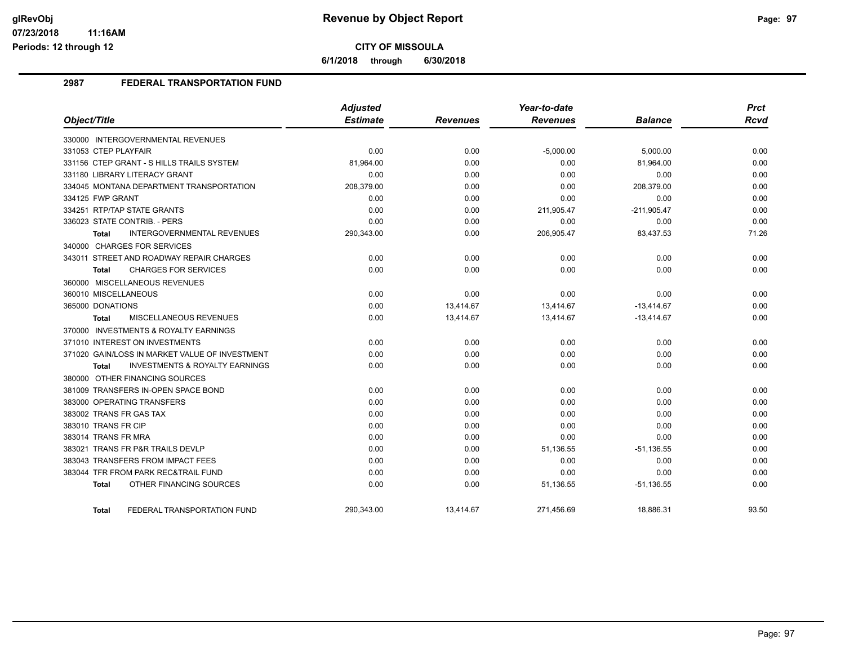**6/1/2018 through 6/30/2018**

### **2987 FEDERAL TRANSPORTATION FUND**

|                                                | <b>Adjusted</b> |                 | Year-to-date    |                | <b>Prct</b> |
|------------------------------------------------|-----------------|-----------------|-----------------|----------------|-------------|
| Object/Title                                   | <b>Estimate</b> | <b>Revenues</b> | <b>Revenues</b> | <b>Balance</b> | <b>Rcvd</b> |
| 330000 INTERGOVERNMENTAL REVENUES              |                 |                 |                 |                |             |
| 331053 CTEP PLAYFAIR                           | 0.00            | 0.00            | $-5,000.00$     | 5,000.00       | 0.00        |
| 331156 CTEP GRANT - S HILLS TRAILS SYSTEM      | 81,964.00       | 0.00            | 0.00            | 81,964.00      | 0.00        |
| 331180 LIBRARY LITERACY GRANT                  | 0.00            | 0.00            | 0.00            | 0.00           | 0.00        |
| 334045 MONTANA DEPARTMENT TRANSPORTATION       | 208,379.00      | 0.00            | 0.00            | 208,379.00     | 0.00        |
| 334125 FWP GRANT                               | 0.00            | 0.00            | 0.00            | 0.00           | 0.00        |
| 334251 RTP/TAP STATE GRANTS                    | 0.00            | 0.00            | 211,905.47      | $-211,905.47$  | 0.00        |
| 336023 STATE CONTRIB. - PERS                   | 0.00            | 0.00            | 0.00            | 0.00           | 0.00        |
| INTERGOVERNMENTAL REVENUES<br><b>Total</b>     | 290,343.00      | 0.00            | 206,905.47      | 83,437.53      | 71.26       |
| 340000 CHARGES FOR SERVICES                    |                 |                 |                 |                |             |
| 343011 STREET AND ROADWAY REPAIR CHARGES       | 0.00            | 0.00            | 0.00            | 0.00           | 0.00        |
| <b>CHARGES FOR SERVICES</b><br><b>Total</b>    | 0.00            | 0.00            | 0.00            | 0.00           | 0.00        |
| 360000 MISCELLANEOUS REVENUES                  |                 |                 |                 |                |             |
| 360010 MISCELLANEOUS                           | 0.00            | 0.00            | 0.00            | 0.00           | 0.00        |
| 365000 DONATIONS                               | 0.00            | 13,414.67       | 13,414.67       | $-13,414.67$   | 0.00        |
| <b>MISCELLANEOUS REVENUES</b><br>Total         | 0.00            | 13,414.67       | 13,414.67       | $-13,414.67$   | 0.00        |
| 370000 INVESTMENTS & ROYALTY EARNINGS          |                 |                 |                 |                |             |
| 371010 INTEREST ON INVESTMENTS                 | 0.00            | 0.00            | 0.00            | 0.00           | 0.00        |
| 371020 GAIN/LOSS IN MARKET VALUE OF INVESTMENT | 0.00            | 0.00            | 0.00            | 0.00           | 0.00        |
| INVESTMENTS & ROYALTY EARNINGS<br><b>Total</b> | 0.00            | 0.00            | 0.00            | 0.00           | 0.00        |
| 380000 OTHER FINANCING SOURCES                 |                 |                 |                 |                |             |
| 381009 TRANSFERS IN-OPEN SPACE BOND            | 0.00            | 0.00            | 0.00            | 0.00           | 0.00        |
| 383000 OPERATING TRANSFERS                     | 0.00            | 0.00            | 0.00            | 0.00           | 0.00        |
| 383002 TRANS FR GAS TAX                        | 0.00            | 0.00            | 0.00            | 0.00           | 0.00        |
| 383010 TRANS FR CIP                            | 0.00            | 0.00            | 0.00            | 0.00           | 0.00        |
| 383014 TRANS FR MRA                            | 0.00            | 0.00            | 0.00            | 0.00           | 0.00        |
| 383021 TRANS FR P&R TRAILS DEVLP               | 0.00            | 0.00            | 51,136.55       | $-51,136.55$   | 0.00        |
| 383043 TRANSFERS FROM IMPACT FEES              | 0.00            | 0.00            | 0.00            | 0.00           | 0.00        |
| 383044 TFR FROM PARK REC&TRAIL FUND            | 0.00            | 0.00            | 0.00            | 0.00           | 0.00        |
| OTHER FINANCING SOURCES<br><b>Total</b>        | 0.00            | 0.00            | 51,136.55       | $-51,136.55$   | 0.00        |
| FEDERAL TRANSPORTATION FUND<br>Total           | 290,343.00      | 13,414.67       | 271,456.69      | 18,886.31      | 93.50       |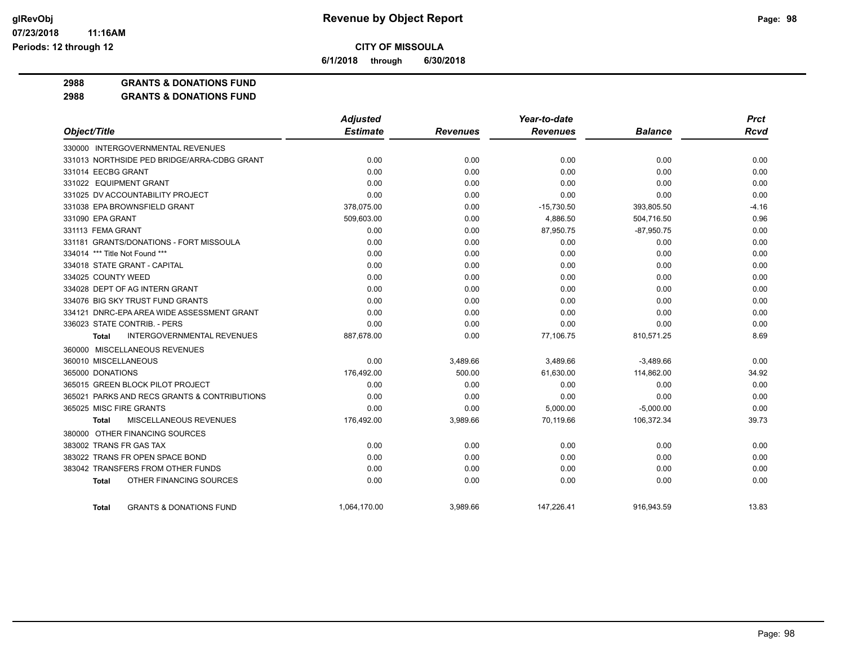**6/1/2018 through 6/30/2018**

**2988 GRANTS & DONATIONS FUND**

**2988 GRANTS & DONATIONS FUND**

|                                                    | <b>Adjusted</b> |                 | Year-to-date    |                | <b>Prct</b> |
|----------------------------------------------------|-----------------|-----------------|-----------------|----------------|-------------|
| Object/Title                                       | <b>Estimate</b> | <b>Revenues</b> | <b>Revenues</b> | <b>Balance</b> | Rcvd        |
| 330000 INTERGOVERNMENTAL REVENUES                  |                 |                 |                 |                |             |
| 331013 NORTHSIDE PED BRIDGE/ARRA-CDBG GRANT        | 0.00            | 0.00            | 0.00            | 0.00           | 0.00        |
| 331014 EECBG GRANT                                 | 0.00            | 0.00            | 0.00            | 0.00           | 0.00        |
| 331022 EQUIPMENT GRANT                             | 0.00            | 0.00            | 0.00            | 0.00           | 0.00        |
| 331025 DV ACCOUNTABILITY PROJECT                   | 0.00            | 0.00            | 0.00            | 0.00           | 0.00        |
| 331038 EPA BROWNSFIELD GRANT                       | 378,075.00      | 0.00            | $-15,730.50$    | 393,805.50     | $-4.16$     |
| 331090 EPA GRANT                                   | 509,603.00      | 0.00            | 4,886.50        | 504.716.50     | 0.96        |
| 331113 FEMA GRANT                                  | 0.00            | 0.00            | 87,950.75       | $-87,950.75$   | 0.00        |
| 331181 GRANTS/DONATIONS - FORT MISSOULA            | 0.00            | 0.00            | 0.00            | 0.00           | 0.00        |
| 334014 *** Title Not Found ***                     | 0.00            | 0.00            | 0.00            | 0.00           | 0.00        |
| 334018 STATE GRANT - CAPITAL                       | 0.00            | 0.00            | 0.00            | 0.00           | 0.00        |
| 334025 COUNTY WEED                                 | 0.00            | 0.00            | 0.00            | 0.00           | 0.00        |
| 334028 DEPT OF AG INTERN GRANT                     | 0.00            | 0.00            | 0.00            | 0.00           | 0.00        |
| 334076 BIG SKY TRUST FUND GRANTS                   | 0.00            | 0.00            | 0.00            | 0.00           | 0.00        |
| 334121 DNRC-EPA AREA WIDE ASSESSMENT GRANT         | 0.00            | 0.00            | 0.00            | 0.00           | 0.00        |
| 336023 STATE CONTRIB. - PERS                       | 0.00            | 0.00            | 0.00            | 0.00           | 0.00        |
| <b>INTERGOVERNMENTAL REVENUES</b><br><b>Total</b>  | 887,678.00      | 0.00            | 77,106.75       | 810,571.25     | 8.69        |
| 360000 MISCELLANEOUS REVENUES                      |                 |                 |                 |                |             |
| 360010 MISCELLANEOUS                               | 0.00            | 3,489.66        | 3,489.66        | $-3,489.66$    | 0.00        |
| 365000 DONATIONS                                   | 176,492.00      | 500.00          | 61,630.00       | 114,862.00     | 34.92       |
| 365015 GREEN BLOCK PILOT PROJECT                   | 0.00            | 0.00            | 0.00            | 0.00           | 0.00        |
| 365021 PARKS AND RECS GRANTS & CONTRIBUTIONS       | 0.00            | 0.00            | 0.00            | 0.00           | 0.00        |
| 365025 MISC FIRE GRANTS                            | 0.00            | 0.00            | 5,000.00        | $-5,000.00$    | 0.00        |
| <b>MISCELLANEOUS REVENUES</b><br><b>Total</b>      | 176,492.00      | 3,989.66        | 70,119.66       | 106,372.34     | 39.73       |
| OTHER FINANCING SOURCES<br>380000                  |                 |                 |                 |                |             |
| 383002 TRANS FR GAS TAX                            | 0.00            | 0.00            | 0.00            | 0.00           | 0.00        |
| 383022 TRANS FR OPEN SPACE BOND                    | 0.00            | 0.00            | 0.00            | 0.00           | 0.00        |
| 383042 TRANSFERS FROM OTHER FUNDS                  | 0.00            | 0.00            | 0.00            | 0.00           | 0.00        |
| OTHER FINANCING SOURCES<br><b>Total</b>            | 0.00            | 0.00            | 0.00            | 0.00           | 0.00        |
| <b>GRANTS &amp; DONATIONS FUND</b><br><b>Total</b> | 1.064.170.00    | 3.989.66        | 147.226.41      | 916.943.59     | 13.83       |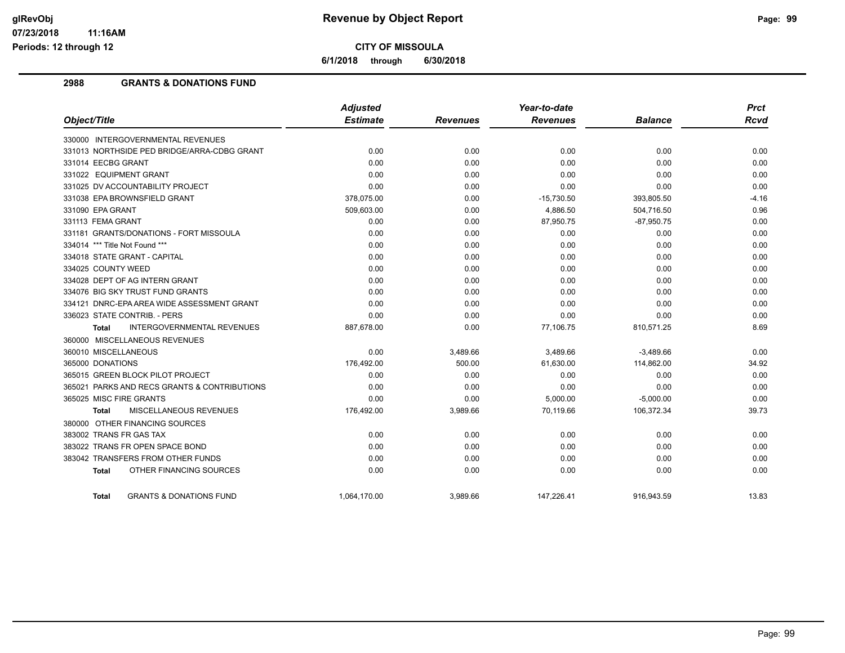**6/1/2018 through 6/30/2018**

### **2988 GRANTS & DONATIONS FUND**

|                                                   | <b>Adjusted</b> |                 | Year-to-date    |                | <b>Prct</b> |
|---------------------------------------------------|-----------------|-----------------|-----------------|----------------|-------------|
| Object/Title                                      | <b>Estimate</b> | <b>Revenues</b> | <b>Revenues</b> | <b>Balance</b> | <b>Rcvd</b> |
| 330000 INTERGOVERNMENTAL REVENUES                 |                 |                 |                 |                |             |
| 331013 NORTHSIDE PED BRIDGE/ARRA-CDBG GRANT       | 0.00            | 0.00            | 0.00            | 0.00           | 0.00        |
| 331014 EECBG GRANT                                | 0.00            | 0.00            | 0.00            | 0.00           | 0.00        |
| 331022 EQUIPMENT GRANT                            | 0.00            | 0.00            | 0.00            | 0.00           | 0.00        |
| 331025 DV ACCOUNTABILITY PROJECT                  | 0.00            | 0.00            | 0.00            | 0.00           | 0.00        |
| 331038 EPA BROWNSFIELD GRANT                      | 378,075.00      | 0.00            | $-15,730.50$    | 393,805.50     | $-4.16$     |
| 331090 EPA GRANT                                  | 509,603.00      | 0.00            | 4,886.50        | 504,716.50     | 0.96        |
| 331113 FEMA GRANT                                 | 0.00            | 0.00            | 87,950.75       | $-87,950.75$   | 0.00        |
| 331181 GRANTS/DONATIONS - FORT MISSOULA           | 0.00            | 0.00            | 0.00            | 0.00           | 0.00        |
| 334014 *** Title Not Found ***                    | 0.00            | 0.00            | 0.00            | 0.00           | 0.00        |
| 334018 STATE GRANT - CAPITAL                      | 0.00            | 0.00            | 0.00            | 0.00           | 0.00        |
| 334025 COUNTY WEED                                | 0.00            | 0.00            | 0.00            | 0.00           | 0.00        |
| 334028 DEPT OF AG INTERN GRANT                    | 0.00            | 0.00            | 0.00            | 0.00           | 0.00        |
| 334076 BIG SKY TRUST FUND GRANTS                  | 0.00            | 0.00            | 0.00            | 0.00           | 0.00        |
| 334121 DNRC-EPA AREA WIDE ASSESSMENT GRANT        | 0.00            | 0.00            | 0.00            | 0.00           | 0.00        |
| 336023 STATE CONTRIB. - PERS                      | 0.00            | 0.00            | 0.00            | 0.00           | 0.00        |
| <b>INTERGOVERNMENTAL REVENUES</b><br><b>Total</b> | 887,678.00      | 0.00            | 77,106.75       | 810,571.25     | 8.69        |
| 360000 MISCELLANEOUS REVENUES                     |                 |                 |                 |                |             |
| 360010 MISCELLANEOUS                              | 0.00            | 3,489.66        | 3,489.66        | $-3,489.66$    | 0.00        |
| 365000 DONATIONS                                  | 176,492.00      | 500.00          | 61,630.00       | 114,862.00     | 34.92       |
| 365015 GREEN BLOCK PILOT PROJECT                  | 0.00            | 0.00            | 0.00            | 0.00           | 0.00        |
| 365021 PARKS AND RECS GRANTS & CONTRIBUTIONS      | 0.00            | 0.00            | 0.00            | 0.00           | 0.00        |
| 365025 MISC FIRE GRANTS                           | 0.00            | 0.00            | 5,000.00        | $-5,000.00$    | 0.00        |
| MISCELLANEOUS REVENUES<br><b>Total</b>            | 176,492.00      | 3,989.66        | 70,119.66       | 106,372.34     | 39.73       |
| 380000 OTHER FINANCING SOURCES                    |                 |                 |                 |                |             |
| 383002 TRANS FR GAS TAX                           | 0.00            | 0.00            | 0.00            | 0.00           | 0.00        |
| 383022 TRANS FR OPEN SPACE BOND                   | 0.00            | 0.00            | 0.00            | 0.00           | 0.00        |
| 383042 TRANSFERS FROM OTHER FUNDS                 | 0.00            | 0.00            | 0.00            | 0.00           | 0.00        |
| OTHER FINANCING SOURCES<br><b>Total</b>           | 0.00            | 0.00            | 0.00            | 0.00           | 0.00        |
| <b>GRANTS &amp; DONATIONS FUND</b><br>Total       | 1.064.170.00    | 3.989.66        | 147.226.41      | 916.943.59     | 13.83       |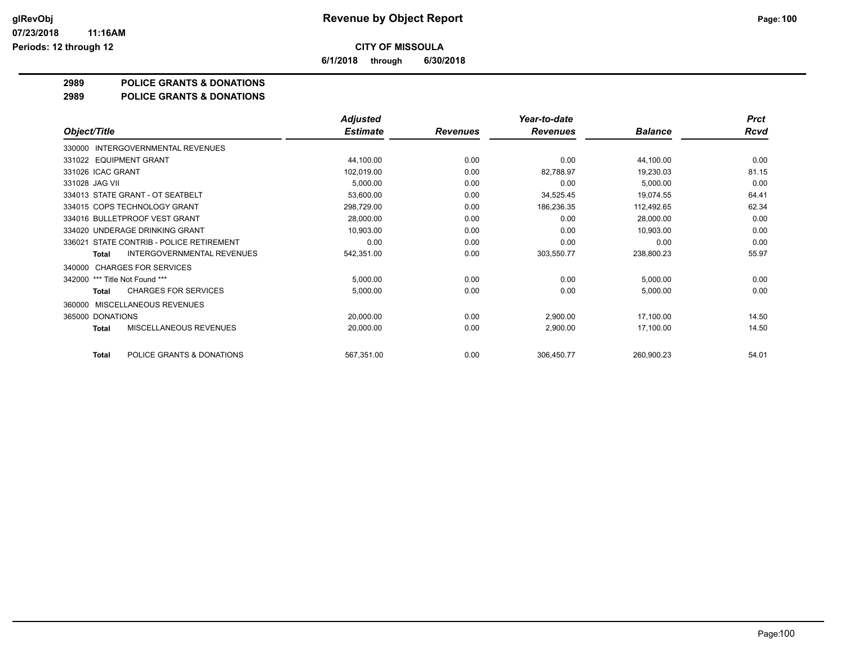**6/1/2018 through 6/30/2018**

### **2989 POLICE GRANTS & DONATIONS**

### **2989 POLICE GRANTS & DONATIONS**

|                                                   | <b>Adjusted</b> |                 | Year-to-date    |                | <b>Prct</b> |
|---------------------------------------------------|-----------------|-----------------|-----------------|----------------|-------------|
| Object/Title                                      | <b>Estimate</b> | <b>Revenues</b> | <b>Revenues</b> | <b>Balance</b> | <b>Rcvd</b> |
| <b>INTERGOVERNMENTAL REVENUES</b><br>330000       |                 |                 |                 |                |             |
| 331022 EQUIPMENT GRANT                            | 44,100.00       | 0.00            | 0.00            | 44,100.00      | 0.00        |
| 331026 ICAC GRANT                                 | 102,019.00      | 0.00            | 82,788.97       | 19,230.03      | 81.15       |
| 331028 JAG VII                                    | 5,000.00        | 0.00            | 0.00            | 5,000.00       | 0.00        |
| 334013 STATE GRANT - OT SEATBELT                  | 53,600.00       | 0.00            | 34,525.45       | 19,074.55      | 64.41       |
| 334015 COPS TECHNOLOGY GRANT                      | 298,729.00      | 0.00            | 186,236.35      | 112,492.65     | 62.34       |
| 334016 BULLETPROOF VEST GRANT                     | 28,000.00       | 0.00            | 0.00            | 28,000.00      | 0.00        |
| 334020 UNDERAGE DRINKING GRANT                    | 10,903.00       | 0.00            | 0.00            | 10,903.00      | 0.00        |
| 336021 STATE CONTRIB - POLICE RETIREMENT          | 0.00            | 0.00            | 0.00            | 0.00           | 0.00        |
| <b>INTERGOVERNMENTAL REVENUES</b><br><b>Total</b> | 542,351.00      | 0.00            | 303,550.77      | 238,800.23     | 55.97       |
| 340000 CHARGES FOR SERVICES                       |                 |                 |                 |                |             |
| *** Title Not Found ***<br>342000                 | 5,000.00        | 0.00            | 0.00            | 5,000.00       | 0.00        |
| <b>CHARGES FOR SERVICES</b><br><b>Total</b>       | 5,000.00        | 0.00            | 0.00            | 5,000.00       | 0.00        |
| MISCELLANEOUS REVENUES<br>360000                  |                 |                 |                 |                |             |
| 365000 DONATIONS                                  | 20,000.00       | 0.00            | 2,900.00        | 17,100.00      | 14.50       |
| <b>MISCELLANEOUS REVENUES</b><br><b>Total</b>     | 20,000.00       | 0.00            | 2,900.00        | 17,100.00      | 14.50       |
| POLICE GRANTS & DONATIONS<br><b>Total</b>         | 567,351.00      | 0.00            | 306,450.77      | 260,900.23     | 54.01       |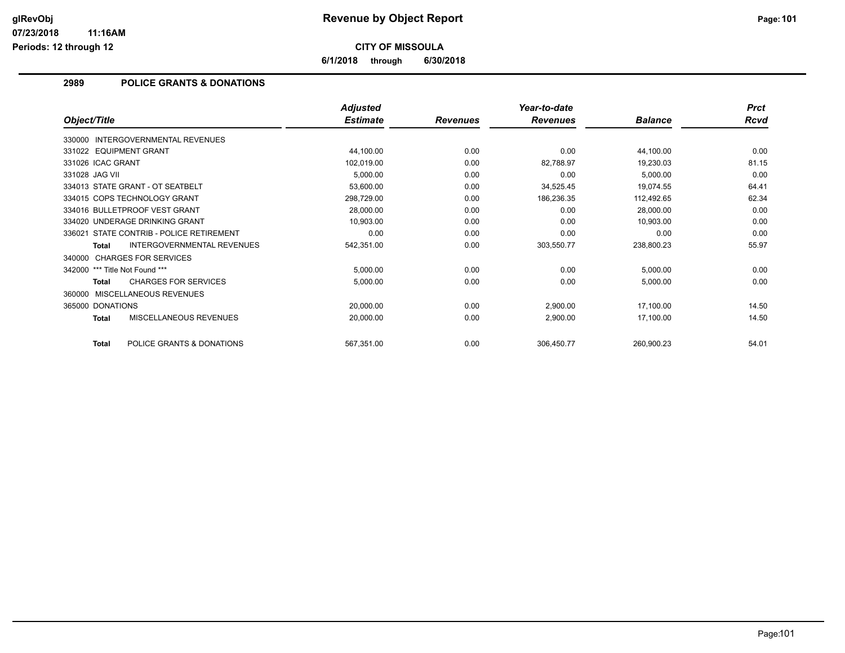**6/1/2018 through 6/30/2018**

### **2989 POLICE GRANTS & DONATIONS**

|                                             | <b>Adjusted</b> |                 | Year-to-date    |                | <b>Prct</b> |
|---------------------------------------------|-----------------|-----------------|-----------------|----------------|-------------|
| Object/Title                                | <b>Estimate</b> | <b>Revenues</b> | <b>Revenues</b> | <b>Balance</b> | <b>Rcvd</b> |
| <b>INTERGOVERNMENTAL REVENUES</b><br>330000 |                 |                 |                 |                |             |
| 331022 EQUIPMENT GRANT                      | 44,100.00       | 0.00            | 0.00            | 44,100.00      | 0.00        |
| 331026 ICAC GRANT                           | 102,019.00      | 0.00            | 82,788.97       | 19,230.03      | 81.15       |
| 331028 JAG VII                              | 5,000.00        | 0.00            | 0.00            | 5,000.00       | 0.00        |
| 334013 STATE GRANT - OT SEATBELT            | 53,600.00       | 0.00            | 34,525.45       | 19,074.55      | 64.41       |
| 334015 COPS TECHNOLOGY GRANT                | 298,729.00      | 0.00            | 186,236.35      | 112,492.65     | 62.34       |
| 334016 BULLETPROOF VEST GRANT               | 28,000.00       | 0.00            | 0.00            | 28,000.00      | 0.00        |
| 334020 UNDERAGE DRINKING GRANT              | 10,903.00       | 0.00            | 0.00            | 10,903.00      | 0.00        |
| 336021 STATE CONTRIB - POLICE RETIREMENT    | 0.00            | 0.00            | 0.00            | 0.00           | 0.00        |
| <b>INTERGOVERNMENTAL REVENUES</b><br>Total  | 542,351.00      | 0.00            | 303,550.77      | 238,800.23     | 55.97       |
| 340000 CHARGES FOR SERVICES                 |                 |                 |                 |                |             |
| 342000 *** Title Not Found ***              | 5,000.00        | 0.00            | 0.00            | 5,000.00       | 0.00        |
| <b>CHARGES FOR SERVICES</b><br><b>Total</b> | 5,000.00        | 0.00            | 0.00            | 5,000.00       | 0.00        |
| MISCELLANEOUS REVENUES<br>360000            |                 |                 |                 |                |             |
| 365000 DONATIONS                            | 20,000.00       | 0.00            | 2,900.00        | 17,100.00      | 14.50       |
| MISCELLANEOUS REVENUES<br><b>Total</b>      | 20,000.00       | 0.00            | 2,900.00        | 17,100.00      | 14.50       |
| POLICE GRANTS & DONATIONS<br><b>Total</b>   | 567,351.00      | 0.00            | 306,450.77      | 260,900.23     | 54.01       |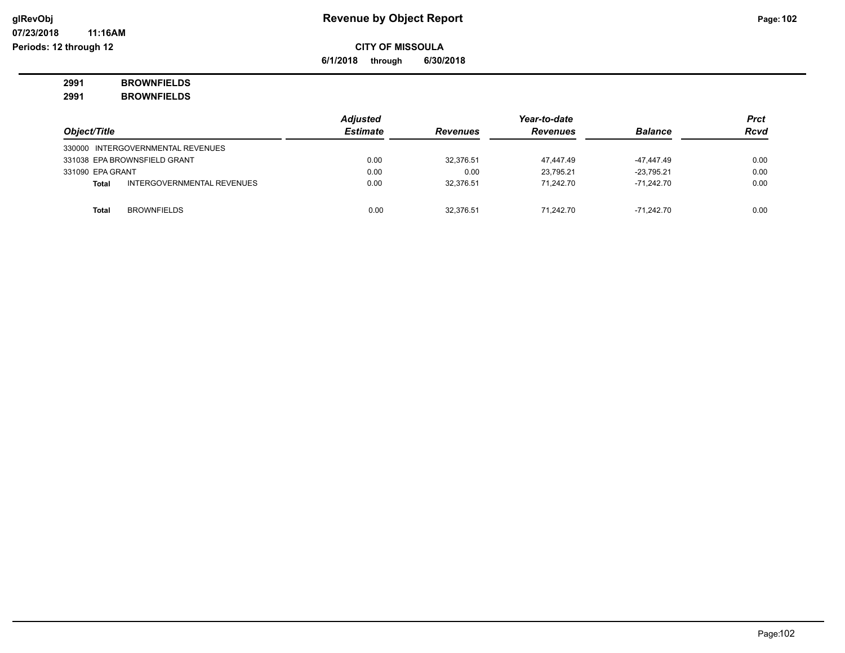**6/1/2018 through 6/30/2018**

## **2991 BROWNFIELDS**

**2991 BROWNFIELDS**

|                  |                                   | Adjusted        |                 | Year-to-date    |                | <b>Prct</b> |
|------------------|-----------------------------------|-----------------|-----------------|-----------------|----------------|-------------|
| Object/Title     |                                   | <b>Estimate</b> | <b>Revenues</b> | <b>Revenues</b> | <b>Balance</b> | <b>Rcvd</b> |
|                  | 330000 INTERGOVERNMENTAL REVENUES |                 |                 |                 |                |             |
|                  | 331038 EPA BROWNSFIELD GRANT      | 0.00            | 32.376.51       | 47.447.49       | -47.447.49     | 0.00        |
| 331090 EPA GRANT |                                   | 0.00            | 0.00            | 23.795.21       | $-23.795.21$   | 0.00        |
| Total            | INTERGOVERNMENTAL REVENUES        | 0.00            | 32.376.51       | 71.242.70       | -71.242.70     | 0.00        |
| Total            | <b>BROWNFIELDS</b>                | 0.00            | 32.376.51       | 71.242.70       | -71.242.70     | 0.00        |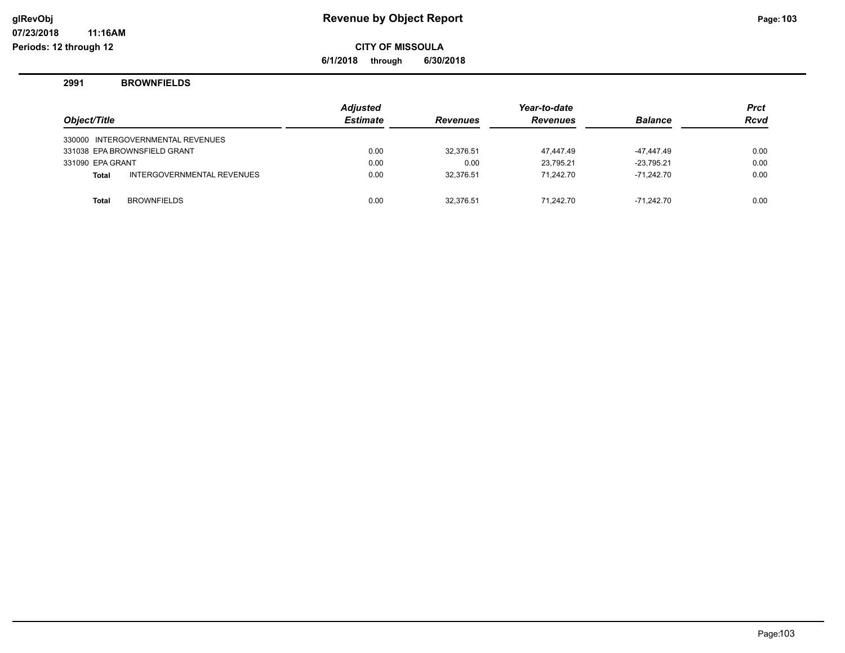**6/1/2018 through 6/30/2018**

### **2991 BROWNFIELDS**

| Object/Title     |                                   | <b>Adjusted</b><br><b>Estimate</b> | <b>Revenues</b> | Year-to-date<br><b>Revenues</b> | <b>Balance</b> | <b>Prct</b><br><b>Rcvd</b> |
|------------------|-----------------------------------|------------------------------------|-----------------|---------------------------------|----------------|----------------------------|
|                  | 330000 INTERGOVERNMENTAL REVENUES |                                    |                 |                                 |                |                            |
|                  | 331038 EPA BROWNSFIELD GRANT      | 0.00                               | 32.376.51       | 47.447.49                       | -47.447.49     | 0.00                       |
| 331090 EPA GRANT |                                   | 0.00                               | 0.00            | 23,795.21                       | $-23,795.21$   | 0.00                       |
| <b>Total</b>     | INTERGOVERNMENTAL REVENUES        | 0.00                               | 32.376.51       | 71.242.70                       | $-71.242.70$   | 0.00                       |
| <b>Total</b>     | <b>BROWNFIELDS</b>                | 0.00                               | 32.376.51       | 71.242.70                       | $-71.242.70$   | 0.00                       |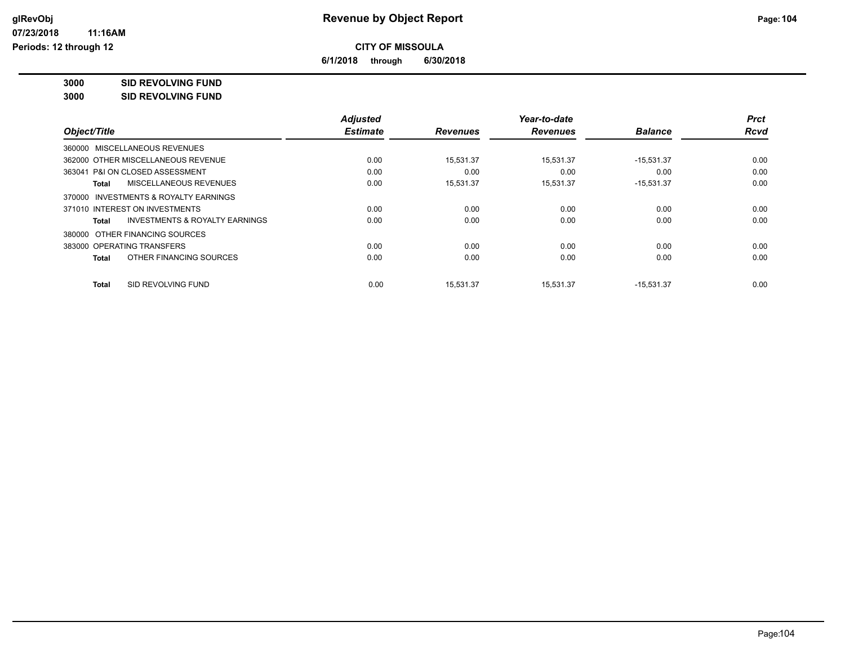**6/1/2018 through 6/30/2018**

**3000 SID REVOLVING FUND**

**3000 SID REVOLVING FUND**

|                                         | <b>Adjusted</b> |                 | Year-to-date    |                | <b>Prct</b> |
|-----------------------------------------|-----------------|-----------------|-----------------|----------------|-------------|
| Object/Title                            | <b>Estimate</b> | <b>Revenues</b> | <b>Revenues</b> | <b>Balance</b> | <b>Rcvd</b> |
| 360000 MISCELLANEOUS REVENUES           |                 |                 |                 |                |             |
| 362000 OTHER MISCELLANEOUS REVENUE      | 0.00            | 15.531.37       | 15.531.37       | $-15.531.37$   | 0.00        |
| 363041 P&I ON CLOSED ASSESSMENT         | 0.00            | 0.00            | 0.00            | 0.00           | 0.00        |
| MISCELLANEOUS REVENUES<br>Total         | 0.00            | 15,531.37       | 15,531.37       | $-15,531.37$   | 0.00        |
| 370000 INVESTMENTS & ROYALTY EARNINGS   |                 |                 |                 |                |             |
| 371010 INTEREST ON INVESTMENTS          | 0.00            | 0.00            | 0.00            | 0.00           | 0.00        |
| INVESTMENTS & ROYALTY EARNINGS<br>Total | 0.00            | 0.00            | 0.00            | 0.00           | 0.00        |
| 380000 OTHER FINANCING SOURCES          |                 |                 |                 |                |             |
| 383000 OPERATING TRANSFERS              | 0.00            | 0.00            | 0.00            | 0.00           | 0.00        |
| OTHER FINANCING SOURCES<br>Total        | 0.00            | 0.00            | 0.00            | 0.00           | 0.00        |
| <b>SID REVOLVING FUND</b><br>Total      | 0.00            | 15.531.37       | 15.531.37       | $-15.531.37$   | 0.00        |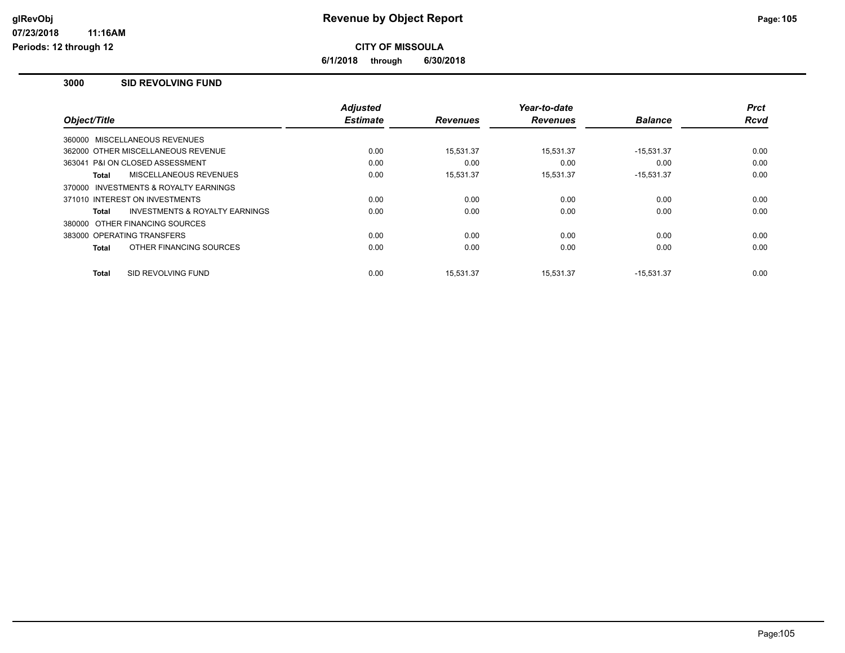**6/1/2018 through 6/30/2018**

### **3000 SID REVOLVING FUND**

| Object/Title                            | <b>Adjusted</b><br><b>Estimate</b> | <b>Revenues</b> | Year-to-date<br><b>Revenues</b> | <b>Balance</b> | <b>Prct</b><br><b>Rcvd</b> |
|-----------------------------------------|------------------------------------|-----------------|---------------------------------|----------------|----------------------------|
| 360000 MISCELLANEOUS REVENUES           |                                    |                 |                                 |                |                            |
| 362000 OTHER MISCELLANEOUS REVENUE      | 0.00                               | 15,531.37       | 15,531.37                       | $-15,531.37$   | 0.00                       |
| 363041 P&I ON CLOSED ASSESSMENT         | 0.00                               | 0.00            | 0.00                            | 0.00           | 0.00                       |
| MISCELLANEOUS REVENUES<br><b>Total</b>  | 0.00                               | 15,531.37       | 15.531.37                       | $-15,531.37$   | 0.00                       |
| 370000 INVESTMENTS & ROYALTY EARNINGS   |                                    |                 |                                 |                |                            |
| 371010 INTEREST ON INVESTMENTS          | 0.00                               | 0.00            | 0.00                            | 0.00           | 0.00                       |
| INVESTMENTS & ROYALTY EARNINGS<br>Total | 0.00                               | 0.00            | 0.00                            | 0.00           | 0.00                       |
| 380000 OTHER FINANCING SOURCES          |                                    |                 |                                 |                |                            |
| 383000 OPERATING TRANSFERS              | 0.00                               | 0.00            | 0.00                            | 0.00           | 0.00                       |
| OTHER FINANCING SOURCES<br>Total        | 0.00                               | 0.00            | 0.00                            | 0.00           | 0.00                       |
| SID REVOLVING FUND<br><b>Total</b>      | 0.00                               | 15.531.37       | 15.531.37                       | $-15.531.37$   | 0.00                       |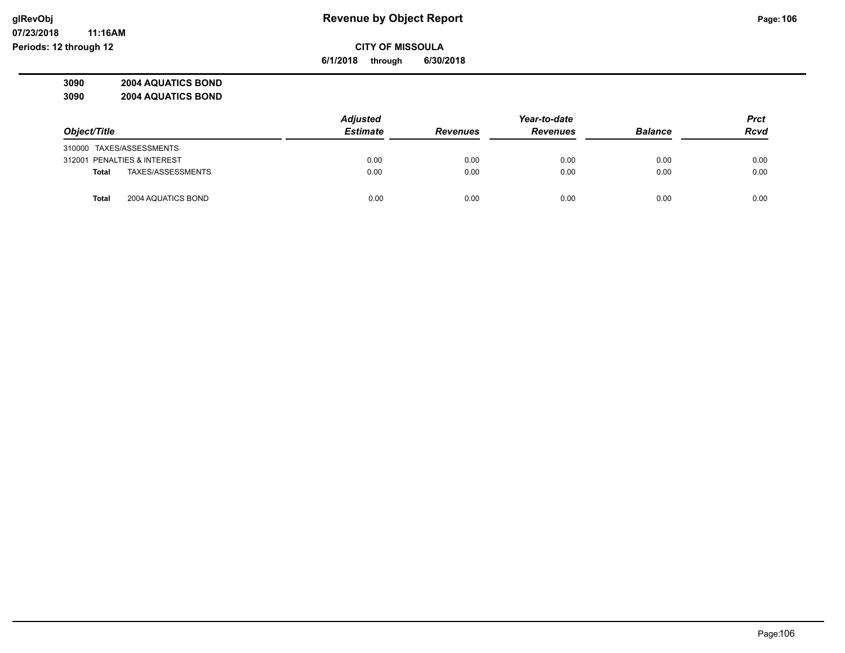**6/1/2018 through 6/30/2018**

**3090 2004 AQUATICS BOND**

| <b>2004 AQUATICS BOND</b><br>3090 |  |
|-----------------------------------|--|
|-----------------------------------|--|

|                             | <b>Adjusted</b> |                 | Year-to-date    |                | <b>Prct</b> |
|-----------------------------|-----------------|-----------------|-----------------|----------------|-------------|
| Object/Title                | <b>Estimate</b> | <b>Revenues</b> | <b>Revenues</b> | <b>Balance</b> | <b>Rcvd</b> |
| 310000 TAXES/ASSESSMENTS    |                 |                 |                 |                |             |
| 312001 PENALTIES & INTEREST | 0.00            | 0.00            | 0.00            | 0.00           | 0.00        |
| TAXES/ASSESSMENTS<br>Total  | 0.00            | 0.00            | 0.00            | 0.00           | 0.00        |
| 2004 AQUATICS BOND<br>Total | 0.00            | 0.00            | 0.00            | 0.00           | 0.00        |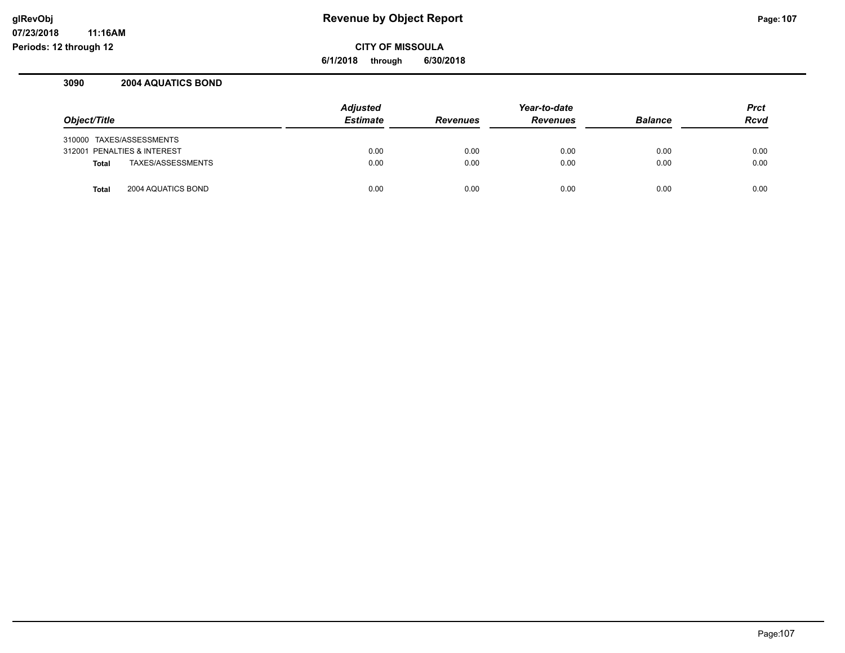**Periods: 12 through 12**

**CITY OF MISSOULA**

**6/1/2018 through 6/30/2018**

### **3090 2004 AQUATICS BOND**

| Object/Title                       | <b>Adjusted</b><br><b>Estimate</b> | <b>Revenues</b> | Year-to-date<br><b>Revenues</b> | <b>Balance</b> | <b>Prct</b><br><b>Rcvd</b> |
|------------------------------------|------------------------------------|-----------------|---------------------------------|----------------|----------------------------|
| 310000 TAXES/ASSESSMENTS           |                                    |                 |                                 |                |                            |
| 312001 PENALTIES & INTEREST        | 0.00                               | 0.00            | 0.00                            | 0.00           | 0.00                       |
| TAXES/ASSESSMENTS<br><b>Total</b>  | 0.00                               | 0.00            | 0.00                            | 0.00           | 0.00                       |
| 2004 AQUATICS BOND<br><b>Total</b> | 0.00                               | 0.00            | 0.00                            | 0.00           | 0.00                       |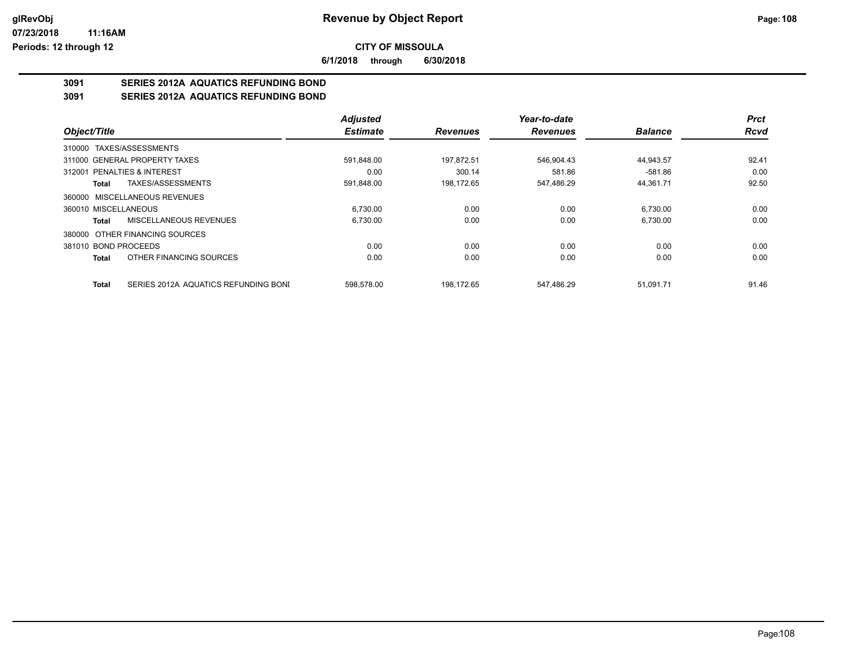**6/1/2018 through 6/30/2018**

### **3091 SERIES 2012A AQUATICS REFUNDING BOND**

### **3091 SERIES 2012A AQUATICS REFUNDING BOND**

|                               |                                      | <b>Adjusted</b> |                 | Year-to-date    |                | <b>Prct</b> |
|-------------------------------|--------------------------------------|-----------------|-----------------|-----------------|----------------|-------------|
| Object/Title                  |                                      | <b>Estimate</b> | <b>Revenues</b> | <b>Revenues</b> | <b>Balance</b> | <b>Rcvd</b> |
|                               | 310000 TAXES/ASSESSMENTS             |                 |                 |                 |                |             |
| 311000 GENERAL PROPERTY TAXES |                                      | 591,848.00      | 197.872.51      | 546.904.43      | 44.943.57      | 92.41       |
| 312001 PENALTIES & INTEREST   |                                      | 0.00            | 300.14          | 581.86          | $-581.86$      | 0.00        |
| Total                         | TAXES/ASSESSMENTS                    | 591,848.00      | 198,172.65      | 547,486.29      | 44.361.71      | 92.50       |
|                               | 360000 MISCELLANEOUS REVENUES        |                 |                 |                 |                |             |
| 360010 MISCELLANEOUS          |                                      | 6.730.00        | 0.00            | 0.00            | 6.730.00       | 0.00        |
| Total                         | MISCELLANEOUS REVENUES               | 6,730.00        | 0.00            | 0.00            | 6,730.00       | 0.00        |
|                               | 380000 OTHER FINANCING SOURCES       |                 |                 |                 |                |             |
| 381010 BOND PROCEEDS          |                                      | 0.00            | 0.00            | 0.00            | 0.00           | 0.00        |
| Total                         | OTHER FINANCING SOURCES              | 0.00            | 0.00            | 0.00            | 0.00           | 0.00        |
| Total                         | SERIES 2012A AQUATICS REFUNDING BONI | 598.578.00      | 198.172.65      | 547.486.29      | 51.091.71      | 91.46       |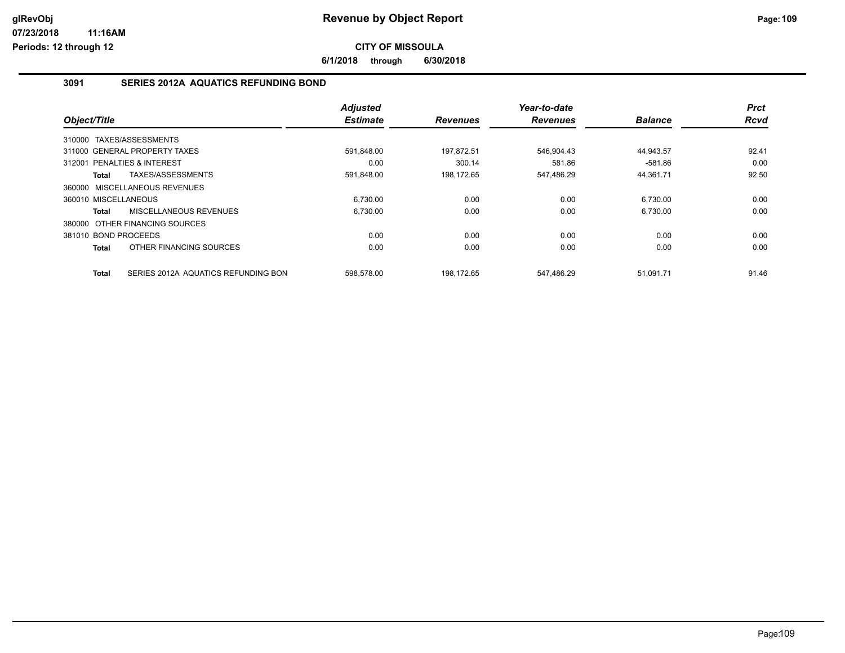**6/1/2018 through 6/30/2018**

# **3091 SERIES 2012A AQUATICS REFUNDING BOND**

|                                                     | <b>Adjusted</b> |                 | Year-to-date    |                | <b>Prct</b> |
|-----------------------------------------------------|-----------------|-----------------|-----------------|----------------|-------------|
| Object/Title                                        | <b>Estimate</b> | <b>Revenues</b> | <b>Revenues</b> | <b>Balance</b> | <b>Rcvd</b> |
| 310000 TAXES/ASSESSMENTS                            |                 |                 |                 |                |             |
| 311000 GENERAL PROPERTY TAXES                       | 591,848.00      | 197,872.51      | 546,904.43      | 44,943.57      | 92.41       |
| PENALTIES & INTEREST<br>312001                      | 0.00            | 300.14          | 581.86          | $-581.86$      | 0.00        |
| TAXES/ASSESSMENTS<br>Total                          | 591,848.00      | 198,172.65      | 547,486.29      | 44.361.71      | 92.50       |
| 360000 MISCELLANEOUS REVENUES                       |                 |                 |                 |                |             |
| 360010 MISCELLANEOUS                                | 6.730.00        | 0.00            | 0.00            | 6.730.00       | 0.00        |
| MISCELLANEOUS REVENUES<br><b>Total</b>              | 6,730.00        | 0.00            | 0.00            | 6.730.00       | 0.00        |
| 380000 OTHER FINANCING SOURCES                      |                 |                 |                 |                |             |
| 381010 BOND PROCEEDS                                | 0.00            | 0.00            | 0.00            | 0.00           | 0.00        |
| OTHER FINANCING SOURCES<br>Total                    | 0.00            | 0.00            | 0.00            | 0.00           | 0.00        |
| SERIES 2012A AQUATICS REFUNDING BON<br><b>Total</b> | 598.578.00      | 198.172.65      | 547.486.29      | 51.091.71      | 91.46       |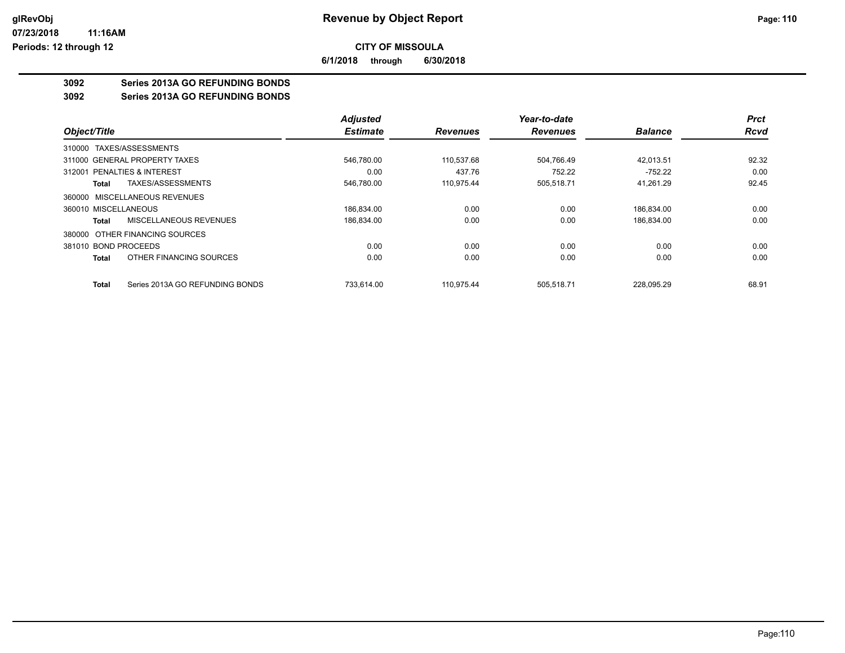**6/1/2018 through 6/30/2018**

# **3092 Series 2013A GO REFUNDING BONDS**

# **3092 Series 2013A GO REFUNDING BONDS**

|                                                 | <b>Adjusted</b> |                 | Year-to-date    |                | <b>Prct</b> |
|-------------------------------------------------|-----------------|-----------------|-----------------|----------------|-------------|
| Object/Title                                    | <b>Estimate</b> | <b>Revenues</b> | <b>Revenues</b> | <b>Balance</b> | <b>Rcvd</b> |
| 310000 TAXES/ASSESSMENTS                        |                 |                 |                 |                |             |
| 311000 GENERAL PROPERTY TAXES                   | 546.780.00      | 110.537.68      | 504.766.49      | 42.013.51      | 92.32       |
| 312001 PENALTIES & INTEREST                     | 0.00            | 437.76          | 752.22          | $-752.22$      | 0.00        |
| TAXES/ASSESSMENTS<br>Total                      | 546,780.00      | 110,975.44      | 505,518.71      | 41,261.29      | 92.45       |
| 360000 MISCELLANEOUS REVENUES                   |                 |                 |                 |                |             |
| 360010 MISCELLANEOUS                            | 186,834.00      | 0.00            | 0.00            | 186,834.00     | 0.00        |
| MISCELLANEOUS REVENUES<br>Total                 | 186,834.00      | 0.00            | 0.00            | 186,834.00     | 0.00        |
| 380000 OTHER FINANCING SOURCES                  |                 |                 |                 |                |             |
| 381010 BOND PROCEEDS                            | 0.00            | 0.00            | 0.00            | 0.00           | 0.00        |
| OTHER FINANCING SOURCES<br><b>Total</b>         | 0.00            | 0.00            | 0.00            | 0.00           | 0.00        |
| Series 2013A GO REFUNDING BONDS<br><b>Total</b> | 733.614.00      | 110.975.44      | 505.518.71      | 228.095.29     | 68.91       |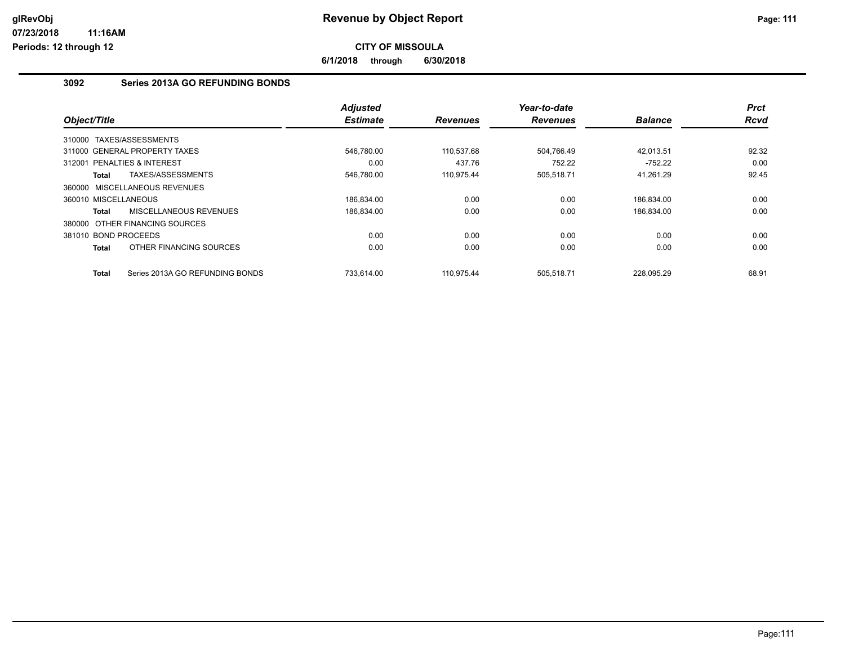**6/1/2018 through 6/30/2018**

# **3092 Series 2013A GO REFUNDING BONDS**

|                                          | <b>Adjusted</b> |                 | Year-to-date    |                | <b>Prct</b> |
|------------------------------------------|-----------------|-----------------|-----------------|----------------|-------------|
| Object/Title                             | <b>Estimate</b> | <b>Revenues</b> | <b>Revenues</b> | <b>Balance</b> | Rcvd        |
| TAXES/ASSESSMENTS<br>310000              |                 |                 |                 |                |             |
| 311000 GENERAL PROPERTY TAXES            | 546,780.00      | 110,537.68      | 504,766.49      | 42,013.51      | 92.32       |
| PENALTIES & INTEREST<br>312001           | 0.00            | 437.76          | 752.22          | $-752.22$      | 0.00        |
| TAXES/ASSESSMENTS<br>Total               | 546,780.00      | 110,975.44      | 505,518.71      | 41,261.29      | 92.45       |
| 360000 MISCELLANEOUS REVENUES            |                 |                 |                 |                |             |
| 360010 MISCELLANEOUS                     | 186,834.00      | 0.00            | 0.00            | 186,834.00     | 0.00        |
| MISCELLANEOUS REVENUES<br>Total          | 186,834.00      | 0.00            | 0.00            | 186,834.00     | 0.00        |
| 380000 OTHER FINANCING SOURCES           |                 |                 |                 |                |             |
| 381010 BOND PROCEEDS                     | 0.00            | 0.00            | 0.00            | 0.00           | 0.00        |
| OTHER FINANCING SOURCES<br>Total         | 0.00            | 0.00            | 0.00            | 0.00           | 0.00        |
| Series 2013A GO REFUNDING BONDS<br>Total | 733.614.00      | 110.975.44      | 505.518.71      | 228.095.29     | 68.91       |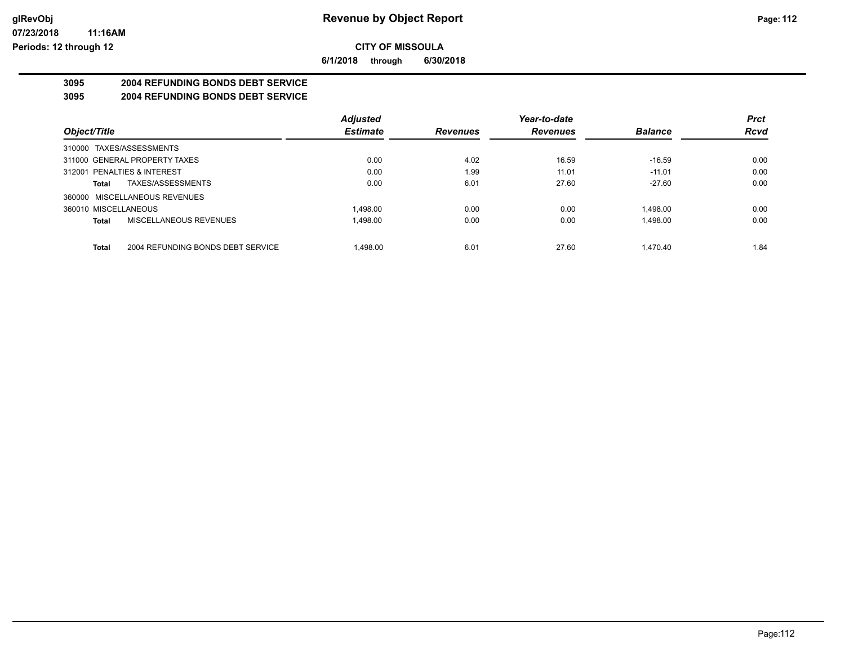**6/1/2018 through 6/30/2018**

# **3095 2004 REFUNDING BONDS DEBT SERVICE**

# **3095 2004 REFUNDING BONDS DEBT SERVICE**

|                                                   | <b>Adjusted</b> |                 | Year-to-date    |                | <b>Prct</b> |
|---------------------------------------------------|-----------------|-----------------|-----------------|----------------|-------------|
| Object/Title                                      | <b>Estimate</b> | <b>Revenues</b> | <b>Revenues</b> | <b>Balance</b> | <b>Rcvd</b> |
| 310000 TAXES/ASSESSMENTS                          |                 |                 |                 |                |             |
| 311000 GENERAL PROPERTY TAXES                     | 0.00            | 4.02            | 16.59           | $-16.59$       | 0.00        |
| 312001 PENALTIES & INTEREST                       | 0.00            | 1.99            | 11.01           | $-11.01$       | 0.00        |
| TAXES/ASSESSMENTS<br>Total                        | 0.00            | 6.01            | 27.60           | $-27.60$       | 0.00        |
| 360000 MISCELLANEOUS REVENUES                     |                 |                 |                 |                |             |
| 360010 MISCELLANEOUS                              | 1.498.00        | 0.00            | 0.00            | 1.498.00       | 0.00        |
| MISCELLANEOUS REVENUES<br><b>Total</b>            | 1.498.00        | 0.00            | 0.00            | 1.498.00       | 0.00        |
|                                                   |                 |                 |                 |                |             |
| 2004 REFUNDING BONDS DEBT SERVICE<br><b>Total</b> | 1.498.00        | 6.01            | 27.60           | 1.470.40       | 1.84        |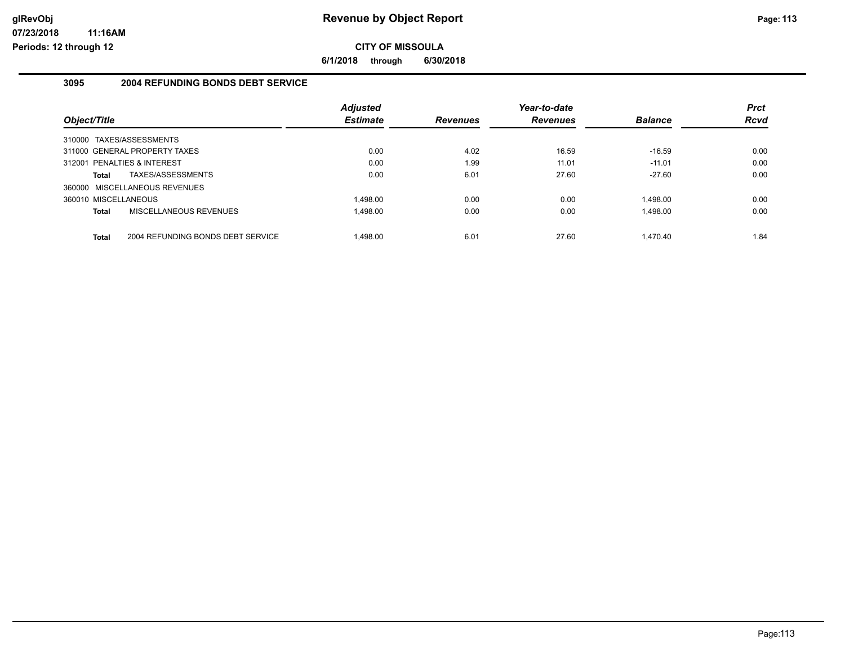**6/1/2018 through 6/30/2018**

# **3095 2004 REFUNDING BONDS DEBT SERVICE**

|                                            | <b>Adjusted</b> |                 | Year-to-date    |                | <b>Prct</b> |
|--------------------------------------------|-----------------|-----------------|-----------------|----------------|-------------|
| Object/Title                               | <b>Estimate</b> | <b>Revenues</b> | <b>Revenues</b> | <b>Balance</b> | <b>Rcvd</b> |
| 310000 TAXES/ASSESSMENTS                   |                 |                 |                 |                |             |
| 311000 GENERAL PROPERTY TAXES              | 0.00            | 4.02            | 16.59           | $-16.59$       | 0.00        |
| 312001 PENALTIES & INTEREST                | 0.00            | 1.99            | 11.01           | $-11.01$       | 0.00        |
| TAXES/ASSESSMENTS<br>Total                 | 0.00            | 6.01            | 27.60           | $-27.60$       | 0.00        |
| 360000 MISCELLANEOUS REVENUES              |                 |                 |                 |                |             |
| 360010 MISCELLANEOUS                       | 1.498.00        | 0.00            | 0.00            | 1.498.00       | 0.00        |
| <b>MISCELLANEOUS REVENUES</b><br>Total     | 1.498.00        | 0.00            | 0.00            | 1.498.00       | 0.00        |
|                                            |                 |                 |                 |                |             |
| 2004 REFUNDING BONDS DEBT SERVICE<br>Total | 1.498.00        | 6.01            | 27.60           | 1.470.40       | 1.84        |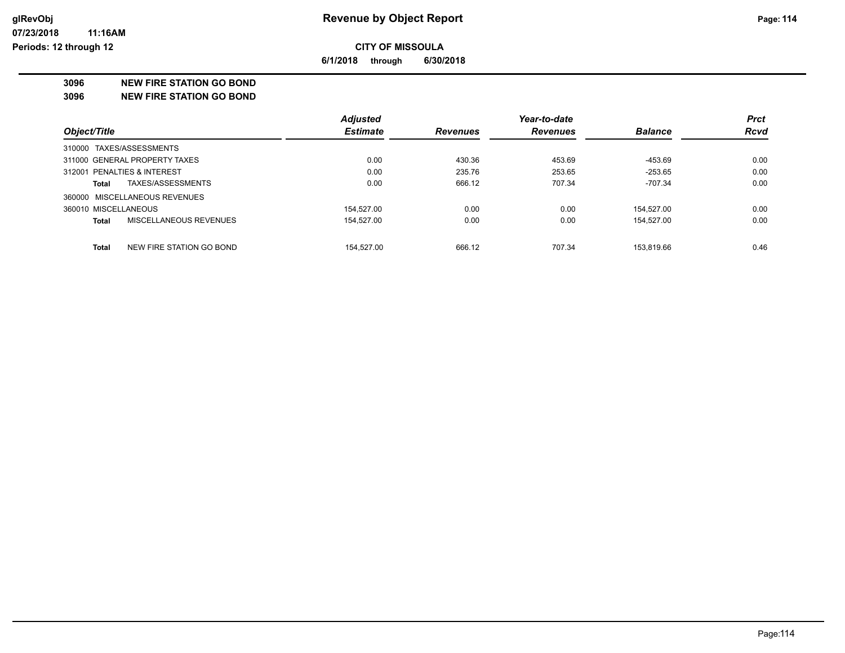**6/1/2018 through 6/30/2018**

**3096 NEW FIRE STATION GO BOND**

**3096 NEW FIRE STATION GO BOND**

|                                        | <b>Adjusted</b> |                 | Year-to-date    |                | <b>Prct</b> |
|----------------------------------------|-----------------|-----------------|-----------------|----------------|-------------|
| Object/Title                           | <b>Estimate</b> | <b>Revenues</b> | <b>Revenues</b> | <b>Balance</b> | <b>Rcvd</b> |
| 310000 TAXES/ASSESSMENTS               |                 |                 |                 |                |             |
| 311000 GENERAL PROPERTY TAXES          | 0.00            | 430.36          | 453.69          | $-453.69$      | 0.00        |
| 312001 PENALTIES & INTEREST            | 0.00            | 235.76          | 253.65          | $-253.65$      | 0.00        |
| TAXES/ASSESSMENTS<br>Total             | 0.00            | 666.12          | 707.34          | $-707.34$      | 0.00        |
| 360000 MISCELLANEOUS REVENUES          |                 |                 |                 |                |             |
| 360010 MISCELLANEOUS                   | 154.527.00      | 0.00            | 0.00            | 154.527.00     | 0.00        |
| MISCELLANEOUS REVENUES<br><b>Total</b> | 154,527.00      | 0.00            | 0.00            | 154.527.00     | 0.00        |
|                                        |                 |                 |                 |                |             |
| NEW FIRE STATION GO BOND<br>Total      | 154.527.00      | 666.12          | 707.34          | 153.819.66     | 0.46        |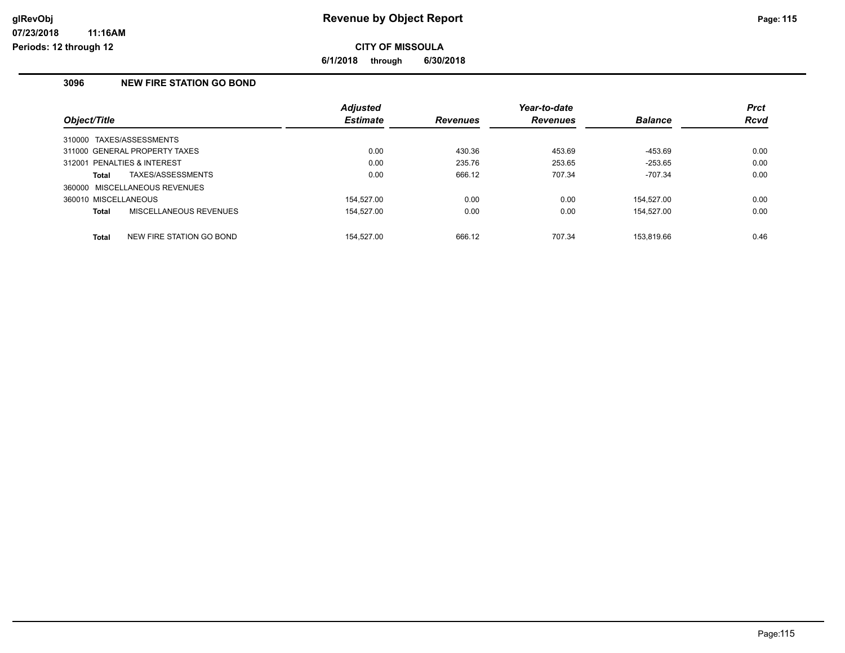**6/1/2018 through 6/30/2018**

# **3096 NEW FIRE STATION GO BOND**

|                             |                               | <b>Adjusted</b> |                 | Year-to-date    |                | <b>Prct</b> |
|-----------------------------|-------------------------------|-----------------|-----------------|-----------------|----------------|-------------|
| Object/Title                |                               | <b>Estimate</b> | <b>Revenues</b> | <b>Revenues</b> | <b>Balance</b> | <b>Rcvd</b> |
| 310000 TAXES/ASSESSMENTS    |                               |                 |                 |                 |                |             |
|                             | 311000 GENERAL PROPERTY TAXES | 0.00            | 430.36          | 453.69          | -453.69        | 0.00        |
| 312001 PENALTIES & INTEREST |                               | 0.00            | 235.76          | 253.65          | $-253.65$      | 0.00        |
| <b>Total</b>                | TAXES/ASSESSMENTS             | 0.00            | 666.12          | 707.34          | $-707.34$      | 0.00        |
|                             | 360000 MISCELLANEOUS REVENUES |                 |                 |                 |                |             |
| 360010 MISCELLANEOUS        |                               | 154.527.00      | 0.00            | 0.00            | 154.527.00     | 0.00        |
| <b>Total</b>                | MISCELLANEOUS REVENUES        | 154.527.00      | 0.00            | 0.00            | 154.527.00     | 0.00        |
| <b>Total</b>                | NEW FIRE STATION GO BOND      | 154.527.00      | 666.12          | 707.34          | 153.819.66     | 0.46        |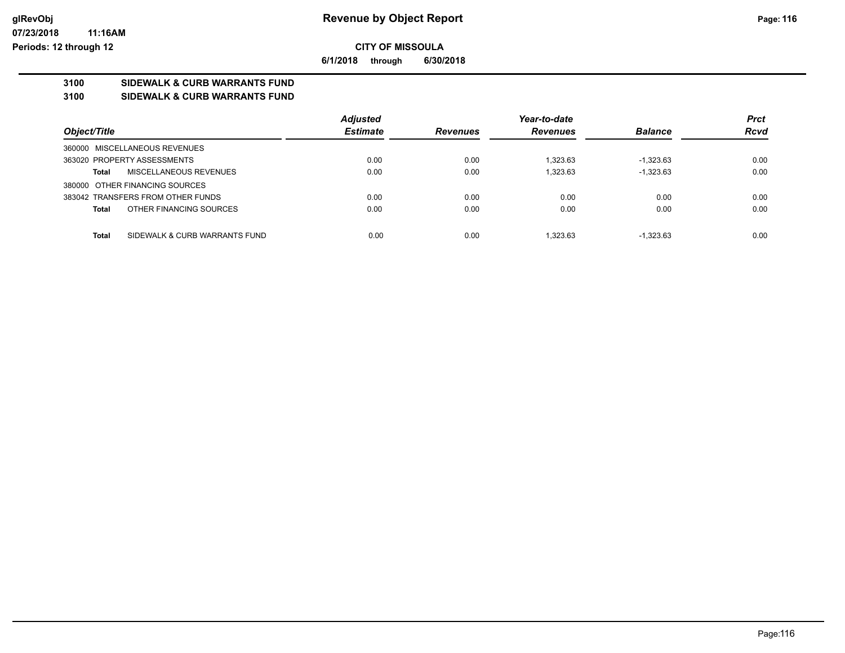**6/1/2018 through 6/30/2018**

# **3100 SIDEWALK & CURB WARRANTS FUND**

# **3100 SIDEWALK & CURB WARRANTS FUND**

|                                        | <b>Adjusted</b> |                 | Year-to-date    |                | <b>Prct</b> |
|----------------------------------------|-----------------|-----------------|-----------------|----------------|-------------|
| Object/Title                           | <b>Estimate</b> | <b>Revenues</b> | <b>Revenues</b> | <b>Balance</b> | <b>Rcvd</b> |
| 360000 MISCELLANEOUS REVENUES          |                 |                 |                 |                |             |
| 363020 PROPERTY ASSESSMENTS            | 0.00            | 0.00            | 1.323.63        | $-1.323.63$    | 0.00        |
| MISCELLANEOUS REVENUES<br>Total        | 0.00            | 0.00            | 1.323.63        | $-1.323.63$    | 0.00        |
| 380000 OTHER FINANCING SOURCES         |                 |                 |                 |                |             |
| 383042 TRANSFERS FROM OTHER FUNDS      | 0.00            | 0.00            | 0.00            | 0.00           | 0.00        |
| OTHER FINANCING SOURCES<br>Total       | 0.00            | 0.00            | 0.00            | 0.00           | 0.00        |
|                                        |                 |                 |                 |                |             |
| SIDEWALK & CURB WARRANTS FUND<br>Total | 0.00            | 0.00            | 1.323.63        | $-1.323.63$    | 0.00        |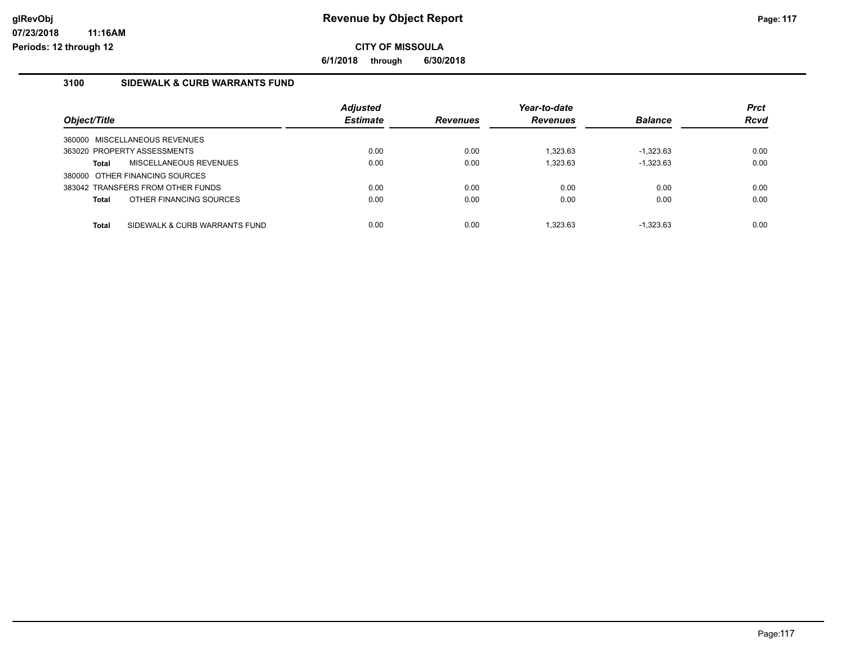**6/1/2018 through 6/30/2018**

# **3100 SIDEWALK & CURB WARRANTS FUND**

|                                               | <b>Adjusted</b> |                 | Year-to-date    |                | <b>Prct</b> |
|-----------------------------------------------|-----------------|-----------------|-----------------|----------------|-------------|
| Object/Title                                  | <b>Estimate</b> | <b>Revenues</b> | <b>Revenues</b> | <b>Balance</b> | <b>Rcvd</b> |
| 360000 MISCELLANEOUS REVENUES                 |                 |                 |                 |                |             |
| 363020 PROPERTY ASSESSMENTS                   | 0.00            | 0.00            | 1.323.63        | $-1.323.63$    | 0.00        |
| MISCELLANEOUS REVENUES<br>Total               | 0.00            | 0.00            | 1.323.63        | $-1.323.63$    | 0.00        |
| 380000 OTHER FINANCING SOURCES                |                 |                 |                 |                |             |
| 383042 TRANSFERS FROM OTHER FUNDS             | 0.00            | 0.00            | 0.00            | 0.00           | 0.00        |
| OTHER FINANCING SOURCES<br><b>Total</b>       | 0.00            | 0.00            | 0.00            | 0.00           | 0.00        |
| <b>Total</b><br>SIDEWALK & CURB WARRANTS FUND | 0.00            | 0.00            | 1.323.63        | $-1.323.63$    | 0.00        |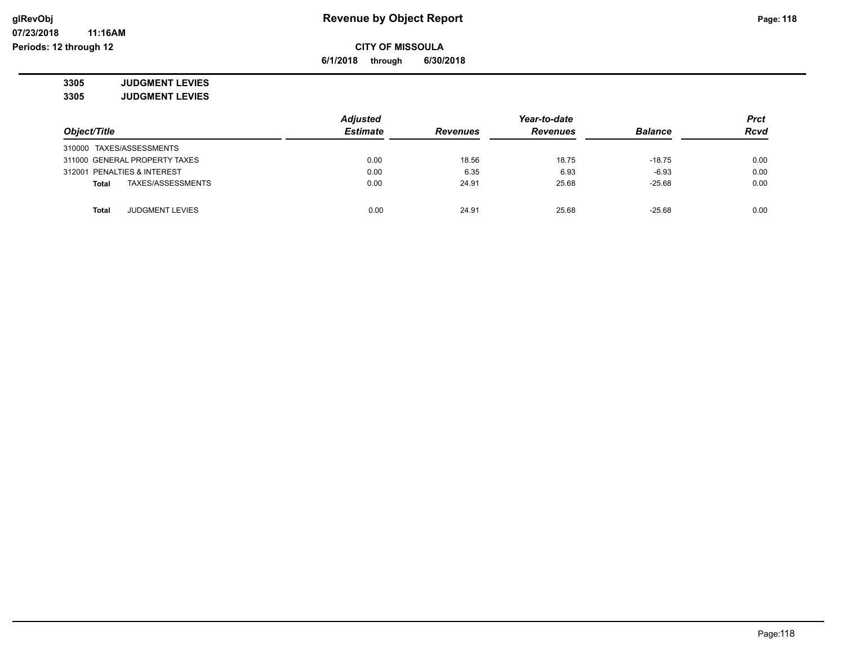**6/1/2018 through 6/30/2018**

**3305 JUDGMENT LEVIES**

**3305 JUDGMENT LEVIES**

|                                   | <b>Adjusted</b> |                 | Year-to-date    |                |             |
|-----------------------------------|-----------------|-----------------|-----------------|----------------|-------------|
| Object/Title                      | <b>Estimate</b> | <b>Revenues</b> | <b>Revenues</b> | <b>Balance</b> | <b>Rcvd</b> |
| 310000 TAXES/ASSESSMENTS          |                 |                 |                 |                |             |
| 311000 GENERAL PROPERTY TAXES     | 0.00            | 18.56           | 18.75           | $-18.75$       | 0.00        |
| 312001 PENALTIES & INTEREST       | 0.00            | 6.35            | 6.93            | $-6.93$        | 0.00        |
| TAXES/ASSESSMENTS<br><b>Total</b> | 0.00            | 24.91           | 25.68           | $-25.68$       | 0.00        |
| <b>JUDGMENT LEVIES</b><br>Total   | 0.00            | 24.91           | 25.68           | $-25.68$       | 0.00        |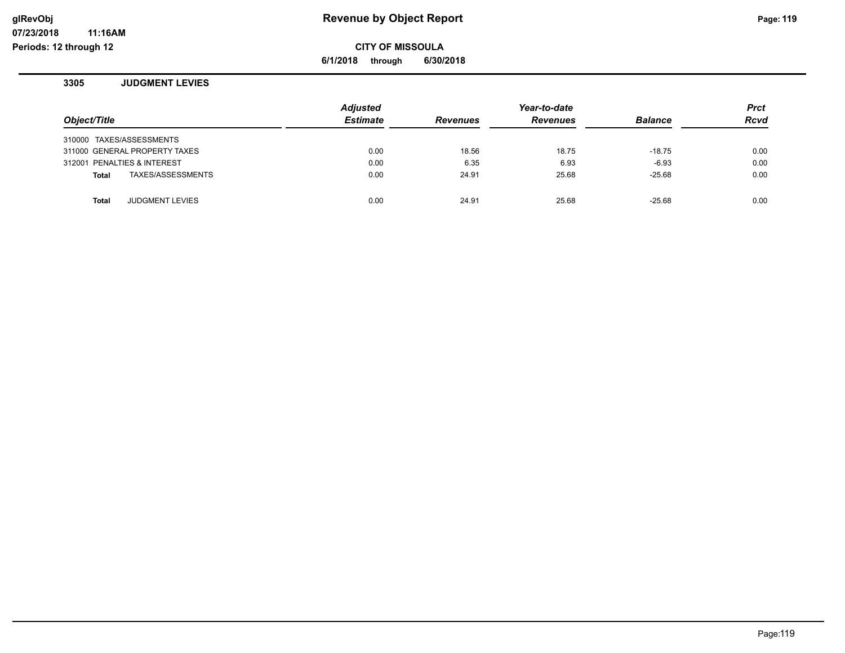**6/1/2018 through 6/30/2018**

### **3305 JUDGMENT LEVIES**

| Object/Title                           | <b>Adjusted</b><br><b>Estimate</b> | <b>Revenues</b> | Year-to-date<br><b>Revenues</b> | <b>Balance</b> | <b>Prct</b><br><b>Rcvd</b> |
|----------------------------------------|------------------------------------|-----------------|---------------------------------|----------------|----------------------------|
| 310000 TAXES/ASSESSMENTS               |                                    |                 |                                 |                |                            |
| 311000 GENERAL PROPERTY TAXES          | 0.00                               | 18.56           | 18.75                           | $-18.75$       | 0.00                       |
| 312001 PENALTIES & INTEREST            | 0.00                               | 6.35            | 6.93                            | $-6.93$        | 0.00                       |
| TAXES/ASSESSMENTS<br><b>Total</b>      | 0.00                               | 24.91           | 25.68                           | $-25.68$       | 0.00                       |
|                                        |                                    |                 |                                 |                |                            |
| <b>JUDGMENT LEVIES</b><br><b>Total</b> | 0.00                               | 24.91           | 25.68                           | $-25.68$       | 0.00                       |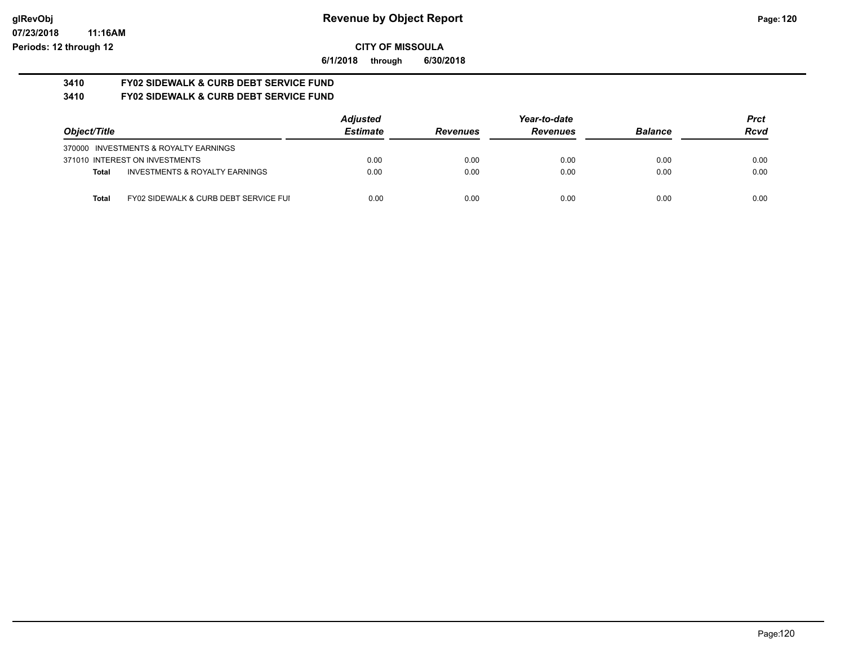# **07/23/2018 11:16AM Periods: 12 through 12**

# **CITY OF MISSOULA**

### **6/1/2018 through 6/30/2018**

# **3410 FY02 SIDEWALK & CURB DEBT SERVICE FUND 3410 FY02 SIDEWALK & CURB DEBT SERVICE FUND**

|              |                                           | <b>Adjusted</b> |                 | Year-to-date    |                | Prct        |
|--------------|-------------------------------------------|-----------------|-----------------|-----------------|----------------|-------------|
| Object/Title |                                           | <b>Estimate</b> | <b>Revenues</b> | <b>Revenues</b> | <b>Balance</b> | <b>Rcvd</b> |
|              | 370000 INVESTMENTS & ROYALTY EARNINGS     |                 |                 |                 |                |             |
|              | 371010 INTEREST ON INVESTMENTS            | 0.00            | 0.00            | 0.00            | 0.00           | 0.00        |
| Total        | <b>INVESTMENTS &amp; ROYALTY EARNINGS</b> | 0.00            | 0.00            | 0.00            | 0.00           | 0.00        |
| Total        | FY02 SIDEWALK & CURB DEBT SERVICE FUI     | 0.00            | 0.00            | 0.00            | 0.00           | 0.00        |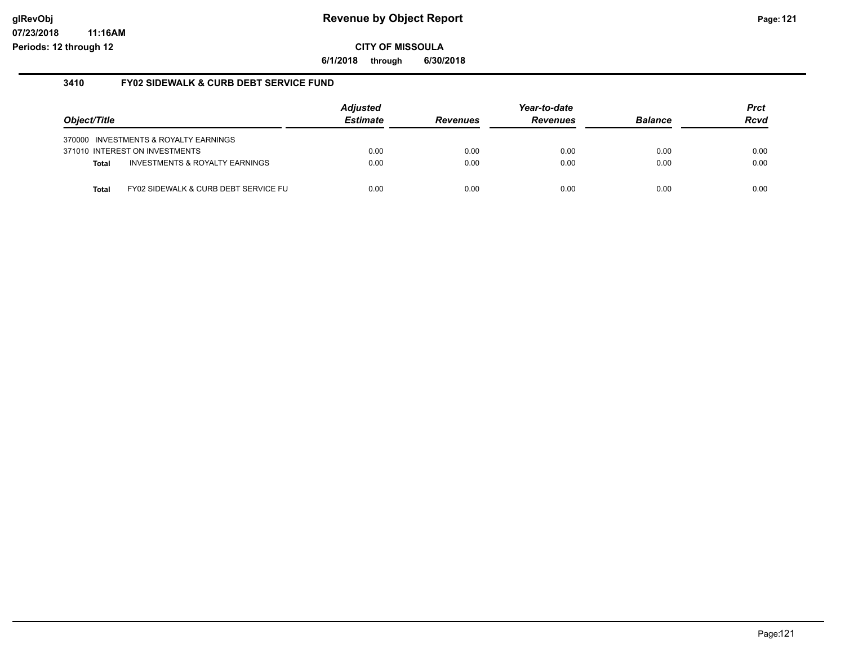**6/1/2018 through 6/30/2018**

# **3410 FY02 SIDEWALK & CURB DEBT SERVICE FUND**

| Object/Title |                                           | <b>Adjusted</b><br><b>Estimate</b> | <b>Revenues</b> | Year-to-date<br><b>Revenues</b> | <b>Balance</b> | <b>Prct</b><br><b>Rcvd</b> |
|--------------|-------------------------------------------|------------------------------------|-----------------|---------------------------------|----------------|----------------------------|
|              | 370000 INVESTMENTS & ROYALTY EARNINGS     |                                    |                 |                                 |                |                            |
|              | 371010 INTEREST ON INVESTMENTS            | 0.00                               | 0.00            | 0.00                            | 0.00           | 0.00                       |
| <b>Total</b> | <b>INVESTMENTS &amp; ROYALTY EARNINGS</b> | 0.00                               | 0.00            | 0.00                            | 0.00           | 0.00                       |
| <b>Total</b> | FY02 SIDEWALK & CURB DEBT SERVICE FU      | 0.00                               | 0.00            | 0.00                            | 0.00           | 0.00                       |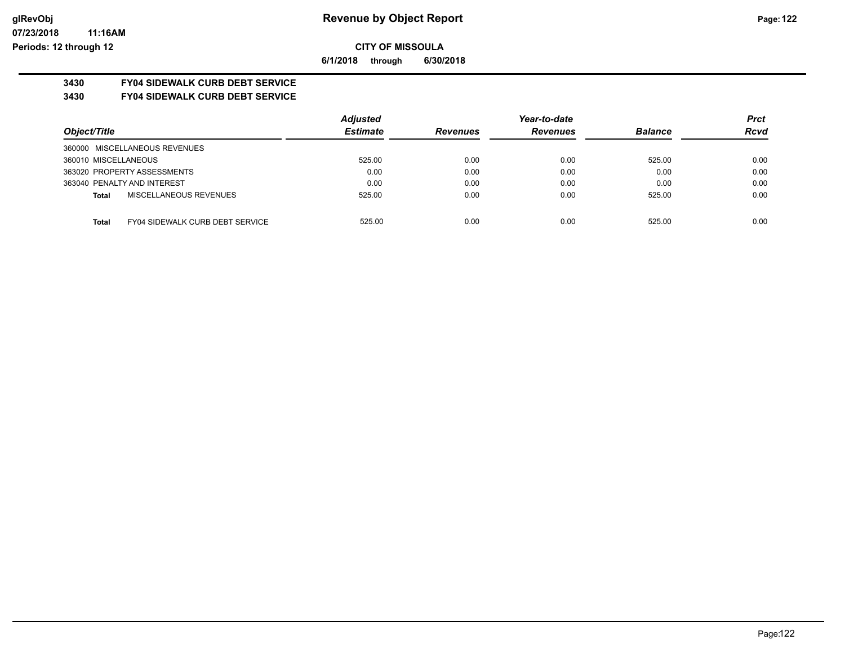**6/1/2018 through 6/30/2018**

# **3430 FY04 SIDEWALK CURB DEBT SERVICE**

# **3430 FY04 SIDEWALK CURB DEBT SERVICE**

|                                                 | <b>Adjusted</b> |                 | Year-to-date    |                | <b>Prct</b> |
|-------------------------------------------------|-----------------|-----------------|-----------------|----------------|-------------|
| Object/Title                                    | <b>Estimate</b> | <b>Revenues</b> | <b>Revenues</b> | <b>Balance</b> | <b>Rcvd</b> |
| 360000 MISCELLANEOUS REVENUES                   |                 |                 |                 |                |             |
| 360010 MISCELLANEOUS                            | 525.00          | 0.00            | 0.00            | 525.00         | 0.00        |
| 363020 PROPERTY ASSESSMENTS                     | 0.00            | 0.00            | 0.00            | 0.00           | 0.00        |
| 363040 PENALTY AND INTEREST                     | 0.00            | 0.00            | 0.00            | 0.00           | 0.00        |
| MISCELLANEOUS REVENUES<br>Total                 | 525.00          | 0.00            | 0.00            | 525.00         | 0.00        |
|                                                 |                 |                 |                 |                |             |
| <b>FY04 SIDEWALK CURB DEBT SERVICE</b><br>Total | 525.00          | 0.00            | 0.00            | 525.00         | 0.00        |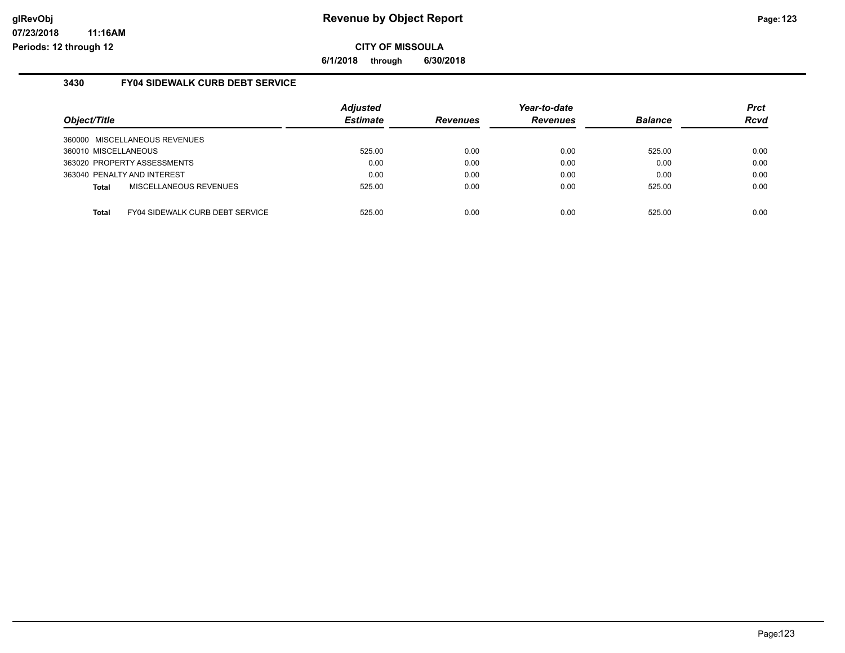**6/1/2018 through 6/30/2018**

# **3430 FY04 SIDEWALK CURB DEBT SERVICE**

| Object/Title                                    | <b>Adjusted</b><br><b>Estimate</b> | <b>Revenues</b> | Year-to-date<br><b>Revenues</b> | <b>Balance</b> | <b>Prct</b><br><b>Rcvd</b> |
|-------------------------------------------------|------------------------------------|-----------------|---------------------------------|----------------|----------------------------|
| 360000 MISCELLANEOUS REVENUES                   |                                    |                 |                                 |                |                            |
| 360010 MISCELLANEOUS                            | 525.00                             | 0.00            | 0.00                            | 525.00         | 0.00                       |
| 363020 PROPERTY ASSESSMENTS                     | 0.00                               | 0.00            | 0.00                            | 0.00           | 0.00                       |
| 363040 PENALTY AND INTEREST                     | 0.00                               | 0.00            | 0.00                            | 0.00           | 0.00                       |
| MISCELLANEOUS REVENUES<br><b>Total</b>          | 525.00                             | 0.00            | 0.00                            | 525.00         | 0.00                       |
|                                                 |                                    |                 |                                 |                |                            |
| FY04 SIDEWALK CURB DEBT SERVICE<br><b>Total</b> | 525.00                             | 0.00            | 0.00                            | 525.00         | 0.00                       |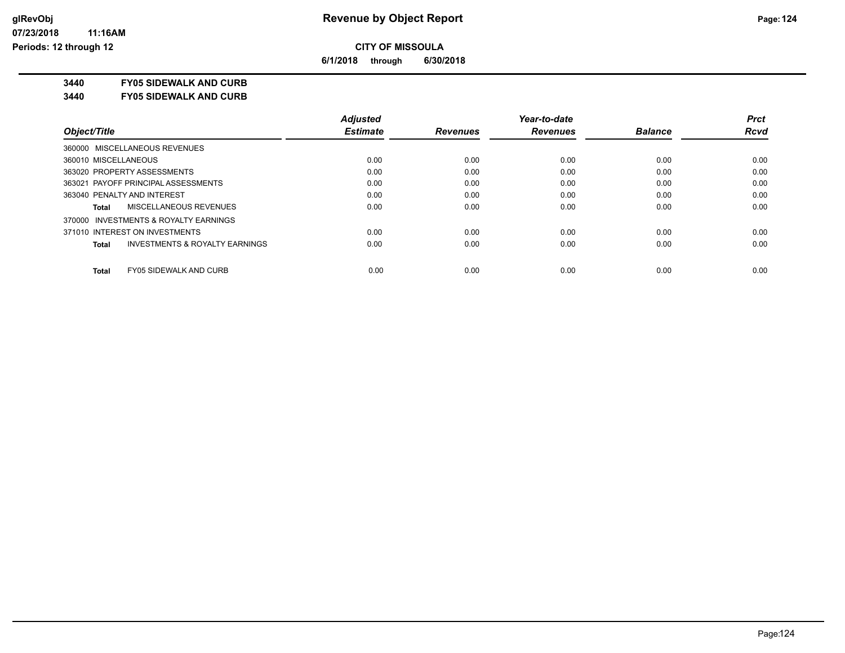**6/1/2018 through 6/30/2018**

**3440 FY05 SIDEWALK AND CURB**

**3440 FY05 SIDEWALK AND CURB**

|                                                           | <b>Adjusted</b> |                 | Year-to-date    |                | <b>Prct</b> |
|-----------------------------------------------------------|-----------------|-----------------|-----------------|----------------|-------------|
| Object/Title                                              | <b>Estimate</b> | <b>Revenues</b> | <b>Revenues</b> | <b>Balance</b> | <b>Rcvd</b> |
| 360000 MISCELLANEOUS REVENUES                             |                 |                 |                 |                |             |
| 360010 MISCELLANEOUS                                      | 0.00            | 0.00            | 0.00            | 0.00           | 0.00        |
| 363020 PROPERTY ASSESSMENTS                               | 0.00            | 0.00            | 0.00            | 0.00           | 0.00        |
| 363021 PAYOFF PRINCIPAL ASSESSMENTS                       | 0.00            | 0.00            | 0.00            | 0.00           | 0.00        |
| 363040 PENALTY AND INTEREST                               | 0.00            | 0.00            | 0.00            | 0.00           | 0.00        |
| <b>MISCELLANEOUS REVENUES</b><br>Total                    | 0.00            | 0.00            | 0.00            | 0.00           | 0.00        |
| 370000 INVESTMENTS & ROYALTY EARNINGS                     |                 |                 |                 |                |             |
| 371010 INTEREST ON INVESTMENTS                            | 0.00            | 0.00            | 0.00            | 0.00           | 0.00        |
| <b>INVESTMENTS &amp; ROYALTY EARNINGS</b><br><b>Total</b> | 0.00            | 0.00            | 0.00            | 0.00           | 0.00        |
| <b>FY05 SIDEWALK AND CURB</b><br>Total                    | 0.00            | 0.00            | 0.00            | 0.00           | 0.00        |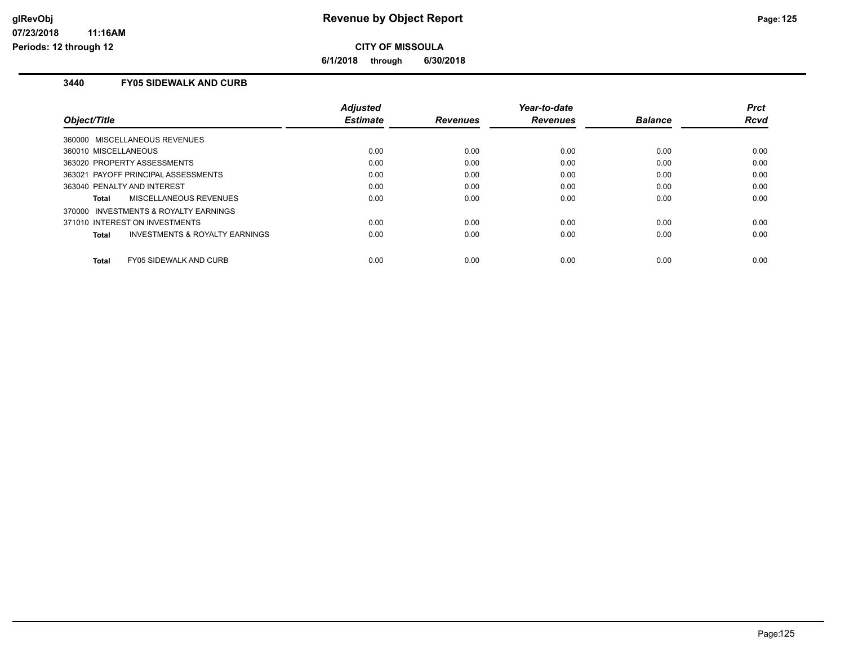**6/1/2018 through 6/30/2018**

# **3440 FY05 SIDEWALK AND CURB**

| Object/Title                                              | <b>Adjusted</b><br><b>Estimate</b> | <b>Revenues</b> | Year-to-date<br><b>Revenues</b> | <b>Balance</b> | <b>Prct</b><br>Rcvd |
|-----------------------------------------------------------|------------------------------------|-----------------|---------------------------------|----------------|---------------------|
| 360000 MISCELLANEOUS REVENUES                             |                                    |                 |                                 |                |                     |
| 360010 MISCELLANEOUS                                      | 0.00                               | 0.00            | 0.00                            | 0.00           | 0.00                |
| 363020 PROPERTY ASSESSMENTS                               | 0.00                               | 0.00            | 0.00                            | 0.00           | 0.00                |
| 363021 PAYOFF PRINCIPAL ASSESSMENTS                       | 0.00                               | 0.00            | 0.00                            | 0.00           | 0.00                |
| 363040 PENALTY AND INTEREST                               | 0.00                               | 0.00            | 0.00                            | 0.00           | 0.00                |
| MISCELLANEOUS REVENUES<br><b>Total</b>                    | 0.00                               | 0.00            | 0.00                            | 0.00           | 0.00                |
| 370000 INVESTMENTS & ROYALTY EARNINGS                     |                                    |                 |                                 |                |                     |
| 371010 INTEREST ON INVESTMENTS                            | 0.00                               | 0.00            | 0.00                            | 0.00           | 0.00                |
| <b>INVESTMENTS &amp; ROYALTY EARNINGS</b><br><b>Total</b> | 0.00                               | 0.00            | 0.00                            | 0.00           | 0.00                |
| <b>FY05 SIDEWALK AND CURB</b><br><b>Total</b>             | 0.00                               | 0.00            | 0.00                            | 0.00           | 0.00                |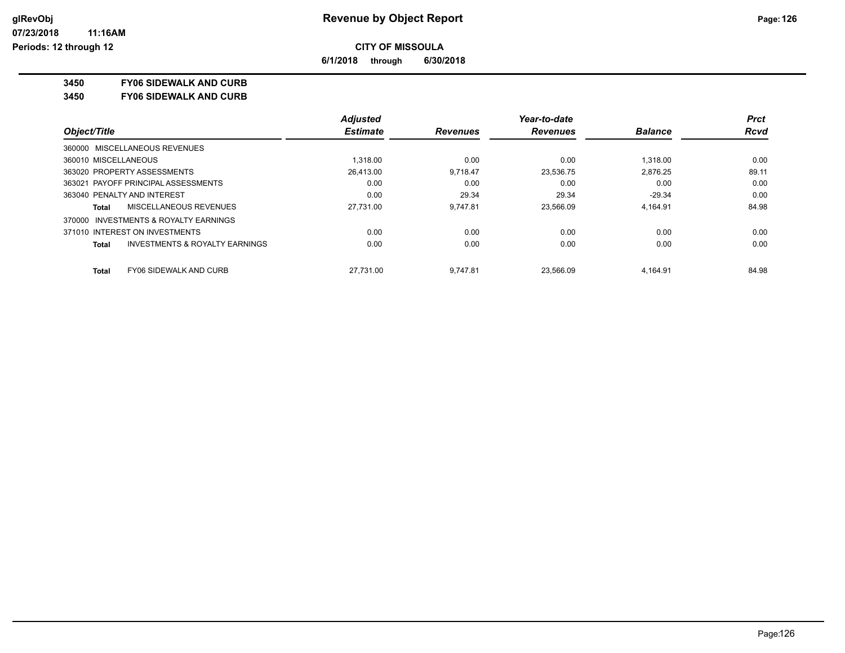**6/1/2018 through 6/30/2018**

**3450 FY06 SIDEWALK AND CURB**

**3450 FY06 SIDEWALK AND CURB**

|                                                           | <b>Adjusted</b> |                 | Year-to-date    |                | <b>Prct</b> |
|-----------------------------------------------------------|-----------------|-----------------|-----------------|----------------|-------------|
| Object/Title                                              | <b>Estimate</b> | <b>Revenues</b> | <b>Revenues</b> | <b>Balance</b> | Rcvd        |
| 360000 MISCELLANEOUS REVENUES                             |                 |                 |                 |                |             |
| 360010 MISCELLANEOUS                                      | 1.318.00        | 0.00            | 0.00            | 1.318.00       | 0.00        |
| 363020 PROPERTY ASSESSMENTS                               | 26,413.00       | 9.718.47        | 23,536.75       | 2,876.25       | 89.11       |
| 363021 PAYOFF PRINCIPAL ASSESSMENTS                       | 0.00            | 0.00            | 0.00            | 0.00           | 0.00        |
| 363040 PENALTY AND INTEREST                               | 0.00            | 29.34           | 29.34           | $-29.34$       | 0.00        |
| MISCELLANEOUS REVENUES<br>Total                           | 27,731.00       | 9.747.81        | 23.566.09       | 4.164.91       | 84.98       |
| 370000 INVESTMENTS & ROYALTY EARNINGS                     |                 |                 |                 |                |             |
| 371010 INTEREST ON INVESTMENTS                            | 0.00            | 0.00            | 0.00            | 0.00           | 0.00        |
| <b>INVESTMENTS &amp; ROYALTY EARNINGS</b><br><b>Total</b> | 0.00            | 0.00            | 0.00            | 0.00           | 0.00        |
| <b>FY06 SIDEWALK AND CURB</b><br><b>Total</b>             | 27.731.00       | 9.747.81        | 23.566.09       | 4.164.91       | 84.98       |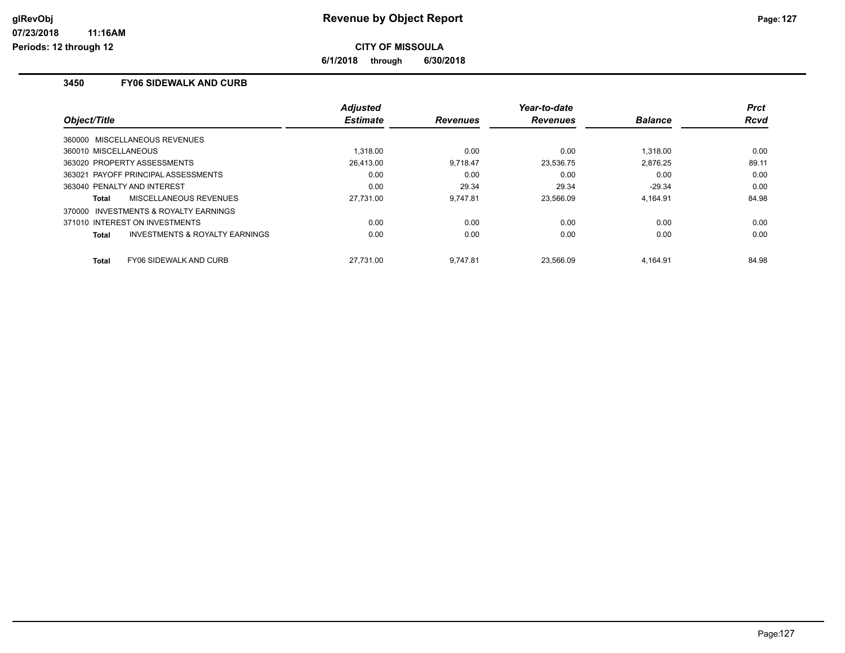**6/1/2018 through 6/30/2018**

# **3450 FY06 SIDEWALK AND CURB**

|                                                    | <b>Adjusted</b> |                 | Year-to-date    |                | <b>Prct</b> |
|----------------------------------------------------|-----------------|-----------------|-----------------|----------------|-------------|
| Object/Title                                       | <b>Estimate</b> | <b>Revenues</b> | <b>Revenues</b> | <b>Balance</b> | <b>Rcvd</b> |
| 360000 MISCELLANEOUS REVENUES                      |                 |                 |                 |                |             |
| 360010 MISCELLANEOUS                               | 1.318.00        | 0.00            | 0.00            | 1.318.00       | 0.00        |
| 363020 PROPERTY ASSESSMENTS                        | 26.413.00       | 9.718.47        | 23.536.75       | 2.876.25       | 89.11       |
| 363021 PAYOFF PRINCIPAL ASSESSMENTS                | 0.00            | 0.00            | 0.00            | 0.00           | 0.00        |
| 363040 PENALTY AND INTEREST                        | 0.00            | 29.34           | 29.34           | $-29.34$       | 0.00        |
| MISCELLANEOUS REVENUES<br>Total                    | 27.731.00       | 9.747.81        | 23.566.09       | 4.164.91       | 84.98       |
| 370000 INVESTMENTS & ROYALTY EARNINGS              |                 |                 |                 |                |             |
| 371010 INTEREST ON INVESTMENTS                     | 0.00            | 0.00            | 0.00            | 0.00           | 0.00        |
| <b>INVESTMENTS &amp; ROYALTY EARNINGS</b><br>Total | 0.00            | 0.00            | 0.00            | 0.00           | 0.00        |
| <b>FY06 SIDEWALK AND CURB</b><br>Total             | 27.731.00       | 9.747.81        | 23.566.09       | 4.164.91       | 84.98       |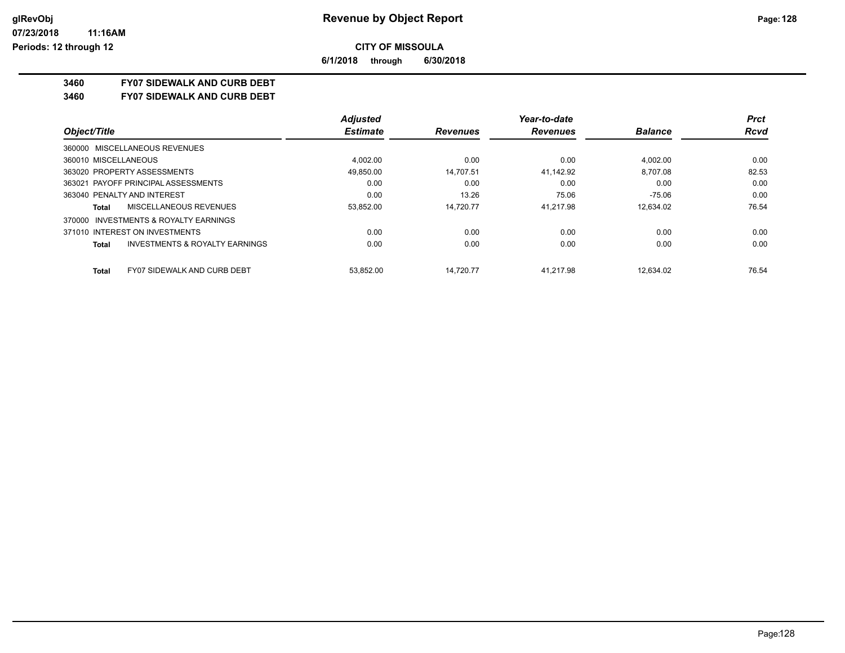**6/1/2018 through 6/30/2018**

# **3460 FY07 SIDEWALK AND CURB DEBT**

### **3460 FY07 SIDEWALK AND CURB DEBT**

|                                                    | <b>Adjusted</b> |                 | Year-to-date    |                | <b>Prct</b> |
|----------------------------------------------------|-----------------|-----------------|-----------------|----------------|-------------|
| Object/Title                                       | <b>Estimate</b> | <b>Revenues</b> | <b>Revenues</b> | <b>Balance</b> | <b>Rcvd</b> |
| 360000 MISCELLANEOUS REVENUES                      |                 |                 |                 |                |             |
| 360010 MISCELLANEOUS                               | 4.002.00        | 0.00            | 0.00            | 4.002.00       | 0.00        |
| 363020 PROPERTY ASSESSMENTS                        | 49,850.00       | 14.707.51       | 41.142.92       | 8.707.08       | 82.53       |
| 363021 PAYOFF PRINCIPAL ASSESSMENTS                | 0.00            | 0.00            | 0.00            | 0.00           | 0.00        |
| 363040 PENALTY AND INTEREST                        | 0.00            | 13.26           | 75.06           | $-75.06$       | 0.00        |
| <b>MISCELLANEOUS REVENUES</b><br>Total             | 53,852.00       | 14.720.77       | 41.217.98       | 12.634.02      | 76.54       |
| 370000 INVESTMENTS & ROYALTY EARNINGS              |                 |                 |                 |                |             |
| 371010 INTEREST ON INVESTMENTS                     | 0.00            | 0.00            | 0.00            | 0.00           | 0.00        |
| <b>INVESTMENTS &amp; ROYALTY EARNINGS</b><br>Total | 0.00            | 0.00            | 0.00            | 0.00           | 0.00        |
| <b>FY07 SIDEWALK AND CURB DEBT</b><br>Total        | 53.852.00       | 14.720.77       | 41.217.98       | 12.634.02      | 76.54       |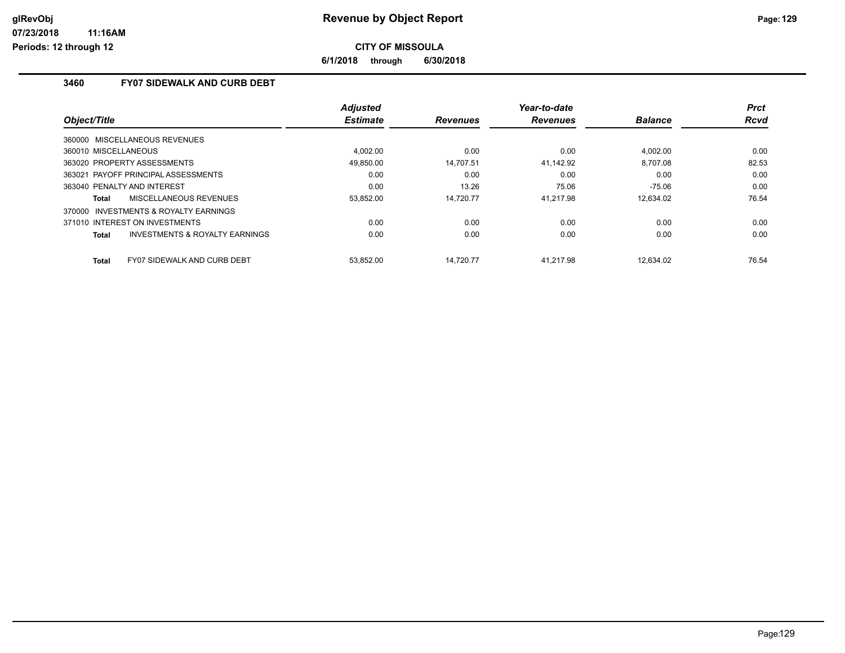**6/1/2018 through 6/30/2018**

# **3460 FY07 SIDEWALK AND CURB DEBT**

| Object/Title                          |                                           | <b>Adjusted</b><br><b>Estimate</b> | <b>Revenues</b> | Year-to-date<br><b>Revenues</b> | <b>Balance</b> | <b>Prct</b><br>Rcvd |
|---------------------------------------|-------------------------------------------|------------------------------------|-----------------|---------------------------------|----------------|---------------------|
| 360000 MISCELLANEOUS REVENUES         |                                           |                                    |                 |                                 |                |                     |
| 360010 MISCELLANEOUS                  |                                           | 4.002.00                           | 0.00            | 0.00                            | 4.002.00       | 0.00                |
| 363020 PROPERTY ASSESSMENTS           |                                           | 49.850.00                          | 14.707.51       | 41.142.92                       | 8.707.08       | 82.53               |
| 363021 PAYOFF PRINCIPAL ASSESSMENTS   |                                           | 0.00                               | 0.00            | 0.00                            | 0.00           | 0.00                |
| 363040 PENALTY AND INTEREST           |                                           | 0.00                               | 13.26           | 75.06                           | -75.06         | 0.00                |
| <b>Total</b>                          | MISCELLANEOUS REVENUES                    | 53,852.00                          | 14.720.77       | 41.217.98                       | 12.634.02      | 76.54               |
| 370000 INVESTMENTS & ROYALTY EARNINGS |                                           |                                    |                 |                                 |                |                     |
| 371010 INTEREST ON INVESTMENTS        |                                           | 0.00                               | 0.00            | 0.00                            | 0.00           | 0.00                |
| <b>Total</b>                          | <b>INVESTMENTS &amp; ROYALTY EARNINGS</b> | 0.00                               | 0.00            | 0.00                            | 0.00           | 0.00                |
| <b>Total</b>                          | <b>FY07 SIDEWALK AND CURB DEBT</b>        | 53.852.00                          | 14.720.77       | 41.217.98                       | 12.634.02      | 76.54               |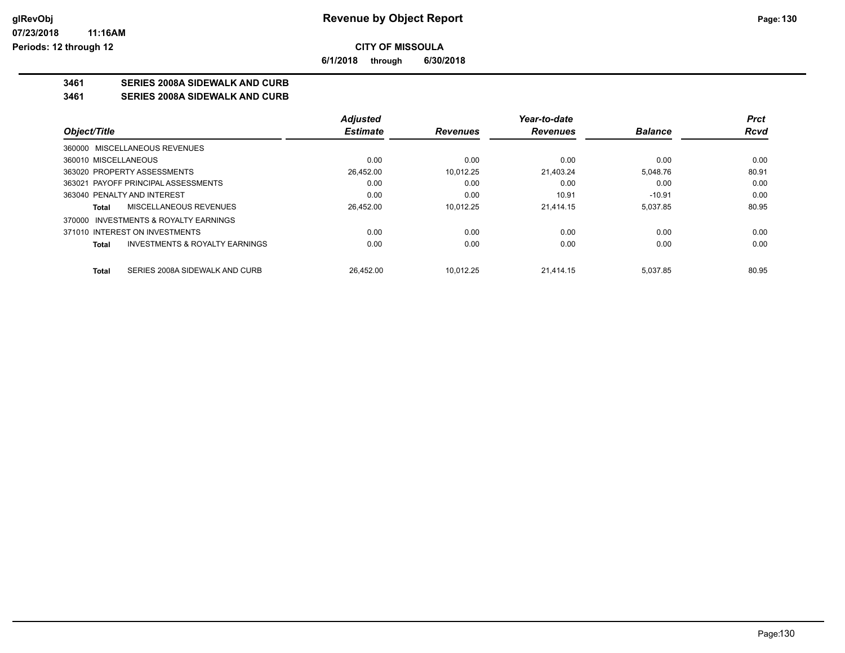**6/1/2018 through 6/30/2018**

# **3461 SERIES 2008A SIDEWALK AND CURB**

# **3461 SERIES 2008A SIDEWALK AND CURB**

|                                                    | <b>Adjusted</b> |                 | Year-to-date    |                | <b>Prct</b> |
|----------------------------------------------------|-----------------|-----------------|-----------------|----------------|-------------|
| Object/Title                                       | <b>Estimate</b> | <b>Revenues</b> | <b>Revenues</b> | <b>Balance</b> | <b>Rcvd</b> |
| 360000 MISCELLANEOUS REVENUES                      |                 |                 |                 |                |             |
| 360010 MISCELLANEOUS                               | 0.00            | 0.00            | 0.00            | 0.00           | 0.00        |
| 363020 PROPERTY ASSESSMENTS                        | 26,452.00       | 10.012.25       | 21,403.24       | 5,048.76       | 80.91       |
| 363021 PAYOFF PRINCIPAL ASSESSMENTS                | 0.00            | 0.00            | 0.00            | 0.00           | 0.00        |
| 363040 PENALTY AND INTEREST                        | 0.00            | 0.00            | 10.91           | $-10.91$       | 0.00        |
| MISCELLANEOUS REVENUES<br>Total                    | 26,452.00       | 10.012.25       | 21.414.15       | 5,037.85       | 80.95       |
| 370000 INVESTMENTS & ROYALTY EARNINGS              |                 |                 |                 |                |             |
| 371010 INTEREST ON INVESTMENTS                     | 0.00            | 0.00            | 0.00            | 0.00           | 0.00        |
| <b>INVESTMENTS &amp; ROYALTY EARNINGS</b><br>Total | 0.00            | 0.00            | 0.00            | 0.00           | 0.00        |
| SERIES 2008A SIDEWALK AND CURB<br>Total            | 26.452.00       | 10.012.25       | 21.414.15       | 5.037.85       | 80.95       |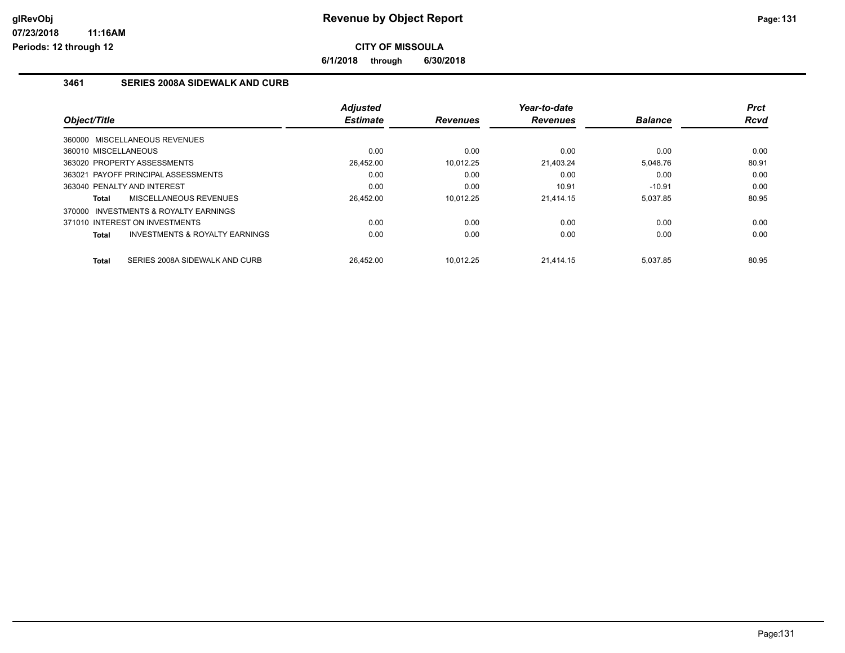**6/1/2018 through 6/30/2018**

# **3461 SERIES 2008A SIDEWALK AND CURB**

|                                                    | <b>Adjusted</b> |                 | Year-to-date    |                | <b>Prct</b> |
|----------------------------------------------------|-----------------|-----------------|-----------------|----------------|-------------|
| Object/Title                                       | <b>Estimate</b> | <b>Revenues</b> | <b>Revenues</b> | <b>Balance</b> | <b>Rcvd</b> |
| 360000 MISCELLANEOUS REVENUES                      |                 |                 |                 |                |             |
| 360010 MISCELLANEOUS                               | 0.00            | 0.00            | 0.00            | 0.00           | 0.00        |
| 363020 PROPERTY ASSESSMENTS                        | 26.452.00       | 10.012.25       | 21.403.24       | 5.048.76       | 80.91       |
| 363021 PAYOFF PRINCIPAL ASSESSMENTS                | 0.00            | 0.00            | 0.00            | 0.00           | 0.00        |
| 363040 PENALTY AND INTEREST                        | 0.00            | 0.00            | 10.91           | $-10.91$       | 0.00        |
| MISCELLANEOUS REVENUES<br>Total                    | 26.452.00       | 10.012.25       | 21.414.15       | 5.037.85       | 80.95       |
| 370000 INVESTMENTS & ROYALTY EARNINGS              |                 |                 |                 |                |             |
| 371010 INTEREST ON INVESTMENTS                     | 0.00            | 0.00            | 0.00            | 0.00           | 0.00        |
| <b>INVESTMENTS &amp; ROYALTY EARNINGS</b><br>Total | 0.00            | 0.00            | 0.00            | 0.00           | 0.00        |
| SERIES 2008A SIDEWALK AND CURB<br>Total            | 26.452.00       | 10.012.25       | 21.414.15       | 5.037.85       | 80.95       |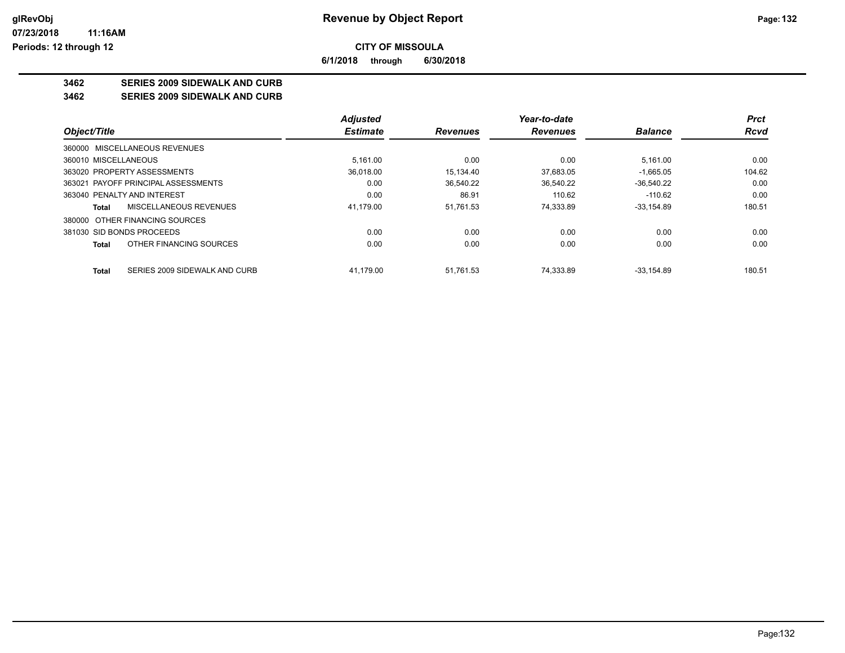**6/1/2018 through 6/30/2018**

# **3462 SERIES 2009 SIDEWALK AND CURB**

# **3462 SERIES 2009 SIDEWALK AND CURB**

|                                               | <b>Adjusted</b> |                 | Year-to-date    |                | <b>Prct</b> |
|-----------------------------------------------|-----------------|-----------------|-----------------|----------------|-------------|
| Object/Title                                  | <b>Estimate</b> | <b>Revenues</b> | <b>Revenues</b> | <b>Balance</b> | <b>Rcvd</b> |
| 360000 MISCELLANEOUS REVENUES                 |                 |                 |                 |                |             |
| 360010 MISCELLANEOUS                          | 5.161.00        | 0.00            | 0.00            | 5.161.00       | 0.00        |
| 363020 PROPERTY ASSESSMENTS                   | 36,018.00       | 15.134.40       | 37,683.05       | $-1.665.05$    | 104.62      |
| 363021 PAYOFF PRINCIPAL ASSESSMENTS           | 0.00            | 36.540.22       | 36.540.22       | $-36.540.22$   | 0.00        |
| 363040 PENALTY AND INTEREST                   | 0.00            | 86.91           | 110.62          | $-110.62$      | 0.00        |
| <b>MISCELLANEOUS REVENUES</b><br>Total        | 41,179.00       | 51,761.53       | 74,333.89       | $-33,154.89$   | 180.51      |
| OTHER FINANCING SOURCES<br>380000             |                 |                 |                 |                |             |
| 381030 SID BONDS PROCEEDS                     | 0.00            | 0.00            | 0.00            | 0.00           | 0.00        |
| OTHER FINANCING SOURCES<br><b>Total</b>       | 0.00            | 0.00            | 0.00            | 0.00           | 0.00        |
| SERIES 2009 SIDEWALK AND CURB<br><b>Total</b> | 41.179.00       | 51.761.53       | 74.333.89       | $-33.154.89$   | 180.51      |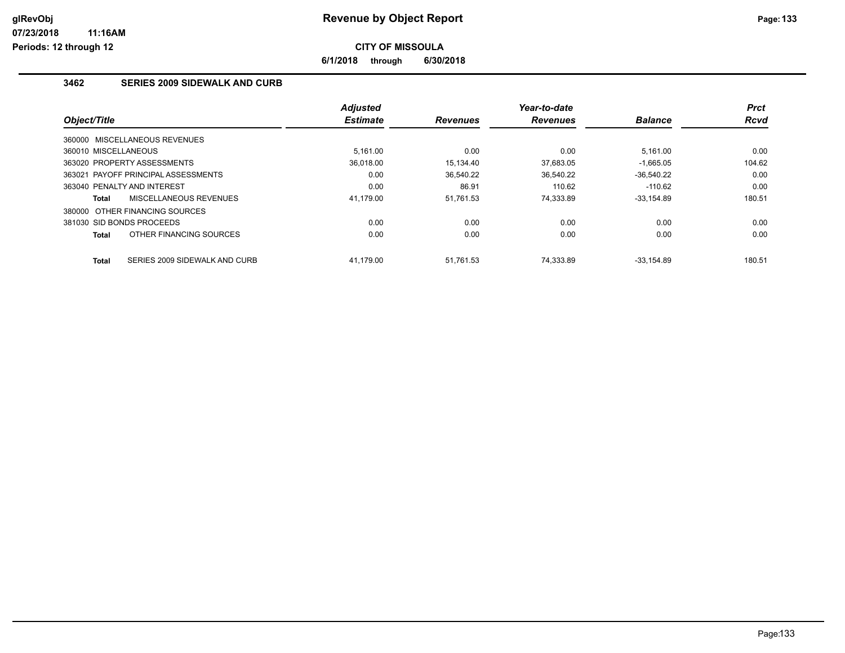**6/1/2018 through 6/30/2018**

# **3462 SERIES 2009 SIDEWALK AND CURB**

|                                               | <b>Adjusted</b> |                 | Year-to-date    |                | <b>Prct</b> |
|-----------------------------------------------|-----------------|-----------------|-----------------|----------------|-------------|
| Object/Title                                  | <b>Estimate</b> | <b>Revenues</b> | <b>Revenues</b> | <b>Balance</b> | <b>Rcvd</b> |
| 360000 MISCELLANEOUS REVENUES                 |                 |                 |                 |                |             |
| 360010 MISCELLANEOUS                          | 5.161.00        | 0.00            | 0.00            | 5.161.00       | 0.00        |
| 363020 PROPERTY ASSESSMENTS                   | 36.018.00       | 15.134.40       | 37.683.05       | $-1.665.05$    | 104.62      |
| 363021 PAYOFF PRINCIPAL ASSESSMENTS           | 0.00            | 36,540.22       | 36,540.22       | $-36,540.22$   | 0.00        |
| 363040 PENALTY AND INTEREST                   | 0.00            | 86.91           | 110.62          | $-110.62$      | 0.00        |
| MISCELLANEOUS REVENUES<br><b>Total</b>        | 41.179.00       | 51.761.53       | 74.333.89       | $-33.154.89$   | 180.51      |
| 380000 OTHER FINANCING SOURCES                |                 |                 |                 |                |             |
| 381030 SID BONDS PROCEEDS                     | 0.00            | 0.00            | 0.00            | 0.00           | 0.00        |
| OTHER FINANCING SOURCES<br><b>Total</b>       | 0.00            | 0.00            | 0.00            | 0.00           | 0.00        |
| SERIES 2009 SIDEWALK AND CURB<br><b>Total</b> | 41.179.00       | 51.761.53       | 74.333.89       | $-33.154.89$   | 180.51      |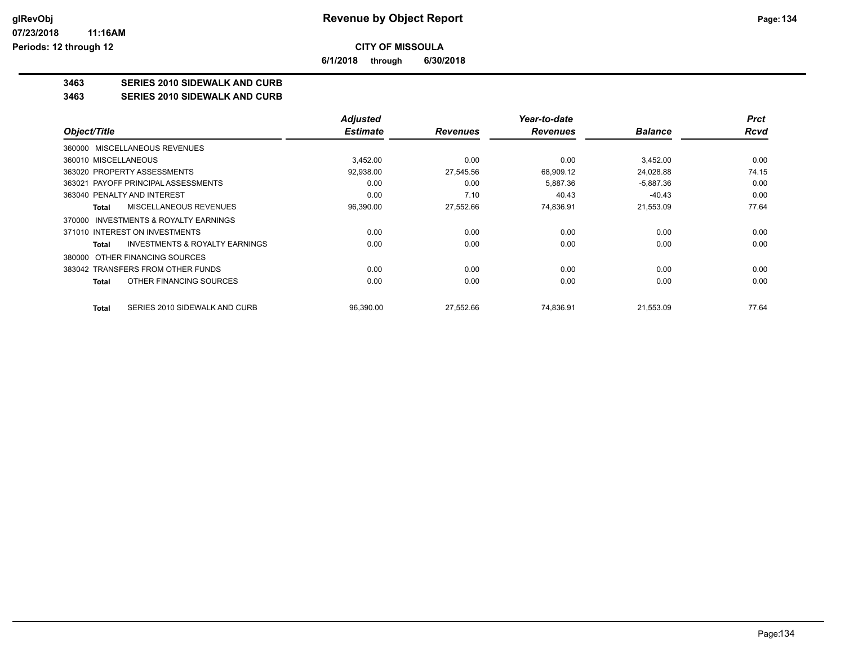**6/1/2018 through 6/30/2018**

# **3463 SERIES 2010 SIDEWALK AND CURB**

# **3463 SERIES 2010 SIDEWALK AND CURB**

|                                                    | <b>Adjusted</b> |                 | Year-to-date    |                | <b>Prct</b> |
|----------------------------------------------------|-----------------|-----------------|-----------------|----------------|-------------|
| Object/Title                                       | <b>Estimate</b> | <b>Revenues</b> | <b>Revenues</b> | <b>Balance</b> | <b>Rcvd</b> |
| 360000 MISCELLANEOUS REVENUES                      |                 |                 |                 |                |             |
| 360010 MISCELLANEOUS                               | 3,452.00        | 0.00            | 0.00            | 3.452.00       | 0.00        |
| 363020 PROPERTY ASSESSMENTS                        | 92,938.00       | 27,545.56       | 68,909.12       | 24,028.88      | 74.15       |
| PAYOFF PRINCIPAL ASSESSMENTS<br>363021             | 0.00            | 0.00            | 5,887.36        | $-5,887.36$    | 0.00        |
| 363040 PENALTY AND INTEREST                        | 0.00            | 7.10            | 40.43           | $-40.43$       | 0.00        |
| MISCELLANEOUS REVENUES<br>Total                    | 96,390.00       | 27,552.66       | 74,836.91       | 21,553.09      | 77.64       |
| INVESTMENTS & ROYALTY EARNINGS<br>370000           |                 |                 |                 |                |             |
| 371010 INTEREST ON INVESTMENTS                     | 0.00            | 0.00            | 0.00            | 0.00           | 0.00        |
| <b>INVESTMENTS &amp; ROYALTY EARNINGS</b><br>Total | 0.00            | 0.00            | 0.00            | 0.00           | 0.00        |
| OTHER FINANCING SOURCES<br>380000                  |                 |                 |                 |                |             |
| 383042 TRANSFERS FROM OTHER FUNDS                  | 0.00            | 0.00            | 0.00            | 0.00           | 0.00        |
| OTHER FINANCING SOURCES<br>Total                   | 0.00            | 0.00            | 0.00            | 0.00           | 0.00        |
| SERIES 2010 SIDEWALK AND CURB<br>Total             | 96,390.00       | 27,552.66       | 74,836.91       | 21,553.09      | 77.64       |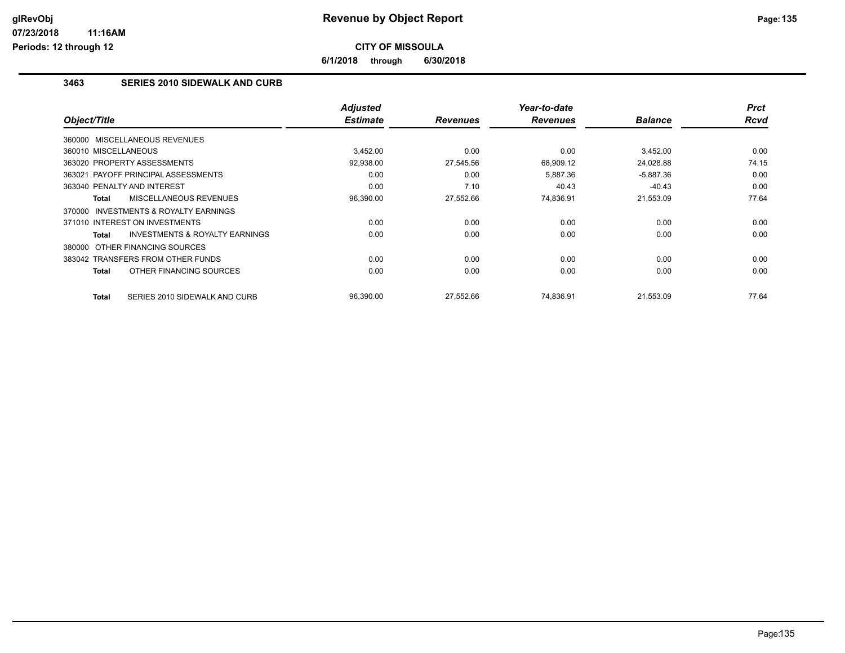**6/1/2018 through 6/30/2018**

# **3463 SERIES 2010 SIDEWALK AND CURB**

|                                                     | <b>Adjusted</b><br><b>Estimate</b> |                 | Year-to-date<br><b>Revenues</b> | <b>Balance</b> | <b>Prct</b><br>Rcvd |
|-----------------------------------------------------|------------------------------------|-----------------|---------------------------------|----------------|---------------------|
| Object/Title                                        |                                    | <b>Revenues</b> |                                 |                |                     |
| 360000 MISCELLANEOUS REVENUES                       |                                    |                 |                                 |                |                     |
| 360010 MISCELLANEOUS                                | 3.452.00                           | 0.00            | 0.00                            | 3,452.00       | 0.00                |
| 363020 PROPERTY ASSESSMENTS                         | 92,938.00                          | 27,545.56       | 68,909.12                       | 24,028.88      | 74.15               |
| 363021 PAYOFF PRINCIPAL ASSESSMENTS                 | 0.00                               | 0.00            | 5,887.36                        | $-5,887.36$    | 0.00                |
| 363040 PENALTY AND INTEREST                         | 0.00                               | 7.10            | 40.43                           | $-40.43$       | 0.00                |
| MISCELLANEOUS REVENUES<br>Total                     | 96,390.00                          | 27,552.66       | 74,836.91                       | 21,553.09      | 77.64               |
| <b>INVESTMENTS &amp; ROYALTY EARNINGS</b><br>370000 |                                    |                 |                                 |                |                     |
| 371010 INTEREST ON INVESTMENTS                      | 0.00                               | 0.00            | 0.00                            | 0.00           | 0.00                |
| <b>INVESTMENTS &amp; ROYALTY EARNINGS</b><br>Total  | 0.00                               | 0.00            | 0.00                            | 0.00           | 0.00                |
| 380000 OTHER FINANCING SOURCES                      |                                    |                 |                                 |                |                     |
| 383042 TRANSFERS FROM OTHER FUNDS                   | 0.00                               | 0.00            | 0.00                            | 0.00           | 0.00                |
| OTHER FINANCING SOURCES<br><b>Total</b>             | 0.00                               | 0.00            | 0.00                            | 0.00           | 0.00                |
| SERIES 2010 SIDEWALK AND CURB<br><b>Total</b>       | 96,390.00                          | 27.552.66       | 74,836.91                       | 21,553.09      | 77.64               |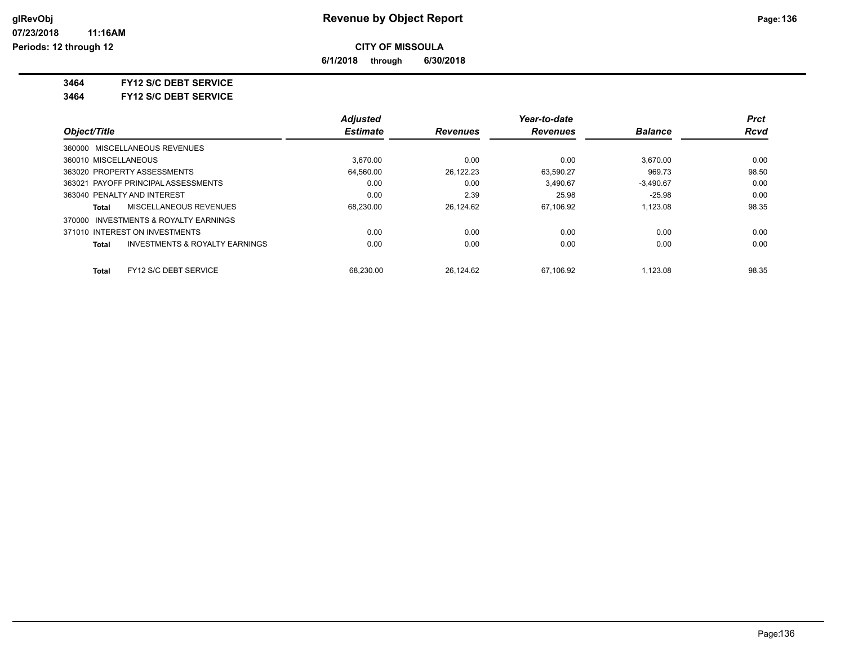**6/1/2018 through 6/30/2018**

**3464 FY12 S/C DEBT SERVICE**

**3464 FY12 S/C DEBT SERVICE**

|                                                    | <b>Adjusted</b> |                 | Year-to-date    |                | <b>Prct</b> |
|----------------------------------------------------|-----------------|-----------------|-----------------|----------------|-------------|
| Object/Title                                       | <b>Estimate</b> | <b>Revenues</b> | <b>Revenues</b> | <b>Balance</b> | <b>Rcvd</b> |
| 360000 MISCELLANEOUS REVENUES                      |                 |                 |                 |                |             |
| 360010 MISCELLANEOUS                               | 3.670.00        | 0.00            | 0.00            | 3.670.00       | 0.00        |
| 363020 PROPERTY ASSESSMENTS                        | 64,560.00       | 26.122.23       | 63,590.27       | 969.73         | 98.50       |
| 363021 PAYOFF PRINCIPAL ASSESSMENTS                | 0.00            | 0.00            | 3.490.67        | $-3.490.67$    | 0.00        |
| 363040 PENALTY AND INTEREST                        | 0.00            | 2.39            | 25.98           | $-25.98$       | 0.00        |
| MISCELLANEOUS REVENUES<br>Total                    | 68,230.00       | 26,124.62       | 67,106.92       | 1,123.08       | 98.35       |
| 370000 INVESTMENTS & ROYALTY EARNINGS              |                 |                 |                 |                |             |
| 371010 INTEREST ON INVESTMENTS                     | 0.00            | 0.00            | 0.00            | 0.00           | 0.00        |
| <b>INVESTMENTS &amp; ROYALTY EARNINGS</b><br>Total | 0.00            | 0.00            | 0.00            | 0.00           | 0.00        |
| FY12 S/C DEBT SERVICE<br><b>Total</b>              | 68.230.00       | 26.124.62       | 67.106.92       | 1.123.08       | 98.35       |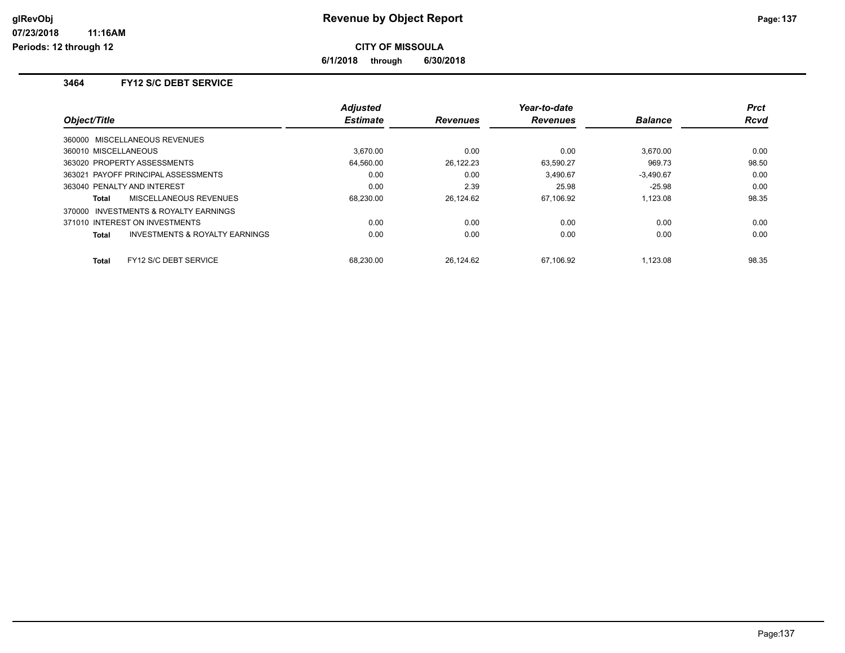**6/1/2018 through 6/30/2018**

### **3464 FY12 S/C DEBT SERVICE**

| Object/Title                                              | <b>Adjusted</b><br><b>Estimate</b> | <b>Revenues</b> | Year-to-date<br><b>Revenues</b> | <b>Balance</b> | <b>Prct</b><br><b>Rcvd</b> |
|-----------------------------------------------------------|------------------------------------|-----------------|---------------------------------|----------------|----------------------------|
| 360000 MISCELLANEOUS REVENUES                             |                                    |                 |                                 |                |                            |
| 360010 MISCELLANEOUS                                      | 3.670.00                           | 0.00            | 0.00                            | 3,670.00       | 0.00                       |
| 363020 PROPERTY ASSESSMENTS                               | 64,560.00                          | 26.122.23       | 63.590.27                       | 969.73         | 98.50                      |
| 363021 PAYOFF PRINCIPAL ASSESSMENTS                       | 0.00                               | 0.00            | 3.490.67                        | $-3.490.67$    | 0.00                       |
| 363040 PENALTY AND INTEREST                               | 0.00                               | 2.39            | 25.98                           | $-25.98$       | 0.00                       |
| MISCELLANEOUS REVENUES<br>Total                           | 68.230.00                          | 26.124.62       | 67.106.92                       | 1.123.08       | 98.35                      |
| INVESTMENTS & ROYALTY EARNINGS<br>370000                  |                                    |                 |                                 |                |                            |
| 371010 INTEREST ON INVESTMENTS                            | 0.00                               | 0.00            | 0.00                            | 0.00           | 0.00                       |
| <b>INVESTMENTS &amp; ROYALTY EARNINGS</b><br><b>Total</b> | 0.00                               | 0.00            | 0.00                            | 0.00           | 0.00                       |
| FY12 S/C DEBT SERVICE<br><b>Total</b>                     | 68.230.00                          | 26.124.62       | 67.106.92                       | 1.123.08       | 98.35                      |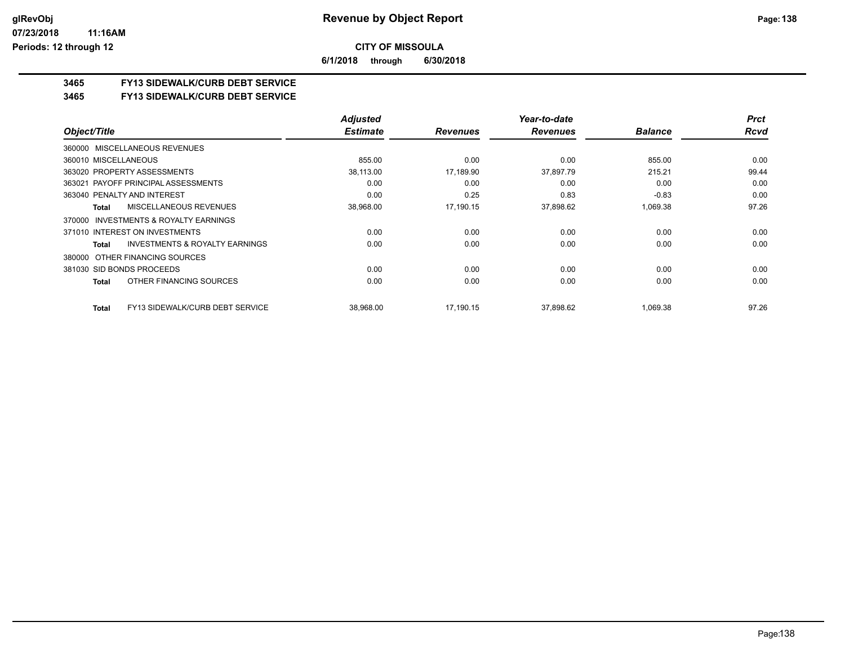**6/1/2018 through 6/30/2018**

# **3465 FY13 SIDEWALK/CURB DEBT SERVICE**

# **3465 FY13 SIDEWALK/CURB DEBT SERVICE**

|                                                    | <b>Adjusted</b> |                 | Year-to-date    |                | <b>Prct</b> |
|----------------------------------------------------|-----------------|-----------------|-----------------|----------------|-------------|
| Object/Title                                       | <b>Estimate</b> | <b>Revenues</b> | <b>Revenues</b> | <b>Balance</b> | <b>Rcvd</b> |
| MISCELLANEOUS REVENUES<br>360000                   |                 |                 |                 |                |             |
| 360010 MISCELLANEOUS                               | 855.00          | 0.00            | 0.00            | 855.00         | 0.00        |
| 363020 PROPERTY ASSESSMENTS                        | 38,113.00       | 17.189.90       | 37,897.79       | 215.21         | 99.44       |
| 363021 PAYOFF PRINCIPAL ASSESSMENTS                | 0.00            | 0.00            | 0.00            | 0.00           | 0.00        |
| 363040 PENALTY AND INTEREST                        | 0.00            | 0.25            | 0.83            | $-0.83$        | 0.00        |
| MISCELLANEOUS REVENUES<br>Total                    | 38,968.00       | 17,190.15       | 37,898.62       | 1,069.38       | 97.26       |
| INVESTMENTS & ROYALTY EARNINGS<br>370000           |                 |                 |                 |                |             |
| 371010 INTEREST ON INVESTMENTS                     | 0.00            | 0.00            | 0.00            | 0.00           | 0.00        |
| <b>INVESTMENTS &amp; ROYALTY EARNINGS</b><br>Total | 0.00            | 0.00            | 0.00            | 0.00           | 0.00        |
| OTHER FINANCING SOURCES<br>380000                  |                 |                 |                 |                |             |
| 381030 SID BONDS PROCEEDS                          | 0.00            | 0.00            | 0.00            | 0.00           | 0.00        |
| OTHER FINANCING SOURCES<br><b>Total</b>            | 0.00            | 0.00            | 0.00            | 0.00           | 0.00        |
| FY13 SIDEWALK/CURB DEBT SERVICE<br><b>Total</b>    | 38,968.00       | 17.190.15       | 37,898.62       | 1,069.38       | 97.26       |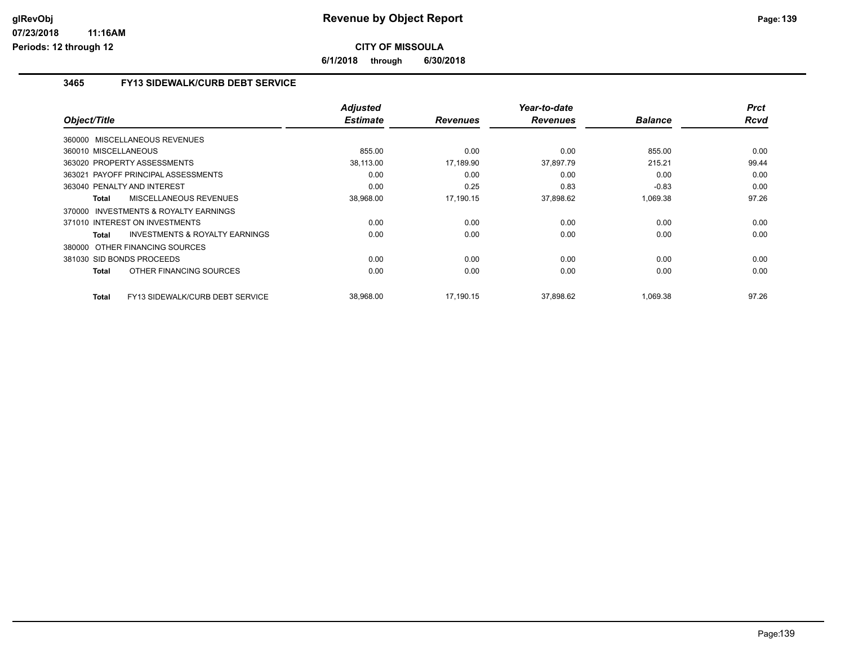**6/1/2018 through 6/30/2018**

# **3465 FY13 SIDEWALK/CURB DEBT SERVICE**

| Object/Title                             | <b>Adjusted</b><br><b>Estimate</b> | <b>Revenues</b> | Year-to-date<br><b>Revenues</b> | <b>Balance</b> | <b>Prct</b><br>Rcvd |
|------------------------------------------|------------------------------------|-----------------|---------------------------------|----------------|---------------------|
| 360000 MISCELLANEOUS REVENUES            |                                    |                 |                                 |                |                     |
| 360010 MISCELLANEOUS                     | 855.00                             | 0.00            | 0.00                            | 855.00         | 0.00                |
| 363020 PROPERTY ASSESSMENTS              | 38,113.00                          | 17,189.90       | 37,897.79                       | 215.21         | 99.44               |
| 363021 PAYOFF PRINCIPAL ASSESSMENTS      | 0.00                               | 0.00            | 0.00                            | 0.00           | 0.00                |
| 363040 PENALTY AND INTEREST              | 0.00                               | 0.25            | 0.83                            | $-0.83$        | 0.00                |
| <b>MISCELLANEOUS REVENUES</b><br>Total   | 38,968.00                          | 17,190.15       | 37,898.62                       | 1,069.38       | 97.26               |
| 370000 INVESTMENTS & ROYALTY EARNINGS    |                                    |                 |                                 |                |                     |
| 371010 INTEREST ON INVESTMENTS           | 0.00                               | 0.00            | 0.00                            | 0.00           | 0.00                |
| INVESTMENTS & ROYALTY EARNINGS<br>Total  | 0.00                               | 0.00            | 0.00                            | 0.00           | 0.00                |
| 380000 OTHER FINANCING SOURCES           |                                    |                 |                                 |                |                     |
| 381030 SID BONDS PROCEEDS                | 0.00                               | 0.00            | 0.00                            | 0.00           | 0.00                |
| OTHER FINANCING SOURCES<br>Total         | 0.00                               | 0.00            | 0.00                            | 0.00           | 0.00                |
|                                          |                                    |                 |                                 |                |                     |
| FY13 SIDEWALK/CURB DEBT SERVICE<br>Total | 38,968.00                          | 17,190.15       | 37,898.62                       | 1,069.38       | 97.26               |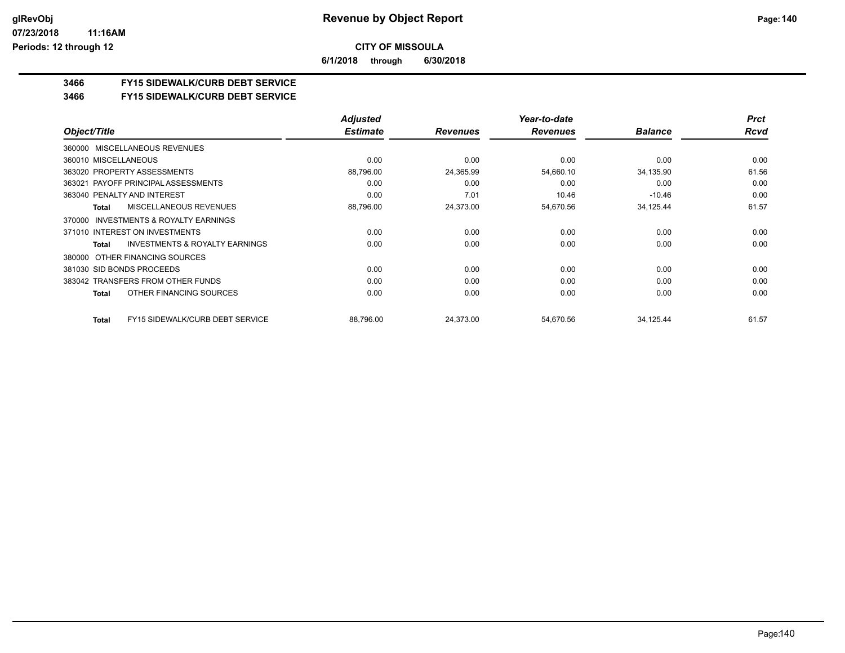**6/1/2018 through 6/30/2018**

# **3466 FY15 SIDEWALK/CURB DEBT SERVICE**

# **3466 FY15 SIDEWALK/CURB DEBT SERVICE**

|                                                    | <b>Adjusted</b> |                 | Year-to-date    |                | <b>Prct</b> |
|----------------------------------------------------|-----------------|-----------------|-----------------|----------------|-------------|
| Object/Title                                       | <b>Estimate</b> | <b>Revenues</b> | <b>Revenues</b> | <b>Balance</b> | <b>Rcvd</b> |
| 360000 MISCELLANEOUS REVENUES                      |                 |                 |                 |                |             |
| 360010 MISCELLANEOUS                               | 0.00            | 0.00            | 0.00            | 0.00           | 0.00        |
| 363020 PROPERTY ASSESSMENTS                        | 88,796.00       | 24,365.99       | 54,660.10       | 34,135.90      | 61.56       |
| 363021 PAYOFF PRINCIPAL ASSESSMENTS                | 0.00            | 0.00            | 0.00            | 0.00           | 0.00        |
| 363040 PENALTY AND INTEREST                        | 0.00            | 7.01            | 10.46           | $-10.46$       | 0.00        |
| MISCELLANEOUS REVENUES<br>Total                    | 88,796.00       | 24,373.00       | 54,670.56       | 34,125.44      | 61.57       |
| 370000 INVESTMENTS & ROYALTY EARNINGS              |                 |                 |                 |                |             |
| 371010 INTEREST ON INVESTMENTS                     | 0.00            | 0.00            | 0.00            | 0.00           | 0.00        |
| <b>INVESTMENTS &amp; ROYALTY EARNINGS</b><br>Total | 0.00            | 0.00            | 0.00            | 0.00           | 0.00        |
| OTHER FINANCING SOURCES<br>380000                  |                 |                 |                 |                |             |
| 381030 SID BONDS PROCEEDS                          | 0.00            | 0.00            | 0.00            | 0.00           | 0.00        |
| 383042 TRANSFERS FROM OTHER FUNDS                  | 0.00            | 0.00            | 0.00            | 0.00           | 0.00        |
| OTHER FINANCING SOURCES<br>Total                   | 0.00            | 0.00            | 0.00            | 0.00           | 0.00        |
| FY15 SIDEWALK/CURB DEBT SERVICE<br><b>Total</b>    | 88,796.00       | 24,373.00       | 54,670.56       | 34,125.44      | 61.57       |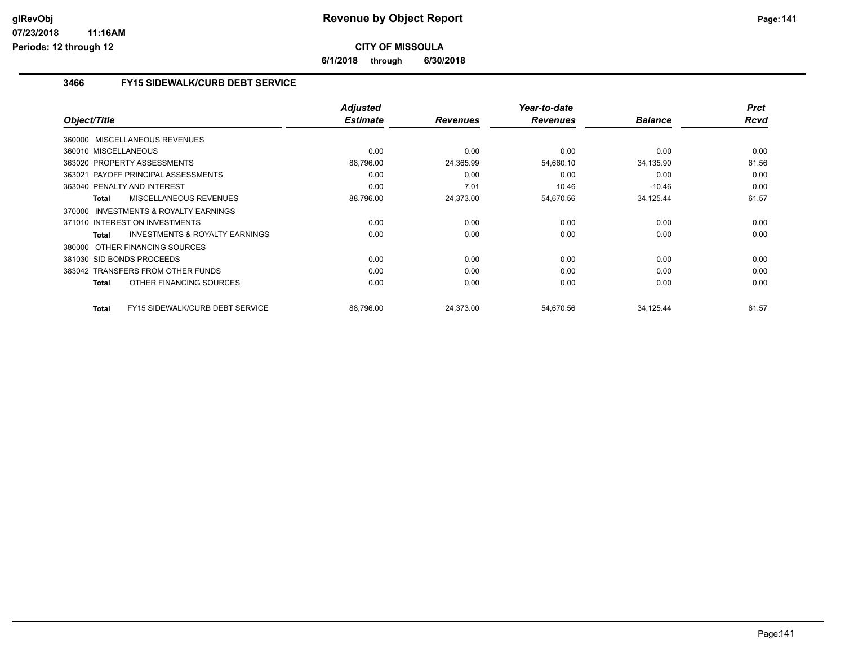**6/1/2018 through 6/30/2018**

# **3466 FY15 SIDEWALK/CURB DEBT SERVICE**

|                                                    | <b>Adjusted</b> |                 | Year-to-date    |                | <b>Prct</b> |
|----------------------------------------------------|-----------------|-----------------|-----------------|----------------|-------------|
| Object/Title                                       | <b>Estimate</b> | <b>Revenues</b> | <b>Revenues</b> | <b>Balance</b> | <b>Rcvd</b> |
| 360000 MISCELLANEOUS REVENUES                      |                 |                 |                 |                |             |
| 360010 MISCELLANEOUS                               | 0.00            | 0.00            | 0.00            | 0.00           | 0.00        |
| 363020 PROPERTY ASSESSMENTS                        | 88,796.00       | 24,365.99       | 54,660.10       | 34,135.90      | 61.56       |
| 363021 PAYOFF PRINCIPAL ASSESSMENTS                | 0.00            | 0.00            | 0.00            | 0.00           | 0.00        |
| 363040 PENALTY AND INTEREST                        | 0.00            | 7.01            | 10.46           | $-10.46$       | 0.00        |
| <b>MISCELLANEOUS REVENUES</b><br>Total             | 88,796.00       | 24,373.00       | 54,670.56       | 34,125.44      | 61.57       |
| 370000 INVESTMENTS & ROYALTY EARNINGS              |                 |                 |                 |                |             |
| 371010 INTEREST ON INVESTMENTS                     | 0.00            | 0.00            | 0.00            | 0.00           | 0.00        |
| <b>INVESTMENTS &amp; ROYALTY EARNINGS</b><br>Total | 0.00            | 0.00            | 0.00            | 0.00           | 0.00        |
| 380000 OTHER FINANCING SOURCES                     |                 |                 |                 |                |             |
| 381030 SID BONDS PROCEEDS                          | 0.00            | 0.00            | 0.00            | 0.00           | 0.00        |
| 383042 TRANSFERS FROM OTHER FUNDS                  | 0.00            | 0.00            | 0.00            | 0.00           | 0.00        |
| OTHER FINANCING SOURCES<br>Total                   | 0.00            | 0.00            | 0.00            | 0.00           | 0.00        |
| FY15 SIDEWALK/CURB DEBT SERVICE<br>Total           | 88.796.00       | 24.373.00       | 54,670.56       | 34,125.44      | 61.57       |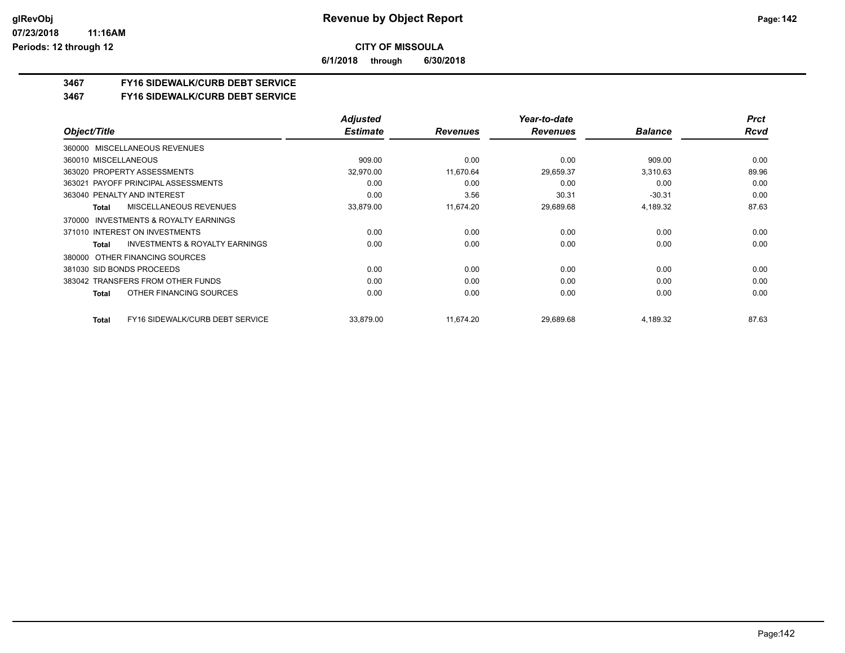**6/1/2018 through 6/30/2018**

# **3467 FY16 SIDEWALK/CURB DEBT SERVICE**

# **3467 FY16 SIDEWALK/CURB DEBT SERVICE**

|                                                     | <b>Adjusted</b> |                 | Year-to-date    |                | <b>Prct</b> |
|-----------------------------------------------------|-----------------|-----------------|-----------------|----------------|-------------|
| Object/Title                                        | <b>Estimate</b> | <b>Revenues</b> | <b>Revenues</b> | <b>Balance</b> | <b>Rcvd</b> |
| 360000 MISCELLANEOUS REVENUES                       |                 |                 |                 |                |             |
| 360010 MISCELLANEOUS                                | 909.00          | 0.00            | 0.00            | 909.00         | 0.00        |
| 363020 PROPERTY ASSESSMENTS                         | 32,970.00       | 11,670.64       | 29,659.37       | 3,310.63       | 89.96       |
| 363021 PAYOFF PRINCIPAL ASSESSMENTS                 | 0.00            | 0.00            | 0.00            | 0.00           | 0.00        |
| 363040 PENALTY AND INTEREST                         | 0.00            | 3.56            | 30.31           | $-30.31$       | 0.00        |
| <b>MISCELLANEOUS REVENUES</b><br><b>Total</b>       | 33,879.00       | 11,674.20       | 29,689.68       | 4,189.32       | 87.63       |
| <b>INVESTMENTS &amp; ROYALTY EARNINGS</b><br>370000 |                 |                 |                 |                |             |
| 371010 INTEREST ON INVESTMENTS                      | 0.00            | 0.00            | 0.00            | 0.00           | 0.00        |
| <b>INVESTMENTS &amp; ROYALTY EARNINGS</b><br>Total  | 0.00            | 0.00            | 0.00            | 0.00           | 0.00        |
| OTHER FINANCING SOURCES<br>380000                   |                 |                 |                 |                |             |
| 381030 SID BONDS PROCEEDS                           | 0.00            | 0.00            | 0.00            | 0.00           | 0.00        |
| 383042 TRANSFERS FROM OTHER FUNDS                   | 0.00            | 0.00            | 0.00            | 0.00           | 0.00        |
| OTHER FINANCING SOURCES<br>Total                    | 0.00            | 0.00            | 0.00            | 0.00           | 0.00        |
| FY16 SIDEWALK/CURB DEBT SERVICE<br>Total            | 33,879.00       | 11,674.20       | 29,689.68       | 4,189.32       | 87.63       |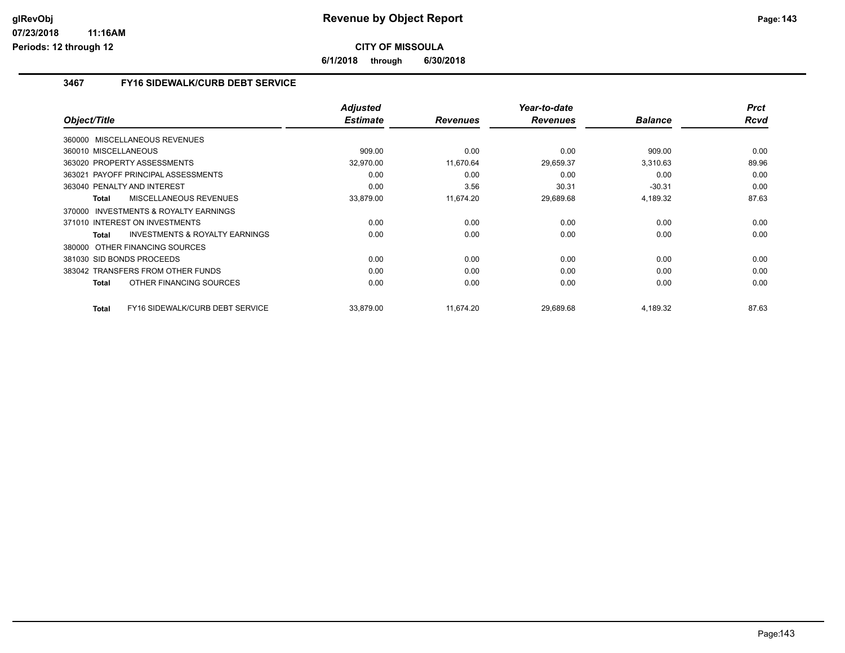**6/1/2018 through 6/30/2018**

# **3467 FY16 SIDEWALK/CURB DEBT SERVICE**

|                                                     | <b>Adjusted</b> |                 | Year-to-date    |                | <b>Prct</b> |
|-----------------------------------------------------|-----------------|-----------------|-----------------|----------------|-------------|
| Object/Title                                        | <b>Estimate</b> | <b>Revenues</b> | <b>Revenues</b> | <b>Balance</b> | <b>Rcvd</b> |
| 360000 MISCELLANEOUS REVENUES                       |                 |                 |                 |                |             |
| 360010 MISCELLANEOUS                                | 909.00          | 0.00            | 0.00            | 909.00         | 0.00        |
| 363020 PROPERTY ASSESSMENTS                         | 32,970.00       | 11,670.64       | 29,659.37       | 3,310.63       | 89.96       |
| 363021 PAYOFF PRINCIPAL ASSESSMENTS                 | 0.00            | 0.00            | 0.00            | 0.00           | 0.00        |
| 363040 PENALTY AND INTEREST                         | 0.00            | 3.56            | 30.31           | $-30.31$       | 0.00        |
| <b>MISCELLANEOUS REVENUES</b><br>Total              | 33,879.00       | 11,674.20       | 29,689.68       | 4,189.32       | 87.63       |
| <b>INVESTMENTS &amp; ROYALTY EARNINGS</b><br>370000 |                 |                 |                 |                |             |
| 371010 INTEREST ON INVESTMENTS                      | 0.00            | 0.00            | 0.00            | 0.00           | 0.00        |
| <b>INVESTMENTS &amp; ROYALTY EARNINGS</b><br>Total  | 0.00            | 0.00            | 0.00            | 0.00           | 0.00        |
| 380000 OTHER FINANCING SOURCES                      |                 |                 |                 |                |             |
| 381030 SID BONDS PROCEEDS                           | 0.00            | 0.00            | 0.00            | 0.00           | 0.00        |
| 383042 TRANSFERS FROM OTHER FUNDS                   | 0.00            | 0.00            | 0.00            | 0.00           | 0.00        |
| OTHER FINANCING SOURCES<br>Total                    | 0.00            | 0.00            | 0.00            | 0.00           | 0.00        |
| FY16 SIDEWALK/CURB DEBT SERVICE<br>Total            | 33,879.00       | 11,674.20       | 29,689.68       | 4,189.32       | 87.63       |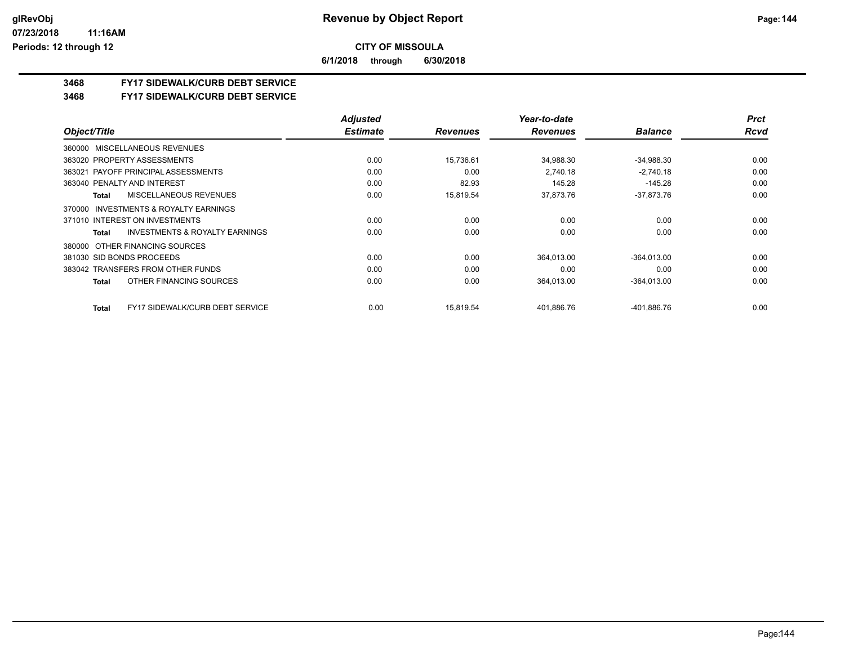**6/1/2018 through 6/30/2018**

# **3468 FY17 SIDEWALK/CURB DEBT SERVICE**

# **3468 FY17 SIDEWALK/CURB DEBT SERVICE**

|                                                        | <b>Adjusted</b> |                 | Year-to-date    |                | <b>Prct</b> |
|--------------------------------------------------------|-----------------|-----------------|-----------------|----------------|-------------|
| Object/Title                                           | <b>Estimate</b> | <b>Revenues</b> | <b>Revenues</b> | <b>Balance</b> | <b>Rcvd</b> |
| MISCELLANEOUS REVENUES<br>360000                       |                 |                 |                 |                |             |
| 363020 PROPERTY ASSESSMENTS                            | 0.00            | 15,736.61       | 34,988.30       | $-34,988.30$   | 0.00        |
| 363021 PAYOFF PRINCIPAL ASSESSMENTS                    | 0.00            | 0.00            | 2.740.18        | $-2,740.18$    | 0.00        |
| 363040 PENALTY AND INTEREST                            | 0.00            | 82.93           | 145.28          | $-145.28$      | 0.00        |
| MISCELLANEOUS REVENUES<br><b>Total</b>                 | 0.00            | 15,819.54       | 37,873.76       | $-37,873.76$   | 0.00        |
| INVESTMENTS & ROYALTY EARNINGS<br>370000               |                 |                 |                 |                |             |
| 371010 INTEREST ON INVESTMENTS                         | 0.00            | 0.00            | 0.00            | 0.00           | 0.00        |
| <b>INVESTMENTS &amp; ROYALTY EARNINGS</b><br>Total     | 0.00            | 0.00            | 0.00            | 0.00           | 0.00        |
| OTHER FINANCING SOURCES<br>380000                      |                 |                 |                 |                |             |
| 381030 SID BONDS PROCEEDS                              | 0.00            | 0.00            | 364,013.00      | -364.013.00    | 0.00        |
| 383042 TRANSFERS FROM OTHER FUNDS                      | 0.00            | 0.00            | 0.00            | 0.00           | 0.00        |
| OTHER FINANCING SOURCES<br><b>Total</b>                | 0.00            | 0.00            | 364,013.00      | $-364,013.00$  | 0.00        |
| <b>FY17 SIDEWALK/CURB DEBT SERVICE</b><br><b>Total</b> | 0.00            | 15.819.54       | 401.886.76      | -401,886.76    | 0.00        |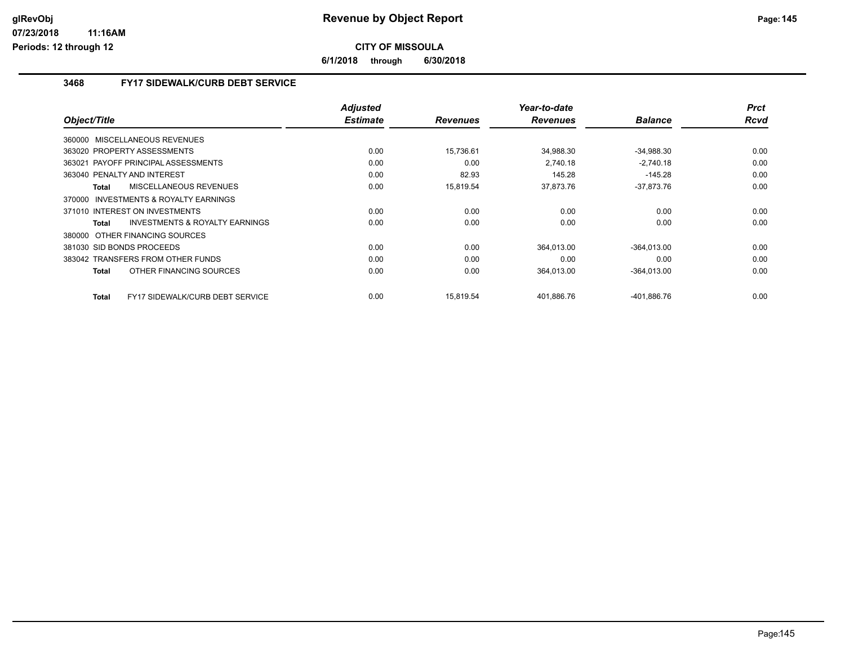**6/1/2018 through 6/30/2018**

### **3468 FY17 SIDEWALK/CURB DEBT SERVICE**

| Object/Title                                       | <b>Adjusted</b><br><b>Estimate</b> | <b>Revenues</b> | Year-to-date<br><b>Revenues</b> | <b>Balance</b> | <b>Prct</b><br>Rcvd |
|----------------------------------------------------|------------------------------------|-----------------|---------------------------------|----------------|---------------------|
|                                                    |                                    |                 |                                 |                |                     |
| 360000 MISCELLANEOUS REVENUES                      |                                    |                 |                                 |                |                     |
| 363020 PROPERTY ASSESSMENTS                        | 0.00                               | 15,736.61       | 34,988.30                       | $-34,988.30$   | 0.00                |
| 363021 PAYOFF PRINCIPAL ASSESSMENTS                | 0.00                               | 0.00            | 2,740.18                        | $-2,740.18$    | 0.00                |
| 363040 PENALTY AND INTEREST                        | 0.00                               | 82.93           | 145.28                          | $-145.28$      | 0.00                |
| <b>MISCELLANEOUS REVENUES</b><br>Total             | 0.00                               | 15.819.54       | 37.873.76                       | $-37,873.76$   | 0.00                |
| 370000 INVESTMENTS & ROYALTY EARNINGS              |                                    |                 |                                 |                |                     |
| 371010 INTEREST ON INVESTMENTS                     | 0.00                               | 0.00            | 0.00                            | 0.00           | 0.00                |
| <b>INVESTMENTS &amp; ROYALTY EARNINGS</b><br>Total | 0.00                               | 0.00            | 0.00                            | 0.00           | 0.00                |
| 380000 OTHER FINANCING SOURCES                     |                                    |                 |                                 |                |                     |
| 381030 SID BONDS PROCEEDS                          | 0.00                               | 0.00            | 364,013.00                      | $-364.013.00$  | 0.00                |
| 383042 TRANSFERS FROM OTHER FUNDS                  | 0.00                               | 0.00            | 0.00                            | 0.00           | 0.00                |
| OTHER FINANCING SOURCES<br>Total                   | 0.00                               | 0.00            | 364,013.00                      | $-364,013.00$  | 0.00                |
|                                                    |                                    |                 |                                 |                |                     |
| FY17 SIDEWALK/CURB DEBT SERVICE<br>Total           | 0.00                               | 15.819.54       | 401,886.76                      | -401,886.76    | 0.00                |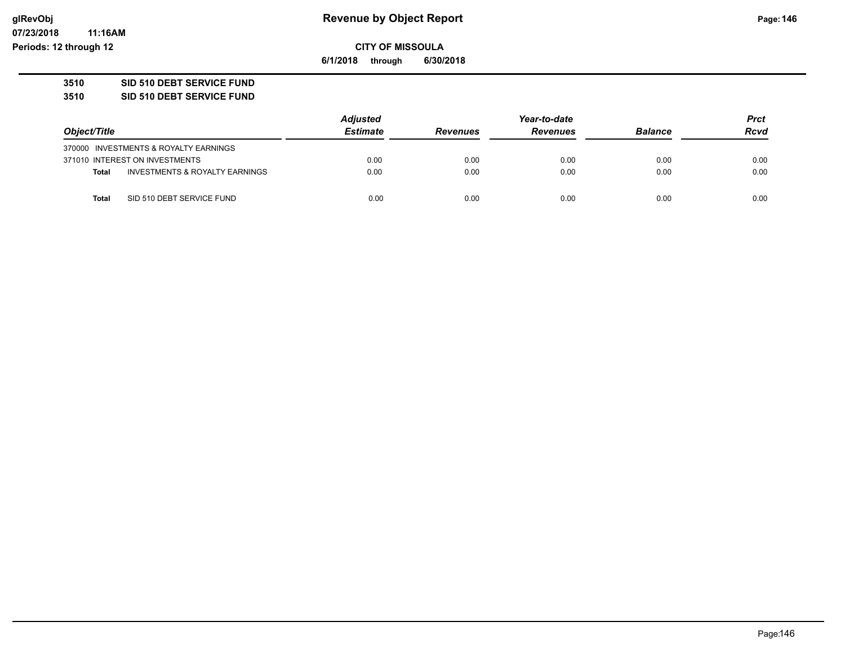**07/23/2018 11:16AM Periods: 12 through 12**

**CITY OF MISSOULA**

**6/1/2018 through 6/30/2018**

## **3510 SID 510 DEBT SERVICE FUND**

**3510 SID 510 DEBT SERVICE FUND**

|              |                                       | <b>Adjusted</b> |                 | Year-to-date    |                | Prct |
|--------------|---------------------------------------|-----------------|-----------------|-----------------|----------------|------|
| Object/Title |                                       | <b>Estimate</b> | <b>Revenues</b> | <b>Revenues</b> | <b>Balance</b> | Rcvd |
|              | 370000 INVESTMENTS & ROYALTY EARNINGS |                 |                 |                 |                |      |
|              | 371010 INTEREST ON INVESTMENTS        | 0.00            | 0.00            | 0.00            | 0.00           | 0.00 |
| Total        | INVESTMENTS & ROYALTY EARNINGS        | 0.00            | 0.00            | 0.00            | 0.00           | 0.00 |
| Total        | SID 510 DEBT SERVICE FUND             | 0.00            | 0.00            | 0.00            | 0.00           | 0.00 |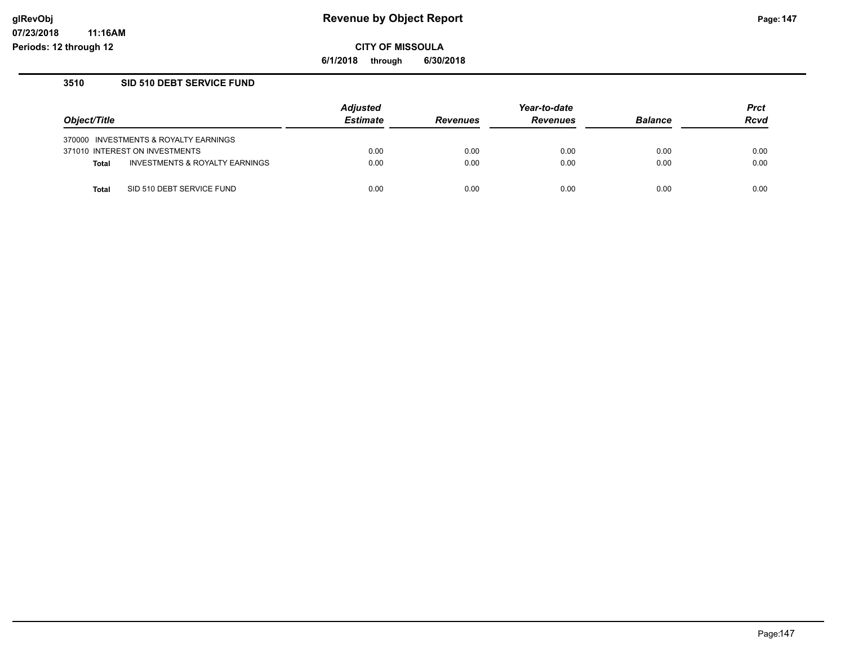**6/1/2018 through 6/30/2018**

### **3510 SID 510 DEBT SERVICE FUND**

|              |                                           | <b>Adjusted</b> |                 | Year-to-date    |                | <b>Prct</b> |
|--------------|-------------------------------------------|-----------------|-----------------|-----------------|----------------|-------------|
| Object/Title |                                           | <b>Estimate</b> | <b>Revenues</b> | <b>Revenues</b> | <b>Balance</b> | Rcvd        |
|              | 370000 INVESTMENTS & ROYALTY EARNINGS     |                 |                 |                 |                |             |
|              | 371010 INTEREST ON INVESTMENTS            | 0.00            | 0.00            | 0.00            | 0.00           | 0.00        |
| <b>Total</b> | <b>INVESTMENTS &amp; ROYALTY EARNINGS</b> | 0.00            | 0.00            | 0.00            | 0.00           | 0.00        |
| <b>Total</b> | SID 510 DEBT SERVICE FUND                 | 0.00            | 0.00            | 0.00            | 0.00           | 0.00        |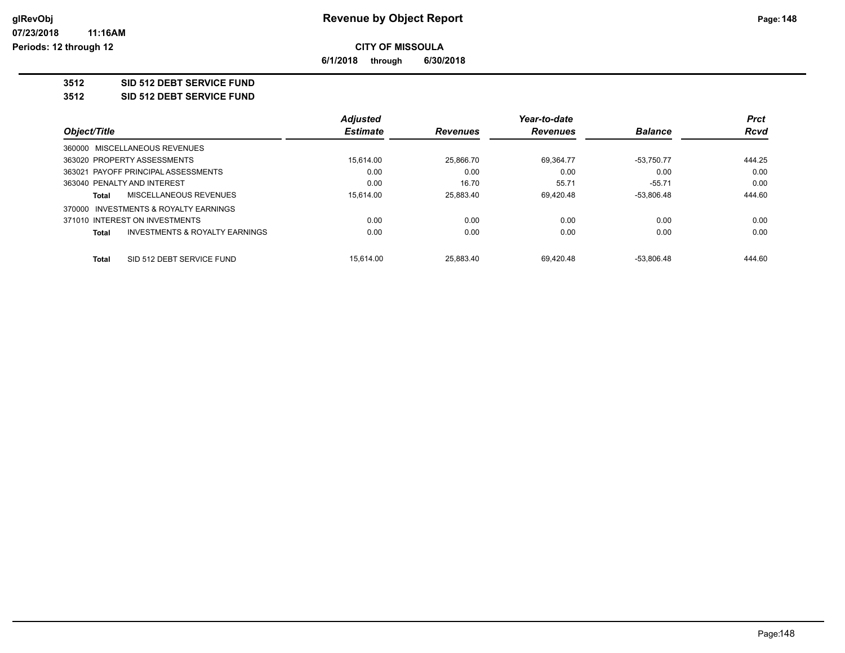**6/1/2018 through 6/30/2018**

**3512 SID 512 DEBT SERVICE FUND**

**3512 SID 512 DEBT SERVICE FUND**

|                                                    | <b>Adjusted</b> |                 | Year-to-date    |                | <b>Prct</b> |
|----------------------------------------------------|-----------------|-----------------|-----------------|----------------|-------------|
| Object/Title                                       | <b>Estimate</b> | <b>Revenues</b> | <b>Revenues</b> | <b>Balance</b> | Rcvd        |
| 360000 MISCELLANEOUS REVENUES                      |                 |                 |                 |                |             |
| 363020 PROPERTY ASSESSMENTS                        | 15.614.00       | 25,866.70       | 69.364.77       | $-53.750.77$   | 444.25      |
| 363021 PAYOFF PRINCIPAL ASSESSMENTS                | 0.00            | 0.00            | 0.00            | 0.00           | 0.00        |
| 363040 PENALTY AND INTEREST                        | 0.00            | 16.70           | 55.71           | $-55.71$       | 0.00        |
| MISCELLANEOUS REVENUES<br>Total                    | 15.614.00       | 25.883.40       | 69.420.48       | $-53.806.48$   | 444.60      |
| 370000 INVESTMENTS & ROYALTY EARNINGS              |                 |                 |                 |                |             |
| 371010 INTEREST ON INVESTMENTS                     | 0.00            | 0.00            | 0.00            | 0.00           | 0.00        |
| <b>INVESTMENTS &amp; ROYALTY EARNINGS</b><br>Total | 0.00            | 0.00            | 0.00            | 0.00           | 0.00        |
|                                                    |                 |                 |                 |                |             |
| SID 512 DEBT SERVICE FUND<br>Total                 | 15.614.00       | 25.883.40       | 69.420.48       | $-53.806.48$   | 444.60      |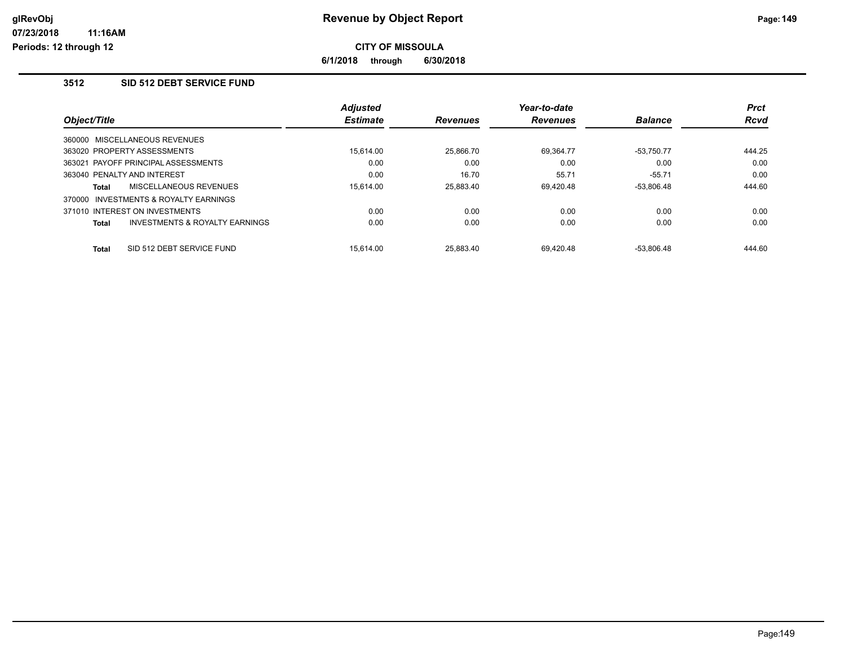**6/1/2018 through 6/30/2018**

### **3512 SID 512 DEBT SERVICE FUND**

|                             |                                           | <b>Adjusted</b> |                 | Year-to-date    |                | <b>Prct</b> |
|-----------------------------|-------------------------------------------|-----------------|-----------------|-----------------|----------------|-------------|
| Object/Title                |                                           | <b>Estimate</b> | <b>Revenues</b> | <b>Revenues</b> | <b>Balance</b> | <b>Rcvd</b> |
|                             | 360000 MISCELLANEOUS REVENUES             |                 |                 |                 |                |             |
|                             | 363020 PROPERTY ASSESSMENTS               | 15.614.00       | 25,866.70       | 69.364.77       | $-53.750.77$   | 444.25      |
|                             | 363021 PAYOFF PRINCIPAL ASSESSMENTS       | 0.00            | 0.00            | 0.00            | 0.00           | 0.00        |
| 363040 PENALTY AND INTEREST |                                           | 0.00            | 16.70           | 55.71           | $-55.71$       | 0.00        |
| Total                       | MISCELLANEOUS REVENUES                    | 15.614.00       | 25.883.40       | 69.420.48       | $-53.806.48$   | 444.60      |
| 370000                      | INVESTMENTS & ROYALTY EARNINGS            |                 |                 |                 |                |             |
|                             | 371010 INTEREST ON INVESTMENTS            | 0.00            | 0.00            | 0.00            | 0.00           | 0.00        |
| Total                       | <b>INVESTMENTS &amp; ROYALTY EARNINGS</b> | 0.00            | 0.00            | 0.00            | 0.00           | 0.00        |
| <b>Total</b>                | SID 512 DEBT SERVICE FUND                 | 15.614.00       | 25.883.40       | 69.420.48       | $-53.806.48$   | 444.60      |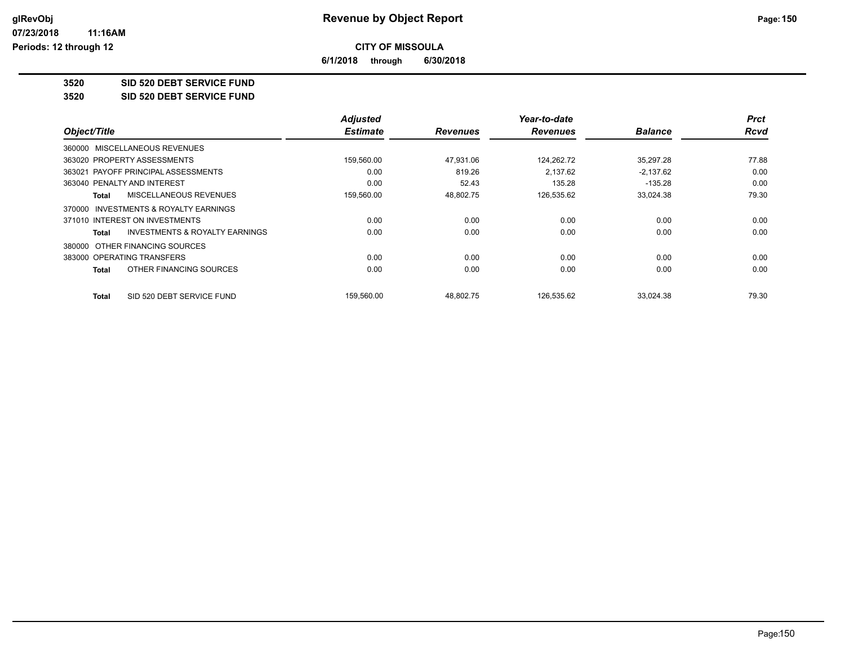**6/1/2018 through 6/30/2018**

**3520 SID 520 DEBT SERVICE FUND**

**3520 SID 520 DEBT SERVICE FUND**

|                                          | <b>Adjusted</b> |                 | Year-to-date    |                | <b>Prct</b> |
|------------------------------------------|-----------------|-----------------|-----------------|----------------|-------------|
| Object/Title                             | <b>Estimate</b> | <b>Revenues</b> | <b>Revenues</b> | <b>Balance</b> | Rcvd        |
| 360000 MISCELLANEOUS REVENUES            |                 |                 |                 |                |             |
| 363020 PROPERTY ASSESSMENTS              | 159,560.00      | 47,931.06       | 124.262.72      | 35,297.28      | 77.88       |
| 363021 PAYOFF PRINCIPAL ASSESSMENTS      | 0.00            | 819.26          | 2,137.62        | $-2,137.62$    | 0.00        |
| 363040 PENALTY AND INTEREST              | 0.00            | 52.43           | 135.28          | $-135.28$      | 0.00        |
| MISCELLANEOUS REVENUES<br>Total          | 159,560.00      | 48,802.75       | 126,535.62      | 33,024.38      | 79.30       |
| INVESTMENTS & ROYALTY EARNINGS<br>370000 |                 |                 |                 |                |             |
| 371010 INTEREST ON INVESTMENTS           | 0.00            | 0.00            | 0.00            | 0.00           | 0.00        |
| INVESTMENTS & ROYALTY EARNINGS<br>Total  | 0.00            | 0.00            | 0.00            | 0.00           | 0.00        |
| 380000 OTHER FINANCING SOURCES           |                 |                 |                 |                |             |
| 383000 OPERATING TRANSFERS               | 0.00            | 0.00            | 0.00            | 0.00           | 0.00        |
| OTHER FINANCING SOURCES<br>Total         | 0.00            | 0.00            | 0.00            | 0.00           | 0.00        |
| SID 520 DEBT SERVICE FUND<br>Total       | 159.560.00      | 48,802.75       | 126.535.62      | 33,024.38      | 79.30       |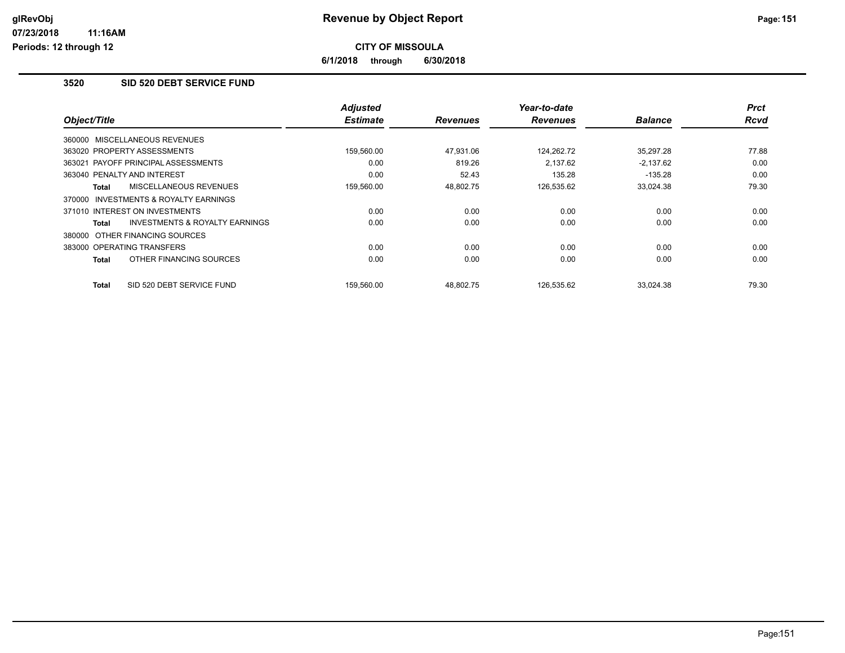**6/1/2018 through 6/30/2018**

### **3520 SID 520 DEBT SERVICE FUND**

| Object/Title                                       | <b>Adjusted</b><br><b>Estimate</b> | <b>Revenues</b> | Year-to-date<br><b>Revenues</b> | <b>Balance</b> | <b>Prct</b><br>Rcvd |
|----------------------------------------------------|------------------------------------|-----------------|---------------------------------|----------------|---------------------|
|                                                    |                                    |                 |                                 |                |                     |
| 360000 MISCELLANEOUS REVENUES                      |                                    |                 |                                 |                |                     |
| 363020 PROPERTY ASSESSMENTS                        | 159,560.00                         | 47.931.06       | 124.262.72                      | 35.297.28      | 77.88               |
| 363021 PAYOFF PRINCIPAL ASSESSMENTS                | 0.00                               | 819.26          | 2.137.62                        | $-2,137.62$    | 0.00                |
| 363040 PENALTY AND INTEREST                        | 0.00                               | 52.43           | 135.28                          | $-135.28$      | 0.00                |
| MISCELLANEOUS REVENUES<br><b>Total</b>             | 159,560.00                         | 48,802.75       | 126,535.62                      | 33,024.38      | 79.30               |
| 370000 INVESTMENTS & ROYALTY EARNINGS              |                                    |                 |                                 |                |                     |
| 371010 INTEREST ON INVESTMENTS                     | 0.00                               | 0.00            | 0.00                            | 0.00           | 0.00                |
| <b>INVESTMENTS &amp; ROYALTY EARNINGS</b><br>Total | 0.00                               | 0.00            | 0.00                            | 0.00           | 0.00                |
| 380000 OTHER FINANCING SOURCES                     |                                    |                 |                                 |                |                     |
| 383000 OPERATING TRANSFERS                         | 0.00                               | 0.00            | 0.00                            | 0.00           | 0.00                |
| OTHER FINANCING SOURCES<br><b>Total</b>            | 0.00                               | 0.00            | 0.00                            | 0.00           | 0.00                |
|                                                    |                                    |                 |                                 |                |                     |
| SID 520 DEBT SERVICE FUND<br><b>Total</b>          | 159,560.00                         | 48,802.75       | 126,535.62                      | 33,024.38      | 79.30               |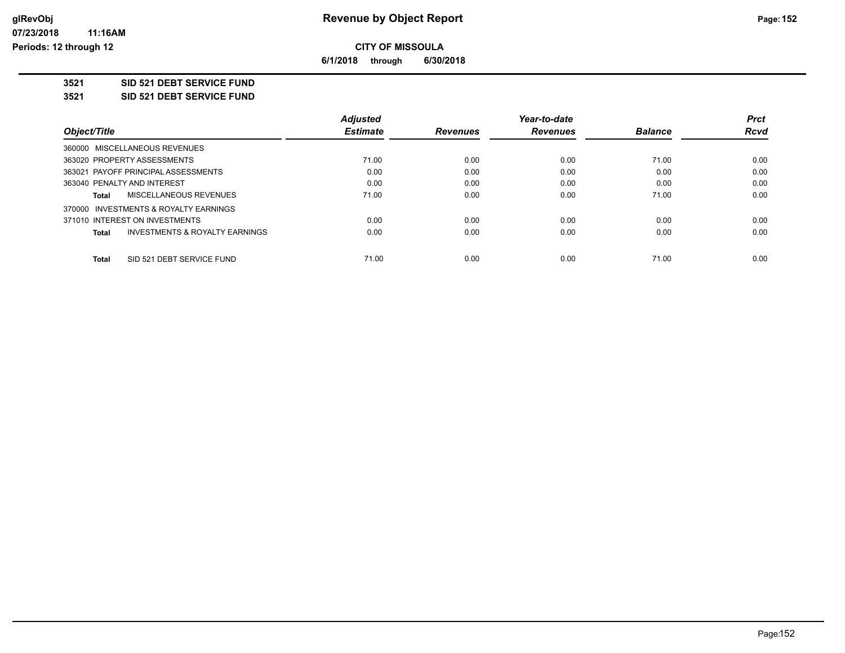**6/1/2018 through 6/30/2018**

**3521 SID 521 DEBT SERVICE FUND**

**3521 SID 521 DEBT SERVICE FUND**

|                                                    | <b>Adjusted</b> |                 | Year-to-date    |                | <b>Prct</b> |
|----------------------------------------------------|-----------------|-----------------|-----------------|----------------|-------------|
| Object/Title                                       | <b>Estimate</b> | <b>Revenues</b> | <b>Revenues</b> | <b>Balance</b> | <b>Rcvd</b> |
| 360000 MISCELLANEOUS REVENUES                      |                 |                 |                 |                |             |
| 363020 PROPERTY ASSESSMENTS                        | 71.00           | 0.00            | 0.00            | 71.00          | 0.00        |
| 363021 PAYOFF PRINCIPAL ASSESSMENTS                | 0.00            | 0.00            | 0.00            | 0.00           | 0.00        |
| 363040 PENALTY AND INTEREST                        | 0.00            | 0.00            | 0.00            | 0.00           | 0.00        |
| MISCELLANEOUS REVENUES<br>Total                    | 71.00           | 0.00            | 0.00            | 71.00          | 0.00        |
| 370000 INVESTMENTS & ROYALTY EARNINGS              |                 |                 |                 |                |             |
| 371010 INTEREST ON INVESTMENTS                     | 0.00            | 0.00            | 0.00            | 0.00           | 0.00        |
| <b>INVESTMENTS &amp; ROYALTY EARNINGS</b><br>Total | 0.00            | 0.00            | 0.00            | 0.00           | 0.00        |
| SID 521 DEBT SERVICE FUND<br>Total                 | 71.00           | 0.00            | 0.00            | 71.00          | 0.00        |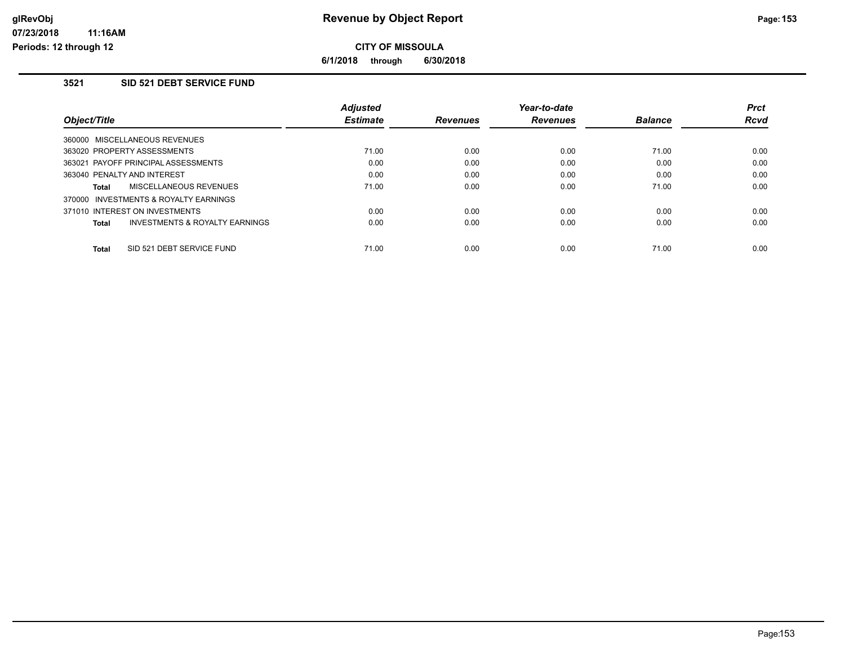**6/1/2018 through 6/30/2018**

### **3521 SID 521 DEBT SERVICE FUND**

|              |                                           | <b>Adjusted</b> |                 | Year-to-date    |                | <b>Prct</b> |
|--------------|-------------------------------------------|-----------------|-----------------|-----------------|----------------|-------------|
| Object/Title |                                           | <b>Estimate</b> | <b>Revenues</b> | <b>Revenues</b> | <b>Balance</b> | <b>Rcvd</b> |
| 360000       | MISCELLANEOUS REVENUES                    |                 |                 |                 |                |             |
|              | 363020 PROPERTY ASSESSMENTS               | 71.00           | 0.00            | 0.00            | 71.00          | 0.00        |
|              | 363021 PAYOFF PRINCIPAL ASSESSMENTS       | 0.00            | 0.00            | 0.00            | 0.00           | 0.00        |
|              | 363040 PENALTY AND INTEREST               | 0.00            | 0.00            | 0.00            | 0.00           | 0.00        |
| Total        | <b>MISCELLANEOUS REVENUES</b>             | 71.00           | 0.00            | 0.00            | 71.00          | 0.00        |
| 370000       | <b>INVESTMENTS &amp; ROYALTY EARNINGS</b> |                 |                 |                 |                |             |
|              | 371010 INTEREST ON INVESTMENTS            | 0.00            | 0.00            | 0.00            | 0.00           | 0.00        |
| Total        | INVESTMENTS & ROYALTY EARNINGS            | 0.00            | 0.00            | 0.00            | 0.00           | 0.00        |
| Total        | SID 521 DEBT SERVICE FUND                 | 71.00           | 0.00            | 0.00            | 71.00          | 0.00        |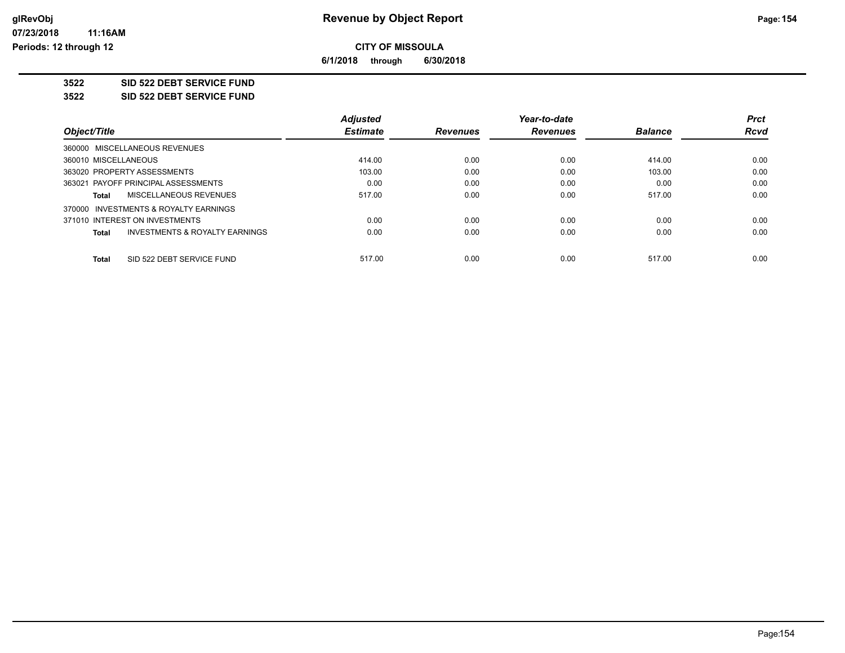**6/1/2018 through 6/30/2018**

**3522 SID 522 DEBT SERVICE FUND**

**3522 SID 522 DEBT SERVICE FUND**

|                                                    | <b>Adjusted</b> |                 | Year-to-date    |                | <b>Prct</b> |
|----------------------------------------------------|-----------------|-----------------|-----------------|----------------|-------------|
| Object/Title                                       | <b>Estimate</b> | <b>Revenues</b> | <b>Revenues</b> | <b>Balance</b> | Rcvd        |
| 360000 MISCELLANEOUS REVENUES                      |                 |                 |                 |                |             |
| 360010 MISCELLANEOUS                               | 414.00          | 0.00            | 0.00            | 414.00         | 0.00        |
| 363020 PROPERTY ASSESSMENTS                        | 103.00          | 0.00            | 0.00            | 103.00         | 0.00        |
| 363021 PAYOFF PRINCIPAL ASSESSMENTS                | 0.00            | 0.00            | 0.00            | 0.00           | 0.00        |
| <b>MISCELLANEOUS REVENUES</b><br>Total             | 517.00          | 0.00            | 0.00            | 517.00         | 0.00        |
| 370000 INVESTMENTS & ROYALTY EARNINGS              |                 |                 |                 |                |             |
| 371010 INTEREST ON INVESTMENTS                     | 0.00            | 0.00            | 0.00            | 0.00           | 0.00        |
| <b>INVESTMENTS &amp; ROYALTY EARNINGS</b><br>Total | 0.00            | 0.00            | 0.00            | 0.00           | 0.00        |
| SID 522 DEBT SERVICE FUND<br>Total                 | 517.00          | 0.00            | 0.00            | 517.00         | 0.00        |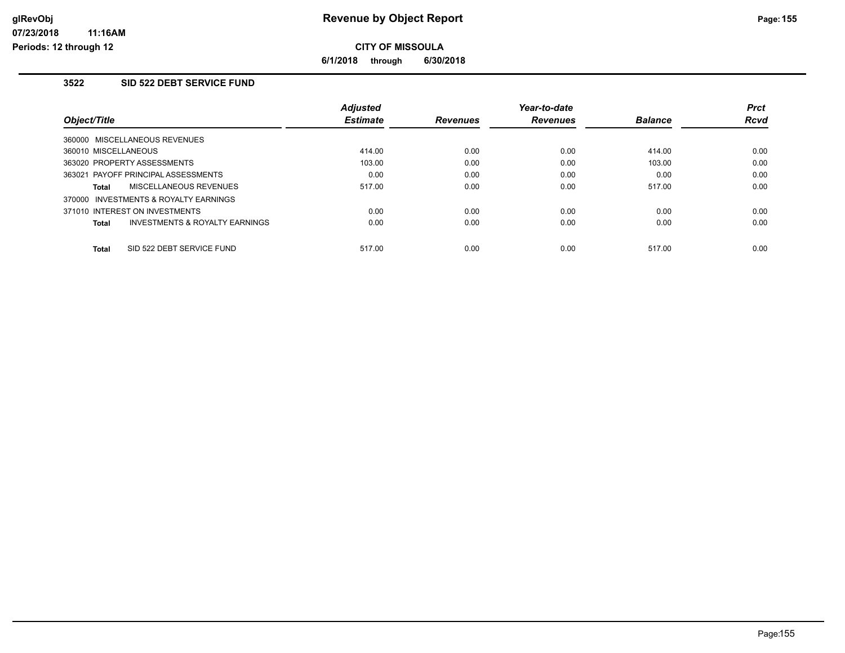**6/1/2018 through 6/30/2018**

### **3522 SID 522 DEBT SERVICE FUND**

|                                                    | <b>Adjusted</b> |                 | Year-to-date    |                | <b>Prct</b> |
|----------------------------------------------------|-----------------|-----------------|-----------------|----------------|-------------|
| Object/Title                                       | <b>Estimate</b> | <b>Revenues</b> | <b>Revenues</b> | <b>Balance</b> | Rcvd        |
| 360000 MISCELLANEOUS REVENUES                      |                 |                 |                 |                |             |
| 360010 MISCELLANEOUS                               | 414.00          | 0.00            | 0.00            | 414.00         | 0.00        |
| 363020 PROPERTY ASSESSMENTS                        | 103.00          | 0.00            | 0.00            | 103.00         | 0.00        |
| 363021 PAYOFF PRINCIPAL ASSESSMENTS                | 0.00            | 0.00            | 0.00            | 0.00           | 0.00        |
| MISCELLANEOUS REVENUES<br>Total                    | 517.00          | 0.00            | 0.00            | 517.00         | 0.00        |
| 370000 INVESTMENTS & ROYALTY EARNINGS              |                 |                 |                 |                |             |
| 371010 INTEREST ON INVESTMENTS                     | 0.00            | 0.00            | 0.00            | 0.00           | 0.00        |
| <b>INVESTMENTS &amp; ROYALTY EARNINGS</b><br>Total | 0.00            | 0.00            | 0.00            | 0.00           | 0.00        |
| SID 522 DEBT SERVICE FUND<br>Total                 | 517.00          | 0.00            | 0.00            | 517.00         | 0.00        |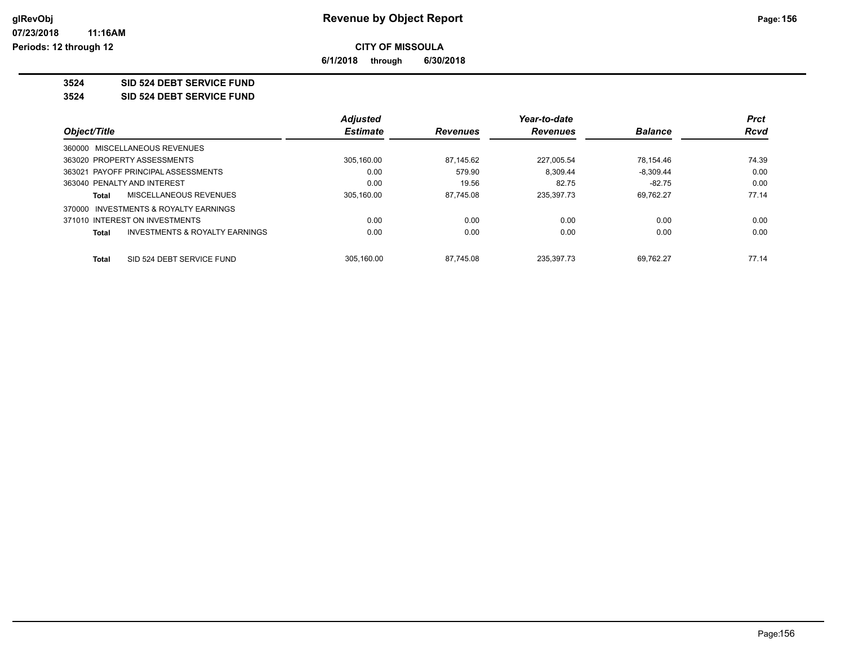**6/1/2018 through 6/30/2018**

**3524 SID 524 DEBT SERVICE FUND**

**3524 SID 524 DEBT SERVICE FUND**

|                                |                                           | <b>Adjusted</b> |                 | Year-to-date    |                | <b>Prct</b> |
|--------------------------------|-------------------------------------------|-----------------|-----------------|-----------------|----------------|-------------|
| Object/Title                   |                                           | <b>Estimate</b> | <b>Revenues</b> | <b>Revenues</b> | <b>Balance</b> | <b>Rcvd</b> |
|                                | 360000 MISCELLANEOUS REVENUES             |                 |                 |                 |                |             |
| 363020 PROPERTY ASSESSMENTS    |                                           | 305,160.00      | 87.145.62       | 227,005.54      | 78.154.46      | 74.39       |
|                                | 363021 PAYOFF PRINCIPAL ASSESSMENTS       | 0.00            | 579.90          | 8.309.44        | $-8.309.44$    | 0.00        |
| 363040 PENALTY AND INTEREST    |                                           | 0.00            | 19.56           | 82.75           | $-82.75$       | 0.00        |
| Total                          | MISCELLANEOUS REVENUES                    | 305,160.00      | 87.745.08       | 235.397.73      | 69.762.27      | 77.14       |
|                                | 370000 INVESTMENTS & ROYALTY EARNINGS     |                 |                 |                 |                |             |
| 371010 INTEREST ON INVESTMENTS |                                           | 0.00            | 0.00            | 0.00            | 0.00           | 0.00        |
| Total                          | <b>INVESTMENTS &amp; ROYALTY EARNINGS</b> | 0.00            | 0.00            | 0.00            | 0.00           | 0.00        |
| Total                          | SID 524 DEBT SERVICE FUND                 | 305.160.00      | 87.745.08       | 235.397.73      | 69.762.27      | 77.14       |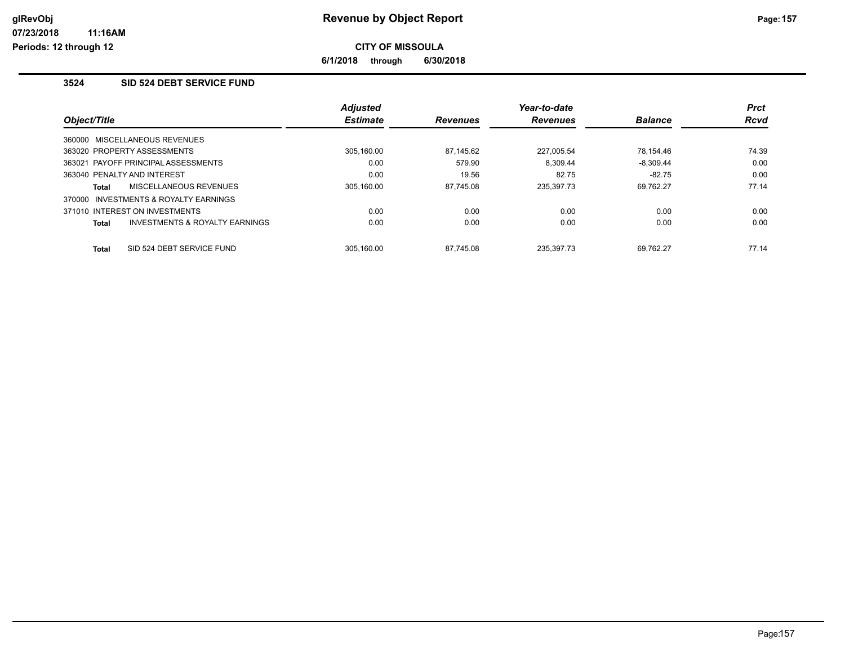**6/1/2018 through 6/30/2018**

### **3524 SID 524 DEBT SERVICE FUND**

|              |                                       | <b>Adjusted</b> |                 | Year-to-date    |                | <b>Prct</b> |
|--------------|---------------------------------------|-----------------|-----------------|-----------------|----------------|-------------|
| Object/Title |                                       | <b>Estimate</b> | <b>Revenues</b> | <b>Revenues</b> | <b>Balance</b> | Rcvd        |
|              | 360000 MISCELLANEOUS REVENUES         |                 |                 |                 |                |             |
|              | 363020 PROPERTY ASSESSMENTS           | 305.160.00      | 87.145.62       | 227.005.54      | 78.154.46      | 74.39       |
|              | 363021 PAYOFF PRINCIPAL ASSESSMENTS   | 0.00            | 579.90          | 8.309.44        | $-8.309.44$    | 0.00        |
|              | 363040 PENALTY AND INTEREST           | 0.00            | 19.56           | 82.75           | $-82.75$       | 0.00        |
| Total        | <b>MISCELLANEOUS REVENUES</b>         | 305.160.00      | 87.745.08       | 235.397.73      | 69.762.27      | 77.14       |
|              | 370000 INVESTMENTS & ROYALTY EARNINGS |                 |                 |                 |                |             |
|              | 371010 INTEREST ON INVESTMENTS        | 0.00            | 0.00            | 0.00            | 0.00           | 0.00        |
| Total        | INVESTMENTS & ROYALTY EARNINGS        | 0.00            | 0.00            | 0.00            | 0.00           | 0.00        |
| <b>Total</b> | SID 524 DEBT SERVICE FUND             | 305.160.00      | 87.745.08       | 235.397.73      | 69.762.27      | 77.14       |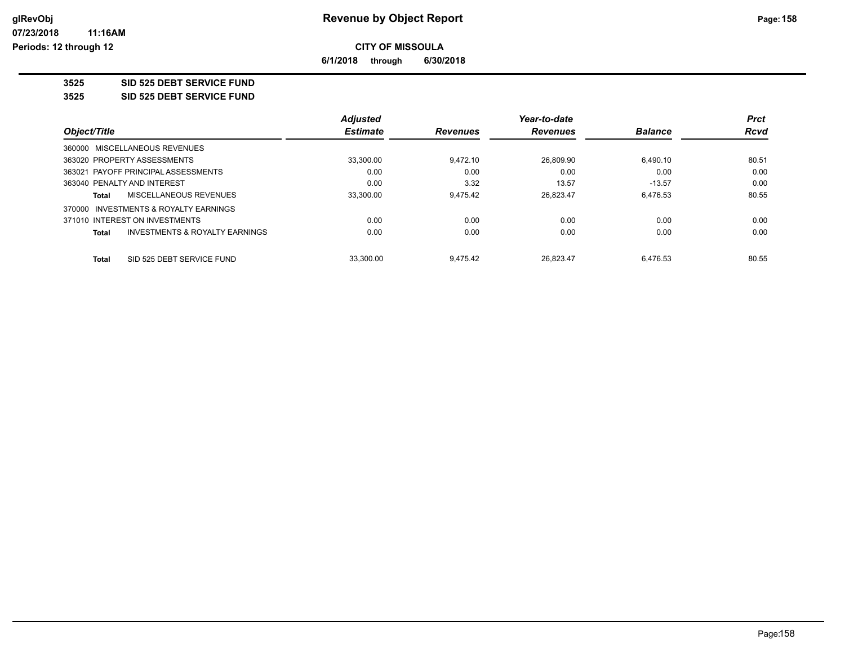**6/1/2018 through 6/30/2018**

**3525 SID 525 DEBT SERVICE FUND**

**3525 SID 525 DEBT SERVICE FUND**

|                             |                                           | <b>Adjusted</b> |                 | Year-to-date    |                | <b>Prct</b> |
|-----------------------------|-------------------------------------------|-----------------|-----------------|-----------------|----------------|-------------|
| Object/Title                |                                           | <b>Estimate</b> | <b>Revenues</b> | <b>Revenues</b> | <b>Balance</b> | Rcvd        |
|                             | 360000 MISCELLANEOUS REVENUES             |                 |                 |                 |                |             |
|                             | 363020 PROPERTY ASSESSMENTS               | 33.300.00       | 9.472.10        | 26.809.90       | 6.490.10       | 80.51       |
|                             | 363021 PAYOFF PRINCIPAL ASSESSMENTS       | 0.00            | 0.00            | 0.00            | 0.00           | 0.00        |
| 363040 PENALTY AND INTEREST |                                           | 0.00            | 3.32            | 13.57           | $-13.57$       | 0.00        |
| Total                       | MISCELLANEOUS REVENUES                    | 33.300.00       | 9.475.42        | 26.823.47       | 6.476.53       | 80.55       |
|                             | 370000 INVESTMENTS & ROYALTY EARNINGS     |                 |                 |                 |                |             |
|                             | 371010 INTEREST ON INVESTMENTS            | 0.00            | 0.00            | 0.00            | 0.00           | 0.00        |
| <b>Total</b>                | <b>INVESTMENTS &amp; ROYALTY EARNINGS</b> | 0.00            | 0.00            | 0.00            | 0.00           | 0.00        |
| Total                       | SID 525 DEBT SERVICE FUND                 | 33.300.00       | 9.475.42        | 26.823.47       | 6.476.53       | 80.55       |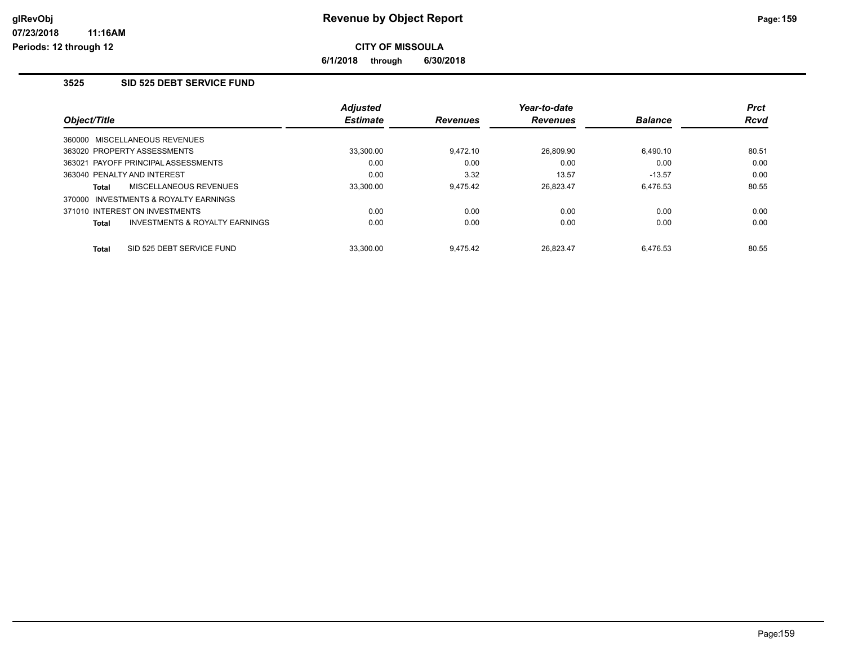**6/1/2018 through 6/30/2018**

### **3525 SID 525 DEBT SERVICE FUND**

|                             |                                           | <b>Adjusted</b> |                 | Year-to-date    |                | <b>Prct</b> |
|-----------------------------|-------------------------------------------|-----------------|-----------------|-----------------|----------------|-------------|
| Object/Title                |                                           | <b>Estimate</b> | <b>Revenues</b> | <b>Revenues</b> | <b>Balance</b> | <b>Rcvd</b> |
|                             | 360000 MISCELLANEOUS REVENUES             |                 |                 |                 |                |             |
|                             | 363020 PROPERTY ASSESSMENTS               | 33.300.00       | 9.472.10        | 26,809.90       | 6.490.10       | 80.51       |
|                             | 363021 PAYOFF PRINCIPAL ASSESSMENTS       | 0.00            | 0.00            | 0.00            | 0.00           | 0.00        |
| 363040 PENALTY AND INTEREST |                                           | 0.00            | 3.32            | 13.57           | $-13.57$       | 0.00        |
| Total                       | MISCELLANEOUS REVENUES                    | 33.300.00       | 9.475.42        | 26.823.47       | 6.476.53       | 80.55       |
| 370000                      | INVESTMENTS & ROYALTY EARNINGS            |                 |                 |                 |                |             |
|                             | 371010 INTEREST ON INVESTMENTS            | 0.00            | 0.00            | 0.00            | 0.00           | 0.00        |
| Total                       | <b>INVESTMENTS &amp; ROYALTY EARNINGS</b> | 0.00            | 0.00            | 0.00            | 0.00           | 0.00        |
| <b>Total</b>                | SID 525 DEBT SERVICE FUND                 | 33.300.00       | 9.475.42        | 26.823.47       | 6.476.53       | 80.55       |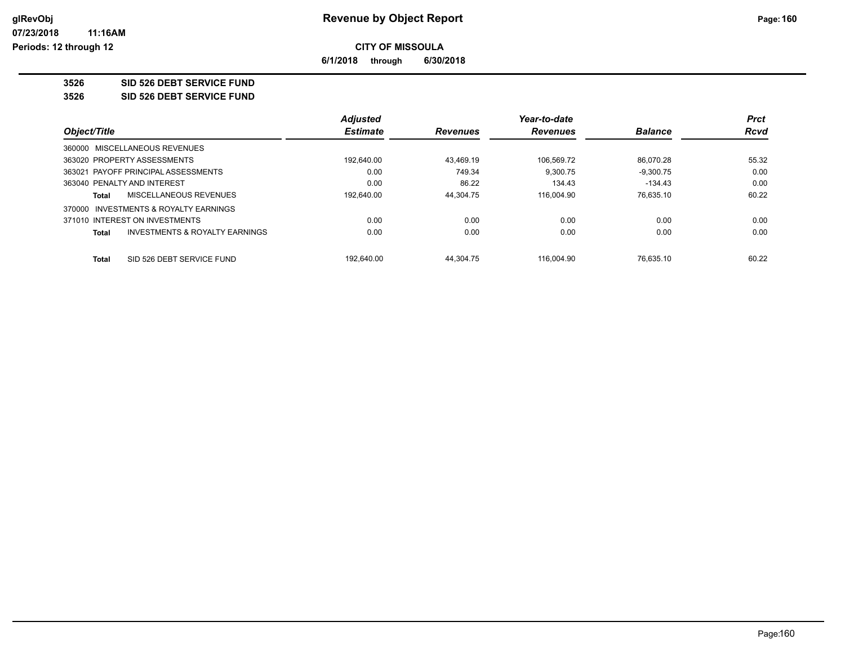**6/1/2018 through 6/30/2018**

**3526 SID 526 DEBT SERVICE FUND**

**3526 SID 526 DEBT SERVICE FUND**

|              |                                           | <b>Adjusted</b> |                 | Year-to-date    |                | <b>Prct</b> |
|--------------|-------------------------------------------|-----------------|-----------------|-----------------|----------------|-------------|
| Object/Title |                                           | <b>Estimate</b> | <b>Revenues</b> | <b>Revenues</b> | <b>Balance</b> | Rcvd        |
|              | 360000 MISCELLANEOUS REVENUES             |                 |                 |                 |                |             |
|              | 363020 PROPERTY ASSESSMENTS               | 192.640.00      | 43.469.19       | 106.569.72      | 86.070.28      | 55.32       |
|              | 363021 PAYOFF PRINCIPAL ASSESSMENTS       | 0.00            | 749.34          | 9.300.75        | $-9.300.75$    | 0.00        |
|              | 363040 PENALTY AND INTEREST               | 0.00            | 86.22           | 134.43          | $-134.43$      | 0.00        |
| Total        | <b>MISCELLANEOUS REVENUES</b>             | 192.640.00      | 44.304.75       | 116.004.90      | 76.635.10      | 60.22       |
|              | 370000 INVESTMENTS & ROYALTY EARNINGS     |                 |                 |                 |                |             |
|              | 371010 INTEREST ON INVESTMENTS            | 0.00            | 0.00            | 0.00            | 0.00           | 0.00        |
| Total        | <b>INVESTMENTS &amp; ROYALTY EARNINGS</b> | 0.00            | 0.00            | 0.00            | 0.00           | 0.00        |
| <b>Total</b> | SID 526 DEBT SERVICE FUND                 | 192.640.00      | 44.304.75       | 116.004.90      | 76.635.10      | 60.22       |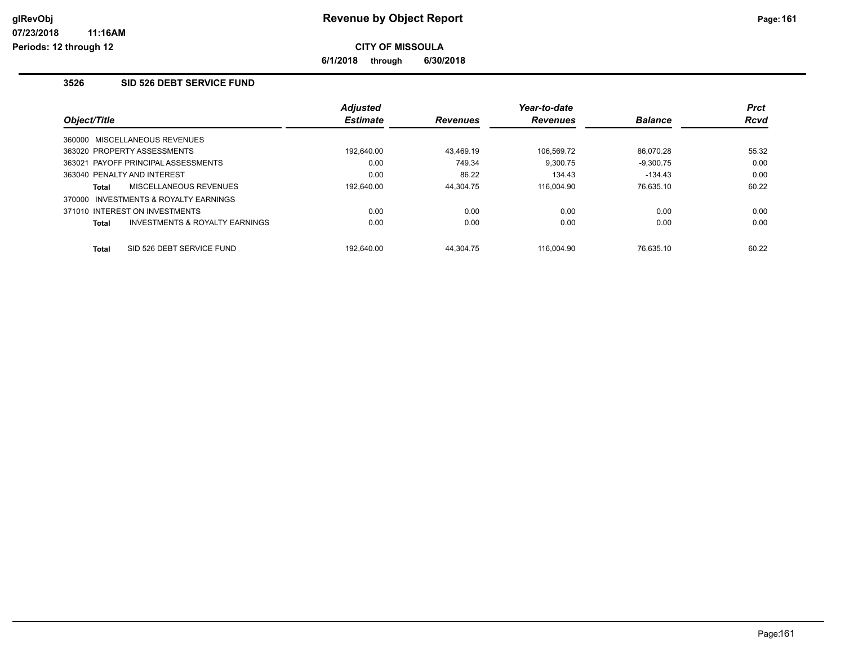**6/1/2018 through 6/30/2018**

### **3526 SID 526 DEBT SERVICE FUND**

|                             |                                           | <b>Adjusted</b> |                 | Year-to-date    |                | <b>Prct</b> |
|-----------------------------|-------------------------------------------|-----------------|-----------------|-----------------|----------------|-------------|
| Object/Title                |                                           | <b>Estimate</b> | <b>Revenues</b> | <b>Revenues</b> | <b>Balance</b> | <b>Rcvd</b> |
|                             | 360000 MISCELLANEOUS REVENUES             |                 |                 |                 |                |             |
|                             | 363020 PROPERTY ASSESSMENTS               | 192.640.00      | 43.469.19       | 106,569.72      | 86.070.28      | 55.32       |
|                             | 363021 PAYOFF PRINCIPAL ASSESSMENTS       | 0.00            | 749.34          | 9.300.75        | $-9.300.75$    | 0.00        |
| 363040 PENALTY AND INTEREST |                                           | 0.00            | 86.22           | 134.43          | $-134.43$      | 0.00        |
| Total                       | <b>MISCELLANEOUS REVENUES</b>             | 192.640.00      | 44.304.75       | 116.004.90      | 76.635.10      | 60.22       |
| 370000                      | INVESTMENTS & ROYALTY EARNINGS            |                 |                 |                 |                |             |
|                             | 371010 INTEREST ON INVESTMENTS            | 0.00            | 0.00            | 0.00            | 0.00           | 0.00        |
| Total                       | <b>INVESTMENTS &amp; ROYALTY EARNINGS</b> | 0.00            | 0.00            | 0.00            | 0.00           | 0.00        |
| <b>Total</b>                | SID 526 DEBT SERVICE FUND                 | 192.640.00      | 44.304.75       | 116.004.90      | 76.635.10      | 60.22       |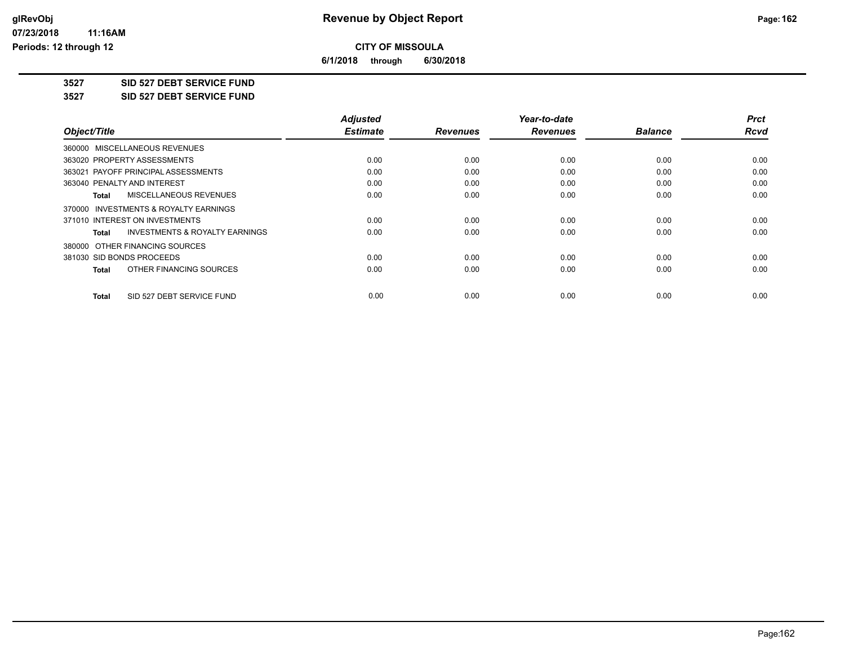**6/1/2018 through 6/30/2018**

**3527 SID 527 DEBT SERVICE FUND**

**3527 SID 527 DEBT SERVICE FUND**

|                                                     | <b>Adjusted</b> |                 | Year-to-date    |                | <b>Prct</b> |
|-----------------------------------------------------|-----------------|-----------------|-----------------|----------------|-------------|
| Object/Title                                        | <b>Estimate</b> | <b>Revenues</b> | <b>Revenues</b> | <b>Balance</b> | <b>Rcvd</b> |
| 360000 MISCELLANEOUS REVENUES                       |                 |                 |                 |                |             |
| 363020 PROPERTY ASSESSMENTS                         | 0.00            | 0.00            | 0.00            | 0.00           | 0.00        |
| 363021 PAYOFF PRINCIPAL ASSESSMENTS                 | 0.00            | 0.00            | 0.00            | 0.00           | 0.00        |
| 363040 PENALTY AND INTEREST                         | 0.00            | 0.00            | 0.00            | 0.00           | 0.00        |
| MISCELLANEOUS REVENUES<br>Total                     | 0.00            | 0.00            | 0.00            | 0.00           | 0.00        |
| <b>INVESTMENTS &amp; ROYALTY EARNINGS</b><br>370000 |                 |                 |                 |                |             |
| 371010 INTEREST ON INVESTMENTS                      | 0.00            | 0.00            | 0.00            | 0.00           | 0.00        |
| INVESTMENTS & ROYALTY EARNINGS<br>Total             | 0.00            | 0.00            | 0.00            | 0.00           | 0.00        |
| 380000 OTHER FINANCING SOURCES                      |                 |                 |                 |                |             |
| 381030 SID BONDS PROCEEDS                           | 0.00            | 0.00            | 0.00            | 0.00           | 0.00        |
| OTHER FINANCING SOURCES<br><b>Total</b>             | 0.00            | 0.00            | 0.00            | 0.00           | 0.00        |
| SID 527 DEBT SERVICE FUND<br><b>Total</b>           | 0.00            | 0.00            | 0.00            | 0.00           | 0.00        |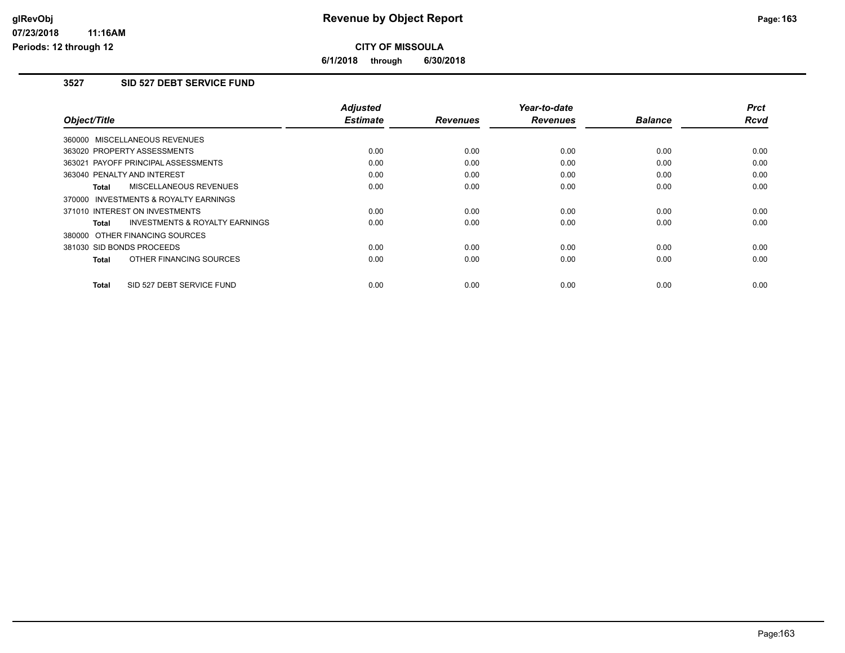**6/1/2018 through 6/30/2018**

### **3527 SID 527 DEBT SERVICE FUND**

| Object/Title                              | <b>Adjusted</b><br><b>Estimate</b> | <b>Revenues</b> | Year-to-date<br><b>Revenues</b> | <b>Balance</b> | <b>Prct</b><br><b>Rcvd</b> |
|-------------------------------------------|------------------------------------|-----------------|---------------------------------|----------------|----------------------------|
| 360000 MISCELLANEOUS REVENUES             |                                    |                 |                                 |                |                            |
| 363020 PROPERTY ASSESSMENTS               | 0.00                               | 0.00            | 0.00                            | 0.00           | 0.00                       |
| 363021 PAYOFF PRINCIPAL ASSESSMENTS       | 0.00                               | 0.00            | 0.00                            | 0.00           | 0.00                       |
| 363040 PENALTY AND INTEREST               | 0.00                               | 0.00            | 0.00                            | 0.00           | 0.00                       |
| <b>MISCELLANEOUS REVENUES</b><br>Total    | 0.00                               | 0.00            | 0.00                            | 0.00           | 0.00                       |
| 370000 INVESTMENTS & ROYALTY EARNINGS     |                                    |                 |                                 |                |                            |
| 371010 INTEREST ON INVESTMENTS            | 0.00                               | 0.00            | 0.00                            | 0.00           | 0.00                       |
| INVESTMENTS & ROYALTY EARNINGS<br>Total   | 0.00                               | 0.00            | 0.00                            | 0.00           | 0.00                       |
| 380000 OTHER FINANCING SOURCES            |                                    |                 |                                 |                |                            |
| 381030 SID BONDS PROCEEDS                 | 0.00                               | 0.00            | 0.00                            | 0.00           | 0.00                       |
| OTHER FINANCING SOURCES<br><b>Total</b>   | 0.00                               | 0.00            | 0.00                            | 0.00           | 0.00                       |
| SID 527 DEBT SERVICE FUND<br><b>Total</b> | 0.00                               | 0.00            | 0.00                            | 0.00           | 0.00                       |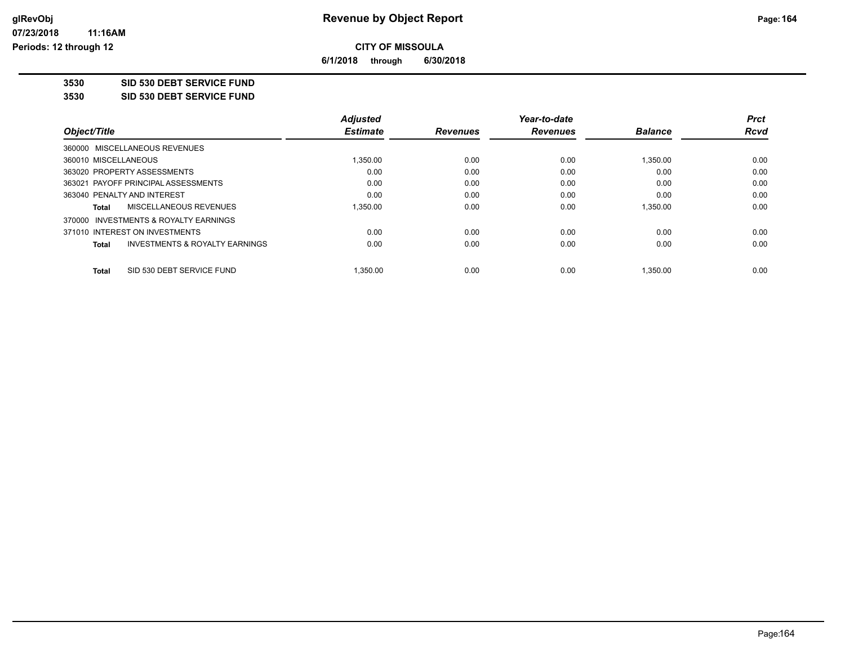**6/1/2018 through 6/30/2018**

**3530 SID 530 DEBT SERVICE FUND**

**3530 SID 530 DEBT SERVICE FUND**

|                                                           | <b>Adjusted</b> |                 | Year-to-date    |                | <b>Prct</b> |
|-----------------------------------------------------------|-----------------|-----------------|-----------------|----------------|-------------|
| Object/Title                                              | <b>Estimate</b> | <b>Revenues</b> | <b>Revenues</b> | <b>Balance</b> | <b>Rcvd</b> |
| 360000 MISCELLANEOUS REVENUES                             |                 |                 |                 |                |             |
| 360010 MISCELLANEOUS                                      | 1.350.00        | 0.00            | 0.00            | 1.350.00       | 0.00        |
| 363020 PROPERTY ASSESSMENTS                               | 0.00            | 0.00            | 0.00            | 0.00           | 0.00        |
| 363021 PAYOFF PRINCIPAL ASSESSMENTS                       | 0.00            | 0.00            | 0.00            | 0.00           | 0.00        |
| 363040 PENALTY AND INTEREST                               | 0.00            | 0.00            | 0.00            | 0.00           | 0.00        |
| <b>MISCELLANEOUS REVENUES</b><br>Total                    | 1,350.00        | 0.00            | 0.00            | 1,350.00       | 0.00        |
| 370000 INVESTMENTS & ROYALTY EARNINGS                     |                 |                 |                 |                |             |
| 371010 INTEREST ON INVESTMENTS                            | 0.00            | 0.00            | 0.00            | 0.00           | 0.00        |
| <b>INVESTMENTS &amp; ROYALTY EARNINGS</b><br><b>Total</b> | 0.00            | 0.00            | 0.00            | 0.00           | 0.00        |
| SID 530 DEBT SERVICE FUND<br>Total                        | 1.350.00        | 0.00            | 0.00            | 1.350.00       | 0.00        |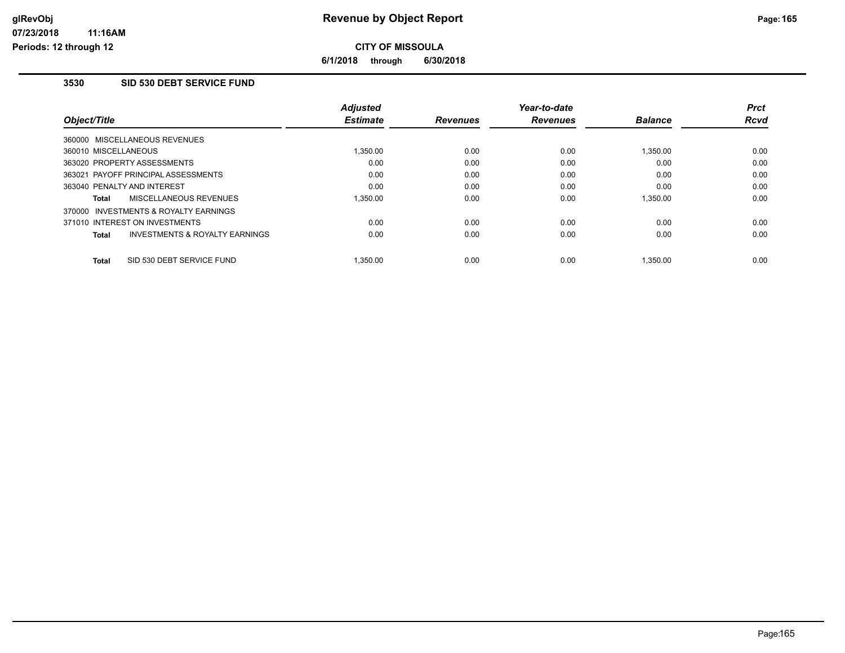**6/1/2018 through 6/30/2018**

### **3530 SID 530 DEBT SERVICE FUND**

| Object/Title                                   | <b>Adjusted</b><br><b>Estimate</b> | <b>Revenues</b> | Year-to-date<br><b>Revenues</b> | <b>Balance</b> | <b>Prct</b><br><b>Rcvd</b> |
|------------------------------------------------|------------------------------------|-----------------|---------------------------------|----------------|----------------------------|
| 360000 MISCELLANEOUS REVENUES                  |                                    |                 |                                 |                |                            |
| 360010 MISCELLANEOUS                           | 1,350.00                           | 0.00            | 0.00                            | 1,350.00       | 0.00                       |
| 363020 PROPERTY ASSESSMENTS                    | 0.00                               | 0.00            | 0.00                            | 0.00           | 0.00                       |
| 363021 PAYOFF PRINCIPAL ASSESSMENTS            | 0.00                               | 0.00            | 0.00                            | 0.00           | 0.00                       |
| 363040 PENALTY AND INTEREST                    | 0.00                               | 0.00            | 0.00                            | 0.00           | 0.00                       |
| MISCELLANEOUS REVENUES<br><b>Total</b>         | 1.350.00                           | 0.00            | 0.00                            | 1.350.00       | 0.00                       |
| 370000 INVESTMENTS & ROYALTY EARNINGS          |                                    |                 |                                 |                |                            |
| 371010 INTEREST ON INVESTMENTS                 | 0.00                               | 0.00            | 0.00                            | 0.00           | 0.00                       |
| INVESTMENTS & ROYALTY EARNINGS<br><b>Total</b> | 0.00                               | 0.00            | 0.00                            | 0.00           | 0.00                       |
| SID 530 DEBT SERVICE FUND<br><b>Total</b>      | 1.350.00                           | 0.00            | 0.00                            | 1.350.00       | 0.00                       |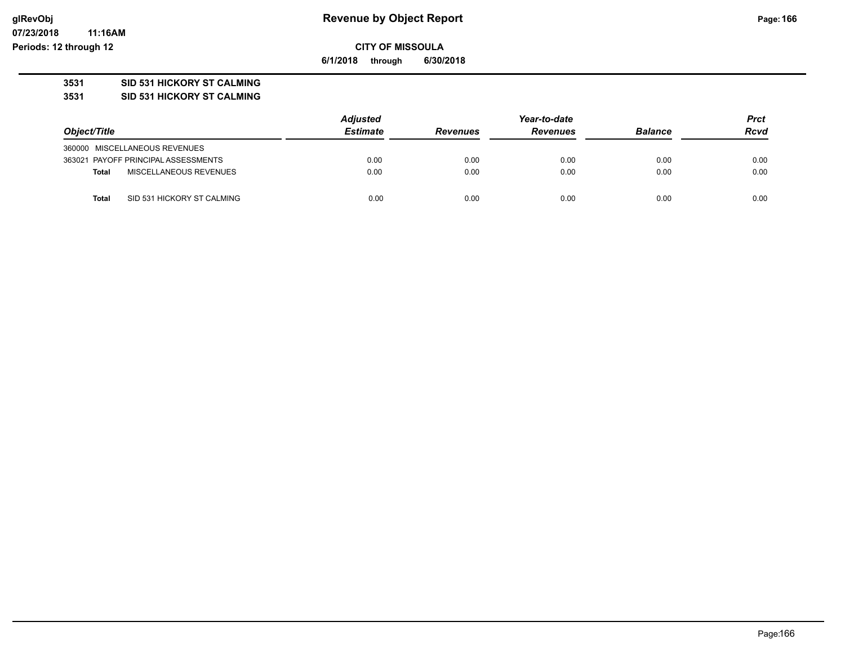**07/23/2018 11:16AM Periods: 12 through 12**

**CITY OF MISSOULA**

**6/1/2018 through 6/30/2018**

# **3531 SID 531 HICKORY ST CALMING**

**3531 SID 531 HICKORY ST CALMING**

|                                            | <b>Adjusted</b> |                 | Year-to-date    |                | Prct |
|--------------------------------------------|-----------------|-----------------|-----------------|----------------|------|
| Object/Title                               | <b>Estimate</b> | <b>Revenues</b> | <b>Revenues</b> | <b>Balance</b> | Rcvd |
| 360000 MISCELLANEOUS REVENUES              |                 |                 |                 |                |      |
| 363021 PAYOFF PRINCIPAL ASSESSMENTS        | 0.00            | 0.00            | 0.00            | 0.00           | 0.00 |
| MISCELLANEOUS REVENUES<br><b>Total</b>     | 0.00            | 0.00            | 0.00            | 0.00           | 0.00 |
| SID 531 HICKORY ST CALMING<br><b>Total</b> | 0.00            | 0.00            | 0.00            | 0.00           | 0.00 |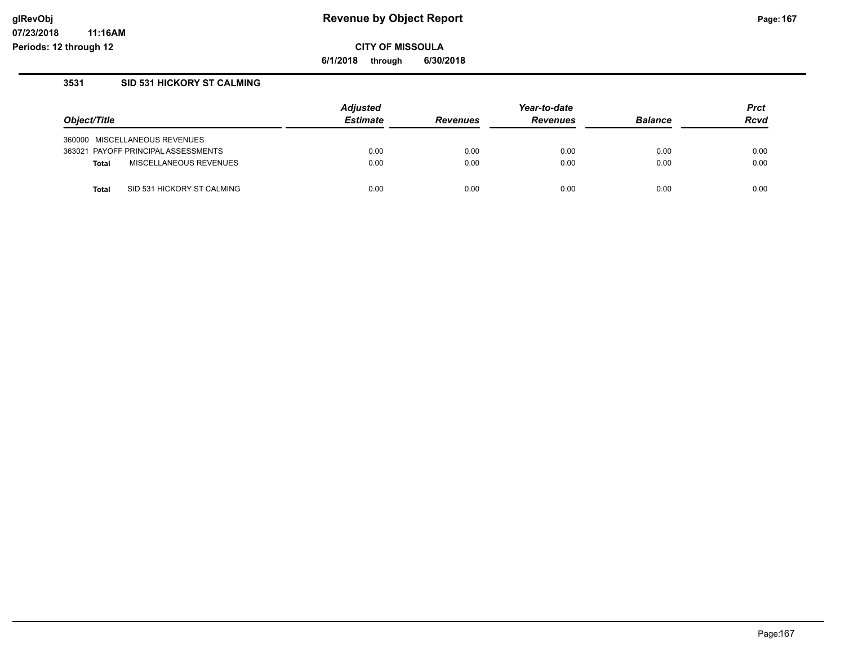**6/1/2018 through 6/30/2018**

### **3531 SID 531 HICKORY ST CALMING**

|                                            | <b>Adjusted</b> |                 | Year-to-date    |                | <b>Prct</b> |
|--------------------------------------------|-----------------|-----------------|-----------------|----------------|-------------|
| Object/Title                               | <b>Estimate</b> | <b>Revenues</b> | <b>Revenues</b> | <b>Balance</b> | <b>Rcvd</b> |
| 360000 MISCELLANEOUS REVENUES              |                 |                 |                 |                |             |
| 363021 PAYOFF PRINCIPAL ASSESSMENTS        | 0.00            | 0.00            | 0.00            | 0.00           | 0.00        |
| <b>MISCELLANEOUS REVENUES</b><br>Total     | 0.00            | 0.00            | 0.00            | 0.00           | 0.00        |
|                                            |                 |                 |                 |                |             |
| <b>Total</b><br>SID 531 HICKORY ST CALMING | 0.00            | 0.00            | 0.00            | 0.00           | 0.00        |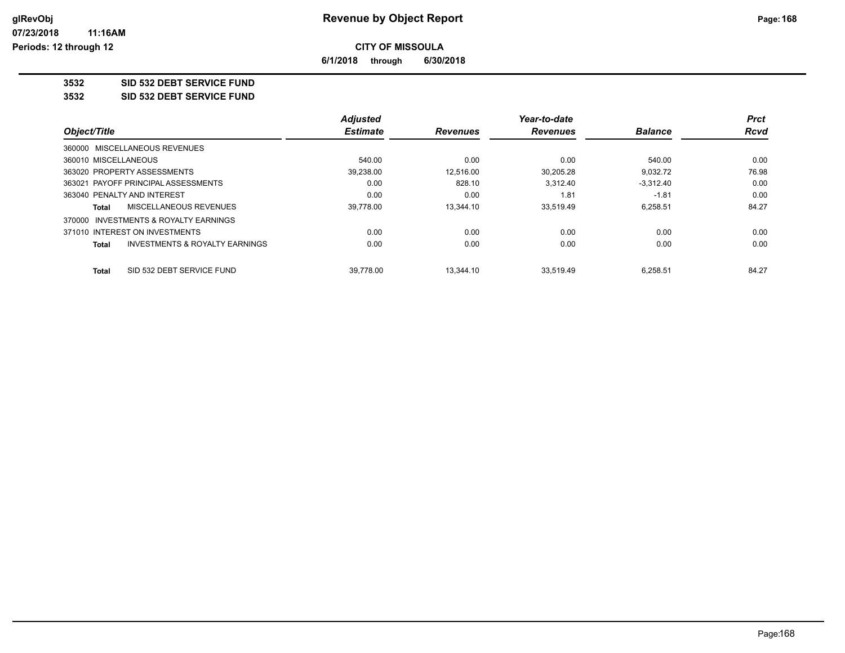**6/1/2018 through 6/30/2018**

**3532 SID 532 DEBT SERVICE FUND**

**3532 SID 532 DEBT SERVICE FUND**

|                                                           | <b>Adjusted</b> |                 | Year-to-date    |                | <b>Prct</b> |
|-----------------------------------------------------------|-----------------|-----------------|-----------------|----------------|-------------|
| Object/Title                                              | <b>Estimate</b> | <b>Revenues</b> | <b>Revenues</b> | <b>Balance</b> | <b>Rcvd</b> |
| 360000 MISCELLANEOUS REVENUES                             |                 |                 |                 |                |             |
| 360010 MISCELLANEOUS                                      | 540.00          | 0.00            | 0.00            | 540.00         | 0.00        |
| 363020 PROPERTY ASSESSMENTS                               | 39,238.00       | 12.516.00       | 30,205.28       | 9.032.72       | 76.98       |
| 363021 PAYOFF PRINCIPAL ASSESSMENTS                       | 0.00            | 828.10          | 3.312.40        | $-3.312.40$    | 0.00        |
| 363040 PENALTY AND INTEREST                               | 0.00            | 0.00            | 1.81            | $-1.81$        | 0.00        |
| MISCELLANEOUS REVENUES<br>Total                           | 39.778.00       | 13.344.10       | 33.519.49       | 6,258.51       | 84.27       |
| INVESTMENTS & ROYALTY EARNINGS<br>370000                  |                 |                 |                 |                |             |
| 371010 INTEREST ON INVESTMENTS                            | 0.00            | 0.00            | 0.00            | 0.00           | 0.00        |
| <b>INVESTMENTS &amp; ROYALTY EARNINGS</b><br><b>Total</b> | 0.00            | 0.00            | 0.00            | 0.00           | 0.00        |
| SID 532 DEBT SERVICE FUND<br><b>Total</b>                 | 39.778.00       | 13.344.10       | 33.519.49       | 6.258.51       | 84.27       |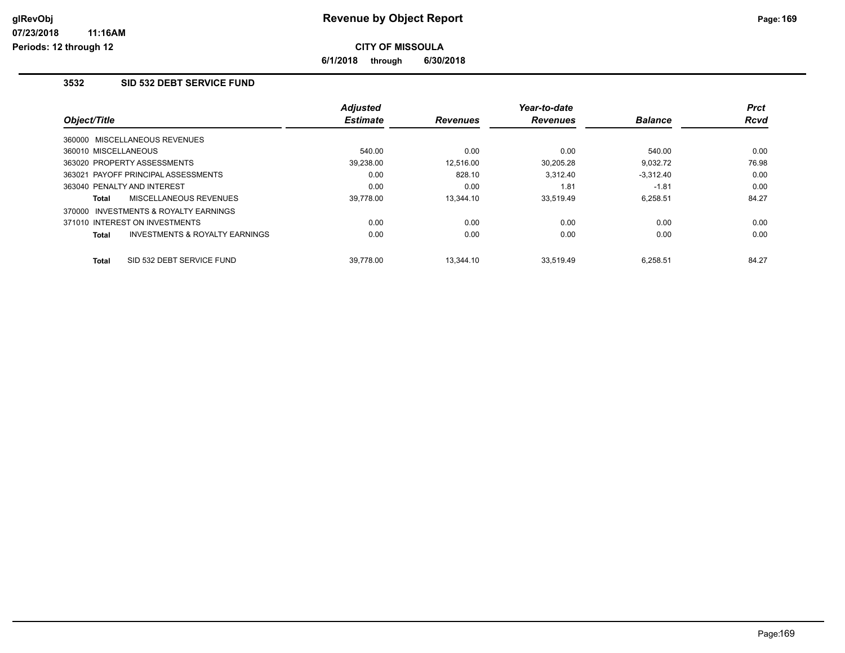**6/1/2018 through 6/30/2018**

### **3532 SID 532 DEBT SERVICE FUND**

| Object/Title         |                                           | <b>Adjusted</b><br><b>Estimate</b> | <b>Revenues</b> | Year-to-date<br><b>Revenues</b> | <b>Balance</b> | <b>Prct</b><br><b>Rcvd</b> |
|----------------------|-------------------------------------------|------------------------------------|-----------------|---------------------------------|----------------|----------------------------|
|                      | 360000 MISCELLANEOUS REVENUES             |                                    |                 |                                 |                |                            |
| 360010 MISCELLANEOUS |                                           | 540.00                             | 0.00            | 0.00                            | 540.00         | 0.00                       |
|                      | 363020 PROPERTY ASSESSMENTS               | 39.238.00                          | 12.516.00       | 30.205.28                       | 9.032.72       | 76.98                      |
|                      | 363021 PAYOFF PRINCIPAL ASSESSMENTS       | 0.00                               | 828.10          | 3.312.40                        | $-3.312.40$    | 0.00                       |
|                      | 363040 PENALTY AND INTEREST               | 0.00                               | 0.00            | 1.81                            | $-1.81$        | 0.00                       |
| Total                | MISCELLANEOUS REVENUES                    | 39.778.00                          | 13.344.10       | 33.519.49                       | 6.258.51       | 84.27                      |
| 370000               | INVESTMENTS & ROYALTY EARNINGS            |                                    |                 |                                 |                |                            |
|                      | 371010 INTEREST ON INVESTMENTS            | 0.00                               | 0.00            | 0.00                            | 0.00           | 0.00                       |
| <b>Total</b>         | <b>INVESTMENTS &amp; ROYALTY EARNINGS</b> | 0.00                               | 0.00            | 0.00                            | 0.00           | 0.00                       |
| <b>Total</b>         | SID 532 DEBT SERVICE FUND                 | 39.778.00                          | 13.344.10       | 33.519.49                       | 6.258.51       | 84.27                      |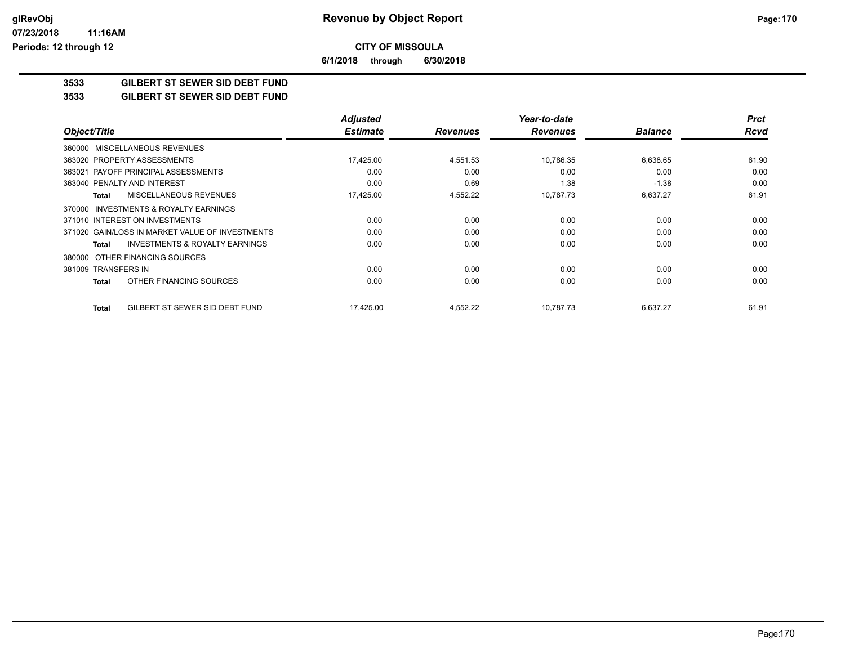**6/1/2018 through 6/30/2018**

# **3533 GILBERT ST SEWER SID DEBT FUND**

### **3533 GILBERT ST SEWER SID DEBT FUND**

|                                                    | <b>Adjusted</b> |                 | Year-to-date    |                | <b>Prct</b> |
|----------------------------------------------------|-----------------|-----------------|-----------------|----------------|-------------|
| Object/Title                                       | <b>Estimate</b> | <b>Revenues</b> | <b>Revenues</b> | <b>Balance</b> | <b>Rcvd</b> |
| 360000 MISCELLANEOUS REVENUES                      |                 |                 |                 |                |             |
| 363020 PROPERTY ASSESSMENTS                        | 17,425.00       | 4,551.53        | 10,786.35       | 6,638.65       | 61.90       |
| 363021 PAYOFF PRINCIPAL ASSESSMENTS                | 0.00            | 0.00            | 0.00            | 0.00           | 0.00        |
| 363040 PENALTY AND INTEREST                        | 0.00            | 0.69            | 1.38            | $-1.38$        | 0.00        |
| MISCELLANEOUS REVENUES<br><b>Total</b>             | 17,425.00       | 4,552.22        | 10,787.73       | 6,637.27       | 61.91       |
| 370000 INVESTMENTS & ROYALTY EARNINGS              |                 |                 |                 |                |             |
| 371010 INTEREST ON INVESTMENTS                     | 0.00            | 0.00            | 0.00            | 0.00           | 0.00        |
| 371020 GAIN/LOSS IN MARKET VALUE OF INVESTMENTS    | 0.00            | 0.00            | 0.00            | 0.00           | 0.00        |
| <b>INVESTMENTS &amp; ROYALTY EARNINGS</b><br>Total | 0.00            | 0.00            | 0.00            | 0.00           | 0.00        |
| OTHER FINANCING SOURCES<br>380000                  |                 |                 |                 |                |             |
| 381009 TRANSFERS IN                                | 0.00            | 0.00            | 0.00            | 0.00           | 0.00        |
| OTHER FINANCING SOURCES<br>Total                   | 0.00            | 0.00            | 0.00            | 0.00           | 0.00        |
| GILBERT ST SEWER SID DEBT FUND<br>Total            | 17,425.00       | 4,552.22        | 10,787.73       | 6,637.27       | 61.91       |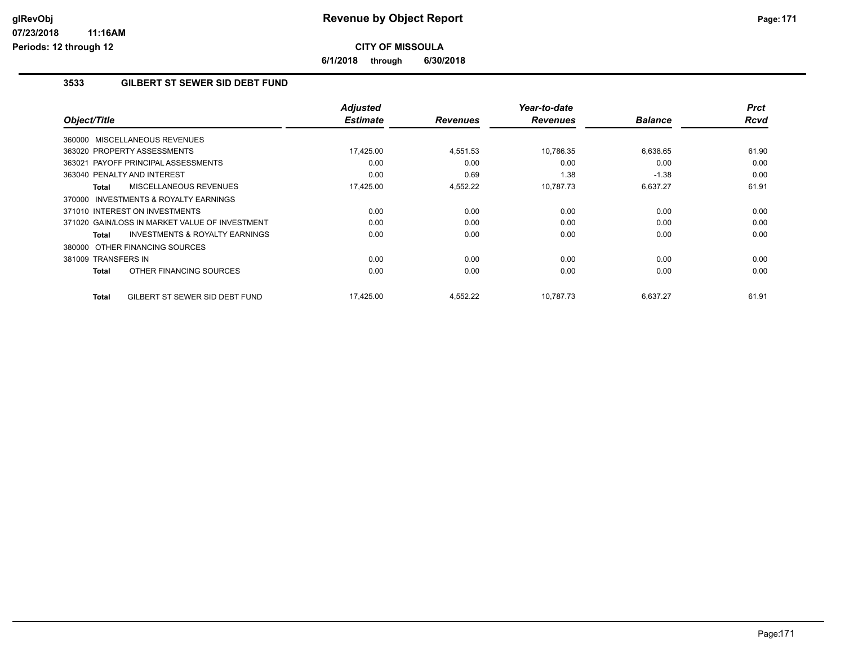**6/1/2018 through 6/30/2018**

### **3533 GILBERT ST SEWER SID DEBT FUND**

|                                                     | <b>Adjusted</b> |                 | Year-to-date    |                | <b>Prct</b> |
|-----------------------------------------------------|-----------------|-----------------|-----------------|----------------|-------------|
| Object/Title                                        | <b>Estimate</b> | <b>Revenues</b> | <b>Revenues</b> | <b>Balance</b> | Rcvd        |
| 360000 MISCELLANEOUS REVENUES                       |                 |                 |                 |                |             |
| 363020 PROPERTY ASSESSMENTS                         | 17,425.00       | 4,551.53        | 10,786.35       | 6,638.65       | 61.90       |
| 363021 PAYOFF PRINCIPAL ASSESSMENTS                 | 0.00            | 0.00            | 0.00            | 0.00           | 0.00        |
| 363040 PENALTY AND INTEREST                         | 0.00            | 0.69            | 1.38            | $-1.38$        | 0.00        |
| MISCELLANEOUS REVENUES<br>Total                     | 17,425.00       | 4,552.22        | 10,787.73       | 6,637.27       | 61.91       |
| <b>INVESTMENTS &amp; ROYALTY EARNINGS</b><br>370000 |                 |                 |                 |                |             |
| 371010 INTEREST ON INVESTMENTS                      | 0.00            | 0.00            | 0.00            | 0.00           | 0.00        |
| 371020 GAIN/LOSS IN MARKET VALUE OF INVESTMENT      | 0.00            | 0.00            | 0.00            | 0.00           | 0.00        |
| <b>INVESTMENTS &amp; ROYALTY EARNINGS</b><br>Total  | 0.00            | 0.00            | 0.00            | 0.00           | 0.00        |
| 380000 OTHER FINANCING SOURCES                      |                 |                 |                 |                |             |
| 381009 TRANSFERS IN                                 | 0.00            | 0.00            | 0.00            | 0.00           | 0.00        |
| OTHER FINANCING SOURCES<br>Total                    | 0.00            | 0.00            | 0.00            | 0.00           | 0.00        |
| GILBERT ST SEWER SID DEBT FUND<br><b>Total</b>      | 17.425.00       | 4,552.22        | 10,787.73       | 6,637.27       | 61.91       |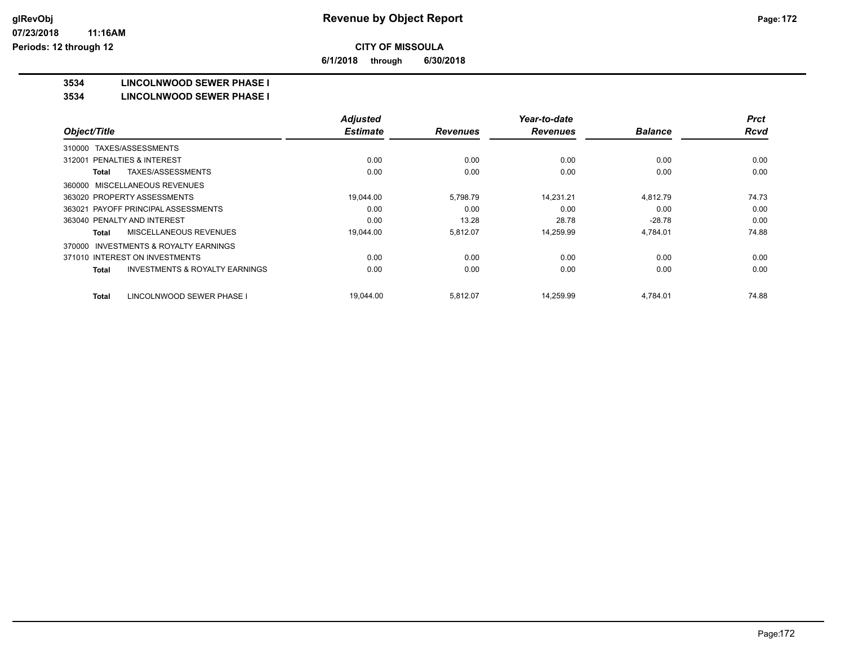**6/1/2018 through 6/30/2018**

### **3534 LINCOLNWOOD SEWER PHASE I**

#### **3534 LINCOLNWOOD SEWER PHASE I**

|                                                           | <b>Adjusted</b> |                 | Year-to-date    |                | <b>Prct</b> |
|-----------------------------------------------------------|-----------------|-----------------|-----------------|----------------|-------------|
| Object/Title                                              | <b>Estimate</b> | <b>Revenues</b> | <b>Revenues</b> | <b>Balance</b> | Rcvd        |
| TAXES/ASSESSMENTS<br>310000                               |                 |                 |                 |                |             |
| <b>PENALTIES &amp; INTEREST</b><br>312001                 | 0.00            | 0.00            | 0.00            | 0.00           | 0.00        |
| TAXES/ASSESSMENTS<br>Total                                | 0.00            | 0.00            | 0.00            | 0.00           | 0.00        |
| 360000 MISCELLANEOUS REVENUES                             |                 |                 |                 |                |             |
| 363020 PROPERTY ASSESSMENTS                               | 19,044.00       | 5,798.79        | 14,231.21       | 4,812.79       | 74.73       |
| PAYOFF PRINCIPAL ASSESSMENTS<br>363021                    | 0.00            | 0.00            | 0.00            | 0.00           | 0.00        |
| 363040 PENALTY AND INTEREST                               | 0.00            | 13.28           | 28.78           | $-28.78$       | 0.00        |
| MISCELLANEOUS REVENUES<br>Total                           | 19,044.00       | 5,812.07        | 14,259.99       | 4,784.01       | 74.88       |
| 370000 INVESTMENTS & ROYALTY EARNINGS                     |                 |                 |                 |                |             |
| 371010 INTEREST ON INVESTMENTS                            | 0.00            | 0.00            | 0.00            | 0.00           | 0.00        |
| <b>INVESTMENTS &amp; ROYALTY EARNINGS</b><br><b>Total</b> | 0.00            | 0.00            | 0.00            | 0.00           | 0.00        |
| LINCOLNWOOD SEWER PHASE I<br>Total                        | 19.044.00       | 5.812.07        | 14.259.99       | 4.784.01       | 74.88       |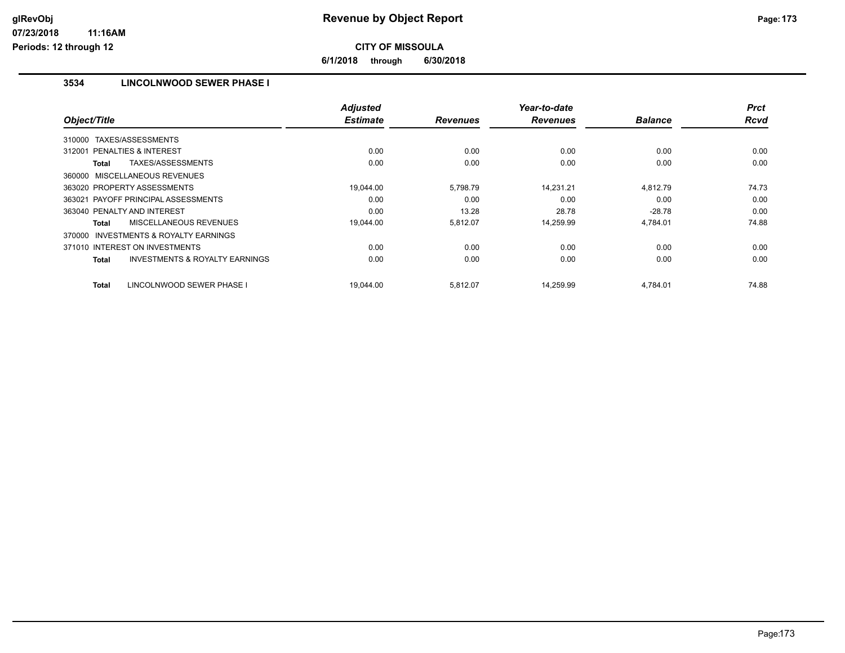**6/1/2018 through 6/30/2018**

### **3534 LINCOLNWOOD SEWER PHASE I**

| Object/Title                                              | <b>Adjusted</b><br><b>Estimate</b> | <b>Revenues</b> | Year-to-date<br><b>Revenues</b> | <b>Balance</b> | <b>Prct</b><br>Rcvd |
|-----------------------------------------------------------|------------------------------------|-----------------|---------------------------------|----------------|---------------------|
|                                                           |                                    |                 |                                 |                |                     |
| TAXES/ASSESSMENTS<br>310000                               |                                    |                 |                                 |                |                     |
| 312001 PENALTIES & INTEREST                               | 0.00                               | 0.00            | 0.00                            | 0.00           | 0.00                |
| TAXES/ASSESSMENTS<br>Total                                | 0.00                               | 0.00            | 0.00                            | 0.00           | 0.00                |
| 360000 MISCELLANEOUS REVENUES                             |                                    |                 |                                 |                |                     |
| 363020 PROPERTY ASSESSMENTS                               | 19.044.00                          | 5.798.79        | 14.231.21                       | 4.812.79       | 74.73               |
| 363021 PAYOFF PRINCIPAL ASSESSMENTS                       | 0.00                               | 0.00            | 0.00                            | 0.00           | 0.00                |
| 363040 PENALTY AND INTEREST                               | 0.00                               | 13.28           | 28.78                           | $-28.78$       | 0.00                |
| MISCELLANEOUS REVENUES<br>Total                           | 19.044.00                          | 5.812.07        | 14,259.99                       | 4,784.01       | 74.88               |
| INVESTMENTS & ROYALTY EARNINGS<br>370000                  |                                    |                 |                                 |                |                     |
| 371010 INTEREST ON INVESTMENTS                            | 0.00                               | 0.00            | 0.00                            | 0.00           | 0.00                |
| <b>INVESTMENTS &amp; ROYALTY EARNINGS</b><br><b>Total</b> | 0.00                               | 0.00            | 0.00                            | 0.00           | 0.00                |
| LINCOLNWOOD SEWER PHASE I<br><b>Total</b>                 | 19.044.00                          | 5,812.07        | 14,259.99                       | 4,784.01       | 74.88               |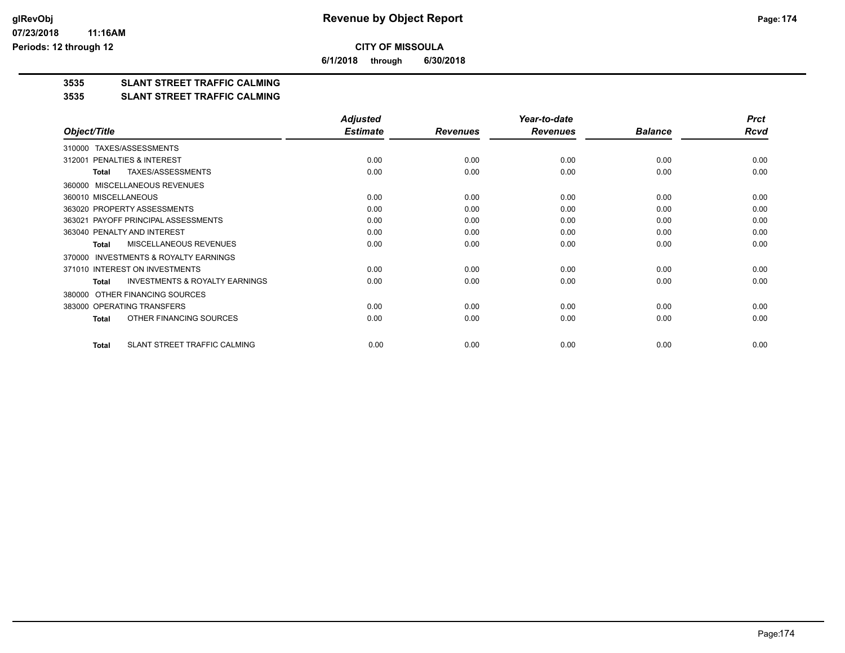**6/1/2018 through 6/30/2018**

### **3535 SLANT STREET TRAFFIC CALMING**

#### **3535 SLANT STREET TRAFFIC CALMING**

|                                                           | <b>Adjusted</b> |                 | Year-to-date    |                | <b>Prct</b> |
|-----------------------------------------------------------|-----------------|-----------------|-----------------|----------------|-------------|
| Object/Title                                              | <b>Estimate</b> | <b>Revenues</b> | <b>Revenues</b> | <b>Balance</b> | <b>Rcvd</b> |
| TAXES/ASSESSMENTS<br>310000                               |                 |                 |                 |                |             |
| PENALTIES & INTEREST<br>312001                            | 0.00            | 0.00            | 0.00            | 0.00           | 0.00        |
| TAXES/ASSESSMENTS<br><b>Total</b>                         | 0.00            | 0.00            | 0.00            | 0.00           | 0.00        |
| MISCELLANEOUS REVENUES<br>360000                          |                 |                 |                 |                |             |
| 360010 MISCELLANEOUS                                      | 0.00            | 0.00            | 0.00            | 0.00           | 0.00        |
| 363020 PROPERTY ASSESSMENTS                               | 0.00            | 0.00            | 0.00            | 0.00           | 0.00        |
| 363021 PAYOFF PRINCIPAL ASSESSMENTS                       | 0.00            | 0.00            | 0.00            | 0.00           | 0.00        |
| 363040 PENALTY AND INTEREST                               | 0.00            | 0.00            | 0.00            | 0.00           | 0.00        |
| <b>MISCELLANEOUS REVENUES</b><br><b>Total</b>             | 0.00            | 0.00            | 0.00            | 0.00           | 0.00        |
| <b>INVESTMENTS &amp; ROYALTY EARNINGS</b><br>370000       |                 |                 |                 |                |             |
| 371010 INTEREST ON INVESTMENTS                            | 0.00            | 0.00            | 0.00            | 0.00           | 0.00        |
| <b>INVESTMENTS &amp; ROYALTY EARNINGS</b><br><b>Total</b> | 0.00            | 0.00            | 0.00            | 0.00           | 0.00        |
| OTHER FINANCING SOURCES<br>380000                         |                 |                 |                 |                |             |
| 383000 OPERATING TRANSFERS                                | 0.00            | 0.00            | 0.00            | 0.00           | 0.00        |
| OTHER FINANCING SOURCES<br><b>Total</b>                   | 0.00            | 0.00            | 0.00            | 0.00           | 0.00        |
| SLANT STREET TRAFFIC CALMING<br><b>Total</b>              | 0.00            | 0.00            | 0.00            | 0.00           | 0.00        |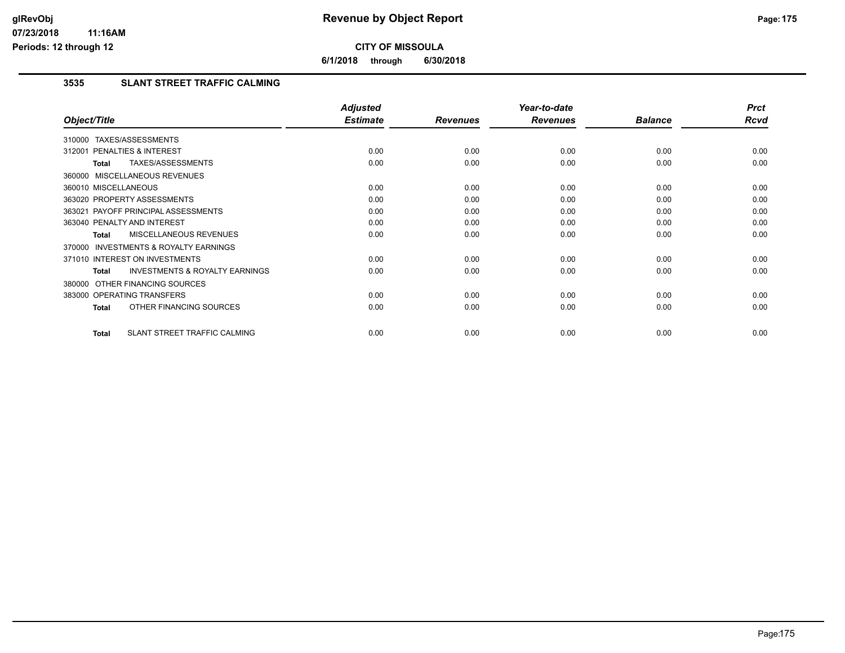**6/1/2018 through 6/30/2018**

### **3535 SLANT STREET TRAFFIC CALMING**

|                                                    | <b>Adjusted</b> |                 | Year-to-date    |                | <b>Prct</b> |
|----------------------------------------------------|-----------------|-----------------|-----------------|----------------|-------------|
| Object/Title                                       | <b>Estimate</b> | <b>Revenues</b> | <b>Revenues</b> | <b>Balance</b> | Rcvd        |
| TAXES/ASSESSMENTS<br>310000                        |                 |                 |                 |                |             |
| 312001 PENALTIES & INTEREST                        | 0.00            | 0.00            | 0.00            | 0.00           | 0.00        |
| TAXES/ASSESSMENTS<br>Total                         | 0.00            | 0.00            | 0.00            | 0.00           | 0.00        |
| 360000 MISCELLANEOUS REVENUES                      |                 |                 |                 |                |             |
| 360010 MISCELLANEOUS                               | 0.00            | 0.00            | 0.00            | 0.00           | 0.00        |
| 363020 PROPERTY ASSESSMENTS                        | 0.00            | 0.00            | 0.00            | 0.00           | 0.00        |
| 363021 PAYOFF PRINCIPAL ASSESSMENTS                | 0.00            | 0.00            | 0.00            | 0.00           | 0.00        |
| 363040 PENALTY AND INTEREST                        | 0.00            | 0.00            | 0.00            | 0.00           | 0.00        |
| MISCELLANEOUS REVENUES<br>Total                    | 0.00            | 0.00            | 0.00            | 0.00           | 0.00        |
| 370000 INVESTMENTS & ROYALTY EARNINGS              |                 |                 |                 |                |             |
| 371010 INTEREST ON INVESTMENTS                     | 0.00            | 0.00            | 0.00            | 0.00           | 0.00        |
| <b>INVESTMENTS &amp; ROYALTY EARNINGS</b><br>Total | 0.00            | 0.00            | 0.00            | 0.00           | 0.00        |
| 380000 OTHER FINANCING SOURCES                     |                 |                 |                 |                |             |
| 383000 OPERATING TRANSFERS                         | 0.00            | 0.00            | 0.00            | 0.00           | 0.00        |
| OTHER FINANCING SOURCES<br>Total                   | 0.00            | 0.00            | 0.00            | 0.00           | 0.00        |
|                                                    |                 |                 |                 |                |             |
| SLANT STREET TRAFFIC CALMING<br>Total              | 0.00            | 0.00            | 0.00            | 0.00           | 0.00        |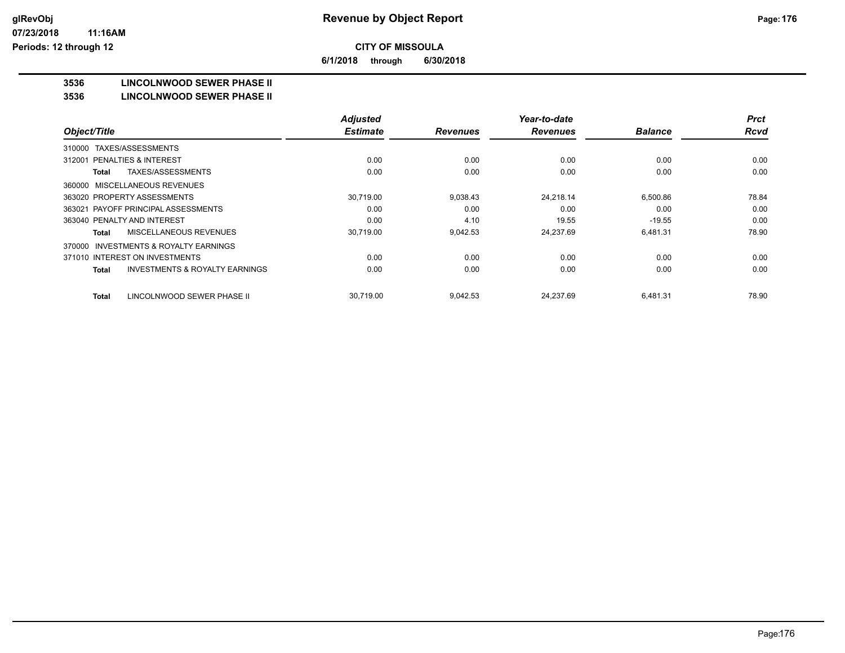**6/1/2018 through 6/30/2018**

### **3536 LINCOLNWOOD SEWER PHASE II**

#### **3536 LINCOLNWOOD SEWER PHASE II**

|                                                           | <b>Adjusted</b> |                 | Year-to-date    |                | <b>Prct</b> |
|-----------------------------------------------------------|-----------------|-----------------|-----------------|----------------|-------------|
| Object/Title                                              | <b>Estimate</b> | <b>Revenues</b> | <b>Revenues</b> | <b>Balance</b> | Rcvd        |
| TAXES/ASSESSMENTS<br>310000                               |                 |                 |                 |                |             |
| <b>PENALTIES &amp; INTEREST</b><br>312001                 | 0.00            | 0.00            | 0.00            | 0.00           | 0.00        |
| TAXES/ASSESSMENTS<br>Total                                | 0.00            | 0.00            | 0.00            | 0.00           | 0.00        |
| 360000 MISCELLANEOUS REVENUES                             |                 |                 |                 |                |             |
| 363020 PROPERTY ASSESSMENTS                               | 30,719.00       | 9,038.43        | 24,218.14       | 6,500.86       | 78.84       |
| PAYOFF PRINCIPAL ASSESSMENTS<br>363021                    | 0.00            | 0.00            | 0.00            | 0.00           | 0.00        |
| 363040 PENALTY AND INTEREST                               | 0.00            | 4.10            | 19.55           | $-19.55$       | 0.00        |
| MISCELLANEOUS REVENUES<br>Total                           | 30,719.00       | 9,042.53        | 24,237.69       | 6,481.31       | 78.90       |
| 370000 INVESTMENTS & ROYALTY EARNINGS                     |                 |                 |                 |                |             |
| 371010 INTEREST ON INVESTMENTS                            | 0.00            | 0.00            | 0.00            | 0.00           | 0.00        |
| <b>INVESTMENTS &amp; ROYALTY EARNINGS</b><br><b>Total</b> | 0.00            | 0.00            | 0.00            | 0.00           | 0.00        |
| LINCOLNWOOD SEWER PHASE II<br>Total                       | 30.719.00       | 9,042.53        | 24.237.69       | 6,481.31       | 78.90       |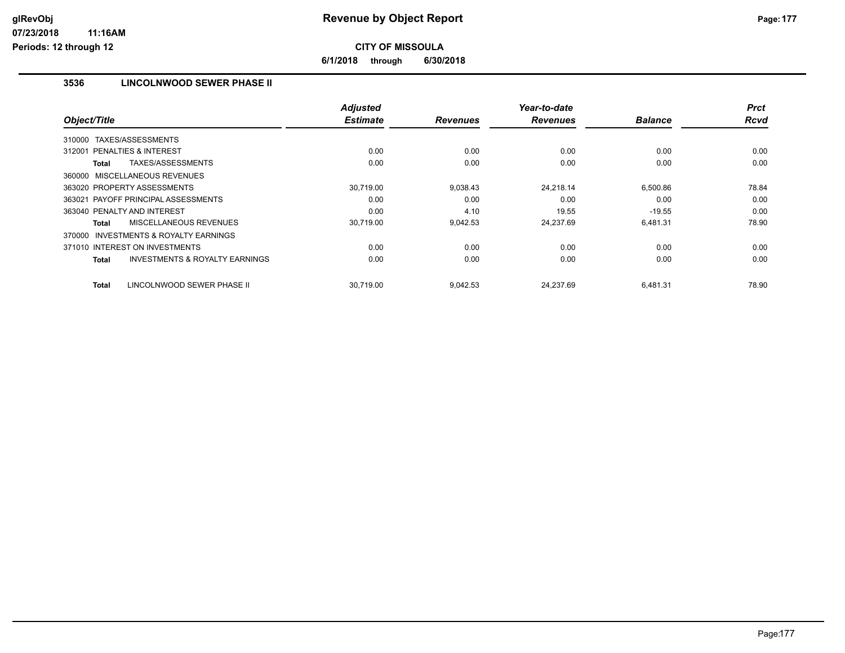**6/1/2018 through 6/30/2018**

### **3536 LINCOLNWOOD SEWER PHASE II**

|                                                           | <b>Adjusted</b> |                 | Year-to-date    |                | <b>Prct</b> |
|-----------------------------------------------------------|-----------------|-----------------|-----------------|----------------|-------------|
| Object/Title                                              | <b>Estimate</b> | <b>Revenues</b> | <b>Revenues</b> | <b>Balance</b> | Rcvd        |
| TAXES/ASSESSMENTS<br>310000                               |                 |                 |                 |                |             |
| <b>PENALTIES &amp; INTEREST</b><br>312001                 | 0.00            | 0.00            | 0.00            | 0.00           | 0.00        |
| TAXES/ASSESSMENTS<br><b>Total</b>                         | 0.00            | 0.00            | 0.00            | 0.00           | 0.00        |
| 360000 MISCELLANEOUS REVENUES                             |                 |                 |                 |                |             |
| 363020 PROPERTY ASSESSMENTS                               | 30,719.00       | 9,038.43        | 24,218.14       | 6,500.86       | 78.84       |
| 363021 PAYOFF PRINCIPAL ASSESSMENTS                       | 0.00            | 0.00            | 0.00            | 0.00           | 0.00        |
| 363040 PENALTY AND INTEREST                               | 0.00            | 4.10            | 19.55           | $-19.55$       | 0.00        |
| MISCELLANEOUS REVENUES<br><b>Total</b>                    | 30,719.00       | 9,042.53        | 24,237.69       | 6,481.31       | 78.90       |
| 370000 INVESTMENTS & ROYALTY EARNINGS                     |                 |                 |                 |                |             |
| 371010 INTEREST ON INVESTMENTS                            | 0.00            | 0.00            | 0.00            | 0.00           | 0.00        |
| <b>INVESTMENTS &amp; ROYALTY EARNINGS</b><br><b>Total</b> | 0.00            | 0.00            | 0.00            | 0.00           | 0.00        |
| LINCOLNWOOD SEWER PHASE II<br><b>Total</b>                | 30.719.00       | 9,042.53        | 24.237.69       | 6,481.31       | 78.90       |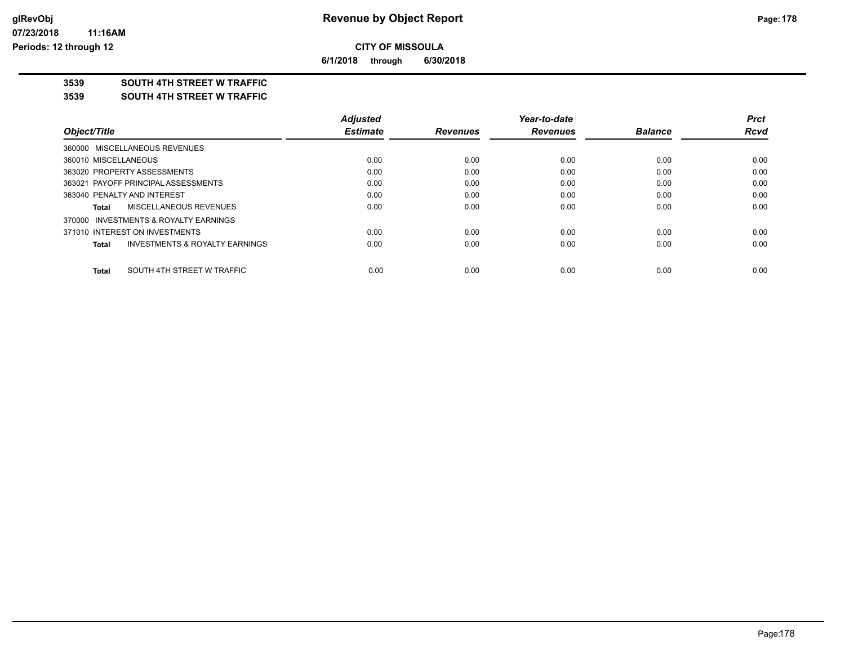**6/1/2018 through 6/30/2018**

### **3539 SOUTH 4TH STREET W TRAFFIC**

#### **3539 SOUTH 4TH STREET W TRAFFIC**

|                                                    | <b>Adjusted</b> |                 | Year-to-date    |                | <b>Prct</b> |
|----------------------------------------------------|-----------------|-----------------|-----------------|----------------|-------------|
| Object/Title                                       | <b>Estimate</b> | <b>Revenues</b> | <b>Revenues</b> | <b>Balance</b> | Rcvd        |
| 360000 MISCELLANEOUS REVENUES                      |                 |                 |                 |                |             |
| 360010 MISCELLANEOUS                               | 0.00            | 0.00            | 0.00            | 0.00           | 0.00        |
| 363020 PROPERTY ASSESSMENTS                        | 0.00            | 0.00            | 0.00            | 0.00           | 0.00        |
| 363021 PAYOFF PRINCIPAL ASSESSMENTS                | 0.00            | 0.00            | 0.00            | 0.00           | 0.00        |
| 363040 PENALTY AND INTEREST                        | 0.00            | 0.00            | 0.00            | 0.00           | 0.00        |
| MISCELLANEOUS REVENUES<br>Total                    | 0.00            | 0.00            | 0.00            | 0.00           | 0.00        |
| 370000 INVESTMENTS & ROYALTY EARNINGS              |                 |                 |                 |                |             |
| 371010 INTEREST ON INVESTMENTS                     | 0.00            | 0.00            | 0.00            | 0.00           | 0.00        |
| <b>INVESTMENTS &amp; ROYALTY EARNINGS</b><br>Total | 0.00            | 0.00            | 0.00            | 0.00           | 0.00        |
| SOUTH 4TH STREET W TRAFFIC<br>Total                | 0.00            | 0.00            | 0.00            | 0.00           | 0.00        |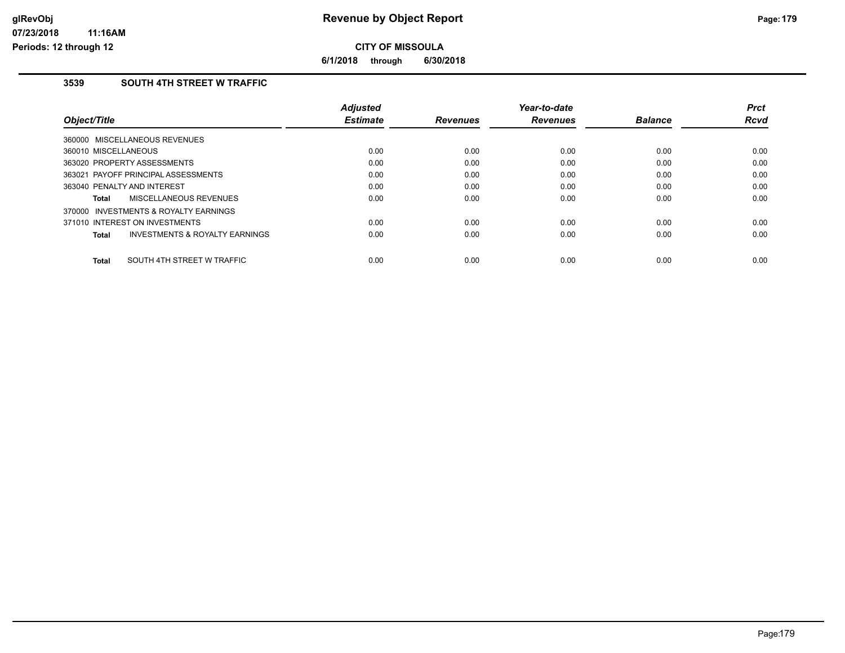**6/1/2018 through 6/30/2018**

### **3539 SOUTH 4TH STREET W TRAFFIC**

| Object/Title                                       | <b>Adiusted</b><br><b>Estimate</b> | <b>Revenues</b> | Year-to-date<br><b>Revenues</b> | <b>Balance</b> | <b>Prct</b><br><b>Rcvd</b> |
|----------------------------------------------------|------------------------------------|-----------------|---------------------------------|----------------|----------------------------|
| 360000 MISCELLANEOUS REVENUES                      |                                    |                 |                                 |                |                            |
| 360010 MISCELLANEOUS                               | 0.00                               | 0.00            | 0.00                            | 0.00           | 0.00                       |
| 363020 PROPERTY ASSESSMENTS                        | 0.00                               | 0.00            | 0.00                            | 0.00           | 0.00                       |
| 363021 PAYOFF PRINCIPAL ASSESSMENTS                | 0.00                               | 0.00            | 0.00                            | 0.00           | 0.00                       |
| 363040 PENALTY AND INTEREST                        | 0.00                               | 0.00            | 0.00                            | 0.00           | 0.00                       |
| MISCELLANEOUS REVENUES<br>Total                    | 0.00                               | 0.00            | 0.00                            | 0.00           | 0.00                       |
| 370000 INVESTMENTS & ROYALTY EARNINGS              |                                    |                 |                                 |                |                            |
| 371010 INTEREST ON INVESTMENTS                     | 0.00                               | 0.00            | 0.00                            | 0.00           | 0.00                       |
| <b>INVESTMENTS &amp; ROYALTY EARNINGS</b><br>Total | 0.00                               | 0.00            | 0.00                            | 0.00           | 0.00                       |
| SOUTH 4TH STREET W TRAFFIC<br>Total                | 0.00                               | 0.00            | 0.00                            | 0.00           | 0.00                       |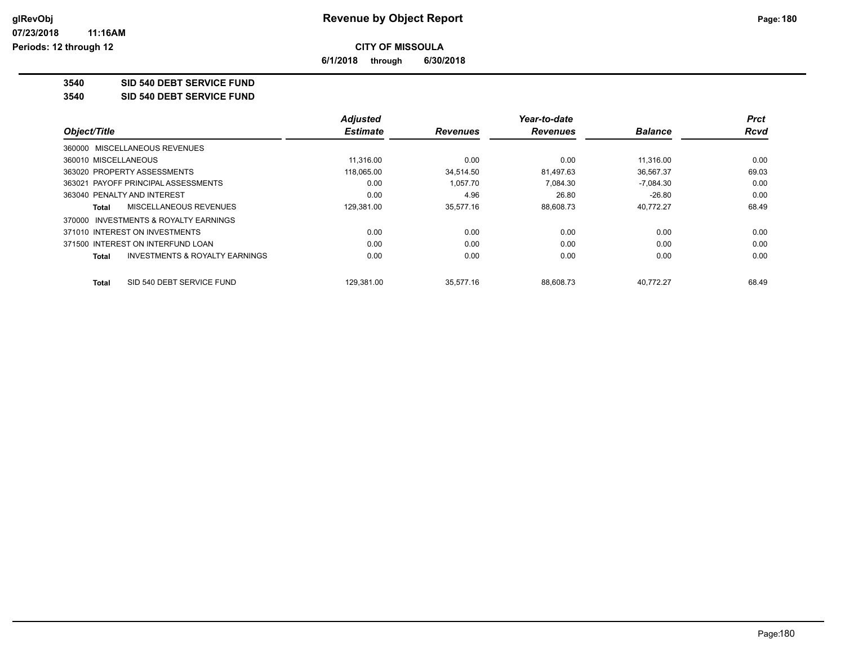**6/1/2018 through 6/30/2018**

**3540 SID 540 DEBT SERVICE FUND**

**3540 SID 540 DEBT SERVICE FUND**

|                                                    | <b>Adjusted</b> |                 | Year-to-date    |                | <b>Prct</b> |
|----------------------------------------------------|-----------------|-----------------|-----------------|----------------|-------------|
| Object/Title                                       | <b>Estimate</b> | <b>Revenues</b> | <b>Revenues</b> | <b>Balance</b> | <b>Rcvd</b> |
| 360000 MISCELLANEOUS REVENUES                      |                 |                 |                 |                |             |
| 360010 MISCELLANEOUS                               | 11.316.00       | 0.00            | 0.00            | 11.316.00      | 0.00        |
| 363020 PROPERTY ASSESSMENTS                        | 118,065.00      | 34.514.50       | 81.497.63       | 36.567.37      | 69.03       |
| 363021 PAYOFF PRINCIPAL ASSESSMENTS                | 0.00            | 1.057.70        | 7.084.30        | $-7.084.30$    | 0.00        |
| 363040 PENALTY AND INTEREST                        | 0.00            | 4.96            | 26.80           | $-26.80$       | 0.00        |
| MISCELLANEOUS REVENUES<br>Total                    | 129.381.00      | 35.577.16       | 88.608.73       | 40.772.27      | 68.49       |
| 370000 INVESTMENTS & ROYALTY EARNINGS              |                 |                 |                 |                |             |
| 371010 INTEREST ON INVESTMENTS                     | 0.00            | 0.00            | 0.00            | 0.00           | 0.00        |
| 371500 INTEREST ON INTERFUND LOAN                  | 0.00            | 0.00            | 0.00            | 0.00           | 0.00        |
| <b>INVESTMENTS &amp; ROYALTY EARNINGS</b><br>Total | 0.00            | 0.00            | 0.00            | 0.00           | 0.00        |
| SID 540 DEBT SERVICE FUND<br><b>Total</b>          | 129.381.00      | 35.577.16       | 88.608.73       | 40.772.27      | 68.49       |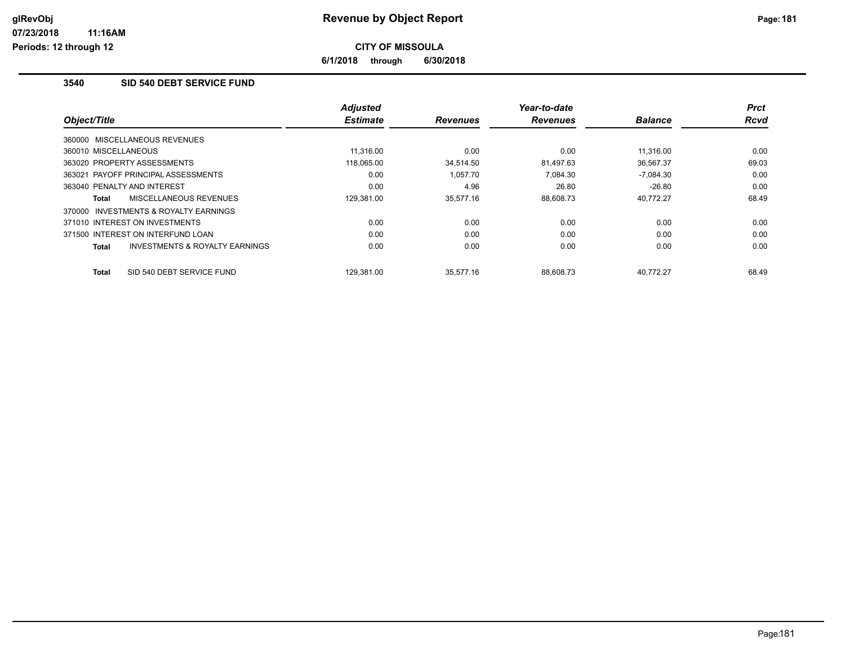**6/1/2018 through 6/30/2018**

### **3540 SID 540 DEBT SERVICE FUND**

|                                                    | <b>Adjusted</b> |                 | Year-to-date    |                | <b>Prct</b> |
|----------------------------------------------------|-----------------|-----------------|-----------------|----------------|-------------|
| Object/Title                                       | <b>Estimate</b> | <b>Revenues</b> | <b>Revenues</b> | <b>Balance</b> | Rcvd        |
| 360000 MISCELLANEOUS REVENUES                      |                 |                 |                 |                |             |
| 360010 MISCELLANEOUS                               | 11.316.00       | 0.00            | 0.00            | 11.316.00      | 0.00        |
| 363020 PROPERTY ASSESSMENTS                        | 118,065.00      | 34.514.50       | 81.497.63       | 36.567.37      | 69.03       |
| 363021 PAYOFF PRINCIPAL ASSESSMENTS                | 0.00            | 1,057.70        | 7,084.30        | -7,084.30      | 0.00        |
| 363040 PENALTY AND INTEREST                        | 0.00            | 4.96            | 26.80           | $-26.80$       | 0.00        |
| MISCELLANEOUS REVENUES<br>Total                    | 129,381.00      | 35,577.16       | 88,608.73       | 40.772.27      | 68.49       |
| INVESTMENTS & ROYALTY EARNINGS<br>370000           |                 |                 |                 |                |             |
| 371010 INTEREST ON INVESTMENTS                     | 0.00            | 0.00            | 0.00            | 0.00           | 0.00        |
| 371500 INTEREST ON INTERFUND LOAN                  | 0.00            | 0.00            | 0.00            | 0.00           | 0.00        |
| <b>INVESTMENTS &amp; ROYALTY EARNINGS</b><br>Total | 0.00            | 0.00            | 0.00            | 0.00           | 0.00        |
| SID 540 DEBT SERVICE FUND<br><b>Total</b>          | 129.381.00      | 35.577.16       | 88.608.73       | 40.772.27      | 68.49       |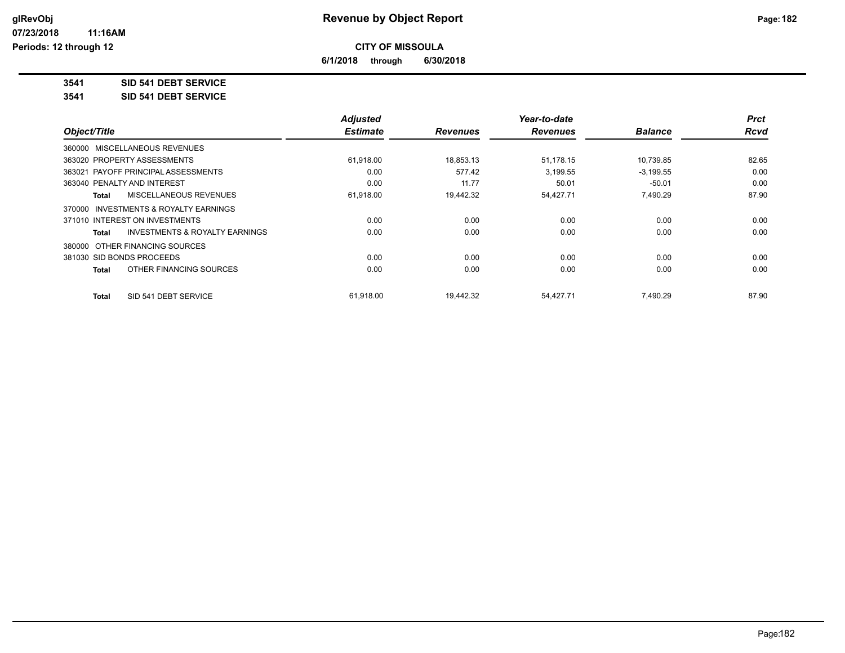**6/1/2018 through 6/30/2018**

**3541 SID 541 DEBT SERVICE**

**3541 SID 541 DEBT SERVICE**

|                                         | <b>Adjusted</b> |                 | Year-to-date    |                | <b>Prct</b> |
|-----------------------------------------|-----------------|-----------------|-----------------|----------------|-------------|
| Object/Title                            | <b>Estimate</b> | <b>Revenues</b> | <b>Revenues</b> | <b>Balance</b> | <b>Rcvd</b> |
| 360000 MISCELLANEOUS REVENUES           |                 |                 |                 |                |             |
| 363020 PROPERTY ASSESSMENTS             | 61,918.00       | 18,853.13       | 51,178.15       | 10,739.85      | 82.65       |
| 363021 PAYOFF PRINCIPAL ASSESSMENTS     | 0.00            | 577.42          | 3.199.55        | $-3,199.55$    | 0.00        |
| 363040 PENALTY AND INTEREST             | 0.00            | 11.77           | 50.01           | $-50.01$       | 0.00        |
| MISCELLANEOUS REVENUES<br>Total         | 61,918.00       | 19,442.32       | 54,427.71       | 7,490.29       | 87.90       |
| 370000 INVESTMENTS & ROYALTY EARNINGS   |                 |                 |                 |                |             |
| 371010 INTEREST ON INVESTMENTS          | 0.00            | 0.00            | 0.00            | 0.00           | 0.00        |
| INVESTMENTS & ROYALTY EARNINGS<br>Total | 0.00            | 0.00            | 0.00            | 0.00           | 0.00        |
| 380000 OTHER FINANCING SOURCES          |                 |                 |                 |                |             |
| 381030 SID BONDS PROCEEDS               | 0.00            | 0.00            | 0.00            | 0.00           | 0.00        |
| OTHER FINANCING SOURCES<br><b>Total</b> | 0.00            | 0.00            | 0.00            | 0.00           | 0.00        |
| SID 541 DEBT SERVICE<br>Total           | 61.918.00       | 19.442.32       | 54.427.71       | 7.490.29       | 87.90       |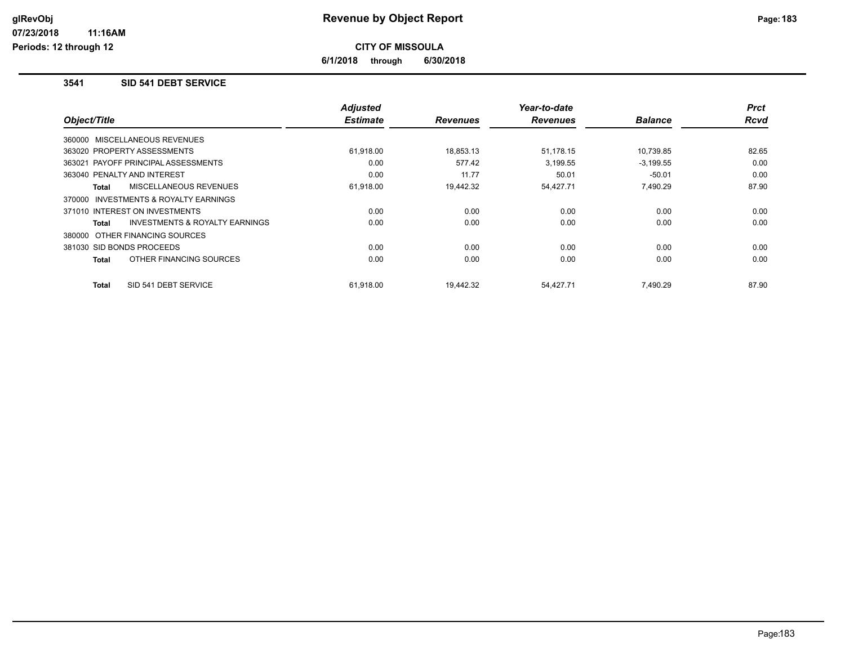**6/1/2018 through 6/30/2018**

### **3541 SID 541 DEBT SERVICE**

|                                                    | <b>Adjusted</b> |                 | Year-to-date    |                | <b>Prct</b> |
|----------------------------------------------------|-----------------|-----------------|-----------------|----------------|-------------|
| Object/Title                                       | <b>Estimate</b> | <b>Revenues</b> | <b>Revenues</b> | <b>Balance</b> | <b>Rcvd</b> |
| 360000 MISCELLANEOUS REVENUES                      |                 |                 |                 |                |             |
| 363020 PROPERTY ASSESSMENTS                        | 61,918.00       | 18,853.13       | 51,178.15       | 10,739.85      | 82.65       |
| 363021 PAYOFF PRINCIPAL ASSESSMENTS                | 0.00            | 577.42          | 3,199.55        | $-3,199.55$    | 0.00        |
| 363040 PENALTY AND INTEREST                        | 0.00            | 11.77           | 50.01           | $-50.01$       | 0.00        |
| MISCELLANEOUS REVENUES<br>Total                    | 61,918.00       | 19.442.32       | 54.427.71       | 7.490.29       | 87.90       |
| INVESTMENTS & ROYALTY EARNINGS<br>370000           |                 |                 |                 |                |             |
| 371010 INTEREST ON INVESTMENTS                     | 0.00            | 0.00            | 0.00            | 0.00           | 0.00        |
| <b>INVESTMENTS &amp; ROYALTY EARNINGS</b><br>Total | 0.00            | 0.00            | 0.00            | 0.00           | 0.00        |
| 380000 OTHER FINANCING SOURCES                     |                 |                 |                 |                |             |
| 381030 SID BONDS PROCEEDS                          | 0.00            | 0.00            | 0.00            | 0.00           | 0.00        |
| OTHER FINANCING SOURCES<br><b>Total</b>            | 0.00            | 0.00            | 0.00            | 0.00           | 0.00        |
| SID 541 DEBT SERVICE<br><b>Total</b>               | 61.918.00       | 19.442.32       | 54.427.71       | 7.490.29       | 87.90       |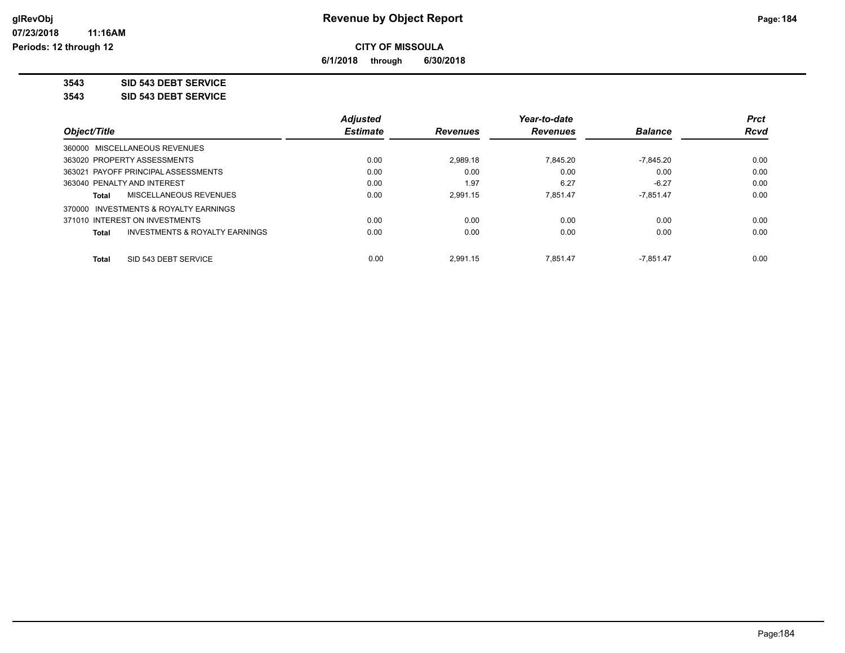**6/1/2018 through 6/30/2018**

**3543 SID 543 DEBT SERVICE**

**3543 SID 543 DEBT SERVICE**

|                                                           | <b>Adjusted</b> |                 | Year-to-date    |                | <b>Prct</b> |
|-----------------------------------------------------------|-----------------|-----------------|-----------------|----------------|-------------|
| Object/Title                                              | <b>Estimate</b> | <b>Revenues</b> | <b>Revenues</b> | <b>Balance</b> | Rcvd        |
| 360000 MISCELLANEOUS REVENUES                             |                 |                 |                 |                |             |
| 363020 PROPERTY ASSESSMENTS                               | 0.00            | 2,989.18        | 7,845.20        | $-7.845.20$    | 0.00        |
| 363021 PAYOFF PRINCIPAL ASSESSMENTS                       | 0.00            | 0.00            | 0.00            | 0.00           | 0.00        |
| 363040 PENALTY AND INTEREST                               | 0.00            | 1.97            | 6.27            | $-6.27$        | 0.00        |
| MISCELLANEOUS REVENUES<br>Total                           | 0.00            | 2.991.15        | 7.851.47        | $-7.851.47$    | 0.00        |
| 370000 INVESTMENTS & ROYALTY EARNINGS                     |                 |                 |                 |                |             |
| 371010 INTEREST ON INVESTMENTS                            | 0.00            | 0.00            | 0.00            | 0.00           | 0.00        |
| <b>INVESTMENTS &amp; ROYALTY EARNINGS</b><br><b>Total</b> | 0.00            | 0.00            | 0.00            | 0.00           | 0.00        |
| SID 543 DEBT SERVICE<br>Total                             | 0.00            | 2.991.15        | 7.851.47        | $-7.851.47$    | 0.00        |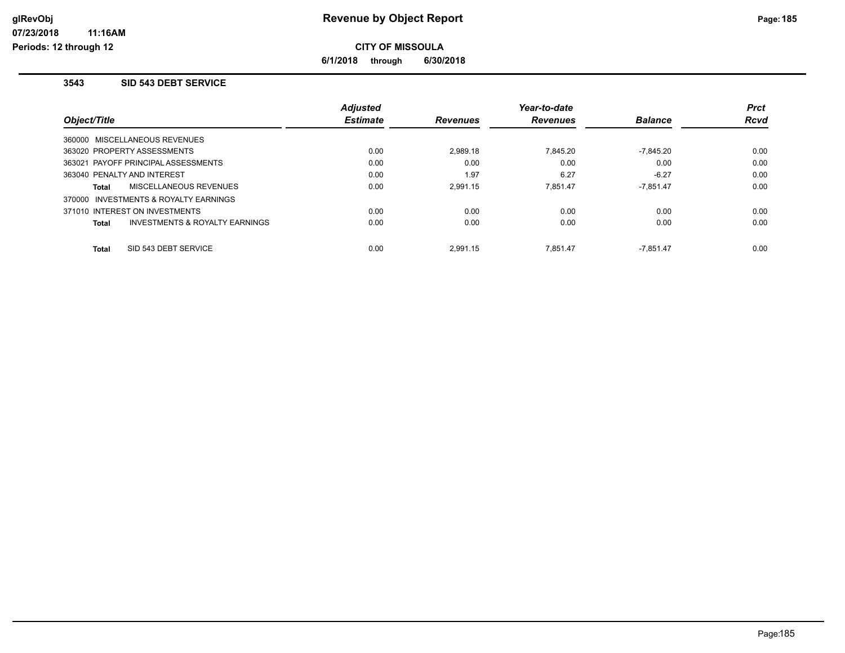**6/1/2018 through 6/30/2018**

### **3543 SID 543 DEBT SERVICE**

|                                                    | <b>Adjusted</b> |                 | Year-to-date    |                | <b>Prct</b> |
|----------------------------------------------------|-----------------|-----------------|-----------------|----------------|-------------|
| Object/Title                                       | <b>Estimate</b> | <b>Revenues</b> | <b>Revenues</b> | <b>Balance</b> | <b>Rcvd</b> |
| 360000 MISCELLANEOUS REVENUES                      |                 |                 |                 |                |             |
| 363020 PROPERTY ASSESSMENTS                        | 0.00            | 2,989.18        | 7.845.20        | $-7.845.20$    | 0.00        |
| 363021 PAYOFF PRINCIPAL ASSESSMENTS                | 0.00            | 0.00            | 0.00            | 0.00           | 0.00        |
| 363040 PENALTY AND INTEREST                        | 0.00            | 1.97            | 6.27            | $-6.27$        | 0.00        |
| MISCELLANEOUS REVENUES<br>Total                    | 0.00            | 2.991.15        | 7.851.47        | $-7.851.47$    | 0.00        |
| 370000 INVESTMENTS & ROYALTY EARNINGS              |                 |                 |                 |                |             |
| 371010 INTEREST ON INVESTMENTS                     | 0.00            | 0.00            | 0.00            | 0.00           | 0.00        |
| <b>INVESTMENTS &amp; ROYALTY EARNINGS</b><br>Total | 0.00            | 0.00            | 0.00            | 0.00           | 0.00        |
| SID 543 DEBT SERVICE<br>Total                      | 0.00            | 2.991.15        | 7.851.47        | $-7.851.47$    | 0.00        |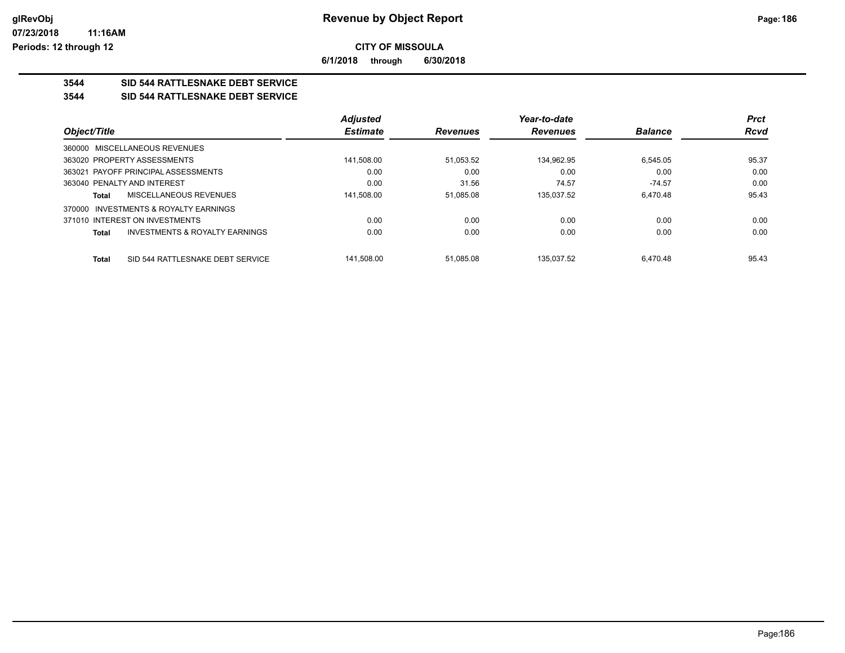**6/1/2018 through 6/30/2018**

# **3544 SID 544 RATTLESNAKE DEBT SERVICE**

### **3544 SID 544 RATTLESNAKE DEBT SERVICE**

|                                                    | <b>Adjusted</b> |                 | Year-to-date    |                | <b>Prct</b> |
|----------------------------------------------------|-----------------|-----------------|-----------------|----------------|-------------|
| Object/Title                                       | <b>Estimate</b> | <b>Revenues</b> | <b>Revenues</b> | <b>Balance</b> | <b>Rcvd</b> |
| 360000 MISCELLANEOUS REVENUES                      |                 |                 |                 |                |             |
| 363020 PROPERTY ASSESSMENTS                        | 141,508.00      | 51,053.52       | 134,962.95      | 6,545.05       | 95.37       |
| 363021 PAYOFF PRINCIPAL ASSESSMENTS                | 0.00            | 0.00            | 0.00            | 0.00           | 0.00        |
| 363040 PENALTY AND INTEREST                        | 0.00            | 31.56           | 74.57           | $-74.57$       | 0.00        |
| MISCELLANEOUS REVENUES<br>Total                    | 141,508.00      | 51.085.08       | 135.037.52      | 6.470.48       | 95.43       |
| 370000 INVESTMENTS & ROYALTY EARNINGS              |                 |                 |                 |                |             |
| 371010 INTEREST ON INVESTMENTS                     | 0.00            | 0.00            | 0.00            | 0.00           | 0.00        |
| <b>INVESTMENTS &amp; ROYALTY EARNINGS</b><br>Total | 0.00            | 0.00            | 0.00            | 0.00           | 0.00        |
|                                                    |                 |                 |                 |                |             |
| SID 544 RATTLESNAKE DEBT SERVICE<br><b>Total</b>   | 141.508.00      | 51.085.08       | 135.037.52      | 6.470.48       | 95.43       |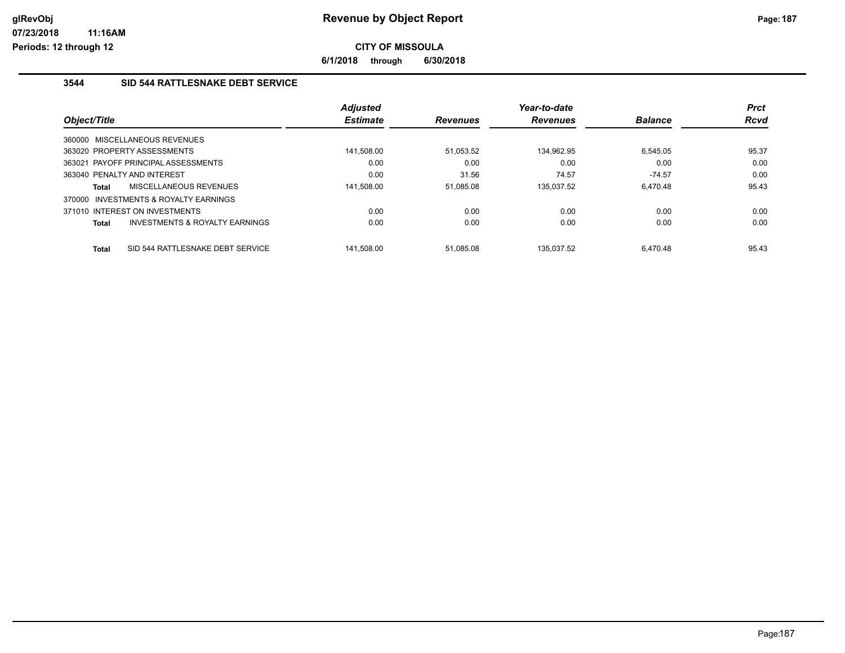**6/1/2018 through 6/30/2018**

### **3544 SID 544 RATTLESNAKE DEBT SERVICE**

|              |                                       | <b>Adjusted</b> |                 | Year-to-date    |                | <b>Prct</b> |
|--------------|---------------------------------------|-----------------|-----------------|-----------------|----------------|-------------|
| Object/Title |                                       | <b>Estimate</b> | <b>Revenues</b> | <b>Revenues</b> | <b>Balance</b> | Rcvd        |
|              | 360000 MISCELLANEOUS REVENUES         |                 |                 |                 |                |             |
|              | 363020 PROPERTY ASSESSMENTS           | 141,508.00      | 51.053.52       | 134,962.95      | 6.545.05       | 95.37       |
|              | 363021 PAYOFF PRINCIPAL ASSESSMENTS   | 0.00            | 0.00            | 0.00            | 0.00           | 0.00        |
|              | 363040 PENALTY AND INTEREST           | 0.00            | 31.56           | 74.57           | $-74.57$       | 0.00        |
| <b>Total</b> | MISCELLANEOUS REVENUES                | 141.508.00      | 51.085.08       | 135.037.52      | 6.470.48       | 95.43       |
|              | 370000 INVESTMENTS & ROYALTY EARNINGS |                 |                 |                 |                |             |
|              | 371010 INTEREST ON INVESTMENTS        | 0.00            | 0.00            | 0.00            | 0.00           | 0.00        |
| Total        | INVESTMENTS & ROYALTY EARNINGS        | 0.00            | 0.00            | 0.00            | 0.00           | 0.00        |
| <b>Total</b> | SID 544 RATTLESNAKE DEBT SERVICE      | 141.508.00      | 51.085.08       | 135.037.52      | 6.470.48       | 95.43       |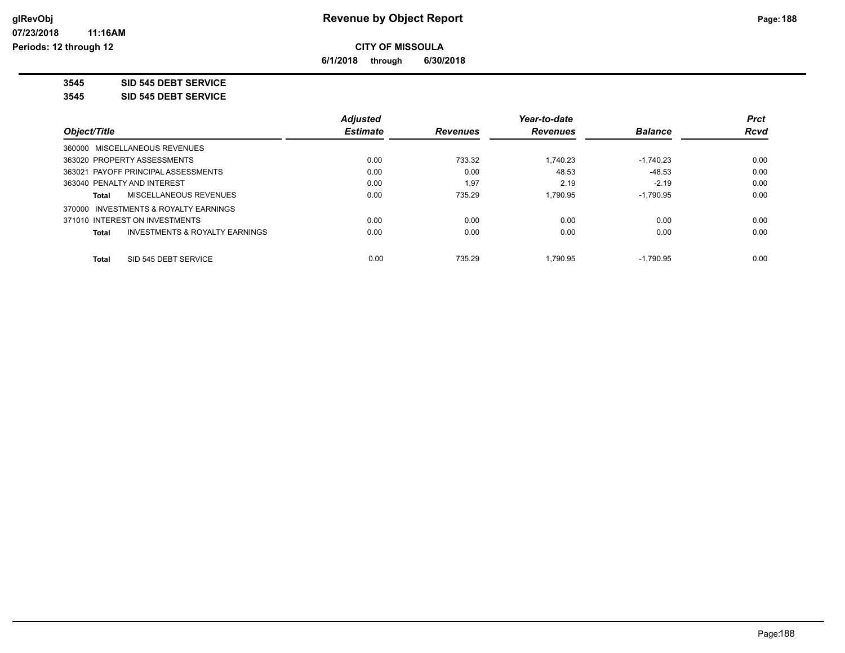**6/1/2018 through 6/30/2018**

**3545 SID 545 DEBT SERVICE**

**3545 SID 545 DEBT SERVICE**

|                                                    | <b>Adjusted</b> |                 | Year-to-date    |                | <b>Prct</b> |
|----------------------------------------------------|-----------------|-----------------|-----------------|----------------|-------------|
| Object/Title                                       | <b>Estimate</b> | <b>Revenues</b> | <b>Revenues</b> | <b>Balance</b> | <b>Rcvd</b> |
| 360000 MISCELLANEOUS REVENUES                      |                 |                 |                 |                |             |
| 363020 PROPERTY ASSESSMENTS                        | 0.00            | 733.32          | 1.740.23        | $-1.740.23$    | 0.00        |
| 363021 PAYOFF PRINCIPAL ASSESSMENTS                | 0.00            | 0.00            | 48.53           | $-48.53$       | 0.00        |
| 363040 PENALTY AND INTEREST                        | 0.00            | 1.97            | 2.19            | $-2.19$        | 0.00        |
| MISCELLANEOUS REVENUES<br>Total                    | 0.00            | 735.29          | 1.790.95        | $-1.790.95$    | 0.00        |
| 370000 INVESTMENTS & ROYALTY EARNINGS              |                 |                 |                 |                |             |
| 371010 INTEREST ON INVESTMENTS                     | 0.00            | 0.00            | 0.00            | 0.00           | 0.00        |
| <b>INVESTMENTS &amp; ROYALTY EARNINGS</b><br>Total | 0.00            | 0.00            | 0.00            | 0.00           | 0.00        |
| SID 545 DEBT SERVICE<br><b>Total</b>               | 0.00            | 735.29          | 1.790.95        | $-1.790.95$    | 0.00        |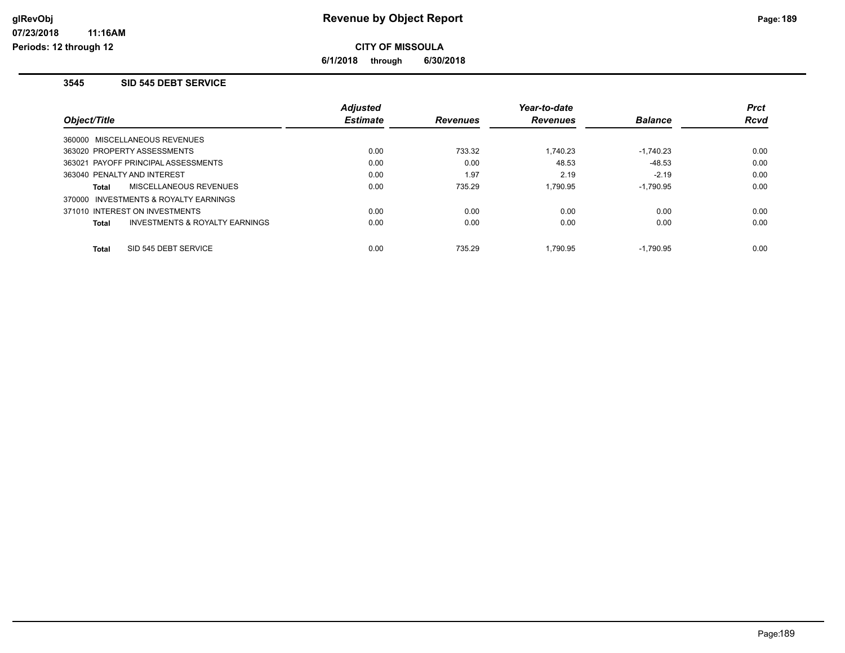**6/1/2018 through 6/30/2018**

#### **3545 SID 545 DEBT SERVICE**

|                                         | <b>Adjusted</b> |                 | Year-to-date    |                | <b>Prct</b> |
|-----------------------------------------|-----------------|-----------------|-----------------|----------------|-------------|
| Object/Title                            | <b>Estimate</b> | <b>Revenues</b> | <b>Revenues</b> | <b>Balance</b> | <b>Rcvd</b> |
| 360000 MISCELLANEOUS REVENUES           |                 |                 |                 |                |             |
| 363020 PROPERTY ASSESSMENTS             | 0.00            | 733.32          | 1.740.23        | $-1.740.23$    | 0.00        |
| 363021 PAYOFF PRINCIPAL ASSESSMENTS     | 0.00            | 0.00            | 48.53           | $-48.53$       | 0.00        |
| 363040 PENALTY AND INTEREST             | 0.00            | 1.97            | 2.19            | $-2.19$        | 0.00        |
| MISCELLANEOUS REVENUES<br>Total         | 0.00            | 735.29          | 1.790.95        | $-1.790.95$    | 0.00        |
| 370000 INVESTMENTS & ROYALTY EARNINGS   |                 |                 |                 |                |             |
| 371010 INTEREST ON INVESTMENTS          | 0.00            | 0.00            | 0.00            | 0.00           | 0.00        |
| INVESTMENTS & ROYALTY EARNINGS<br>Total | 0.00            | 0.00            | 0.00            | 0.00           | 0.00        |
| SID 545 DEBT SERVICE<br>Total           | 0.00            | 735.29          | 1.790.95        | $-1.790.95$    | 0.00        |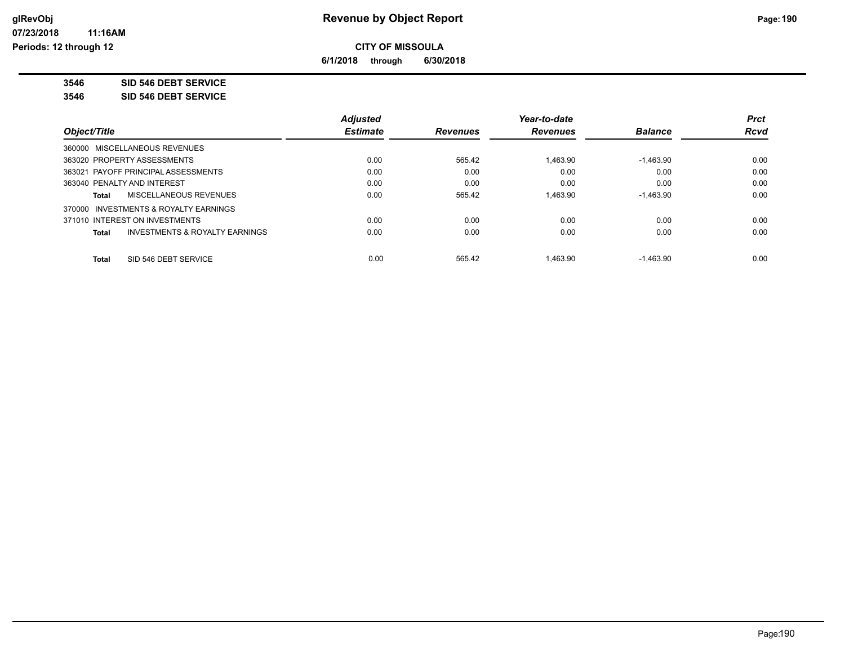**6/1/2018 through 6/30/2018**

**3546 SID 546 DEBT SERVICE**

**3546 SID 546 DEBT SERVICE**

|                                                | <b>Adjusted</b> |                 | Year-to-date    |                | <b>Prct</b> |
|------------------------------------------------|-----------------|-----------------|-----------------|----------------|-------------|
| Object/Title                                   | <b>Estimate</b> | <b>Revenues</b> | <b>Revenues</b> | <b>Balance</b> | <b>Rcvd</b> |
| 360000 MISCELLANEOUS REVENUES                  |                 |                 |                 |                |             |
| 363020 PROPERTY ASSESSMENTS                    | 0.00            | 565.42          | 1.463.90        | $-1.463.90$    | 0.00        |
| 363021 PAYOFF PRINCIPAL ASSESSMENTS            | 0.00            | 0.00            | 0.00            | 0.00           | 0.00        |
| 363040 PENALTY AND INTEREST                    | 0.00            | 0.00            | 0.00            | 0.00           | 0.00        |
| MISCELLANEOUS REVENUES<br>Total                | 0.00            | 565.42          | 1.463.90        | $-1.463.90$    | 0.00        |
| 370000 INVESTMENTS & ROYALTY EARNINGS          |                 |                 |                 |                |             |
| 371010 INTEREST ON INVESTMENTS                 | 0.00            | 0.00            | 0.00            | 0.00           | 0.00        |
| INVESTMENTS & ROYALTY EARNINGS<br><b>Total</b> | 0.00            | 0.00            | 0.00            | 0.00           | 0.00        |
| SID 546 DEBT SERVICE<br><b>Total</b>           | 0.00            | 565.42          | 1.463.90        | $-1.463.90$    | 0.00        |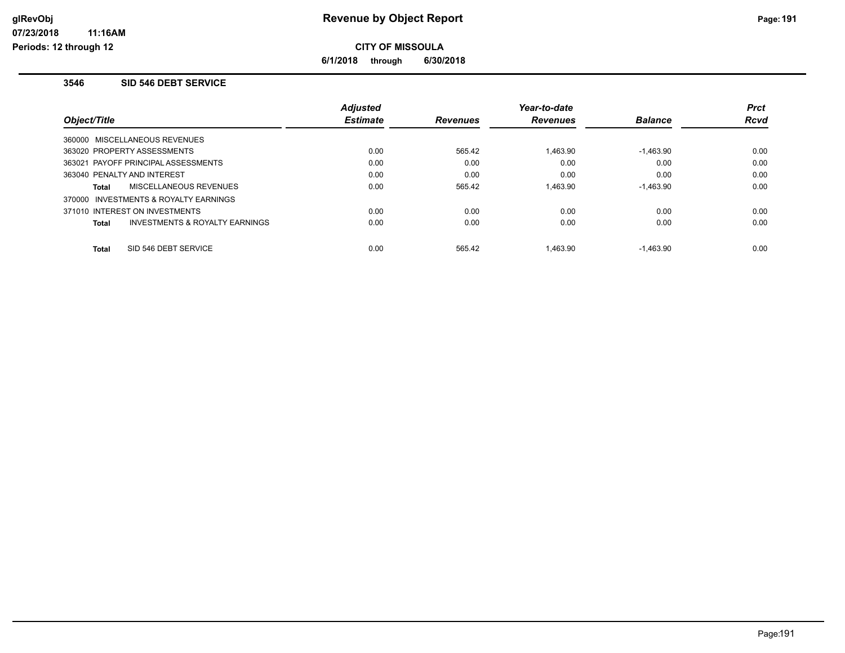**6/1/2018 through 6/30/2018**

### **3546 SID 546 DEBT SERVICE**

|                                         | <b>Adjusted</b> |                 | Year-to-date    |                | <b>Prct</b> |
|-----------------------------------------|-----------------|-----------------|-----------------|----------------|-------------|
| <b>Object/Title</b>                     | <b>Estimate</b> | <b>Revenues</b> | <b>Revenues</b> | <b>Balance</b> | <b>Rcvd</b> |
| 360000 MISCELLANEOUS REVENUES           |                 |                 |                 |                |             |
| 363020 PROPERTY ASSESSMENTS             | 0.00            | 565.42          | 1.463.90        | $-1.463.90$    | 0.00        |
| 363021 PAYOFF PRINCIPAL ASSESSMENTS     | 0.00            | 0.00            | 0.00            | 0.00           | 0.00        |
| 363040 PENALTY AND INTEREST             | 0.00            | 0.00            | 0.00            | 0.00           | 0.00        |
| MISCELLANEOUS REVENUES<br>Total         | 0.00            | 565.42          | 1.463.90        | $-1.463.90$    | 0.00        |
| 370000 INVESTMENTS & ROYALTY EARNINGS   |                 |                 |                 |                |             |
| 371010 INTEREST ON INVESTMENTS          | 0.00            | 0.00            | 0.00            | 0.00           | 0.00        |
| INVESTMENTS & ROYALTY EARNINGS<br>Total | 0.00            | 0.00            | 0.00            | 0.00           | 0.00        |
| SID 546 DEBT SERVICE<br><b>Total</b>    | 0.00            | 565.42          | 1.463.90        | $-1.463.90$    | 0.00        |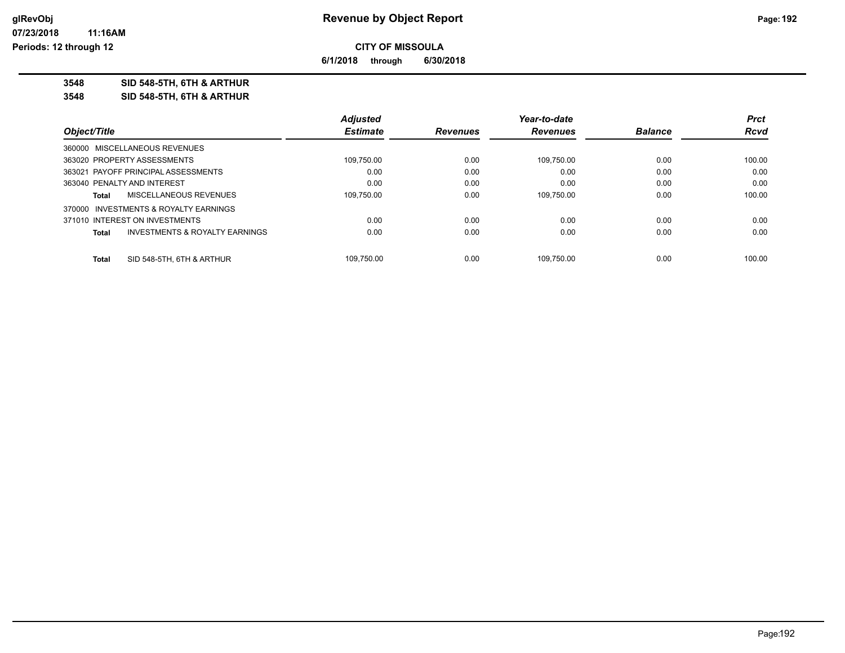**6/1/2018 through 6/30/2018**

**3548 SID 548-5TH, 6TH & ARTHUR**

**3548 SID 548-5TH, 6TH & ARTHUR**

|              |                                           | <b>Adjusted</b> |                 | Year-to-date    |                | <b>Prct</b> |
|--------------|-------------------------------------------|-----------------|-----------------|-----------------|----------------|-------------|
| Object/Title |                                           | <b>Estimate</b> | <b>Revenues</b> | <b>Revenues</b> | <b>Balance</b> | <b>Rcvd</b> |
|              | 360000 MISCELLANEOUS REVENUES             |                 |                 |                 |                |             |
|              | 363020 PROPERTY ASSESSMENTS               | 109,750.00      | 0.00            | 109.750.00      | 0.00           | 100.00      |
|              | 363021 PAYOFF PRINCIPAL ASSESSMENTS       | 0.00            | 0.00            | 0.00            | 0.00           | 0.00        |
|              | 363040 PENALTY AND INTEREST               | 0.00            | 0.00            | 0.00            | 0.00           | 0.00        |
| Total        | <b>MISCELLANEOUS REVENUES</b>             | 109.750.00      | 0.00            | 109.750.00      | 0.00           | 100.00      |
|              | 370000 INVESTMENTS & ROYALTY EARNINGS     |                 |                 |                 |                |             |
|              | 371010 INTEREST ON INVESTMENTS            | 0.00            | 0.00            | 0.00            | 0.00           | 0.00        |
| Total        | <b>INVESTMENTS &amp; ROYALTY EARNINGS</b> | 0.00            | 0.00            | 0.00            | 0.00           | 0.00        |
| Total        | SID 548-5TH, 6TH & ARTHUR                 | 109.750.00      | 0.00            | 109.750.00      | 0.00           | 100.00      |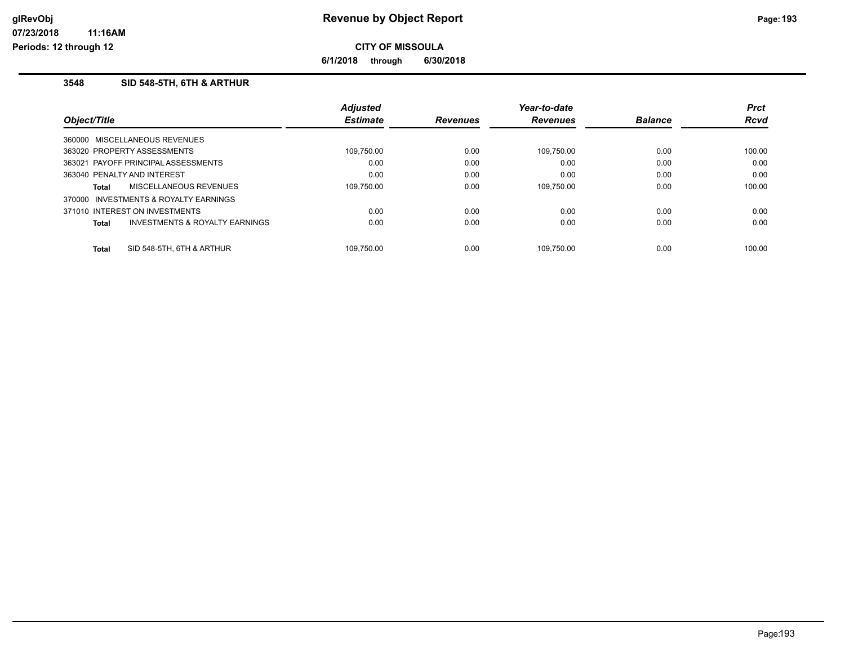**6/1/2018 through 6/30/2018**

### **3548 SID 548-5TH, 6TH & ARTHUR**

|              |                                     | <b>Adjusted</b> |                 | Year-to-date    |                | <b>Prct</b> |
|--------------|-------------------------------------|-----------------|-----------------|-----------------|----------------|-------------|
| Object/Title |                                     | <b>Estimate</b> | <b>Revenues</b> | <b>Revenues</b> | <b>Balance</b> | <b>Rcvd</b> |
|              | 360000 MISCELLANEOUS REVENUES       |                 |                 |                 |                |             |
|              | 363020 PROPERTY ASSESSMENTS         | 109.750.00      | 0.00            | 109.750.00      | 0.00           | 100.00      |
|              | 363021 PAYOFF PRINCIPAL ASSESSMENTS | 0.00            | 0.00            | 0.00            | 0.00           | 0.00        |
|              | 363040 PENALTY AND INTEREST         | 0.00            | 0.00            | 0.00            | 0.00           | 0.00        |
| Total        | MISCELLANEOUS REVENUES              | 109.750.00      | 0.00            | 109.750.00      | 0.00           | 100.00      |
| 370000       | INVESTMENTS & ROYALTY EARNINGS      |                 |                 |                 |                |             |
|              | 371010 INTEREST ON INVESTMENTS      | 0.00            | 0.00            | 0.00            | 0.00           | 0.00        |
| <b>Total</b> | INVESTMENTS & ROYALTY EARNINGS      | 0.00            | 0.00            | 0.00            | 0.00           | 0.00        |
| <b>Total</b> | SID 548-5TH, 6TH & ARTHUR           | 109.750.00      | 0.00            | 109.750.00      | 0.00           | 100.00      |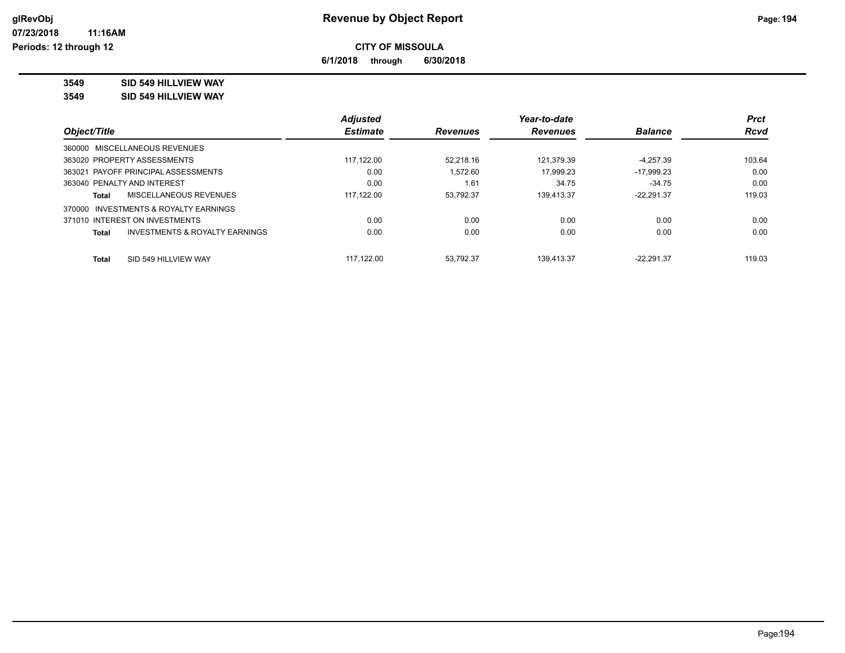**6/1/2018 through 6/30/2018**

### **3549 SID 549 HILLVIEW WAY**

#### **3549 SID 549 HILLVIEW WAY**

|                                       |                                           | <b>Adjusted</b> |                 | Year-to-date    |                | <b>Prct</b> |
|---------------------------------------|-------------------------------------------|-----------------|-----------------|-----------------|----------------|-------------|
| Object/Title                          |                                           | <b>Estimate</b> | <b>Revenues</b> | <b>Revenues</b> | <b>Balance</b> | <b>Rcvd</b> |
| 360000 MISCELLANEOUS REVENUES         |                                           |                 |                 |                 |                |             |
| 363020 PROPERTY ASSESSMENTS           |                                           | 117.122.00      | 52.218.16       | 121.379.39      | $-4.257.39$    | 103.64      |
| 363021 PAYOFF PRINCIPAL ASSESSMENTS   |                                           | 0.00            | 1.572.60        | 17.999.23       | $-17,999.23$   | 0.00        |
| 363040 PENALTY AND INTEREST           |                                           | 0.00            | 1.61            | 34.75           | $-34.75$       | 0.00        |
| Total                                 | MISCELLANEOUS REVENUES                    | 117.122.00      | 53.792.37       | 139.413.37      | $-22.291.37$   | 119.03      |
| 370000 INVESTMENTS & ROYALTY EARNINGS |                                           |                 |                 |                 |                |             |
| 371010 INTEREST ON INVESTMENTS        |                                           | 0.00            | 0.00            | 0.00            | 0.00           | 0.00        |
| Total                                 | <b>INVESTMENTS &amp; ROYALTY EARNINGS</b> | 0.00            | 0.00            | 0.00            | 0.00           | 0.00        |
| SID 549 HILLVIEW WAY<br><b>Total</b>  |                                           | 117.122.00      | 53.792.37       | 139.413.37      | $-22.291.37$   | 119.03      |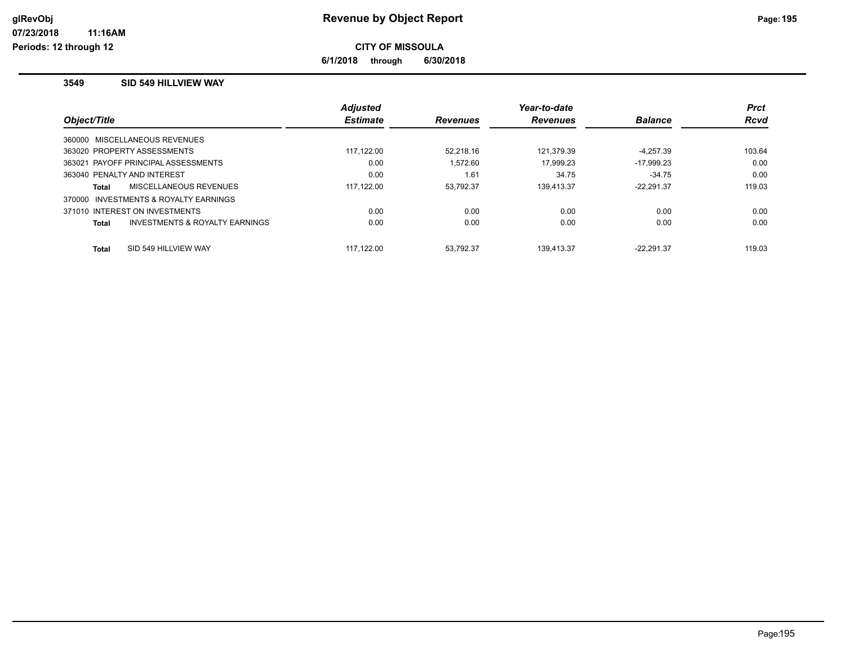**6/1/2018 through 6/30/2018**

### **3549 SID 549 HILLVIEW WAY**

|              |                                     | <b>Adjusted</b> |                 | Year-to-date    |                | <b>Prct</b> |
|--------------|-------------------------------------|-----------------|-----------------|-----------------|----------------|-------------|
| Object/Title |                                     | <b>Estimate</b> | <b>Revenues</b> | <b>Revenues</b> | <b>Balance</b> | <b>Rcvd</b> |
|              | 360000 MISCELLANEOUS REVENUES       |                 |                 |                 |                |             |
|              | 363020 PROPERTY ASSESSMENTS         | 117.122.00      | 52.218.16       | 121,379.39      | $-4.257.39$    | 103.64      |
|              | 363021 PAYOFF PRINCIPAL ASSESSMENTS | 0.00            | 1.572.60        | 17.999.23       | $-17.999.23$   | 0.00        |
|              | 363040 PENALTY AND INTEREST         | 0.00            | 1.61            | 34.75           | $-34.75$       | 0.00        |
| Total        | MISCELLANEOUS REVENUES              | 117.122.00      | 53.792.37       | 139.413.37      | $-22.291.37$   | 119.03      |
| 370000       | INVESTMENTS & ROYALTY EARNINGS      |                 |                 |                 |                |             |
|              | 371010 INTEREST ON INVESTMENTS      | 0.00            | 0.00            | 0.00            | 0.00           | 0.00        |
| Total        | INVESTMENTS & ROYALTY EARNINGS      | 0.00            | 0.00            | 0.00            | 0.00           | 0.00        |
| <b>Total</b> | SID 549 HILLVIEW WAY                | 117.122.00      | 53.792.37       | 139.413.37      | $-22.291.37$   | 119.03      |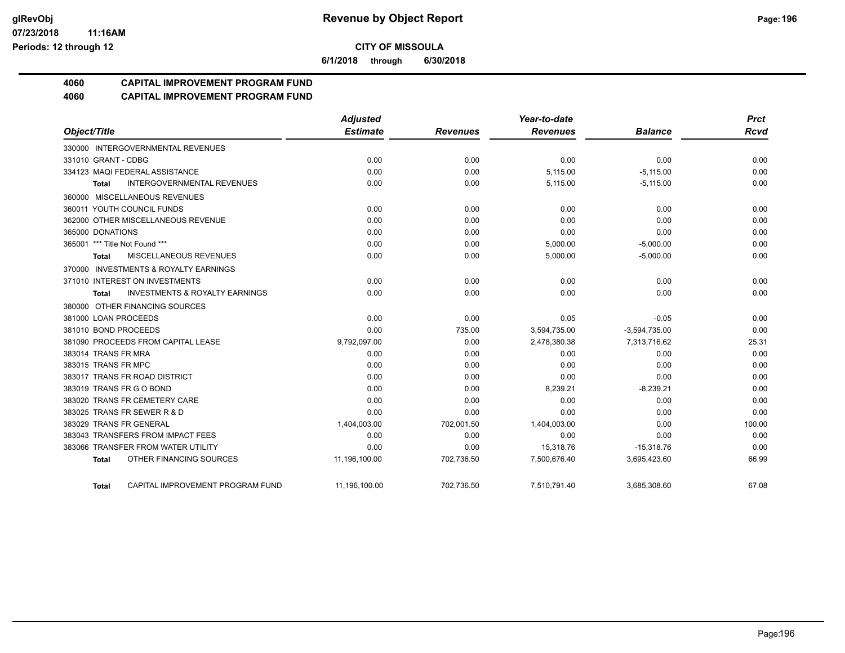**6/1/2018 through 6/30/2018**

# **4060 CAPITAL IMPROVEMENT PROGRAM FUND**

### **4060 CAPITAL IMPROVEMENT PROGRAM FUND**

|                                                    | <b>Adjusted</b> |                 | Year-to-date    |                 | <b>Prct</b> |
|----------------------------------------------------|-----------------|-----------------|-----------------|-----------------|-------------|
| Object/Title                                       | <b>Estimate</b> | <b>Revenues</b> | <b>Revenues</b> | <b>Balance</b>  | Rcvd        |
| 330000 INTERGOVERNMENTAL REVENUES                  |                 |                 |                 |                 |             |
| 331010 GRANT - CDBG                                | 0.00            | 0.00            | 0.00            | 0.00            | 0.00        |
| 334123 MAQI FEDERAL ASSISTANCE                     | 0.00            | 0.00            | 5,115.00        | $-5,115.00$     | 0.00        |
| <b>INTERGOVERNMENTAL REVENUES</b><br>Total         | 0.00            | 0.00            | 5,115.00        | $-5,115.00$     | 0.00        |
| 360000 MISCELLANEOUS REVENUES                      |                 |                 |                 |                 |             |
| 360011 YOUTH COUNCIL FUNDS                         | 0.00            | 0.00            | 0.00            | 0.00            | 0.00        |
| 362000 OTHER MISCELLANEOUS REVENUE                 | 0.00            | 0.00            | 0.00            | 0.00            | 0.00        |
| 365000 DONATIONS                                   | 0.00            | 0.00            | 0.00            | 0.00            | 0.00        |
| 365001 *** Title Not Found ***                     | 0.00            | 0.00            | 5,000.00        | $-5,000.00$     | 0.00        |
| MISCELLANEOUS REVENUES<br>Total                    | 0.00            | 0.00            | 5,000.00        | $-5,000.00$     | 0.00        |
| 370000 INVESTMENTS & ROYALTY EARNINGS              |                 |                 |                 |                 |             |
| 371010 INTEREST ON INVESTMENTS                     | 0.00            | 0.00            | 0.00            | 0.00            | 0.00        |
| <b>INVESTMENTS &amp; ROYALTY EARNINGS</b><br>Total | 0.00            | 0.00            | 0.00            | 0.00            | 0.00        |
| 380000 OTHER FINANCING SOURCES                     |                 |                 |                 |                 |             |
| 381000 LOAN PROCEEDS                               | 0.00            | 0.00            | 0.05            | $-0.05$         | 0.00        |
| 381010 BOND PROCEEDS                               | 0.00            | 735.00          | 3,594,735.00    | $-3,594,735.00$ | 0.00        |
| 381090 PROCEEDS FROM CAPITAL LEASE                 | 9,792,097.00    | 0.00            | 2,478,380.38    | 7,313,716.62    | 25.31       |
| 383014 TRANS FR MRA                                | 0.00            | 0.00            | 0.00            | 0.00            | 0.00        |
| 383015 TRANS FR MPC                                | 0.00            | 0.00            | 0.00            | 0.00            | 0.00        |
| 383017 TRANS FR ROAD DISTRICT                      | 0.00            | 0.00            | 0.00            | 0.00            | 0.00        |
| 383019 TRANS FR G O BOND                           | 0.00            | 0.00            | 8,239.21        | $-8,239.21$     | 0.00        |
| 383020 TRANS FR CEMETERY CARE                      | 0.00            | 0.00            | 0.00            | 0.00            | 0.00        |
| 383025 TRANS FR SEWER R & D                        | 0.00            | 0.00            | 0.00            | 0.00            | 0.00        |
| 383029 TRANS FR GENERAL                            | 1,404,003.00    | 702,001.50      | 1,404,003.00    | 0.00            | 100.00      |
| 383043 TRANSFERS FROM IMPACT FEES                  | 0.00            | 0.00            | 0.00            | 0.00            | 0.00        |
| 383066 TRANSFER FROM WATER UTILITY                 | 0.00            | 0.00            | 15,318.76       | $-15,318.76$    | 0.00        |
| OTHER FINANCING SOURCES<br>Total                   | 11,196,100.00   | 702,736.50      | 7,500,676.40    | 3,695,423.60    | 66.99       |
| CAPITAL IMPROVEMENT PROGRAM FUND<br><b>Total</b>   | 11,196,100.00   | 702,736.50      | 7,510,791.40    | 3,685,308.60    | 67.08       |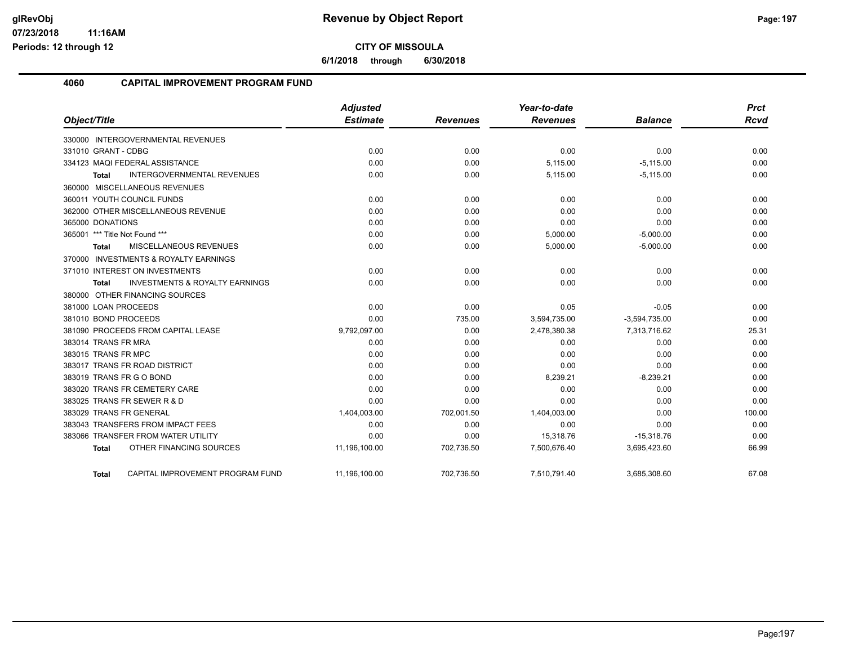**6/1/2018 through 6/30/2018**

### **4060 CAPITAL IMPROVEMENT PROGRAM FUND**

| Object/Title                                              | <b>Adjusted</b><br><b>Estimate</b> | <b>Revenues</b> | Year-to-date<br><b>Revenues</b> | <b>Balance</b>  | <b>Prct</b><br><b>Rcvd</b> |
|-----------------------------------------------------------|------------------------------------|-----------------|---------------------------------|-----------------|----------------------------|
|                                                           |                                    |                 |                                 |                 |                            |
| 330000 INTERGOVERNMENTAL REVENUES                         |                                    |                 |                                 |                 |                            |
| 331010 GRANT - CDBG                                       | 0.00                               | 0.00            | 0.00                            | 0.00            | 0.00                       |
| 334123 MAQI FEDERAL ASSISTANCE                            | 0.00                               | 0.00            | 5,115.00                        | $-5,115.00$     | 0.00                       |
| <b>INTERGOVERNMENTAL REVENUES</b><br>Total                | 0.00                               | 0.00            | 5,115.00                        | $-5,115.00$     | 0.00                       |
| 360000 MISCELLANEOUS REVENUES                             |                                    |                 |                                 |                 |                            |
| 360011 YOUTH COUNCIL FUNDS                                | 0.00                               | 0.00            | 0.00                            | 0.00            | 0.00                       |
| 362000 OTHER MISCELLANEOUS REVENUE                        | 0.00                               | 0.00            | 0.00                            | 0.00            | 0.00                       |
| 365000 DONATIONS                                          | 0.00                               | 0.00            | 0.00                            | 0.00            | 0.00                       |
| 365001 *** Title Not Found ***                            | 0.00                               | 0.00            | 5,000.00                        | $-5,000.00$     | 0.00                       |
| <b>MISCELLANEOUS REVENUES</b><br>Total                    | 0.00                               | 0.00            | 5,000.00                        | $-5,000.00$     | 0.00                       |
| 370000 INVESTMENTS & ROYALTY EARNINGS                     |                                    |                 |                                 |                 |                            |
| 371010 INTEREST ON INVESTMENTS                            | 0.00                               | 0.00            | 0.00                            | 0.00            | 0.00                       |
| <b>INVESTMENTS &amp; ROYALTY EARNINGS</b><br><b>Total</b> | 0.00                               | 0.00            | 0.00                            | 0.00            | 0.00                       |
| 380000 OTHER FINANCING SOURCES                            |                                    |                 |                                 |                 |                            |
| 381000 LOAN PROCEEDS                                      | 0.00                               | 0.00            | 0.05                            | $-0.05$         | 0.00                       |
| 381010 BOND PROCEEDS                                      | 0.00                               | 735.00          | 3,594,735.00                    | $-3,594,735.00$ | 0.00                       |
| 381090 PROCEEDS FROM CAPITAL LEASE                        | 9,792,097.00                       | 0.00            | 2,478,380.38                    | 7,313,716.62    | 25.31                      |
| 383014 TRANS FR MRA                                       | 0.00                               | 0.00            | 0.00                            | 0.00            | 0.00                       |
| 383015 TRANS FR MPC                                       | 0.00                               | 0.00            | 0.00                            | 0.00            | 0.00                       |
| 383017 TRANS FR ROAD DISTRICT                             | 0.00                               | 0.00            | 0.00                            | 0.00            | 0.00                       |
| 383019 TRANS FR G O BOND                                  | 0.00                               | 0.00            | 8.239.21                        | $-8,239.21$     | 0.00                       |
| 383020 TRANS FR CEMETERY CARE                             | 0.00                               | 0.00            | 0.00                            | 0.00            | 0.00                       |
| 383025 TRANS FR SEWER R & D                               | 0.00                               | 0.00            | 0.00                            | 0.00            | 0.00                       |
| 383029 TRANS FR GENERAL                                   | 1,404,003.00                       | 702,001.50      | 1,404,003.00                    | 0.00            | 100.00                     |
| 383043 TRANSFERS FROM IMPACT FEES                         | 0.00                               | 0.00            | 0.00                            | 0.00            | 0.00                       |
| 383066 TRANSFER FROM WATER UTILITY                        | 0.00                               | 0.00            | 15,318.76                       | $-15,318.76$    | 0.00                       |
| OTHER FINANCING SOURCES<br><b>Total</b>                   | 11,196,100.00                      | 702,736.50      | 7,500,676.40                    | 3,695,423.60    | 66.99                      |
| CAPITAL IMPROVEMENT PROGRAM FUND<br><b>Total</b>          | 11.196.100.00                      | 702.736.50      | 7.510.791.40                    | 3,685,308.60    | 67.08                      |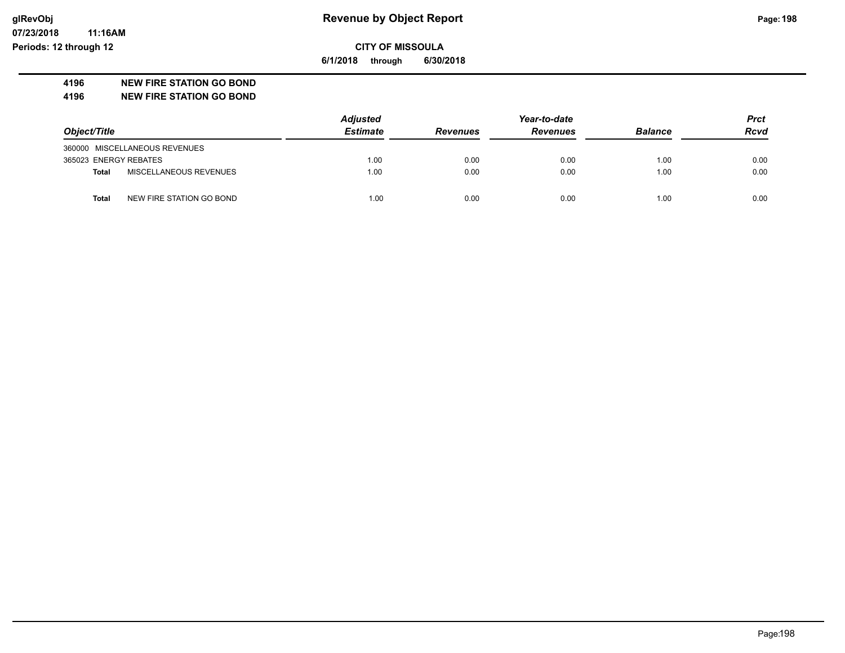**07/23/2018 11:16AM Periods: 12 through 12**

**CITY OF MISSOULA**

**6/1/2018 through 6/30/2018**

### **4196 NEW FIRE STATION GO BOND**

**4196 NEW FIRE STATION GO BOND**

|                       |                               | <b>Adjusted</b> |                 |                 | <b>Prct</b>    |             |
|-----------------------|-------------------------------|-----------------|-----------------|-----------------|----------------|-------------|
| Object/Title          |                               | <b>Estimate</b> | <b>Revenues</b> | <b>Revenues</b> | <b>Balance</b> | <b>Rcvd</b> |
|                       | 360000 MISCELLANEOUS REVENUES |                 |                 |                 |                |             |
| 365023 ENERGY REBATES |                               | 1.00            | 0.00            | 0.00            | 1.00           | 0.00        |
| Total                 | MISCELLANEOUS REVENUES        | 1.00            | 0.00            | 0.00            | 1.00           | 0.00        |
| <b>Total</b>          | NEW FIRE STATION GO BOND      | 1.00            | 0.00            | 0.00            | 1.00           | 0.00        |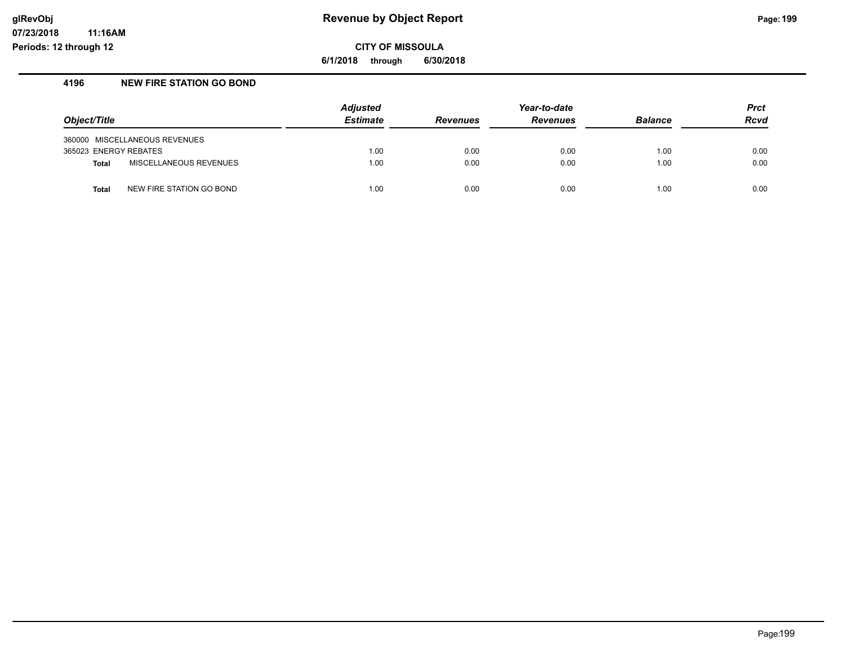**6/1/2018 through 6/30/2018**

### **4196 NEW FIRE STATION GO BOND**

|                       |                               | <b>Adjusted</b> |                 | <b>Prct</b>     |                |             |
|-----------------------|-------------------------------|-----------------|-----------------|-----------------|----------------|-------------|
| Object/Title          |                               | <b>Estimate</b> | <b>Revenues</b> | <b>Revenues</b> | <b>Balance</b> | <b>Rcvd</b> |
|                       | 360000 MISCELLANEOUS REVENUES |                 |                 |                 |                |             |
| 365023 ENERGY REBATES |                               | 1.00            | 0.00            | 0.00            | 1.00           | 0.00        |
| <b>Total</b>          | MISCELLANEOUS REVENUES        | 1.00            | 0.00            | 0.00            | 1.00           | 0.00        |
| <b>Total</b>          | NEW FIRE STATION GO BOND      | 1.00            | 0.00            | 0.00            | 1.00           | 0.00        |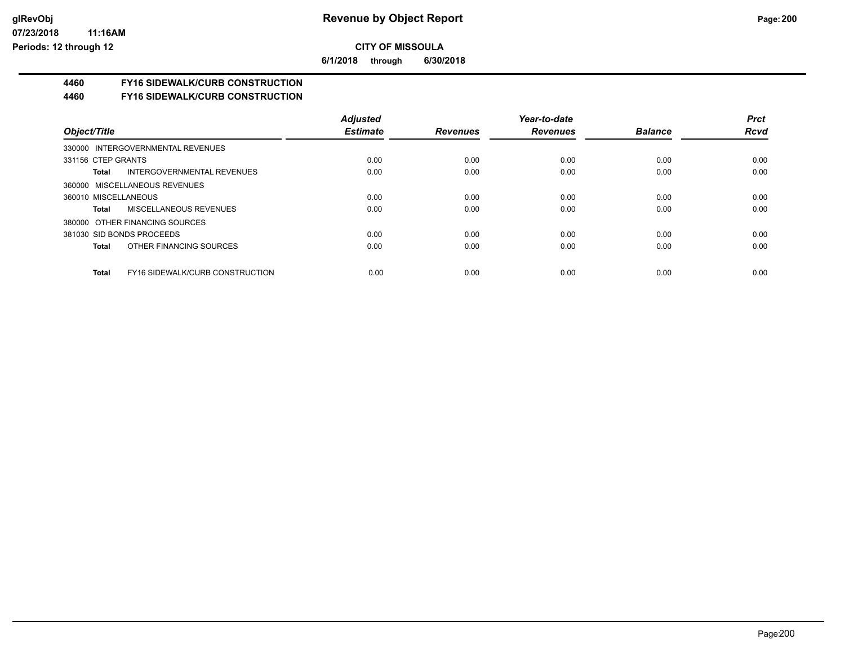**6/1/2018 through 6/30/2018**

# **4460 FY16 SIDEWALK/CURB CONSTRUCTION**

**4460 FY16 SIDEWALK/CURB CONSTRUCTION**

|                                                 | <b>Adjusted</b> |                 | Year-to-date    |                | <b>Prct</b> |
|-------------------------------------------------|-----------------|-----------------|-----------------|----------------|-------------|
| Object/Title                                    | <b>Estimate</b> | <b>Revenues</b> | <b>Revenues</b> | <b>Balance</b> | <b>Rcvd</b> |
| 330000 INTERGOVERNMENTAL REVENUES               |                 |                 |                 |                |             |
| 331156 CTEP GRANTS                              | 0.00            | 0.00            | 0.00            | 0.00           | 0.00        |
| INTERGOVERNMENTAL REVENUES<br>Total             | 0.00            | 0.00            | 0.00            | 0.00           | 0.00        |
| 360000 MISCELLANEOUS REVENUES                   |                 |                 |                 |                |             |
| 360010 MISCELLANEOUS                            | 0.00            | 0.00            | 0.00            | 0.00           | 0.00        |
| MISCELLANEOUS REVENUES<br>Total                 | 0.00            | 0.00            | 0.00            | 0.00           | 0.00        |
| 380000 OTHER FINANCING SOURCES                  |                 |                 |                 |                |             |
| 381030 SID BONDS PROCEEDS                       | 0.00            | 0.00            | 0.00            | 0.00           | 0.00        |
| OTHER FINANCING SOURCES<br>Total                | 0.00            | 0.00            | 0.00            | 0.00           | 0.00        |
|                                                 |                 |                 |                 |                |             |
| <b>FY16 SIDEWALK/CURB CONSTRUCTION</b><br>Total | 0.00            | 0.00            | 0.00            | 0.00           | 0.00        |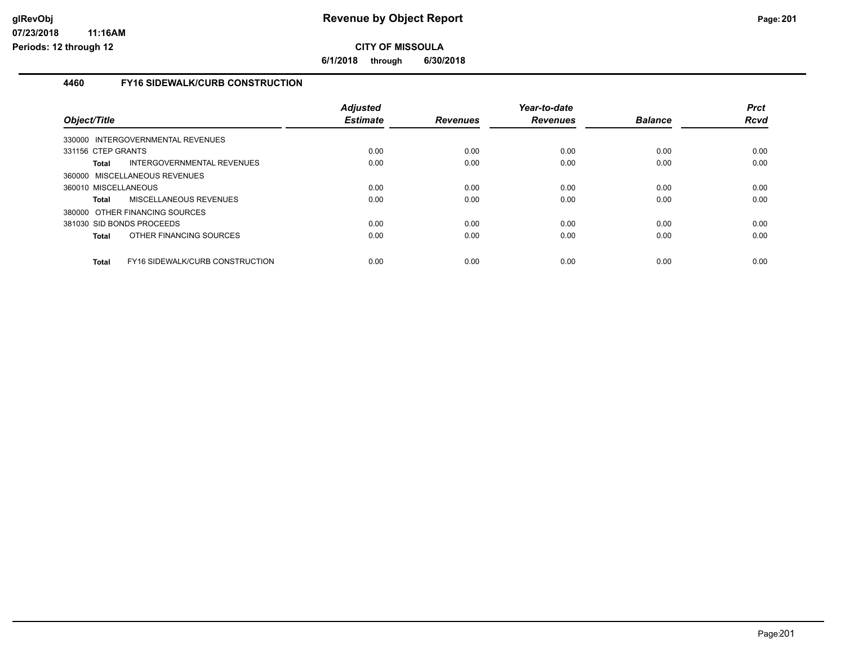**6/1/2018 through 6/30/2018**

### **4460 FY16 SIDEWALK/CURB CONSTRUCTION**

| Object/Title                                    | <b>Adjusted</b><br><b>Estimate</b> | <b>Revenues</b> | Year-to-date<br><b>Revenues</b> | <b>Balance</b> | <b>Prct</b><br><b>Rcvd</b> |
|-------------------------------------------------|------------------------------------|-----------------|---------------------------------|----------------|----------------------------|
| 330000 INTERGOVERNMENTAL REVENUES               |                                    |                 |                                 |                |                            |
| 331156 CTEP GRANTS                              | 0.00                               | 0.00            | 0.00                            | 0.00           | 0.00                       |
| INTERGOVERNMENTAL REVENUES<br>Total             | 0.00                               | 0.00            | 0.00                            | 0.00           | 0.00                       |
| 360000 MISCELLANEOUS REVENUES                   |                                    |                 |                                 |                |                            |
| 360010 MISCELLANEOUS                            | 0.00                               | 0.00            | 0.00                            | 0.00           | 0.00                       |
| MISCELLANEOUS REVENUES<br>Total                 | 0.00                               | 0.00            | 0.00                            | 0.00           | 0.00                       |
| 380000 OTHER FINANCING SOURCES                  |                                    |                 |                                 |                |                            |
| 381030 SID BONDS PROCEEDS                       | 0.00                               | 0.00            | 0.00                            | 0.00           | 0.00                       |
| OTHER FINANCING SOURCES<br><b>Total</b>         | 0.00                               | 0.00            | 0.00                            | 0.00           | 0.00                       |
| FY16 SIDEWALK/CURB CONSTRUCTION<br><b>Total</b> | 0.00                               | 0.00            | 0.00                            | 0.00           | 0.00                       |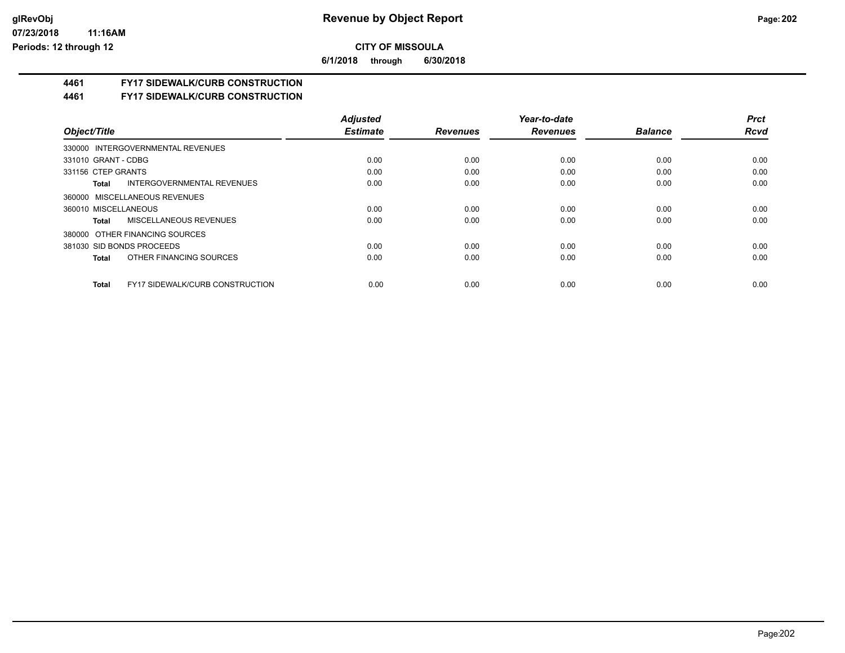**6/1/2018 through 6/30/2018**

### **4461 FY17 SIDEWALK/CURB CONSTRUCTION**

**4461 FY17 SIDEWALK/CURB CONSTRUCTION**

|                                                 | <b>Adjusted</b> |                 | Year-to-date    |                | <b>Prct</b> |
|-------------------------------------------------|-----------------|-----------------|-----------------|----------------|-------------|
| Object/Title                                    | <b>Estimate</b> | <b>Revenues</b> | <b>Revenues</b> | <b>Balance</b> | <b>Rcvd</b> |
| 330000 INTERGOVERNMENTAL REVENUES               |                 |                 |                 |                |             |
| 331010 GRANT - CDBG                             | 0.00            | 0.00            | 0.00            | 0.00           | 0.00        |
| 331156 CTEP GRANTS                              | 0.00            | 0.00            | 0.00            | 0.00           | 0.00        |
| INTERGOVERNMENTAL REVENUES<br>Total             | 0.00            | 0.00            | 0.00            | 0.00           | 0.00        |
| 360000 MISCELLANEOUS REVENUES                   |                 |                 |                 |                |             |
| 360010 MISCELLANEOUS                            | 0.00            | 0.00            | 0.00            | 0.00           | 0.00        |
| MISCELLANEOUS REVENUES<br>Total                 | 0.00            | 0.00            | 0.00            | 0.00           | 0.00        |
| 380000 OTHER FINANCING SOURCES                  |                 |                 |                 |                |             |
| 381030 SID BONDS PROCEEDS                       | 0.00            | 0.00            | 0.00            | 0.00           | 0.00        |
| OTHER FINANCING SOURCES<br>Total                | 0.00            | 0.00            | 0.00            | 0.00           | 0.00        |
| <b>FY17 SIDEWALK/CURB CONSTRUCTION</b><br>Total | 0.00            | 0.00            | 0.00            | 0.00           | 0.00        |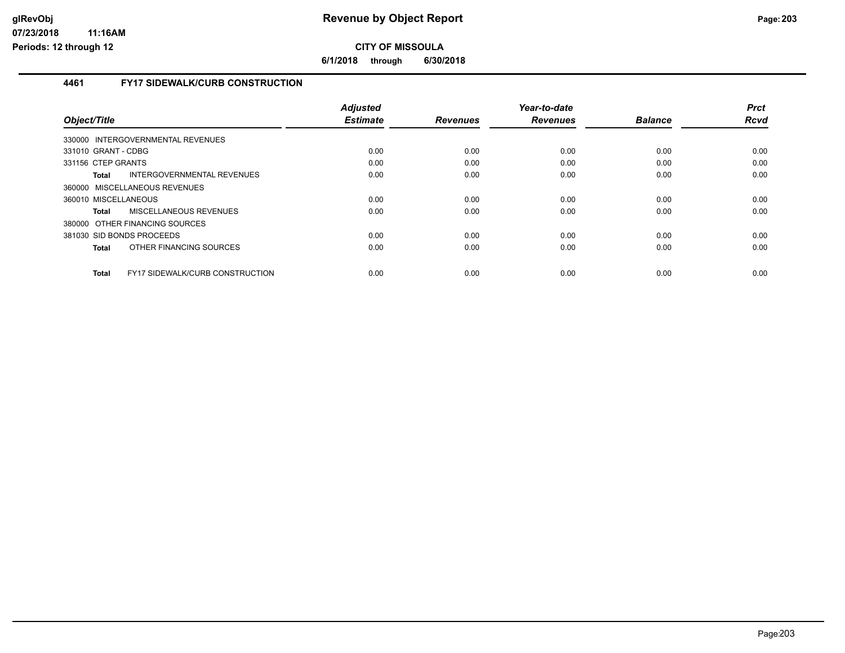**6/1/2018 through 6/30/2018**

### **4461 FY17 SIDEWALK/CURB CONSTRUCTION**

| <b>Adjusted</b> |                 | Year-to-date    |                | <b>Prct</b> |
|-----------------|-----------------|-----------------|----------------|-------------|
| <b>Estimate</b> | <b>Revenues</b> | <b>Revenues</b> | <b>Balance</b> | <b>Rcvd</b> |
|                 |                 |                 |                |             |
| 0.00            | 0.00            | 0.00            | 0.00           | 0.00        |
| 0.00            | 0.00            | 0.00            | 0.00           | 0.00        |
| 0.00            | 0.00            | 0.00            | 0.00           | 0.00        |
|                 |                 |                 |                |             |
| 0.00            | 0.00            | 0.00            | 0.00           | 0.00        |
| 0.00            | 0.00            | 0.00            | 0.00           | 0.00        |
|                 |                 |                 |                |             |
| 0.00            | 0.00            | 0.00            | 0.00           | 0.00        |
| 0.00            | 0.00            | 0.00            | 0.00           | 0.00        |
|                 |                 |                 |                | 0.00        |
|                 | 0.00            | 0.00            | 0.00           | 0.00        |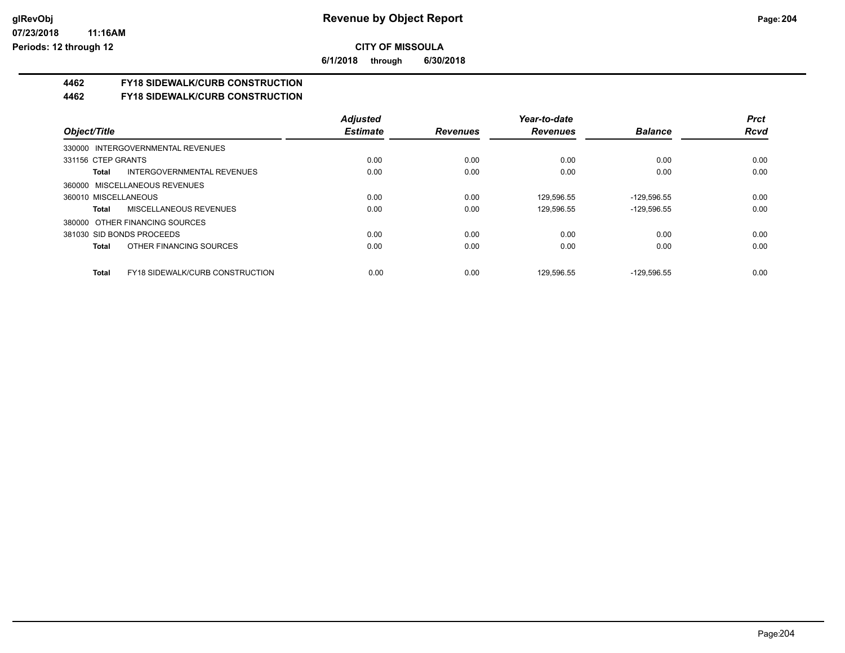**6/1/2018 through 6/30/2018**

## **4462 FY18 SIDEWALK/CURB CONSTRUCTION**

**4462 FY18 SIDEWALK/CURB CONSTRUCTION**

|                                                 | <b>Adjusted</b> |                 | Year-to-date    |                | <b>Prct</b> |
|-------------------------------------------------|-----------------|-----------------|-----------------|----------------|-------------|
| Object/Title                                    | <b>Estimate</b> | <b>Revenues</b> | <b>Revenues</b> | <b>Balance</b> | <b>Rcvd</b> |
| 330000 INTERGOVERNMENTAL REVENUES               |                 |                 |                 |                |             |
| 331156 CTEP GRANTS                              | 0.00            | 0.00            | 0.00            | 0.00           | 0.00        |
| INTERGOVERNMENTAL REVENUES<br>Total             | 0.00            | 0.00            | 0.00            | 0.00           | 0.00        |
| 360000 MISCELLANEOUS REVENUES                   |                 |                 |                 |                |             |
| 360010 MISCELLANEOUS                            | 0.00            | 0.00            | 129.596.55      | $-129.596.55$  | 0.00        |
| <b>MISCELLANEOUS REVENUES</b><br>Total          | 0.00            | 0.00            | 129,596.55      | $-129.596.55$  | 0.00        |
| 380000 OTHER FINANCING SOURCES                  |                 |                 |                 |                |             |
| 381030 SID BONDS PROCEEDS                       | 0.00            | 0.00            | 0.00            | 0.00           | 0.00        |
| OTHER FINANCING SOURCES<br>Total                | 0.00            | 0.00            | 0.00            | 0.00           | 0.00        |
| FY18 SIDEWALK/CURB CONSTRUCTION<br><b>Total</b> | 0.00            | 0.00            | 129.596.55      | $-129.596.55$  | 0.00        |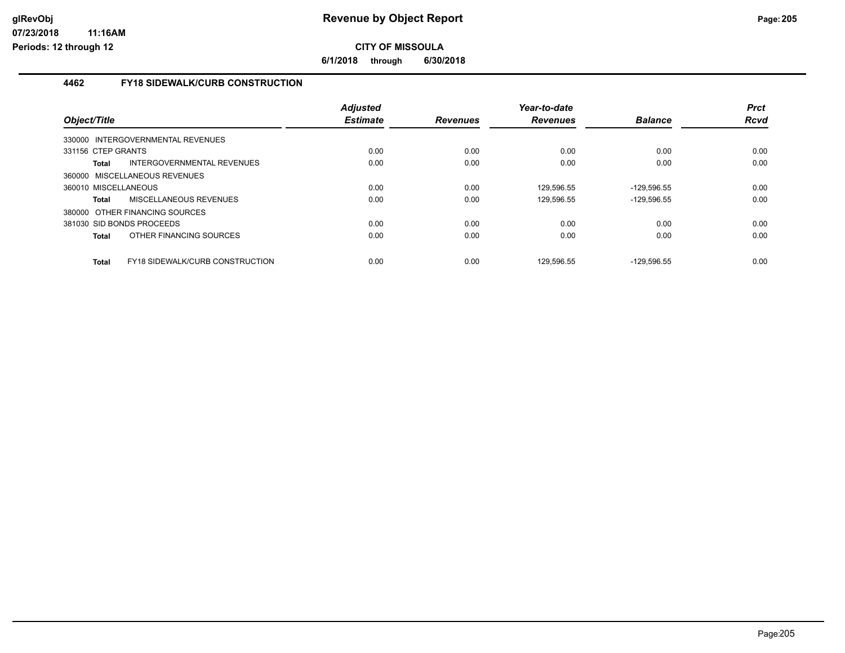**6/1/2018 through 6/30/2018**

### **4462 FY18 SIDEWALK/CURB CONSTRUCTION**

| Object/Title                                    | <b>Adjusted</b><br><b>Estimate</b> | <b>Revenues</b> | Year-to-date<br><b>Revenues</b> | <b>Balance</b> | <b>Prct</b><br><b>Rcvd</b> |
|-------------------------------------------------|------------------------------------|-----------------|---------------------------------|----------------|----------------------------|
| 330000 INTERGOVERNMENTAL REVENUES               |                                    |                 |                                 |                |                            |
| 331156 CTEP GRANTS                              | 0.00                               | 0.00            | 0.00                            | 0.00           | 0.00                       |
| INTERGOVERNMENTAL REVENUES<br>Total             | 0.00                               | 0.00            | 0.00                            | 0.00           | 0.00                       |
| 360000 MISCELLANEOUS REVENUES                   |                                    |                 |                                 |                |                            |
| 360010 MISCELLANEOUS                            | 0.00                               | 0.00            | 129.596.55                      | $-129,596.55$  | 0.00                       |
| MISCELLANEOUS REVENUES<br>Total                 | 0.00                               | 0.00            | 129,596.55                      | $-129,596.55$  | 0.00                       |
| 380000 OTHER FINANCING SOURCES                  |                                    |                 |                                 |                |                            |
| 381030 SID BONDS PROCEEDS                       | 0.00                               | 0.00            | 0.00                            | 0.00           | 0.00                       |
| OTHER FINANCING SOURCES<br>Total                | 0.00                               | 0.00            | 0.00                            | 0.00           | 0.00                       |
| FY18 SIDEWALK/CURB CONSTRUCTION<br><b>Total</b> | 0.00                               | 0.00            | 129.596.55                      | $-129.596.55$  | 0.00                       |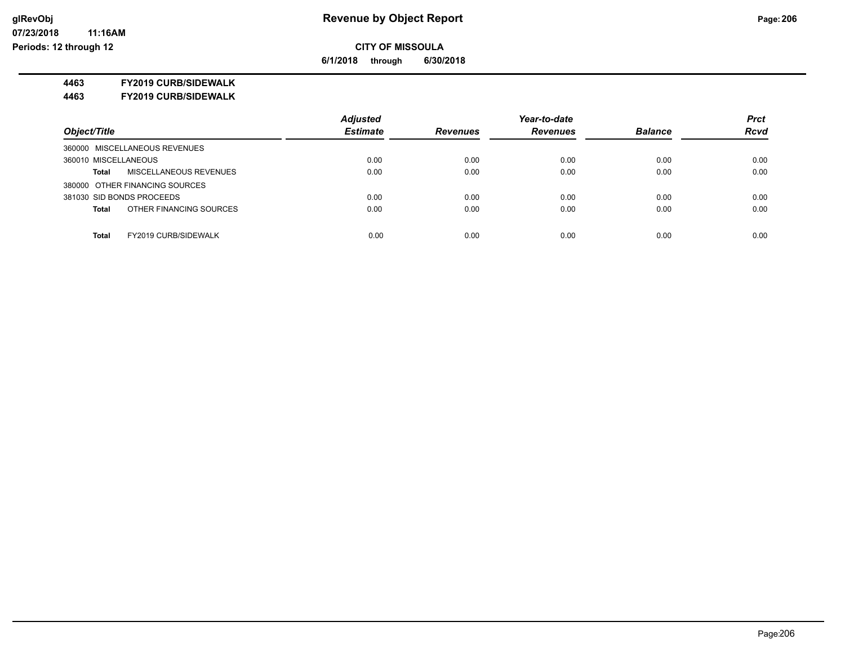**6/1/2018 through 6/30/2018**

**4463 FY2019 CURB/SIDEWALK**

**4463 FY2019 CURB/SIDEWALK**

|                                             | <b>Adjusted</b> |                 | Year-to-date    |                | <b>Prct</b> |
|---------------------------------------------|-----------------|-----------------|-----------------|----------------|-------------|
| Object/Title                                | <b>Estimate</b> | <b>Revenues</b> | <b>Revenues</b> | <b>Balance</b> | <b>Rcvd</b> |
| 360000 MISCELLANEOUS REVENUES               |                 |                 |                 |                |             |
| 360010 MISCELLANEOUS                        | 0.00            | 0.00            | 0.00            | 0.00           | 0.00        |
| MISCELLANEOUS REVENUES<br><b>Total</b>      | 0.00            | 0.00            | 0.00            | 0.00           | 0.00        |
| 380000 OTHER FINANCING SOURCES              |                 |                 |                 |                |             |
| 381030 SID BONDS PROCEEDS                   | 0.00            | 0.00            | 0.00            | 0.00           | 0.00        |
| OTHER FINANCING SOURCES<br>Total            | 0.00            | 0.00            | 0.00            | 0.00           | 0.00        |
|                                             |                 |                 |                 |                |             |
| <b>FY2019 CURB/SIDEWALK</b><br><b>Total</b> | 0.00            | 0.00            | 0.00            | 0.00           | 0.00        |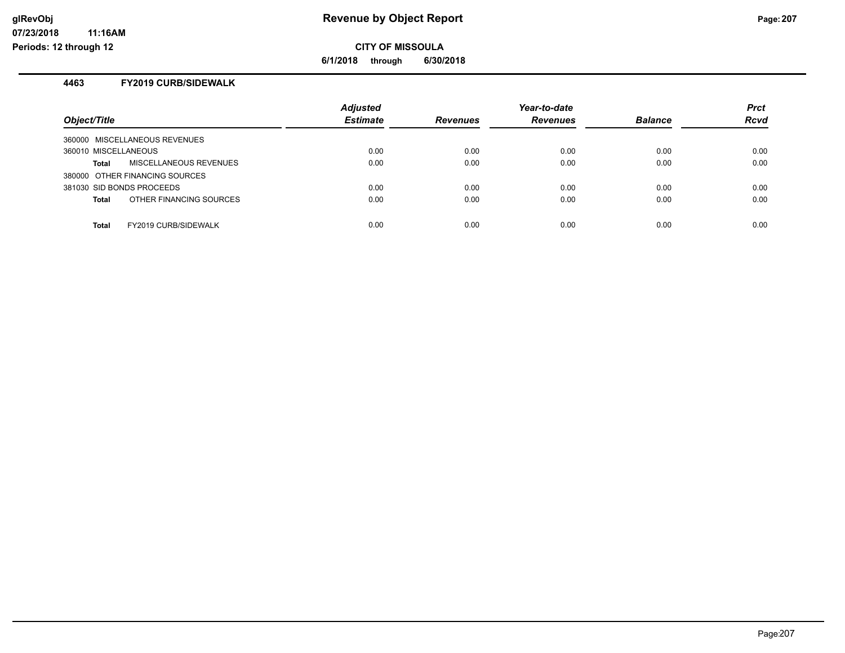**6/1/2018 through 6/30/2018**

### **4463 FY2019 CURB/SIDEWALK**

| Object/Title                                | <b>Adjusted</b><br><b>Estimate</b> | <b>Revenues</b> | Year-to-date<br><b>Revenues</b> | <b>Balance</b> | <b>Prct</b><br><b>Rcvd</b> |
|---------------------------------------------|------------------------------------|-----------------|---------------------------------|----------------|----------------------------|
| 360000 MISCELLANEOUS REVENUES               |                                    |                 |                                 |                |                            |
| 360010 MISCELLANEOUS                        | 0.00                               | 0.00            | 0.00                            | 0.00           | 0.00                       |
| <b>MISCELLANEOUS REVENUES</b><br>Total      | 0.00                               | 0.00            | 0.00                            | 0.00           | 0.00                       |
| 380000 OTHER FINANCING SOURCES              |                                    |                 |                                 |                |                            |
| 381030 SID BONDS PROCEEDS                   | 0.00                               | 0.00            | 0.00                            | 0.00           | 0.00                       |
| OTHER FINANCING SOURCES<br><b>Total</b>     | 0.00                               | 0.00            | 0.00                            | 0.00           | 0.00                       |
| <b>FY2019 CURB/SIDEWALK</b><br><b>Total</b> | 0.00                               | 0.00            | 0.00                            | 0.00           | 0.00                       |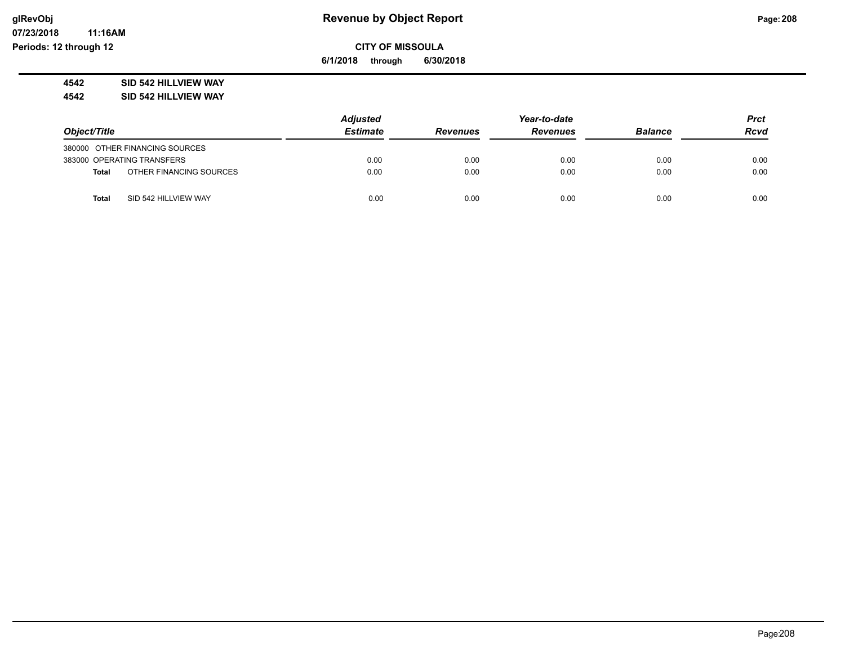**6/1/2018 through 6/30/2018**

### **4542 SID 542 HILLVIEW WAY**

**4542 SID 542 HILLVIEW WAY**

|              |                                | <b>Adjusted</b> | Year-to-date    |                 |                | Prct        |
|--------------|--------------------------------|-----------------|-----------------|-----------------|----------------|-------------|
| Object/Title |                                | <b>Estimate</b> | <b>Revenues</b> | <b>Revenues</b> | <b>Balance</b> | <b>Rcvd</b> |
|              | 380000 OTHER FINANCING SOURCES |                 |                 |                 |                |             |
|              | 383000 OPERATING TRANSFERS     | 0.00            | 0.00            | 0.00            | 0.00           | 0.00        |
| Total        | OTHER FINANCING SOURCES        | 0.00            | 0.00            | 0.00            | 0.00           | 0.00        |
| <b>Total</b> | SID 542 HILLVIEW WAY           | 0.00            | 0.00            | 0.00            | 0.00           | 0.00        |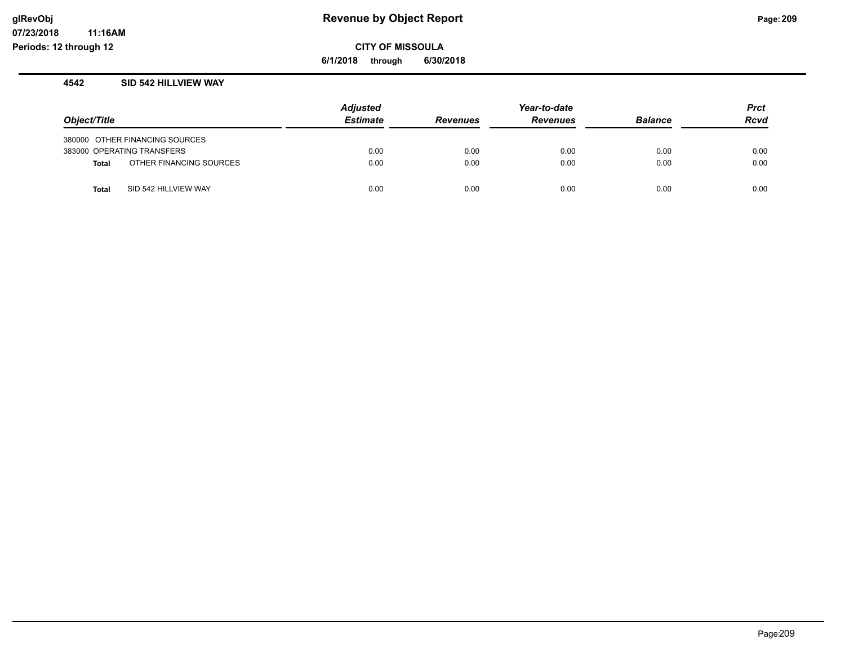**6/1/2018 through 6/30/2018**

#### **4542 SID 542 HILLVIEW WAY**

| Object/Title |                                | <b>Adjusted</b><br><b>Estimate</b> | <b>Revenues</b> | Year-to-date<br><b>Revenues</b> | <b>Balance</b> | <b>Prct</b><br><b>Rcvd</b> |
|--------------|--------------------------------|------------------------------------|-----------------|---------------------------------|----------------|----------------------------|
|              |                                |                                    |                 |                                 |                |                            |
|              | 380000 OTHER FINANCING SOURCES |                                    |                 |                                 |                |                            |
|              | 383000 OPERATING TRANSFERS     | 0.00                               | 0.00            | 0.00                            | 0.00           | 0.00                       |
| <b>Total</b> | OTHER FINANCING SOURCES        | 0.00                               | 0.00            | 0.00                            | 0.00           | 0.00                       |
| <b>Total</b> | SID 542 HILLVIEW WAY           | 0.00                               | 0.00            | 0.00                            | 0.00           | 0.00                       |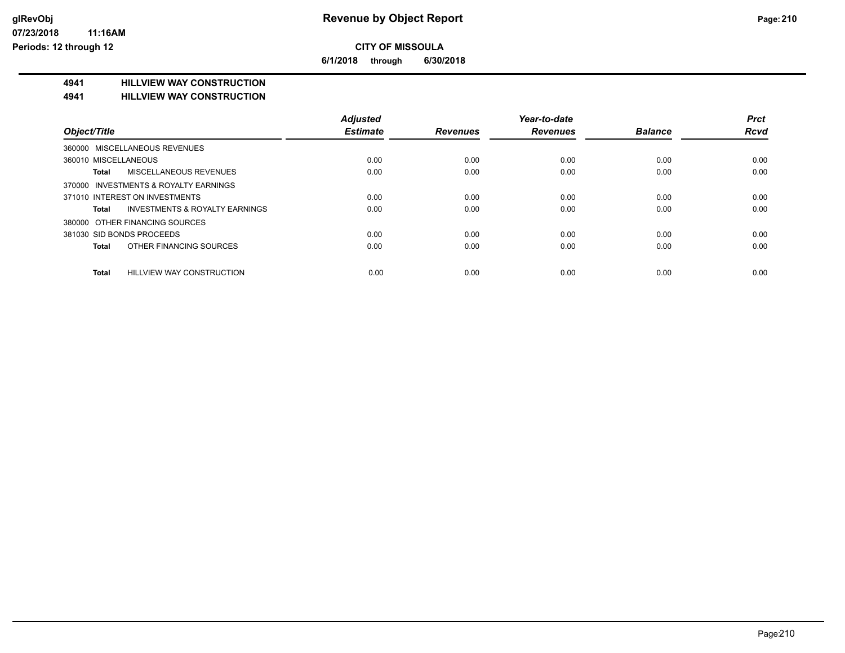**6/1/2018 through 6/30/2018**

### **4941 HILLVIEW WAY CONSTRUCTION**

#### **4941 HILLVIEW WAY CONSTRUCTION**

|                                                  | <b>Adjusted</b> |                 | Year-to-date    |                | <b>Prct</b> |
|--------------------------------------------------|-----------------|-----------------|-----------------|----------------|-------------|
| Object/Title                                     | <b>Estimate</b> | <b>Revenues</b> | <b>Revenues</b> | <b>Balance</b> | <b>Rcvd</b> |
| 360000 MISCELLANEOUS REVENUES                    |                 |                 |                 |                |             |
| 360010 MISCELLANEOUS                             | 0.00            | 0.00            | 0.00            | 0.00           | 0.00        |
| <b>MISCELLANEOUS REVENUES</b><br>Total           | 0.00            | 0.00            | 0.00            | 0.00           | 0.00        |
| 370000 INVESTMENTS & ROYALTY EARNINGS            |                 |                 |                 |                |             |
| 371010 INTEREST ON INVESTMENTS                   | 0.00            | 0.00            | 0.00            | 0.00           | 0.00        |
| INVESTMENTS & ROYALTY EARNINGS<br>Total          | 0.00            | 0.00            | 0.00            | 0.00           | 0.00        |
| 380000 OTHER FINANCING SOURCES                   |                 |                 |                 |                |             |
| 381030 SID BONDS PROCEEDS                        | 0.00            | 0.00            | 0.00            | 0.00           | 0.00        |
| OTHER FINANCING SOURCES<br><b>Total</b>          | 0.00            | 0.00            | 0.00            | 0.00           | 0.00        |
|                                                  |                 |                 |                 |                |             |
| <b>HILLVIEW WAY CONSTRUCTION</b><br><b>Total</b> | 0.00            | 0.00            | 0.00            | 0.00           | 0.00        |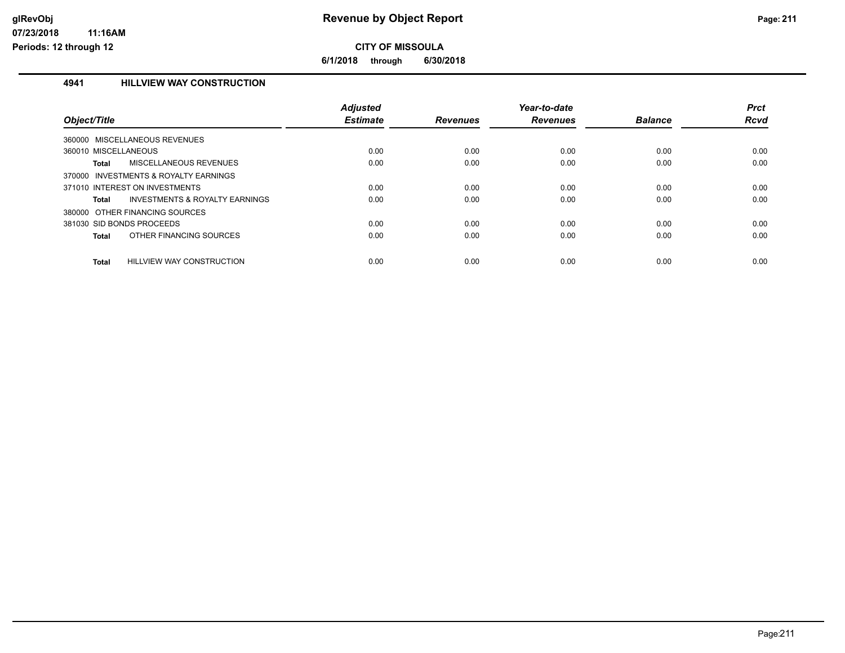**6/1/2018 through 6/30/2018**

### **4941 HILLVIEW WAY CONSTRUCTION**

| Object/Title                              | <b>Adjusted</b><br><b>Estimate</b> | <b>Revenues</b> | Year-to-date<br><b>Revenues</b> | <b>Balance</b> | <b>Prct</b><br><b>Rcvd</b> |
|-------------------------------------------|------------------------------------|-----------------|---------------------------------|----------------|----------------------------|
| 360000 MISCELLANEOUS REVENUES             |                                    |                 |                                 |                |                            |
| 360010 MISCELLANEOUS                      | 0.00                               | 0.00            | 0.00                            | 0.00           | 0.00                       |
| MISCELLANEOUS REVENUES<br>Total           | 0.00                               | 0.00            | 0.00                            | 0.00           | 0.00                       |
| 370000 INVESTMENTS & ROYALTY EARNINGS     |                                    |                 |                                 |                |                            |
| 371010 INTEREST ON INVESTMENTS            | 0.00                               | 0.00            | 0.00                            | 0.00           | 0.00                       |
| INVESTMENTS & ROYALTY EARNINGS<br>Total   | 0.00                               | 0.00            | 0.00                            | 0.00           | 0.00                       |
| 380000 OTHER FINANCING SOURCES            |                                    |                 |                                 |                |                            |
| 381030 SID BONDS PROCEEDS                 | 0.00                               | 0.00            | 0.00                            | 0.00           | 0.00                       |
| OTHER FINANCING SOURCES<br><b>Total</b>   | 0.00                               | 0.00            | 0.00                            | 0.00           | 0.00                       |
| HILLVIEW WAY CONSTRUCTION<br><b>Total</b> | 0.00                               | 0.00            | 0.00                            | 0.00           | 0.00                       |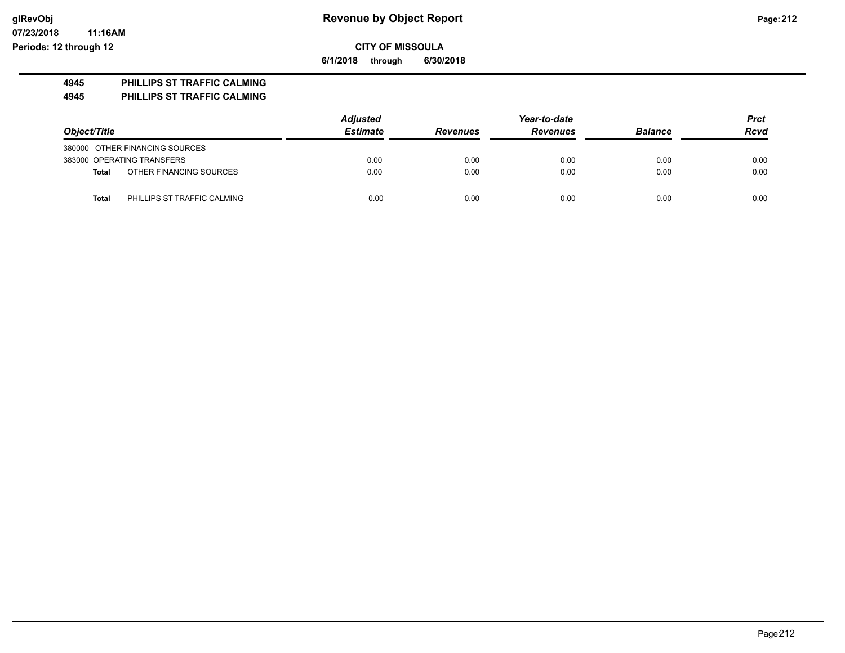**07/23/2018 11:16AM Periods: 12 through 12**

# **CITY OF MISSOULA**

**6/1/2018 through 6/30/2018**

# **4945 PHILLIPS ST TRAFFIC CALMING**

**4945 PHILLIPS ST TRAFFIC CALMING**

|                                      | <b>Adjusted</b> |                 | Year-to-date    |                |      |
|--------------------------------------|-----------------|-----------------|-----------------|----------------|------|
| Object/Title                         | <b>Estimate</b> | <b>Revenues</b> | <b>Revenues</b> | <b>Balance</b> | Rcvd |
| 380000 OTHER FINANCING SOURCES       |                 |                 |                 |                |      |
| 383000 OPERATING TRANSFERS           | 0.00            | 0.00            | 0.00            | 0.00           | 0.00 |
| OTHER FINANCING SOURCES<br>Total     | 0.00            | 0.00            | 0.00            | 0.00           | 0.00 |
| PHILLIPS ST TRAFFIC CALMING<br>Total | 0.00            | 0.00            | 0.00            | 0.00           | 0.00 |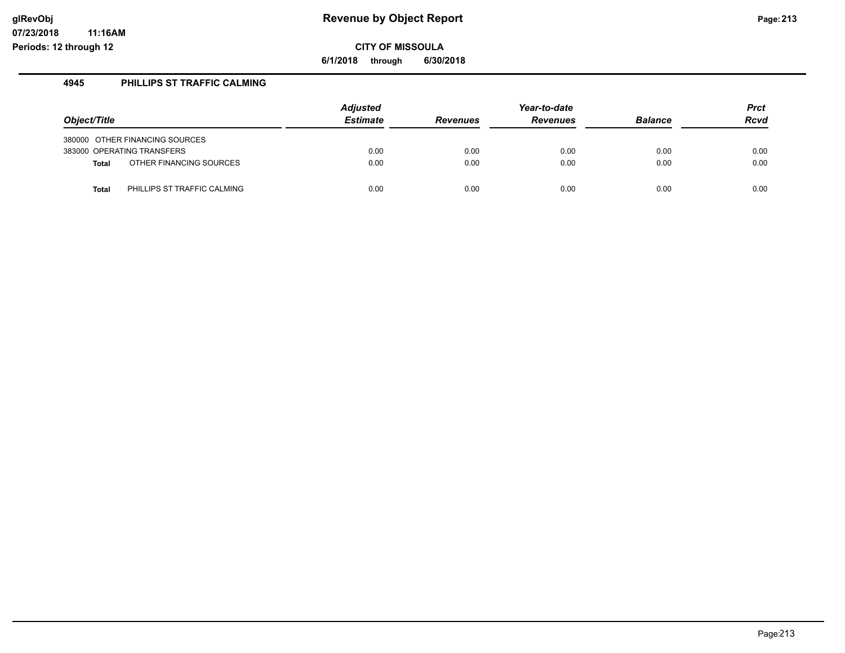**6/1/2018 through 6/30/2018**

### **4945 PHILLIPS ST TRAFFIC CALMING**

|              |                                | <b>Adjusted</b> |                 | Year-to-date    |                | <b>Prct</b> |
|--------------|--------------------------------|-----------------|-----------------|-----------------|----------------|-------------|
| Object/Title |                                | <b>Estimate</b> | <b>Revenues</b> | <b>Revenues</b> | <b>Balance</b> | <b>Rcvd</b> |
|              | 380000 OTHER FINANCING SOURCES |                 |                 |                 |                |             |
|              | 383000 OPERATING TRANSFERS     | 0.00            | 0.00            | 0.00            | 0.00           | 0.00        |
| <b>Total</b> | OTHER FINANCING SOURCES        | 0.00            | 0.00            | 0.00            | 0.00           | 0.00        |
| <b>Total</b> | PHILLIPS ST TRAFFIC CALMING    | 0.00            | 0.00            | 0.00            | 0.00           | 0.00        |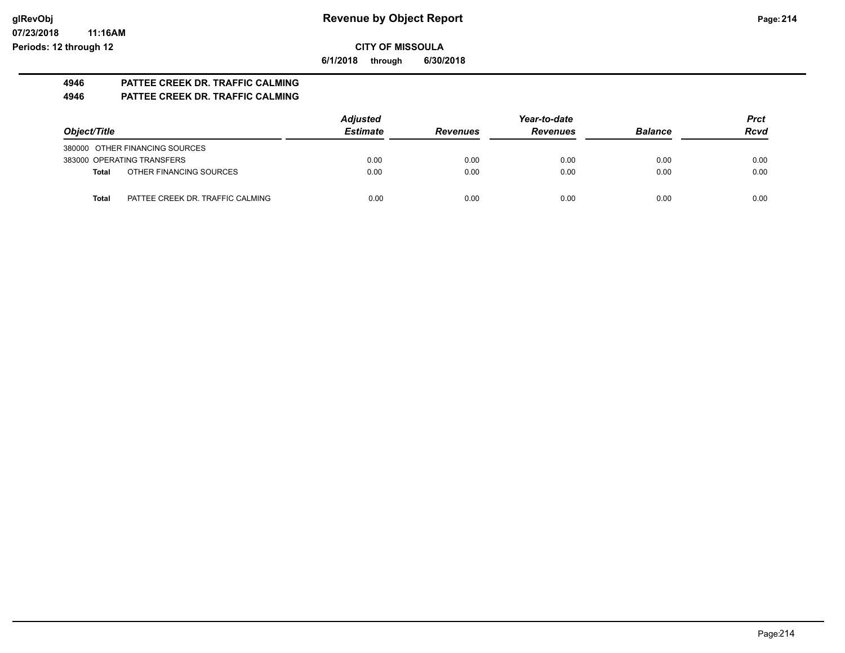**6/1/2018 through 6/30/2018**

### **4946 PATTEE CREEK DR. TRAFFIC CALMING 4946 PATTEE CREEK DR. TRAFFIC CALMING**

|              |                                  | <b>Adjusted</b> |                 | Year-to-date    |                | Prct |
|--------------|----------------------------------|-----------------|-----------------|-----------------|----------------|------|
| Object/Title |                                  | <b>Estimate</b> | <b>Revenues</b> | <b>Revenues</b> | <b>Balance</b> | Rcvd |
|              | 380000 OTHER FINANCING SOURCES   |                 |                 |                 |                |      |
|              | 383000 OPERATING TRANSFERS       | 0.00            | 0.00            | 0.00            | 0.00           | 0.00 |
| Total        | OTHER FINANCING SOURCES          | 0.00            | 0.00            | 0.00            | 0.00           | 0.00 |
| <b>Total</b> | PATTEE CREEK DR. TRAFFIC CALMING | 0.00            | 0.00            | 0.00            | 0.00           | 0.00 |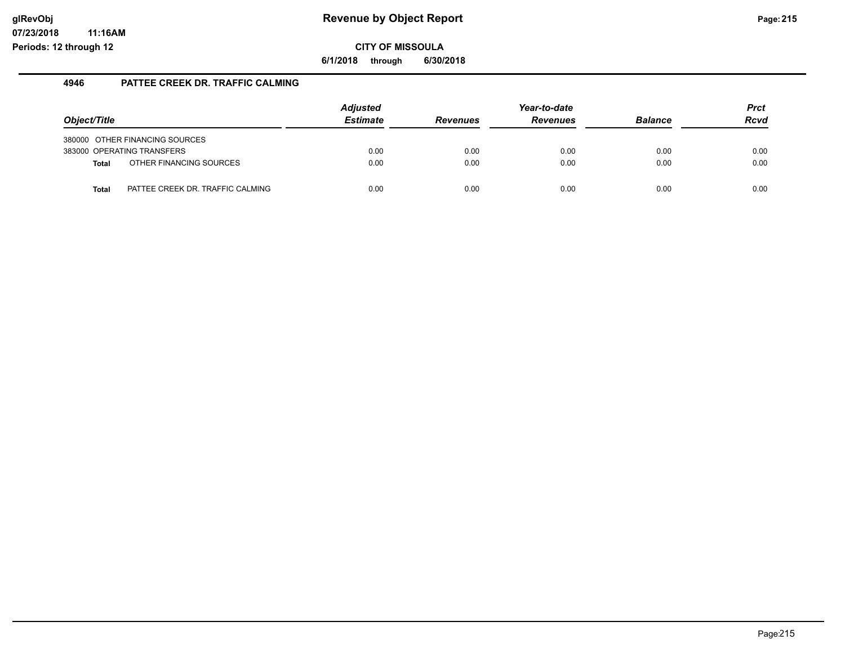**6/1/2018 through 6/30/2018**

### **4946 PATTEE CREEK DR. TRAFFIC CALMING**

| Object/Title |                                  | <b>Adjusted</b><br><b>Estimate</b> | <b>Revenues</b> | Year-to-date<br><b>Revenues</b> | <b>Balance</b> | <b>Prct</b><br><b>Rcvd</b> |
|--------------|----------------------------------|------------------------------------|-----------------|---------------------------------|----------------|----------------------------|
|              | 380000 OTHER FINANCING SOURCES   |                                    |                 |                                 |                |                            |
|              | 383000 OPERATING TRANSFERS       | 0.00                               | 0.00            | 0.00                            | 0.00           | 0.00                       |
| Total        | OTHER FINANCING SOURCES          | 0.00                               | 0.00            | 0.00                            | 0.00           | 0.00                       |
| <b>Total</b> | PATTEE CREEK DR. TRAFFIC CALMING | 0.00                               | 0.00            | 0.00                            | 0.00           | 0.00                       |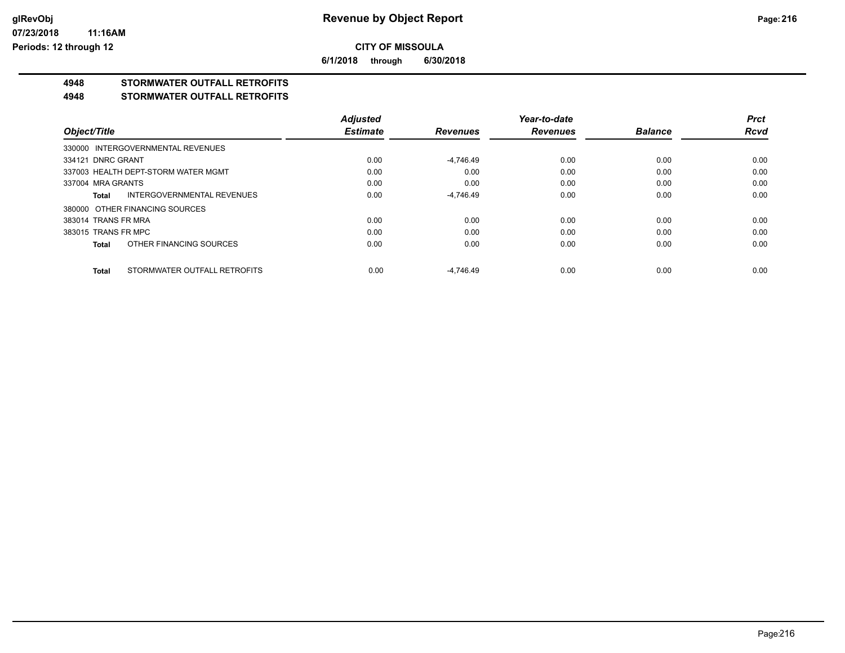**6/1/2018 through 6/30/2018**

### **4948 STORMWATER OUTFALL RETROFITS**

### **4948 STORMWATER OUTFALL RETROFITS**

|                     |                                     | <b>Adjusted</b> |                 | Year-to-date    |                | <b>Prct</b> |
|---------------------|-------------------------------------|-----------------|-----------------|-----------------|----------------|-------------|
| Object/Title        |                                     | <b>Estimate</b> | <b>Revenues</b> | <b>Revenues</b> | <b>Balance</b> | <b>Rcvd</b> |
|                     | 330000 INTERGOVERNMENTAL REVENUES   |                 |                 |                 |                |             |
| 334121 DNRC GRANT   |                                     | 0.00            | $-4.746.49$     | 0.00            | 0.00           | 0.00        |
|                     | 337003 HEALTH DEPT-STORM WATER MGMT | 0.00            | 0.00            | 0.00            | 0.00           | 0.00        |
| 337004 MRA GRANTS   |                                     | 0.00            | 0.00            | 0.00            | 0.00           | 0.00        |
| Total               | <b>INTERGOVERNMENTAL REVENUES</b>   | 0.00            | $-4.746.49$     | 0.00            | 0.00           | 0.00        |
|                     | 380000 OTHER FINANCING SOURCES      |                 |                 |                 |                |             |
| 383014 TRANS FR MRA |                                     | 0.00            | 0.00            | 0.00            | 0.00           | 0.00        |
| 383015 TRANS FR MPC |                                     | 0.00            | 0.00            | 0.00            | 0.00           | 0.00        |
| Total               | OTHER FINANCING SOURCES             | 0.00            | 0.00            | 0.00            | 0.00           | 0.00        |
| <b>Total</b>        | STORMWATER OUTFALL RETROFITS        | 0.00            | $-4.746.49$     | 0.00            | 0.00           | 0.00        |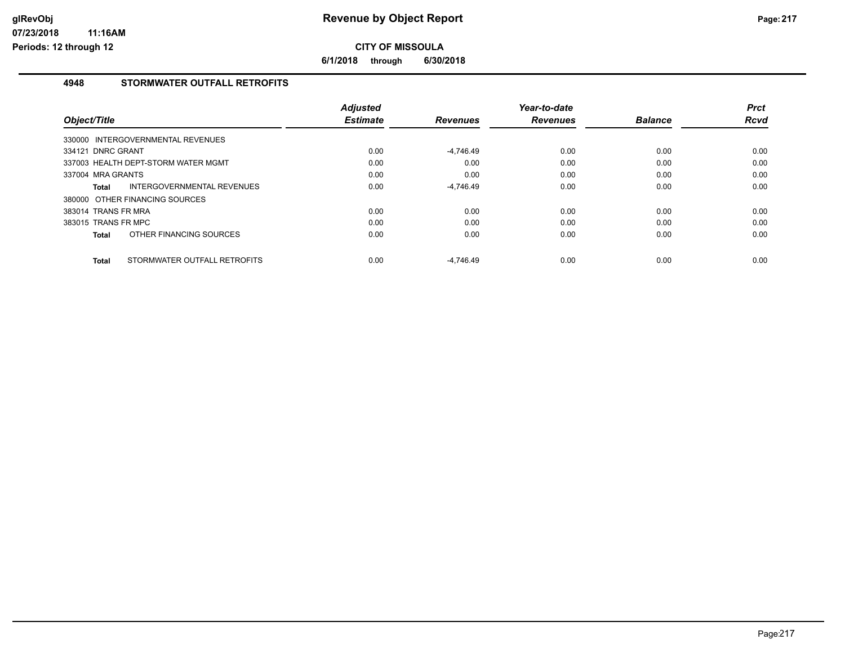**6/1/2018 through 6/30/2018**

## **4948 STORMWATER OUTFALL RETROFITS**

| Object/Title                                 | <b>Adjusted</b><br><b>Estimate</b> | <b>Revenues</b> | Year-to-date<br><b>Revenues</b> | <b>Balance</b> | <b>Prct</b><br><b>Rcvd</b> |
|----------------------------------------------|------------------------------------|-----------------|---------------------------------|----------------|----------------------------|
| 330000 INTERGOVERNMENTAL REVENUES            |                                    |                 |                                 |                |                            |
| 334121 DNRC GRANT                            | 0.00                               | $-4,746.49$     | 0.00                            | 0.00           | 0.00                       |
| 337003 HEALTH DEPT-STORM WATER MGMT          | 0.00                               | 0.00            | 0.00                            | 0.00           | 0.00                       |
| 337004 MRA GRANTS                            | 0.00                               | 0.00            | 0.00                            | 0.00           | 0.00                       |
| INTERGOVERNMENTAL REVENUES<br>Total          | 0.00                               | $-4,746.49$     | 0.00                            | 0.00           | 0.00                       |
| 380000 OTHER FINANCING SOURCES               |                                    |                 |                                 |                |                            |
| 383014 TRANS FR MRA                          | 0.00                               | 0.00            | 0.00                            | 0.00           | 0.00                       |
| 383015 TRANS FR MPC                          | 0.00                               | 0.00            | 0.00                            | 0.00           | 0.00                       |
| OTHER FINANCING SOURCES<br><b>Total</b>      | 0.00                               | 0.00            | 0.00                            | 0.00           | 0.00                       |
| STORMWATER OUTFALL RETROFITS<br><b>Total</b> | 0.00                               | $-4.746.49$     | 0.00                            | 0.00           | 0.00                       |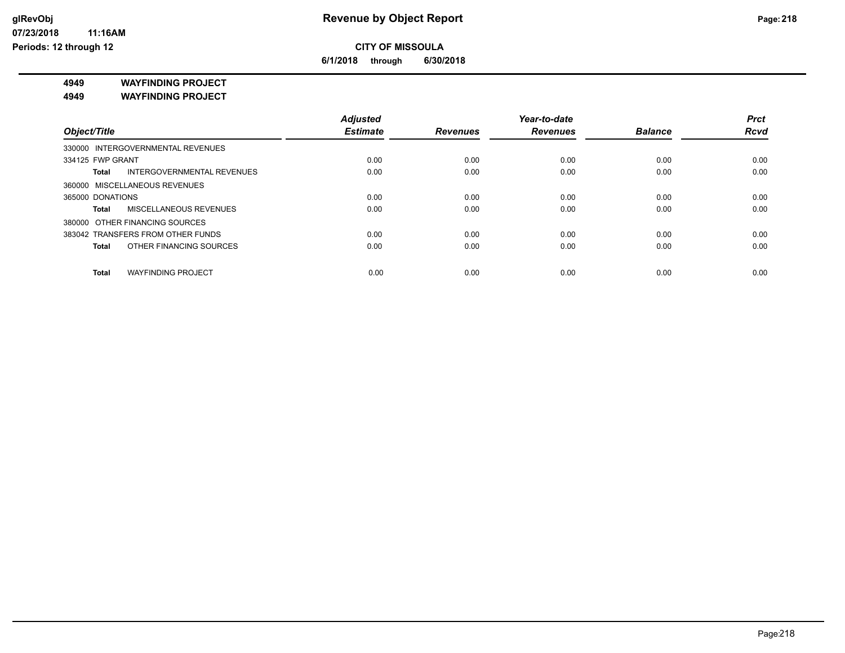**6/1/2018 through 6/30/2018**

**4949 WAYFINDING PROJECT**

**4949 WAYFINDING PROJECT**

|                                           | <b>Adjusted</b> |                 | Year-to-date    |                | <b>Prct</b> |
|-------------------------------------------|-----------------|-----------------|-----------------|----------------|-------------|
| Object/Title                              | <b>Estimate</b> | <b>Revenues</b> | <b>Revenues</b> | <b>Balance</b> | <b>Rcvd</b> |
| 330000 INTERGOVERNMENTAL REVENUES         |                 |                 |                 |                |             |
| 334125 FWP GRANT                          | 0.00            | 0.00            | 0.00            | 0.00           | 0.00        |
| INTERGOVERNMENTAL REVENUES<br>Total       | 0.00            | 0.00            | 0.00            | 0.00           | 0.00        |
| 360000 MISCELLANEOUS REVENUES             |                 |                 |                 |                |             |
| 365000 DONATIONS                          | 0.00            | 0.00            | 0.00            | 0.00           | 0.00        |
| <b>MISCELLANEOUS REVENUES</b><br>Total    | 0.00            | 0.00            | 0.00            | 0.00           | 0.00        |
| 380000 OTHER FINANCING SOURCES            |                 |                 |                 |                |             |
| 383042 TRANSFERS FROM OTHER FUNDS         | 0.00            | 0.00            | 0.00            | 0.00           | 0.00        |
| OTHER FINANCING SOURCES<br>Total          | 0.00            | 0.00            | 0.00            | 0.00           | 0.00        |
| <b>WAYFINDING PROJECT</b><br><b>Total</b> | 0.00            | 0.00            | 0.00            | 0.00           | 0.00        |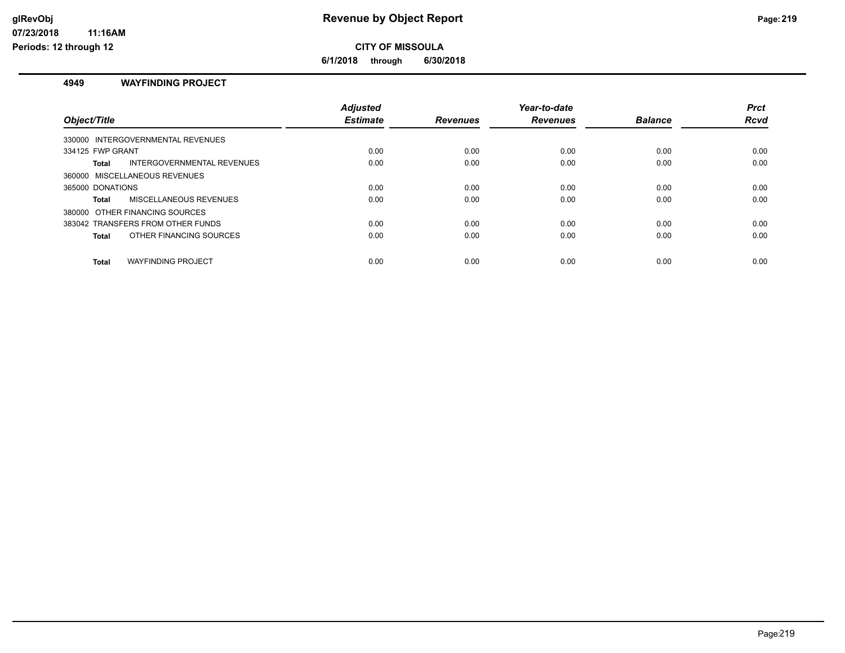**6/1/2018 through 6/30/2018**

## **4949 WAYFINDING PROJECT**

| Object/Title                                  | <b>Adjusted</b><br><b>Estimate</b> | <b>Revenues</b> | Year-to-date<br><b>Revenues</b> | <b>Balance</b> | <b>Prct</b><br><b>Rcvd</b> |
|-----------------------------------------------|------------------------------------|-----------------|---------------------------------|----------------|----------------------------|
| 330000 INTERGOVERNMENTAL REVENUES             |                                    |                 |                                 |                |                            |
| 334125 FWP GRANT                              | 0.00                               | 0.00            | 0.00                            | 0.00           | 0.00                       |
| INTERGOVERNMENTAL REVENUES<br><b>Total</b>    | 0.00                               | 0.00            | 0.00                            | 0.00           | 0.00                       |
| 360000 MISCELLANEOUS REVENUES                 |                                    |                 |                                 |                |                            |
| 365000 DONATIONS                              | 0.00                               | 0.00            | 0.00                            | 0.00           | 0.00                       |
| <b>MISCELLANEOUS REVENUES</b><br><b>Total</b> | 0.00                               | 0.00            | 0.00                            | 0.00           | 0.00                       |
| 380000 OTHER FINANCING SOURCES                |                                    |                 |                                 |                |                            |
| 383042 TRANSFERS FROM OTHER FUNDS             | 0.00                               | 0.00            | 0.00                            | 0.00           | 0.00                       |
| OTHER FINANCING SOURCES<br><b>Total</b>       | 0.00                               | 0.00            | 0.00                            | 0.00           | 0.00                       |
| <b>WAYFINDING PROJECT</b><br><b>Total</b>     | 0.00                               | 0.00            | 0.00                            | 0.00           | 0.00                       |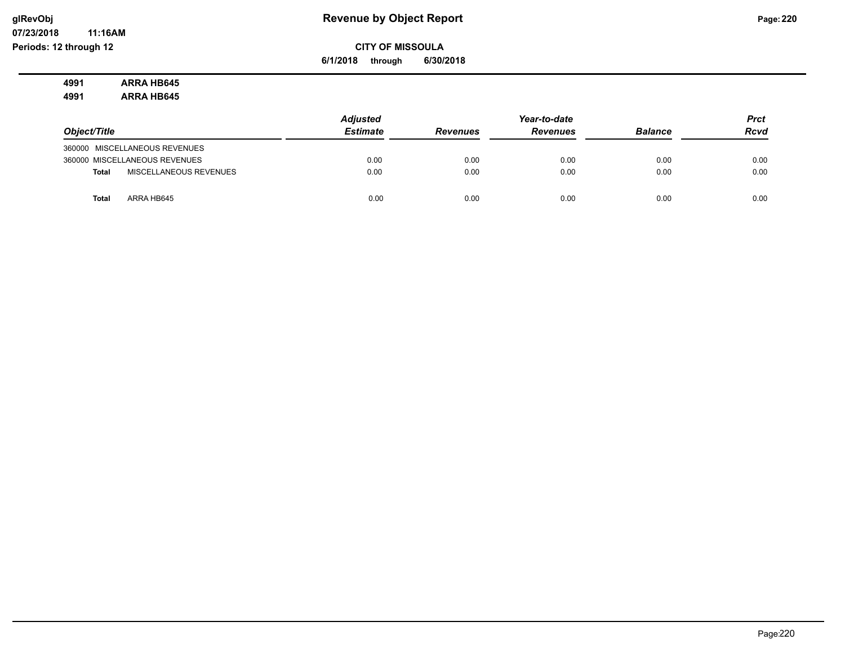**07/23/2018 11:16AM Periods: 12 through 12**

**CITY OF MISSOULA**

**6/1/2018 through 6/30/2018**

## **4991 ARRA HB645**

**4991 ARRA HB645**

|                                        | <b>Adjusted</b> |                 | Year-to-date    |                | <b>Prct</b> |
|----------------------------------------|-----------------|-----------------|-----------------|----------------|-------------|
| Object/Title                           | <b>Estimate</b> | <b>Revenues</b> | <b>Revenues</b> | <b>Balance</b> | <b>Rcvd</b> |
| 360000 MISCELLANEOUS REVENUES          |                 |                 |                 |                |             |
| 360000 MISCELLANEOUS REVENUES          | 0.00            | 0.00            | 0.00            | 0.00           | 0.00        |
| MISCELLANEOUS REVENUES<br><b>Total</b> | 0.00            | 0.00            | 0.00            | 0.00           | 0.00        |
| ARRA HB645<br>Total                    | 0.00            | 0.00            | 0.00            | 0.00           | 0.00        |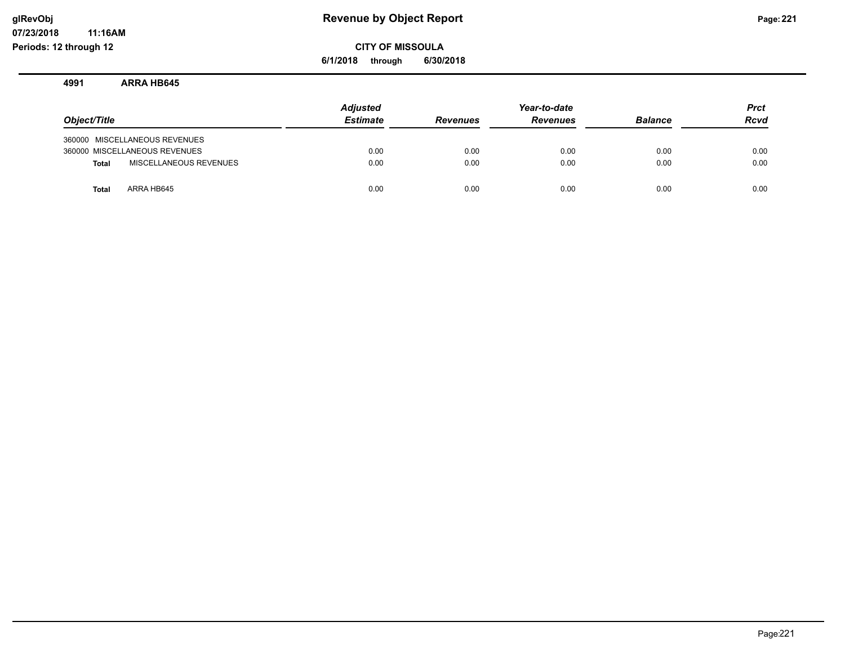**Periods: 12 through 12**

**CITY OF MISSOULA**

**6/1/2018 through 6/30/2018**

**4991 ARRA HB645**

**11:16AM**

|              |                               | <b>Adjusted</b> |                 | Year-to-date    |                | <b>Prct</b> |
|--------------|-------------------------------|-----------------|-----------------|-----------------|----------------|-------------|
| Object/Title |                               | <b>Estimate</b> | <b>Revenues</b> | <b>Revenues</b> | <b>Balance</b> | <b>Rcvd</b> |
|              | 360000 MISCELLANEOUS REVENUES |                 |                 |                 |                |             |
|              | 360000 MISCELLANEOUS REVENUES | 0.00            | 0.00            | 0.00            | 0.00           | 0.00        |
| <b>Total</b> | MISCELLANEOUS REVENUES        | 0.00            | 0.00            | 0.00            | 0.00           | 0.00        |
| <b>Total</b> | ARRA HB645                    | 0.00            | 0.00            | 0.00            | 0.00           | 0.00        |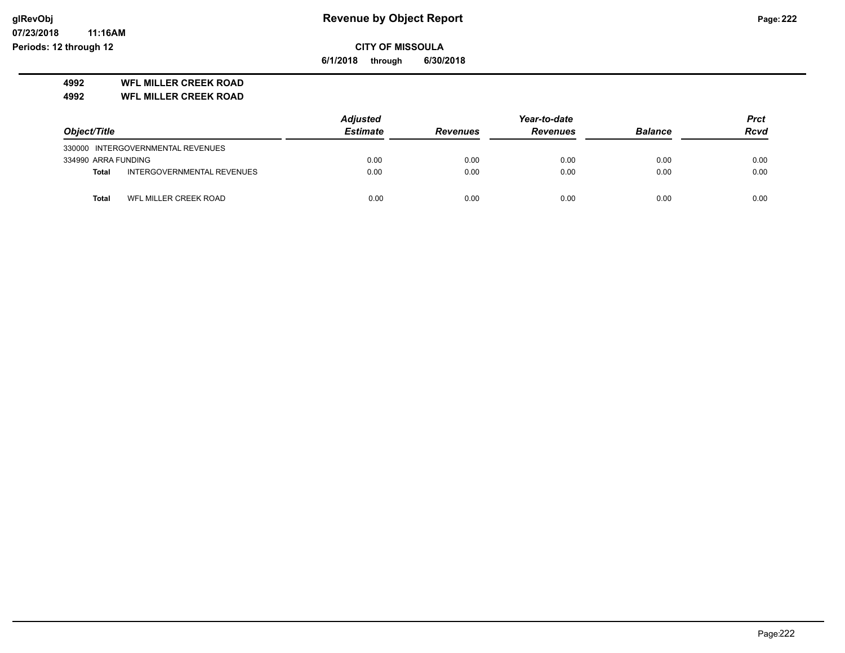**6/1/2018 through 6/30/2018**

## **4992 WFL MILLER CREEK ROAD**

**4992 WFL MILLER CREEK ROAD**

|                     |                                   | <b>Adjusted</b> |                 | Year-to-date    |                | <b>Prct</b> |
|---------------------|-----------------------------------|-----------------|-----------------|-----------------|----------------|-------------|
| Object/Title        |                                   | <b>Estimate</b> | <b>Revenues</b> | <b>Revenues</b> | <b>Balance</b> | <b>Rcvd</b> |
|                     | 330000 INTERGOVERNMENTAL REVENUES |                 |                 |                 |                |             |
| 334990 ARRA FUNDING |                                   | 0.00            | 0.00            | 0.00            | 0.00           | 0.00        |
| <b>Total</b>        | INTERGOVERNMENTAL REVENUES        | 0.00            | 0.00            | 0.00            | 0.00           | 0.00        |
| Total               | WFL MILLER CREEK ROAD             | 0.00            | 0.00            | 0.00            | 0.00           | 0.00        |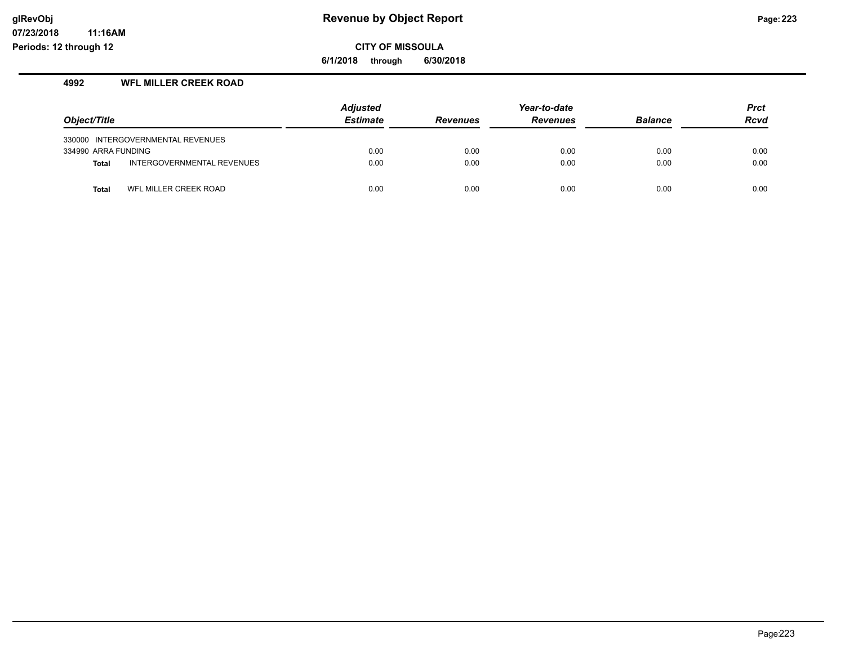**6/1/2018 through 6/30/2018**

## **4992 WFL MILLER CREEK ROAD**

|                     |                                   | <b>Adjusted</b> |                 | Year-to-date    |                | <b>Prct</b> |
|---------------------|-----------------------------------|-----------------|-----------------|-----------------|----------------|-------------|
| Object/Title        |                                   | <b>Estimate</b> | <b>Revenues</b> | <b>Revenues</b> | <b>Balance</b> | <b>Rcvd</b> |
|                     | 330000 INTERGOVERNMENTAL REVENUES |                 |                 |                 |                |             |
| 334990 ARRA FUNDING |                                   | 0.00            | 0.00            | 0.00            | 0.00           | 0.00        |
| <b>Total</b>        | <b>INTERGOVERNMENTAL REVENUES</b> | 0.00            | 0.00            | 0.00            | 0.00           | 0.00        |
| <b>Total</b>        | WFL MILLER CREEK ROAD             | 0.00            | 0.00            | 0.00            | 0.00           | 0.00        |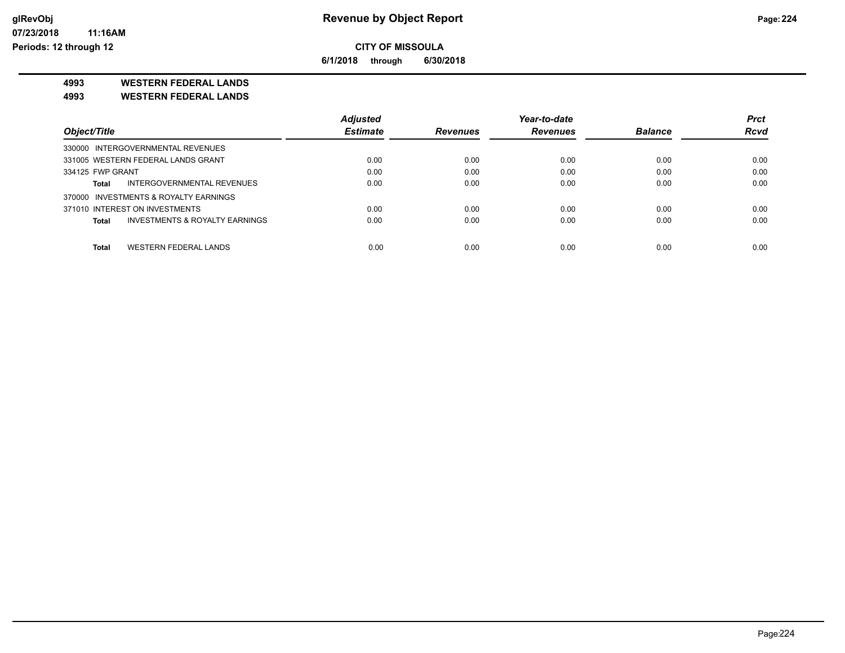**6/1/2018 through 6/30/2018**

**4993 WESTERN FEDERAL LANDS**

**4993 WESTERN FEDERAL LANDS**

|                                                | <b>Adjusted</b> |                 | Year-to-date    |                | <b>Prct</b> |
|------------------------------------------------|-----------------|-----------------|-----------------|----------------|-------------|
| Object/Title                                   | <b>Estimate</b> | <b>Revenues</b> | <b>Revenues</b> | <b>Balance</b> | <b>Rcvd</b> |
| 330000 INTERGOVERNMENTAL REVENUES              |                 |                 |                 |                |             |
| 331005 WESTERN FEDERAL LANDS GRANT             | 0.00            | 0.00            | 0.00            | 0.00           | 0.00        |
| 334125 FWP GRANT                               | 0.00            | 0.00            | 0.00            | 0.00           | 0.00        |
| INTERGOVERNMENTAL REVENUES<br><b>Total</b>     | 0.00            | 0.00            | 0.00            | 0.00           | 0.00        |
| 370000 INVESTMENTS & ROYALTY EARNINGS          |                 |                 |                 |                |             |
| 371010 INTEREST ON INVESTMENTS                 | 0.00            | 0.00            | 0.00            | 0.00           | 0.00        |
| INVESTMENTS & ROYALTY EARNINGS<br><b>Total</b> | 0.00            | 0.00            | 0.00            | 0.00           | 0.00        |
|                                                |                 |                 |                 |                |             |
| <b>WESTERN FEDERAL LANDS</b><br><b>Total</b>   | 0.00            | 0.00            | 0.00            | 0.00           | 0.00        |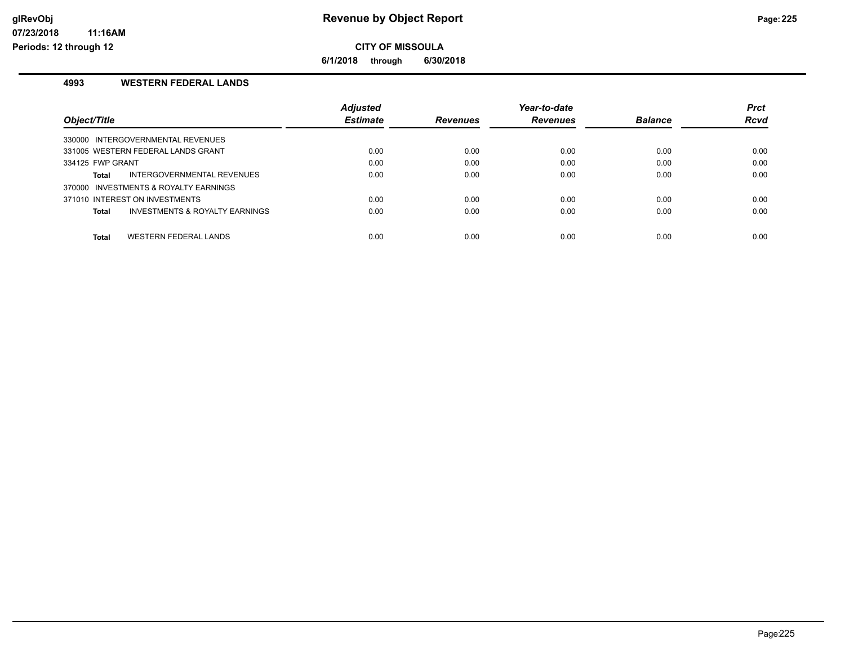**6/1/2018 through 6/30/2018**

## **4993 WESTERN FEDERAL LANDS**

|                                                    | <b>Adjusted</b> |                 | Year-to-date    |                | <b>Prct</b> |
|----------------------------------------------------|-----------------|-----------------|-----------------|----------------|-------------|
| Object/Title                                       | <b>Estimate</b> | <b>Revenues</b> | <b>Revenues</b> | <b>Balance</b> | <b>Rcvd</b> |
| 330000 INTERGOVERNMENTAL REVENUES                  |                 |                 |                 |                |             |
| 331005 WESTERN FEDERAL LANDS GRANT                 | 0.00            | 0.00            | 0.00            | 0.00           | 0.00        |
| 334125 FWP GRANT                                   | 0.00            | 0.00            | 0.00            | 0.00           | 0.00        |
| INTERGOVERNMENTAL REVENUES<br>Total                | 0.00            | 0.00            | 0.00            | 0.00           | 0.00        |
| INVESTMENTS & ROYALTY EARNINGS<br>370000           |                 |                 |                 |                |             |
| 371010 INTEREST ON INVESTMENTS                     | 0.00            | 0.00            | 0.00            | 0.00           | 0.00        |
| <b>INVESTMENTS &amp; ROYALTY EARNINGS</b><br>Total | 0.00            | 0.00            | 0.00            | 0.00           | 0.00        |
| Total<br>WESTERN FEDERAL LANDS                     | 0.00            | 0.00            | 0.00            | 0.00           | 0.00        |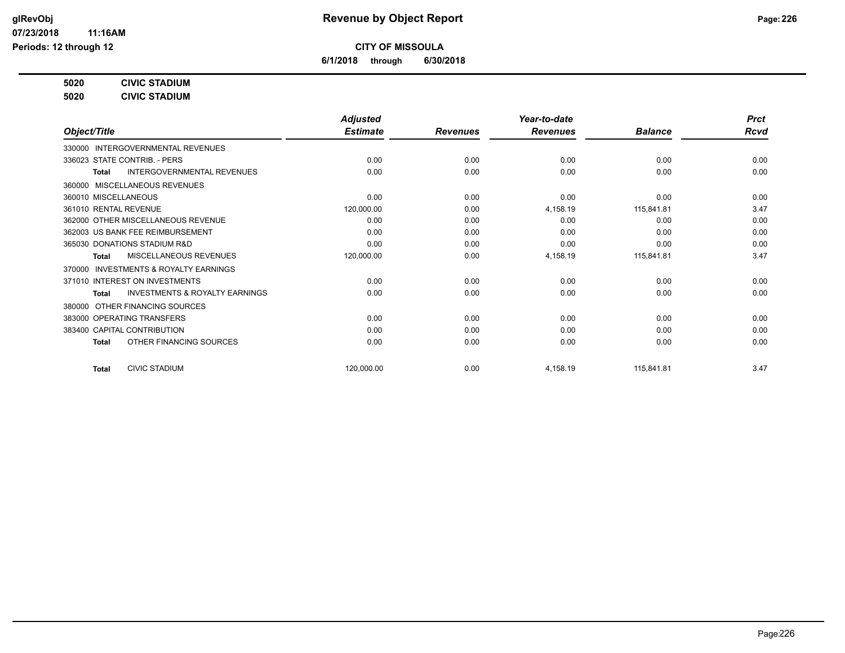**6/1/2018 through 6/30/2018**

**5020 CIVIC STADIUM**

**5020 CIVIC STADIUM**

|                                                           | <b>Adjusted</b> |                 | Year-to-date    |                | <b>Prct</b> |
|-----------------------------------------------------------|-----------------|-----------------|-----------------|----------------|-------------|
| Object/Title                                              | <b>Estimate</b> | <b>Revenues</b> | <b>Revenues</b> | <b>Balance</b> | <b>Rcvd</b> |
| 330000 INTERGOVERNMENTAL REVENUES                         |                 |                 |                 |                |             |
| 336023 STATE CONTRIB. - PERS                              | 0.00            | 0.00            | 0.00            | 0.00           | 0.00        |
| <b>INTERGOVERNMENTAL REVENUES</b><br>Total                | 0.00            | 0.00            | 0.00            | 0.00           | 0.00        |
| MISCELLANEOUS REVENUES<br>360000                          |                 |                 |                 |                |             |
| 360010 MISCELLANEOUS                                      | 0.00            | 0.00            | 0.00            | 0.00           | 0.00        |
| 361010 RENTAL REVENUE                                     | 120,000.00      | 0.00            | 4,158.19        | 115,841.81     | 3.47        |
| 362000 OTHER MISCELLANEOUS REVENUE                        | 0.00            | 0.00            | 0.00            | 0.00           | 0.00        |
| 362003 US BANK FEE REIMBURSEMENT                          | 0.00            | 0.00            | 0.00            | 0.00           | 0.00        |
| 365030 DONATIONS STADIUM R&D                              | 0.00            | 0.00            | 0.00            | 0.00           | 0.00        |
| MISCELLANEOUS REVENUES<br>Total                           | 120,000.00      | 0.00            | 4,158.19        | 115,841.81     | 3.47        |
| INVESTMENTS & ROYALTY EARNINGS<br>370000                  |                 |                 |                 |                |             |
| 371010 INTEREST ON INVESTMENTS                            | 0.00            | 0.00            | 0.00            | 0.00           | 0.00        |
| <b>INVESTMENTS &amp; ROYALTY EARNINGS</b><br><b>Total</b> | 0.00            | 0.00            | 0.00            | 0.00           | 0.00        |
| OTHER FINANCING SOURCES<br>380000                         |                 |                 |                 |                |             |
| 383000 OPERATING TRANSFERS                                | 0.00            | 0.00            | 0.00            | 0.00           | 0.00        |
| 383400 CAPITAL CONTRIBUTION                               | 0.00            | 0.00            | 0.00            | 0.00           | 0.00        |
| OTHER FINANCING SOURCES<br><b>Total</b>                   | 0.00            | 0.00            | 0.00            | 0.00           | 0.00        |
| <b>CIVIC STADIUM</b><br><b>Total</b>                      | 120,000.00      | 0.00            | 4,158.19        | 115,841.81     | 3.47        |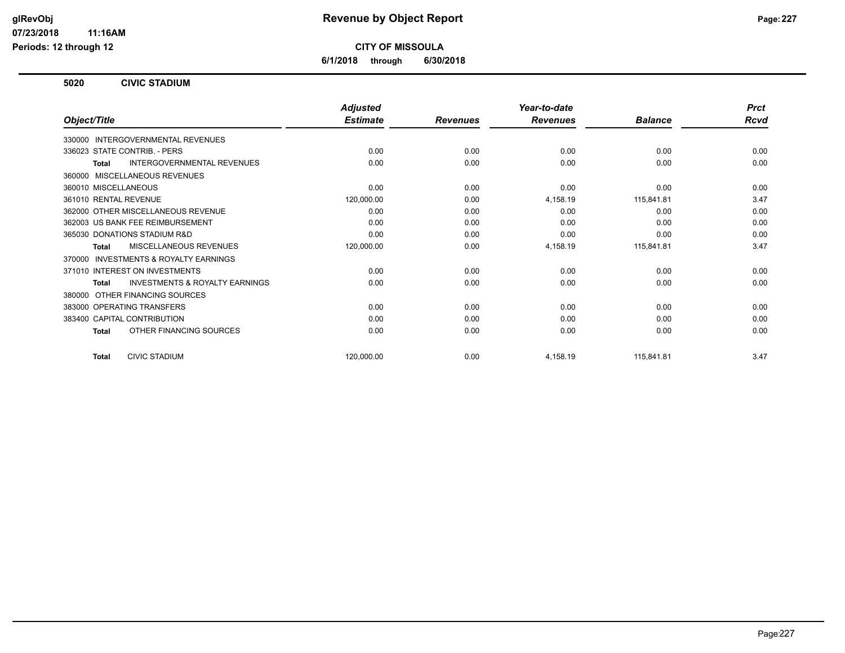**Periods: 12 through 12**

**CITY OF MISSOULA**

**6/1/2018 through 6/30/2018**

#### **5020 CIVIC STADIUM**

|                                                           | <b>Adjusted</b> |                 | Year-to-date    |                | <b>Prct</b> |
|-----------------------------------------------------------|-----------------|-----------------|-----------------|----------------|-------------|
| Object/Title                                              | <b>Estimate</b> | <b>Revenues</b> | <b>Revenues</b> | <b>Balance</b> | <b>Rcvd</b> |
| 330000 INTERGOVERNMENTAL REVENUES                         |                 |                 |                 |                |             |
| 336023 STATE CONTRIB. - PERS                              | 0.00            | 0.00            | 0.00            | 0.00           | 0.00        |
| <b>INTERGOVERNMENTAL REVENUES</b><br><b>Total</b>         | 0.00            | 0.00            | 0.00            | 0.00           | 0.00        |
| 360000 MISCELLANEOUS REVENUES                             |                 |                 |                 |                |             |
| 360010 MISCELLANEOUS                                      | 0.00            | 0.00            | 0.00            | 0.00           | 0.00        |
| 361010 RENTAL REVENUE                                     | 120,000.00      | 0.00            | 4,158.19        | 115,841.81     | 3.47        |
| 362000 OTHER MISCELLANEOUS REVENUE                        | 0.00            | 0.00            | 0.00            | 0.00           | 0.00        |
| 362003 US BANK FEE REIMBURSEMENT                          | 0.00            | 0.00            | 0.00            | 0.00           | 0.00        |
| 365030 DONATIONS STADIUM R&D                              | 0.00            | 0.00            | 0.00            | 0.00           | 0.00        |
| <b>MISCELLANEOUS REVENUES</b><br><b>Total</b>             | 120,000.00      | 0.00            | 4,158.19        | 115,841.81     | 3.47        |
| <b>INVESTMENTS &amp; ROYALTY EARNINGS</b><br>370000       |                 |                 |                 |                |             |
| 371010 INTEREST ON INVESTMENTS                            | 0.00            | 0.00            | 0.00            | 0.00           | 0.00        |
| <b>INVESTMENTS &amp; ROYALTY EARNINGS</b><br><b>Total</b> | 0.00            | 0.00            | 0.00            | 0.00           | 0.00        |
| OTHER FINANCING SOURCES<br>380000                         |                 |                 |                 |                |             |
| 383000 OPERATING TRANSFERS                                | 0.00            | 0.00            | 0.00            | 0.00           | 0.00        |
| 383400 CAPITAL CONTRIBUTION                               | 0.00            | 0.00            | 0.00            | 0.00           | 0.00        |
| OTHER FINANCING SOURCES<br><b>Total</b>                   | 0.00            | 0.00            | 0.00            | 0.00           | 0.00        |
| <b>CIVIC STADIUM</b><br><b>Total</b>                      | 120,000.00      | 0.00            | 4,158.19        | 115,841.81     | 3.47        |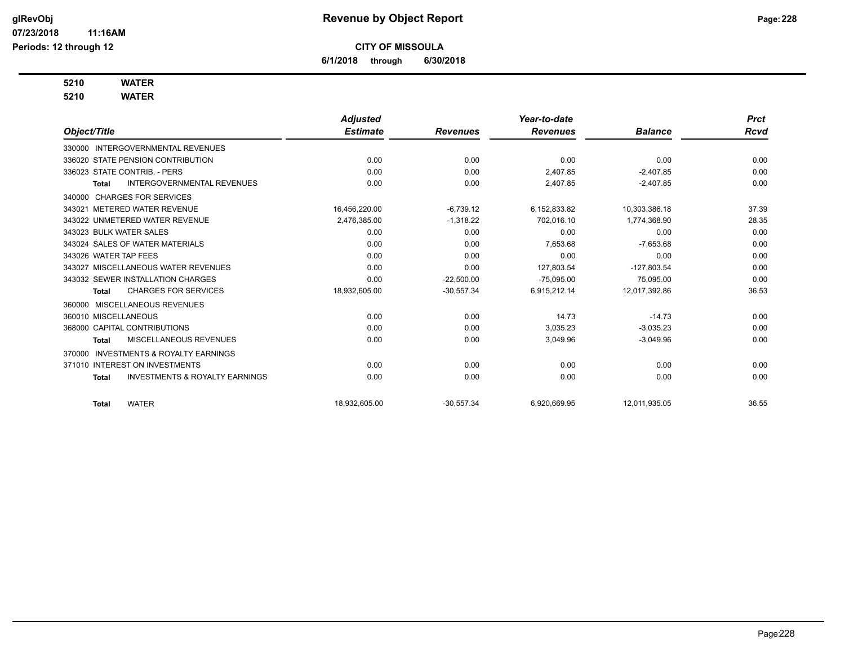**6/1/2018 through 6/30/2018**

## **5210 WATER**

**5210 WATER**

|                                                           | <b>Adjusted</b> |                 | Year-to-date    |                | <b>Prct</b> |
|-----------------------------------------------------------|-----------------|-----------------|-----------------|----------------|-------------|
| Object/Title                                              | <b>Estimate</b> | <b>Revenues</b> | <b>Revenues</b> | <b>Balance</b> | Rcvd        |
| 330000 INTERGOVERNMENTAL REVENUES                         |                 |                 |                 |                |             |
| 336020 STATE PENSION CONTRIBUTION                         | 0.00            | 0.00            | 0.00            | 0.00           | 0.00        |
| 336023 STATE CONTRIB. - PERS                              | 0.00            | 0.00            | 2,407.85        | $-2,407.85$    | 0.00        |
| <b>INTERGOVERNMENTAL REVENUES</b><br><b>Total</b>         | 0.00            | 0.00            | 2,407.85        | $-2,407.85$    | 0.00        |
| 340000 CHARGES FOR SERVICES                               |                 |                 |                 |                |             |
| 343021 METERED WATER REVENUE                              | 16,456,220.00   | $-6.739.12$     | 6,152,833.82    | 10,303,386.18  | 37.39       |
| 343022 UNMETERED WATER REVENUE                            | 2,476,385.00    | $-1,318.22$     | 702,016.10      | 1,774,368.90   | 28.35       |
| 343023 BULK WATER SALES                                   | 0.00            | 0.00            | 0.00            | 0.00           | 0.00        |
| 343024 SALES OF WATER MATERIALS                           | 0.00            | 0.00            | 7,653.68        | $-7,653.68$    | 0.00        |
| 343026 WATER TAP FEES                                     | 0.00            | 0.00            | 0.00            | 0.00           | 0.00        |
| 343027 MISCELLANEOUS WATER REVENUES                       | 0.00            | 0.00            | 127,803.54      | $-127,803.54$  | 0.00        |
| 343032 SEWER INSTALLATION CHARGES                         | 0.00            | $-22,500.00$    | $-75,095.00$    | 75,095.00      | 0.00        |
| <b>CHARGES FOR SERVICES</b><br><b>Total</b>               | 18,932,605.00   | $-30,557.34$    | 6,915,212.14    | 12,017,392.86  | 36.53       |
| 360000 MISCELLANEOUS REVENUES                             |                 |                 |                 |                |             |
| 360010 MISCELLANEOUS                                      | 0.00            | 0.00            | 14.73           | $-14.73$       | 0.00        |
| 368000 CAPITAL CONTRIBUTIONS                              | 0.00            | 0.00            | 3.035.23        | $-3,035.23$    | 0.00        |
| MISCELLANEOUS REVENUES<br><b>Total</b>                    | 0.00            | 0.00            | 3,049.96        | $-3,049.96$    | 0.00        |
| <b>INVESTMENTS &amp; ROYALTY EARNINGS</b><br>370000       |                 |                 |                 |                |             |
| 371010 INTEREST ON INVESTMENTS                            | 0.00            | 0.00            | 0.00            | 0.00           | 0.00        |
| <b>INVESTMENTS &amp; ROYALTY EARNINGS</b><br><b>Total</b> | 0.00            | 0.00            | 0.00            | 0.00           | 0.00        |
|                                                           |                 |                 |                 |                |             |
| <b>WATER</b><br><b>Total</b>                              | 18,932,605.00   | $-30,557.34$    | 6,920,669.95    | 12,011,935.05  | 36.55       |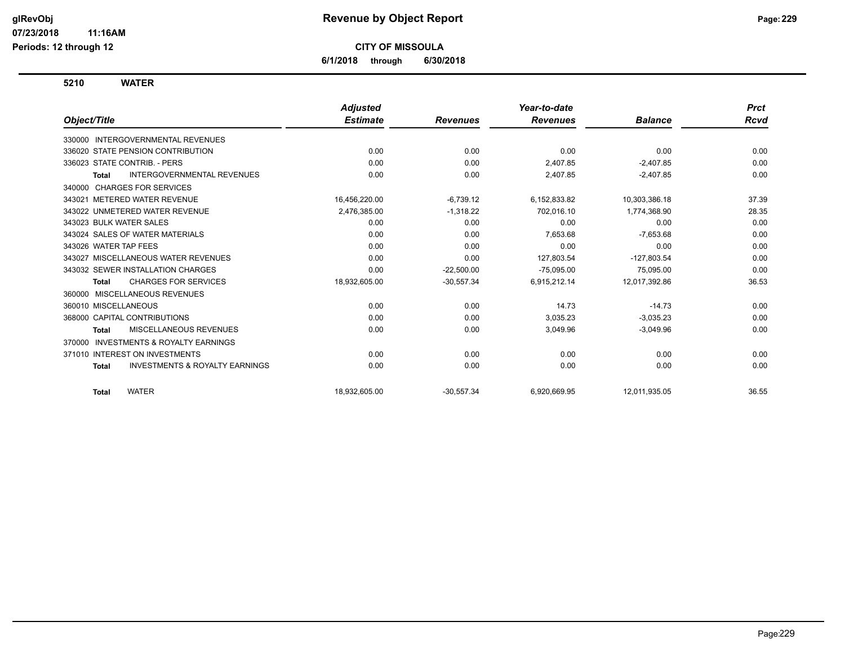**6/1/2018 through 6/30/2018**

**5210 WATER**

|                                                           | <b>Adjusted</b> |                 | Year-to-date    |                | <b>Prct</b> |
|-----------------------------------------------------------|-----------------|-----------------|-----------------|----------------|-------------|
| Object/Title                                              | <b>Estimate</b> | <b>Revenues</b> | <b>Revenues</b> | <b>Balance</b> | <b>Rcvd</b> |
| <b>INTERGOVERNMENTAL REVENUES</b><br>330000               |                 |                 |                 |                |             |
| 336020 STATE PENSION CONTRIBUTION                         | 0.00            | 0.00            | 0.00            | 0.00           | 0.00        |
| 336023 STATE CONTRIB. - PERS                              | 0.00            | 0.00            | 2,407.85        | $-2,407.85$    | 0.00        |
| <b>INTERGOVERNMENTAL REVENUES</b><br><b>Total</b>         | 0.00            | 0.00            | 2,407.85        | $-2,407.85$    | 0.00        |
| <b>CHARGES FOR SERVICES</b><br>340000                     |                 |                 |                 |                |             |
| 343021 METERED WATER REVENUE                              | 16,456,220.00   | $-6,739.12$     | 6,152,833.82    | 10,303,386.18  | 37.39       |
| 343022 UNMETERED WATER REVENUE                            | 2,476,385.00    | $-1,318.22$     | 702,016.10      | 1,774,368.90   | 28.35       |
| 343023 BULK WATER SALES                                   | 0.00            | 0.00            | 0.00            | 0.00           | 0.00        |
| 343024 SALES OF WATER MATERIALS                           | 0.00            | 0.00            | 7,653.68        | $-7,653.68$    | 0.00        |
| 343026 WATER TAP FEES                                     | 0.00            | 0.00            | 0.00            | 0.00           | 0.00        |
| 343027 MISCELLANEOUS WATER REVENUES                       | 0.00            | 0.00            | 127,803.54      | $-127,803.54$  | 0.00        |
| 343032 SEWER INSTALLATION CHARGES                         | 0.00            | $-22,500.00$    | $-75,095.00$    | 75,095.00      | 0.00        |
| <b>CHARGES FOR SERVICES</b><br><b>Total</b>               | 18,932,605.00   | $-30,557.34$    | 6,915,212.14    | 12,017,392.86  | 36.53       |
| MISCELLANEOUS REVENUES<br>360000                          |                 |                 |                 |                |             |
| 360010 MISCELLANEOUS                                      | 0.00            | 0.00            | 14.73           | $-14.73$       | 0.00        |
| 368000 CAPITAL CONTRIBUTIONS                              | 0.00            | 0.00            | 3,035.23        | $-3,035.23$    | 0.00        |
| <b>MISCELLANEOUS REVENUES</b><br><b>Total</b>             | 0.00            | 0.00            | 3,049.96        | $-3,049.96$    | 0.00        |
| <b>INVESTMENTS &amp; ROYALTY EARNINGS</b><br>370000       |                 |                 |                 |                |             |
| 371010 INTEREST ON INVESTMENTS                            | 0.00            | 0.00            | 0.00            | 0.00           | 0.00        |
| <b>INVESTMENTS &amp; ROYALTY EARNINGS</b><br><b>Total</b> | 0.00            | 0.00            | 0.00            | 0.00           | 0.00        |
| <b>WATER</b><br><b>Total</b>                              | 18,932,605.00   | $-30,557.34$    | 6,920,669.95    | 12,011,935.05  | 36.55       |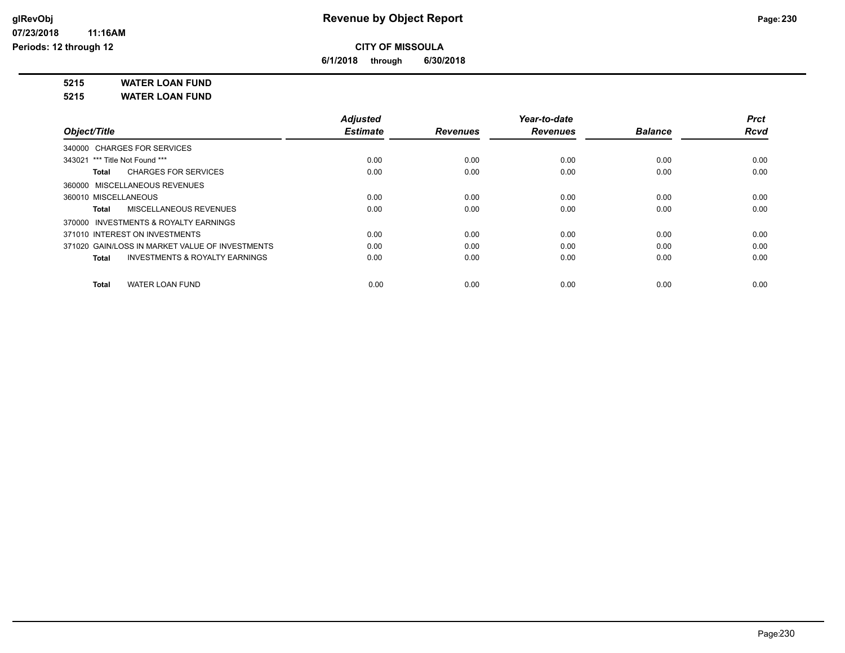**6/1/2018 through 6/30/2018**

**5215 WATER LOAN FUND**

**5215 WATER LOAN FUND**

|                                                 | <b>Adjusted</b> |                 | Year-to-date    |                | <b>Prct</b> |
|-------------------------------------------------|-----------------|-----------------|-----------------|----------------|-------------|
| Object/Title                                    | <b>Estimate</b> | <b>Revenues</b> | <b>Revenues</b> | <b>Balance</b> | <b>Rcvd</b> |
| 340000 CHARGES FOR SERVICES                     |                 |                 |                 |                |             |
| 343021 *** Title Not Found ***                  | 0.00            | 0.00            | 0.00            | 0.00           | 0.00        |
| <b>CHARGES FOR SERVICES</b><br>Total            | 0.00            | 0.00            | 0.00            | 0.00           | 0.00        |
| 360000 MISCELLANEOUS REVENUES                   |                 |                 |                 |                |             |
| 360010 MISCELLANEOUS                            | 0.00            | 0.00            | 0.00            | 0.00           | 0.00        |
| <b>MISCELLANEOUS REVENUES</b><br>Total          | 0.00            | 0.00            | 0.00            | 0.00           | 0.00        |
| 370000 INVESTMENTS & ROYALTY EARNINGS           |                 |                 |                 |                |             |
| 371010 INTEREST ON INVESTMENTS                  | 0.00            | 0.00            | 0.00            | 0.00           | 0.00        |
| 371020 GAIN/LOSS IN MARKET VALUE OF INVESTMENTS | 0.00            | 0.00            | 0.00            | 0.00           | 0.00        |
| INVESTMENTS & ROYALTY EARNINGS<br>Total         | 0.00            | 0.00            | 0.00            | 0.00           | 0.00        |
| <b>WATER LOAN FUND</b><br>Total                 | 0.00            | 0.00            | 0.00            | 0.00           | 0.00        |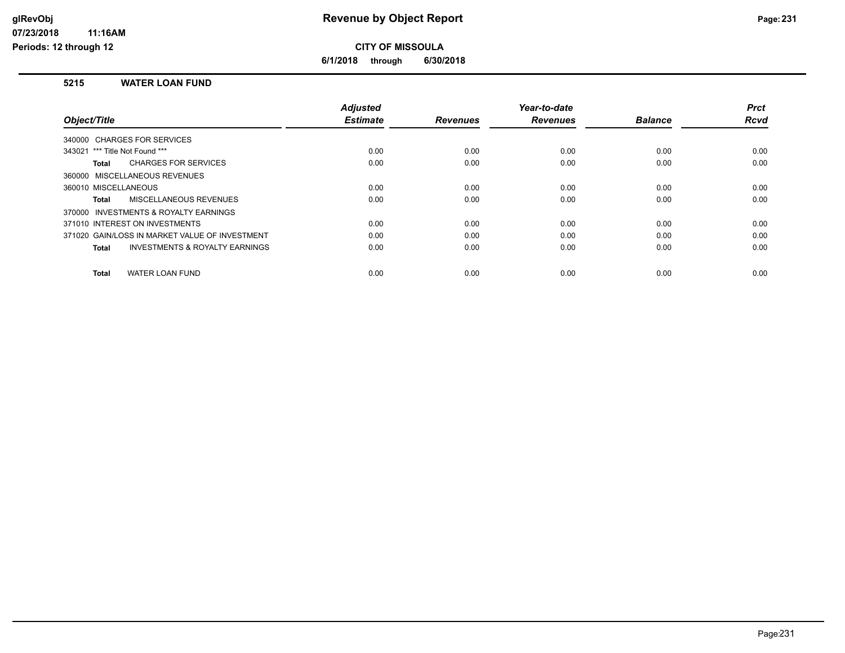**6/1/2018 through 6/30/2018**

#### **5215 WATER LOAN FUND**

|                                                | <b>Adjusted</b> |                 | Year-to-date    |                | <b>Prct</b> |
|------------------------------------------------|-----------------|-----------------|-----------------|----------------|-------------|
| Object/Title                                   | <b>Estimate</b> | <b>Revenues</b> | <b>Revenues</b> | <b>Balance</b> | <b>Rcvd</b> |
| 340000 CHARGES FOR SERVICES                    |                 |                 |                 |                |             |
| 343021 *** Title Not Found ***                 | 0.00            | 0.00            | 0.00            | 0.00           | 0.00        |
| <b>CHARGES FOR SERVICES</b><br>Total           | 0.00            | 0.00            | 0.00            | 0.00           | 0.00        |
| 360000 MISCELLANEOUS REVENUES                  |                 |                 |                 |                |             |
| 360010 MISCELLANEOUS                           | 0.00            | 0.00            | 0.00            | 0.00           | 0.00        |
| MISCELLANEOUS REVENUES<br><b>Total</b>         | 0.00            | 0.00            | 0.00            | 0.00           | 0.00        |
| 370000 INVESTMENTS & ROYALTY EARNINGS          |                 |                 |                 |                |             |
| 371010 INTEREST ON INVESTMENTS                 | 0.00            | 0.00            | 0.00            | 0.00           | 0.00        |
| 371020 GAIN/LOSS IN MARKET VALUE OF INVESTMENT | 0.00            | 0.00            | 0.00            | 0.00           | 0.00        |
| INVESTMENTS & ROYALTY EARNINGS<br>Total        | 0.00            | 0.00            | 0.00            | 0.00           | 0.00        |
| <b>WATER LOAN FUND</b><br><b>Total</b>         | 0.00            | 0.00            | 0.00            | 0.00           | 0.00        |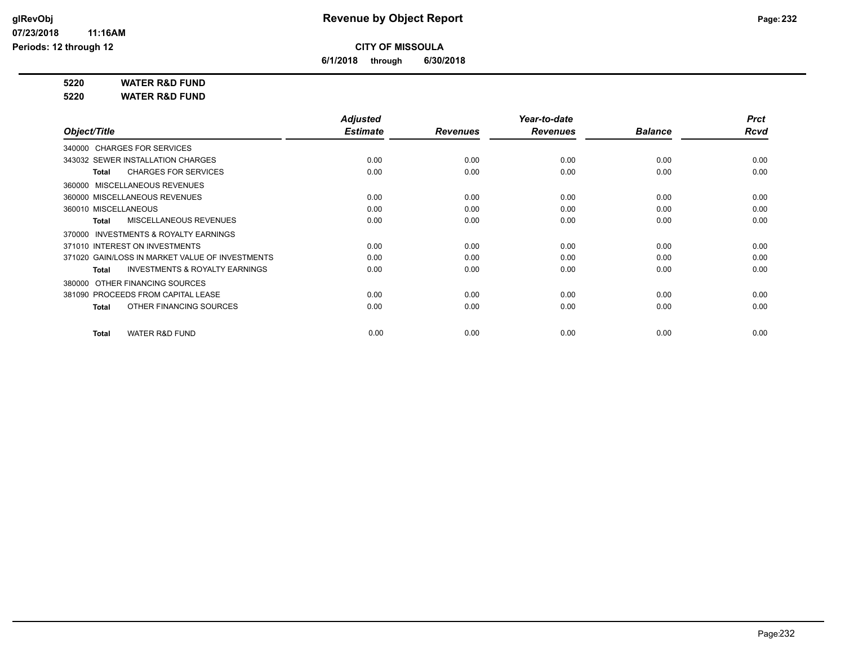**6/1/2018 through 6/30/2018**

**5220 WATER R&D FUND**

**5220 WATER R&D FUND**

|                                                    | <b>Adjusted</b> |                 | Year-to-date    |                | <b>Prct</b> |
|----------------------------------------------------|-----------------|-----------------|-----------------|----------------|-------------|
| Object/Title                                       | <b>Estimate</b> | <b>Revenues</b> | <b>Revenues</b> | <b>Balance</b> | Rcvd        |
| 340000 CHARGES FOR SERVICES                        |                 |                 |                 |                |             |
| 343032 SEWER INSTALLATION CHARGES                  | 0.00            | 0.00            | 0.00            | 0.00           | 0.00        |
| <b>CHARGES FOR SERVICES</b><br>Total               | 0.00            | 0.00            | 0.00            | 0.00           | 0.00        |
| 360000 MISCELLANEOUS REVENUES                      |                 |                 |                 |                |             |
| 360000 MISCELLANEOUS REVENUES                      | 0.00            | 0.00            | 0.00            | 0.00           | 0.00        |
| 360010 MISCELLANEOUS                               | 0.00            | 0.00            | 0.00            | 0.00           | 0.00        |
| MISCELLANEOUS REVENUES<br>Total                    | 0.00            | 0.00            | 0.00            | 0.00           | 0.00        |
| 370000 INVESTMENTS & ROYALTY EARNINGS              |                 |                 |                 |                |             |
| 371010 INTEREST ON INVESTMENTS                     | 0.00            | 0.00            | 0.00            | 0.00           | 0.00        |
| 371020 GAIN/LOSS IN MARKET VALUE OF INVESTMENTS    | 0.00            | 0.00            | 0.00            | 0.00           | 0.00        |
| <b>INVESTMENTS &amp; ROYALTY EARNINGS</b><br>Total | 0.00            | 0.00            | 0.00            | 0.00           | 0.00        |
| 380000 OTHER FINANCING SOURCES                     |                 |                 |                 |                |             |
| 381090 PROCEEDS FROM CAPITAL LEASE                 | 0.00            | 0.00            | 0.00            | 0.00           | 0.00        |
| OTHER FINANCING SOURCES<br>Total                   | 0.00            | 0.00            | 0.00            | 0.00           | 0.00        |
|                                                    |                 |                 |                 |                |             |
| <b>WATER R&amp;D FUND</b><br>Total                 | 0.00            | 0.00            | 0.00            | 0.00           | 0.00        |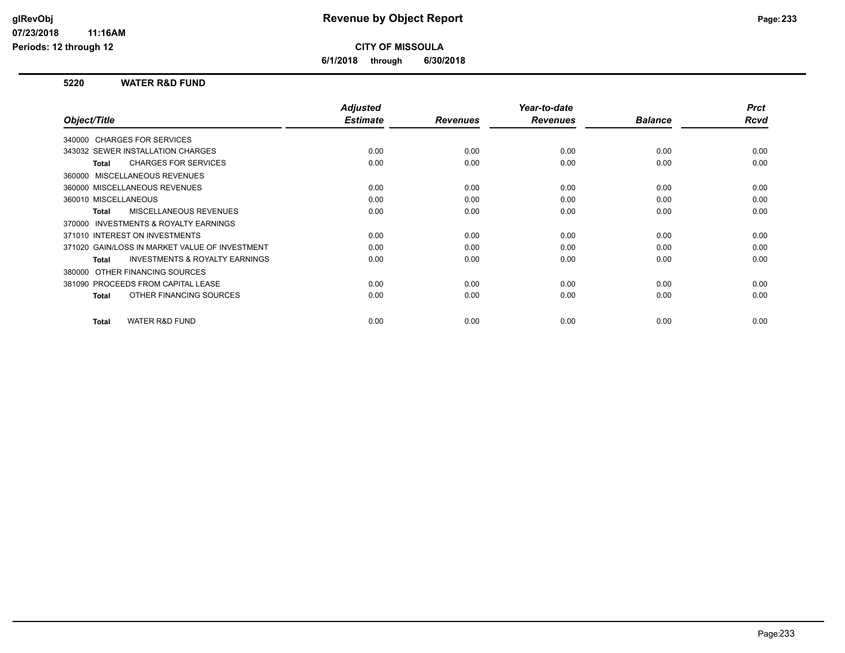**6/1/2018 through 6/30/2018**

#### **5220 WATER R&D FUND**

|                                                    | <b>Adjusted</b> |                 | Year-to-date    |                | <b>Prct</b> |
|----------------------------------------------------|-----------------|-----------------|-----------------|----------------|-------------|
| Object/Title                                       | <b>Estimate</b> | <b>Revenues</b> | <b>Revenues</b> | <b>Balance</b> | <b>Rcvd</b> |
| 340000 CHARGES FOR SERVICES                        |                 |                 |                 |                |             |
| 343032 SEWER INSTALLATION CHARGES                  | 0.00            | 0.00            | 0.00            | 0.00           | 0.00        |
| <b>CHARGES FOR SERVICES</b><br>Total               | 0.00            | 0.00            | 0.00            | 0.00           | 0.00        |
| 360000 MISCELLANEOUS REVENUES                      |                 |                 |                 |                |             |
| 360000 MISCELLANEOUS REVENUES                      | 0.00            | 0.00            | 0.00            | 0.00           | 0.00        |
| 360010 MISCELLANEOUS                               | 0.00            | 0.00            | 0.00            | 0.00           | 0.00        |
| <b>MISCELLANEOUS REVENUES</b><br>Total             | 0.00            | 0.00            | 0.00            | 0.00           | 0.00        |
| INVESTMENTS & ROYALTY EARNINGS<br>370000           |                 |                 |                 |                |             |
| 371010 INTEREST ON INVESTMENTS                     | 0.00            | 0.00            | 0.00            | 0.00           | 0.00        |
| 371020 GAIN/LOSS IN MARKET VALUE OF INVESTMENT     | 0.00            | 0.00            | 0.00            | 0.00           | 0.00        |
| <b>INVESTMENTS &amp; ROYALTY EARNINGS</b><br>Total | 0.00            | 0.00            | 0.00            | 0.00           | 0.00        |
| OTHER FINANCING SOURCES<br>380000                  |                 |                 |                 |                |             |
| 381090 PROCEEDS FROM CAPITAL LEASE                 | 0.00            | 0.00            | 0.00            | 0.00           | 0.00        |
| OTHER FINANCING SOURCES<br>Total                   | 0.00            | 0.00            | 0.00            | 0.00           | 0.00        |
|                                                    |                 |                 |                 |                |             |
| <b>WATER R&amp;D FUND</b><br><b>Total</b>          | 0.00            | 0.00            | 0.00            | 0.00           | 0.00        |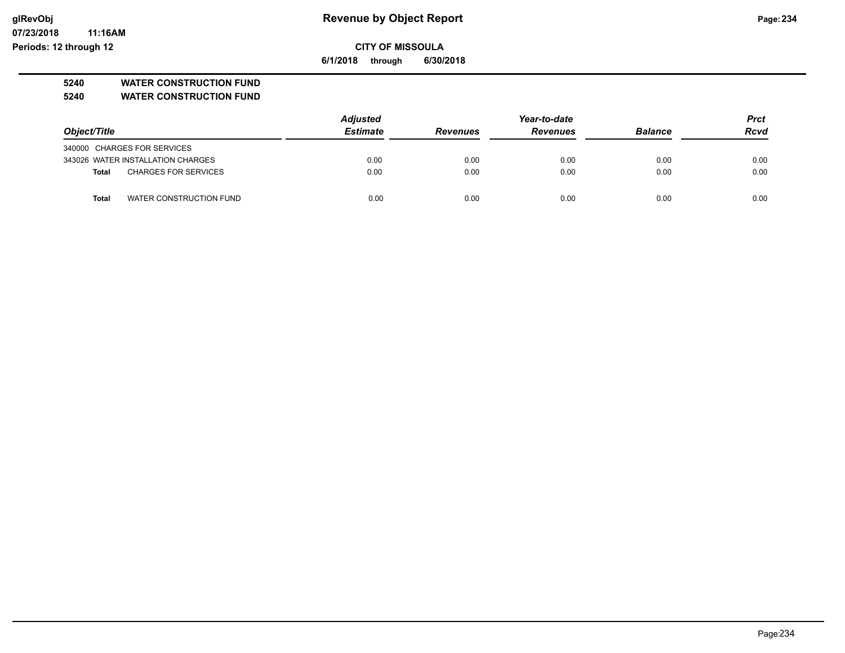**07/23/2018 11:16AM Periods: 12 through 12**

**CITY OF MISSOULA**

**6/1/2018 through 6/30/2018**

## **5240 WATER CONSTRUCTION FUND**

**5240 WATER CONSTRUCTION FUND**

|              |                                   | <b>Adjusted</b> | Year-to-date    |                 |                | Prct |
|--------------|-----------------------------------|-----------------|-----------------|-----------------|----------------|------|
| Object/Title |                                   | <b>Estimate</b> | <b>Revenues</b> | <b>Revenues</b> | <b>Balance</b> | Rcvd |
|              | 340000 CHARGES FOR SERVICES       |                 |                 |                 |                |      |
|              | 343026 WATER INSTALLATION CHARGES | 0.00            | 0.00            | 0.00            | 0.00           | 0.00 |
| Total        | <b>CHARGES FOR SERVICES</b>       | 0.00            | 0.00            | 0.00            | 0.00           | 0.00 |
| <b>Total</b> | WATER CONSTRUCTION FUND           | 0.00            | 0.00            | 0.00            | 0.00           | 0.00 |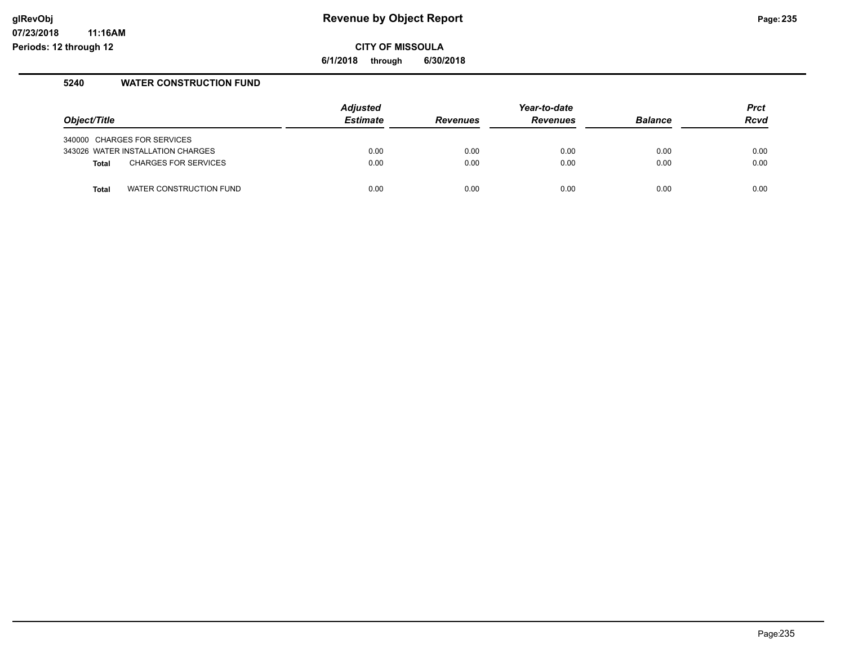**6/1/2018 through 6/30/2018**

## **5240 WATER CONSTRUCTION FUND**

|                                             | <b>Adjusted</b> |                 | <b>Prct</b>     |                |             |
|---------------------------------------------|-----------------|-----------------|-----------------|----------------|-------------|
| Object/Title                                | <b>Estimate</b> | <b>Revenues</b> | <b>Revenues</b> | <b>Balance</b> | <b>Rcvd</b> |
| 340000 CHARGES FOR SERVICES                 |                 |                 |                 |                |             |
| 343026 WATER INSTALLATION CHARGES           | 0.00            | 0.00            | 0.00            | 0.00           | 0.00        |
| <b>CHARGES FOR SERVICES</b><br><b>Total</b> | 0.00            | 0.00            | 0.00            | 0.00           | 0.00        |
|                                             |                 |                 |                 |                |             |
| Total<br>WATER CONSTRUCTION FUND            | 0.00            | 0.00            | 0.00            | 0.00           | 0.00        |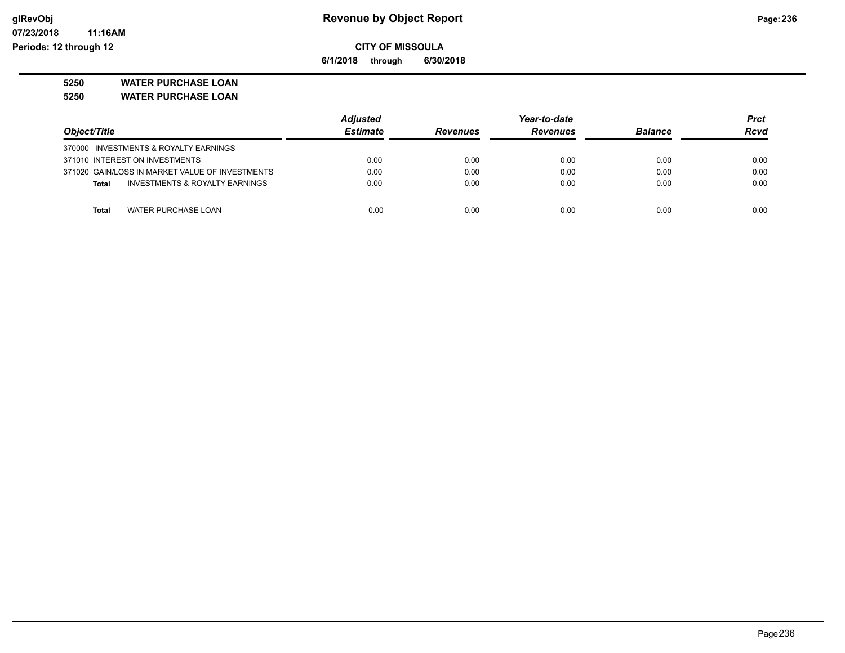**6/1/2018 through 6/30/2018**

## **5250 WATER PURCHASE LOAN**

**5250 WATER PURCHASE LOAN**

|                                                 | <b>Adjusted</b> |                 | Year-to-date    |                | Prct |
|-------------------------------------------------|-----------------|-----------------|-----------------|----------------|------|
| Object/Title                                    | <b>Estimate</b> | <b>Revenues</b> | <b>Revenues</b> | <b>Balance</b> | Rcvd |
| 370000 INVESTMENTS & ROYALTY EARNINGS           |                 |                 |                 |                |      |
| 371010 INTEREST ON INVESTMENTS                  | 0.00            | 0.00            | 0.00            | 0.00           | 0.00 |
| 371020 GAIN/LOSS IN MARKET VALUE OF INVESTMENTS | 0.00            | 0.00            | 0.00            | 0.00           | 0.00 |
| INVESTMENTS & ROYALTY EARNINGS<br><b>Total</b>  | 0.00            | 0.00            | 0.00            | 0.00           | 0.00 |
|                                                 |                 |                 |                 |                |      |
| Total<br>WATER PURCHASE LOAN                    | 0.00            | 0.00            | 0.00            | 0.00           | 0.00 |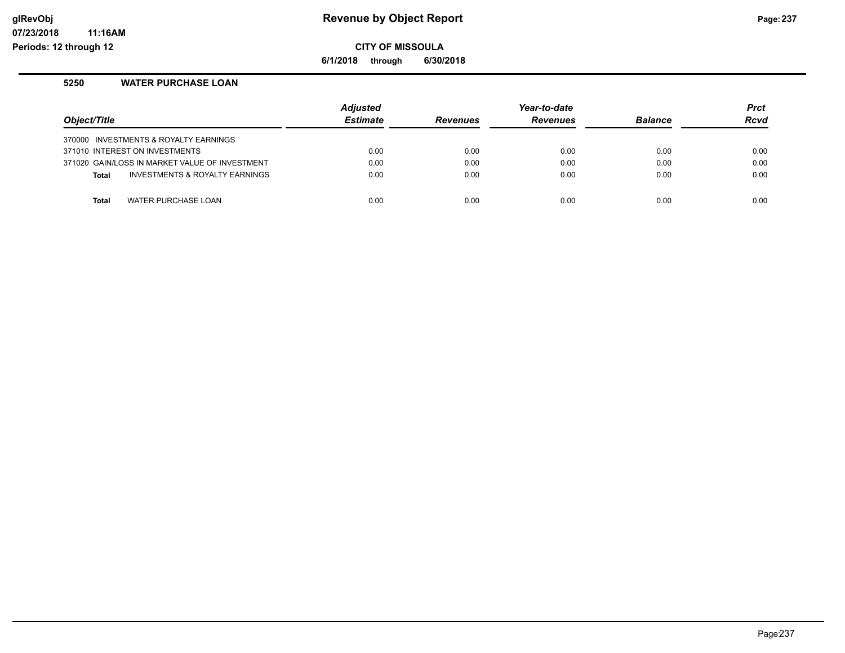**6/1/2018 through 6/30/2018**

## **5250 WATER PURCHASE LOAN**

| Object/Title                          |                                                | <b>Adjusted</b><br><b>Estimate</b> | <b>Revenues</b> | Year-to-date<br><b>Revenues</b> | <b>Balance</b> | <b>Prct</b><br><b>Rcvd</b> |
|---------------------------------------|------------------------------------------------|------------------------------------|-----------------|---------------------------------|----------------|----------------------------|
| 370000 INVESTMENTS & ROYALTY EARNINGS |                                                |                                    |                 |                                 |                |                            |
| 371010 INTEREST ON INVESTMENTS        |                                                | 0.00                               | 0.00            | 0.00                            | 0.00           | 0.00                       |
|                                       | 371020 GAIN/LOSS IN MARKET VALUE OF INVESTMENT | 0.00                               | 0.00            | 0.00                            | 0.00           | 0.00                       |
| <b>Total</b>                          | INVESTMENTS & ROYALTY EARNINGS                 | 0.00                               | 0.00            | 0.00                            | 0.00           | 0.00                       |
|                                       |                                                |                                    |                 |                                 |                |                            |
| Total                                 | WATER PURCHASE LOAN                            | 0.00                               | 0.00            | 0.00                            | 0.00           | 0.00                       |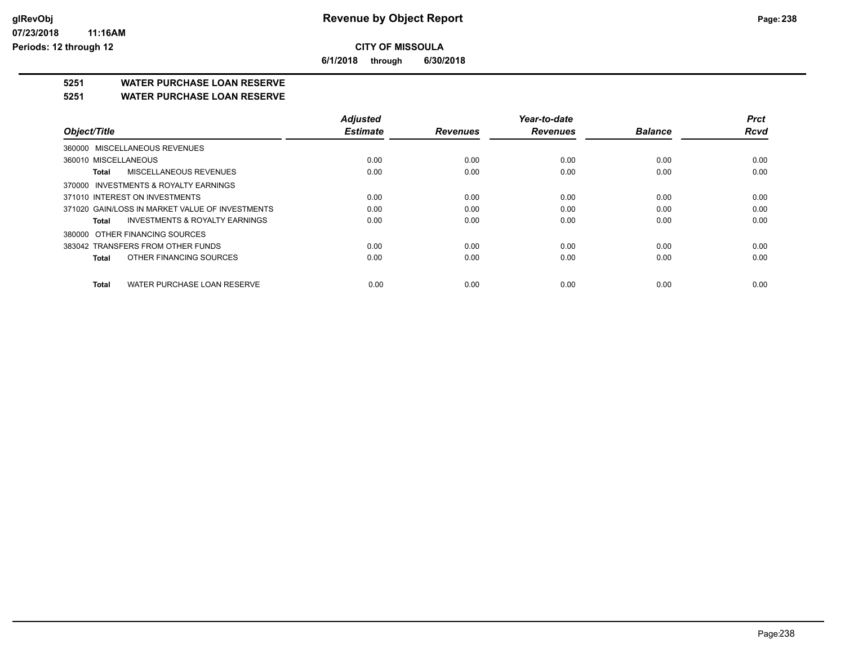**6/1/2018 through 6/30/2018**

## **5251 WATER PURCHASE LOAN RESERVE**

## **5251 WATER PURCHASE LOAN RESERVE**

|                                                    | <b>Adjusted</b> |                 | Year-to-date    |                | <b>Prct</b> |
|----------------------------------------------------|-----------------|-----------------|-----------------|----------------|-------------|
| Object/Title                                       | <b>Estimate</b> | <b>Revenues</b> | <b>Revenues</b> | <b>Balance</b> | <b>Rcvd</b> |
| 360000 MISCELLANEOUS REVENUES                      |                 |                 |                 |                |             |
| 360010 MISCELLANEOUS                               | 0.00            | 0.00            | 0.00            | 0.00           | 0.00        |
| MISCELLANEOUS REVENUES<br>Total                    | 0.00            | 0.00            | 0.00            | 0.00           | 0.00        |
| 370000 INVESTMENTS & ROYALTY EARNINGS              |                 |                 |                 |                |             |
| 371010 INTEREST ON INVESTMENTS                     | 0.00            | 0.00            | 0.00            | 0.00           | 0.00        |
| 371020 GAIN/LOSS IN MARKET VALUE OF INVESTMENTS    | 0.00            | 0.00            | 0.00            | 0.00           | 0.00        |
| <b>INVESTMENTS &amp; ROYALTY EARNINGS</b><br>Total | 0.00            | 0.00            | 0.00            | 0.00           | 0.00        |
| 380000 OTHER FINANCING SOURCES                     |                 |                 |                 |                |             |
| 383042 TRANSFERS FROM OTHER FUNDS                  | 0.00            | 0.00            | 0.00            | 0.00           | 0.00        |
| OTHER FINANCING SOURCES<br>Total                   | 0.00            | 0.00            | 0.00            | 0.00           | 0.00        |
| WATER PURCHASE LOAN RESERVE<br>Total               | 0.00            | 0.00            | 0.00            | 0.00           | 0.00        |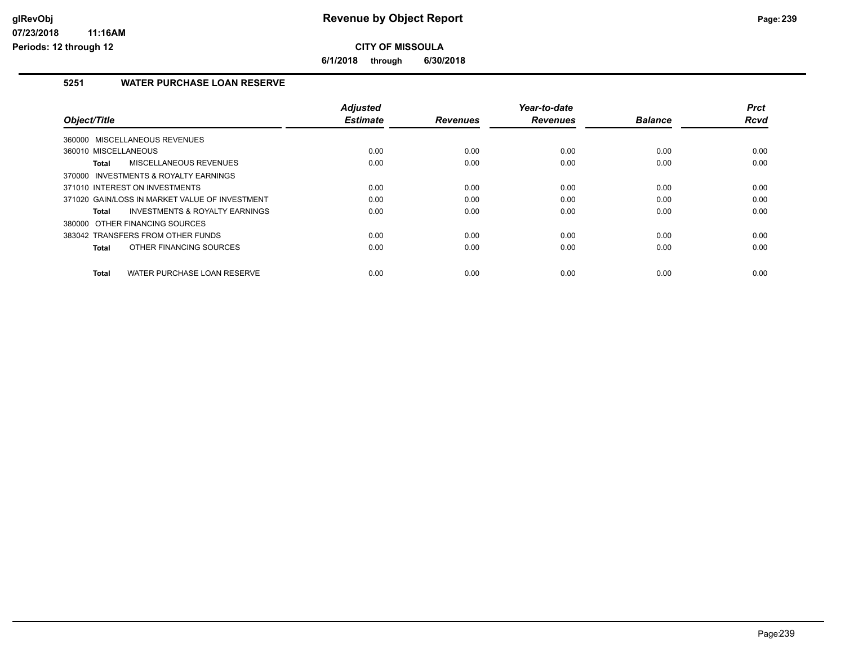**6/1/2018 through 6/30/2018**

## **5251 WATER PURCHASE LOAN RESERVE**

| Object/Title                                       | <b>Adjusted</b><br><b>Estimate</b> | <b>Revenues</b> | Year-to-date<br><b>Revenues</b> | <b>Balance</b> | <b>Prct</b><br>Rcvd |
|----------------------------------------------------|------------------------------------|-----------------|---------------------------------|----------------|---------------------|
| 360000 MISCELLANEOUS REVENUES                      |                                    |                 |                                 |                |                     |
| 360010 MISCELLANEOUS                               | 0.00                               | 0.00            | 0.00                            | 0.00           | 0.00                |
| <b>MISCELLANEOUS REVENUES</b><br>Total             | 0.00                               | 0.00            | 0.00                            | 0.00           | 0.00                |
| 370000 INVESTMENTS & ROYALTY EARNINGS              |                                    |                 |                                 |                |                     |
| 371010 INTEREST ON INVESTMENTS                     | 0.00                               | 0.00            | 0.00                            | 0.00           | 0.00                |
| 371020 GAIN/LOSS IN MARKET VALUE OF INVESTMENT     | 0.00                               | 0.00            | 0.00                            | 0.00           | 0.00                |
| <b>INVESTMENTS &amp; ROYALTY EARNINGS</b><br>Total | 0.00                               | 0.00            | 0.00                            | 0.00           | 0.00                |
| 380000 OTHER FINANCING SOURCES                     |                                    |                 |                                 |                |                     |
| 383042 TRANSFERS FROM OTHER FUNDS                  | 0.00                               | 0.00            | 0.00                            | 0.00           | 0.00                |
| OTHER FINANCING SOURCES<br>Total                   | 0.00                               | 0.00            | 0.00                            | 0.00           | 0.00                |
| WATER PURCHASE LOAN RESERVE<br>Total               | 0.00                               | 0.00            | 0.00                            | 0.00           | 0.00                |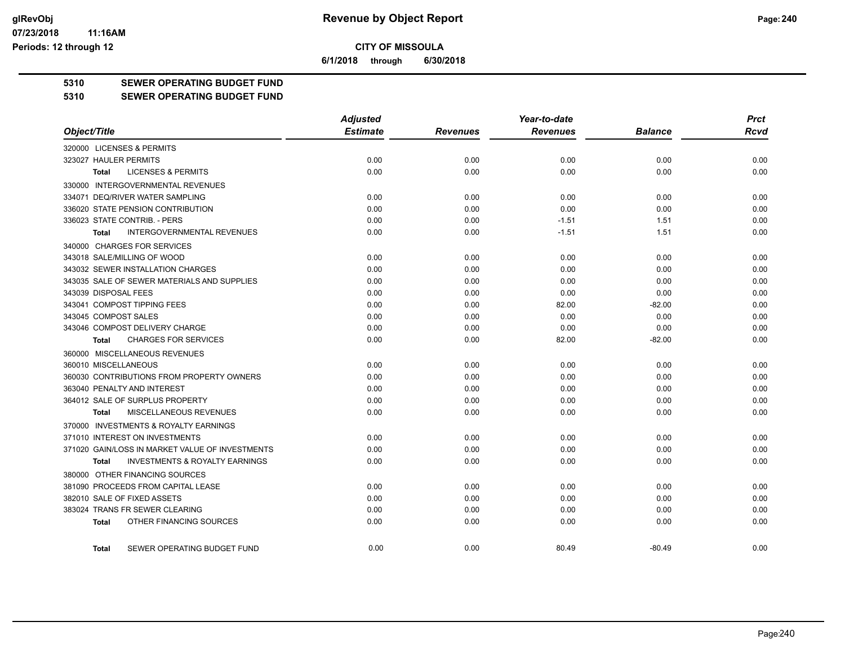**6/1/2018 through 6/30/2018**

## **5310 SEWER OPERATING BUDGET FUND**

#### **5310 SEWER OPERATING BUDGET FUND**

|                                                    | <b>Adjusted</b> |                 | Year-to-date    |                | <b>Prct</b> |
|----------------------------------------------------|-----------------|-----------------|-----------------|----------------|-------------|
| Object/Title                                       | <b>Estimate</b> | <b>Revenues</b> | <b>Revenues</b> | <b>Balance</b> | <b>Rcvd</b> |
| 320000 LICENSES & PERMITS                          |                 |                 |                 |                |             |
| 323027 HAULER PERMITS                              | 0.00            | 0.00            | 0.00            | 0.00           | 0.00        |
| <b>LICENSES &amp; PERMITS</b><br><b>Total</b>      | 0.00            | 0.00            | 0.00            | 0.00           | 0.00        |
| 330000 INTERGOVERNMENTAL REVENUES                  |                 |                 |                 |                |             |
| 334071 DEQ/RIVER WATER SAMPLING                    | 0.00            | 0.00            | 0.00            | 0.00           | 0.00        |
| 336020 STATE PENSION CONTRIBUTION                  | 0.00            | 0.00            | 0.00            | 0.00           | 0.00        |
| 336023 STATE CONTRIB. - PERS                       | 0.00            | 0.00            | $-1.51$         | 1.51           | 0.00        |
| INTERGOVERNMENTAL REVENUES<br><b>Total</b>         | 0.00            | 0.00            | $-1.51$         | 1.51           | 0.00        |
| 340000 CHARGES FOR SERVICES                        |                 |                 |                 |                |             |
| 343018 SALE/MILLING OF WOOD                        | 0.00            | 0.00            | 0.00            | 0.00           | 0.00        |
| 343032 SEWER INSTALLATION CHARGES                  | 0.00            | 0.00            | 0.00            | 0.00           | 0.00        |
| 343035 SALE OF SEWER MATERIALS AND SUPPLIES        | 0.00            | 0.00            | 0.00            | 0.00           | 0.00        |
| 343039 DISPOSAL FEES                               | 0.00            | 0.00            | 0.00            | 0.00           | 0.00        |
| 343041 COMPOST TIPPING FEES                        | 0.00            | 0.00            | 82.00           | $-82.00$       | 0.00        |
| 343045 COMPOST SALES                               | 0.00            | 0.00            | 0.00            | 0.00           | 0.00        |
| 343046 COMPOST DELIVERY CHARGE                     | 0.00            | 0.00            | 0.00            | 0.00           | 0.00        |
| <b>CHARGES FOR SERVICES</b><br><b>Total</b>        | 0.00            | 0.00            | 82.00           | $-82.00$       | 0.00        |
| 360000 MISCELLANEOUS REVENUES                      |                 |                 |                 |                |             |
| 360010 MISCELLANEOUS                               | 0.00            | 0.00            | 0.00            | 0.00           | 0.00        |
| 360030 CONTRIBUTIONS FROM PROPERTY OWNERS          | 0.00            | 0.00            | 0.00            | 0.00           | 0.00        |
| 363040 PENALTY AND INTEREST                        | 0.00            | 0.00            | 0.00            | 0.00           | 0.00        |
| 364012 SALE OF SURPLUS PROPERTY                    | 0.00            | 0.00            | 0.00            | 0.00           | 0.00        |
| MISCELLANEOUS REVENUES<br><b>Total</b>             | 0.00            | 0.00            | 0.00            | 0.00           | 0.00        |
| 370000 INVESTMENTS & ROYALTY EARNINGS              |                 |                 |                 |                |             |
| 371010 INTEREST ON INVESTMENTS                     | 0.00            | 0.00            | 0.00            | 0.00           | 0.00        |
| 371020 GAIN/LOSS IN MARKET VALUE OF INVESTMENTS    | 0.00            | 0.00            | 0.00            | 0.00           | 0.00        |
| <b>INVESTMENTS &amp; ROYALTY EARNINGS</b><br>Total | 0.00            | 0.00            | 0.00            | 0.00           | 0.00        |
| 380000 OTHER FINANCING SOURCES                     |                 |                 |                 |                |             |
| 381090 PROCEEDS FROM CAPITAL LEASE                 | 0.00            | 0.00            | 0.00            | 0.00           | 0.00        |
| 382010 SALE OF FIXED ASSETS                        | 0.00            | 0.00            | 0.00            | 0.00           | 0.00        |
| 383024 TRANS FR SEWER CLEARING                     | 0.00            | 0.00            | 0.00            | 0.00           | 0.00        |
| OTHER FINANCING SOURCES<br><b>Total</b>            | 0.00            | 0.00            | 0.00            | 0.00           | 0.00        |
|                                                    |                 |                 |                 |                |             |
| SEWER OPERATING BUDGET FUND<br>Total               | 0.00            | 0.00            | 80.49           | $-80.49$       | 0.00        |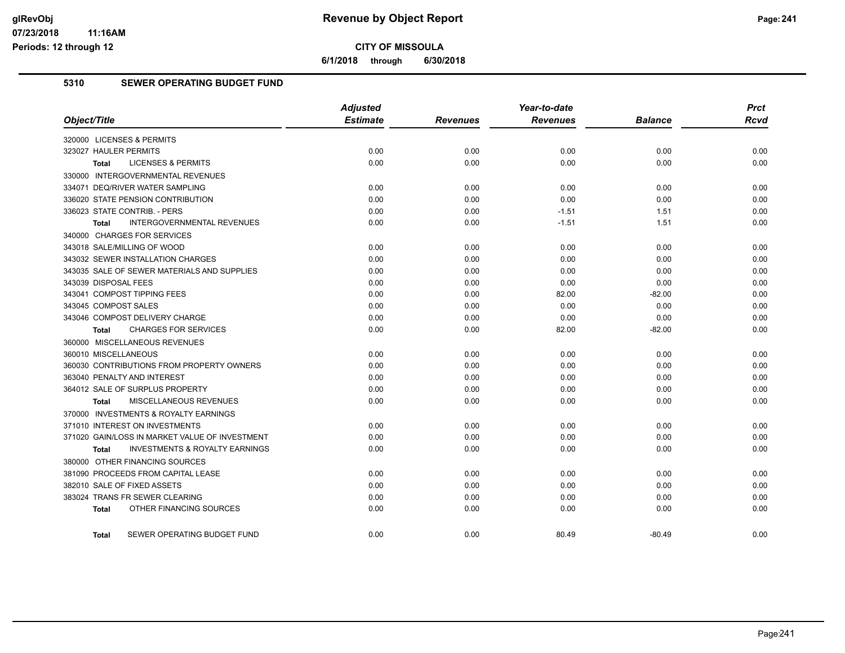**6/1/2018 through 6/30/2018**

## **5310 SEWER OPERATING BUDGET FUND**

|                                                           | <b>Adjusted</b> |                 | Year-to-date    |                | <b>Prct</b> |
|-----------------------------------------------------------|-----------------|-----------------|-----------------|----------------|-------------|
| Object/Title                                              | <b>Estimate</b> | <b>Revenues</b> | <b>Revenues</b> | <b>Balance</b> | <b>Rcvd</b> |
| 320000 LICENSES & PERMITS                                 |                 |                 |                 |                |             |
| 323027 HAULER PERMITS                                     | 0.00            | 0.00            | 0.00            | 0.00           | 0.00        |
| <b>LICENSES &amp; PERMITS</b><br><b>Total</b>             | 0.00            | 0.00            | 0.00            | 0.00           | 0.00        |
| 330000 INTERGOVERNMENTAL REVENUES                         |                 |                 |                 |                |             |
| 334071 DEQ/RIVER WATER SAMPLING                           | 0.00            | 0.00            | 0.00            | 0.00           | 0.00        |
| 336020 STATE PENSION CONTRIBUTION                         | 0.00            | 0.00            | 0.00            | 0.00           | 0.00        |
| 336023 STATE CONTRIB. - PERS                              | 0.00            | 0.00            | $-1.51$         | 1.51           | 0.00        |
| <b>INTERGOVERNMENTAL REVENUES</b><br><b>Total</b>         | 0.00            | 0.00            | $-1.51$         | 1.51           | 0.00        |
| 340000 CHARGES FOR SERVICES                               |                 |                 |                 |                |             |
| 343018 SALE/MILLING OF WOOD                               | 0.00            | 0.00            | 0.00            | 0.00           | 0.00        |
| 343032 SEWER INSTALLATION CHARGES                         | 0.00            | 0.00            | 0.00            | 0.00           | 0.00        |
| 343035 SALE OF SEWER MATERIALS AND SUPPLIES               | 0.00            | 0.00            | 0.00            | 0.00           | 0.00        |
| 343039 DISPOSAL FEES                                      | 0.00            | 0.00            | 0.00            | 0.00           | 0.00        |
| 343041 COMPOST TIPPING FEES                               | 0.00            | 0.00            | 82.00           | $-82.00$       | 0.00        |
| 343045 COMPOST SALES                                      | 0.00            | 0.00            | 0.00            | 0.00           | 0.00        |
| 343046 COMPOST DELIVERY CHARGE                            | 0.00            | 0.00            | 0.00            | 0.00           | 0.00        |
| <b>CHARGES FOR SERVICES</b><br><b>Total</b>               | 0.00            | 0.00            | 82.00           | $-82.00$       | 0.00        |
| 360000 MISCELLANEOUS REVENUES                             |                 |                 |                 |                |             |
| 360010 MISCELLANEOUS                                      | 0.00            | 0.00            | 0.00            | 0.00           | 0.00        |
| 360030 CONTRIBUTIONS FROM PROPERTY OWNERS                 | 0.00            | 0.00            | 0.00            | 0.00           | 0.00        |
| 363040 PENALTY AND INTEREST                               | 0.00            | 0.00            | 0.00            | 0.00           | 0.00        |
| 364012 SALE OF SURPLUS PROPERTY                           | 0.00            | 0.00            | 0.00            | 0.00           | 0.00        |
| <b>MISCELLANEOUS REVENUES</b><br><b>Total</b>             | 0.00            | 0.00            | 0.00            | 0.00           | 0.00        |
| 370000 INVESTMENTS & ROYALTY EARNINGS                     |                 |                 |                 |                |             |
| 371010 INTEREST ON INVESTMENTS                            | 0.00            | 0.00            | 0.00            | 0.00           | 0.00        |
| 371020 GAIN/LOSS IN MARKET VALUE OF INVESTMENT            | 0.00            | 0.00            | 0.00            | 0.00           | 0.00        |
| <b>INVESTMENTS &amp; ROYALTY EARNINGS</b><br><b>Total</b> | 0.00            | 0.00            | 0.00            | 0.00           | 0.00        |
| 380000 OTHER FINANCING SOURCES                            |                 |                 |                 |                |             |
| 381090 PROCEEDS FROM CAPITAL LEASE                        | 0.00            | 0.00            | 0.00            | 0.00           | 0.00        |
| 382010 SALE OF FIXED ASSETS                               | 0.00            | 0.00            | 0.00            | 0.00           | 0.00        |
| 383024 TRANS FR SEWER CLEARING                            | 0.00            | 0.00            | 0.00            | 0.00           | 0.00        |
| OTHER FINANCING SOURCES<br><b>Total</b>                   | 0.00            | 0.00            | 0.00            | 0.00           | 0.00        |
| SEWER OPERATING BUDGET FUND<br><b>Total</b>               | 0.00            | 0.00            | 80.49           | $-80.49$       | 0.00        |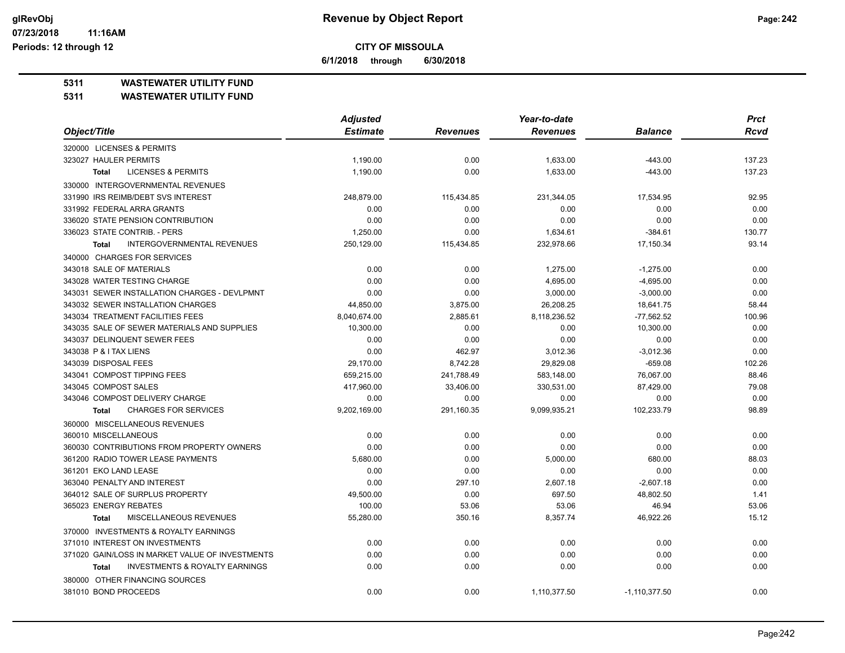**6/1/2018 through 6/30/2018**

**5311 WASTEWATER UTILITY FUND**

|                                                           | <b>Adjusted</b> |                 | Year-to-date    |                 | <b>Prct</b> |
|-----------------------------------------------------------|-----------------|-----------------|-----------------|-----------------|-------------|
| Object/Title                                              | <b>Estimate</b> | <b>Revenues</b> | <b>Revenues</b> | <b>Balance</b>  | <b>Rcvd</b> |
| 320000 LICENSES & PERMITS                                 |                 |                 |                 |                 |             |
| 323027 HAULER PERMITS                                     | 1,190.00        | 0.00            | 1,633.00        | $-443.00$       | 137.23      |
| <b>LICENSES &amp; PERMITS</b><br><b>Total</b>             | 1,190.00        | 0.00            | 1,633.00        | $-443.00$       | 137.23      |
| 330000 INTERGOVERNMENTAL REVENUES                         |                 |                 |                 |                 |             |
| 331990 IRS REIMB/DEBT SVS INTEREST                        | 248,879.00      | 115,434.85      | 231,344.05      | 17,534.95       | 92.95       |
| 331992 FEDERAL ARRA GRANTS                                | 0.00            | 0.00            | 0.00            | 0.00            | 0.00        |
| 336020 STATE PENSION CONTRIBUTION                         | 0.00            | 0.00            | 0.00            | 0.00            | 0.00        |
| 336023 STATE CONTRIB. - PERS                              | 1,250.00        | 0.00            | 1.634.61        | $-384.61$       | 130.77      |
| <b>INTERGOVERNMENTAL REVENUES</b><br><b>Total</b>         | 250,129.00      | 115,434.85      | 232,978.66      | 17,150.34       | 93.14       |
| 340000 CHARGES FOR SERVICES                               |                 |                 |                 |                 |             |
| 343018 SALE OF MATERIALS                                  | 0.00            | 0.00            | 1,275.00        | $-1,275.00$     | 0.00        |
| 343028 WATER TESTING CHARGE                               | 0.00            | 0.00            | 4,695.00        | $-4,695.00$     | 0.00        |
| 343031 SEWER INSTALLATION CHARGES - DEVLPMNT              | 0.00            | 0.00            | 3.000.00        | $-3,000.00$     | 0.00        |
| 343032 SEWER INSTALLATION CHARGES                         | 44,850.00       | 3,875.00        | 26,208.25       | 18,641.75       | 58.44       |
| 343034 TREATMENT FACILITIES FEES                          | 8,040,674.00    | 2,885.61        | 8,118,236.52    | $-77,562.52$    | 100.96      |
| 343035 SALE OF SEWER MATERIALS AND SUPPLIES               | 10,300.00       | 0.00            | 0.00            | 10,300.00       | 0.00        |
| 343037 DELINQUENT SEWER FEES                              | 0.00            | 0.00            | 0.00            | 0.00            | 0.00        |
| 343038 P & I TAX LIENS                                    | 0.00            | 462.97          | 3,012.36        | $-3,012.36$     | 0.00        |
| 343039 DISPOSAL FEES                                      | 29,170.00       | 8,742.28        | 29,829.08       | $-659.08$       | 102.26      |
| 343041 COMPOST TIPPING FEES                               | 659,215.00      | 241,788.49      | 583,148.00      | 76,067.00       | 88.46       |
| 343045 COMPOST SALES                                      | 417,960.00      | 33,406.00       | 330,531.00      | 87,429.00       | 79.08       |
| 343046 COMPOST DELIVERY CHARGE                            | 0.00            | 0.00            | 0.00            | 0.00            | 0.00        |
| <b>CHARGES FOR SERVICES</b><br><b>Total</b>               | 9,202,169.00    | 291,160.35      | 9,099,935.21    | 102,233.79      | 98.89       |
| 360000 MISCELLANEOUS REVENUES                             |                 |                 |                 |                 |             |
| 360010 MISCELLANEOUS                                      | 0.00            | 0.00            | 0.00            | 0.00            | 0.00        |
| 360030 CONTRIBUTIONS FROM PROPERTY OWNERS                 | 0.00            | 0.00            | 0.00            | 0.00            | 0.00        |
| 361200 RADIO TOWER LEASE PAYMENTS                         | 5,680.00        | 0.00            | 5,000.00        | 680.00          | 88.03       |
| 361201 EKO LAND LEASE                                     | 0.00            | 0.00            | 0.00            | 0.00            | 0.00        |
| 363040 PENALTY AND INTEREST                               | 0.00            | 297.10          | 2,607.18        | $-2,607.18$     | 0.00        |
| 364012 SALE OF SURPLUS PROPERTY                           | 49,500.00       | 0.00            | 697.50          | 48,802.50       | 1.41        |
| 365023 ENERGY REBATES                                     | 100.00          | 53.06           | 53.06           | 46.94           | 53.06       |
| MISCELLANEOUS REVENUES<br><b>Total</b>                    | 55,280.00       | 350.16          | 8,357.74        | 46,922.26       | 15.12       |
| 370000 INVESTMENTS & ROYALTY EARNINGS                     |                 |                 |                 |                 |             |
| 371010 INTEREST ON INVESTMENTS                            | 0.00            | 0.00            | 0.00            | 0.00            | 0.00        |
| 371020 GAIN/LOSS IN MARKET VALUE OF INVESTMENTS           | 0.00            | 0.00            | 0.00            | 0.00            | 0.00        |
| <b>INVESTMENTS &amp; ROYALTY EARNINGS</b><br><b>Total</b> | 0.00            | 0.00            | 0.00            | 0.00            | 0.00        |
| 380000 OTHER FINANCING SOURCES                            |                 |                 |                 |                 |             |
| 381010 BOND PROCEEDS                                      | 0.00            | 0.00            | 1,110,377.50    | $-1,110,377.50$ | 0.00        |
|                                                           |                 |                 |                 |                 |             |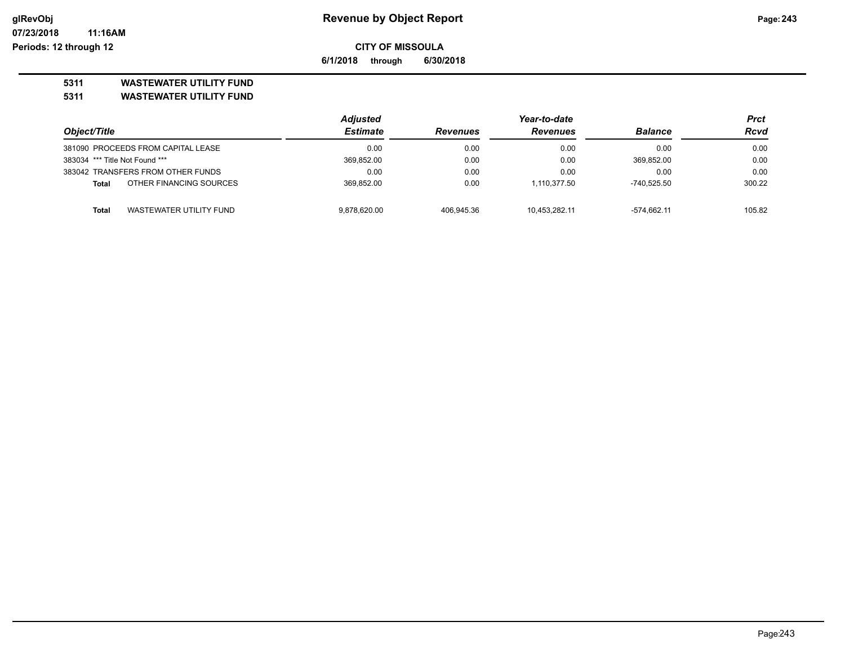**6/1/2018 through 6/30/2018**

## **5311 WASTEWATER UTILITY FUND**

|                                |                                    | <b>Adjusted</b> | Year-to-date    |                |               | Prct   |
|--------------------------------|------------------------------------|-----------------|-----------------|----------------|---------------|--------|
| Object/Title                   | <b>Estimate</b>                    | <b>Revenues</b> | <b>Revenues</b> | <b>Balance</b> | Rcvd          |        |
|                                | 381090 PROCEEDS FROM CAPITAL LEASE | 0.00            | 0.00            | 0.00           | 0.00          | 0.00   |
| 383034 *** Title Not Found *** |                                    | 369.852.00      | 0.00            | 0.00           | 369,852.00    | 0.00   |
|                                | 383042 TRANSFERS FROM OTHER FUNDS  | 0.00            | 0.00            | 0.00           | 0.00          | 0.00   |
| <b>Total</b>                   | OTHER FINANCING SOURCES            | 369.852.00      | 0.00            | 1.110.377.50   | $-740.525.50$ | 300.22 |
| <b>Total</b>                   | WASTEWATER UTILITY FUND            | 9.878.620.00    | 406.945.36      | 10.453.282.11  | $-574.662.11$ | 105.82 |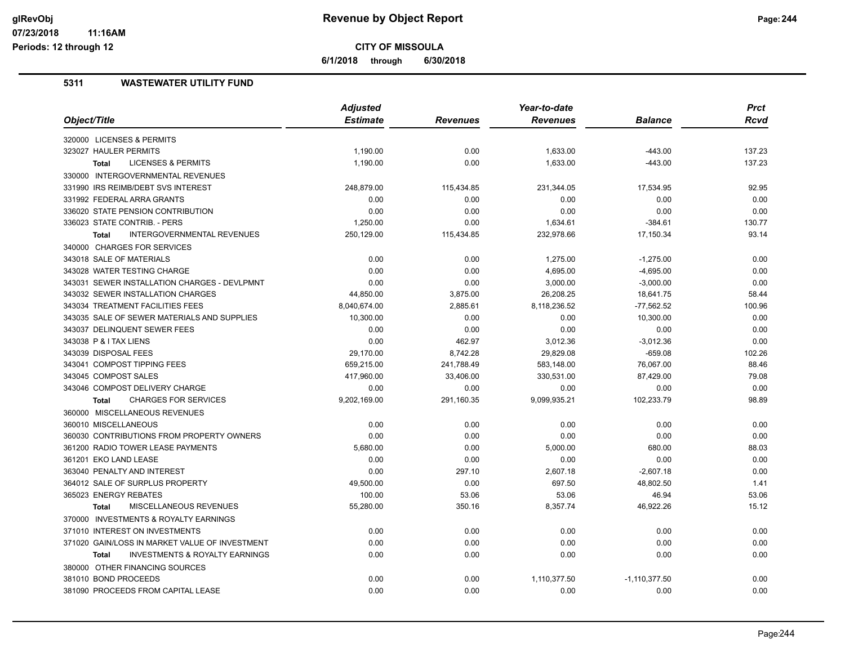**6/1/2018 through 6/30/2018**

|                                                           | <b>Adjusted</b> |                 | Year-to-date    | <b>Prct</b>     |        |
|-----------------------------------------------------------|-----------------|-----------------|-----------------|-----------------|--------|
| Object/Title                                              | <b>Estimate</b> | <b>Revenues</b> | <b>Revenues</b> | <b>Balance</b>  | Rcvd   |
| 320000 LICENSES & PERMITS                                 |                 |                 |                 |                 |        |
| 323027 HAULER PERMITS                                     | 1,190.00        | 0.00            | 1,633.00        | $-443.00$       | 137.23 |
| <b>LICENSES &amp; PERMITS</b><br><b>Total</b>             | 1,190.00        | 0.00            | 1,633.00        | $-443.00$       | 137.23 |
| 330000 INTERGOVERNMENTAL REVENUES                         |                 |                 |                 |                 |        |
| 331990 IRS REIMB/DEBT SVS INTEREST                        | 248,879.00      | 115,434.85      | 231,344.05      | 17,534.95       | 92.95  |
| 331992 FEDERAL ARRA GRANTS                                | 0.00            | 0.00            | 0.00            | 0.00            | 0.00   |
| 336020 STATE PENSION CONTRIBUTION                         | 0.00            | 0.00            | 0.00            | 0.00            | 0.00   |
| 336023 STATE CONTRIB. - PERS                              | 1,250.00        | 0.00            | 1,634.61        | $-384.61$       | 130.77 |
| <b>INTERGOVERNMENTAL REVENUES</b><br><b>Total</b>         | 250,129.00      | 115,434.85      | 232,978.66      | 17,150.34       | 93.14  |
| 340000 CHARGES FOR SERVICES                               |                 |                 |                 |                 |        |
| 343018 SALE OF MATERIALS                                  | 0.00            | 0.00            | 1,275.00        | $-1,275.00$     | 0.00   |
| 343028 WATER TESTING CHARGE                               | 0.00            | 0.00            | 4,695.00        | $-4,695.00$     | 0.00   |
| 343031 SEWER INSTALLATION CHARGES - DEVLPMNT              | 0.00            | 0.00            | 3,000.00        | $-3,000.00$     | 0.00   |
| 343032 SEWER INSTALLATION CHARGES                         | 44,850.00       | 3,875.00        | 26,208.25       | 18,641.75       | 58.44  |
| 343034 TREATMENT FACILITIES FEES                          | 8,040,674.00    | 2,885.61        | 8,118,236.52    | $-77,562.52$    | 100.96 |
| 343035 SALE OF SEWER MATERIALS AND SUPPLIES               | 10,300.00       | 0.00            | 0.00            | 10,300.00       | 0.00   |
| 343037 DELINQUENT SEWER FEES                              | 0.00            | 0.00            | 0.00            | 0.00            | 0.00   |
| 343038 P & I TAX LIENS                                    | 0.00            | 462.97          | 3,012.36        | $-3,012.36$     | 0.00   |
| 343039 DISPOSAL FEES                                      | 29,170.00       | 8,742.28        | 29,829.08       | $-659.08$       | 102.26 |
| 343041 COMPOST TIPPING FEES                               | 659,215.00      | 241,788.49      | 583,148.00      | 76,067.00       | 88.46  |
| 343045 COMPOST SALES                                      | 417,960.00      | 33,406.00       | 330,531.00      | 87.429.00       | 79.08  |
| 343046 COMPOST DELIVERY CHARGE                            | 0.00            | 0.00            | 0.00            | 0.00            | 0.00   |
| <b>CHARGES FOR SERVICES</b><br>Total                      | 9.202.169.00    | 291,160.35      | 9,099,935.21    | 102,233.79      | 98.89  |
| 360000 MISCELLANEOUS REVENUES                             |                 |                 |                 |                 |        |
| 360010 MISCELLANEOUS                                      | 0.00            | 0.00            | 0.00            | 0.00            | 0.00   |
| 360030 CONTRIBUTIONS FROM PROPERTY OWNERS                 | 0.00            | 0.00            | 0.00            | 0.00            | 0.00   |
| 361200 RADIO TOWER LEASE PAYMENTS                         | 5,680.00        | 0.00            | 5,000.00        | 680.00          | 88.03  |
| 361201 EKO LAND LEASE                                     | 0.00            | 0.00            | 0.00            | 0.00            | 0.00   |
| 363040 PENALTY AND INTEREST                               | 0.00            | 297.10          | 2,607.18        | $-2,607.18$     | 0.00   |
| 364012 SALE OF SURPLUS PROPERTY                           | 49,500.00       | 0.00            | 697.50          | 48,802.50       | 1.41   |
| 365023 ENERGY REBATES                                     | 100.00          | 53.06           | 53.06           | 46.94           | 53.06  |
| MISCELLANEOUS REVENUES<br><b>Total</b>                    | 55,280.00       | 350.16          | 8,357.74        | 46,922.26       | 15.12  |
| 370000 INVESTMENTS & ROYALTY EARNINGS                     |                 |                 |                 |                 |        |
| 371010 INTEREST ON INVESTMENTS                            | 0.00            | 0.00            | 0.00            | 0.00            | 0.00   |
| 371020 GAIN/LOSS IN MARKET VALUE OF INVESTMENT            | 0.00            | 0.00            | 0.00            | 0.00            | 0.00   |
| <b>INVESTMENTS &amp; ROYALTY EARNINGS</b><br><b>Total</b> | 0.00            | 0.00            | 0.00            | 0.00            | 0.00   |
| 380000 OTHER FINANCING SOURCES                            |                 |                 |                 |                 |        |
| 381010 BOND PROCEEDS                                      | 0.00            | 0.00            | 1,110,377.50    | $-1,110,377.50$ | 0.00   |
| 381090 PROCEEDS FROM CAPITAL LEASE                        | 0.00            | 0.00            | 0.00            | 0.00            | 0.00   |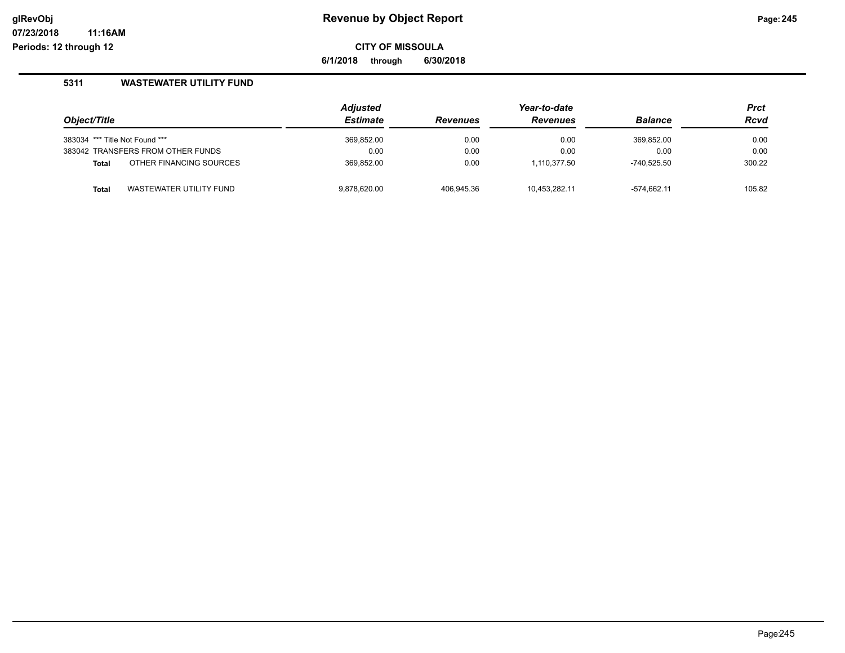**6/1/2018 through 6/30/2018**

|                                |                                   | <b>Adjusted</b> |                 | Year-to-date    |                | <b>Prct</b> |
|--------------------------------|-----------------------------------|-----------------|-----------------|-----------------|----------------|-------------|
| Object/Title                   |                                   | <b>Estimate</b> | <b>Revenues</b> | <b>Revenues</b> | <b>Balance</b> | <b>Rcvd</b> |
| 383034 *** Title Not Found *** |                                   | 369,852.00      | 0.00            | 0.00            | 369.852.00     | 0.00        |
|                                | 383042 TRANSFERS FROM OTHER FUNDS | 0.00            | 0.00            | 0.00            | 0.00           | 0.00        |
| <b>Total</b>                   | OTHER FINANCING SOURCES           | 369.852.00      | 0.00            | 1.110.377.50    | $-740.525.50$  | 300.22      |
| Total                          | WASTEWATER UTILITY FUND           | 9,878,620.00    | 406.945.36      | 10.453.282.11   | $-574.662.11$  | 105.82      |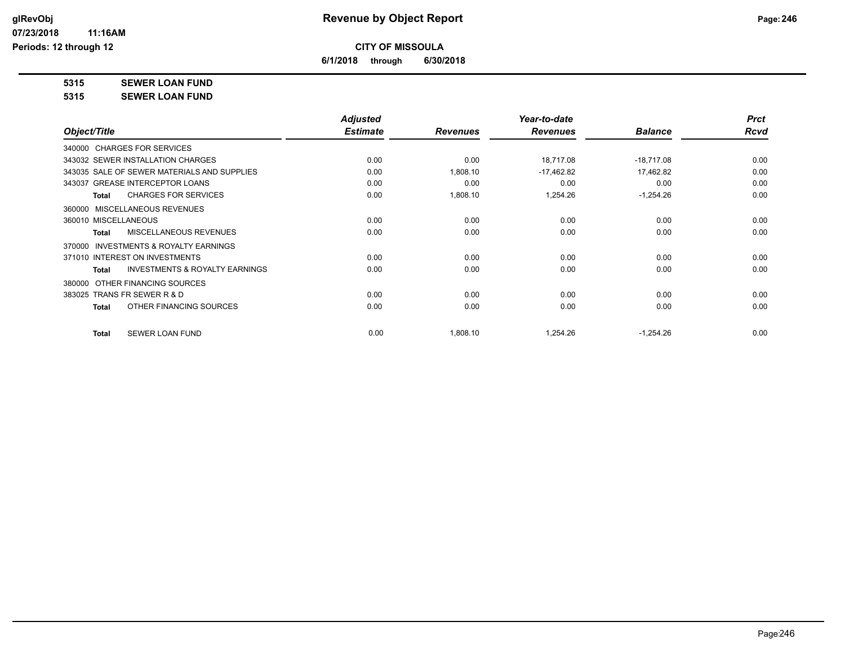**6/1/2018 through 6/30/2018**

**5315 SEWER LOAN FUND**

**5315 SEWER LOAN FUND**

|                                                    | <b>Adjusted</b> |                 | Year-to-date    |                | <b>Prct</b> |
|----------------------------------------------------|-----------------|-----------------|-----------------|----------------|-------------|
| Object/Title                                       | <b>Estimate</b> | <b>Revenues</b> | <b>Revenues</b> | <b>Balance</b> | <b>Rcvd</b> |
| 340000 CHARGES FOR SERVICES                        |                 |                 |                 |                |             |
| 343032 SEWER INSTALLATION CHARGES                  | 0.00            | 0.00            | 18,717.08       | $-18,717.08$   | 0.00        |
| 343035 SALE OF SEWER MATERIALS AND SUPPLIES        | 0.00            | 1,808.10        | $-17,462.82$    | 17,462.82      | 0.00        |
| 343037 GREASE INTERCEPTOR LOANS                    | 0.00            | 0.00            | 0.00            | 0.00           | 0.00        |
| <b>CHARGES FOR SERVICES</b><br>Total               | 0.00            | 1,808.10        | 1,254.26        | $-1,254.26$    | 0.00        |
| 360000 MISCELLANEOUS REVENUES                      |                 |                 |                 |                |             |
| 360010 MISCELLANEOUS                               | 0.00            | 0.00            | 0.00            | 0.00           | 0.00        |
| MISCELLANEOUS REVENUES<br>Total                    | 0.00            | 0.00            | 0.00            | 0.00           | 0.00        |
| 370000 INVESTMENTS & ROYALTY EARNINGS              |                 |                 |                 |                |             |
| 371010 INTEREST ON INVESTMENTS                     | 0.00            | 0.00            | 0.00            | 0.00           | 0.00        |
| <b>INVESTMENTS &amp; ROYALTY EARNINGS</b><br>Total | 0.00            | 0.00            | 0.00            | 0.00           | 0.00        |
| OTHER FINANCING SOURCES<br>380000                  |                 |                 |                 |                |             |
| 383025 TRANS FR SEWER R & D                        | 0.00            | 0.00            | 0.00            | 0.00           | 0.00        |
| OTHER FINANCING SOURCES<br><b>Total</b>            | 0.00            | 0.00            | 0.00            | 0.00           | 0.00        |
| SEWER LOAN FUND<br><b>Total</b>                    | 0.00            | 1,808.10        | 1,254.26        | $-1,254.26$    | 0.00        |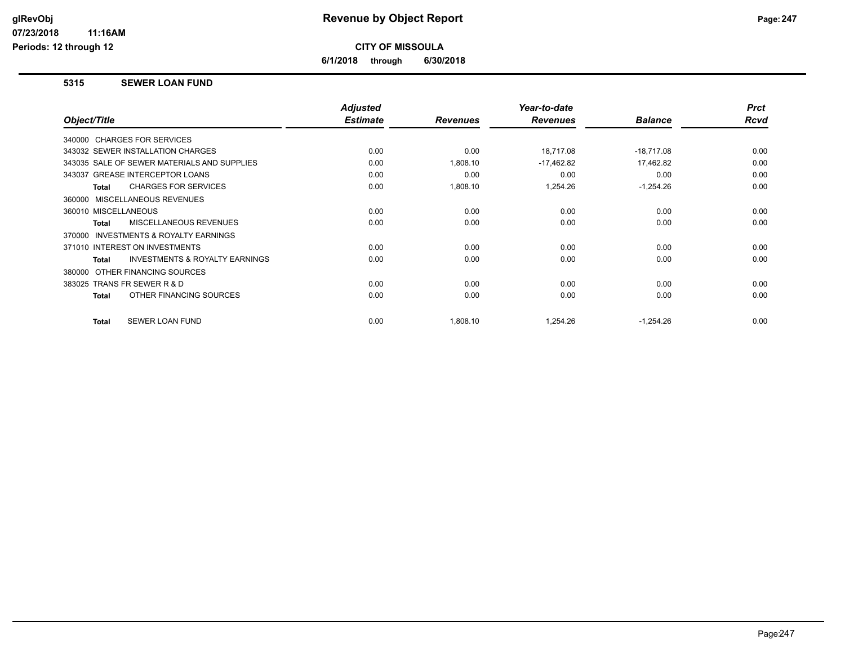**6/1/2018 through 6/30/2018**

#### **5315 SEWER LOAN FUND**

|                                                     | <b>Adjusted</b> |                 | Year-to-date    |                | <b>Prct</b> |
|-----------------------------------------------------|-----------------|-----------------|-----------------|----------------|-------------|
| Object/Title                                        | <b>Estimate</b> | <b>Revenues</b> | <b>Revenues</b> | <b>Balance</b> | <b>Rcvd</b> |
| 340000 CHARGES FOR SERVICES                         |                 |                 |                 |                |             |
| 343032 SEWER INSTALLATION CHARGES                   | 0.00            | 0.00            | 18,717.08       | $-18,717.08$   | 0.00        |
| 343035 SALE OF SEWER MATERIALS AND SUPPLIES         | 0.00            | 1,808.10        | $-17,462.82$    | 17.462.82      | 0.00        |
| 343037 GREASE INTERCEPTOR LOANS                     | 0.00            | 0.00            | 0.00            | 0.00           | 0.00        |
| <b>CHARGES FOR SERVICES</b><br>Total                | 0.00            | 1,808.10        | 1,254.26        | $-1,254.26$    | 0.00        |
| 360000 MISCELLANEOUS REVENUES                       |                 |                 |                 |                |             |
| 360010 MISCELLANEOUS                                | 0.00            | 0.00            | 0.00            | 0.00           | 0.00        |
| MISCELLANEOUS REVENUES<br>Total                     | 0.00            | 0.00            | 0.00            | 0.00           | 0.00        |
| <b>INVESTMENTS &amp; ROYALTY EARNINGS</b><br>370000 |                 |                 |                 |                |             |
| 371010 INTEREST ON INVESTMENTS                      | 0.00            | 0.00            | 0.00            | 0.00           | 0.00        |
| <b>INVESTMENTS &amp; ROYALTY EARNINGS</b><br>Total  | 0.00            | 0.00            | 0.00            | 0.00           | 0.00        |
| OTHER FINANCING SOURCES<br>380000                   |                 |                 |                 |                |             |
| 383025 TRANS FR SEWER R & D                         | 0.00            | 0.00            | 0.00            | 0.00           | 0.00        |
| OTHER FINANCING SOURCES<br>Total                    | 0.00            | 0.00            | 0.00            | 0.00           | 0.00        |
|                                                     |                 |                 |                 |                |             |
| <b>SEWER LOAN FUND</b><br><b>Total</b>              | 0.00            | 1,808.10        | 1,254.26        | $-1,254.26$    | 0.00        |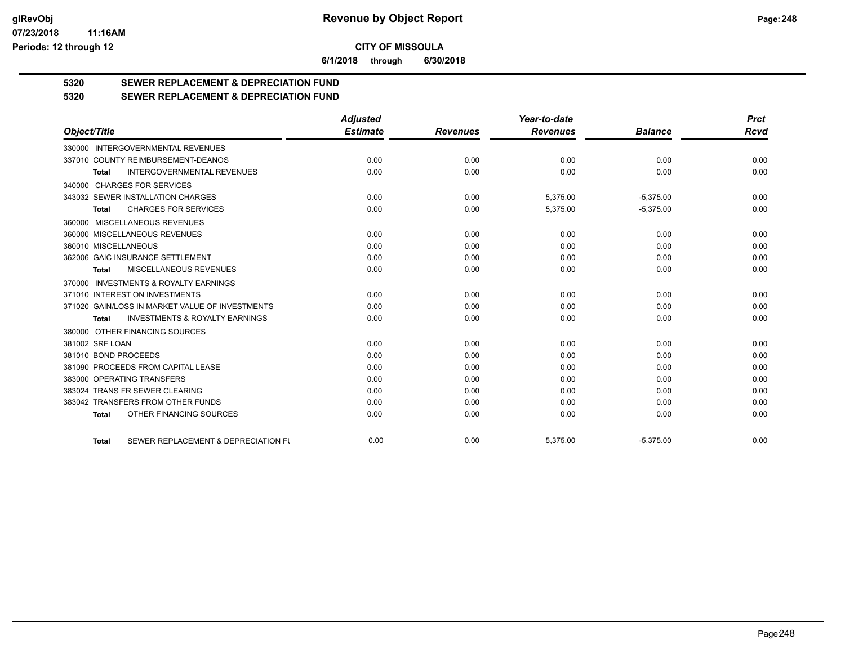**6/1/2018 through 6/30/2018**

# **5320 SEWER REPLACEMENT & DEPRECIATION FUND**

## **5320 SEWER REPLACEMENT & DEPRECIATION FUND**

|                                                           | <b>Adjusted</b> |                 | Year-to-date    |                | <b>Prct</b> |
|-----------------------------------------------------------|-----------------|-----------------|-----------------|----------------|-------------|
| Object/Title                                              | <b>Estimate</b> | <b>Revenues</b> | <b>Revenues</b> | <b>Balance</b> | <b>Rcvd</b> |
| 330000 INTERGOVERNMENTAL REVENUES                         |                 |                 |                 |                |             |
| 337010 COUNTY REIMBURSEMENT-DEANOS                        | 0.00            | 0.00            | 0.00            | 0.00           | 0.00        |
| <b>INTERGOVERNMENTAL REVENUES</b><br><b>Total</b>         | 0.00            | 0.00            | 0.00            | 0.00           | 0.00        |
| 340000 CHARGES FOR SERVICES                               |                 |                 |                 |                |             |
| 343032 SEWER INSTALLATION CHARGES                         | 0.00            | 0.00            | 5,375.00        | $-5,375.00$    | 0.00        |
| <b>CHARGES FOR SERVICES</b><br><b>Total</b>               | 0.00            | 0.00            | 5,375.00        | $-5,375.00$    | 0.00        |
| 360000 MISCELLANEOUS REVENUES                             |                 |                 |                 |                |             |
| 360000 MISCELLANEOUS REVENUES                             | 0.00            | 0.00            | 0.00            | 0.00           | 0.00        |
| 360010 MISCELLANEOUS                                      | 0.00            | 0.00            | 0.00            | 0.00           | 0.00        |
| 362006 GAIC INSURANCE SETTLEMENT                          | 0.00            | 0.00            | 0.00            | 0.00           | 0.00        |
| MISCELLANEOUS REVENUES<br><b>Total</b>                    | 0.00            | 0.00            | 0.00            | 0.00           | 0.00        |
| 370000 INVESTMENTS & ROYALTY EARNINGS                     |                 |                 |                 |                |             |
| 371010 INTEREST ON INVESTMENTS                            | 0.00            | 0.00            | 0.00            | 0.00           | 0.00        |
| 371020 GAIN/LOSS IN MARKET VALUE OF INVESTMENTS           | 0.00            | 0.00            | 0.00            | 0.00           | 0.00        |
| <b>INVESTMENTS &amp; ROYALTY EARNINGS</b><br><b>Total</b> | 0.00            | 0.00            | 0.00            | 0.00           | 0.00        |
| 380000 OTHER FINANCING SOURCES                            |                 |                 |                 |                |             |
| 381002 SRF LOAN                                           | 0.00            | 0.00            | 0.00            | 0.00           | 0.00        |
| 381010 BOND PROCEEDS                                      | 0.00            | 0.00            | 0.00            | 0.00           | 0.00        |
| 381090 PROCEEDS FROM CAPITAL LEASE                        | 0.00            | 0.00            | 0.00            | 0.00           | 0.00        |
| 383000 OPERATING TRANSFERS                                | 0.00            | 0.00            | 0.00            | 0.00           | 0.00        |
| 383024 TRANS FR SEWER CLEARING                            | 0.00            | 0.00            | 0.00            | 0.00           | 0.00        |
| 383042 TRANSFERS FROM OTHER FUNDS                         | 0.00            | 0.00            | 0.00            | 0.00           | 0.00        |
| OTHER FINANCING SOURCES<br><b>Total</b>                   | 0.00            | 0.00            | 0.00            | 0.00           | 0.00        |
| SEWER REPLACEMENT & DEPRECIATION FU<br><b>Total</b>       | 0.00            | 0.00            | 5,375.00        | $-5,375.00$    | 0.00        |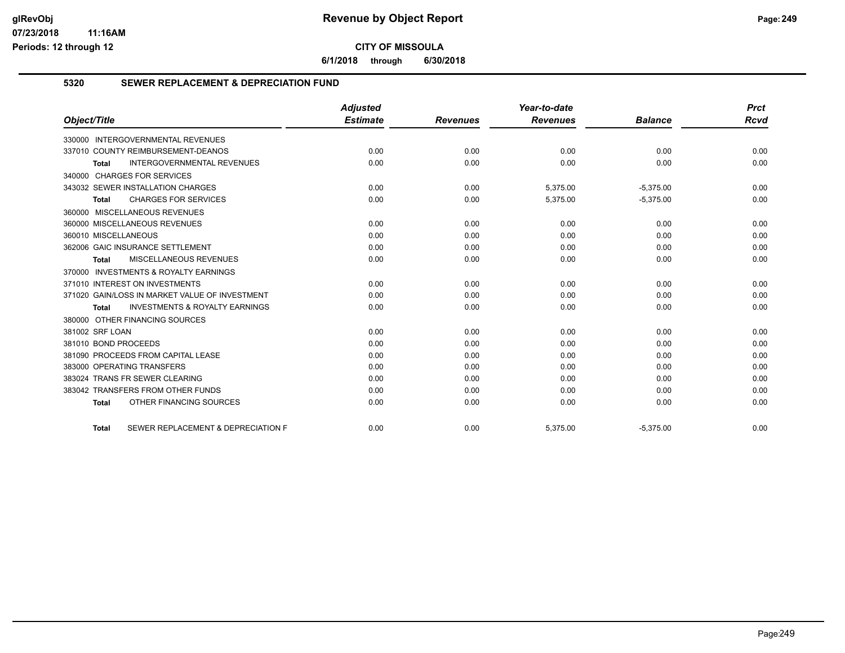**6/1/2018 through 6/30/2018**

## **5320 SEWER REPLACEMENT & DEPRECIATION FUND**

|                                                           | <b>Adjusted</b> |                 | Year-to-date    |                | <b>Prct</b> |
|-----------------------------------------------------------|-----------------|-----------------|-----------------|----------------|-------------|
| Object/Title                                              | <b>Estimate</b> | <b>Revenues</b> | <b>Revenues</b> | <b>Balance</b> | <b>Rcvd</b> |
| 330000 INTERGOVERNMENTAL REVENUES                         |                 |                 |                 |                |             |
| 337010 COUNTY REIMBURSEMENT-DEANOS                        | 0.00            | 0.00            | 0.00            | 0.00           | 0.00        |
| <b>INTERGOVERNMENTAL REVENUES</b><br><b>Total</b>         | 0.00            | 0.00            | 0.00            | 0.00           | 0.00        |
| 340000 CHARGES FOR SERVICES                               |                 |                 |                 |                |             |
| 343032 SEWER INSTALLATION CHARGES                         | 0.00            | 0.00            | 5.375.00        | $-5.375.00$    | 0.00        |
| <b>CHARGES FOR SERVICES</b><br><b>Total</b>               | 0.00            | 0.00            | 5,375.00        | $-5,375.00$    | 0.00        |
| 360000 MISCELLANEOUS REVENUES                             |                 |                 |                 |                |             |
| 360000 MISCELLANEOUS REVENUES                             | 0.00            | 0.00            | 0.00            | 0.00           | 0.00        |
| 360010 MISCELLANEOUS                                      | 0.00            | 0.00            | 0.00            | 0.00           | 0.00        |
| 362006 GAIC INSURANCE SETTLEMENT                          | 0.00            | 0.00            | 0.00            | 0.00           | 0.00        |
| MISCELLANEOUS REVENUES<br><b>Total</b>                    | 0.00            | 0.00            | 0.00            | 0.00           | 0.00        |
| 370000 INVESTMENTS & ROYALTY EARNINGS                     |                 |                 |                 |                |             |
| 371010 INTEREST ON INVESTMENTS                            | 0.00            | 0.00            | 0.00            | 0.00           | 0.00        |
| 371020 GAIN/LOSS IN MARKET VALUE OF INVESTMENT            | 0.00            | 0.00            | 0.00            | 0.00           | 0.00        |
| <b>INVESTMENTS &amp; ROYALTY EARNINGS</b><br><b>Total</b> | 0.00            | 0.00            | 0.00            | 0.00           | 0.00        |
| 380000 OTHER FINANCING SOURCES                            |                 |                 |                 |                |             |
| 381002 SRF LOAN                                           | 0.00            | 0.00            | 0.00            | 0.00           | 0.00        |
| 381010 BOND PROCEEDS                                      | 0.00            | 0.00            | 0.00            | 0.00           | 0.00        |
| 381090 PROCEEDS FROM CAPITAL LEASE                        | 0.00            | 0.00            | 0.00            | 0.00           | 0.00        |
| 383000 OPERATING TRANSFERS                                | 0.00            | 0.00            | 0.00            | 0.00           | 0.00        |
| 383024 TRANS FR SEWER CLEARING                            | 0.00            | 0.00            | 0.00            | 0.00           | 0.00        |
| 383042 TRANSFERS FROM OTHER FUNDS                         | 0.00            | 0.00            | 0.00            | 0.00           | 0.00        |
| OTHER FINANCING SOURCES<br><b>Total</b>                   | 0.00            | 0.00            | 0.00            | 0.00           | 0.00        |
| SEWER REPLACEMENT & DEPRECIATION F<br><b>Total</b>        | 0.00            | 0.00            | 5,375.00        | $-5,375.00$    | 0.00        |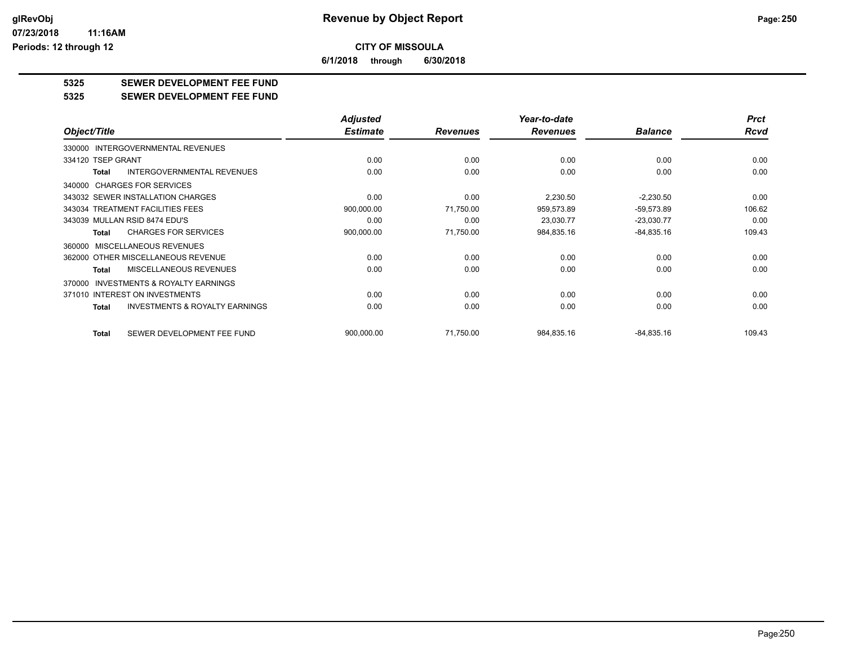**6/1/2018 through 6/30/2018**

## **5325 SEWER DEVELOPMENT FEE FUND**

## **5325 SEWER DEVELOPMENT FEE FUND**

|                                                     | <b>Adjusted</b> |                 | Year-to-date    |                | <b>Prct</b> |
|-----------------------------------------------------|-----------------|-----------------|-----------------|----------------|-------------|
| Object/Title                                        | <b>Estimate</b> | <b>Revenues</b> | <b>Revenues</b> | <b>Balance</b> | Rcvd        |
| 330000 INTERGOVERNMENTAL REVENUES                   |                 |                 |                 |                |             |
| 334120 TSEP GRANT                                   | 0.00            | 0.00            | 0.00            | 0.00           | 0.00        |
| INTERGOVERNMENTAL REVENUES<br>Total                 | 0.00            | 0.00            | 0.00            | 0.00           | 0.00        |
| 340000 CHARGES FOR SERVICES                         |                 |                 |                 |                |             |
| 343032 SEWER INSTALLATION CHARGES                   | 0.00            | 0.00            | 2,230.50        | $-2,230.50$    | 0.00        |
| 343034 TREATMENT FACILITIES FEES                    | 900,000.00      | 71,750.00       | 959,573.89      | $-59,573.89$   | 106.62      |
| 343039 MULLAN RSID 8474 EDU'S                       | 0.00            | 0.00            | 23,030.77       | $-23,030.77$   | 0.00        |
| <b>CHARGES FOR SERVICES</b><br>Total                | 900,000.00      | 71,750.00       | 984,835.16      | $-84,835.16$   | 109.43      |
| 360000 MISCELLANEOUS REVENUES                       |                 |                 |                 |                |             |
| 362000 OTHER MISCELLANEOUS REVENUE                  | 0.00            | 0.00            | 0.00            | 0.00           | 0.00        |
| MISCELLANEOUS REVENUES<br>Total                     | 0.00            | 0.00            | 0.00            | 0.00           | 0.00        |
| <b>INVESTMENTS &amp; ROYALTY EARNINGS</b><br>370000 |                 |                 |                 |                |             |
| 371010 INTEREST ON INVESTMENTS                      | 0.00            | 0.00            | 0.00            | 0.00           | 0.00        |
| <b>INVESTMENTS &amp; ROYALTY EARNINGS</b><br>Total  | 0.00            | 0.00            | 0.00            | 0.00           | 0.00        |
| SEWER DEVELOPMENT FEE FUND<br>Total                 | 900,000.00      | 71,750.00       | 984,835.16      | $-84,835.16$   | 109.43      |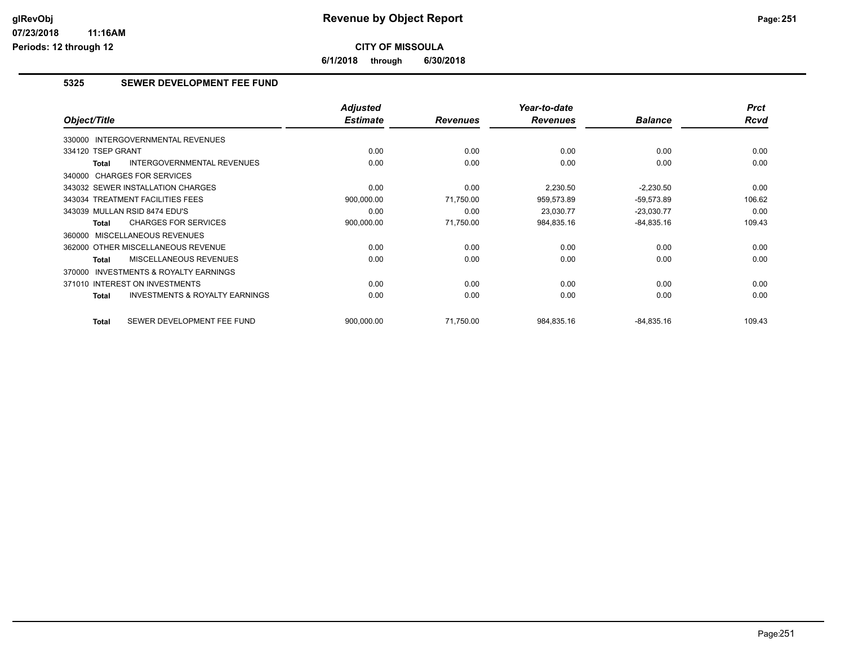**6/1/2018 through 6/30/2018**

## **5325 SEWER DEVELOPMENT FEE FUND**

|                                                           | <b>Adjusted</b> |                 | Year-to-date    |                | <b>Prct</b> |
|-----------------------------------------------------------|-----------------|-----------------|-----------------|----------------|-------------|
| Object/Title                                              | <b>Estimate</b> | <b>Revenues</b> | <b>Revenues</b> | <b>Balance</b> | Rcvd        |
| 330000 INTERGOVERNMENTAL REVENUES                         |                 |                 |                 |                |             |
| 334120 TSEP GRANT                                         | 0.00            | 0.00            | 0.00            | 0.00           | 0.00        |
| INTERGOVERNMENTAL REVENUES<br><b>Total</b>                | 0.00            | 0.00            | 0.00            | 0.00           | 0.00        |
| 340000 CHARGES FOR SERVICES                               |                 |                 |                 |                |             |
| 343032 SEWER INSTALLATION CHARGES                         | 0.00            | 0.00            | 2,230.50        | $-2,230.50$    | 0.00        |
| 343034 TREATMENT FACILITIES FEES                          | 900,000.00      | 71,750.00       | 959,573.89      | $-59,573.89$   | 106.62      |
| 343039 MULLAN RSID 8474 EDU'S                             | 0.00            | 0.00            | 23.030.77       | $-23,030.77$   | 0.00        |
| <b>CHARGES FOR SERVICES</b><br>Total                      | 900,000.00      | 71,750.00       | 984,835.16      | $-84,835.16$   | 109.43      |
| MISCELLANEOUS REVENUES<br>360000                          |                 |                 |                 |                |             |
| 362000 OTHER MISCELLANEOUS REVENUE                        | 0.00            | 0.00            | 0.00            | 0.00           | 0.00        |
| MISCELLANEOUS REVENUES<br><b>Total</b>                    | 0.00            | 0.00            | 0.00            | 0.00           | 0.00        |
| <b>INVESTMENTS &amp; ROYALTY EARNINGS</b><br>370000       |                 |                 |                 |                |             |
| 371010 INTEREST ON INVESTMENTS                            | 0.00            | 0.00            | 0.00            | 0.00           | 0.00        |
| <b>INVESTMENTS &amp; ROYALTY EARNINGS</b><br><b>Total</b> | 0.00            | 0.00            | 0.00            | 0.00           | 0.00        |
| SEWER DEVELOPMENT FEE FUND<br><b>Total</b>                | 900,000.00      | 71.750.00       | 984,835.16      | $-84,835.16$   | 109.43      |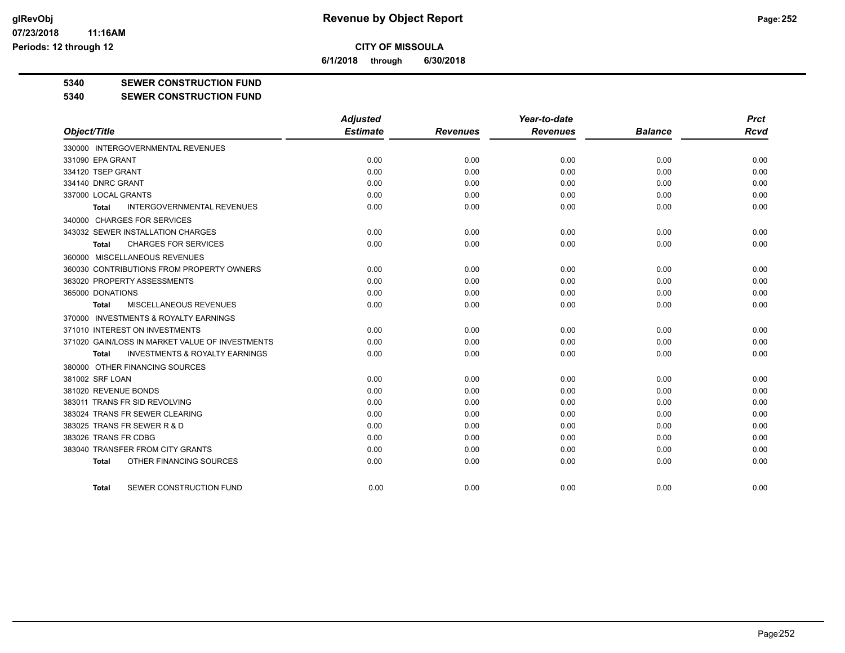**6/1/2018 through 6/30/2018**

**5340 SEWER CONSTRUCTION FUND**

**5340 SEWER CONSTRUCTION FUND**

|                                                           | <b>Adjusted</b> |                 | Year-to-date    |                | <b>Prct</b> |
|-----------------------------------------------------------|-----------------|-----------------|-----------------|----------------|-------------|
| Object/Title                                              | <b>Estimate</b> | <b>Revenues</b> | <b>Revenues</b> | <b>Balance</b> | <b>Rcvd</b> |
| 330000 INTERGOVERNMENTAL REVENUES                         |                 |                 |                 |                |             |
| 331090 EPA GRANT                                          | 0.00            | 0.00            | 0.00            | 0.00           | 0.00        |
| 334120 TSEP GRANT                                         | 0.00            | 0.00            | 0.00            | 0.00           | 0.00        |
| 334140 DNRC GRANT                                         | 0.00            | 0.00            | 0.00            | 0.00           | 0.00        |
| 337000 LOCAL GRANTS                                       | 0.00            | 0.00            | 0.00            | 0.00           | 0.00        |
| <b>INTERGOVERNMENTAL REVENUES</b><br><b>Total</b>         | 0.00            | 0.00            | 0.00            | 0.00           | 0.00        |
| 340000 CHARGES FOR SERVICES                               |                 |                 |                 |                |             |
| 343032 SEWER INSTALLATION CHARGES                         | 0.00            | 0.00            | 0.00            | 0.00           | 0.00        |
| <b>CHARGES FOR SERVICES</b><br>Total                      | 0.00            | 0.00            | 0.00            | 0.00           | 0.00        |
| 360000 MISCELLANEOUS REVENUES                             |                 |                 |                 |                |             |
| 360030 CONTRIBUTIONS FROM PROPERTY OWNERS                 | 0.00            | 0.00            | 0.00            | 0.00           | 0.00        |
| 363020 PROPERTY ASSESSMENTS                               | 0.00            | 0.00            | 0.00            | 0.00           | 0.00        |
| 365000 DONATIONS                                          | 0.00            | 0.00            | 0.00            | 0.00           | 0.00        |
| MISCELLANEOUS REVENUES<br><b>Total</b>                    | 0.00            | 0.00            | 0.00            | 0.00           | 0.00        |
| 370000 INVESTMENTS & ROYALTY EARNINGS                     |                 |                 |                 |                |             |
| 371010 INTEREST ON INVESTMENTS                            | 0.00            | 0.00            | 0.00            | 0.00           | 0.00        |
| 371020 GAIN/LOSS IN MARKET VALUE OF INVESTMENTS           | 0.00            | 0.00            | 0.00            | 0.00           | 0.00        |
| <b>INVESTMENTS &amp; ROYALTY EARNINGS</b><br><b>Total</b> | 0.00            | 0.00            | 0.00            | 0.00           | 0.00        |
| OTHER FINANCING SOURCES<br>380000                         |                 |                 |                 |                |             |
| 381002 SRF LOAN                                           | 0.00            | 0.00            | 0.00            | 0.00           | 0.00        |
| 381020 REVENUE BONDS                                      | 0.00            | 0.00            | 0.00            | 0.00           | 0.00        |
| 383011 TRANS FR SID REVOLVING                             | 0.00            | 0.00            | 0.00            | 0.00           | 0.00        |
| 383024 TRANS FR SEWER CLEARING                            | 0.00            | 0.00            | 0.00            | 0.00           | 0.00        |
| 383025 TRANS FR SEWER R & D                               | 0.00            | 0.00            | 0.00            | 0.00           | 0.00        |
| 383026 TRANS FR CDBG                                      | 0.00            | 0.00            | 0.00            | 0.00           | 0.00        |
| 383040 TRANSFER FROM CITY GRANTS                          | 0.00            | 0.00            | 0.00            | 0.00           | 0.00        |
| OTHER FINANCING SOURCES<br><b>Total</b>                   | 0.00            | 0.00            | 0.00            | 0.00           | 0.00        |
| SEWER CONSTRUCTION FUND<br>Total                          | 0.00            | 0.00            | 0.00            | 0.00           | 0.00        |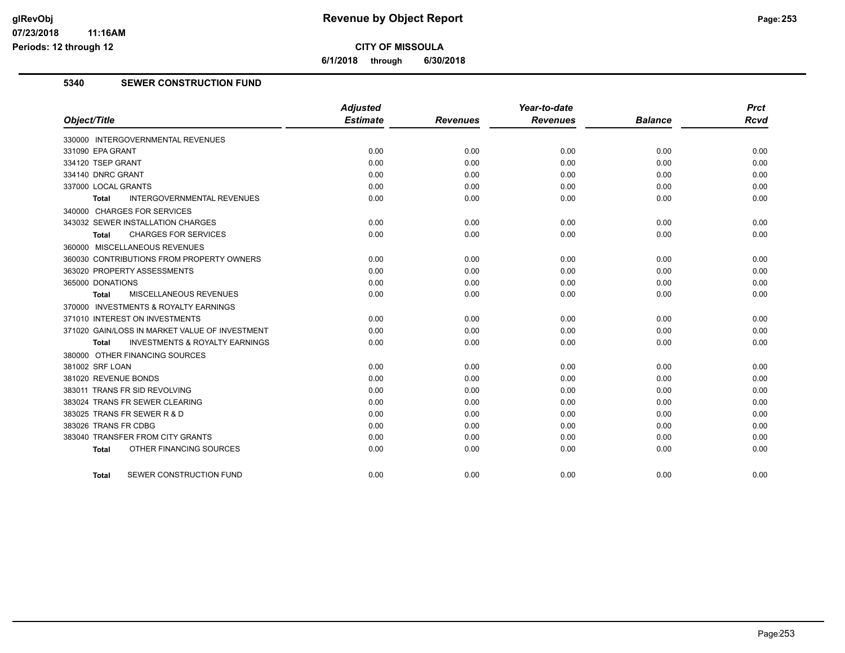**6/1/2018 through 6/30/2018**

#### **5340 SEWER CONSTRUCTION FUND**

|                                                    | <b>Adjusted</b><br><b>Estimate</b> |                 | Year-to-date    |                | <b>Prct</b> |
|----------------------------------------------------|------------------------------------|-----------------|-----------------|----------------|-------------|
| Object/Title                                       |                                    | <b>Revenues</b> | <b>Revenues</b> | <b>Balance</b> | <b>Rcvd</b> |
| 330000 INTERGOVERNMENTAL REVENUES                  |                                    |                 |                 |                |             |
| 331090 EPA GRANT                                   | 0.00                               | 0.00            | 0.00            | 0.00           | 0.00        |
| 334120 TSEP GRANT                                  | 0.00                               | 0.00            | 0.00            | 0.00           | 0.00        |
| 334140 DNRC GRANT                                  | 0.00                               | 0.00            | 0.00            | 0.00           | 0.00        |
| 337000 LOCAL GRANTS                                | 0.00                               | 0.00            | 0.00            | 0.00           | 0.00        |
| INTERGOVERNMENTAL REVENUES<br>Total                | 0.00                               | 0.00            | 0.00            | 0.00           | 0.00        |
| 340000 CHARGES FOR SERVICES                        |                                    |                 |                 |                |             |
| 343032 SEWER INSTALLATION CHARGES                  | 0.00                               | 0.00            | 0.00            | 0.00           | 0.00        |
| <b>CHARGES FOR SERVICES</b><br><b>Total</b>        | 0.00                               | 0.00            | 0.00            | 0.00           | 0.00        |
| 360000 MISCELLANEOUS REVENUES                      |                                    |                 |                 |                |             |
| 360030 CONTRIBUTIONS FROM PROPERTY OWNERS          | 0.00                               | 0.00            | 0.00            | 0.00           | 0.00        |
| 363020 PROPERTY ASSESSMENTS                        | 0.00                               | 0.00            | 0.00            | 0.00           | 0.00        |
| 365000 DONATIONS                                   | 0.00                               | 0.00            | 0.00            | 0.00           | 0.00        |
| MISCELLANEOUS REVENUES<br>Total                    | 0.00                               | 0.00            | 0.00            | 0.00           | 0.00        |
| 370000 INVESTMENTS & ROYALTY EARNINGS              |                                    |                 |                 |                |             |
| 371010 INTEREST ON INVESTMENTS                     | 0.00                               | 0.00            | 0.00            | 0.00           | 0.00        |
| 371020 GAIN/LOSS IN MARKET VALUE OF INVESTMENT     | 0.00                               | 0.00            | 0.00            | 0.00           | 0.00        |
| <b>INVESTMENTS &amp; ROYALTY EARNINGS</b><br>Total | 0.00                               | 0.00            | 0.00            | 0.00           | 0.00        |
| 380000 OTHER FINANCING SOURCES                     |                                    |                 |                 |                |             |
| 381002 SRF LOAN                                    | 0.00                               | 0.00            | 0.00            | 0.00           | 0.00        |
| 381020 REVENUE BONDS                               | 0.00                               | 0.00            | 0.00            | 0.00           | 0.00        |
| 383011 TRANS FR SID REVOLVING                      | 0.00                               | 0.00            | 0.00            | 0.00           | 0.00        |
| 383024 TRANS FR SEWER CLEARING                     | 0.00                               | 0.00            | 0.00            | 0.00           | 0.00        |
| 383025 TRANS FR SEWER R & D                        | 0.00                               | 0.00            | 0.00            | 0.00           | 0.00        |
| 383026 TRANS FR CDBG                               | 0.00                               | 0.00            | 0.00            | 0.00           | 0.00        |
| 383040 TRANSFER FROM CITY GRANTS                   | 0.00                               | 0.00            | 0.00            | 0.00           | 0.00        |
| OTHER FINANCING SOURCES<br><b>Total</b>            | 0.00                               | 0.00            | 0.00            | 0.00           | 0.00        |
| SEWER CONSTRUCTION FUND<br><b>Total</b>            | 0.00                               | 0.00            | 0.00            | 0.00           | 0.00        |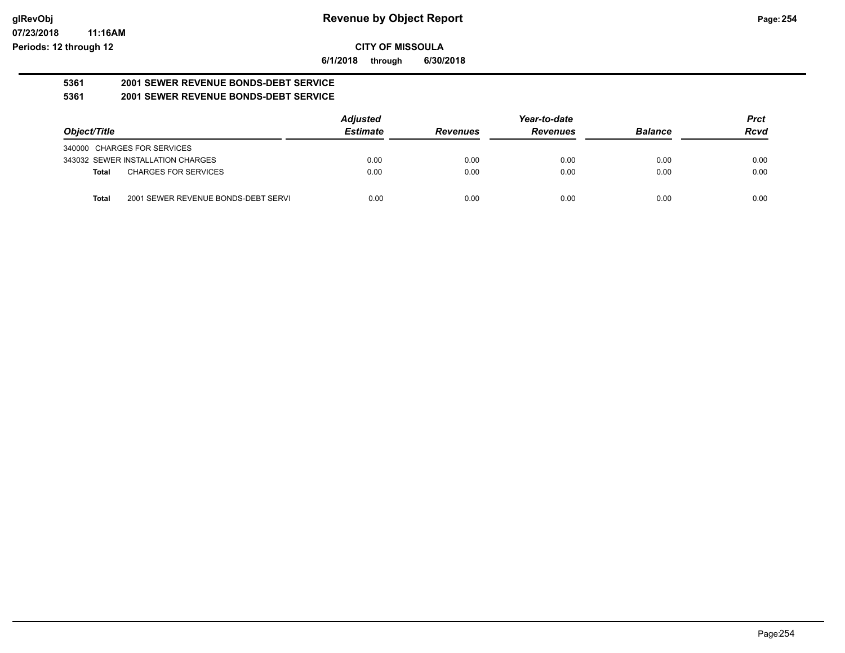**CITY OF MISSOULA**

**6/1/2018 through 6/30/2018**

#### **5361 2001 SEWER REVENUE BONDS-DEBT SERVICE 5361 2001 SEWER REVENUE BONDS-DEBT SERVICE**

|                                                     | <b>Adjusted</b> |                 | Year-to-date    |                | Prct |
|-----------------------------------------------------|-----------------|-----------------|-----------------|----------------|------|
| Object/Title                                        | <b>Estimate</b> | <b>Revenues</b> | <b>Revenues</b> | <b>Balance</b> | Rcvd |
| 340000 CHARGES FOR SERVICES                         |                 |                 |                 |                |      |
| 343032 SEWER INSTALLATION CHARGES                   | 0.00            | 0.00            | 0.00            | 0.00           | 0.00 |
| <b>CHARGES FOR SERVICES</b><br>Total                | 0.00            | 0.00            | 0.00            | 0.00           | 0.00 |
| 2001 SEWER REVENUE BONDS-DEBT SERVI<br><b>Total</b> | 0.00            | 0.00            | 0.00            | 0.00           | 0.00 |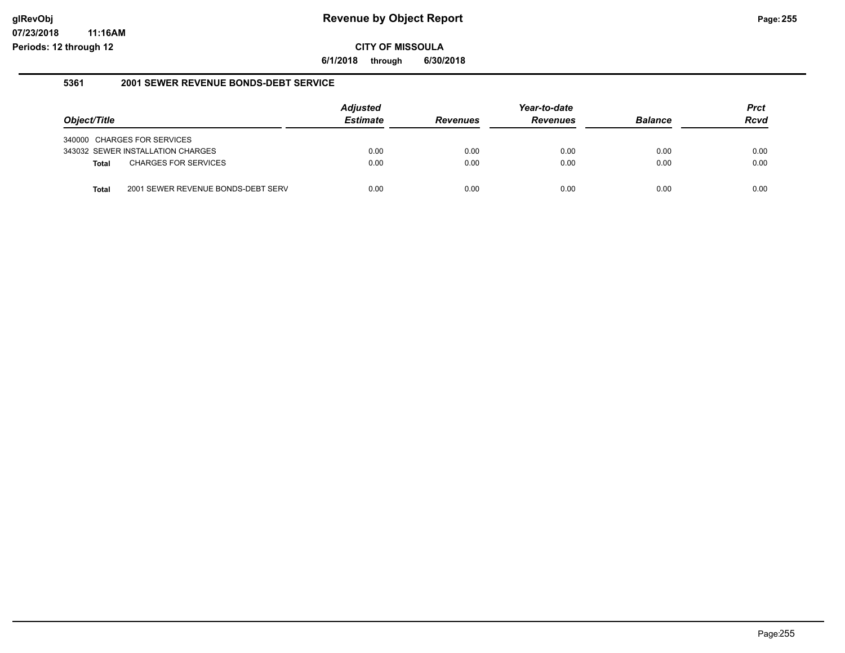**6/1/2018 through 6/30/2018**

#### **5361 2001 SEWER REVENUE BONDS-DEBT SERVICE**

| Object/Title |                                    | <b>Adjusted</b><br><b>Estimate</b> | <b>Revenues</b> | Year-to-date<br><b>Revenues</b> | <b>Balance</b> | <b>Prct</b><br><b>Rcvd</b> |
|--------------|------------------------------------|------------------------------------|-----------------|---------------------------------|----------------|----------------------------|
|              | 340000 CHARGES FOR SERVICES        |                                    |                 |                                 |                |                            |
|              | 343032 SEWER INSTALLATION CHARGES  | 0.00                               | 0.00            | 0.00                            | 0.00           | 0.00                       |
| <b>Total</b> | <b>CHARGES FOR SERVICES</b>        | 0.00                               | 0.00            | 0.00                            | 0.00           | 0.00                       |
| <b>Total</b> | 2001 SEWER REVENUE BONDS-DEBT SERV | 0.00                               | 0.00            | 0.00                            | 0.00           | 0.00                       |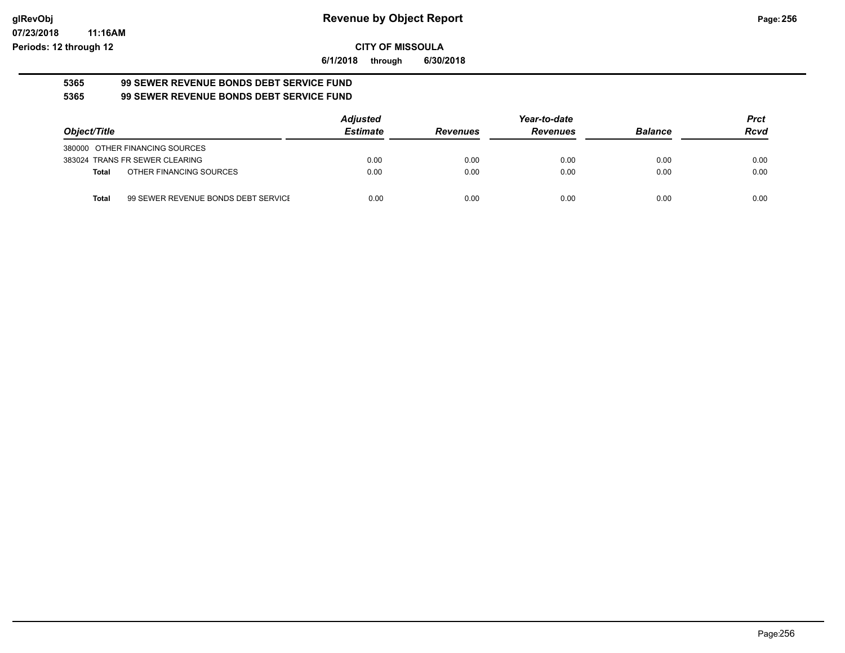### **CITY OF MISSOULA**

#### **6/1/2018 through 6/30/2018**

#### **5365 99 SEWER REVENUE BONDS DEBT SERVICE FUND 5365 99 SEWER REVENUE BONDS DEBT SERVICE FUND**

|                                                     | <b>Adjusted</b> |                 | Year-to-date    |                | Prct        |
|-----------------------------------------------------|-----------------|-----------------|-----------------|----------------|-------------|
| Object/Title                                        | <b>Estimate</b> | <b>Revenues</b> | <b>Revenues</b> | <b>Balance</b> | <b>Rcvd</b> |
| 380000 OTHER FINANCING SOURCES                      |                 |                 |                 |                |             |
| 383024 TRANS FR SEWER CLEARING                      | 0.00            | 0.00            | 0.00            | 0.00           | 0.00        |
| OTHER FINANCING SOURCES<br><b>Total</b>             | 0.00            | 0.00            | 0.00            | 0.00           | 0.00        |
| 99 SEWER REVENUE BONDS DEBT SERVICE<br><b>Total</b> | 0.00            | 0.00            | 0.00            | 0.00           | 0.00        |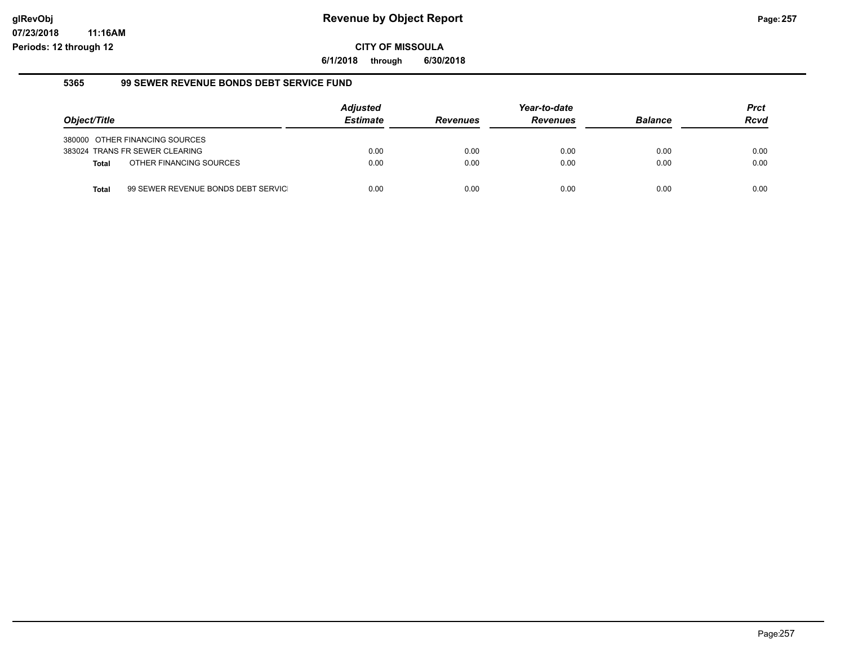**6/1/2018 through 6/30/2018**

#### **5365 99 SEWER REVENUE BONDS DEBT SERVICE FUND**

|              |                                    | <b>Adjusted</b> |                 | Year-to-date    |                | <b>Prct</b> |
|--------------|------------------------------------|-----------------|-----------------|-----------------|----------------|-------------|
| Object/Title |                                    | <b>Estimate</b> | <b>Revenues</b> | <b>Revenues</b> | <b>Balance</b> | <b>Rcvd</b> |
|              | 380000 OTHER FINANCING SOURCES     |                 |                 |                 |                |             |
|              | 383024 TRANS FR SEWER CLEARING     | 0.00            | 0.00            | 0.00            | 0.00           | 0.00        |
| <b>Total</b> | OTHER FINANCING SOURCES            | 0.00            | 0.00            | 0.00            | 0.00           | 0.00        |
| <b>Total</b> | 99 SEWER REVENUE BONDS DEBT SERVIC | 0.00            | 0.00            | 0.00            | 0.00           | 0.00        |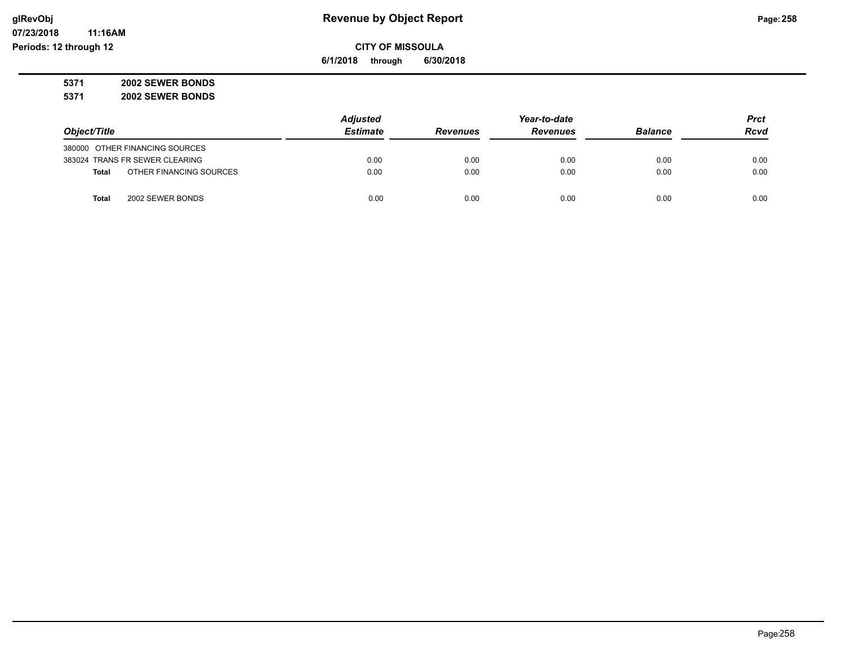**6/1/2018 through 6/30/2018**

**5371 2002 SEWER BONDS**

**5371 2002 SEWER BONDS**

|                                  | <b>Adjusted</b> |                 | Year-to-date    |                | <b>Prct</b> |
|----------------------------------|-----------------|-----------------|-----------------|----------------|-------------|
| Object/Title                     | <b>Estimate</b> | <b>Revenues</b> | <b>Revenues</b> | <b>Balance</b> | <b>Rcvd</b> |
| 380000 OTHER FINANCING SOURCES   |                 |                 |                 |                |             |
| 383024 TRANS FR SEWER CLEARING   | 0.00            | 0.00            | 0.00            | 0.00           | 0.00        |
| OTHER FINANCING SOURCES<br>Total | 0.00            | 0.00            | 0.00            | 0.00           | 0.00        |
| 2002 SEWER BONDS<br><b>Total</b> | 0.00            | 0.00            | 0.00            | 0.00           | 0.00        |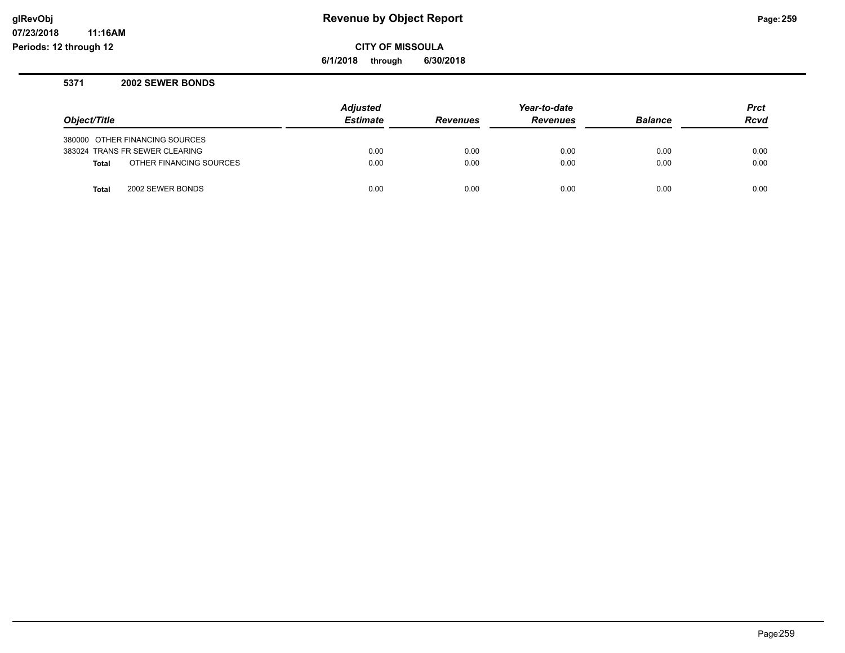**6/1/2018 through 6/30/2018**

#### **5371 2002 SEWER BONDS**

| Object/Title |                                | <b>Adjusted</b><br><b>Estimate</b> | <b>Revenues</b> | Year-to-date<br><b>Revenues</b> | <b>Balance</b> | <b>Prct</b><br><b>Rcvd</b> |
|--------------|--------------------------------|------------------------------------|-----------------|---------------------------------|----------------|----------------------------|
|              | 380000 OTHER FINANCING SOURCES |                                    |                 |                                 |                |                            |
|              | 383024 TRANS FR SEWER CLEARING | 0.00                               | 0.00            | 0.00                            | 0.00           | 0.00                       |
| <b>Total</b> | OTHER FINANCING SOURCES        | 0.00                               | 0.00            | 0.00                            | 0.00           | 0.00                       |
|              |                                |                                    |                 |                                 |                |                            |
| <b>Total</b> | 2002 SEWER BONDS               | 0.00                               | 0.00            | 0.00                            | 0.00           | 0.00                       |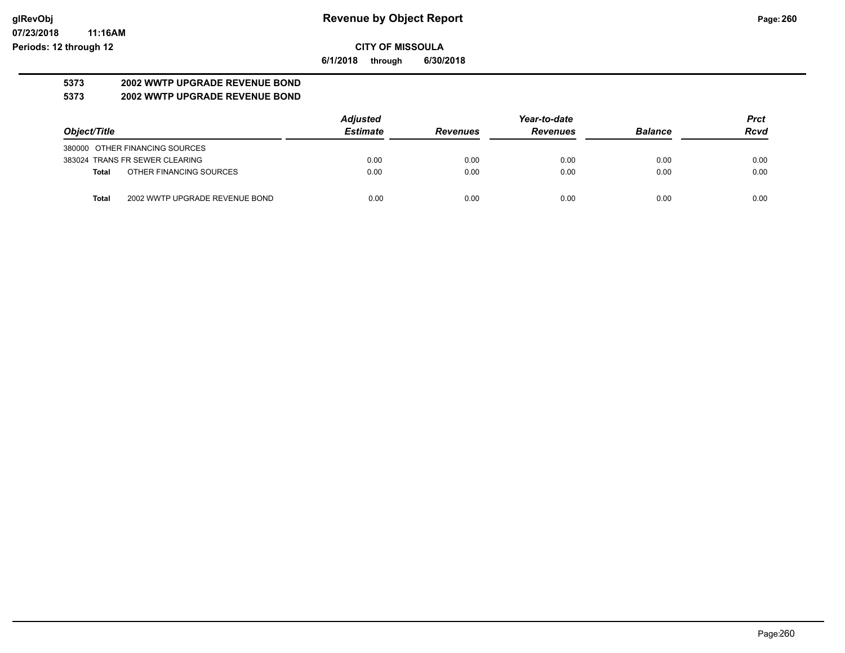**6/1/2018 through 6/30/2018**

# **5373 2002 WWTP UPGRADE REVENUE BOND**

## **5373 2002 WWTP UPGRADE REVENUE BOND**

|                                                | <b>Adjusted</b> |                 | Year-to-date    |                | <b>Prct</b> |
|------------------------------------------------|-----------------|-----------------|-----------------|----------------|-------------|
| Object/Title                                   | <b>Estimate</b> | <b>Revenues</b> | <b>Revenues</b> | <b>Balance</b> | <b>Rcvd</b> |
| 380000 OTHER FINANCING SOURCES                 |                 |                 |                 |                |             |
| 383024 TRANS FR SEWER CLEARING                 | 0.00            | 0.00            | 0.00            | 0.00           | 0.00        |
| OTHER FINANCING SOURCES<br><b>Total</b>        | 0.00            | 0.00            | 0.00            | 0.00           | 0.00        |
| 2002 WWTP UPGRADE REVENUE BOND<br><b>Total</b> | 0.00            | 0.00            | 0.00            | 0.00           | 0.00        |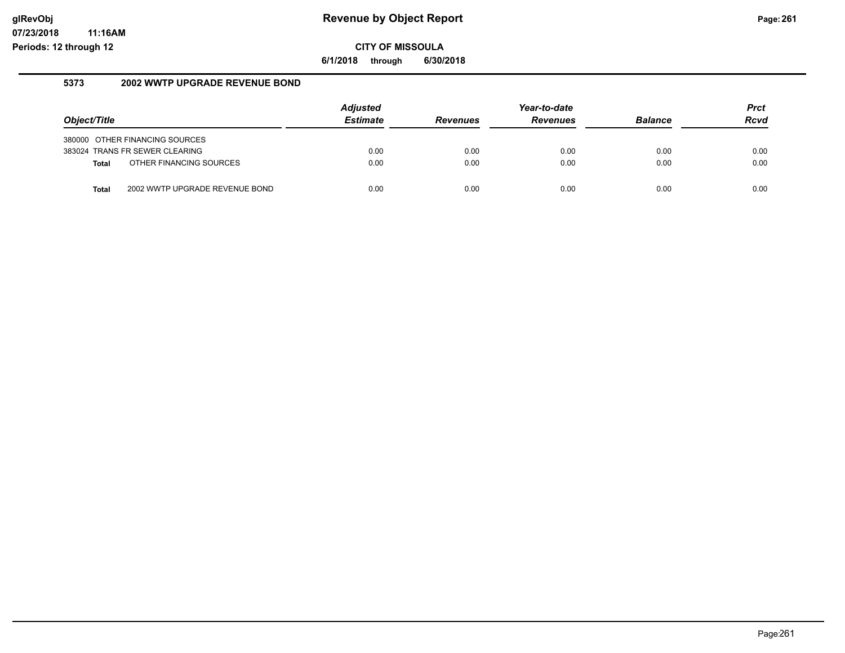**6/1/2018 through 6/30/2018**

#### **5373 2002 WWTP UPGRADE REVENUE BOND**

| Object/Title |                                | <b>Adjusted</b><br><b>Estimate</b> | <b>Revenues</b> | Year-to-date<br><b>Revenues</b> | <b>Balance</b> | <b>Prct</b><br><b>Rcvd</b> |
|--------------|--------------------------------|------------------------------------|-----------------|---------------------------------|----------------|----------------------------|
|              | 380000 OTHER FINANCING SOURCES |                                    |                 |                                 |                |                            |
|              | 383024 TRANS FR SEWER CLEARING | 0.00                               | 0.00            | 0.00                            | 0.00           | 0.00                       |
| <b>Total</b> | OTHER FINANCING SOURCES        | 0.00                               | 0.00            | 0.00                            | 0.00           | 0.00                       |
| <b>Total</b> | 2002 WWTP UPGRADE REVENUE BOND | 0.00                               | 0.00            | 0.00                            | 0.00           | 0.00                       |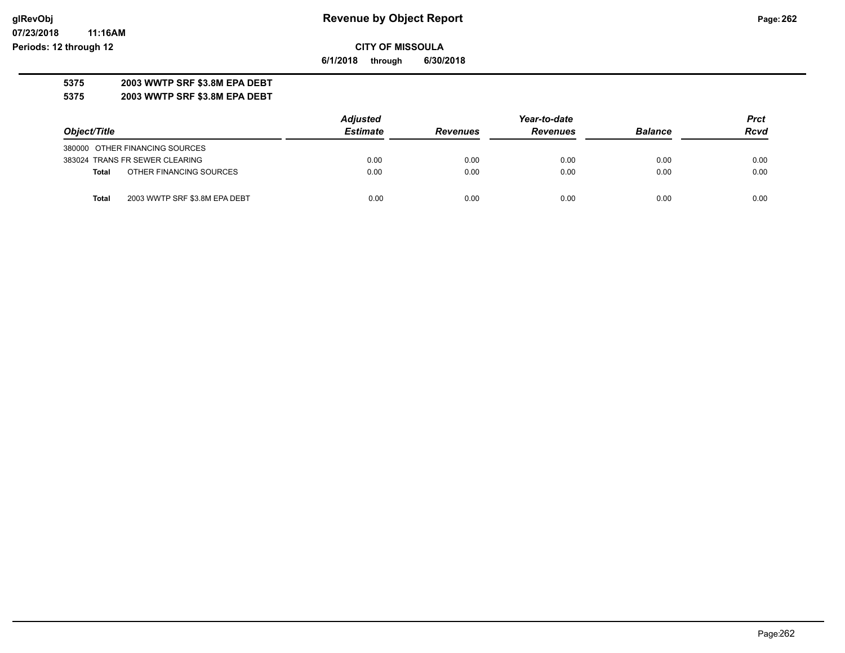**6/1/2018 through 6/30/2018**

## **5375 2003 WWTP SRF \$3.8M EPA DEBT**

**5375 2003 WWTP SRF \$3.8M EPA DEBT**

|                                               | <b>Adjusted</b> | Year-to-date    |                 |                | Prct |
|-----------------------------------------------|-----------------|-----------------|-----------------|----------------|------|
| Object/Title                                  | <b>Estimate</b> | <b>Revenues</b> | <b>Revenues</b> | <b>Balance</b> | Rcvd |
| 380000 OTHER FINANCING SOURCES                |                 |                 |                 |                |      |
| 383024 TRANS FR SEWER CLEARING                | 0.00            | 0.00            | 0.00            | 0.00           | 0.00 |
| OTHER FINANCING SOURCES<br><b>Total</b>       | 0.00            | 0.00            | 0.00            | 0.00           | 0.00 |
| 2003 WWTP SRF \$3.8M EPA DEBT<br><b>Total</b> | 0.00            | 0.00            | 0.00            | 0.00           | 0.00 |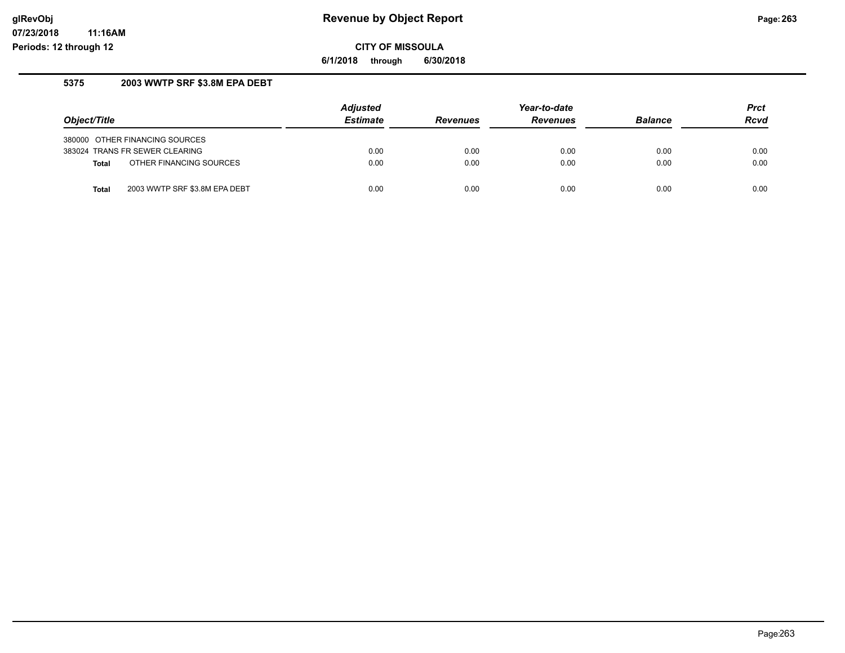**6/1/2018 through 6/30/2018**

#### **5375 2003 WWTP SRF \$3.8M EPA DEBT**

| Object/Title                                  | <b>Adjusted</b><br><b>Estimate</b> | <b>Revenues</b> | Year-to-date<br><b>Revenues</b> | <b>Balance</b> | <b>Prct</b><br><b>Rcvd</b> |
|-----------------------------------------------|------------------------------------|-----------------|---------------------------------|----------------|----------------------------|
| 380000 OTHER FINANCING SOURCES                |                                    |                 |                                 |                |                            |
| 383024 TRANS FR SEWER CLEARING                | 0.00                               | 0.00            | 0.00                            | 0.00           | 0.00                       |
| OTHER FINANCING SOURCES<br><b>Total</b>       | 0.00                               | 0.00            | 0.00                            | 0.00           | 0.00                       |
|                                               |                                    |                 |                                 |                |                            |
| <b>Total</b><br>2003 WWTP SRF \$3.8M EPA DEBT | 0.00                               | 0.00            | 0.00                            | 0.00           | 0.00                       |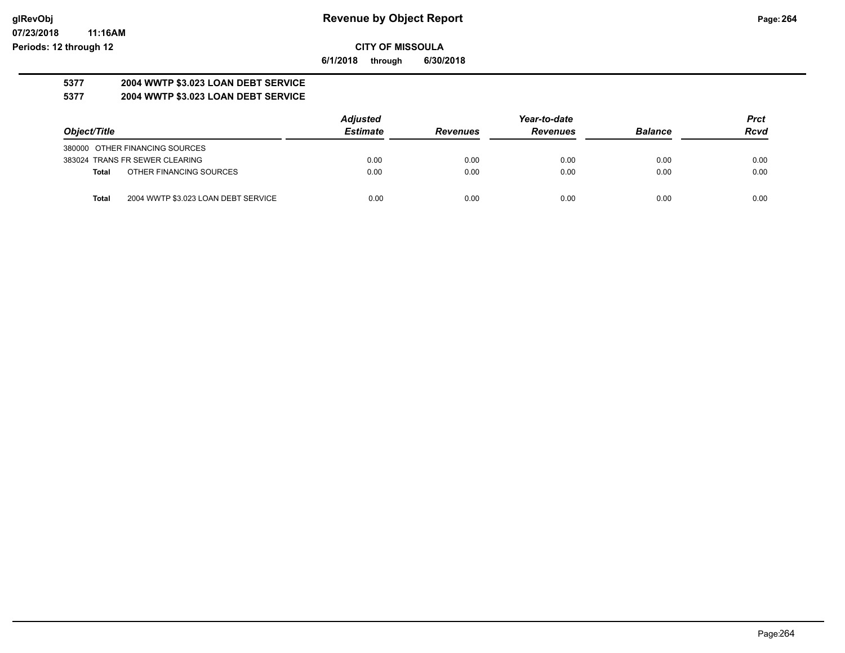**6/1/2018 through 6/30/2018**

#### **5377 2004 WWTP \$3.023 LOAN DEBT SERVICE 5377 2004 WWTP \$3.023 LOAN DEBT SERVICE**

|              |                                     | <b>Adjusted</b> |                 | Year-to-date    |                | Prct        |
|--------------|-------------------------------------|-----------------|-----------------|-----------------|----------------|-------------|
| Object/Title |                                     | <b>Estimate</b> | <b>Revenues</b> | <b>Revenues</b> | <b>Balance</b> | <b>Rcvd</b> |
|              | 380000 OTHER FINANCING SOURCES      |                 |                 |                 |                |             |
|              | 383024 TRANS FR SEWER CLEARING      | 0.00            | 0.00            | 0.00            | 0.00           | 0.00        |
| Total        | OTHER FINANCING SOURCES             | 0.00            | 0.00            | 0.00            | 0.00           | 0.00        |
| <b>Total</b> | 2004 WWTP \$3.023 LOAN DEBT SERVICE | 0.00            | 0.00            | 0.00            | 0.00           | 0.00        |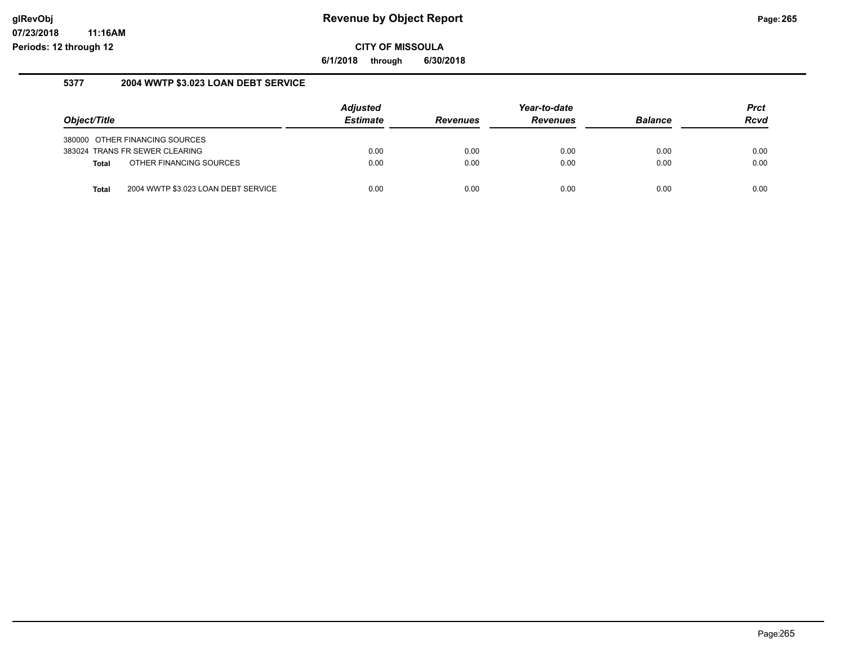**6/1/2018 through 6/30/2018**

#### **5377 2004 WWTP \$3.023 LOAN DEBT SERVICE**

|              |                                     | <b>Adjusted</b> |                 | Year-to-date    |                | <b>Prct</b> |
|--------------|-------------------------------------|-----------------|-----------------|-----------------|----------------|-------------|
| Object/Title |                                     | <b>Estimate</b> | <b>Revenues</b> | <b>Revenues</b> | <b>Balance</b> | <b>Rcvd</b> |
|              | 380000 OTHER FINANCING SOURCES      |                 |                 |                 |                |             |
|              | 383024 TRANS FR SEWER CLEARING      | 0.00            | 0.00            | 0.00            | 0.00           | 0.00        |
| <b>Total</b> | OTHER FINANCING SOURCES             | 0.00            | 0.00            | 0.00            | 0.00           | 0.00        |
| <b>Total</b> | 2004 WWTP \$3.023 LOAN DEBT SERVICE | 0.00            | 0.00            | 0.00            | 0.00           | 0.00        |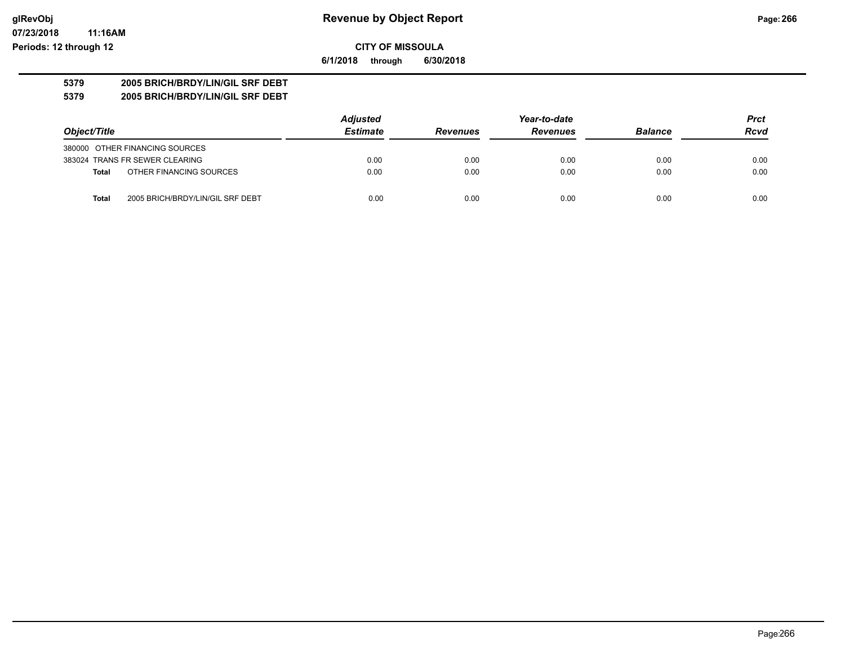# **CITY OF MISSOULA**

**6/1/2018 through 6/30/2018**

# **5379 2005 BRICH/BRDY/LIN/GIL SRF DEBT**

**5379 2005 BRICH/BRDY/LIN/GIL SRF DEBT**

|                                                  | <b>Adjusted</b> |                 | Year-to-date    |                | <b>Prct</b> |
|--------------------------------------------------|-----------------|-----------------|-----------------|----------------|-------------|
| Object/Title                                     | <b>Estimate</b> | <b>Revenues</b> | <b>Revenues</b> | <b>Balance</b> | <b>Rcvd</b> |
| 380000 OTHER FINANCING SOURCES                   |                 |                 |                 |                |             |
| 383024 TRANS FR SEWER CLEARING                   | 0.00            | 0.00            | 0.00            | 0.00           | 0.00        |
| OTHER FINANCING SOURCES<br>Total                 | 0.00            | 0.00            | 0.00            | 0.00           | 0.00        |
| 2005 BRICH/BRDY/LIN/GIL SRF DEBT<br><b>Total</b> | 0.00            | 0.00            | 0.00            | 0.00           | 0.00        |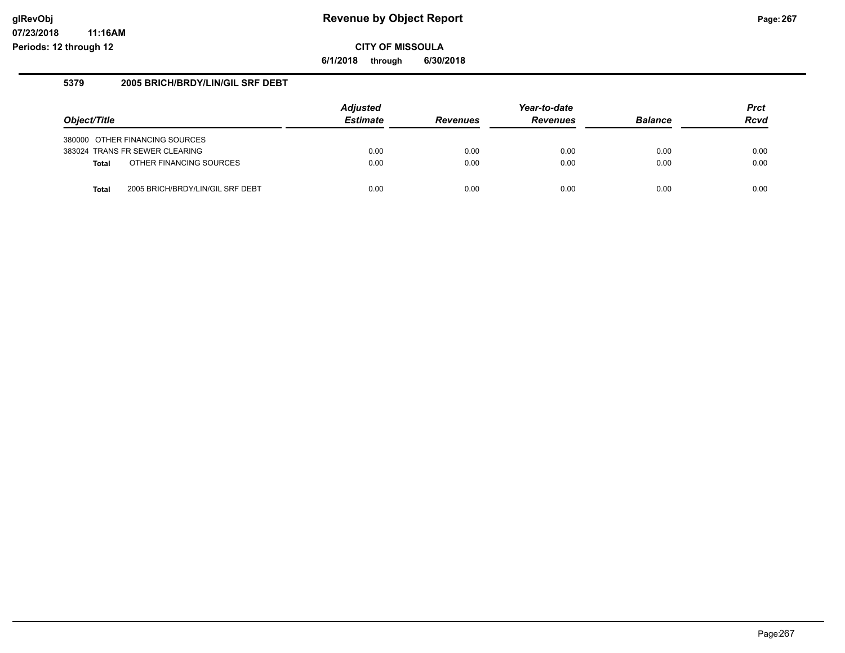**6/1/2018 through 6/30/2018**

#### **5379 2005 BRICH/BRDY/LIN/GIL SRF DEBT**

| Object/Title |                                  | <b>Adjusted</b><br><b>Estimate</b> | <b>Revenues</b> | Year-to-date<br><b>Revenues</b> | <b>Balance</b> | <b>Prct</b><br><b>Rcvd</b> |
|--------------|----------------------------------|------------------------------------|-----------------|---------------------------------|----------------|----------------------------|
|              | 380000 OTHER FINANCING SOURCES   |                                    |                 |                                 |                |                            |
|              | 383024 TRANS FR SEWER CLEARING   | 0.00                               | 0.00            | 0.00                            | 0.00           | 0.00                       |
| <b>Total</b> | OTHER FINANCING SOURCES          | 0.00                               | 0.00            | 0.00                            | 0.00           | 0.00                       |
| <b>Total</b> | 2005 BRICH/BRDY/LIN/GIL SRF DEBT | 0.00                               | 0.00            | 0.00                            | 0.00           | 0.00                       |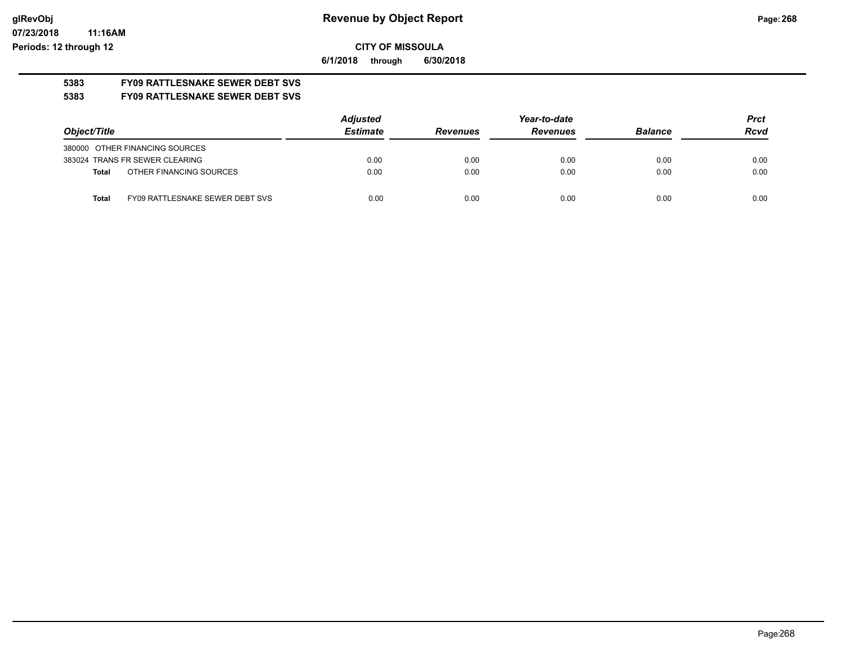## **CITY OF MISSOULA**

**6/1/2018 through 6/30/2018**

# **5383 FY09 RATTLESNAKE SEWER DEBT SVS**

## **5383 FY09 RATTLESNAKE SEWER DEBT SVS**

|                                                 | <b>Adjusted</b> |                 | Year-to-date    |                | <b>Prct</b> |
|-------------------------------------------------|-----------------|-----------------|-----------------|----------------|-------------|
| Object/Title                                    | <b>Estimate</b> | <b>Revenues</b> | <b>Revenues</b> | <b>Balance</b> | <b>Rcvd</b> |
| 380000 OTHER FINANCING SOURCES                  |                 |                 |                 |                |             |
| 383024 TRANS FR SEWER CLEARING                  | 0.00            | 0.00            | 0.00            | 0.00           | 0.00        |
| OTHER FINANCING SOURCES<br><b>Total</b>         | 0.00            | 0.00            | 0.00            | 0.00           | 0.00        |
| FY09 RATTLESNAKE SEWER DEBT SVS<br><b>Total</b> | 0.00            | 0.00            | 0.00            | 0.00           | 0.00        |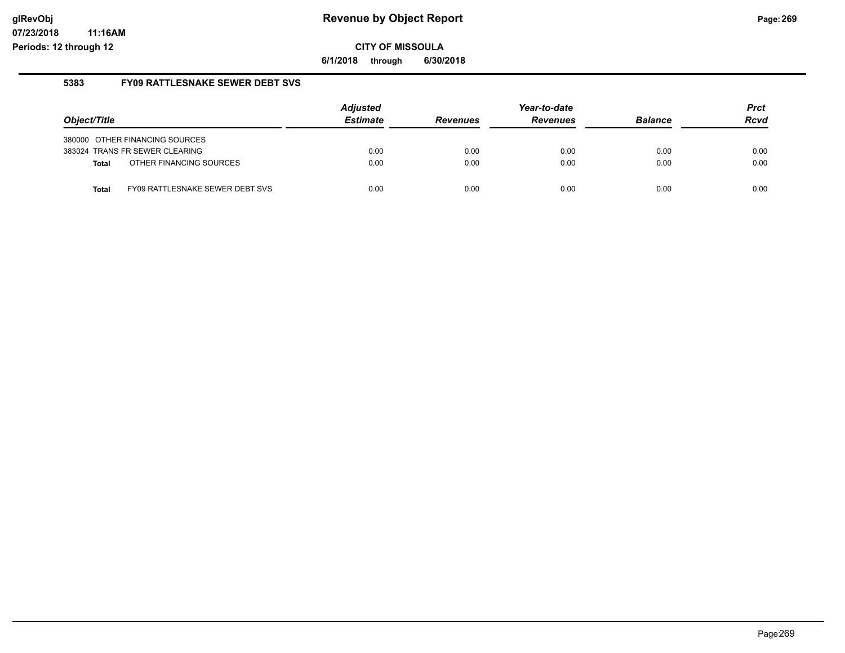**6/1/2018 through 6/30/2018**

#### **5383 FY09 RATTLESNAKE SEWER DEBT SVS**

| Object/Title |                                 | Adjusted<br><b>Estimate</b> | <b>Revenues</b> | Year-to-date<br><b>Revenues</b> | <b>Balance</b> | <b>Prct</b><br><b>Rcvd</b> |
|--------------|---------------------------------|-----------------------------|-----------------|---------------------------------|----------------|----------------------------|
|              | 380000 OTHER FINANCING SOURCES  |                             |                 |                                 |                |                            |
|              | 383024 TRANS FR SEWER CLEARING  | 0.00                        | 0.00            | 0.00                            | 0.00           | 0.00                       |
| <b>Total</b> | OTHER FINANCING SOURCES         | 0.00                        | 0.00            | 0.00                            | 0.00           | 0.00                       |
| <b>Total</b> | FY09 RATTLESNAKE SEWER DEBT SVS | 0.00                        | 0.00            | 0.00                            | 0.00           | 0.00                       |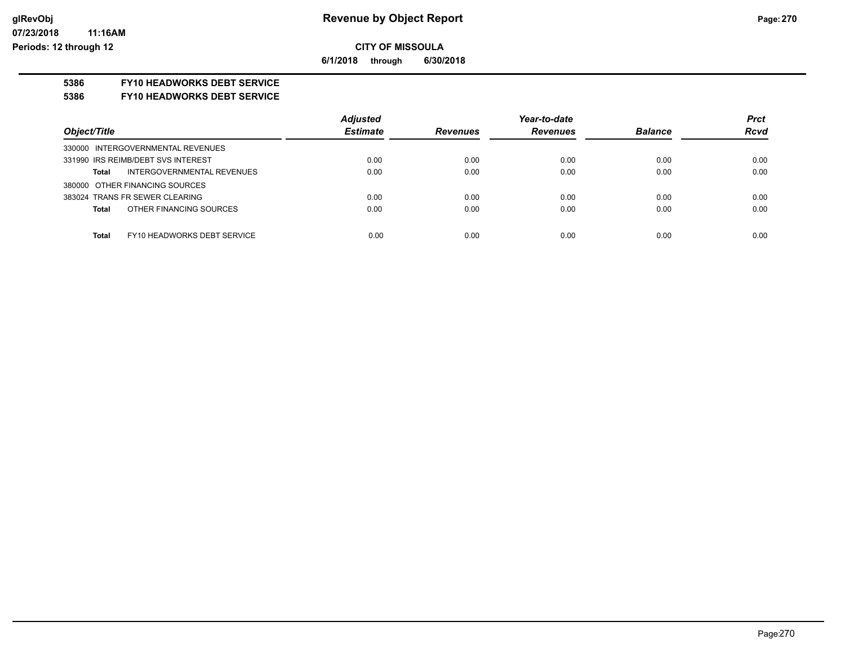**6/1/2018 through 6/30/2018**

#### **5386 FY10 HEADWORKS DEBT SERVICE**

#### **5386 FY10 HEADWORKS DEBT SERVICE**

|                                             | <b>Adjusted</b> |                 | Year-to-date    |                | <b>Prct</b> |
|---------------------------------------------|-----------------|-----------------|-----------------|----------------|-------------|
| Object/Title                                | <b>Estimate</b> | <b>Revenues</b> | <b>Revenues</b> | <b>Balance</b> | <b>Rcvd</b> |
| 330000 INTERGOVERNMENTAL REVENUES           |                 |                 |                 |                |             |
| 331990 IRS REIMB/DEBT SVS INTEREST          | 0.00            | 0.00            | 0.00            | 0.00           | 0.00        |
| INTERGOVERNMENTAL REVENUES<br><b>Total</b>  | 0.00            | 0.00            | 0.00            | 0.00           | 0.00        |
| 380000 OTHER FINANCING SOURCES              |                 |                 |                 |                |             |
| 383024 TRANS FR SEWER CLEARING              | 0.00            | 0.00            | 0.00            | 0.00           | 0.00        |
| OTHER FINANCING SOURCES<br>Total            | 0.00            | 0.00            | 0.00            | 0.00           | 0.00        |
|                                             |                 |                 |                 |                |             |
| <b>FY10 HEADWORKS DEBT SERVICE</b><br>Total | 0.00            | 0.00            | 0.00            | 0.00           | 0.00        |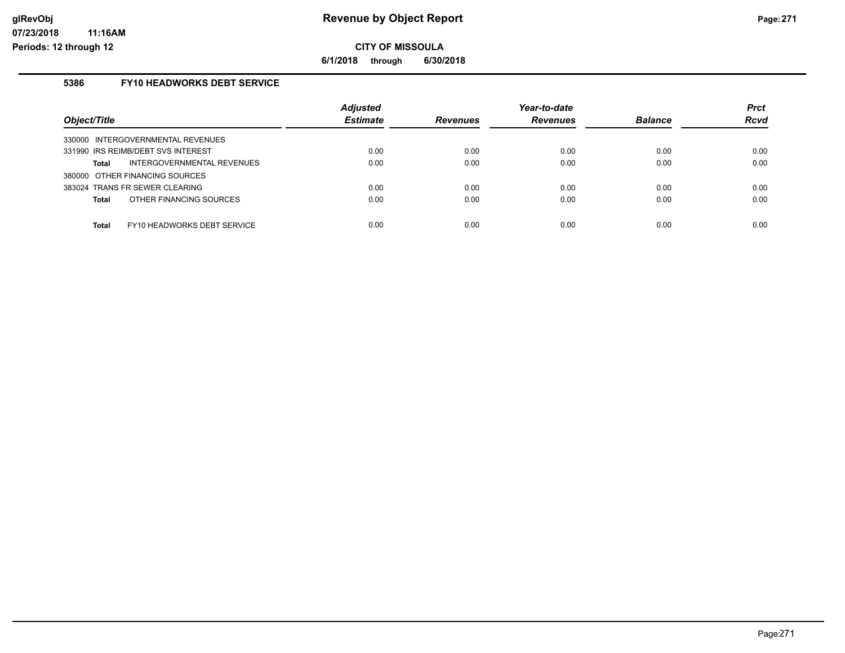**6/1/2018 through 6/30/2018**

#### **5386 FY10 HEADWORKS DEBT SERVICE**

| Object/Title                                | <b>Adjusted</b><br><b>Estimate</b> | <b>Revenues</b> | Year-to-date<br><b>Revenues</b> | <b>Balance</b> | <b>Prct</b><br><b>Rcvd</b> |
|---------------------------------------------|------------------------------------|-----------------|---------------------------------|----------------|----------------------------|
|                                             |                                    |                 |                                 |                |                            |
| 330000 INTERGOVERNMENTAL REVENUES           |                                    |                 |                                 |                |                            |
| 331990 IRS REIMB/DEBT SVS INTEREST          | 0.00                               | 0.00            | 0.00                            | 0.00           | 0.00                       |
| INTERGOVERNMENTAL REVENUES<br>Total         | 0.00                               | 0.00            | 0.00                            | 0.00           | 0.00                       |
| 380000 OTHER FINANCING SOURCES              |                                    |                 |                                 |                |                            |
| 383024 TRANS FR SEWER CLEARING              | 0.00                               | 0.00            | 0.00                            | 0.00           | 0.00                       |
| OTHER FINANCING SOURCES<br><b>Total</b>     | 0.00                               | 0.00            | 0.00                            | 0.00           | 0.00                       |
|                                             |                                    |                 |                                 |                |                            |
| FY10 HEADWORKS DEBT SERVICE<br><b>Total</b> | 0.00                               | 0.00            | 0.00                            | 0.00           | 0.00                       |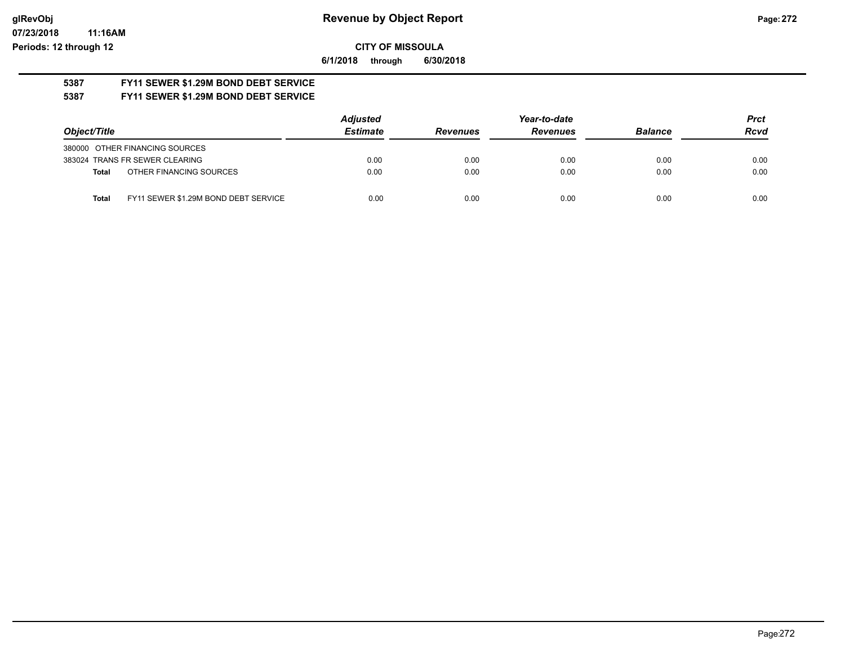**CITY OF MISSOULA**

**6/1/2018 through 6/30/2018**

# **5387 FY11 SEWER \$1.29M BOND DEBT SERVICE**

# **5387 FY11 SEWER \$1.29M BOND DEBT SERVICE**

|                                                      | <b>Adjusted</b> | Year-to-date    |                 |                | <b>Prct</b> |
|------------------------------------------------------|-----------------|-----------------|-----------------|----------------|-------------|
| Object/Title                                         | <b>Estimate</b> | <b>Revenues</b> | <b>Revenues</b> | <b>Balance</b> | <b>Rcvd</b> |
| 380000 OTHER FINANCING SOURCES                       |                 |                 |                 |                |             |
| 383024 TRANS FR SEWER CLEARING                       | 0.00            | 0.00            | 0.00            | 0.00           | 0.00        |
| OTHER FINANCING SOURCES<br>Total                     | 0.00            | 0.00            | 0.00            | 0.00           | 0.00        |
| FY11 SEWER \$1.29M BOND DEBT SERVICE<br><b>Total</b> | 0.00            | 0.00            | 0.00            | 0.00           | 0.00        |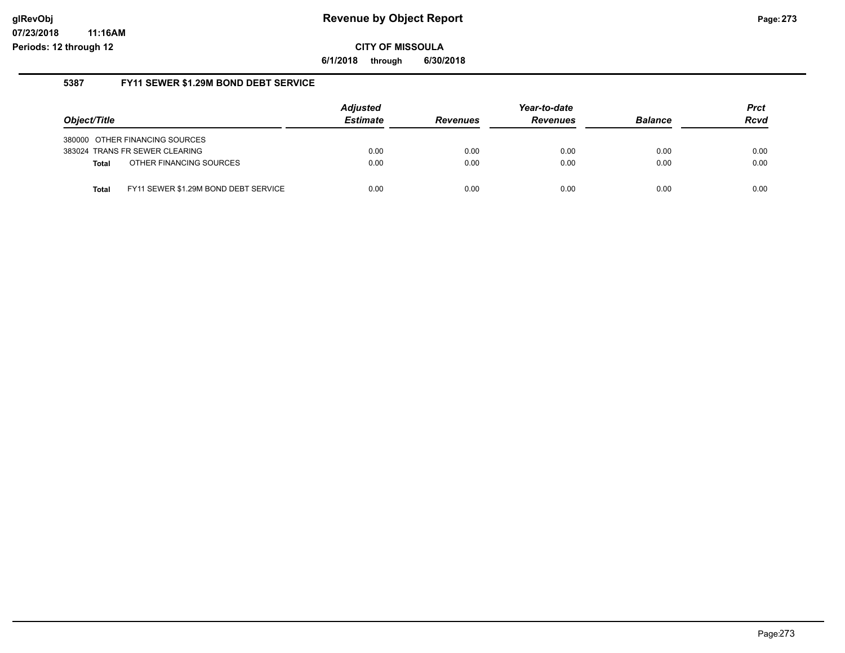**6/1/2018 through 6/30/2018**

#### **5387 FY11 SEWER \$1.29M BOND DEBT SERVICE**

| Object/Title |                                      | Adjusted<br><b>Estimate</b> | <b>Revenues</b> | Year-to-date<br><b>Revenues</b> | <b>Balance</b> | <b>Prct</b><br><b>Rcvd</b> |
|--------------|--------------------------------------|-----------------------------|-----------------|---------------------------------|----------------|----------------------------|
|              | 380000 OTHER FINANCING SOURCES       |                             |                 |                                 |                |                            |
|              | 383024 TRANS FR SEWER CLEARING       | 0.00                        | 0.00            | 0.00                            | 0.00           | 0.00                       |
| <b>Total</b> | OTHER FINANCING SOURCES              | 0.00                        | 0.00            | 0.00                            | 0.00           | 0.00                       |
| Total        | FY11 SEWER \$1.29M BOND DEBT SERVICE | 0.00                        | 0.00            | 0.00                            | 0.00           | 0.00                       |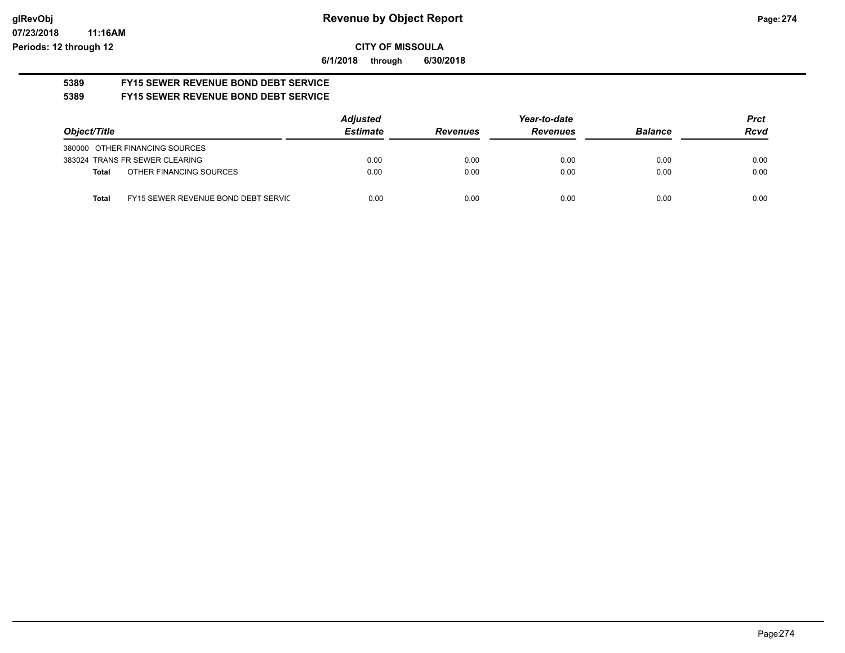**CITY OF MISSOULA**

**6/1/2018 through 6/30/2018**

#### **5389 FY15 SEWER REVENUE BOND DEBT SERVICE 5389 FY15 SEWER REVENUE BOND DEBT SERVICE**

|              |                                     | <b>Adjusted</b> | Year-to-date    |                 |                | Prct |
|--------------|-------------------------------------|-----------------|-----------------|-----------------|----------------|------|
| Object/Title |                                     | <b>Estimate</b> | <b>Revenues</b> | <b>Revenues</b> | <b>Balance</b> | Rcvd |
|              | 380000 OTHER FINANCING SOURCES      |                 |                 |                 |                |      |
|              | 383024 TRANS FR SEWER CLEARING      | 0.00            | 0.00            | 0.00            | 0.00           | 0.00 |
| Total        | OTHER FINANCING SOURCES             | 0.00            | 0.00            | 0.00            | 0.00           | 0.00 |
| Total        | FY15 SEWER REVENUE BOND DEBT SERVIC | 0.00            | 0.00            | 0.00            | 0.00           | 0.00 |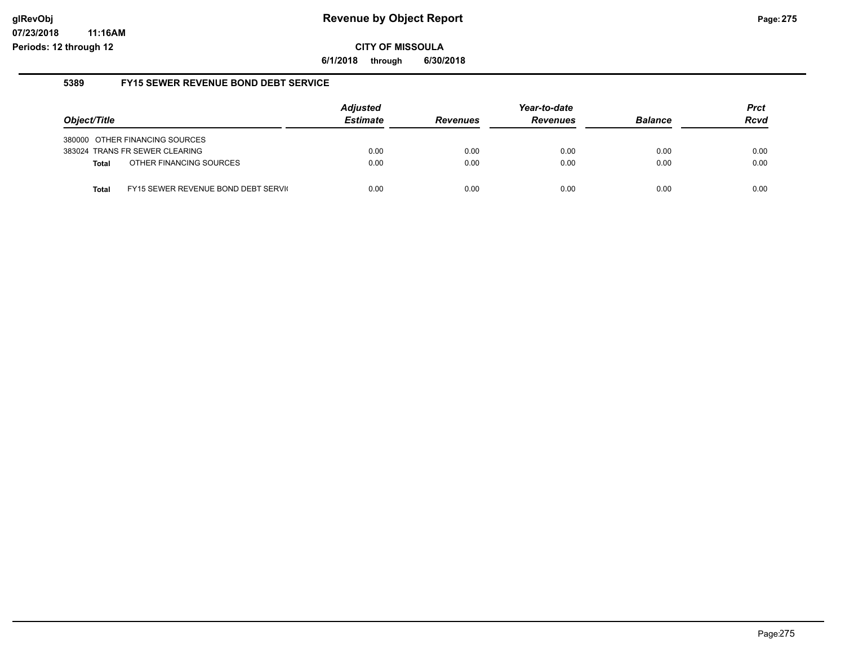**6/1/2018 through 6/30/2018**

#### **5389 FY15 SEWER REVENUE BOND DEBT SERVICE**

| Object/Title |                                     | <b>Adjusted</b><br><b>Estimate</b> | <b>Revenues</b> | Year-to-date<br><b>Revenues</b> | <b>Balance</b> | <b>Prct</b><br><b>Rcvd</b> |
|--------------|-------------------------------------|------------------------------------|-----------------|---------------------------------|----------------|----------------------------|
|              | 380000 OTHER FINANCING SOURCES      |                                    |                 |                                 |                |                            |
|              | 383024 TRANS FR SEWER CLEARING      | 0.00                               | 0.00            | 0.00                            | 0.00           | 0.00                       |
| <b>Total</b> | OTHER FINANCING SOURCES             | 0.00                               | 0.00            | 0.00                            | 0.00           | 0.00                       |
| <b>Total</b> | FY15 SEWER REVENUE BOND DEBT SERVIC | 0.00                               | 0.00            | 0.00                            | 0.00           | 0.00                       |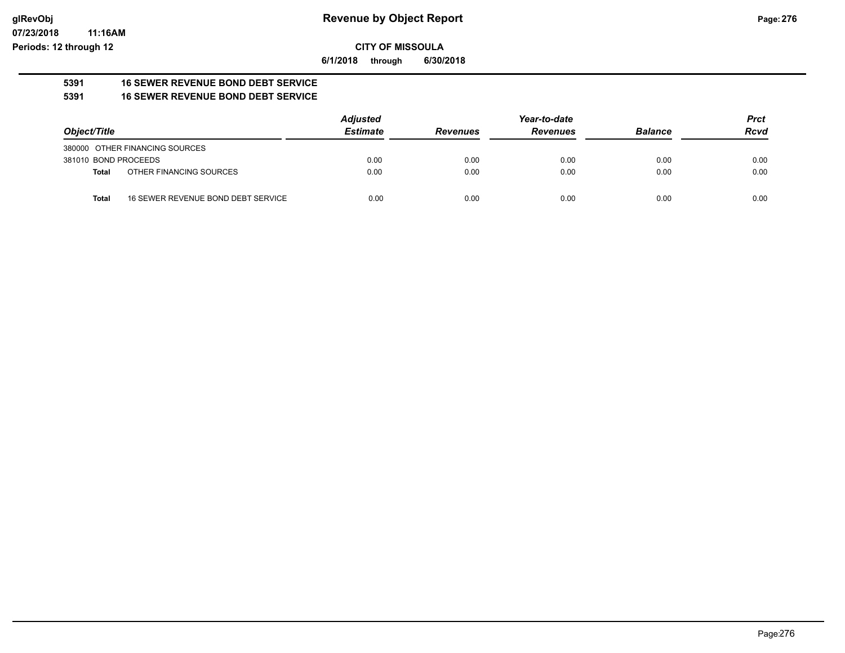**CITY OF MISSOULA**

**6/1/2018 through 6/30/2018**

#### **5391 16 SEWER REVENUE BOND DEBT SERVICE 5391 16 SEWER REVENUE BOND DEBT SERVICE**

|                      |                                    | <b>Adjusted</b> | Year-to-date    |                 |                | <b>Prct</b> |
|----------------------|------------------------------------|-----------------|-----------------|-----------------|----------------|-------------|
| Object/Title         |                                    | <b>Estimate</b> | <b>Revenues</b> | <b>Revenues</b> | <b>Balance</b> | <b>Rcvd</b> |
|                      | 380000 OTHER FINANCING SOURCES     |                 |                 |                 |                |             |
| 381010 BOND PROCEEDS |                                    | 0.00            | 0.00            | 0.00            | 0.00           | 0.00        |
| Total                | OTHER FINANCING SOURCES            | 0.00            | 0.00            | 0.00            | 0.00           | 0.00        |
| <b>Total</b>         | 16 SEWER REVENUE BOND DEBT SERVICE | 0.00            | 0.00            | 0.00            | 0.00           | 0.00        |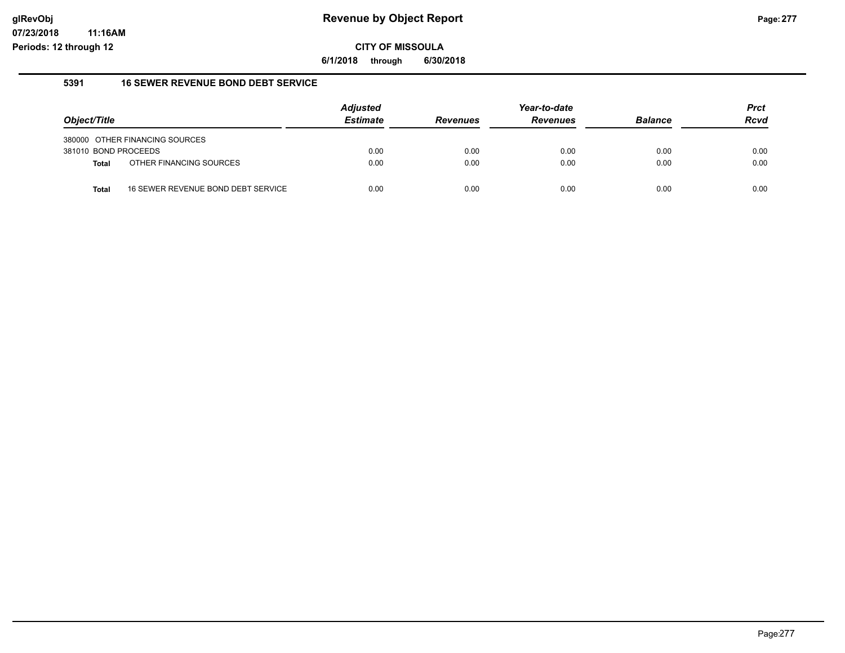**6/1/2018 through 6/30/2018**

#### **5391 16 SEWER REVENUE BOND DEBT SERVICE**

| Object/Title         |                                    | <b>Adjusted</b><br><b>Estimate</b> | <b>Revenues</b> | Year-to-date<br><b>Revenues</b> | <b>Balance</b> | <b>Prct</b><br><b>Rcvd</b> |
|----------------------|------------------------------------|------------------------------------|-----------------|---------------------------------|----------------|----------------------------|
|                      | 380000 OTHER FINANCING SOURCES     |                                    |                 |                                 |                |                            |
| 381010 BOND PROCEEDS |                                    | 0.00                               | 0.00            | 0.00                            | 0.00           | 0.00                       |
| <b>Total</b>         | OTHER FINANCING SOURCES            | 0.00                               | 0.00            | 0.00                            | 0.00           | 0.00                       |
| Total                | 16 SEWER REVENUE BOND DEBT SERVICE | 0.00                               | 0.00            | 0.00                            | 0.00           | 0.00                       |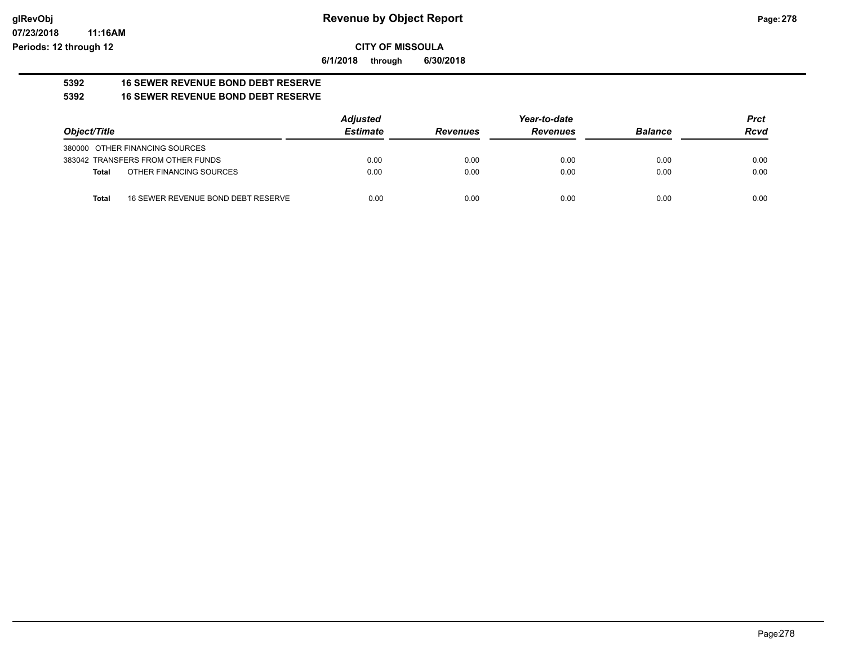#### **CITY OF MISSOULA**

**6/1/2018 through 6/30/2018**

#### **5392 16 SEWER REVENUE BOND DEBT RESERVE 5392 16 SEWER REVENUE BOND DEBT RESERVE**

|              |                                    | <b>Adjusted</b> |                 | Year-to-date    |                | <b>Prct</b> |
|--------------|------------------------------------|-----------------|-----------------|-----------------|----------------|-------------|
| Object/Title |                                    | <b>Estimate</b> | <b>Revenues</b> | <b>Revenues</b> | <b>Balance</b> | <b>Rcvd</b> |
|              | 380000 OTHER FINANCING SOURCES     |                 |                 |                 |                |             |
|              | 383042 TRANSFERS FROM OTHER FUNDS  | 0.00            | 0.00            | 0.00            | 0.00           | 0.00        |
| <b>Total</b> | OTHER FINANCING SOURCES            | 0.00            | 0.00            | 0.00            | 0.00           | 0.00        |
| <b>Total</b> | 16 SEWER REVENUE BOND DEBT RESERVE | 0.00            | 0.00            | 0.00            | 0.00           | 0.00        |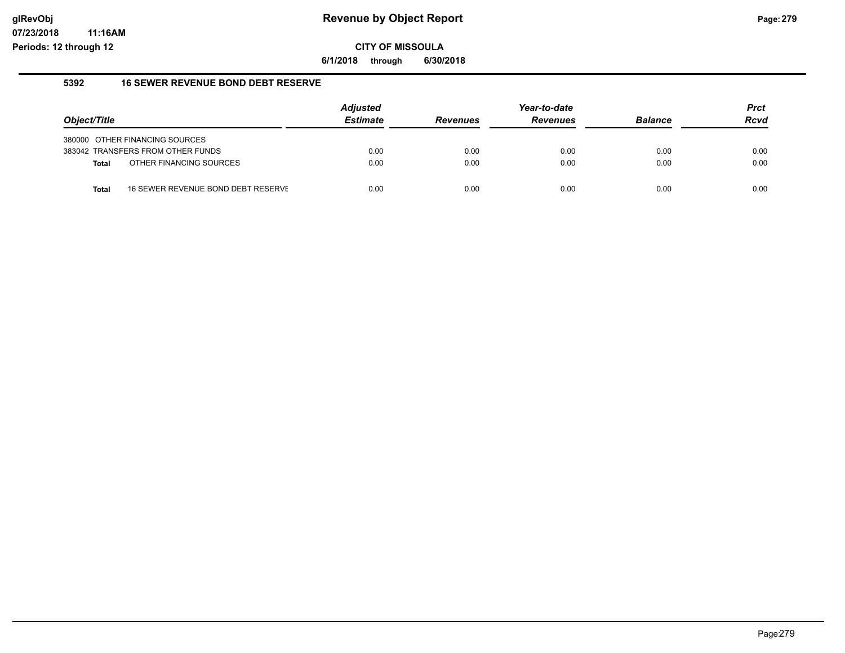**6/1/2018 through 6/30/2018**

#### **5392 16 SEWER REVENUE BOND DEBT RESERVE**

| Object/Title |                                    | Adjusted<br><b>Estimate</b> | <b>Revenues</b> | Year-to-date<br><b>Revenues</b> | <b>Balance</b> | <b>Prct</b><br><b>Rcvd</b> |
|--------------|------------------------------------|-----------------------------|-----------------|---------------------------------|----------------|----------------------------|
|              | 380000 OTHER FINANCING SOURCES     |                             |                 |                                 |                |                            |
|              | 383042 TRANSFERS FROM OTHER FUNDS  | 0.00                        | 0.00            | 0.00                            | 0.00           | 0.00                       |
| <b>Total</b> | OTHER FINANCING SOURCES            | 0.00                        | 0.00            | 0.00                            | 0.00           | 0.00                       |
| <b>Total</b> | 16 SEWER REVENUE BOND DEBT RESERVE | 0.00                        | 0.00            | 0.00                            | 0.00           | 0.00                       |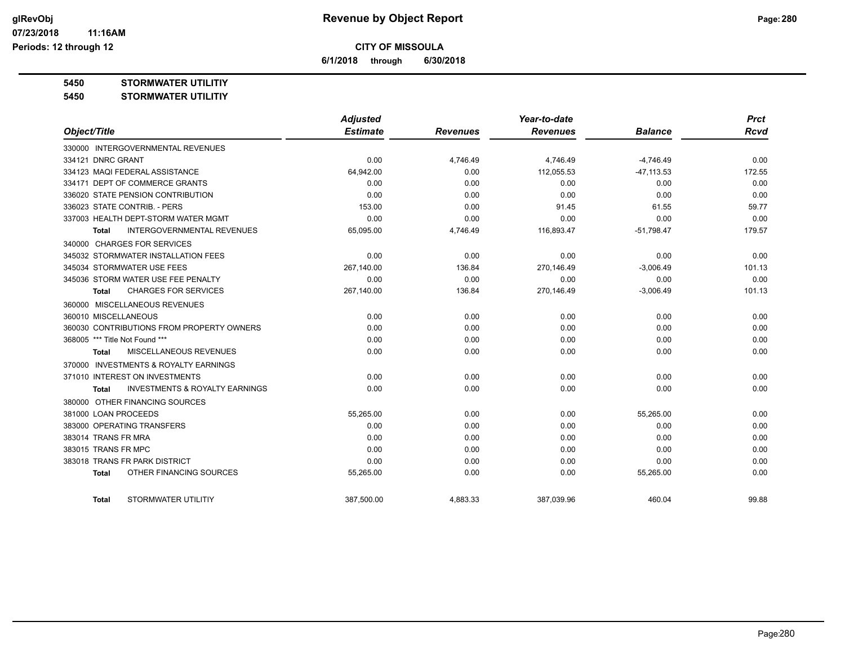**6/1/2018 through 6/30/2018**

**5450 STORMWATER UTILITIY**

**5450 STORMWATER UTILITIY**

|                                                    | <b>Adjusted</b> |                 | Year-to-date    |                | <b>Prct</b> |
|----------------------------------------------------|-----------------|-----------------|-----------------|----------------|-------------|
| Object/Title                                       | <b>Estimate</b> | <b>Revenues</b> | <b>Revenues</b> | <b>Balance</b> | <b>Rcvd</b> |
| 330000 INTERGOVERNMENTAL REVENUES                  |                 |                 |                 |                |             |
| 334121 DNRC GRANT                                  | 0.00            | 4,746.49        | 4,746.49        | $-4,746.49$    | 0.00        |
| 334123 MAQI FEDERAL ASSISTANCE                     | 64,942.00       | 0.00            | 112,055.53      | $-47, 113.53$  | 172.55      |
| 334171 DEPT OF COMMERCE GRANTS                     | 0.00            | 0.00            | 0.00            | 0.00           | 0.00        |
| 336020 STATE PENSION CONTRIBUTION                  | 0.00            | 0.00            | 0.00            | 0.00           | 0.00        |
| 336023 STATE CONTRIB. - PERS                       | 153.00          | 0.00            | 91.45           | 61.55          | 59.77       |
| 337003 HEALTH DEPT-STORM WATER MGMT                | 0.00            | 0.00            | 0.00            | 0.00           | 0.00        |
| <b>INTERGOVERNMENTAL REVENUES</b><br>Total         | 65,095.00       | 4,746.49        | 116,893.47      | $-51,798.47$   | 179.57      |
| 340000 CHARGES FOR SERVICES                        |                 |                 |                 |                |             |
| 345032 STORMWATER INSTALLATION FEES                | 0.00            | 0.00            | 0.00            | 0.00           | 0.00        |
| 345034 STORMWATER USE FEES                         | 267,140.00      | 136.84          | 270,146.49      | $-3,006.49$    | 101.13      |
| 345036 STORM WATER USE FEE PENALTY                 | 0.00            | 0.00            | 0.00            | 0.00           | 0.00        |
| <b>CHARGES FOR SERVICES</b><br>Total               | 267,140.00      | 136.84          | 270,146.49      | $-3,006.49$    | 101.13      |
| 360000 MISCELLANEOUS REVENUES                      |                 |                 |                 |                |             |
| 360010 MISCELLANEOUS                               | 0.00            | 0.00            | 0.00            | 0.00           | 0.00        |
| 360030 CONTRIBUTIONS FROM PROPERTY OWNERS          | 0.00            | 0.00            | 0.00            | 0.00           | 0.00        |
| 368005 *** Title Not Found ***                     | 0.00            | 0.00            | 0.00            | 0.00           | 0.00        |
| MISCELLANEOUS REVENUES<br>Total                    | 0.00            | 0.00            | 0.00            | 0.00           | 0.00        |
| 370000 INVESTMENTS & ROYALTY EARNINGS              |                 |                 |                 |                |             |
| 371010 INTEREST ON INVESTMENTS                     | 0.00            | 0.00            | 0.00            | 0.00           | 0.00        |
| <b>INVESTMENTS &amp; ROYALTY EARNINGS</b><br>Total | 0.00            | 0.00            | 0.00            | 0.00           | 0.00        |
| 380000 OTHER FINANCING SOURCES                     |                 |                 |                 |                |             |
| 381000 LOAN PROCEEDS                               | 55,265.00       | 0.00            | 0.00            | 55,265.00      | 0.00        |
| 383000 OPERATING TRANSFERS                         | 0.00            | 0.00            | 0.00            | 0.00           | 0.00        |
| 383014 TRANS FR MRA                                | 0.00            | 0.00            | 0.00            | 0.00           | 0.00        |
| 383015 TRANS FR MPC                                | 0.00            | 0.00            | 0.00            | 0.00           | 0.00        |
| 383018 TRANS FR PARK DISTRICT                      | 0.00            | 0.00            | 0.00            | 0.00           | 0.00        |
| OTHER FINANCING SOURCES<br>Total                   | 55,265.00       | 0.00            | 0.00            | 55,265.00      | 0.00        |
| STORMWATER UTILITIY<br>Total                       | 387.500.00      | 4.883.33        | 387.039.96      | 460.04         | 99.88       |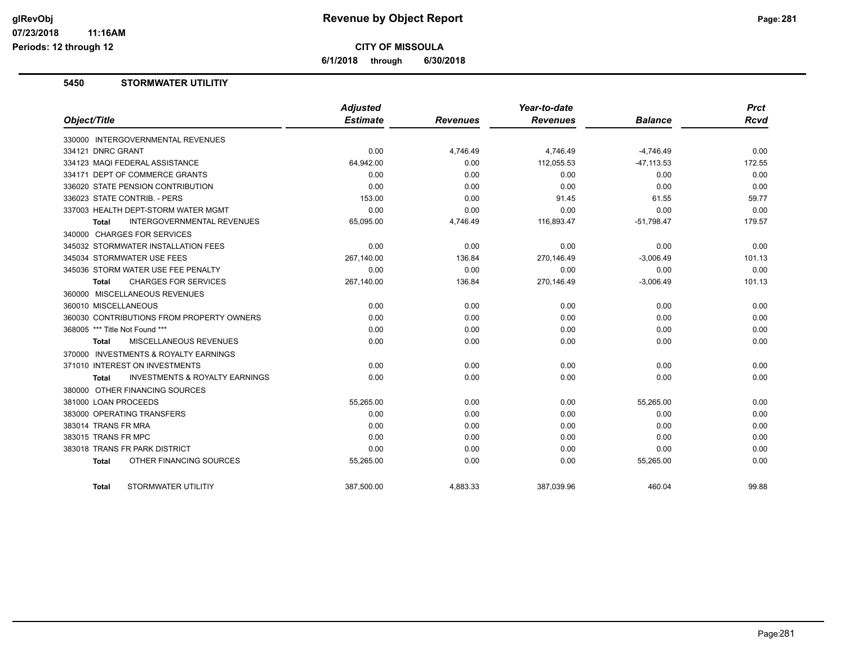**6/1/2018 through 6/30/2018**

#### **5450 STORMWATER UTILITIY**

|                                                    | <b>Adjusted</b> |                 | Year-to-date    |                | <b>Prct</b> |
|----------------------------------------------------|-----------------|-----------------|-----------------|----------------|-------------|
| Object/Title                                       | <b>Estimate</b> | <b>Revenues</b> | <b>Revenues</b> | <b>Balance</b> | <b>Rcvd</b> |
| 330000 INTERGOVERNMENTAL REVENUES                  |                 |                 |                 |                |             |
| 334121 DNRC GRANT                                  | 0.00            | 4.746.49        | 4.746.49        | $-4.746.49$    | 0.00        |
| 334123 MAQI FEDERAL ASSISTANCE                     | 64,942.00       | 0.00            | 112,055.53      | $-47, 113.53$  | 172.55      |
| 334171 DEPT OF COMMERCE GRANTS                     | 0.00            | 0.00            | 0.00            | 0.00           | 0.00        |
| 336020 STATE PENSION CONTRIBUTION                  | 0.00            | 0.00            | 0.00            | 0.00           | 0.00        |
| 336023 STATE CONTRIB. - PERS                       | 153.00          | 0.00            | 91.45           | 61.55          | 59.77       |
| 337003 HEALTH DEPT-STORM WATER MGMT                | 0.00            | 0.00            | 0.00            | 0.00           | 0.00        |
| <b>INTERGOVERNMENTAL REVENUES</b><br>Total         | 65,095.00       | 4,746.49        | 116,893.47      | $-51,798.47$   | 179.57      |
| 340000 CHARGES FOR SERVICES                        |                 |                 |                 |                |             |
| 345032 STORMWATER INSTALLATION FEES                | 0.00            | 0.00            | 0.00            | 0.00           | 0.00        |
| 345034 STORMWATER USE FEES                         | 267,140.00      | 136.84          | 270,146.49      | $-3,006.49$    | 101.13      |
| 345036 STORM WATER USE FEE PENALTY                 | 0.00            | 0.00            | 0.00            | 0.00           | 0.00        |
| <b>CHARGES FOR SERVICES</b><br><b>Total</b>        | 267,140.00      | 136.84          | 270,146.49      | $-3,006.49$    | 101.13      |
| 360000 MISCELLANEOUS REVENUES                      |                 |                 |                 |                |             |
| 360010 MISCELLANEOUS                               | 0.00            | 0.00            | 0.00            | 0.00           | 0.00        |
| 360030 CONTRIBUTIONS FROM PROPERTY OWNERS          | 0.00            | 0.00            | 0.00            | 0.00           | 0.00        |
| 368005 *** Title Not Found ***                     | 0.00            | 0.00            | 0.00            | 0.00           | 0.00        |
| MISCELLANEOUS REVENUES<br>Total                    | 0.00            | 0.00            | 0.00            | 0.00           | 0.00        |
| 370000 INVESTMENTS & ROYALTY EARNINGS              |                 |                 |                 |                |             |
| 371010 INTEREST ON INVESTMENTS                     | 0.00            | 0.00            | 0.00            | 0.00           | 0.00        |
| <b>INVESTMENTS &amp; ROYALTY EARNINGS</b><br>Total | 0.00            | 0.00            | 0.00            | 0.00           | 0.00        |
| 380000 OTHER FINANCING SOURCES                     |                 |                 |                 |                |             |
| 381000 LOAN PROCEEDS                               | 55,265.00       | 0.00            | 0.00            | 55,265.00      | 0.00        |
| 383000 OPERATING TRANSFERS                         | 0.00            | 0.00            | 0.00            | 0.00           | 0.00        |
| 383014 TRANS FR MRA                                | 0.00            | 0.00            | 0.00            | 0.00           | 0.00        |
| 383015 TRANS FR MPC                                | 0.00            | 0.00            | 0.00            | 0.00           | 0.00        |
| 383018 TRANS FR PARK DISTRICT                      | 0.00            | 0.00            | 0.00            | 0.00           | 0.00        |
| OTHER FINANCING SOURCES<br><b>Total</b>            | 55,265.00       | 0.00            | 0.00            | 55,265.00      | 0.00        |
| STORMWATER UTILITIY<br><b>Total</b>                | 387,500.00      | 4,883.33        | 387,039.96      | 460.04         | 99.88       |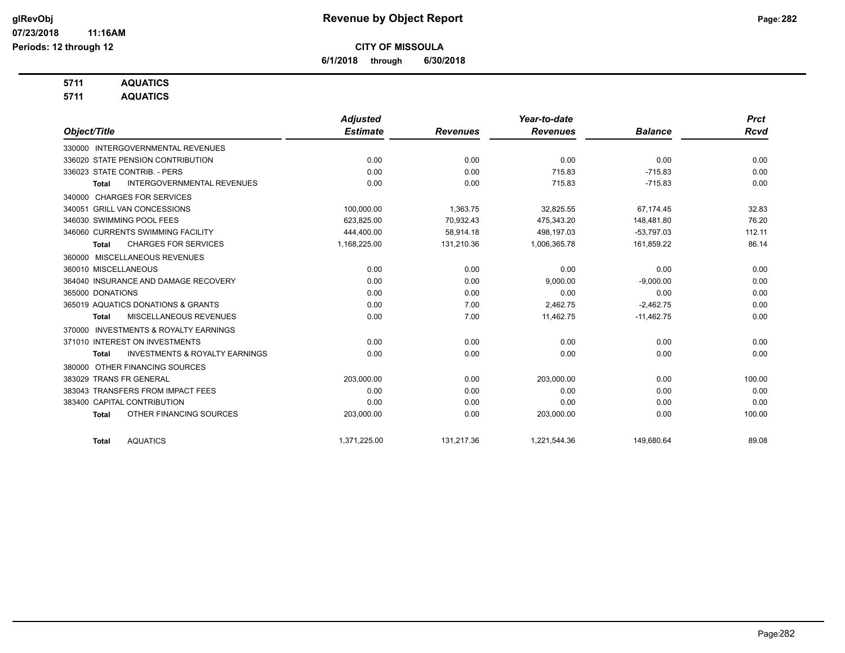**6/1/2018 through 6/30/2018**

# **5711 AQUATICS**

**5711 AQUATICS**

|                                                           | <b>Adjusted</b> |                 | Year-to-date    |                | <b>Prct</b> |
|-----------------------------------------------------------|-----------------|-----------------|-----------------|----------------|-------------|
| Object/Title                                              | <b>Estimate</b> | <b>Revenues</b> | <b>Revenues</b> | <b>Balance</b> | <b>Rcvd</b> |
| 330000 INTERGOVERNMENTAL REVENUES                         |                 |                 |                 |                |             |
| 336020 STATE PENSION CONTRIBUTION                         | 0.00            | 0.00            | 0.00            | 0.00           | 0.00        |
| 336023 STATE CONTRIB. - PERS                              | 0.00            | 0.00            | 715.83          | $-715.83$      | 0.00        |
| <b>INTERGOVERNMENTAL REVENUES</b><br><b>Total</b>         | 0.00            | 0.00            | 715.83          | $-715.83$      | 0.00        |
| <b>CHARGES FOR SERVICES</b><br>340000                     |                 |                 |                 |                |             |
| 340051 GRILL VAN CONCESSIONS                              | 100.000.00      | 1.363.75        | 32.825.55       | 67.174.45      | 32.83       |
| 346030 SWIMMING POOL FEES                                 | 623,825.00      | 70,932.43       | 475,343.20      | 148,481.80     | 76.20       |
| 346060 CURRENTS SWIMMING FACILITY                         | 444,400.00      | 58.914.18       | 498.197.03      | $-53,797.03$   | 112.11      |
| <b>CHARGES FOR SERVICES</b><br><b>Total</b>               | 1,168,225.00    | 131,210.36      | 1,006,365.78    | 161,859.22     | 86.14       |
| MISCELLANEOUS REVENUES<br>360000                          |                 |                 |                 |                |             |
| 360010 MISCELLANEOUS                                      | 0.00            | 0.00            | 0.00            | 0.00           | 0.00        |
| 364040 INSURANCE AND DAMAGE RECOVERY                      | 0.00            | 0.00            | 9,000.00        | $-9.000.00$    | 0.00        |
| 365000 DONATIONS                                          | 0.00            | 0.00            | 0.00            | 0.00           | 0.00        |
| 365019 AQUATICS DONATIONS & GRANTS                        | 0.00            | 7.00            | 2,462.75        | $-2,462.75$    | 0.00        |
| MISCELLANEOUS REVENUES<br><b>Total</b>                    | 0.00            | 7.00            | 11,462.75       | $-11,462.75$   | 0.00        |
| 370000 INVESTMENTS & ROYALTY EARNINGS                     |                 |                 |                 |                |             |
| 371010 INTEREST ON INVESTMENTS                            | 0.00            | 0.00            | 0.00            | 0.00           | 0.00        |
| <b>INVESTMENTS &amp; ROYALTY EARNINGS</b><br><b>Total</b> | 0.00            | 0.00            | 0.00            | 0.00           | 0.00        |
| OTHER FINANCING SOURCES<br>380000                         |                 |                 |                 |                |             |
| 383029 TRANS FR GENERAL                                   | 203.000.00      | 0.00            | 203.000.00      | 0.00           | 100.00      |
| 383043 TRANSFERS FROM IMPACT FEES                         | 0.00            | 0.00            | 0.00            | 0.00           | 0.00        |
| 383400 CAPITAL CONTRIBUTION                               | 0.00            | 0.00            | 0.00            | 0.00           | 0.00        |
| OTHER FINANCING SOURCES<br><b>Total</b>                   | 203,000.00      | 0.00            | 203,000.00      | 0.00           | 100.00      |
| <b>AQUATICS</b><br><b>Total</b>                           | 1,371,225.00    | 131,217.36      | 1,221,544.36    | 149,680.64     | 89.08       |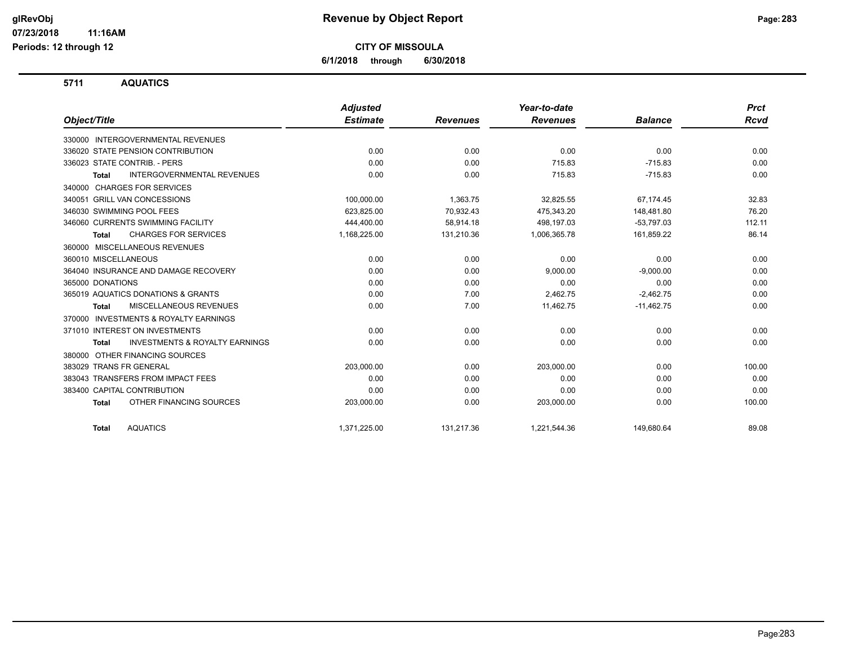**6/1/2018 through 6/30/2018**

**5711 AQUATICS**

|                                                           | <b>Adjusted</b> |                 | Year-to-date    |                | <b>Prct</b> |
|-----------------------------------------------------------|-----------------|-----------------|-----------------|----------------|-------------|
| Object/Title                                              | <b>Estimate</b> | <b>Revenues</b> | <b>Revenues</b> | <b>Balance</b> | <b>Rcvd</b> |
| 330000 INTERGOVERNMENTAL REVENUES                         |                 |                 |                 |                |             |
| 336020 STATE PENSION CONTRIBUTION                         | 0.00            | 0.00            | 0.00            | 0.00           | 0.00        |
| 336023 STATE CONTRIB. - PERS                              | 0.00            | 0.00            | 715.83          | $-715.83$      | 0.00        |
| <b>INTERGOVERNMENTAL REVENUES</b><br><b>Total</b>         | 0.00            | 0.00            | 715.83          | $-715.83$      | 0.00        |
| 340000 CHARGES FOR SERVICES                               |                 |                 |                 |                |             |
| <b>GRILL VAN CONCESSIONS</b><br>340051                    | 100,000.00      | 1,363.75        | 32,825.55       | 67,174.45      | 32.83       |
| 346030 SWIMMING POOL FEES                                 | 623,825.00      | 70,932.43       | 475,343.20      | 148,481.80     | 76.20       |
| 346060 CURRENTS SWIMMING FACILITY                         | 444,400.00      | 58,914.18       | 498,197.03      | $-53,797.03$   | 112.11      |
| <b>CHARGES FOR SERVICES</b><br><b>Total</b>               | 1,168,225.00    | 131,210.36      | 1,006,365.78    | 161,859.22     | 86.14       |
| 360000 MISCELLANEOUS REVENUES                             |                 |                 |                 |                |             |
| 360010 MISCELLANEOUS                                      | 0.00            | 0.00            | 0.00            | 0.00           | 0.00        |
| 364040 INSURANCE AND DAMAGE RECOVERY                      | 0.00            | 0.00            | 9,000.00        | $-9,000.00$    | 0.00        |
| 365000 DONATIONS                                          | 0.00            | 0.00            | 0.00            | 0.00           | 0.00        |
| 365019 AQUATICS DONATIONS & GRANTS                        | 0.00            | 7.00            | 2.462.75        | $-2.462.75$    | 0.00        |
| <b>MISCELLANEOUS REVENUES</b><br><b>Total</b>             | 0.00            | 7.00            | 11,462.75       | $-11,462.75$   | 0.00        |
| 370000 INVESTMENTS & ROYALTY EARNINGS                     |                 |                 |                 |                |             |
| 371010 INTEREST ON INVESTMENTS                            | 0.00            | 0.00            | 0.00            | 0.00           | 0.00        |
| <b>INVESTMENTS &amp; ROYALTY EARNINGS</b><br><b>Total</b> | 0.00            | 0.00            | 0.00            | 0.00           | 0.00        |
| OTHER FINANCING SOURCES<br>380000                         |                 |                 |                 |                |             |
| 383029 TRANS FR GENERAL                                   | 203,000.00      | 0.00            | 203,000.00      | 0.00           | 100.00      |
| 383043 TRANSFERS FROM IMPACT FEES                         | 0.00            | 0.00            | 0.00            | 0.00           | 0.00        |
| 383400 CAPITAL CONTRIBUTION                               | 0.00            | 0.00            | 0.00            | 0.00           | 0.00        |
| OTHER FINANCING SOURCES<br><b>Total</b>                   | 203,000.00      | 0.00            | 203,000.00      | 0.00           | 100.00      |
| <b>AQUATICS</b><br><b>Total</b>                           | 1,371,225.00    | 131,217.36      | 1,221,544.36    | 149,680.64     | 89.08       |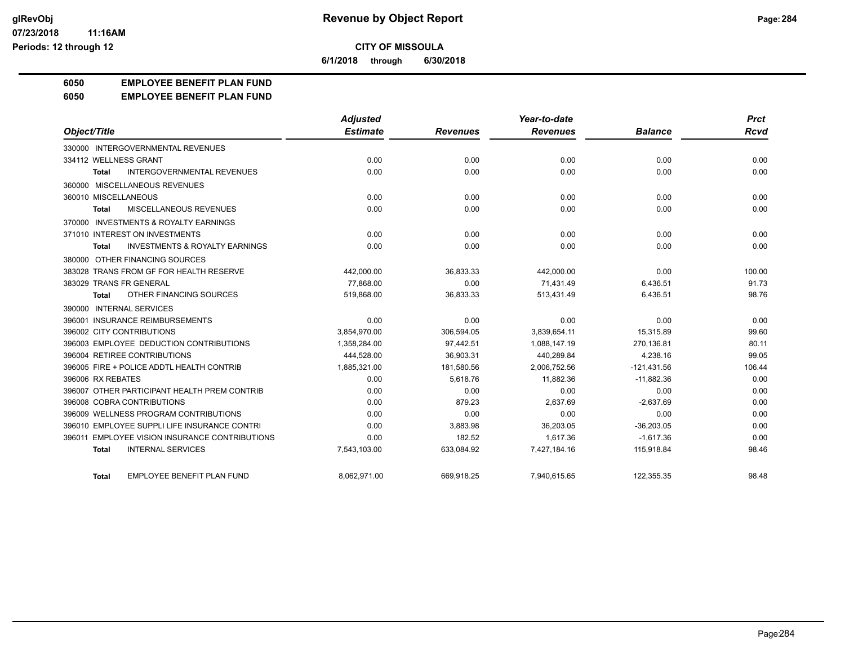**6/1/2018 through 6/30/2018**

#### **6050 EMPLOYEE BENEFIT PLAN FUND**

#### **6050 EMPLOYEE BENEFIT PLAN FUND**

|                                                          | <b>Adjusted</b> |                 | Year-to-date    |                | <b>Prct</b> |
|----------------------------------------------------------|-----------------|-----------------|-----------------|----------------|-------------|
| Object/Title                                             | <b>Estimate</b> | <b>Revenues</b> | <b>Revenues</b> | <b>Balance</b> | <b>Rcvd</b> |
| 330000 INTERGOVERNMENTAL REVENUES                        |                 |                 |                 |                |             |
| 334112 WELLNESS GRANT                                    | 0.00            | 0.00            | 0.00            | 0.00           | 0.00        |
| <b>INTERGOVERNMENTAL REVENUES</b><br><b>Total</b>        | 0.00            | 0.00            | 0.00            | 0.00           | 0.00        |
| 360000 MISCELLANEOUS REVENUES                            |                 |                 |                 |                |             |
| 360010 MISCELLANEOUS                                     | 0.00            | 0.00            | 0.00            | 0.00           | 0.00        |
| MISCELLANEOUS REVENUES<br><b>Total</b>                   | 0.00            | 0.00            | 0.00            | 0.00           | 0.00        |
| 370000 INVESTMENTS & ROYALTY EARNINGS                    |                 |                 |                 |                |             |
| 371010 INTEREST ON INVESTMENTS                           | 0.00            | 0.00            | 0.00            | 0.00           | 0.00        |
| <b>INVESTMENTS &amp; ROYALTY EARNINGS</b><br>Total       | 0.00            | 0.00            | 0.00            | 0.00           | 0.00        |
| 380000 OTHER FINANCING SOURCES                           |                 |                 |                 |                |             |
| 383028 TRANS FROM GF FOR HEALTH RESERVE                  | 442,000.00      | 36,833.33       | 442,000.00      | 0.00           | 100.00      |
| 383029 TRANS FR GENERAL                                  | 77,868.00       | 0.00            | 71,431.49       | 6,436.51       | 91.73       |
| OTHER FINANCING SOURCES<br>Total                         | 519,868.00      | 36,833.33       | 513,431.49      | 6,436.51       | 98.76       |
| 390000 INTERNAL SERVICES                                 |                 |                 |                 |                |             |
| 396001 INSURANCE REIMBURSEMENTS                          | 0.00            | 0.00            | 0.00            | 0.00           | 0.00        |
| 396002 CITY CONTRIBUTIONS                                | 3,854,970.00    | 306,594.05      | 3,839,654.11    | 15,315.89      | 99.60       |
| 396003 EMPLOYEE DEDUCTION CONTRIBUTIONS                  | 1,358,284.00    | 97,442.51       | 1,088,147.19    | 270,136.81     | 80.11       |
| 396004 RETIREE CONTRIBUTIONS                             | 444,528.00      | 36,903.31       | 440,289.84      | 4,238.16       | 99.05       |
| 396005 FIRE + POLICE ADDTL HEALTH CONTRIB                | 1,885,321.00    | 181,580.56      | 2,006,752.56    | $-121,431.56$  | 106.44      |
| 396006 RX REBATES                                        | 0.00            | 5.618.76        | 11.882.36       | $-11,882.36$   | 0.00        |
| 396007 OTHER PARTICIPANT HEALTH PREM CONTRIB             | 0.00            | 0.00            | 0.00            | 0.00           | 0.00        |
| 396008 COBRA CONTRIBUTIONS                               | 0.00            | 879.23          | 2,637.69        | $-2,637.69$    | 0.00        |
| 396009 WELLNESS PROGRAM CONTRIBUTIONS                    | 0.00            | 0.00            | 0.00            | 0.00           | 0.00        |
| 396010 EMPLOYEE SUPPLI LIFE INSURANCE CONTRI             | 0.00            | 3,883.98        | 36,203.05       | $-36,203.05$   | 0.00        |
| <b>EMPLOYEE VISION INSURANCE CONTRIBUTIONS</b><br>396011 | 0.00            | 182.52          | 1,617.36        | $-1,617.36$    | 0.00        |
| <b>INTERNAL SERVICES</b><br><b>Total</b>                 | 7,543,103.00    | 633,084.92      | 7,427,184.16    | 115,918.84     | 98.46       |
| <b>EMPLOYEE BENEFIT PLAN FUND</b><br><b>Total</b>        | 8,062,971.00    | 669.918.25      | 7,940,615.65    | 122,355.35     | 98.48       |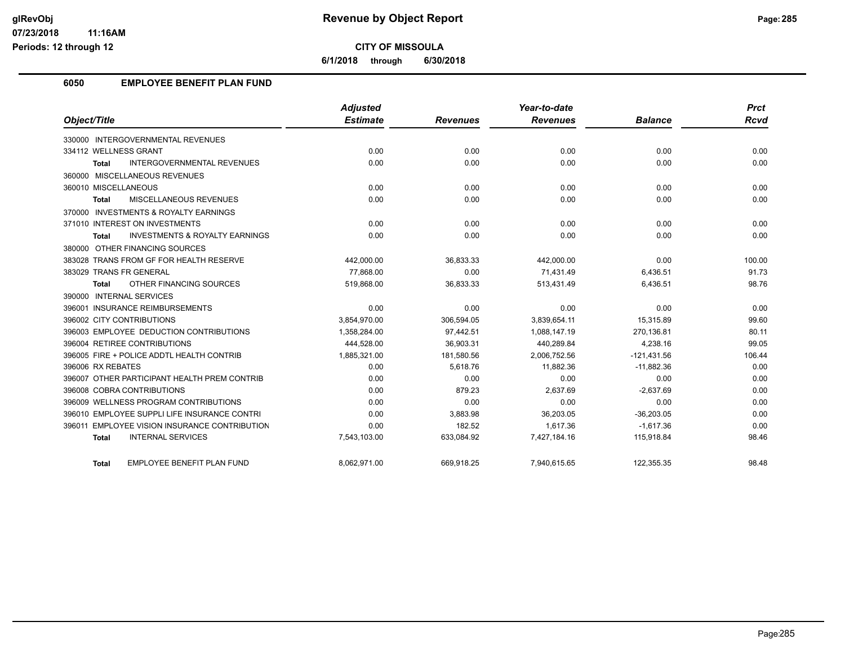**6/1/2018 through 6/30/2018**

#### **6050 EMPLOYEE BENEFIT PLAN FUND**

|                                                           | <b>Adjusted</b> |                 | Year-to-date    |                | <b>Prct</b> |
|-----------------------------------------------------------|-----------------|-----------------|-----------------|----------------|-------------|
| Object/Title                                              | <b>Estimate</b> | <b>Revenues</b> | <b>Revenues</b> | <b>Balance</b> | Rcvd        |
| 330000 INTERGOVERNMENTAL REVENUES                         |                 |                 |                 |                |             |
| 334112 WELLNESS GRANT                                     | 0.00            | 0.00            | 0.00            | 0.00           | 0.00        |
| <b>INTERGOVERNMENTAL REVENUES</b><br><b>Total</b>         | 0.00            | 0.00            | 0.00            | 0.00           | 0.00        |
| 360000 MISCELLANEOUS REVENUES                             |                 |                 |                 |                |             |
| 360010 MISCELLANEOUS                                      | 0.00            | 0.00            | 0.00            | 0.00           | 0.00        |
| MISCELLANEOUS REVENUES<br><b>Total</b>                    | 0.00            | 0.00            | 0.00            | 0.00           | 0.00        |
| 370000 INVESTMENTS & ROYALTY EARNINGS                     |                 |                 |                 |                |             |
| 371010 INTEREST ON INVESTMENTS                            | 0.00            | 0.00            | 0.00            | 0.00           | 0.00        |
| <b>INVESTMENTS &amp; ROYALTY EARNINGS</b><br><b>Total</b> | 0.00            | 0.00            | 0.00            | 0.00           | 0.00        |
| 380000 OTHER FINANCING SOURCES                            |                 |                 |                 |                |             |
| 383028 TRANS FROM GF FOR HEALTH RESERVE                   | 442,000.00      | 36,833.33       | 442,000.00      | 0.00           | 100.00      |
| 383029 TRANS FR GENERAL                                   | 77.868.00       | 0.00            | 71.431.49       | 6,436.51       | 91.73       |
| OTHER FINANCING SOURCES<br><b>Total</b>                   | 519,868.00      | 36,833.33       | 513,431.49      | 6,436.51       | 98.76       |
| 390000 INTERNAL SERVICES                                  |                 |                 |                 |                |             |
| 396001 INSURANCE REIMBURSEMENTS                           | 0.00            | 0.00            | 0.00            | 0.00           | 0.00        |
| 396002 CITY CONTRIBUTIONS                                 | 3,854,970.00    | 306,594.05      | 3,839,654.11    | 15,315.89      | 99.60       |
| 396003 EMPLOYEE DEDUCTION CONTRIBUTIONS                   | 1,358,284.00    | 97,442.51       | 1,088,147.19    | 270.136.81     | 80.11       |
| 396004 RETIREE CONTRIBUTIONS                              | 444,528.00      | 36,903.31       | 440,289.84      | 4,238.16       | 99.05       |
| 396005 FIRE + POLICE ADDTL HEALTH CONTRIB                 | 1,885,321.00    | 181,580.56      | 2,006,752.56    | $-121,431.56$  | 106.44      |
| 396006 RX REBATES                                         | 0.00            | 5,618.76        | 11,882.36       | $-11,882.36$   | 0.00        |
| 396007 OTHER PARTICIPANT HEALTH PREM CONTRIB              | 0.00            | 0.00            | 0.00            | 0.00           | 0.00        |
| 396008 COBRA CONTRIBUTIONS                                | 0.00            | 879.23          | 2.637.69        | $-2.637.69$    | 0.00        |
| 396009 WELLNESS PROGRAM CONTRIBUTIONS                     | 0.00            | 0.00            | 0.00            | 0.00           | 0.00        |
| 396010 EMPLOYEE SUPPLI LIFE INSURANCE CONTRI              | 0.00            | 3,883.98        | 36,203.05       | $-36,203.05$   | 0.00        |
| 396011 EMPLOYEE VISION INSURANCE CONTRIBUTION             | 0.00            | 182.52          | 1,617.36        | $-1,617.36$    | 0.00        |
| <b>INTERNAL SERVICES</b><br><b>Total</b>                  | 7,543,103.00    | 633,084.92      | 7,427,184.16    | 115,918.84     | 98.46       |
| EMPLOYEE BENEFIT PLAN FUND<br><b>Total</b>                | 8,062,971.00    | 669.918.25      | 7,940,615.65    | 122,355.35     | 98.48       |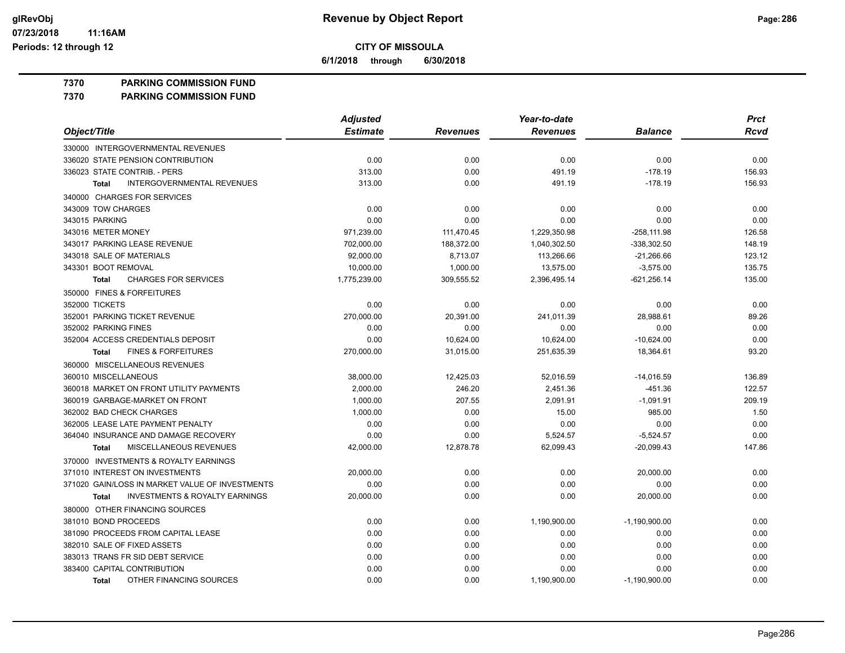**6/1/2018 through 6/30/2018**

**7370 PARKING COMMISSION FUND**

**7370 PARKING COMMISSION FUND**

|                                                           | <b>Adjusted</b> |                 | Year-to-date    |                 | <b>Prct</b> |
|-----------------------------------------------------------|-----------------|-----------------|-----------------|-----------------|-------------|
| Object/Title                                              | <b>Estimate</b> | <b>Revenues</b> | <b>Revenues</b> | <b>Balance</b>  | <b>Rcvd</b> |
| 330000 INTERGOVERNMENTAL REVENUES                         |                 |                 |                 |                 |             |
| 336020 STATE PENSION CONTRIBUTION                         | 0.00            | 0.00            | 0.00            | 0.00            | 0.00        |
| 336023 STATE CONTRIB. - PERS                              | 313.00          | 0.00            | 491.19          | $-178.19$       | 156.93      |
| <b>INTERGOVERNMENTAL REVENUES</b><br><b>Total</b>         | 313.00          | 0.00            | 491.19          | $-178.19$       | 156.93      |
| 340000 CHARGES FOR SERVICES                               |                 |                 |                 |                 |             |
| 343009 TOW CHARGES                                        | 0.00            | 0.00            | 0.00            | 0.00            | 0.00        |
| 343015 PARKING                                            | 0.00            | 0.00            | 0.00            | 0.00            | 0.00        |
| 343016 METER MONEY                                        | 971,239.00      | 111,470.45      | 1,229,350.98    | $-258, 111.98$  | 126.58      |
| 343017 PARKING LEASE REVENUE                              | 702,000.00      | 188,372.00      | 1,040,302.50    | $-338,302.50$   | 148.19      |
| 343018 SALE OF MATERIALS                                  | 92,000.00       | 8,713.07        | 113,266.66      | $-21,266.66$    | 123.12      |
| 343301 BOOT REMOVAL                                       | 10,000.00       | 1,000.00        | 13,575.00       | $-3,575.00$     | 135.75      |
| <b>CHARGES FOR SERVICES</b><br><b>Total</b>               | 1,775,239.00    | 309,555.52      | 2,396,495.14    | $-621,256.14$   | 135.00      |
| 350000 FINES & FORFEITURES                                |                 |                 |                 |                 |             |
| 352000 TICKETS                                            | 0.00            | 0.00            | 0.00            | 0.00            | 0.00        |
| 352001 PARKING TICKET REVENUE                             | 270,000.00      | 20,391.00       | 241,011.39      | 28,988.61       | 89.26       |
| 352002 PARKING FINES                                      | 0.00            | 0.00            | 0.00            | 0.00            | 0.00        |
| 352004 ACCESS CREDENTIALS DEPOSIT                         | 0.00            | 10,624.00       | 10,624.00       | $-10,624.00$    | 0.00        |
| <b>Total</b><br><b>FINES &amp; FORFEITURES</b>            | 270,000.00      | 31,015.00       | 251,635.39      | 18,364.61       | 93.20       |
| 360000 MISCELLANEOUS REVENUES                             |                 |                 |                 |                 |             |
| 360010 MISCELLANEOUS                                      | 38,000.00       | 12,425.03       | 52,016.59       | $-14,016.59$    | 136.89      |
| 360018 MARKET ON FRONT UTILITY PAYMENTS                   | 2,000.00        | 246.20          | 2,451.36        | $-451.36$       | 122.57      |
| 360019 GARBAGE-MARKET ON FRONT                            | 1,000.00        | 207.55          | 2,091.91        | $-1,091.91$     | 209.19      |
| 362002 BAD CHECK CHARGES                                  | 1,000.00        | 0.00            | 15.00           | 985.00          | 1.50        |
| 362005 LEASE LATE PAYMENT PENALTY                         | 0.00            | 0.00            | 0.00            | 0.00            | 0.00        |
| 364040 INSURANCE AND DAMAGE RECOVERY                      | 0.00            | 0.00            | 5,524.57        | $-5,524.57$     | 0.00        |
| MISCELLANEOUS REVENUES<br><b>Total</b>                    | 42,000.00       | 12,878.78       | 62,099.43       | $-20,099.43$    | 147.86      |
| 370000 INVESTMENTS & ROYALTY EARNINGS                     |                 |                 |                 |                 |             |
| 371010 INTEREST ON INVESTMENTS                            | 20,000.00       | 0.00            | 0.00            | 20,000.00       | 0.00        |
| 371020 GAIN/LOSS IN MARKET VALUE OF INVESTMENTS           | 0.00            | 0.00            | 0.00            | 0.00            | 0.00        |
| <b>INVESTMENTS &amp; ROYALTY EARNINGS</b><br><b>Total</b> | 20,000.00       | 0.00            | 0.00            | 20,000.00       | 0.00        |
| 380000 OTHER FINANCING SOURCES                            |                 |                 |                 |                 |             |
| 381010 BOND PROCEEDS                                      | 0.00            | 0.00            | 1,190,900.00    | $-1,190,900.00$ | 0.00        |
| 381090 PROCEEDS FROM CAPITAL LEASE                        | 0.00            | 0.00            | 0.00            | 0.00            | 0.00        |
| 382010 SALE OF FIXED ASSETS                               | 0.00            | 0.00            | 0.00            | 0.00            | 0.00        |
| 383013 TRANS FR SID DEBT SERVICE                          | 0.00            | 0.00            | 0.00            | 0.00            | 0.00        |
| 383400 CAPITAL CONTRIBUTION                               | 0.00            | 0.00            | 0.00            | 0.00            | 0.00        |
| OTHER FINANCING SOURCES<br><b>Total</b>                   | 0.00            | 0.00            | 1,190,900.00    | $-1,190,900.00$ | 0.00        |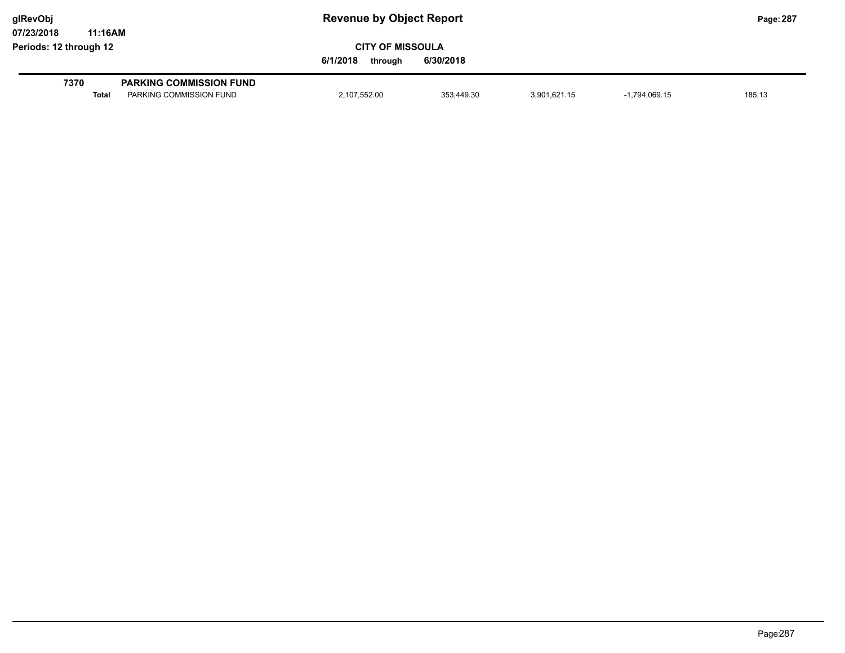| glRevObj<br>07/23/2018<br>11:16AM |       |                                                           | <b>Revenue by Object Report</b>                | Page: 287  |              |                 |        |
|-----------------------------------|-------|-----------------------------------------------------------|------------------------------------------------|------------|--------------|-----------------|--------|
| Periods: 12 through 12            |       |                                                           | <b>CITY OF MISSOULA</b><br>6/1/2018<br>throuah | 6/30/2018  |              |                 |        |
| 7370                              | Total | <b>PARKING COMMISSION FUND</b><br>PARKING COMMISSION FUND | 2,107,552.00                                   | 353,449.30 | 3,901,621.15 | $-1,794,069.15$ | 185.13 |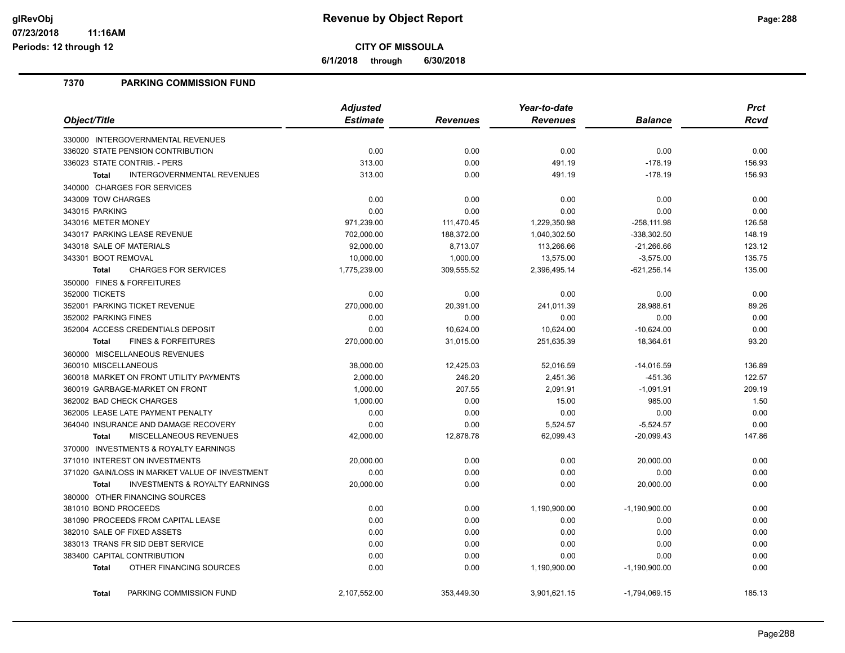**6/1/2018 through 6/30/2018**

#### **7370 PARKING COMMISSION FUND**

|                                                           | <b>Adjusted</b> |                 | Year-to-date    |                 | <b>Prct</b> |
|-----------------------------------------------------------|-----------------|-----------------|-----------------|-----------------|-------------|
| Object/Title                                              | <b>Estimate</b> | <b>Revenues</b> | <b>Revenues</b> | <b>Balance</b>  | Rcvd        |
| 330000 INTERGOVERNMENTAL REVENUES                         |                 |                 |                 |                 |             |
| 336020 STATE PENSION CONTRIBUTION                         | 0.00            | 0.00            | 0.00            | 0.00            | 0.00        |
| 336023 STATE CONTRIB. - PERS                              | 313.00          | 0.00            | 491.19          | $-178.19$       | 156.93      |
| <b>INTERGOVERNMENTAL REVENUES</b><br><b>Total</b>         | 313.00          | 0.00            | 491.19          | $-178.19$       | 156.93      |
| 340000 CHARGES FOR SERVICES                               |                 |                 |                 |                 |             |
| 343009 TOW CHARGES                                        | 0.00            | 0.00            | 0.00            | 0.00            | 0.00        |
| 343015 PARKING                                            | 0.00            | 0.00            | 0.00            | 0.00            | 0.00        |
| 343016 METER MONEY                                        | 971,239.00      | 111,470.45      | 1,229,350.98    | $-258,111.98$   | 126.58      |
| 343017 PARKING LEASE REVENUE                              | 702,000.00      | 188,372.00      | 1,040,302.50    | $-338,302.50$   | 148.19      |
| 343018 SALE OF MATERIALS                                  | 92,000.00       | 8,713.07        | 113,266.66      | $-21,266.66$    | 123.12      |
| 343301 BOOT REMOVAL                                       | 10,000.00       | 1,000.00        | 13,575.00       | $-3,575.00$     | 135.75      |
| <b>CHARGES FOR SERVICES</b><br><b>Total</b>               | 1,775,239.00    | 309,555.52      | 2,396,495.14    | $-621,256.14$   | 135.00      |
| 350000 FINES & FORFEITURES                                |                 |                 |                 |                 |             |
| 352000 TICKETS                                            | 0.00            | 0.00            | 0.00            | 0.00            | 0.00        |
| 352001 PARKING TICKET REVENUE                             | 270,000.00      | 20,391.00       | 241,011.39      | 28,988.61       | 89.26       |
| 352002 PARKING FINES                                      | 0.00            | 0.00            | 0.00            | 0.00            | 0.00        |
| 352004 ACCESS CREDENTIALS DEPOSIT                         | 0.00            | 10,624.00       | 10,624.00       | $-10,624.00$    | 0.00        |
| <b>FINES &amp; FORFEITURES</b><br><b>Total</b>            | 270,000.00      | 31,015.00       | 251,635.39      | 18,364.61       | 93.20       |
| 360000 MISCELLANEOUS REVENUES                             |                 |                 |                 |                 |             |
| 360010 MISCELLANEOUS                                      | 38,000.00       | 12,425.03       | 52,016.59       | $-14,016.59$    | 136.89      |
| 360018 MARKET ON FRONT UTILITY PAYMENTS                   | 2,000.00        | 246.20          | 2,451.36        | $-451.36$       | 122.57      |
| 360019 GARBAGE-MARKET ON FRONT                            | 1,000.00        | 207.55          | 2,091.91        | $-1,091.91$     | 209.19      |
| 362002 BAD CHECK CHARGES                                  | 1,000.00        | 0.00            | 15.00           | 985.00          | 1.50        |
| 362005 LEASE LATE PAYMENT PENALTY                         | 0.00            | 0.00            | 0.00            | 0.00            | 0.00        |
| 364040 INSURANCE AND DAMAGE RECOVERY                      | 0.00            | 0.00            | 5,524.57        | $-5,524.57$     | 0.00        |
| MISCELLANEOUS REVENUES<br><b>Total</b>                    | 42,000.00       | 12,878.78       | 62,099.43       | $-20,099.43$    | 147.86      |
| 370000 INVESTMENTS & ROYALTY EARNINGS                     |                 |                 |                 |                 |             |
| 371010 INTEREST ON INVESTMENTS                            | 20,000.00       | 0.00            | 0.00            | 20,000.00       | 0.00        |
| 371020 GAIN/LOSS IN MARKET VALUE OF INVESTMENT            | 0.00            | 0.00            | 0.00            | 0.00            | 0.00        |
| <b>INVESTMENTS &amp; ROYALTY EARNINGS</b><br><b>Total</b> | 20,000.00       | 0.00            | 0.00            | 20,000.00       | 0.00        |
| 380000 OTHER FINANCING SOURCES                            |                 |                 |                 |                 |             |
| 381010 BOND PROCEEDS                                      | 0.00            | 0.00            | 1,190,900.00    | $-1,190,900.00$ | 0.00        |
| 381090 PROCEEDS FROM CAPITAL LEASE                        | 0.00            | 0.00            | 0.00            | 0.00            | 0.00        |
| 382010 SALE OF FIXED ASSETS                               | 0.00            | 0.00            | 0.00            | 0.00            | 0.00        |
| 383013 TRANS FR SID DEBT SERVICE                          | 0.00            | 0.00            | 0.00            | 0.00            | 0.00        |
| 383400 CAPITAL CONTRIBUTION                               | 0.00            | 0.00            | 0.00            | 0.00            | 0.00        |
| OTHER FINANCING SOURCES<br><b>Total</b>                   | 0.00            | 0.00            | 1,190,900.00    | $-1,190,900.00$ | 0.00        |
| PARKING COMMISSION FUND<br><b>Total</b>                   | 2,107,552.00    | 353,449.30      | 3,901,621.15    | $-1,794,069.15$ | 185.13      |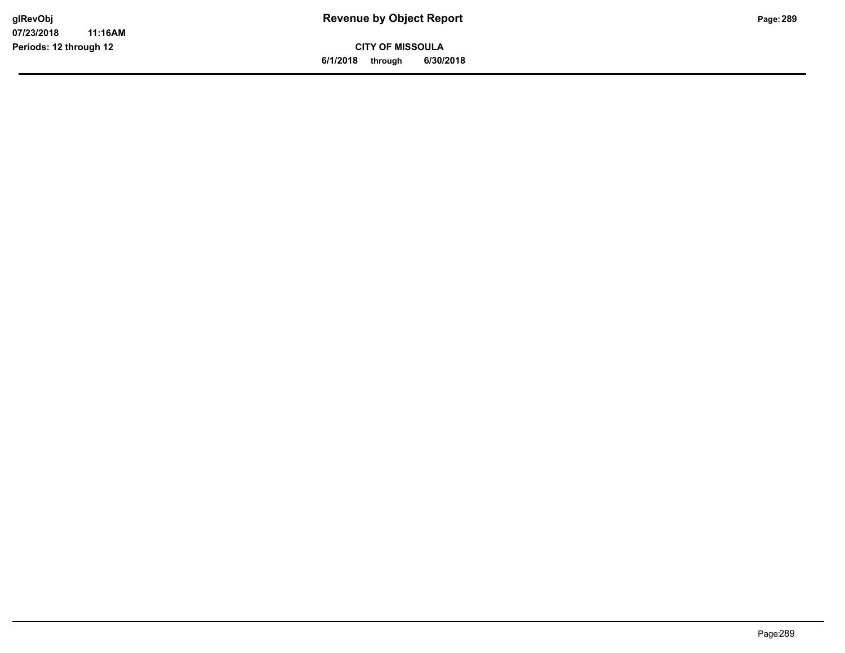**CITY OF MISSOULA 6/1/2018 through 6/30/2018**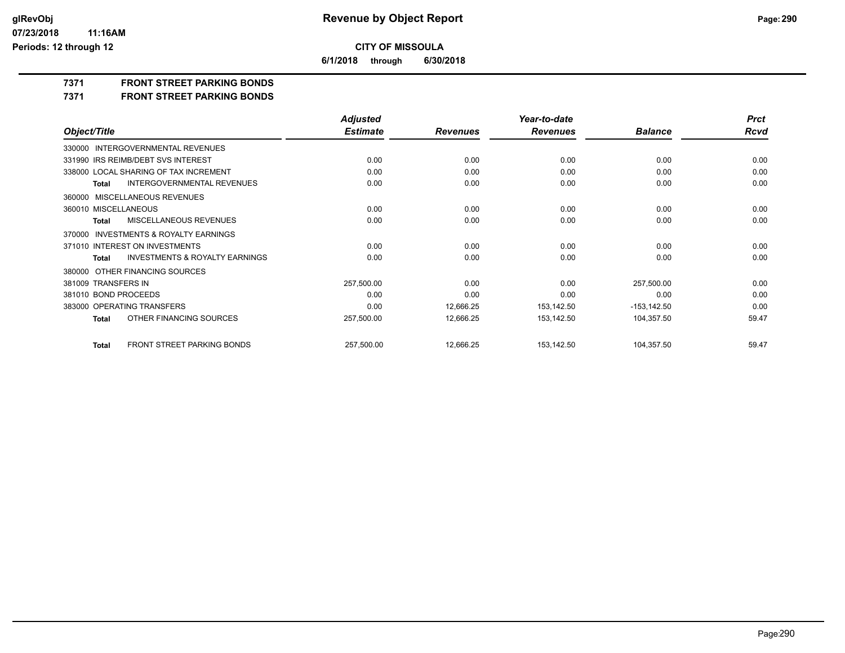**6/1/2018 through 6/30/2018**

**7371 FRONT STREET PARKING BONDS**

**7371 FRONT STREET PARKING BONDS**

|                                                     | <b>Adjusted</b> |                 | Year-to-date    |                | <b>Prct</b> |
|-----------------------------------------------------|-----------------|-----------------|-----------------|----------------|-------------|
| Object/Title                                        | <b>Estimate</b> | <b>Revenues</b> | <b>Revenues</b> | <b>Balance</b> | <b>Rcvd</b> |
| 330000 INTERGOVERNMENTAL REVENUES                   |                 |                 |                 |                |             |
| 331990 IRS REIMB/DEBT SVS INTEREST                  | 0.00            | 0.00            | 0.00            | 0.00           | 0.00        |
| 338000 LOCAL SHARING OF TAX INCREMENT               | 0.00            | 0.00            | 0.00            | 0.00           | 0.00        |
| <b>INTERGOVERNMENTAL REVENUES</b><br>Total          | 0.00            | 0.00            | 0.00            | 0.00           | 0.00        |
| 360000 MISCELLANEOUS REVENUES                       |                 |                 |                 |                |             |
| 360010 MISCELLANEOUS                                | 0.00            | 0.00            | 0.00            | 0.00           | 0.00        |
| MISCELLANEOUS REVENUES<br>Total                     | 0.00            | 0.00            | 0.00            | 0.00           | 0.00        |
| <b>INVESTMENTS &amp; ROYALTY EARNINGS</b><br>370000 |                 |                 |                 |                |             |
| 371010 INTEREST ON INVESTMENTS                      | 0.00            | 0.00            | 0.00            | 0.00           | 0.00        |
| <b>INVESTMENTS &amp; ROYALTY EARNINGS</b><br>Total  | 0.00            | 0.00            | 0.00            | 0.00           | 0.00        |
| 380000 OTHER FINANCING SOURCES                      |                 |                 |                 |                |             |
| 381009 TRANSFERS IN                                 | 257,500.00      | 0.00            | 0.00            | 257,500.00     | 0.00        |
| 381010 BOND PROCEEDS                                | 0.00            | 0.00            | 0.00            | 0.00           | 0.00        |
| 383000 OPERATING TRANSFERS                          | 0.00            | 12,666.25       | 153,142.50      | $-153, 142.50$ | 0.00        |
| OTHER FINANCING SOURCES<br>Total                    | 257,500.00      | 12,666.25       | 153,142.50      | 104,357.50     | 59.47       |
| FRONT STREET PARKING BONDS<br>Total                 | 257,500.00      | 12,666.25       | 153,142.50      | 104,357.50     | 59.47       |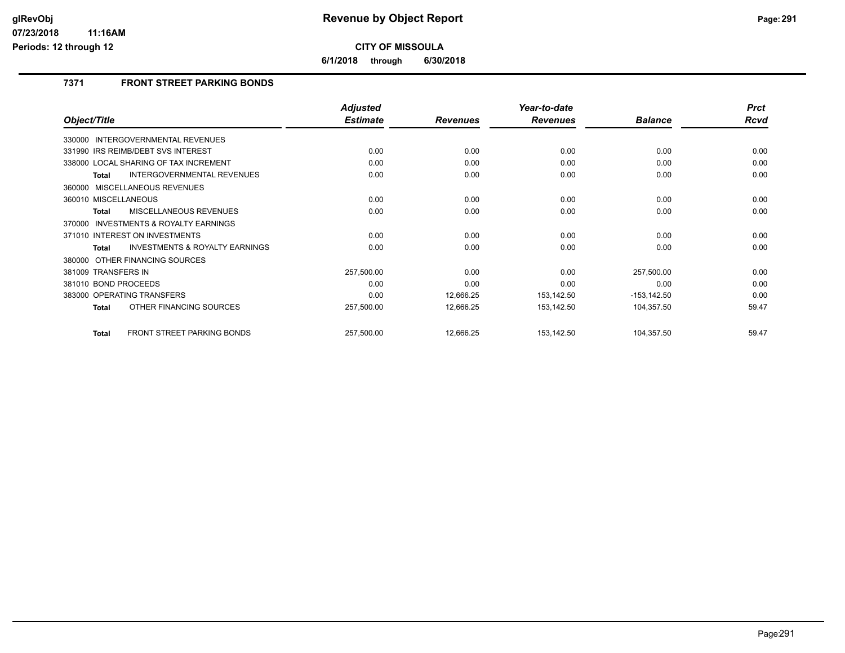**6/1/2018 through 6/30/2018**

### **7371 FRONT STREET PARKING BONDS**

|                                                     | <b>Adjusted</b> |                 | Year-to-date    |                | <b>Prct</b> |
|-----------------------------------------------------|-----------------|-----------------|-----------------|----------------|-------------|
| Object/Title                                        | <b>Estimate</b> | <b>Revenues</b> | <b>Revenues</b> | <b>Balance</b> | <b>Rcvd</b> |
| 330000 INTERGOVERNMENTAL REVENUES                   |                 |                 |                 |                |             |
| 331990 IRS REIMB/DEBT SVS INTEREST                  | 0.00            | 0.00            | 0.00            | 0.00           | 0.00        |
| 338000 LOCAL SHARING OF TAX INCREMENT               | 0.00            | 0.00            | 0.00            | 0.00           | 0.00        |
| <b>INTERGOVERNMENTAL REVENUES</b><br>Total          | 0.00            | 0.00            | 0.00            | 0.00           | 0.00        |
| 360000 MISCELLANEOUS REVENUES                       |                 |                 |                 |                |             |
| 360010 MISCELLANEOUS                                | 0.00            | 0.00            | 0.00            | 0.00           | 0.00        |
| MISCELLANEOUS REVENUES<br><b>Total</b>              | 0.00            | 0.00            | 0.00            | 0.00           | 0.00        |
| <b>INVESTMENTS &amp; ROYALTY EARNINGS</b><br>370000 |                 |                 |                 |                |             |
| 371010 INTEREST ON INVESTMENTS                      | 0.00            | 0.00            | 0.00            | 0.00           | 0.00        |
| <b>INVESTMENTS &amp; ROYALTY EARNINGS</b><br>Total  | 0.00            | 0.00            | 0.00            | 0.00           | 0.00        |
| 380000 OTHER FINANCING SOURCES                      |                 |                 |                 |                |             |
| 381009 TRANSFERS IN                                 | 257,500.00      | 0.00            | 0.00            | 257,500.00     | 0.00        |
| 381010 BOND PROCEEDS                                | 0.00            | 0.00            | 0.00            | 0.00           | 0.00        |
| 383000 OPERATING TRANSFERS                          | 0.00            | 12,666.25       | 153,142.50      | $-153, 142.50$ | 0.00        |
| OTHER FINANCING SOURCES<br><b>Total</b>             | 257,500.00      | 12,666.25       | 153,142.50      | 104,357.50     | 59.47       |
| <b>FRONT STREET PARKING BONDS</b><br><b>Total</b>   | 257,500.00      | 12,666.25       | 153,142.50      | 104,357.50     | 59.47       |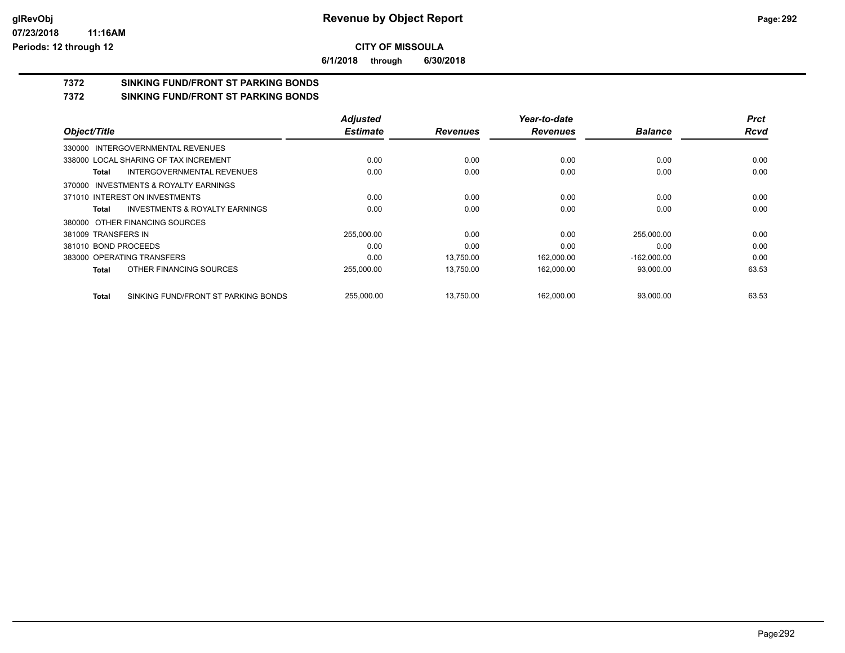**6/1/2018 through 6/30/2018**

# **7372 SINKING FUND/FRONT ST PARKING BONDS**

**7372 SINKING FUND/FRONT ST PARKING BONDS**

|                                              | <b>Adjusted</b> |                 | Year-to-date    |                | <b>Prct</b> |
|----------------------------------------------|-----------------|-----------------|-----------------|----------------|-------------|
| Object/Title                                 | <b>Estimate</b> | <b>Revenues</b> | <b>Revenues</b> | <b>Balance</b> | <b>Rcvd</b> |
| 330000 INTERGOVERNMENTAL REVENUES            |                 |                 |                 |                |             |
| 338000 LOCAL SHARING OF TAX INCREMENT        | 0.00            | 0.00            | 0.00            | 0.00           | 0.00        |
| INTERGOVERNMENTAL REVENUES<br>Total          | 0.00            | 0.00            | 0.00            | 0.00           | 0.00        |
| 370000 INVESTMENTS & ROYALTY EARNINGS        |                 |                 |                 |                |             |
| 371010 INTEREST ON INVESTMENTS               | 0.00            | 0.00            | 0.00            | 0.00           | 0.00        |
| INVESTMENTS & ROYALTY EARNINGS<br>Total      | 0.00            | 0.00            | 0.00            | 0.00           | 0.00        |
| 380000 OTHER FINANCING SOURCES               |                 |                 |                 |                |             |
| 381009 TRANSFERS IN                          | 255,000.00      | 0.00            | 0.00            | 255,000.00     | 0.00        |
| 381010 BOND PROCEEDS                         | 0.00            | 0.00            | 0.00            | 0.00           | 0.00        |
| 383000 OPERATING TRANSFERS                   | 0.00            | 13.750.00       | 162.000.00      | $-162,000.00$  | 0.00        |
| OTHER FINANCING SOURCES<br>Total             | 255,000.00      | 13,750.00       | 162,000.00      | 93,000.00      | 63.53       |
| SINKING FUND/FRONT ST PARKING BONDS<br>Total | 255.000.00      | 13.750.00       | 162.000.00      | 93.000.00      | 63.53       |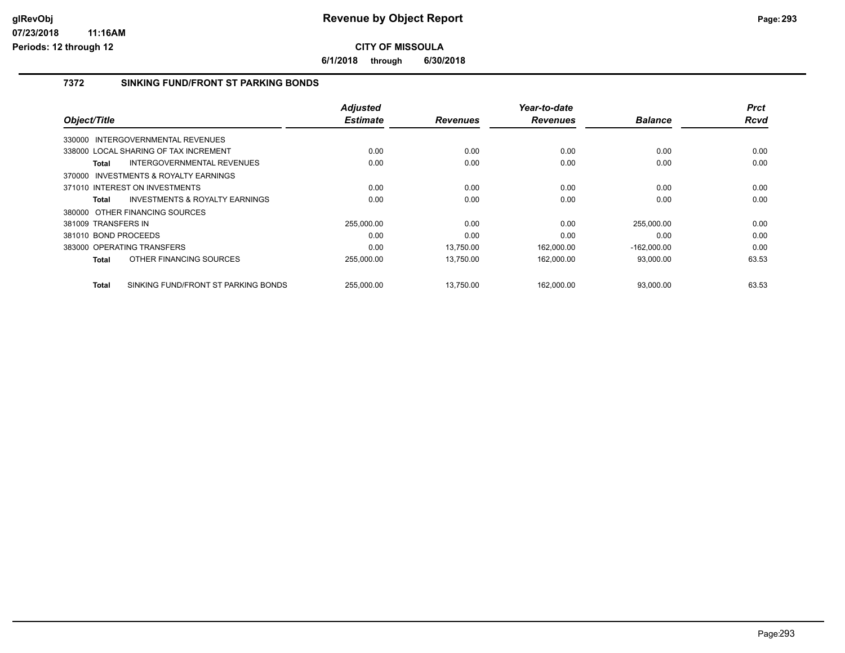**6/1/2018 through 6/30/2018**

#### **7372 SINKING FUND/FRONT ST PARKING BONDS**

| Object/Title                                              | <b>Adjusted</b><br><b>Estimate</b> | <b>Revenues</b> | Year-to-date<br><b>Revenues</b> | <b>Balance</b> | <b>Prct</b><br><b>Rcvd</b> |
|-----------------------------------------------------------|------------------------------------|-----------------|---------------------------------|----------------|----------------------------|
|                                                           |                                    |                 |                                 |                |                            |
| INTERGOVERNMENTAL REVENUES<br>330000                      |                                    |                 |                                 |                |                            |
| 338000 LOCAL SHARING OF TAX INCREMENT                     | 0.00                               | 0.00            | 0.00                            | 0.00           | 0.00                       |
| INTERGOVERNMENTAL REVENUES<br><b>Total</b>                | 0.00                               | 0.00            | 0.00                            | 0.00           | 0.00                       |
| INVESTMENTS & ROYALTY EARNINGS<br>370000                  |                                    |                 |                                 |                |                            |
| 371010 INTEREST ON INVESTMENTS                            | 0.00                               | 0.00            | 0.00                            | 0.00           | 0.00                       |
| <b>INVESTMENTS &amp; ROYALTY EARNINGS</b><br><b>Total</b> | 0.00                               | 0.00            | 0.00                            | 0.00           | 0.00                       |
| 380000 OTHER FINANCING SOURCES                            |                                    |                 |                                 |                |                            |
| 381009 TRANSFERS IN                                       | 255.000.00                         | 0.00            | 0.00                            | 255,000.00     | 0.00                       |
| 381010 BOND PROCEEDS                                      | 0.00                               | 0.00            | 0.00                            | 0.00           | 0.00                       |
| 383000 OPERATING TRANSFERS                                | 0.00                               | 13,750.00       | 162,000.00                      | $-162,000.00$  | 0.00                       |
| OTHER FINANCING SOURCES<br><b>Total</b>                   | 255,000.00                         | 13,750.00       | 162,000.00                      | 93,000.00      | 63.53                      |
| SINKING FUND/FRONT ST PARKING BONDS<br>Total              | 255,000.00                         | 13,750.00       | 162,000.00                      | 93,000.00      | 63.53                      |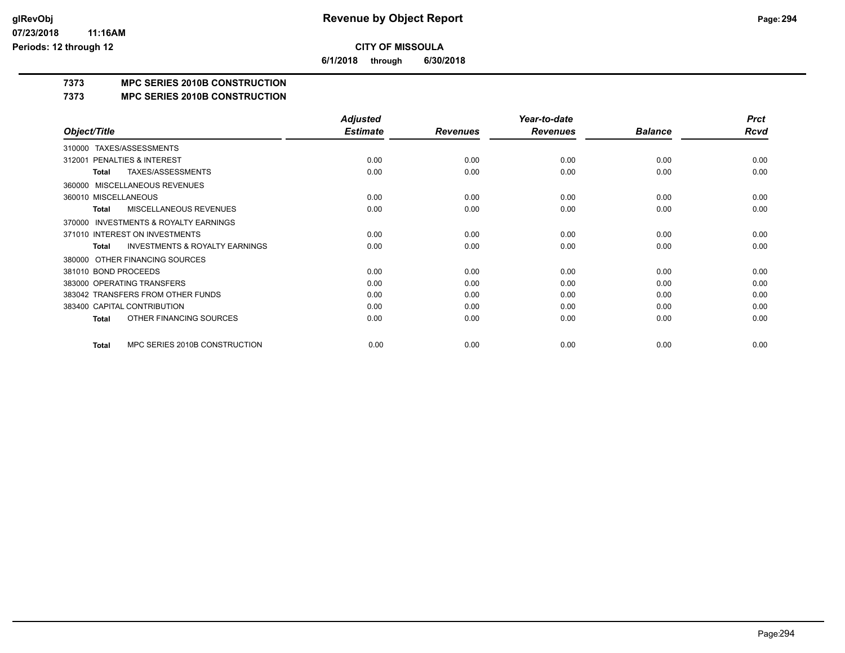**6/1/2018 through 6/30/2018**

# **7373 MPC SERIES 2010B CONSTRUCTION**

#### **7373 MPC SERIES 2010B CONSTRUCTION**

|                                                    | <b>Adjusted</b> |                 | Year-to-date    |                | <b>Prct</b> |
|----------------------------------------------------|-----------------|-----------------|-----------------|----------------|-------------|
| Object/Title                                       | <b>Estimate</b> | <b>Revenues</b> | <b>Revenues</b> | <b>Balance</b> | <b>Rcvd</b> |
| TAXES/ASSESSMENTS<br>310000                        |                 |                 |                 |                |             |
| PENALTIES & INTEREST<br>312001                     | 0.00            | 0.00            | 0.00            | 0.00           | 0.00        |
| TAXES/ASSESSMENTS<br><b>Total</b>                  | 0.00            | 0.00            | 0.00            | 0.00           | 0.00        |
| MISCELLANEOUS REVENUES<br>360000                   |                 |                 |                 |                |             |
| 360010 MISCELLANEOUS                               | 0.00            | 0.00            | 0.00            | 0.00           | 0.00        |
| <b>MISCELLANEOUS REVENUES</b><br>Total             | 0.00            | 0.00            | 0.00            | 0.00           | 0.00        |
| INVESTMENTS & ROYALTY EARNINGS<br>370000           |                 |                 |                 |                |             |
| 371010 INTEREST ON INVESTMENTS                     | 0.00            | 0.00            | 0.00            | 0.00           | 0.00        |
| <b>INVESTMENTS &amp; ROYALTY EARNINGS</b><br>Total | 0.00            | 0.00            | 0.00            | 0.00           | 0.00        |
| OTHER FINANCING SOURCES<br>380000                  |                 |                 |                 |                |             |
| 381010 BOND PROCEEDS                               | 0.00            | 0.00            | 0.00            | 0.00           | 0.00        |
| 383000 OPERATING TRANSFERS                         | 0.00            | 0.00            | 0.00            | 0.00           | 0.00        |
| 383042 TRANSFERS FROM OTHER FUNDS                  | 0.00            | 0.00            | 0.00            | 0.00           | 0.00        |
| 383400 CAPITAL CONTRIBUTION                        | 0.00            | 0.00            | 0.00            | 0.00           | 0.00        |
| OTHER FINANCING SOURCES<br><b>Total</b>            | 0.00            | 0.00            | 0.00            | 0.00           | 0.00        |
|                                                    |                 |                 |                 |                |             |
| MPC SERIES 2010B CONSTRUCTION<br><b>Total</b>      | 0.00            | 0.00            | 0.00            | 0.00           | 0.00        |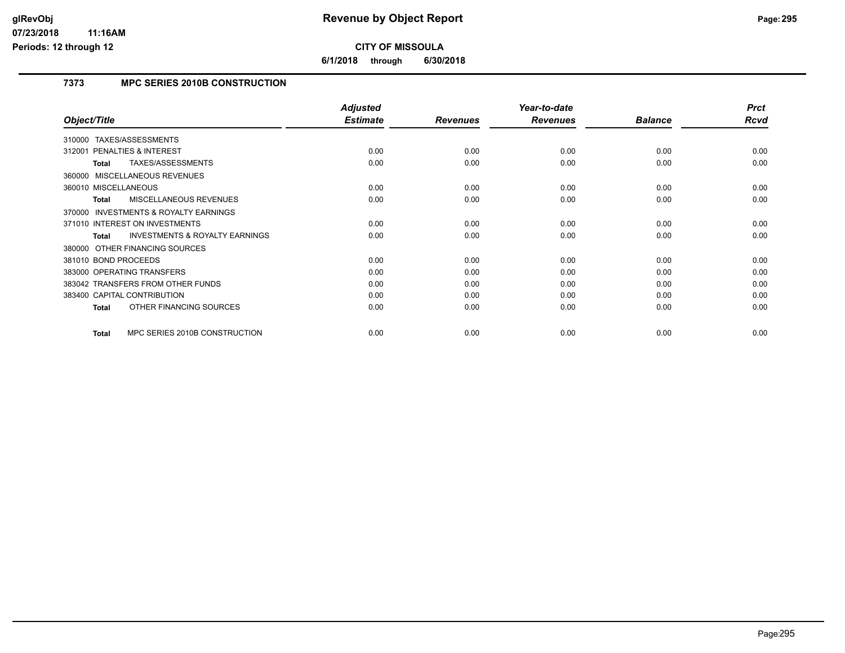**6/1/2018 through 6/30/2018**

#### **7373 MPC SERIES 2010B CONSTRUCTION**

|                                                    | <b>Adjusted</b> |                 | Year-to-date    |                | <b>Prct</b> |
|----------------------------------------------------|-----------------|-----------------|-----------------|----------------|-------------|
| Object/Title                                       | <b>Estimate</b> | <b>Revenues</b> | <b>Revenues</b> | <b>Balance</b> | <b>Rcvd</b> |
| 310000 TAXES/ASSESSMENTS                           |                 |                 |                 |                |             |
| PENALTIES & INTEREST<br>312001                     | 0.00            | 0.00            | 0.00            | 0.00           | 0.00        |
| TAXES/ASSESSMENTS<br>Total                         | 0.00            | 0.00            | 0.00            | 0.00           | 0.00        |
| 360000 MISCELLANEOUS REVENUES                      |                 |                 |                 |                |             |
| 360010 MISCELLANEOUS                               | 0.00            | 0.00            | 0.00            | 0.00           | 0.00        |
| MISCELLANEOUS REVENUES<br><b>Total</b>             | 0.00            | 0.00            | 0.00            | 0.00           | 0.00        |
| 370000 INVESTMENTS & ROYALTY EARNINGS              |                 |                 |                 |                |             |
| 371010 INTEREST ON INVESTMENTS                     | 0.00            | 0.00            | 0.00            | 0.00           | 0.00        |
| <b>INVESTMENTS &amp; ROYALTY EARNINGS</b><br>Total | 0.00            | 0.00            | 0.00            | 0.00           | 0.00        |
| 380000 OTHER FINANCING SOURCES                     |                 |                 |                 |                |             |
| 381010 BOND PROCEEDS                               | 0.00            | 0.00            | 0.00            | 0.00           | 0.00        |
| 383000 OPERATING TRANSFERS                         | 0.00            | 0.00            | 0.00            | 0.00           | 0.00        |
| 383042 TRANSFERS FROM OTHER FUNDS                  | 0.00            | 0.00            | 0.00            | 0.00           | 0.00        |
| 383400 CAPITAL CONTRIBUTION                        | 0.00            | 0.00            | 0.00            | 0.00           | 0.00        |
| OTHER FINANCING SOURCES<br>Total                   | 0.00            | 0.00            | 0.00            | 0.00           | 0.00        |
|                                                    |                 |                 |                 |                |             |
| MPC SERIES 2010B CONSTRUCTION<br><b>Total</b>      | 0.00            | 0.00            | 0.00            | 0.00           | 0.00        |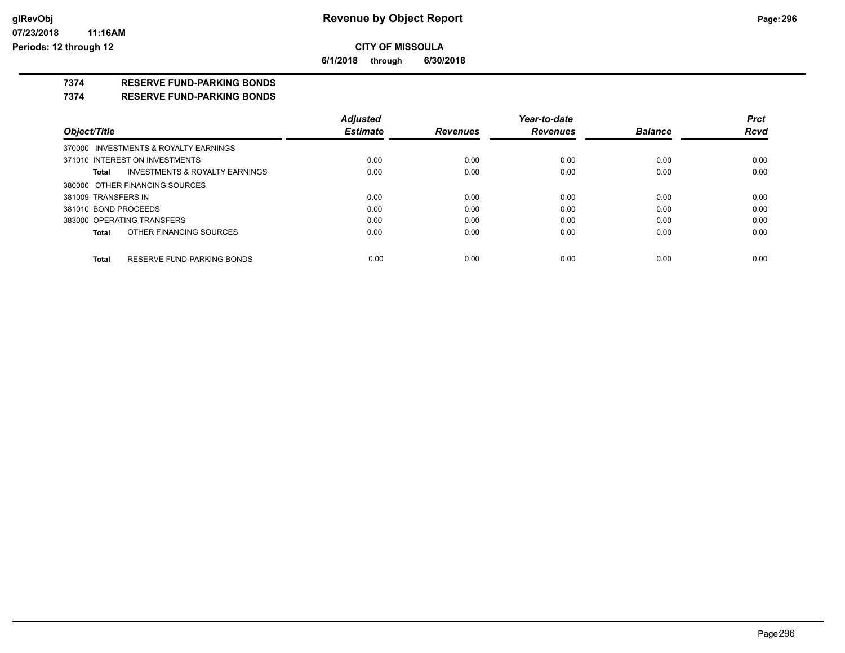**6/1/2018 through 6/30/2018**

### **7374 RESERVE FUND-PARKING BONDS**

#### **7374 RESERVE FUND-PARKING BONDS**

|                      |                                           | <b>Adjusted</b> |                 | Year-to-date    |                | <b>Prct</b> |
|----------------------|-------------------------------------------|-----------------|-----------------|-----------------|----------------|-------------|
| Object/Title         |                                           | <b>Estimate</b> | <b>Revenues</b> | <b>Revenues</b> | <b>Balance</b> | <b>Rcvd</b> |
|                      | 370000 INVESTMENTS & ROYALTY EARNINGS     |                 |                 |                 |                |             |
|                      | 371010 INTEREST ON INVESTMENTS            | 0.00            | 0.00            | 0.00            | 0.00           | 0.00        |
| Total                | <b>INVESTMENTS &amp; ROYALTY EARNINGS</b> | 0.00            | 0.00            | 0.00            | 0.00           | 0.00        |
|                      | 380000 OTHER FINANCING SOURCES            |                 |                 |                 |                |             |
| 381009 TRANSFERS IN  |                                           | 0.00            | 0.00            | 0.00            | 0.00           | 0.00        |
| 381010 BOND PROCEEDS |                                           | 0.00            | 0.00            | 0.00            | 0.00           | 0.00        |
|                      | 383000 OPERATING TRANSFERS                | 0.00            | 0.00            | 0.00            | 0.00           | 0.00        |
| Total                | OTHER FINANCING SOURCES                   | 0.00            | 0.00            | 0.00            | 0.00           | 0.00        |
|                      |                                           |                 |                 |                 |                |             |
| <b>Total</b>         | RESERVE FUND-PARKING BONDS                | 0.00            | 0.00            | 0.00            | 0.00           | 0.00        |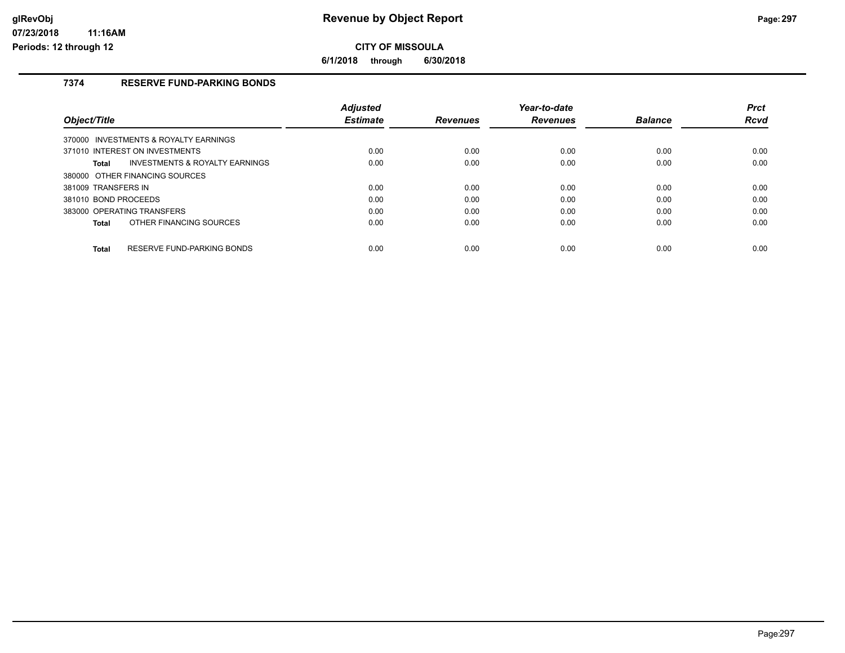**6/1/2018 through 6/30/2018**

#### **7374 RESERVE FUND-PARKING BONDS**

|                      |                                           | <b>Adjusted</b> |                 | Year-to-date    |                | <b>Prct</b> |
|----------------------|-------------------------------------------|-----------------|-----------------|-----------------|----------------|-------------|
| Object/Title         |                                           | <b>Estimate</b> | <b>Revenues</b> | <b>Revenues</b> | <b>Balance</b> | <b>Rcvd</b> |
|                      | 370000 INVESTMENTS & ROYALTY EARNINGS     |                 |                 |                 |                |             |
|                      | 371010 INTEREST ON INVESTMENTS            | 0.00            | 0.00            | 0.00            | 0.00           | 0.00        |
| Total                | <b>INVESTMENTS &amp; ROYALTY EARNINGS</b> | 0.00            | 0.00            | 0.00            | 0.00           | 0.00        |
|                      | 380000 OTHER FINANCING SOURCES            |                 |                 |                 |                |             |
| 381009 TRANSFERS IN  |                                           | 0.00            | 0.00            | 0.00            | 0.00           | 0.00        |
| 381010 BOND PROCEEDS |                                           | 0.00            | 0.00            | 0.00            | 0.00           | 0.00        |
|                      | 383000 OPERATING TRANSFERS                | 0.00            | 0.00            | 0.00            | 0.00           | 0.00        |
| <b>Total</b>         | OTHER FINANCING SOURCES                   | 0.00            | 0.00            | 0.00            | 0.00           | 0.00        |
| <b>Total</b>         | RESERVE FUND-PARKING BONDS                | 0.00            | 0.00            | 0.00            | 0.00           | 0.00        |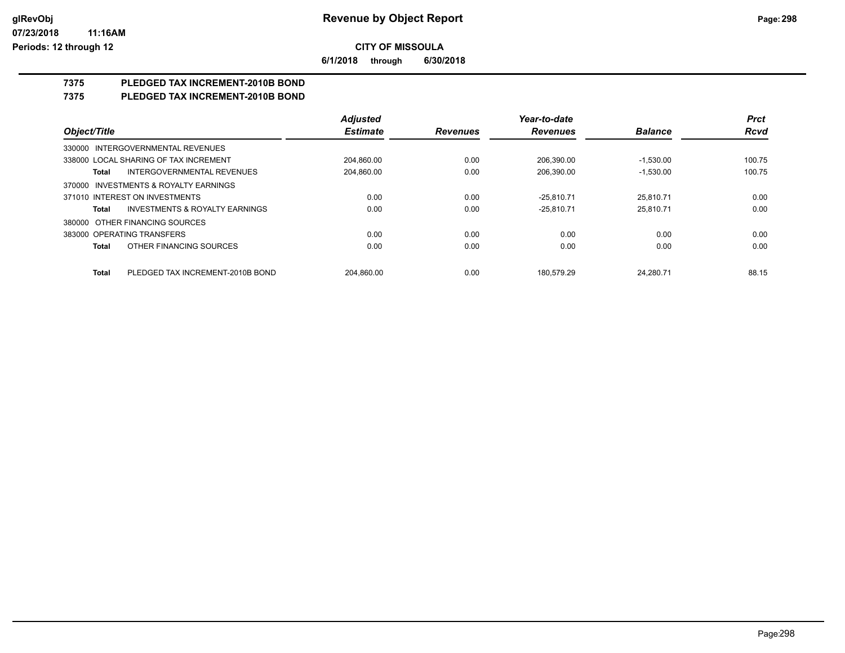**6/1/2018 through 6/30/2018**

# **7375 PLEDGED TAX INCREMENT-2010B BOND**

# **7375 PLEDGED TAX INCREMENT-2010B BOND**

|                                                    | <b>Adjusted</b> |                 | Year-to-date    |                | <b>Prct</b> |
|----------------------------------------------------|-----------------|-----------------|-----------------|----------------|-------------|
| Object/Title                                       | <b>Estimate</b> | <b>Revenues</b> | <b>Revenues</b> | <b>Balance</b> | <b>Rcvd</b> |
| 330000 INTERGOVERNMENTAL REVENUES                  |                 |                 |                 |                |             |
| 338000 LOCAL SHARING OF TAX INCREMENT              | 204,860.00      | 0.00            | 206,390.00      | $-1,530.00$    | 100.75      |
| <b>INTERGOVERNMENTAL REVENUES</b><br>Total         | 204,860.00      | 0.00            | 206,390.00      | $-1.530.00$    | 100.75      |
| 370000 INVESTMENTS & ROYALTY EARNINGS              |                 |                 |                 |                |             |
| 371010 INTEREST ON INVESTMENTS                     | 0.00            | 0.00            | $-25.810.71$    | 25.810.71      | 0.00        |
| <b>INVESTMENTS &amp; ROYALTY EARNINGS</b><br>Total | 0.00            | 0.00            | $-25.810.71$    | 25.810.71      | 0.00        |
| 380000 OTHER FINANCING SOURCES                     |                 |                 |                 |                |             |
| 383000 OPERATING TRANSFERS                         | 0.00            | 0.00            | 0.00            | 0.00           | 0.00        |
| OTHER FINANCING SOURCES<br>Total                   | 0.00            | 0.00            | 0.00            | 0.00           | 0.00        |
| PLEDGED TAX INCREMENT-2010B BOND<br>Total          | 204.860.00      | 0.00            | 180.579.29      | 24.280.71      | 88.15       |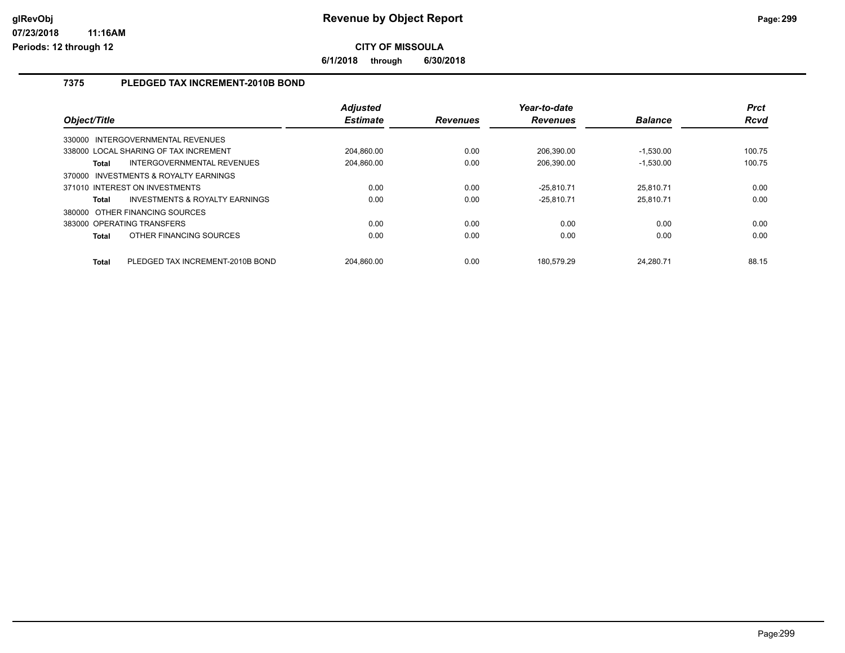**6/1/2018 through 6/30/2018**

#### **7375 PLEDGED TAX INCREMENT-2010B BOND**

|                                                  | <b>Adjusted</b> |                 | Year-to-date    |                | <b>Prct</b> |
|--------------------------------------------------|-----------------|-----------------|-----------------|----------------|-------------|
| Object/Title                                     | <b>Estimate</b> | <b>Revenues</b> | <b>Revenues</b> | <b>Balance</b> | <b>Rcvd</b> |
| INTERGOVERNMENTAL REVENUES<br>330000             |                 |                 |                 |                |             |
| 338000 LOCAL SHARING OF TAX INCREMENT            | 204.860.00      | 0.00            | 206.390.00      | $-1.530.00$    | 100.75      |
| INTERGOVERNMENTAL REVENUES<br>Total              | 204.860.00      | 0.00            | 206,390.00      | $-1.530.00$    | 100.75      |
| 370000 INVESTMENTS & ROYALTY EARNINGS            |                 |                 |                 |                |             |
| 371010 INTEREST ON INVESTMENTS                   | 0.00            | 0.00            | $-25.810.71$    | 25.810.71      | 0.00        |
| INVESTMENTS & ROYALTY EARNINGS<br>Total          | 0.00            | 0.00            | $-25.810.71$    | 25.810.71      | 0.00        |
| OTHER FINANCING SOURCES<br>380000                |                 |                 |                 |                |             |
| 383000 OPERATING TRANSFERS                       | 0.00            | 0.00            | 0.00            | 0.00           | 0.00        |
| OTHER FINANCING SOURCES<br><b>Total</b>          | 0.00            | 0.00            | 0.00            | 0.00           | 0.00        |
| PLEDGED TAX INCREMENT-2010B BOND<br><b>Total</b> | 204.860.00      | 0.00            | 180.579.29      | 24.280.71      | 88.15       |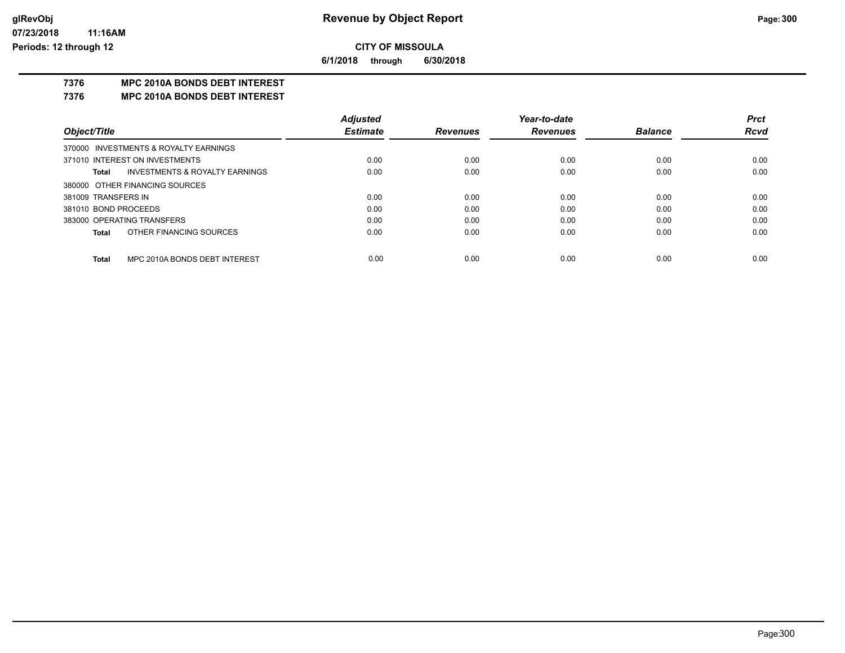**6/1/2018 through 6/30/2018**

## **7376 MPC 2010A BONDS DEBT INTEREST**

#### **7376 MPC 2010A BONDS DEBT INTEREST**

|                      |                                       | <b>Adjusted</b> |                 | Year-to-date    |                | <b>Prct</b> |
|----------------------|---------------------------------------|-----------------|-----------------|-----------------|----------------|-------------|
| Object/Title         |                                       | <b>Estimate</b> | <b>Revenues</b> | <b>Revenues</b> | <b>Balance</b> | <b>Rcvd</b> |
|                      | 370000 INVESTMENTS & ROYALTY EARNINGS |                 |                 |                 |                |             |
|                      | 371010 INTEREST ON INVESTMENTS        | 0.00            | 0.00            | 0.00            | 0.00           | 0.00        |
| Total                | INVESTMENTS & ROYALTY EARNINGS        | 0.00            | 0.00            | 0.00            | 0.00           | 0.00        |
|                      | 380000 OTHER FINANCING SOURCES        |                 |                 |                 |                |             |
| 381009 TRANSFERS IN  |                                       | 0.00            | 0.00            | 0.00            | 0.00           | 0.00        |
| 381010 BOND PROCEEDS |                                       | 0.00            | 0.00            | 0.00            | 0.00           | 0.00        |
|                      | 383000 OPERATING TRANSFERS            | 0.00            | 0.00            | 0.00            | 0.00           | 0.00        |
| Total                | OTHER FINANCING SOURCES               | 0.00            | 0.00            | 0.00            | 0.00           | 0.00        |
|                      |                                       |                 |                 |                 |                |             |
| Total                | MPC 2010A BONDS DEBT INTEREST         | 0.00            | 0.00            | 0.00            | 0.00           | 0.00        |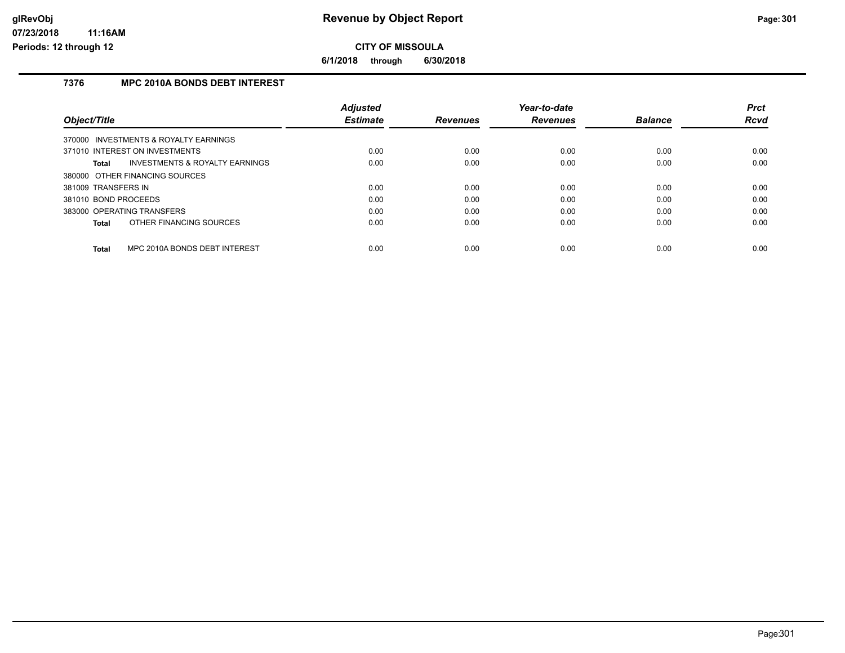**6/1/2018 through 6/30/2018**

### **7376 MPC 2010A BONDS DEBT INTEREST**

|                            |                                           | <b>Adjusted</b> |                 | Year-to-date    |                | <b>Prct</b> |
|----------------------------|-------------------------------------------|-----------------|-----------------|-----------------|----------------|-------------|
| Object/Title               |                                           | <b>Estimate</b> | <b>Revenues</b> | <b>Revenues</b> | <b>Balance</b> | <b>Rcvd</b> |
|                            | 370000 INVESTMENTS & ROYALTY EARNINGS     |                 |                 |                 |                |             |
|                            | 371010 INTEREST ON INVESTMENTS            | 0.00            | 0.00            | 0.00            | 0.00           | 0.00        |
| Total                      | <b>INVESTMENTS &amp; ROYALTY EARNINGS</b> | 0.00            | 0.00            | 0.00            | 0.00           | 0.00        |
|                            | 380000 OTHER FINANCING SOURCES            |                 |                 |                 |                |             |
| 381009 TRANSFERS IN        |                                           | 0.00            | 0.00            | 0.00            | 0.00           | 0.00        |
| 381010 BOND PROCEEDS       |                                           | 0.00            | 0.00            | 0.00            | 0.00           | 0.00        |
| 383000 OPERATING TRANSFERS |                                           | 0.00            | 0.00            | 0.00            | 0.00           | 0.00        |
| Total                      | OTHER FINANCING SOURCES                   | 0.00            | 0.00            | 0.00            | 0.00           | 0.00        |
| <b>Total</b>               | MPC 2010A BONDS DEBT INTEREST             | 0.00            | 0.00            | 0.00            | 0.00           | 0.00        |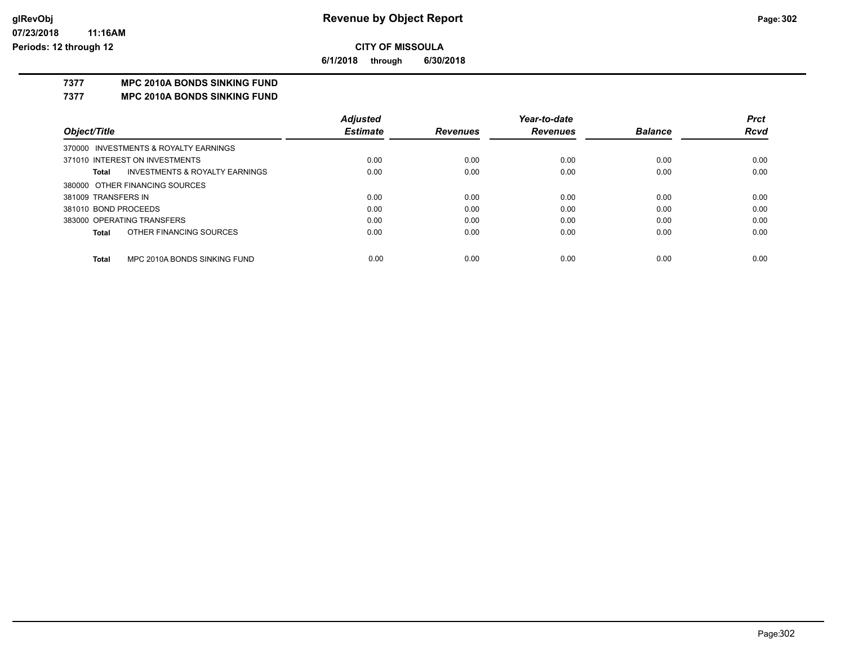**6/1/2018 through 6/30/2018**

## **7377 MPC 2010A BONDS SINKING FUND**

**7377 MPC 2010A BONDS SINKING FUND**

|                                                    | <b>Adjusted</b> |                 | Year-to-date    |                | <b>Prct</b> |
|----------------------------------------------------|-----------------|-----------------|-----------------|----------------|-------------|
| Object/Title                                       | <b>Estimate</b> | <b>Revenues</b> | <b>Revenues</b> | <b>Balance</b> | <b>Rcvd</b> |
| 370000 INVESTMENTS & ROYALTY EARNINGS              |                 |                 |                 |                |             |
| 371010 INTEREST ON INVESTMENTS                     | 0.00            | 0.00            | 0.00            | 0.00           | 0.00        |
| <b>INVESTMENTS &amp; ROYALTY EARNINGS</b><br>Total | 0.00            | 0.00            | 0.00            | 0.00           | 0.00        |
| 380000 OTHER FINANCING SOURCES                     |                 |                 |                 |                |             |
| 381009 TRANSFERS IN                                | 0.00            | 0.00            | 0.00            | 0.00           | 0.00        |
| 381010 BOND PROCEEDS                               | 0.00            | 0.00            | 0.00            | 0.00           | 0.00        |
| 383000 OPERATING TRANSFERS                         | 0.00            | 0.00            | 0.00            | 0.00           | 0.00        |
| OTHER FINANCING SOURCES<br>Total                   | 0.00            | 0.00            | 0.00            | 0.00           | 0.00        |
|                                                    |                 |                 |                 |                |             |
| MPC 2010A BONDS SINKING FUND<br><b>Total</b>       | 0.00            | 0.00            | 0.00            | 0.00           | 0.00        |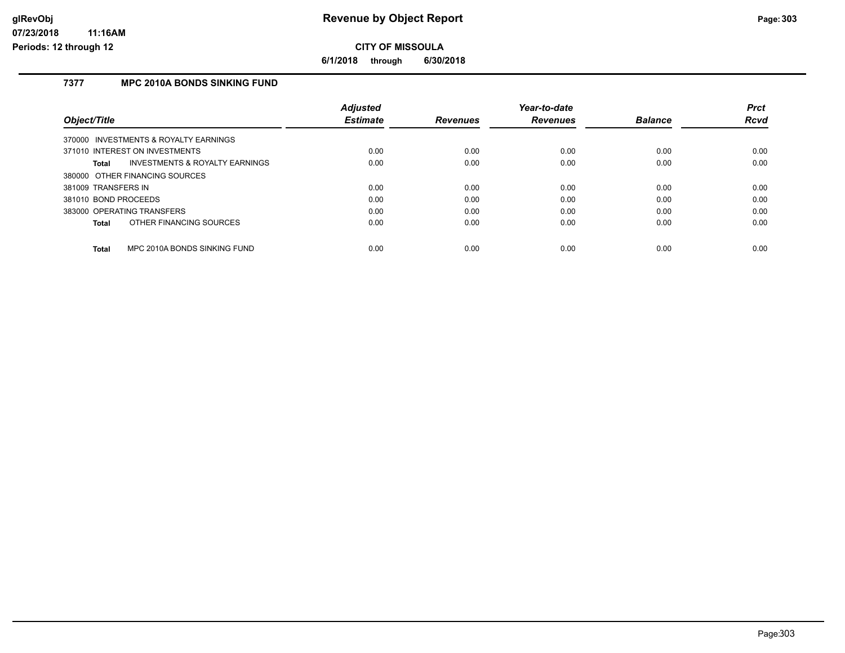**6/1/2018 through 6/30/2018**

#### **7377 MPC 2010A BONDS SINKING FUND**

|                                |                                           | <b>Adjusted</b> |                 | Year-to-date    |                | <b>Prct</b> |
|--------------------------------|-------------------------------------------|-----------------|-----------------|-----------------|----------------|-------------|
| Object/Title                   |                                           | <b>Estimate</b> | <b>Revenues</b> | <b>Revenues</b> | <b>Balance</b> | <b>Rcvd</b> |
|                                | 370000 INVESTMENTS & ROYALTY EARNINGS     |                 |                 |                 |                |             |
| 371010 INTEREST ON INVESTMENTS |                                           | 0.00            | 0.00            | 0.00            | 0.00           | 0.00        |
| Total                          | <b>INVESTMENTS &amp; ROYALTY EARNINGS</b> | 0.00            | 0.00            | 0.00            | 0.00           | 0.00        |
| 380000 OTHER FINANCING SOURCES |                                           |                 |                 |                 |                |             |
| 381009 TRANSFERS IN            |                                           | 0.00            | 0.00            | 0.00            | 0.00           | 0.00        |
| 381010 BOND PROCEEDS           |                                           | 0.00            | 0.00            | 0.00            | 0.00           | 0.00        |
| 383000 OPERATING TRANSFERS     |                                           | 0.00            | 0.00            | 0.00            | 0.00           | 0.00        |
| <b>Total</b>                   | OTHER FINANCING SOURCES                   | 0.00            | 0.00            | 0.00            | 0.00           | 0.00        |
| <b>Total</b>                   | MPC 2010A BONDS SINKING FUND              | 0.00            | 0.00            | 0.00            | 0.00           | 0.00        |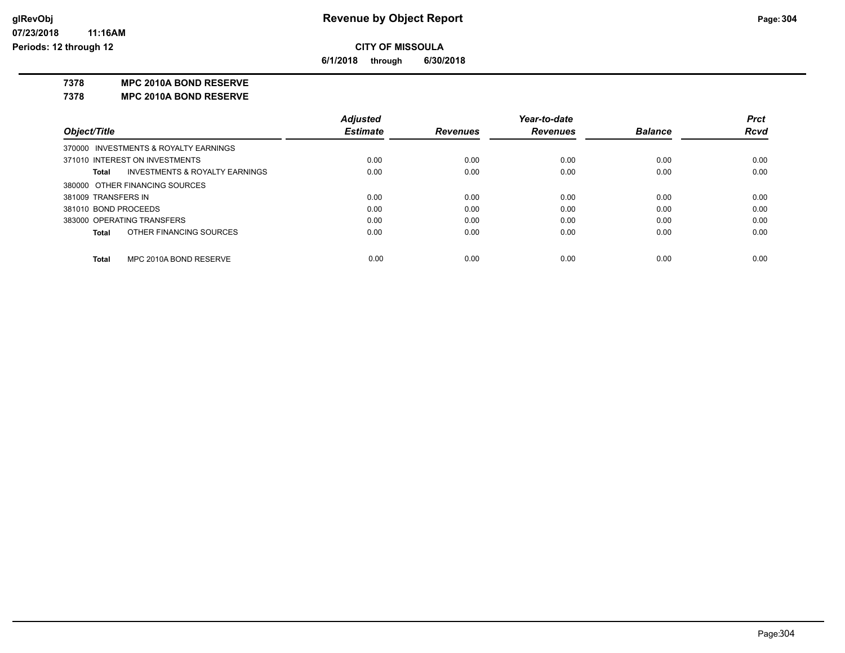**6/1/2018 through 6/30/2018**

**7378 MPC 2010A BOND RESERVE**

**7378 MPC 2010A BOND RESERVE**

|                      |                                           | <b>Adjusted</b> |                 | Year-to-date    |                | <b>Prct</b> |
|----------------------|-------------------------------------------|-----------------|-----------------|-----------------|----------------|-------------|
| Object/Title         |                                           | <b>Estimate</b> | <b>Revenues</b> | <b>Revenues</b> | <b>Balance</b> | <b>Rcvd</b> |
|                      | 370000 INVESTMENTS & ROYALTY EARNINGS     |                 |                 |                 |                |             |
|                      | 371010 INTEREST ON INVESTMENTS            | 0.00            | 0.00            | 0.00            | 0.00           | 0.00        |
| Total                | <b>INVESTMENTS &amp; ROYALTY EARNINGS</b> | 0.00            | 0.00            | 0.00            | 0.00           | 0.00        |
|                      | 380000 OTHER FINANCING SOURCES            |                 |                 |                 |                |             |
| 381009 TRANSFERS IN  |                                           | 0.00            | 0.00            | 0.00            | 0.00           | 0.00        |
| 381010 BOND PROCEEDS |                                           | 0.00            | 0.00            | 0.00            | 0.00           | 0.00        |
|                      | 383000 OPERATING TRANSFERS                | 0.00            | 0.00            | 0.00            | 0.00           | 0.00        |
| Total                | OTHER FINANCING SOURCES                   | 0.00            | 0.00            | 0.00            | 0.00           | 0.00        |
| <b>Total</b>         | MPC 2010A BOND RESERVE                    | 0.00            | 0.00            | 0.00            | 0.00           | 0.00        |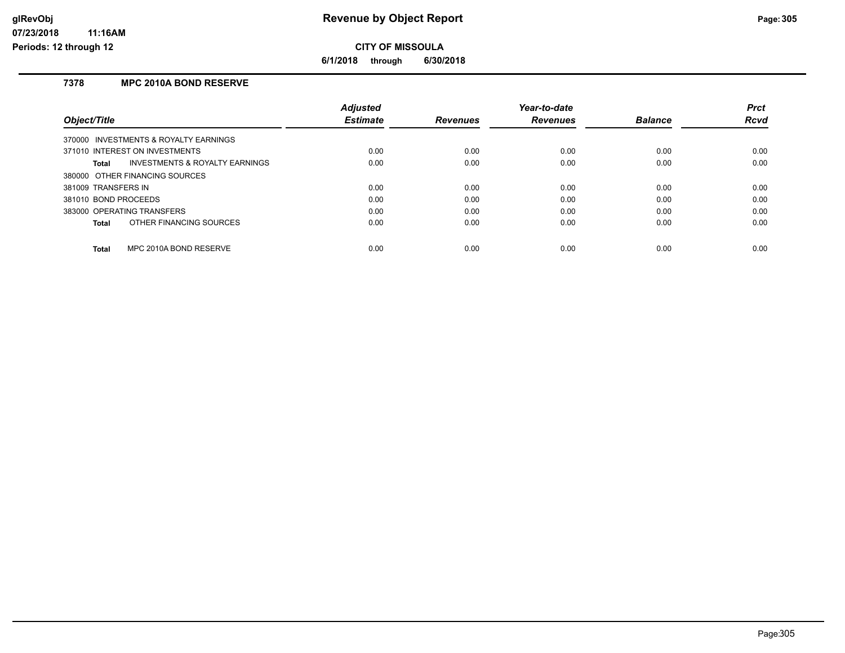**6/1/2018 through 6/30/2018**

#### **7378 MPC 2010A BOND RESERVE**

|                                        |                                | <b>Adjusted</b> |                 | Year-to-date    |                | <b>Prct</b> |
|----------------------------------------|--------------------------------|-----------------|-----------------|-----------------|----------------|-------------|
| Object/Title                           |                                | <b>Estimate</b> | <b>Revenues</b> | <b>Revenues</b> | <b>Balance</b> | <b>Rcvd</b> |
| 370000 INVESTMENTS & ROYALTY EARNINGS  |                                |                 |                 |                 |                |             |
| 371010 INTEREST ON INVESTMENTS         |                                | 0.00            | 0.00            | 0.00            | 0.00           | 0.00        |
| Total                                  | INVESTMENTS & ROYALTY EARNINGS | 0.00            | 0.00            | 0.00            | 0.00           | 0.00        |
| 380000 OTHER FINANCING SOURCES         |                                |                 |                 |                 |                |             |
| 381009 TRANSFERS IN                    |                                | 0.00            | 0.00            | 0.00            | 0.00           | 0.00        |
| 381010 BOND PROCEEDS                   |                                | 0.00            | 0.00            | 0.00            | 0.00           | 0.00        |
| 383000 OPERATING TRANSFERS             |                                | 0.00            | 0.00            | 0.00            | 0.00           | 0.00        |
| OTHER FINANCING SOURCES<br>Total       |                                | 0.00            | 0.00            | 0.00            | 0.00           | 0.00        |
| MPC 2010A BOND RESERVE<br><b>Total</b> |                                | 0.00            | 0.00            | 0.00            | 0.00           | 0.00        |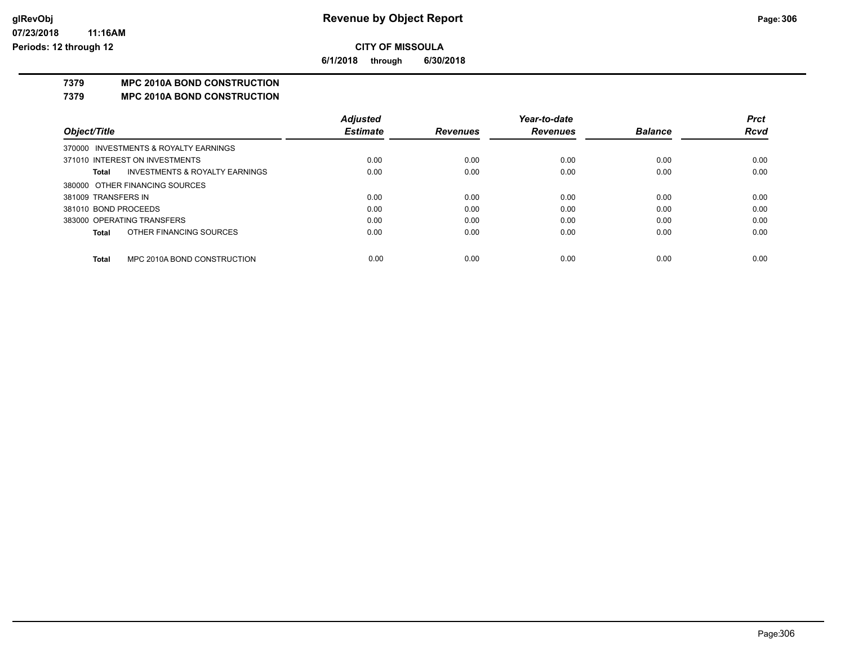**6/1/2018 through 6/30/2018**

## **7379 MPC 2010A BOND CONSTRUCTION**

#### **7379 MPC 2010A BOND CONSTRUCTION**

|                      |                                           | <b>Adjusted</b> |                 | Year-to-date    |                | <b>Prct</b> |
|----------------------|-------------------------------------------|-----------------|-----------------|-----------------|----------------|-------------|
| Object/Title         |                                           | <b>Estimate</b> | <b>Revenues</b> | <b>Revenues</b> | <b>Balance</b> | <b>Rcvd</b> |
|                      | 370000 INVESTMENTS & ROYALTY EARNINGS     |                 |                 |                 |                |             |
|                      | 371010 INTEREST ON INVESTMENTS            | 0.00            | 0.00            | 0.00            | 0.00           | 0.00        |
| Total                | <b>INVESTMENTS &amp; ROYALTY EARNINGS</b> | 0.00            | 0.00            | 0.00            | 0.00           | 0.00        |
|                      | 380000 OTHER FINANCING SOURCES            |                 |                 |                 |                |             |
| 381009 TRANSFERS IN  |                                           | 0.00            | 0.00            | 0.00            | 0.00           | 0.00        |
| 381010 BOND PROCEEDS |                                           | 0.00            | 0.00            | 0.00            | 0.00           | 0.00        |
|                      | 383000 OPERATING TRANSFERS                | 0.00            | 0.00            | 0.00            | 0.00           | 0.00        |
| Total                | OTHER FINANCING SOURCES                   | 0.00            | 0.00            | 0.00            | 0.00           | 0.00        |
| Total                | MPC 2010A BOND CONSTRUCTION               | 0.00            | 0.00            | 0.00            | 0.00           | 0.00        |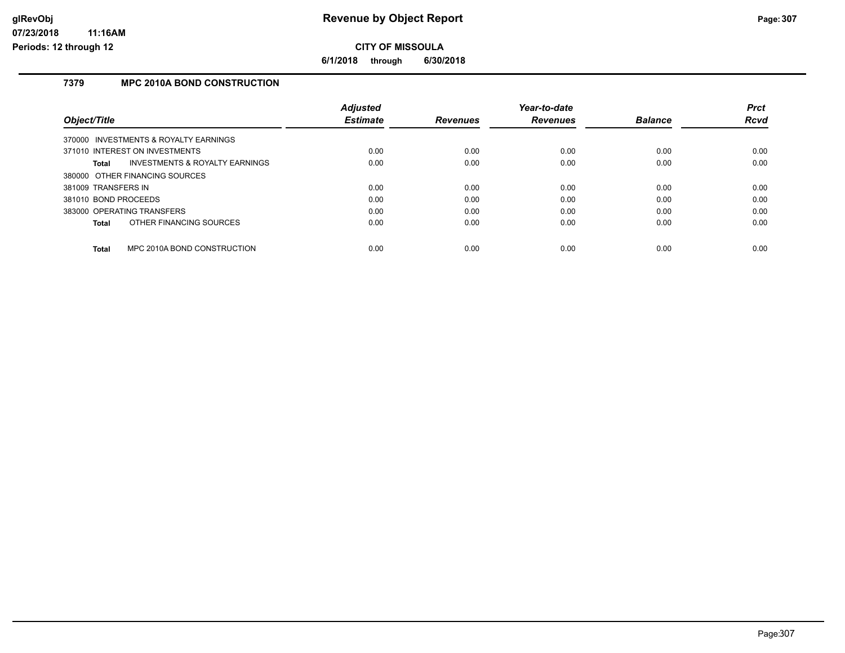**6/1/2018 through 6/30/2018**

#### **7379 MPC 2010A BOND CONSTRUCTION**

|                      |                                           | <b>Adjusted</b> |                 | Year-to-date    |                | <b>Prct</b> |
|----------------------|-------------------------------------------|-----------------|-----------------|-----------------|----------------|-------------|
| Object/Title         |                                           | <b>Estimate</b> | <b>Revenues</b> | <b>Revenues</b> | <b>Balance</b> | <b>Rcvd</b> |
|                      | 370000 INVESTMENTS & ROYALTY EARNINGS     |                 |                 |                 |                |             |
|                      | 371010 INTEREST ON INVESTMENTS            | 0.00            | 0.00            | 0.00            | 0.00           | 0.00        |
| <b>Total</b>         | <b>INVESTMENTS &amp; ROYALTY EARNINGS</b> | 0.00            | 0.00            | 0.00            | 0.00           | 0.00        |
|                      | 380000 OTHER FINANCING SOURCES            |                 |                 |                 |                |             |
| 381009 TRANSFERS IN  |                                           | 0.00            | 0.00            | 0.00            | 0.00           | 0.00        |
| 381010 BOND PROCEEDS |                                           | 0.00            | 0.00            | 0.00            | 0.00           | 0.00        |
|                      | 383000 OPERATING TRANSFERS                | 0.00            | 0.00            | 0.00            | 0.00           | 0.00        |
| <b>Total</b>         | OTHER FINANCING SOURCES                   | 0.00            | 0.00            | 0.00            | 0.00           | 0.00        |
| <b>Total</b>         | MPC 2010A BOND CONSTRUCTION               | 0.00            | 0.00            | 0.00            | 0.00           | 0.00        |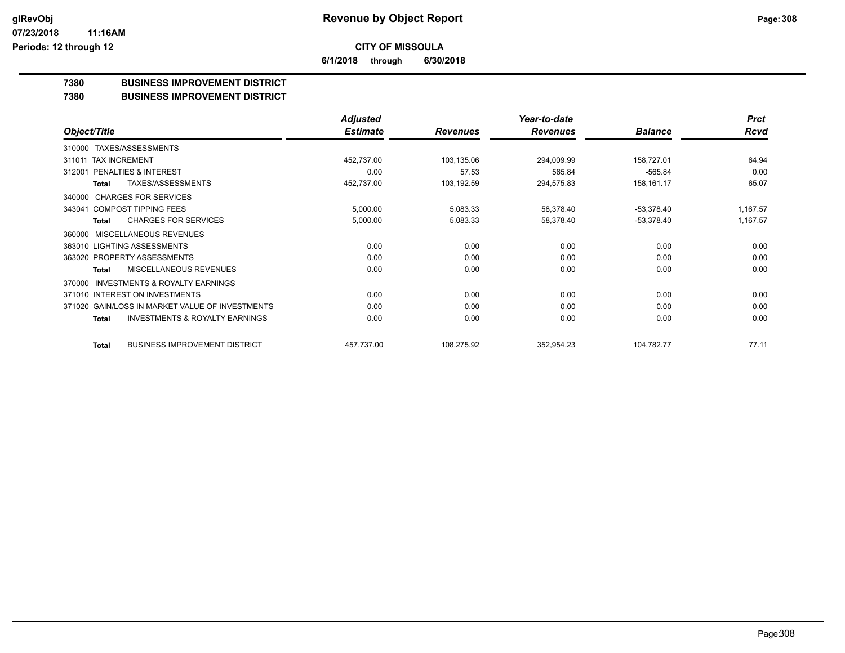**6/1/2018 through 6/30/2018**

## **7380 BUSINESS IMPROVEMENT DISTRICT**

#### **7380 BUSINESS IMPROVEMENT DISTRICT**

|                                                      | <b>Adjusted</b> |                 | Year-to-date    |                | <b>Prct</b> |
|------------------------------------------------------|-----------------|-----------------|-----------------|----------------|-------------|
| Object/Title                                         | <b>Estimate</b> | <b>Revenues</b> | <b>Revenues</b> | <b>Balance</b> | <b>Rcvd</b> |
| TAXES/ASSESSMENTS<br>310000                          |                 |                 |                 |                |             |
| <b>TAX INCREMENT</b><br>311011                       | 452,737.00      | 103,135.06      | 294,009.99      | 158,727.01     | 64.94       |
| PENALTIES & INTEREST<br>312001                       | 0.00            | 57.53           | 565.84          | $-565.84$      | 0.00        |
| TAXES/ASSESSMENTS<br><b>Total</b>                    | 452,737.00      | 103,192.59      | 294,575.83      | 158,161.17     | 65.07       |
| <b>CHARGES FOR SERVICES</b><br>340000                |                 |                 |                 |                |             |
| <b>COMPOST TIPPING FEES</b><br>343041                | 5,000.00        | 5,083.33        | 58,378.40       | $-53,378.40$   | 1,167.57    |
| <b>CHARGES FOR SERVICES</b><br><b>Total</b>          | 5,000.00        | 5,083.33        | 58,378.40       | $-53,378.40$   | 1,167.57    |
| MISCELLANEOUS REVENUES<br>360000                     |                 |                 |                 |                |             |
| 363010 LIGHTING ASSESSMENTS                          | 0.00            | 0.00            | 0.00            | 0.00           | 0.00        |
| 363020 PROPERTY ASSESSMENTS                          | 0.00            | 0.00            | 0.00            | 0.00           | 0.00        |
| <b>MISCELLANEOUS REVENUES</b><br>Total               | 0.00            | 0.00            | 0.00            | 0.00           | 0.00        |
| <b>INVESTMENTS &amp; ROYALTY EARNINGS</b><br>370000  |                 |                 |                 |                |             |
| 371010 INTEREST ON INVESTMENTS                       | 0.00            | 0.00            | 0.00            | 0.00           | 0.00        |
| 371020 GAIN/LOSS IN MARKET VALUE OF INVESTMENTS      | 0.00            | 0.00            | 0.00            | 0.00           | 0.00        |
| <b>INVESTMENTS &amp; ROYALTY EARNINGS</b><br>Total   | 0.00            | 0.00            | 0.00            | 0.00           | 0.00        |
| <b>BUSINESS IMPROVEMENT DISTRICT</b><br><b>Total</b> | 457,737.00      | 108,275.92      | 352,954.23      | 104,782.77     | 77.11       |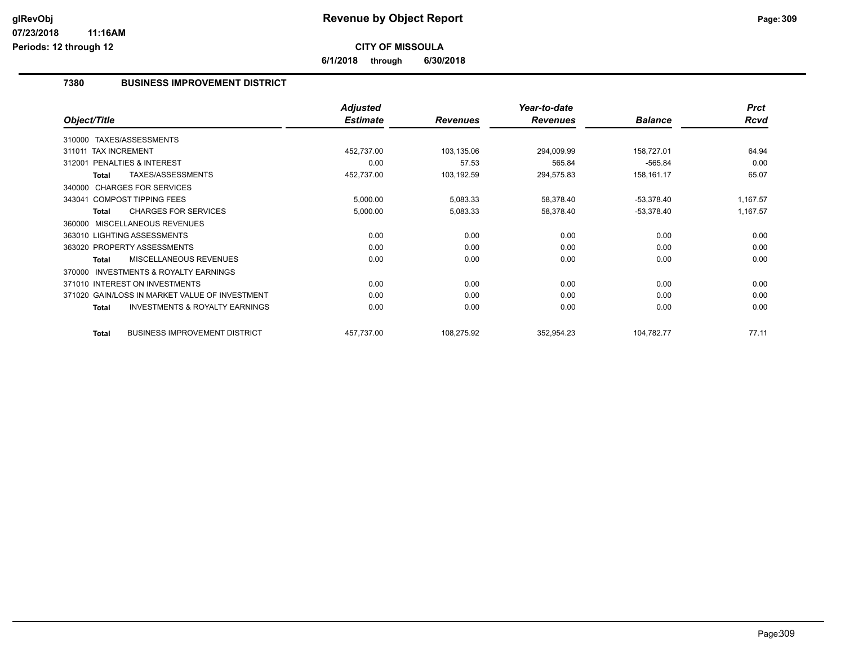**6/1/2018 through 6/30/2018**

#### **7380 BUSINESS IMPROVEMENT DISTRICT**

|                                                           | <b>Adjusted</b> |                 | Year-to-date    |                | <b>Prct</b> |
|-----------------------------------------------------------|-----------------|-----------------|-----------------|----------------|-------------|
| Object/Title                                              | <b>Estimate</b> | <b>Revenues</b> | <b>Revenues</b> | <b>Balance</b> | <b>Rcvd</b> |
| 310000 TAXES/ASSESSMENTS                                  |                 |                 |                 |                |             |
| 311011 TAX INCREMENT                                      | 452,737.00      | 103,135.06      | 294,009.99      | 158,727.01     | 64.94       |
| 312001 PENALTIES & INTEREST                               | 0.00            | 57.53           | 565.84          | $-565.84$      | 0.00        |
| TAXES/ASSESSMENTS<br>Total                                | 452,737.00      | 103,192.59      | 294,575.83      | 158,161.17     | 65.07       |
| 340000 CHARGES FOR SERVICES                               |                 |                 |                 |                |             |
| 343041 COMPOST TIPPING FEES                               | 5,000.00        | 5,083.33        | 58,378.40       | $-53,378.40$   | 1,167.57    |
| <b>CHARGES FOR SERVICES</b><br>Total                      | 5,000.00        | 5,083.33        | 58,378.40       | $-53,378.40$   | 1,167.57    |
| MISCELLANEOUS REVENUES<br>360000                          |                 |                 |                 |                |             |
| 363010 LIGHTING ASSESSMENTS                               | 0.00            | 0.00            | 0.00            | 0.00           | 0.00        |
| 363020 PROPERTY ASSESSMENTS                               | 0.00            | 0.00            | 0.00            | 0.00           | 0.00        |
| <b>MISCELLANEOUS REVENUES</b><br>Total                    | 0.00            | 0.00            | 0.00            | 0.00           | 0.00        |
| <b>INVESTMENTS &amp; ROYALTY EARNINGS</b><br>370000       |                 |                 |                 |                |             |
| 371010 INTEREST ON INVESTMENTS                            | 0.00            | 0.00            | 0.00            | 0.00           | 0.00        |
| 371020 GAIN/LOSS IN MARKET VALUE OF INVESTMENT            | 0.00            | 0.00            | 0.00            | 0.00           | 0.00        |
| <b>INVESTMENTS &amp; ROYALTY EARNINGS</b><br><b>Total</b> | 0.00            | 0.00            | 0.00            | 0.00           | 0.00        |
| <b>BUSINESS IMPROVEMENT DISTRICT</b><br><b>Total</b>      | 457,737.00      | 108,275.92      | 352,954.23      | 104,782.77     | 77.11       |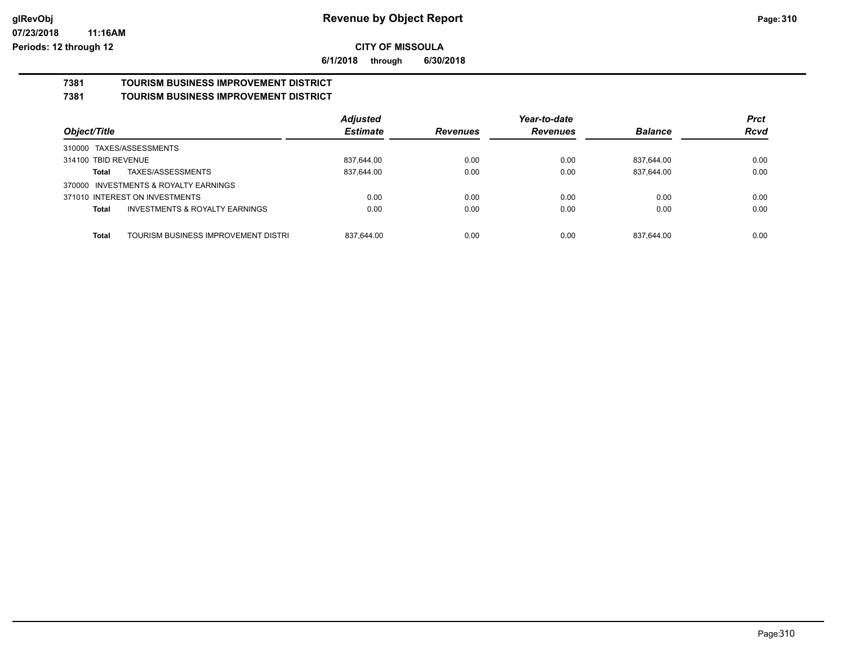**6/1/2018 through 6/30/2018**

# **7381 TOURISM BUSINESS IMPROVEMENT DISTRICT**

# **7381 TOURISM BUSINESS IMPROVEMENT DISTRICT**

|                                                     | <b>Adjusted</b> |                 | Year-to-date    |                | <b>Prct</b> |
|-----------------------------------------------------|-----------------|-----------------|-----------------|----------------|-------------|
| Object/Title                                        | <b>Estimate</b> | <b>Revenues</b> | <b>Revenues</b> | <b>Balance</b> | <b>Rcvd</b> |
| 310000 TAXES/ASSESSMENTS                            |                 |                 |                 |                |             |
| 314100 TBID REVENUE                                 | 837,644.00      | 0.00            | 0.00            | 837,644.00     | 0.00        |
| TAXES/ASSESSMENTS<br>Total                          | 837,644.00      | 0.00            | 0.00            | 837,644.00     | 0.00        |
| 370000 INVESTMENTS & ROYALTY EARNINGS               |                 |                 |                 |                |             |
| 371010 INTEREST ON INVESTMENTS                      | 0.00            | 0.00            | 0.00            | 0.00           | 0.00        |
| <b>INVESTMENTS &amp; ROYALTY EARNINGS</b><br>Total  | 0.00            | 0.00            | 0.00            | 0.00           | 0.00        |
| TOURISM BUSINESS IMPROVEMENT DISTRI<br><b>Total</b> | 837.644.00      | 0.00            | 0.00            | 837.644.00     | 0.00        |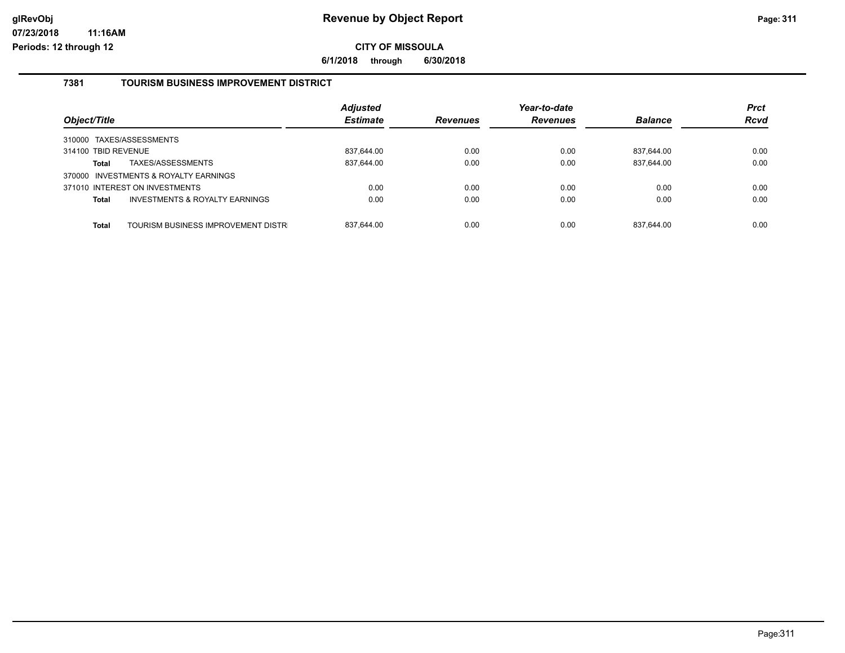**6/1/2018 through 6/30/2018**

#### **7381 TOURISM BUSINESS IMPROVEMENT DISTRICT**

| Object/Title                                       | <b>Adjusted</b><br><b>Estimate</b> | <b>Revenues</b> | Year-to-date<br><b>Revenues</b> | <b>Balance</b> | <b>Prct</b><br><b>Rcvd</b> |
|----------------------------------------------------|------------------------------------|-----------------|---------------------------------|----------------|----------------------------|
| 310000 TAXES/ASSESSMENTS                           |                                    |                 |                                 |                |                            |
| 314100 TBID REVENUE                                | 837,644.00                         | 0.00            | 0.00                            | 837,644.00     | 0.00                       |
| TAXES/ASSESSMENTS<br><b>Total</b>                  | 837,644.00                         | 0.00            | 0.00                            | 837,644.00     | 0.00                       |
| 370000 INVESTMENTS & ROYALTY EARNINGS              |                                    |                 |                                 |                |                            |
| 371010 INTEREST ON INVESTMENTS                     | 0.00                               | 0.00            | 0.00                            | 0.00           | 0.00                       |
| INVESTMENTS & ROYALTY EARNINGS<br><b>Total</b>     | 0.00                               | 0.00            | 0.00                            | 0.00           | 0.00                       |
|                                                    |                                    |                 |                                 |                |                            |
| TOURISM BUSINESS IMPROVEMENT DISTR<br><b>Total</b> | 837.644.00                         | 0.00            | 0.00                            | 837.644.00     | 0.00                       |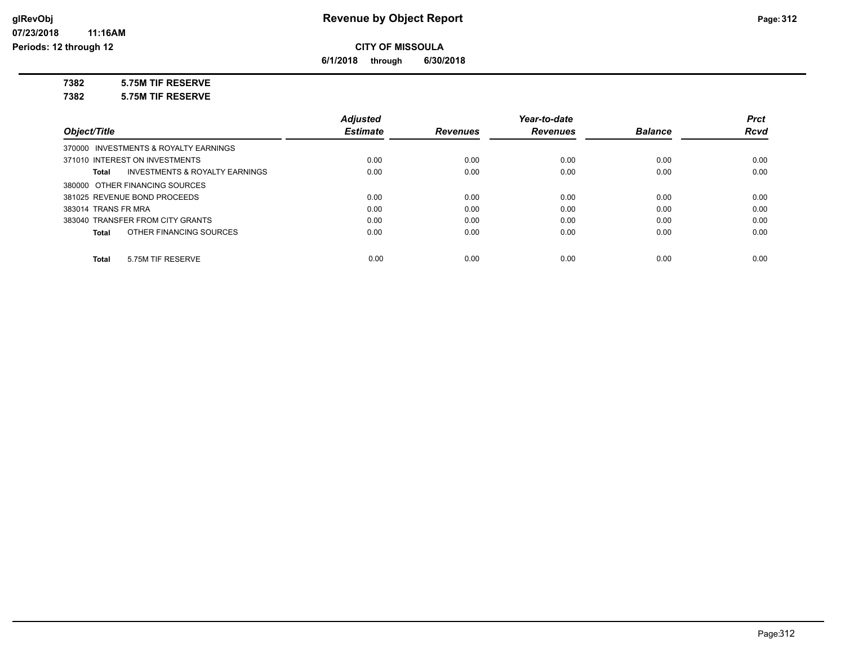**6/1/2018 through 6/30/2018**

**7382 5.75M TIF RESERVE**

**7382 5.75M TIF RESERVE**

|                                         | <b>Adjusted</b> |                 | Year-to-date    |                | <b>Prct</b> |
|-----------------------------------------|-----------------|-----------------|-----------------|----------------|-------------|
| Object/Title                            | <b>Estimate</b> | <b>Revenues</b> | <b>Revenues</b> | <b>Balance</b> | <b>Rcvd</b> |
| 370000 INVESTMENTS & ROYALTY EARNINGS   |                 |                 |                 |                |             |
| 371010 INTEREST ON INVESTMENTS          | 0.00            | 0.00            | 0.00            | 0.00           | 0.00        |
| INVESTMENTS & ROYALTY EARNINGS<br>Total | 0.00            | 0.00            | 0.00            | 0.00           | 0.00        |
| 380000 OTHER FINANCING SOURCES          |                 |                 |                 |                |             |
| 381025 REVENUE BOND PROCEEDS            | 0.00            | 0.00            | 0.00            | 0.00           | 0.00        |
| 383014 TRANS FR MRA                     | 0.00            | 0.00            | 0.00            | 0.00           | 0.00        |
| 383040 TRANSFER FROM CITY GRANTS        | 0.00            | 0.00            | 0.00            | 0.00           | 0.00        |
| OTHER FINANCING SOURCES<br>Total        | 0.00            | 0.00            | 0.00            | 0.00           | 0.00        |
|                                         |                 |                 |                 |                |             |
| 5.75M TIF RESERVE<br>Total              | 0.00            | 0.00            | 0.00            | 0.00           | 0.00        |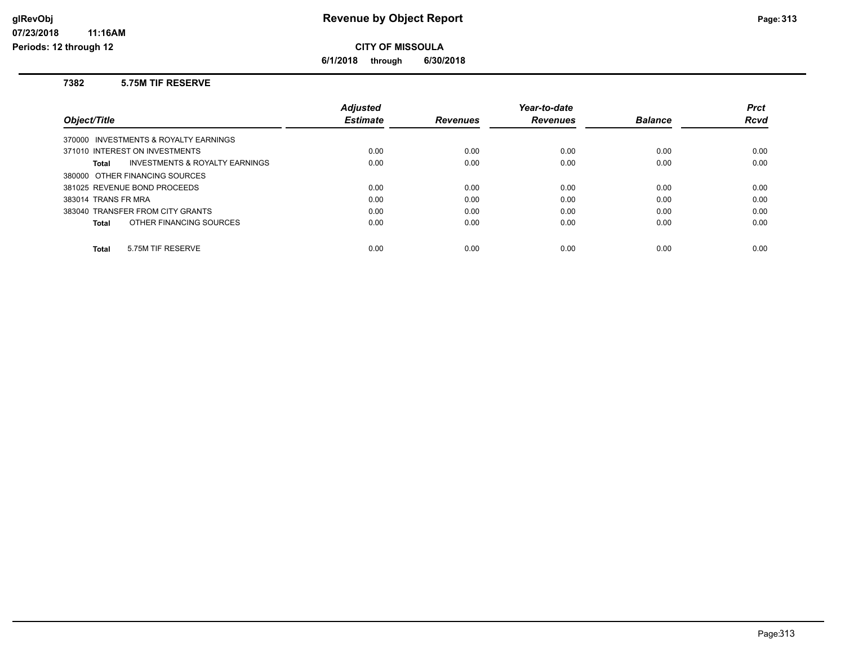**6/1/2018 through 6/30/2018**

#### **7382 5.75M TIF RESERVE**

|                                                    | <b>Adiusted</b> |                 | Year-to-date    |                | <b>Prct</b> |
|----------------------------------------------------|-----------------|-----------------|-----------------|----------------|-------------|
| Object/Title                                       | <b>Estimate</b> | <b>Revenues</b> | <b>Revenues</b> | <b>Balance</b> | <b>Rcvd</b> |
| 370000 INVESTMENTS & ROYALTY EARNINGS              |                 |                 |                 |                |             |
| 371010 INTEREST ON INVESTMENTS                     | 0.00            | 0.00            | 0.00            | 0.00           | 0.00        |
| <b>INVESTMENTS &amp; ROYALTY EARNINGS</b><br>Total | 0.00            | 0.00            | 0.00            | 0.00           | 0.00        |
| 380000 OTHER FINANCING SOURCES                     |                 |                 |                 |                |             |
| 381025 REVENUE BOND PROCEEDS                       | 0.00            | 0.00            | 0.00            | 0.00           | 0.00        |
| 383014 TRANS FR MRA                                | 0.00            | 0.00            | 0.00            | 0.00           | 0.00        |
| 383040 TRANSFER FROM CITY GRANTS                   | 0.00            | 0.00            | 0.00            | 0.00           | 0.00        |
| OTHER FINANCING SOURCES<br><b>Total</b>            | 0.00            | 0.00            | 0.00            | 0.00           | 0.00        |
| 5.75M TIF RESERVE<br><b>Total</b>                  | 0.00            | 0.00            | 0.00            | 0.00           | 0.00        |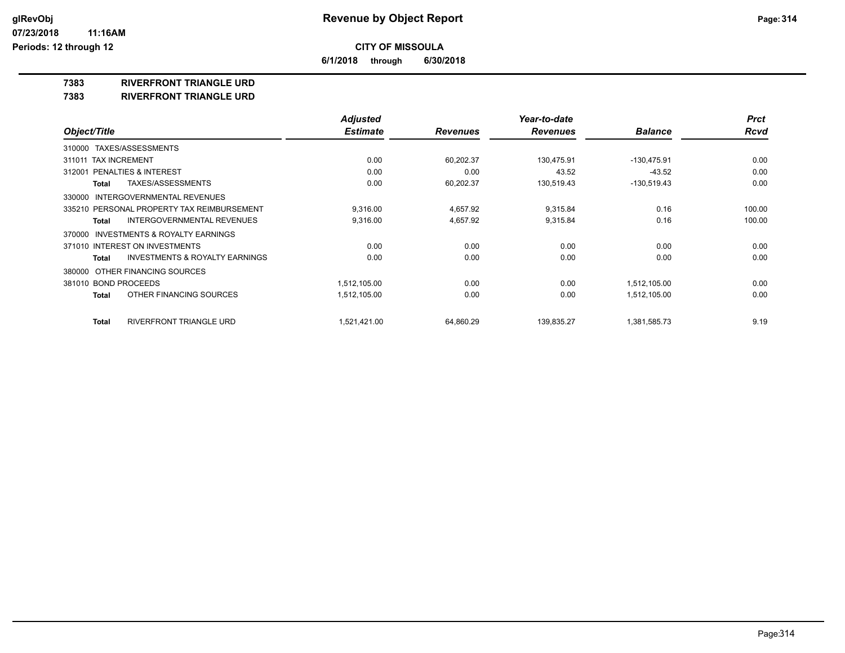**6/1/2018 through 6/30/2018**

#### **7383 RIVERFRONT TRIANGLE URD**

#### **7383 RIVERFRONT TRIANGLE URD**

|                                                    | <b>Adjusted</b> |                 | Year-to-date    |                | <b>Prct</b> |
|----------------------------------------------------|-----------------|-----------------|-----------------|----------------|-------------|
| Object/Title                                       | <b>Estimate</b> | <b>Revenues</b> | <b>Revenues</b> | <b>Balance</b> | <b>Rcvd</b> |
| TAXES/ASSESSMENTS<br>310000                        |                 |                 |                 |                |             |
| 311011 TAX INCREMENT                               | 0.00            | 60,202.37       | 130,475.91      | $-130,475.91$  | 0.00        |
| 312001 PENALTIES & INTEREST                        | 0.00            | 0.00            | 43.52           | $-43.52$       | 0.00        |
| TAXES/ASSESSMENTS<br><b>Total</b>                  | 0.00            | 60,202.37       | 130,519.43      | $-130,519.43$  | 0.00        |
| INTERGOVERNMENTAL REVENUES<br>330000               |                 |                 |                 |                |             |
| 335210 PERSONAL PROPERTY TAX REIMBURSEMENT         | 9,316.00        | 4,657.92        | 9,315.84        | 0.16           | 100.00      |
| <b>INTERGOVERNMENTAL REVENUES</b><br><b>Total</b>  | 9,316.00        | 4,657.92        | 9,315.84        | 0.16           | 100.00      |
| INVESTMENTS & ROYALTY EARNINGS<br>370000           |                 |                 |                 |                |             |
| 371010 INTEREST ON INVESTMENTS                     | 0.00            | 0.00            | 0.00            | 0.00           | 0.00        |
| <b>INVESTMENTS &amp; ROYALTY EARNINGS</b><br>Total | 0.00            | 0.00            | 0.00            | 0.00           | 0.00        |
| OTHER FINANCING SOURCES<br>380000                  |                 |                 |                 |                |             |
| 381010 BOND PROCEEDS                               | 1,512,105.00    | 0.00            | 0.00            | 1,512,105.00   | 0.00        |
| OTHER FINANCING SOURCES<br><b>Total</b>            | 1,512,105.00    | 0.00            | 0.00            | 1,512,105.00   | 0.00        |
| <b>RIVERFRONT TRIANGLE URD</b><br><b>Total</b>     | 1,521,421.00    | 64,860.29       | 139,835.27      | 1,381,585.73   | 9.19        |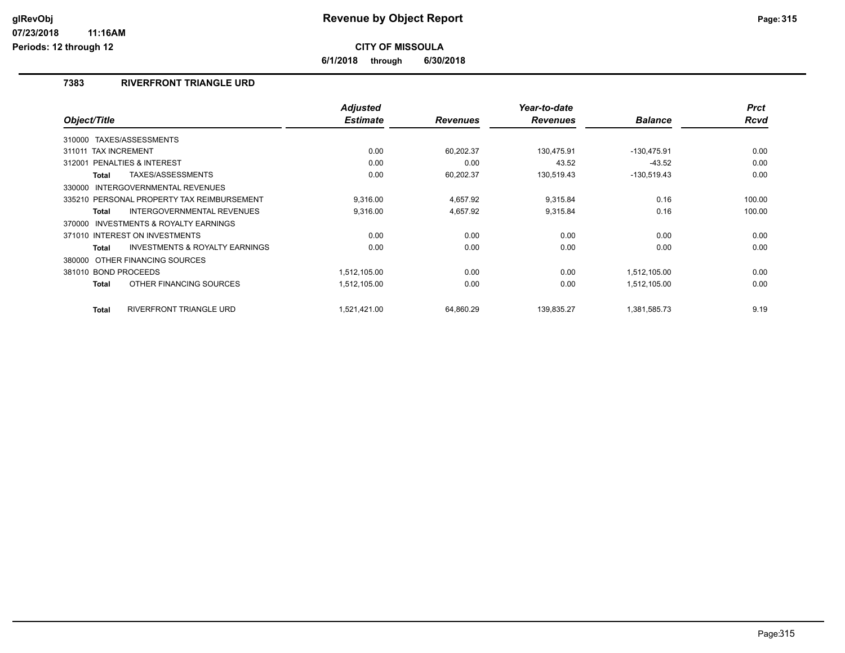**6/1/2018 through 6/30/2018**

### **7383 RIVERFRONT TRIANGLE URD**

|                                                    | <b>Adjusted</b> |                 | Year-to-date    |                | <b>Prct</b> |
|----------------------------------------------------|-----------------|-----------------|-----------------|----------------|-------------|
| Object/Title                                       | <b>Estimate</b> | <b>Revenues</b> | <b>Revenues</b> | <b>Balance</b> | <b>Rcvd</b> |
| TAXES/ASSESSMENTS<br>310000                        |                 |                 |                 |                |             |
| 311011 TAX INCREMENT                               | 0.00            | 60,202.37       | 130,475.91      | $-130,475.91$  | 0.00        |
| 312001 PENALTIES & INTEREST                        | 0.00            | 0.00            | 43.52           | $-43.52$       | 0.00        |
| TAXES/ASSESSMENTS<br><b>Total</b>                  | 0.00            | 60,202.37       | 130,519.43      | $-130,519.43$  | 0.00        |
| INTERGOVERNMENTAL REVENUES<br>330000               |                 |                 |                 |                |             |
| 335210 PERSONAL PROPERTY TAX REIMBURSEMENT         | 9,316.00        | 4,657.92        | 9,315.84        | 0.16           | 100.00      |
| <b>INTERGOVERNMENTAL REVENUES</b><br><b>Total</b>  | 9,316.00        | 4,657.92        | 9,315.84        | 0.16           | 100.00      |
| INVESTMENTS & ROYALTY EARNINGS<br>370000           |                 |                 |                 |                |             |
| 371010 INTEREST ON INVESTMENTS                     | 0.00            | 0.00            | 0.00            | 0.00           | 0.00        |
| <b>INVESTMENTS &amp; ROYALTY EARNINGS</b><br>Total | 0.00            | 0.00            | 0.00            | 0.00           | 0.00        |
| 380000 OTHER FINANCING SOURCES                     |                 |                 |                 |                |             |
| 381010 BOND PROCEEDS                               | 1,512,105.00    | 0.00            | 0.00            | 1,512,105.00   | 0.00        |
| OTHER FINANCING SOURCES<br>Total                   | 1,512,105.00    | 0.00            | 0.00            | 1,512,105.00   | 0.00        |
| <b>RIVERFRONT TRIANGLE URD</b><br><b>Total</b>     | 1,521,421.00    | 64,860.29       | 139,835.27      | 1,381,585.73   | 9.19        |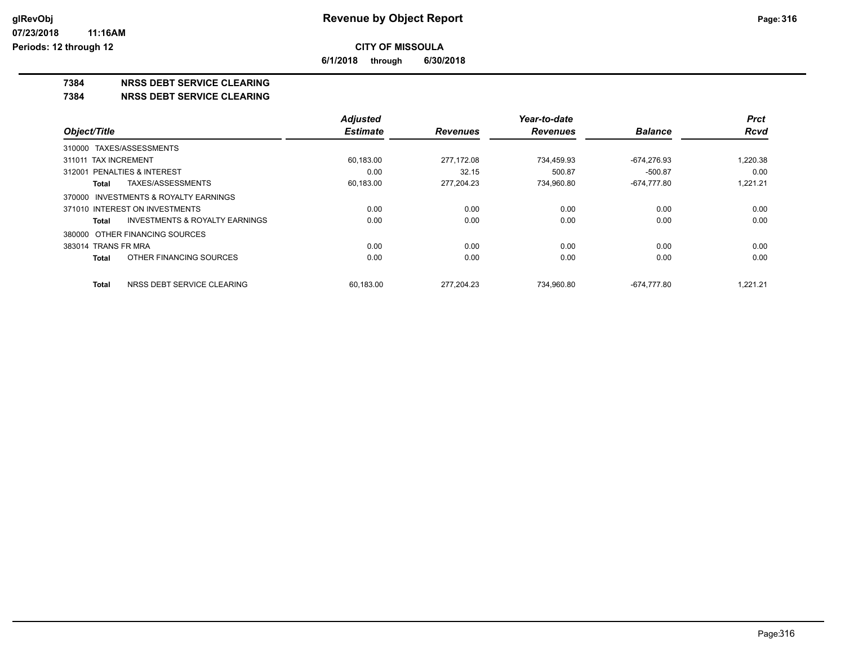**6/1/2018 through 6/30/2018**

## **7384 NRSS DEBT SERVICE CLEARING**

**7384 NRSS DEBT SERVICE CLEARING**

|                                         | <b>Adjusted</b> |                 | Year-to-date    |                | <b>Prct</b> |
|-----------------------------------------|-----------------|-----------------|-----------------|----------------|-------------|
| Object/Title                            | <b>Estimate</b> | <b>Revenues</b> | <b>Revenues</b> | <b>Balance</b> | <b>Rcvd</b> |
| 310000 TAXES/ASSESSMENTS                |                 |                 |                 |                |             |
| 311011 TAX INCREMENT                    | 60,183.00       | 277.172.08      | 734,459.93      | -674.276.93    | 1,220.38    |
| 312001 PENALTIES & INTEREST             | 0.00            | 32.15           | 500.87          | $-500.87$      | 0.00        |
| TAXES/ASSESSMENTS<br>Total              | 60,183.00       | 277.204.23      | 734,960.80      | -674.777.80    | 1.221.21    |
| 370000 INVESTMENTS & ROYALTY EARNINGS   |                 |                 |                 |                |             |
| 371010 INTEREST ON INVESTMENTS          | 0.00            | 0.00            | 0.00            | 0.00           | 0.00        |
| INVESTMENTS & ROYALTY EARNINGS<br>Total | 0.00            | 0.00            | 0.00            | 0.00           | 0.00        |
| 380000 OTHER FINANCING SOURCES          |                 |                 |                 |                |             |
| 383014 TRANS FR MRA                     | 0.00            | 0.00            | 0.00            | 0.00           | 0.00        |
| OTHER FINANCING SOURCES<br>Total        | 0.00            | 0.00            | 0.00            | 0.00           | 0.00        |
| NRSS DEBT SERVICE CLEARING<br>Total     | 60.183.00       | 277.204.23      | 734.960.80      | -674.777.80    | 1.221.21    |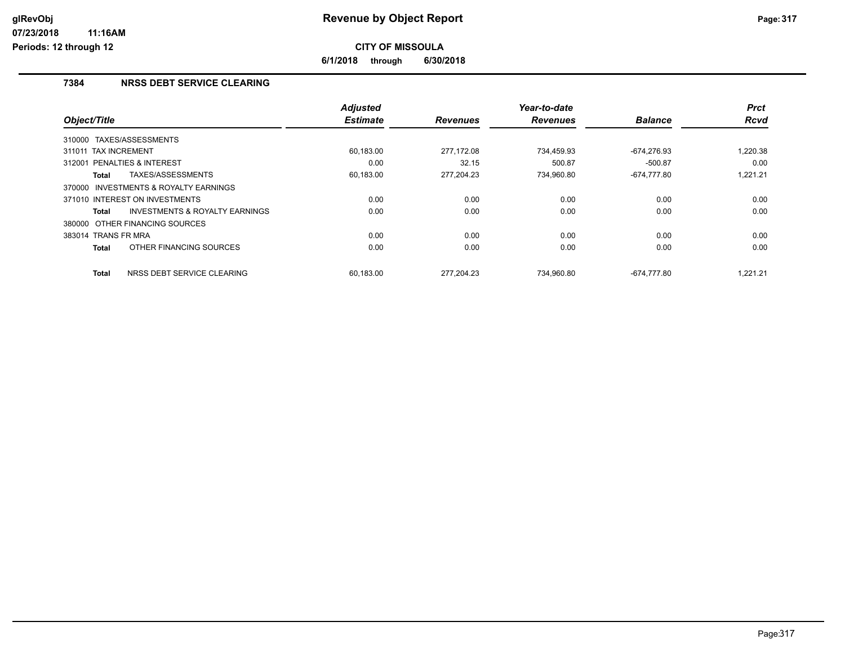**6/1/2018 through 6/30/2018**

### **7384 NRSS DEBT SERVICE CLEARING**

|                                            | <b>Adjusted</b><br><b>Estimate</b> |                 | Year-to-date    |                | <b>Prct</b> |
|--------------------------------------------|------------------------------------|-----------------|-----------------|----------------|-------------|
| Object/Title                               |                                    | <b>Revenues</b> | <b>Revenues</b> | <b>Balance</b> | Rcvd        |
| TAXES/ASSESSMENTS<br>310000                |                                    |                 |                 |                |             |
| <b>TAX INCREMENT</b><br>311011             | 60,183.00                          | 277,172.08      | 734,459.93      | -674,276.93    | 1,220.38    |
| PENALTIES & INTEREST<br>312001             | 0.00                               | 32.15           | 500.87          | $-500.87$      | 0.00        |
| TAXES/ASSESSMENTS<br><b>Total</b>          | 60,183.00                          | 277,204.23      | 734,960.80      | -674,777.80    | 1.221.21    |
| 370000 INVESTMENTS & ROYALTY EARNINGS      |                                    |                 |                 |                |             |
| 371010 INTEREST ON INVESTMENTS             | 0.00                               | 0.00            | 0.00            | 0.00           | 0.00        |
| INVESTMENTS & ROYALTY EARNINGS<br>Total    | 0.00                               | 0.00            | 0.00            | 0.00           | 0.00        |
| 380000 OTHER FINANCING SOURCES             |                                    |                 |                 |                |             |
| 383014 TRANS FR MRA                        | 0.00                               | 0.00            | 0.00            | 0.00           | 0.00        |
| OTHER FINANCING SOURCES<br><b>Total</b>    | 0.00                               | 0.00            | 0.00            | 0.00           | 0.00        |
| NRSS DEBT SERVICE CLEARING<br><b>Total</b> | 60.183.00                          | 277.204.23      | 734.960.80      | -674.777.80    | 1.221.21    |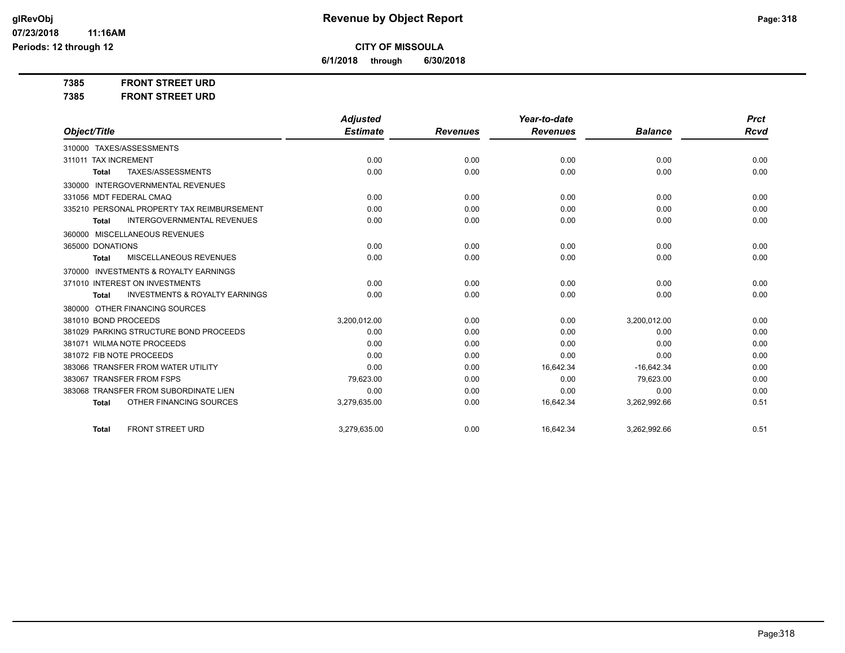**6/1/2018 through 6/30/2018**

**7385 FRONT STREET URD**

**7385 FRONT STREET URD**

|                                                     | <b>Adjusted</b> |                 | Year-to-date    |                | <b>Prct</b> |
|-----------------------------------------------------|-----------------|-----------------|-----------------|----------------|-------------|
| Object/Title                                        | <b>Estimate</b> | <b>Revenues</b> | <b>Revenues</b> | <b>Balance</b> | <b>Rcvd</b> |
| 310000 TAXES/ASSESSMENTS                            |                 |                 |                 |                |             |
| 311011 TAX INCREMENT                                | 0.00            | 0.00            | 0.00            | 0.00           | 0.00        |
| TAXES/ASSESSMENTS<br><b>Total</b>                   | 0.00            | 0.00            | 0.00            | 0.00           | 0.00        |
| <b>INTERGOVERNMENTAL REVENUES</b><br>330000         |                 |                 |                 |                |             |
| 331056 MDT FEDERAL CMAQ                             | 0.00            | 0.00            | 0.00            | 0.00           | 0.00        |
| 335210 PERSONAL PROPERTY TAX REIMBURSEMENT          | 0.00            | 0.00            | 0.00            | 0.00           | 0.00        |
| <b>INTERGOVERNMENTAL REVENUES</b><br><b>Total</b>   | 0.00            | 0.00            | 0.00            | 0.00           | 0.00        |
| 360000 MISCELLANEOUS REVENUES                       |                 |                 |                 |                |             |
| 365000 DONATIONS                                    | 0.00            | 0.00            | 0.00            | 0.00           | 0.00        |
| MISCELLANEOUS REVENUES<br><b>Total</b>              | 0.00            | 0.00            | 0.00            | 0.00           | 0.00        |
| <b>INVESTMENTS &amp; ROYALTY EARNINGS</b><br>370000 |                 |                 |                 |                |             |
| 371010 INTEREST ON INVESTMENTS                      | 0.00            | 0.00            | 0.00            | 0.00           | 0.00        |
| <b>INVESTMENTS &amp; ROYALTY EARNINGS</b><br>Total  | 0.00            | 0.00            | 0.00            | 0.00           | 0.00        |
| 380000 OTHER FINANCING SOURCES                      |                 |                 |                 |                |             |
| 381010 BOND PROCEEDS                                | 3,200,012.00    | 0.00            | 0.00            | 3,200,012.00   | 0.00        |
| 381029 PARKING STRUCTURE BOND PROCEEDS              | 0.00            | 0.00            | 0.00            | 0.00           | 0.00        |
| 381071 WILMA NOTE PROCEEDS                          | 0.00            | 0.00            | 0.00            | 0.00           | 0.00        |
| 381072 FIB NOTE PROCEEDS                            | 0.00            | 0.00            | 0.00            | 0.00           | 0.00        |
| 383066 TRANSFER FROM WATER UTILITY                  | 0.00            | 0.00            | 16,642.34       | $-16,642.34$   | 0.00        |
| 383067 TRANSFER FROM FSPS                           | 79,623.00       | 0.00            | 0.00            | 79,623.00      | 0.00        |
| 383068 TRANSFER FROM SUBORDINATE LIEN               | 0.00            | 0.00            | 0.00            | 0.00           | 0.00        |
| OTHER FINANCING SOURCES<br><b>Total</b>             | 3,279,635.00    | 0.00            | 16,642.34       | 3,262,992.66   | 0.51        |
| <b>FRONT STREET URD</b><br><b>Total</b>             | 3,279,635.00    | 0.00            | 16,642.34       | 3,262,992.66   | 0.51        |
|                                                     |                 |                 |                 |                |             |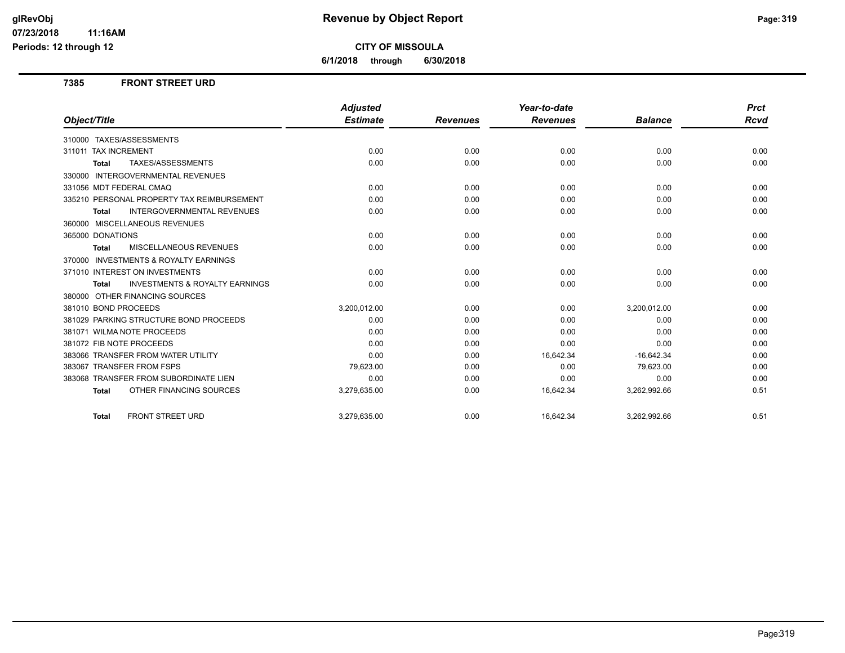**6/1/2018 through 6/30/2018**

#### **7385 FRONT STREET URD**

|                                                           | <b>Adjusted</b> |                 | Year-to-date    |                | <b>Prct</b> |
|-----------------------------------------------------------|-----------------|-----------------|-----------------|----------------|-------------|
| Object/Title                                              | <b>Estimate</b> | <b>Revenues</b> | <b>Revenues</b> | <b>Balance</b> | <b>Rcvd</b> |
| 310000 TAXES/ASSESSMENTS                                  |                 |                 |                 |                |             |
| 311011 TAX INCREMENT                                      | 0.00            | 0.00            | 0.00            | 0.00           | 0.00        |
| TAXES/ASSESSMENTS<br><b>Total</b>                         | 0.00            | 0.00            | 0.00            | 0.00           | 0.00        |
| 330000 INTERGOVERNMENTAL REVENUES                         |                 |                 |                 |                |             |
| 331056 MDT FEDERAL CMAQ                                   | 0.00            | 0.00            | 0.00            | 0.00           | 0.00        |
| 335210 PERSONAL PROPERTY TAX REIMBURSEMENT                | 0.00            | 0.00            | 0.00            | 0.00           | 0.00        |
| <b>INTERGOVERNMENTAL REVENUES</b><br><b>Total</b>         | 0.00            | 0.00            | 0.00            | 0.00           | 0.00        |
| 360000 MISCELLANEOUS REVENUES                             |                 |                 |                 |                |             |
| 365000 DONATIONS                                          | 0.00            | 0.00            | 0.00            | 0.00           | 0.00        |
| <b>MISCELLANEOUS REVENUES</b><br><b>Total</b>             | 0.00            | 0.00            | 0.00            | 0.00           | 0.00        |
| 370000 INVESTMENTS & ROYALTY EARNINGS                     |                 |                 |                 |                |             |
| 371010 INTEREST ON INVESTMENTS                            | 0.00            | 0.00            | 0.00            | 0.00           | 0.00        |
| <b>INVESTMENTS &amp; ROYALTY EARNINGS</b><br><b>Total</b> | 0.00            | 0.00            | 0.00            | 0.00           | 0.00        |
| 380000 OTHER FINANCING SOURCES                            |                 |                 |                 |                |             |
| 381010 BOND PROCEEDS                                      | 3,200,012.00    | 0.00            | 0.00            | 3,200,012.00   | 0.00        |
| 381029 PARKING STRUCTURE BOND PROCEEDS                    | 0.00            | 0.00            | 0.00            | 0.00           | 0.00        |
| 381071 WILMA NOTE PROCEEDS                                | 0.00            | 0.00            | 0.00            | 0.00           | 0.00        |
| 381072 FIB NOTE PROCEEDS                                  | 0.00            | 0.00            | 0.00            | 0.00           | 0.00        |
| 383066 TRANSFER FROM WATER UTILITY                        | 0.00            | 0.00            | 16,642.34       | $-16,642.34$   | 0.00        |
| 383067 TRANSFER FROM FSPS                                 | 79,623.00       | 0.00            | 0.00            | 79,623.00      | 0.00        |
| 383068 TRANSFER FROM SUBORDINATE LIEN                     | 0.00            | 0.00            | 0.00            | 0.00           | 0.00        |
| OTHER FINANCING SOURCES<br><b>Total</b>                   | 3,279,635.00    | 0.00            | 16,642.34       | 3,262,992.66   | 0.51        |
| <b>FRONT STREET URD</b><br><b>Total</b>                   | 3.279.635.00    | 0.00            | 16.642.34       | 3,262,992.66   | 0.51        |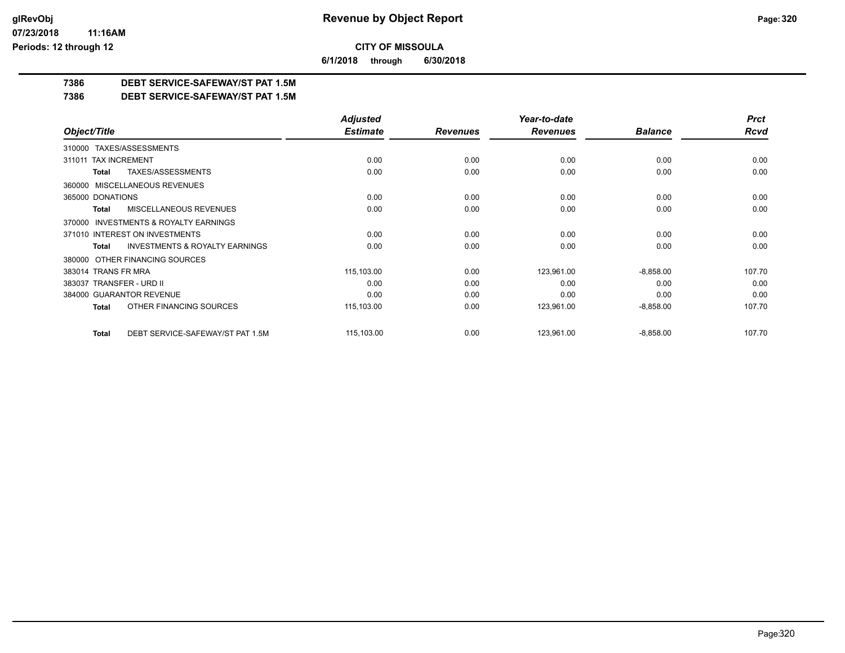**6/1/2018 through 6/30/2018**

## **7386 DEBT SERVICE-SAFEWAY/ST PAT 1.5M**

#### **7386 DEBT SERVICE-SAFEWAY/ST PAT 1.5M**

|                                                     | <b>Adjusted</b> |                 | Year-to-date    |                | <b>Prct</b> |
|-----------------------------------------------------|-----------------|-----------------|-----------------|----------------|-------------|
| Object/Title                                        | <b>Estimate</b> | <b>Revenues</b> | <b>Revenues</b> | <b>Balance</b> | <b>Rcvd</b> |
| 310000 TAXES/ASSESSMENTS                            |                 |                 |                 |                |             |
| <b>TAX INCREMENT</b><br>311011                      | 0.00            | 0.00            | 0.00            | 0.00           | 0.00        |
| TAXES/ASSESSMENTS<br>Total                          | 0.00            | 0.00            | 0.00            | 0.00           | 0.00        |
| 360000 MISCELLANEOUS REVENUES                       |                 |                 |                 |                |             |
| 365000 DONATIONS                                    | 0.00            | 0.00            | 0.00            | 0.00           | 0.00        |
| <b>MISCELLANEOUS REVENUES</b><br>Total              | 0.00            | 0.00            | 0.00            | 0.00           | 0.00        |
| <b>INVESTMENTS &amp; ROYALTY EARNINGS</b><br>370000 |                 |                 |                 |                |             |
| 371010 INTEREST ON INVESTMENTS                      | 0.00            | 0.00            | 0.00            | 0.00           | 0.00        |
| <b>INVESTMENTS &amp; ROYALTY EARNINGS</b><br>Total  | 0.00            | 0.00            | 0.00            | 0.00           | 0.00        |
| OTHER FINANCING SOURCES<br>380000                   |                 |                 |                 |                |             |
| 383014 TRANS FR MRA                                 | 115,103.00      | 0.00            | 123,961.00      | $-8,858.00$    | 107.70      |
| 383037 TRANSFER - URD II                            | 0.00            | 0.00            | 0.00            | 0.00           | 0.00        |
| 384000 GUARANTOR REVENUE                            | 0.00            | 0.00            | 0.00            | 0.00           | 0.00        |
| OTHER FINANCING SOURCES<br>Total                    | 115,103.00      | 0.00            | 123,961.00      | $-8,858.00$    | 107.70      |
| DEBT SERVICE-SAFEWAY/ST PAT 1.5M<br><b>Total</b>    | 115,103.00      | 0.00            | 123,961.00      | $-8,858.00$    | 107.70      |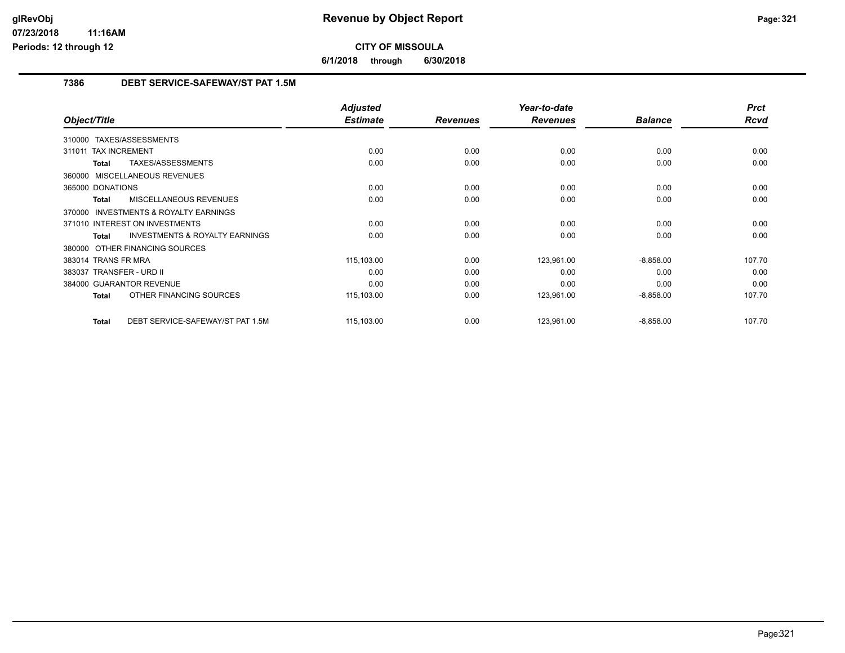**6/1/2018 through 6/30/2018**

### **7386 DEBT SERVICE-SAFEWAY/ST PAT 1.5M**

|                                                           | <b>Adjusted</b> |                 | Year-to-date    |                | <b>Prct</b> |
|-----------------------------------------------------------|-----------------|-----------------|-----------------|----------------|-------------|
| Object/Title                                              | <b>Estimate</b> | <b>Revenues</b> | <b>Revenues</b> | <b>Balance</b> | <b>Rcvd</b> |
| 310000 TAXES/ASSESSMENTS                                  |                 |                 |                 |                |             |
| <b>TAX INCREMENT</b><br>311011                            | 0.00            | 0.00            | 0.00            | 0.00           | 0.00        |
| TAXES/ASSESSMENTS<br><b>Total</b>                         | 0.00            | 0.00            | 0.00            | 0.00           | 0.00        |
| 360000 MISCELLANEOUS REVENUES                             |                 |                 |                 |                |             |
| 365000 DONATIONS                                          | 0.00            | 0.00            | 0.00            | 0.00           | 0.00        |
| MISCELLANEOUS REVENUES<br><b>Total</b>                    | 0.00            | 0.00            | 0.00            | 0.00           | 0.00        |
| 370000 INVESTMENTS & ROYALTY EARNINGS                     |                 |                 |                 |                |             |
| 371010 INTEREST ON INVESTMENTS                            | 0.00            | 0.00            | 0.00            | 0.00           | 0.00        |
| <b>INVESTMENTS &amp; ROYALTY EARNINGS</b><br><b>Total</b> | 0.00            | 0.00            | 0.00            | 0.00           | 0.00        |
| 380000 OTHER FINANCING SOURCES                            |                 |                 |                 |                |             |
| 383014 TRANS FR MRA                                       | 115,103.00      | 0.00            | 123,961.00      | $-8,858.00$    | 107.70      |
| 383037 TRANSFER - URD II                                  | 0.00            | 0.00            | 0.00            | 0.00           | 0.00        |
| 384000 GUARANTOR REVENUE                                  | 0.00            | 0.00            | 0.00            | 0.00           | 0.00        |
| OTHER FINANCING SOURCES<br><b>Total</b>                   | 115,103.00      | 0.00            | 123,961.00      | $-8,858.00$    | 107.70      |
| DEBT SERVICE-SAFEWAY/ST PAT 1.5M<br><b>Total</b>          | 115,103.00      | 0.00            | 123,961.00      | $-8,858.00$    | 107.70      |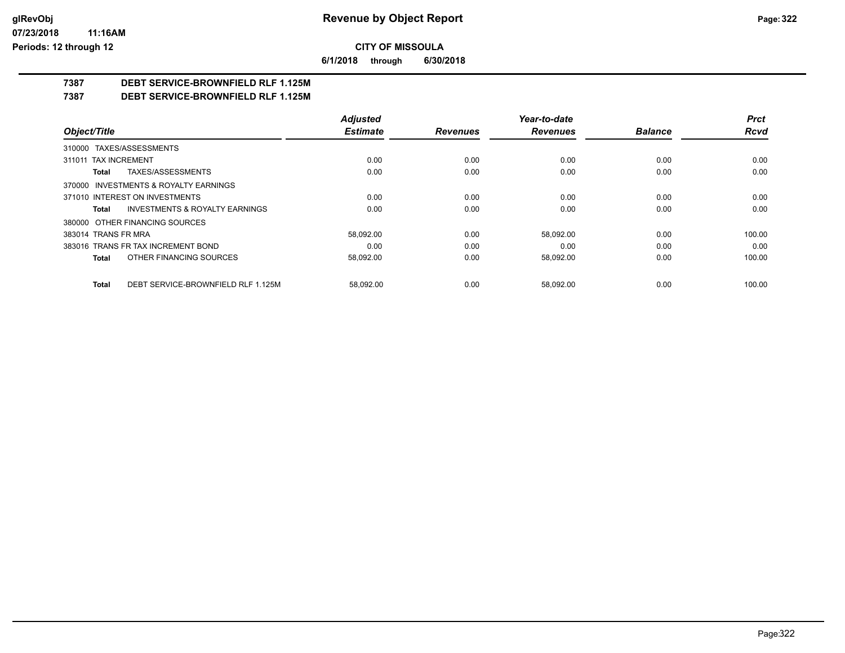**6/1/2018 through 6/30/2018**

# **7387 DEBT SERVICE-BROWNFIELD RLF 1.125M**

**7387 DEBT SERVICE-BROWNFIELD RLF 1.125M**

|                                                    | <b>Adjusted</b> |                 | Year-to-date    |                | <b>Prct</b> |
|----------------------------------------------------|-----------------|-----------------|-----------------|----------------|-------------|
| Object/Title                                       | <b>Estimate</b> | <b>Revenues</b> | <b>Revenues</b> | <b>Balance</b> | <b>Rcvd</b> |
| TAXES/ASSESSMENTS<br>310000                        |                 |                 |                 |                |             |
| 311011 TAX INCREMENT                               | 0.00            | 0.00            | 0.00            | 0.00           | 0.00        |
| TAXES/ASSESSMENTS<br>Total                         | 0.00            | 0.00            | 0.00            | 0.00           | 0.00        |
| 370000 INVESTMENTS & ROYALTY EARNINGS              |                 |                 |                 |                |             |
| 371010 INTEREST ON INVESTMENTS                     | 0.00            | 0.00            | 0.00            | 0.00           | 0.00        |
| <b>INVESTMENTS &amp; ROYALTY EARNINGS</b><br>Total | 0.00            | 0.00            | 0.00            | 0.00           | 0.00        |
| 380000 OTHER FINANCING SOURCES                     |                 |                 |                 |                |             |
| 383014 TRANS FR MRA                                | 58,092.00       | 0.00            | 58.092.00       | 0.00           | 100.00      |
| 383016 TRANS FR TAX INCREMENT BOND                 | 0.00            | 0.00            | 0.00            | 0.00           | 0.00        |
| OTHER FINANCING SOURCES<br>Total                   | 58,092.00       | 0.00            | 58,092.00       | 0.00           | 100.00      |
| DEBT SERVICE-BROWNFIELD RLF 1.125M<br>Total        | 58.092.00       | 0.00            | 58.092.00       | 0.00           | 100.00      |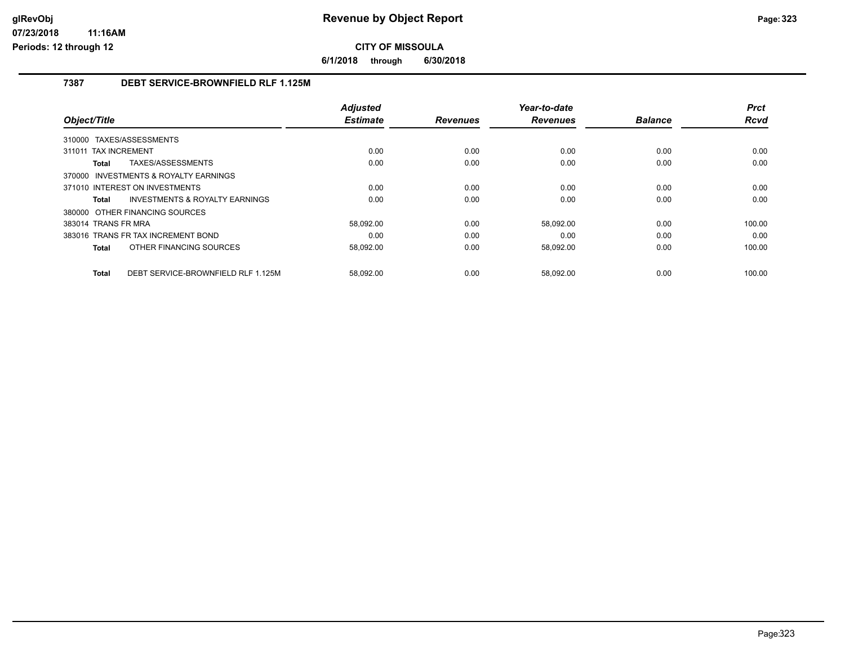**6/1/2018 through 6/30/2018**

#### **7387 DEBT SERVICE-BROWNFIELD RLF 1.125M**

|                                                           | <b>Adjusted</b> |                 | Year-to-date    |                | <b>Prct</b> |
|-----------------------------------------------------------|-----------------|-----------------|-----------------|----------------|-------------|
| Object/Title                                              | <b>Estimate</b> | <b>Revenues</b> | <b>Revenues</b> | <b>Balance</b> | <b>Rcvd</b> |
| 310000 TAXES/ASSESSMENTS                                  |                 |                 |                 |                |             |
| 311011 TAX INCREMENT                                      | 0.00            | 0.00            | 0.00            | 0.00           | 0.00        |
| TAXES/ASSESSMENTS<br>Total                                | 0.00            | 0.00            | 0.00            | 0.00           | 0.00        |
| 370000 INVESTMENTS & ROYALTY EARNINGS                     |                 |                 |                 |                |             |
| 371010 INTEREST ON INVESTMENTS                            | 0.00            | 0.00            | 0.00            | 0.00           | 0.00        |
| <b>INVESTMENTS &amp; ROYALTY EARNINGS</b><br><b>Total</b> | 0.00            | 0.00            | 0.00            | 0.00           | 0.00        |
| 380000 OTHER FINANCING SOURCES                            |                 |                 |                 |                |             |
| 383014 TRANS FR MRA                                       | 58.092.00       | 0.00            | 58.092.00       | 0.00           | 100.00      |
| 383016 TRANS FR TAX INCREMENT BOND                        | 0.00            | 0.00            | 0.00            | 0.00           | 0.00        |
| OTHER FINANCING SOURCES<br><b>Total</b>                   | 58,092.00       | 0.00            | 58,092.00       | 0.00           | 100.00      |
| DEBT SERVICE-BROWNFIELD RLF 1.125M<br>Total               | 58.092.00       | 0.00            | 58.092.00       | 0.00           | 100.00      |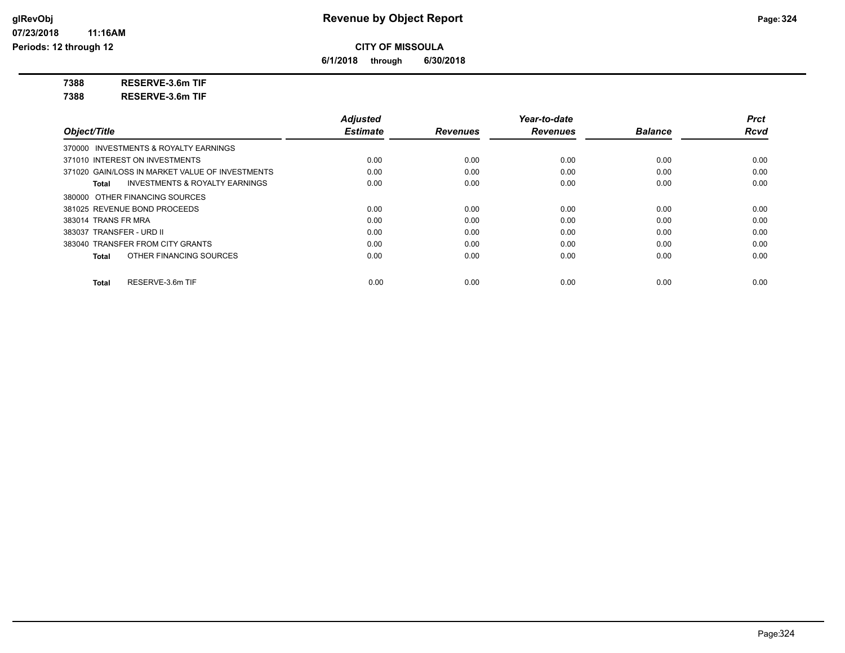**6/1/2018 through 6/30/2018**

**7388 RESERVE-3.6m TIF**

**7388 RESERVE-3.6m TIF**

|                                                    | <b>Adiusted</b> |                 | Year-to-date    |                | <b>Prct</b> |
|----------------------------------------------------|-----------------|-----------------|-----------------|----------------|-------------|
| Object/Title                                       | <b>Estimate</b> | <b>Revenues</b> | <b>Revenues</b> | <b>Balance</b> | <b>Rcvd</b> |
| 370000 INVESTMENTS & ROYALTY EARNINGS              |                 |                 |                 |                |             |
| 371010 INTEREST ON INVESTMENTS                     | 0.00            | 0.00            | 0.00            | 0.00           | 0.00        |
| 371020 GAIN/LOSS IN MARKET VALUE OF INVESTMENTS    | 0.00            | 0.00            | 0.00            | 0.00           | 0.00        |
| <b>INVESTMENTS &amp; ROYALTY EARNINGS</b><br>Total | 0.00            | 0.00            | 0.00            | 0.00           | 0.00        |
| 380000 OTHER FINANCING SOURCES                     |                 |                 |                 |                |             |
| 381025 REVENUE BOND PROCEEDS                       | 0.00            | 0.00            | 0.00            | 0.00           | 0.00        |
| 383014 TRANS FR MRA                                | 0.00            | 0.00            | 0.00            | 0.00           | 0.00        |
| 383037 TRANSFER - URD II                           | 0.00            | 0.00            | 0.00            | 0.00           | 0.00        |
| 383040 TRANSFER FROM CITY GRANTS                   | 0.00            | 0.00            | 0.00            | 0.00           | 0.00        |
| OTHER FINANCING SOURCES<br>Total                   | 0.00            | 0.00            | 0.00            | 0.00           | 0.00        |
| RESERVE-3.6m TIF<br><b>Total</b>                   | 0.00            | 0.00            | 0.00            | 0.00           | 0.00        |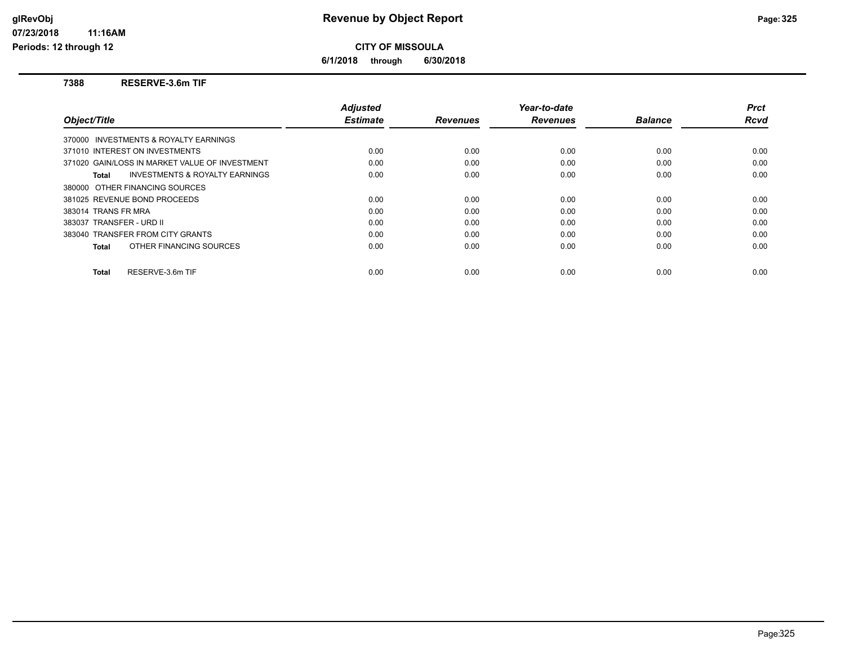**6/1/2018 through 6/30/2018**

#### **7388 RESERVE-3.6m TIF**

|                                                           | <b>Adjusted</b> |                 | Year-to-date    |                | <b>Prct</b> |
|-----------------------------------------------------------|-----------------|-----------------|-----------------|----------------|-------------|
| Object/Title                                              | <b>Estimate</b> | <b>Revenues</b> | <b>Revenues</b> | <b>Balance</b> | <b>Rcvd</b> |
| 370000 INVESTMENTS & ROYALTY EARNINGS                     |                 |                 |                 |                |             |
| 371010 INTEREST ON INVESTMENTS                            | 0.00            | 0.00            | 0.00            | 0.00           | 0.00        |
| 371020 GAIN/LOSS IN MARKET VALUE OF INVESTMENT            | 0.00            | 0.00            | 0.00            | 0.00           | 0.00        |
| <b>INVESTMENTS &amp; ROYALTY EARNINGS</b><br><b>Total</b> | 0.00            | 0.00            | 0.00            | 0.00           | 0.00        |
| 380000 OTHER FINANCING SOURCES                            |                 |                 |                 |                |             |
| 381025 REVENUE BOND PROCEEDS                              | 0.00            | 0.00            | 0.00            | 0.00           | 0.00        |
| 383014 TRANS FR MRA                                       | 0.00            | 0.00            | 0.00            | 0.00           | 0.00        |
| 383037 TRANSFER - URD II                                  | 0.00            | 0.00            | 0.00            | 0.00           | 0.00        |
| 383040 TRANSFER FROM CITY GRANTS                          | 0.00            | 0.00            | 0.00            | 0.00           | 0.00        |
| OTHER FINANCING SOURCES<br><b>Total</b>                   | 0.00            | 0.00            | 0.00            | 0.00           | 0.00        |
| RESERVE-3.6m TIF<br><b>Total</b>                          | 0.00            | 0.00            | 0.00            | 0.00           | 0.00        |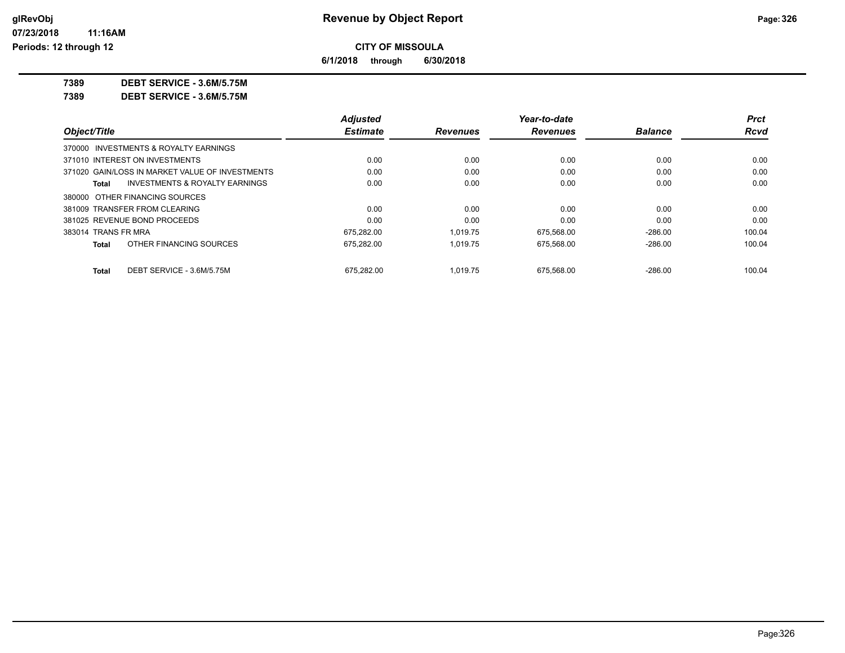**6/1/2018 through 6/30/2018**

**7389 DEBT SERVICE - 3.6M/5.75M**

**7389 DEBT SERVICE - 3.6M/5.75M**

|                                                 |                                | <b>Adjusted</b> |                 | Year-to-date    |                | <b>Prct</b> |
|-------------------------------------------------|--------------------------------|-----------------|-----------------|-----------------|----------------|-------------|
| Object/Title                                    |                                | <b>Estimate</b> | <b>Revenues</b> | <b>Revenues</b> | <b>Balance</b> | Rcvd        |
| 370000 INVESTMENTS & ROYALTY EARNINGS           |                                |                 |                 |                 |                |             |
| 371010 INTEREST ON INVESTMENTS                  |                                | 0.00            | 0.00            | 0.00            | 0.00           | 0.00        |
| 371020 GAIN/LOSS IN MARKET VALUE OF INVESTMENTS |                                | 0.00            | 0.00            | 0.00            | 0.00           | 0.00        |
| Total                                           | INVESTMENTS & ROYALTY EARNINGS | 0.00            | 0.00            | 0.00            | 0.00           | 0.00        |
| 380000 OTHER FINANCING SOURCES                  |                                |                 |                 |                 |                |             |
| 381009 TRANSFER FROM CLEARING                   |                                | 0.00            | 0.00            | 0.00            | 0.00           | 0.00        |
| 381025 REVENUE BOND PROCEEDS                    |                                | 0.00            | 0.00            | 0.00            | 0.00           | 0.00        |
| 383014 TRANS FR MRA                             |                                | 675.282.00      | 1.019.75        | 675.568.00      | $-286.00$      | 100.04      |
| <b>Total</b>                                    | OTHER FINANCING SOURCES        | 675,282.00      | 1.019.75        | 675.568.00      | $-286.00$      | 100.04      |
| <b>Total</b>                                    | DEBT SERVICE - 3.6M/5.75M      | 675.282.00      | 1.019.75        | 675.568.00      | $-286.00$      | 100.04      |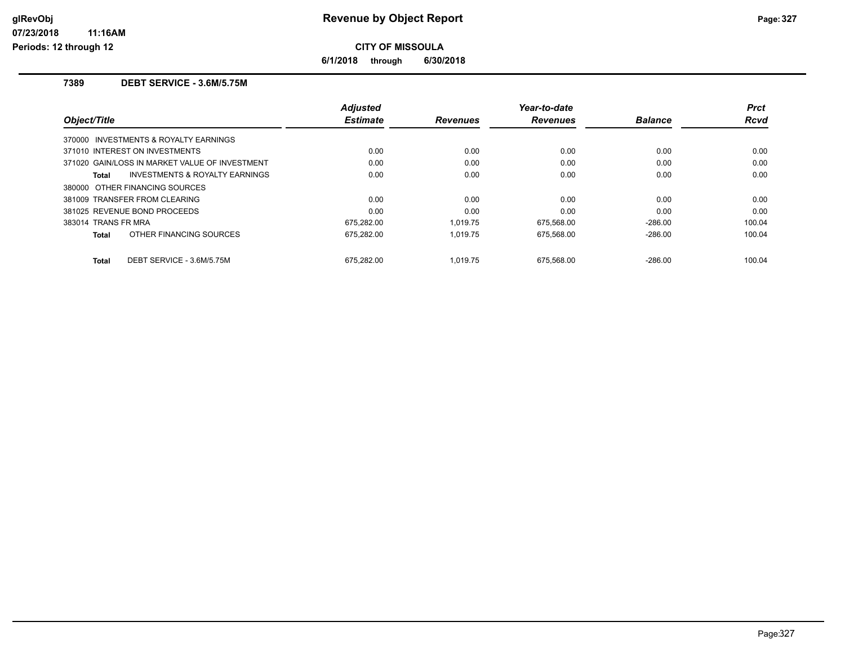**Periods: 12 through 12**

**CITY OF MISSOULA**

**6/1/2018 through 6/30/2018**

#### **7389 DEBT SERVICE - 3.6M/5.75M**

| Object/Title                   |                                                | <b>Adjusted</b><br><b>Estimate</b> | <b>Revenues</b> | Year-to-date<br><b>Revenues</b> | <b>Balance</b> | <b>Prct</b><br><b>Rcvd</b> |
|--------------------------------|------------------------------------------------|------------------------------------|-----------------|---------------------------------|----------------|----------------------------|
|                                | 370000 INVESTMENTS & ROYALTY EARNINGS          |                                    |                 |                                 |                |                            |
| 371010 INTEREST ON INVESTMENTS |                                                | 0.00                               | 0.00            | 0.00                            | 0.00           | 0.00                       |
|                                | 371020 GAIN/LOSS IN MARKET VALUE OF INVESTMENT | 0.00                               | 0.00            | 0.00                            | 0.00           | 0.00                       |
| Total                          | INVESTMENTS & ROYALTY EARNINGS                 | 0.00                               | 0.00            | 0.00                            | 0.00           | 0.00                       |
| 380000 OTHER FINANCING SOURCES |                                                |                                    |                 |                                 |                |                            |
| 381009 TRANSFER FROM CLEARING  |                                                | 0.00                               | 0.00            | 0.00                            | 0.00           | 0.00                       |
| 381025 REVENUE BOND PROCEEDS   |                                                | 0.00                               | 0.00            | 0.00                            | 0.00           | 0.00                       |
| 383014 TRANS FR MRA            |                                                | 675.282.00                         | 1.019.75        | 675,568.00                      | $-286.00$      | 100.04                     |
| <b>Total</b>                   | OTHER FINANCING SOURCES                        | 675.282.00                         | 1.019.75        | 675,568.00                      | $-286.00$      | 100.04                     |
| <b>Total</b>                   | DEBT SERVICE - 3.6M/5.75M                      | 675.282.00                         | 1.019.75        | 675.568.00                      | $-286.00$      | 100.04                     |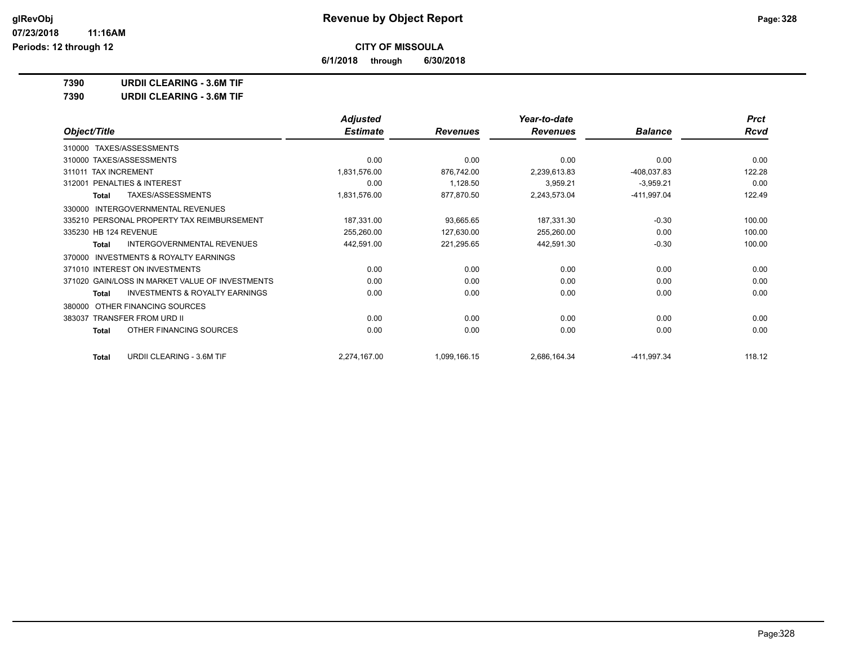**6/1/2018 through 6/30/2018**

**7390 URDII CLEARING - 3.6M TIF**

**7390 URDII CLEARING - 3.6M TIF**

|                                                           | <b>Adjusted</b> |                 | Year-to-date    |                | <b>Prct</b> |
|-----------------------------------------------------------|-----------------|-----------------|-----------------|----------------|-------------|
| Object/Title                                              | <b>Estimate</b> | <b>Revenues</b> | <b>Revenues</b> | <b>Balance</b> | <b>Rcvd</b> |
| 310000 TAXES/ASSESSMENTS                                  |                 |                 |                 |                |             |
| 310000 TAXES/ASSESSMENTS                                  | 0.00            | 0.00            | 0.00            | 0.00           | 0.00        |
| <b>TAX INCREMENT</b><br>311011                            | 1,831,576.00    | 876,742.00      | 2,239,613.83    | -408,037.83    | 122.28      |
| PENALTIES & INTEREST<br>312001                            | 0.00            | 1,128.50        | 3,959.21        | $-3,959.21$    | 0.00        |
| TAXES/ASSESSMENTS<br><b>Total</b>                         | 1,831,576.00    | 877,870.50      | 2,243,573.04    | -411,997.04    | 122.49      |
| INTERGOVERNMENTAL REVENUES<br>330000                      |                 |                 |                 |                |             |
| 335210 PERSONAL PROPERTY TAX REIMBURSEMENT                | 187,331.00      | 93,665.65       | 187,331.30      | $-0.30$        | 100.00      |
| 335230 HB 124 REVENUE                                     | 255,260.00      | 127,630.00      | 255,260.00      | 0.00           | 100.00      |
| <b>INTERGOVERNMENTAL REVENUES</b><br>Total                | 442,591.00      | 221,295.65      | 442,591.30      | $-0.30$        | 100.00      |
| <b>INVESTMENTS &amp; ROYALTY EARNINGS</b><br>370000       |                 |                 |                 |                |             |
| 371010 INTEREST ON INVESTMENTS                            | 0.00            | 0.00            | 0.00            | 0.00           | 0.00        |
| 371020 GAIN/LOSS IN MARKET VALUE OF INVESTMENTS           | 0.00            | 0.00            | 0.00            | 0.00           | 0.00        |
| <b>INVESTMENTS &amp; ROYALTY EARNINGS</b><br><b>Total</b> | 0.00            | 0.00            | 0.00            | 0.00           | 0.00        |
| OTHER FINANCING SOURCES<br>380000                         |                 |                 |                 |                |             |
| 383037 TRANSFER FROM URD II                               | 0.00            | 0.00            | 0.00            | 0.00           | 0.00        |
| OTHER FINANCING SOURCES<br><b>Total</b>                   | 0.00            | 0.00            | 0.00            | 0.00           | 0.00        |
| <b>URDII CLEARING - 3.6M TIF</b><br><b>Total</b>          | 2,274,167.00    | 1,099,166.15    | 2,686,164.34    | -411,997.34    | 118.12      |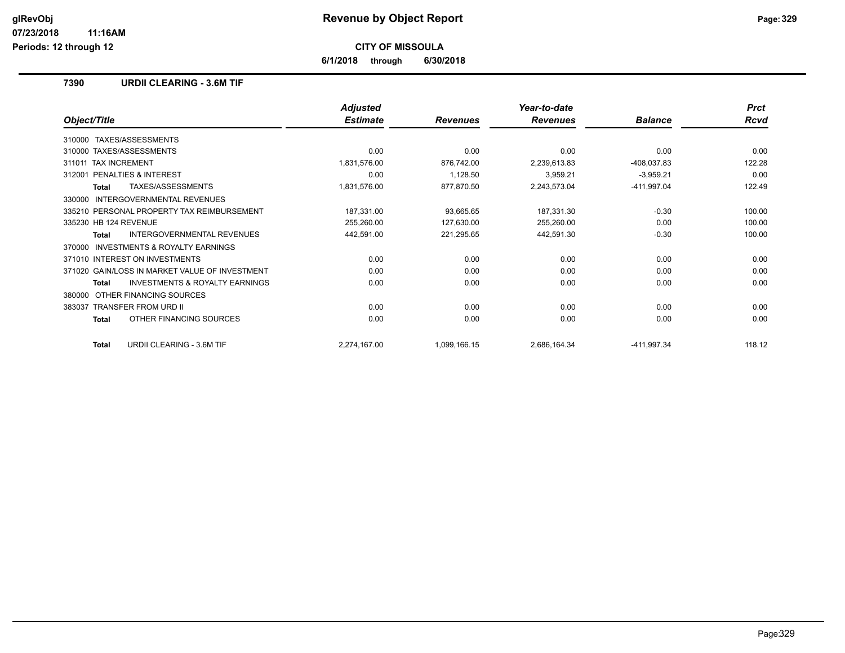**6/1/2018 through 6/30/2018**

#### **7390 URDII CLEARING - 3.6M TIF**

|                                                    | <b>Adjusted</b> |                 | Year-to-date    |                | <b>Prct</b> |
|----------------------------------------------------|-----------------|-----------------|-----------------|----------------|-------------|
| Object/Title                                       | <b>Estimate</b> | <b>Revenues</b> | <b>Revenues</b> | <b>Balance</b> | Rcvd        |
| TAXES/ASSESSMENTS<br>310000                        |                 |                 |                 |                |             |
| 310000 TAXES/ASSESSMENTS                           | 0.00            | 0.00            | 0.00            | 0.00           | 0.00        |
| <b>TAX INCREMENT</b><br>311011                     | 1,831,576.00    | 876,742.00      | 2,239,613.83    | -408,037.83    | 122.28      |
| PENALTIES & INTEREST<br>312001                     | 0.00            | 1,128.50        | 3,959.21        | $-3,959.21$    | 0.00        |
| TAXES/ASSESSMENTS<br><b>Total</b>                  | 1,831,576.00    | 877,870.50      | 2,243,573.04    | -411,997.04    | 122.49      |
| INTERGOVERNMENTAL REVENUES<br>330000               |                 |                 |                 |                |             |
| 335210 PERSONAL PROPERTY TAX REIMBURSEMENT         | 187,331.00      | 93,665.65       | 187,331.30      | $-0.30$        | 100.00      |
| 335230 HB 124 REVENUE                              | 255,260.00      | 127,630.00      | 255,260.00      | 0.00           | 100.00      |
| <b>INTERGOVERNMENTAL REVENUES</b><br>Total         | 442,591.00      | 221,295.65      | 442,591.30      | $-0.30$        | 100.00      |
| INVESTMENTS & ROYALTY EARNINGS<br>370000           |                 |                 |                 |                |             |
| 371010 INTEREST ON INVESTMENTS                     | 0.00            | 0.00            | 0.00            | 0.00           | 0.00        |
| 371020 GAIN/LOSS IN MARKET VALUE OF INVESTMENT     | 0.00            | 0.00            | 0.00            | 0.00           | 0.00        |
| <b>INVESTMENTS &amp; ROYALTY EARNINGS</b><br>Total | 0.00            | 0.00            | 0.00            | 0.00           | 0.00        |
| OTHER FINANCING SOURCES<br>380000                  |                 |                 |                 |                |             |
| <b>TRANSFER FROM URD II</b><br>383037              | 0.00            | 0.00            | 0.00            | 0.00           | 0.00        |
| OTHER FINANCING SOURCES<br>Total                   | 0.00            | 0.00            | 0.00            | 0.00           | 0.00        |
| <b>URDII CLEARING - 3.6M TIF</b><br><b>Total</b>   | 2,274,167.00    | 1,099,166.15    | 2,686,164.34    | -411,997.34    | 118.12      |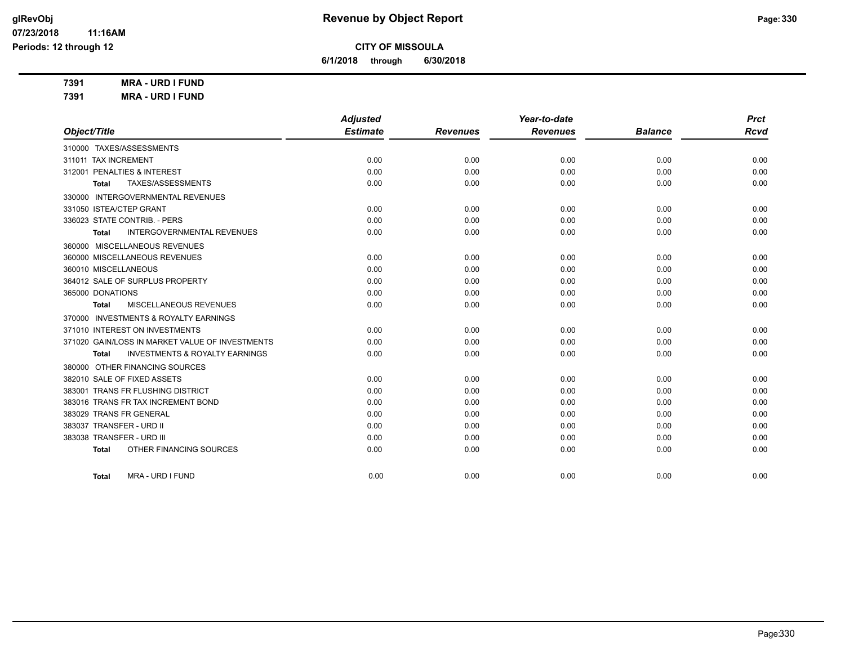**6/1/2018 through 6/30/2018**

**7391 MRA - URD I FUND**

**7391 MRA - URD I FUND**

|                                                    | <b>Adjusted</b> |                 | Year-to-date    |                | <b>Prct</b> |
|----------------------------------------------------|-----------------|-----------------|-----------------|----------------|-------------|
| Object/Title                                       | <b>Estimate</b> | <b>Revenues</b> | <b>Revenues</b> | <b>Balance</b> | <b>Rcvd</b> |
| 310000 TAXES/ASSESSMENTS                           |                 |                 |                 |                |             |
| 311011 TAX INCREMENT                               | 0.00            | 0.00            | 0.00            | 0.00           | 0.00        |
| 312001 PENALTIES & INTEREST                        | 0.00            | 0.00            | 0.00            | 0.00           | 0.00        |
| TAXES/ASSESSMENTS<br>Total                         | 0.00            | 0.00            | 0.00            | 0.00           | 0.00        |
| 330000 INTERGOVERNMENTAL REVENUES                  |                 |                 |                 |                |             |
| 331050 ISTEA/CTEP GRANT                            | 0.00            | 0.00            | 0.00            | 0.00           | 0.00        |
| 336023 STATE CONTRIB. - PERS                       | 0.00            | 0.00            | 0.00            | 0.00           | 0.00        |
| <b>INTERGOVERNMENTAL REVENUES</b><br><b>Total</b>  | 0.00            | 0.00            | 0.00            | 0.00           | 0.00        |
| 360000 MISCELLANEOUS REVENUES                      |                 |                 |                 |                |             |
| 360000 MISCELLANEOUS REVENUES                      | 0.00            | 0.00            | 0.00            | 0.00           | 0.00        |
| 360010 MISCELLANEOUS                               | 0.00            | 0.00            | 0.00            | 0.00           | 0.00        |
| 364012 SALE OF SURPLUS PROPERTY                    | 0.00            | 0.00            | 0.00            | 0.00           | 0.00        |
| 365000 DONATIONS                                   | 0.00            | 0.00            | 0.00            | 0.00           | 0.00        |
| MISCELLANEOUS REVENUES<br>Total                    | 0.00            | 0.00            | 0.00            | 0.00           | 0.00        |
| 370000 INVESTMENTS & ROYALTY EARNINGS              |                 |                 |                 |                |             |
| 371010 INTEREST ON INVESTMENTS                     | 0.00            | 0.00            | 0.00            | 0.00           | 0.00        |
| 371020 GAIN/LOSS IN MARKET VALUE OF INVESTMENTS    | 0.00            | 0.00            | 0.00            | 0.00           | 0.00        |
| <b>INVESTMENTS &amp; ROYALTY EARNINGS</b><br>Total | 0.00            | 0.00            | 0.00            | 0.00           | 0.00        |
| 380000 OTHER FINANCING SOURCES                     |                 |                 |                 |                |             |
| 382010 SALE OF FIXED ASSETS                        | 0.00            | 0.00            | 0.00            | 0.00           | 0.00        |
| 383001 TRANS FR FLUSHING DISTRICT                  | 0.00            | 0.00            | 0.00            | 0.00           | 0.00        |
| 383016 TRANS FR TAX INCREMENT BOND                 | 0.00            | 0.00            | 0.00            | 0.00           | 0.00        |
| 383029 TRANS FR GENERAL                            | 0.00            | 0.00            | 0.00            | 0.00           | 0.00        |
| 383037 TRANSFER - URD II                           | 0.00            | 0.00            | 0.00            | 0.00           | 0.00        |
| 383038 TRANSFER - URD III                          | 0.00            | 0.00            | 0.00            | 0.00           | 0.00        |
| OTHER FINANCING SOURCES<br><b>Total</b>            | 0.00            | 0.00            | 0.00            | 0.00           | 0.00        |
| MRA - URD I FUND<br><b>Total</b>                   | 0.00            | 0.00            | 0.00            | 0.00           | 0.00        |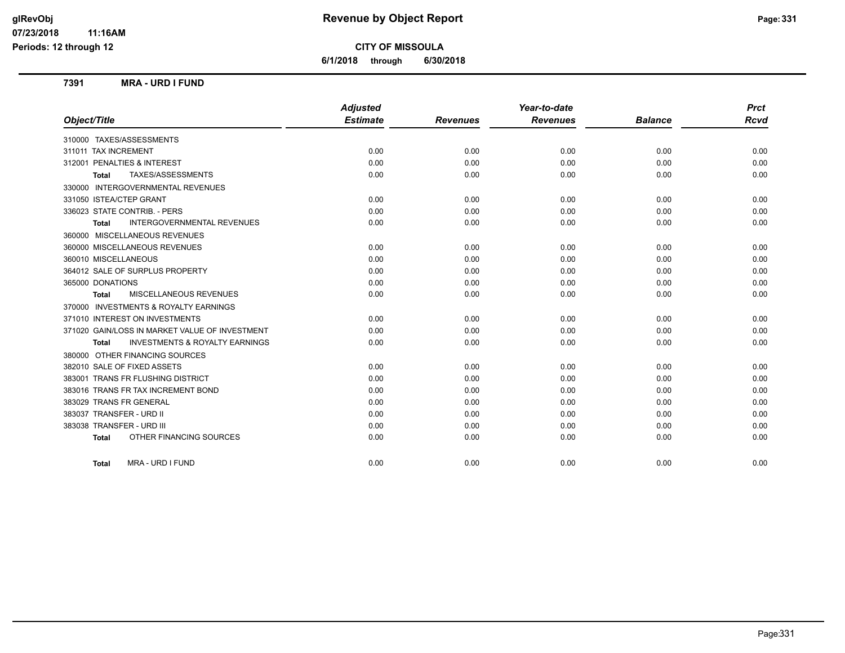**07/23/2018 11:16AM Periods: 12 through 12**

**CITY OF MISSOULA**

**6/1/2018 through 6/30/2018**

#### **7391 MRA - URD I FUND**

|                                                           | <b>Adjusted</b> |                 | Year-to-date    |                | <b>Prct</b> |
|-----------------------------------------------------------|-----------------|-----------------|-----------------|----------------|-------------|
| Object/Title                                              | <b>Estimate</b> | <b>Revenues</b> | <b>Revenues</b> | <b>Balance</b> | <b>Rcvd</b> |
| 310000 TAXES/ASSESSMENTS                                  |                 |                 |                 |                |             |
| 311011 TAX INCREMENT                                      | 0.00            | 0.00            | 0.00            | 0.00           | 0.00        |
| 312001 PENALTIES & INTEREST                               | 0.00            | 0.00            | 0.00            | 0.00           | 0.00        |
| TAXES/ASSESSMENTS<br><b>Total</b>                         | 0.00            | 0.00            | 0.00            | 0.00           | 0.00        |
| 330000 INTERGOVERNMENTAL REVENUES                         |                 |                 |                 |                |             |
| 331050 ISTEA/CTEP GRANT                                   | 0.00            | 0.00            | 0.00            | 0.00           | 0.00        |
| 336023 STATE CONTRIB. - PERS                              | 0.00            | 0.00            | 0.00            | 0.00           | 0.00        |
| <b>INTERGOVERNMENTAL REVENUES</b><br><b>Total</b>         | 0.00            | 0.00            | 0.00            | 0.00           | 0.00        |
| 360000 MISCELLANEOUS REVENUES                             |                 |                 |                 |                |             |
| 360000 MISCELLANEOUS REVENUES                             | 0.00            | 0.00            | 0.00            | 0.00           | 0.00        |
| 360010 MISCELLANEOUS                                      | 0.00            | 0.00            | 0.00            | 0.00           | 0.00        |
| 364012 SALE OF SURPLUS PROPERTY                           | 0.00            | 0.00            | 0.00            | 0.00           | 0.00        |
| 365000 DONATIONS                                          | 0.00            | 0.00            | 0.00            | 0.00           | 0.00        |
| <b>MISCELLANEOUS REVENUES</b><br>Total                    | 0.00            | 0.00            | 0.00            | 0.00           | 0.00        |
| 370000 INVESTMENTS & ROYALTY EARNINGS                     |                 |                 |                 |                |             |
| 371010 INTEREST ON INVESTMENTS                            | 0.00            | 0.00            | 0.00            | 0.00           | 0.00        |
| 371020 GAIN/LOSS IN MARKET VALUE OF INVESTMENT            | 0.00            | 0.00            | 0.00            | 0.00           | 0.00        |
| <b>INVESTMENTS &amp; ROYALTY EARNINGS</b><br><b>Total</b> | 0.00            | 0.00            | 0.00            | 0.00           | 0.00        |
| 380000 OTHER FINANCING SOURCES                            |                 |                 |                 |                |             |
| 382010 SALE OF FIXED ASSETS                               | 0.00            | 0.00            | 0.00            | 0.00           | 0.00        |
| 383001 TRANS FR FLUSHING DISTRICT                         | 0.00            | 0.00            | 0.00            | 0.00           | 0.00        |
| 383016 TRANS FR TAX INCREMENT BOND                        | 0.00            | 0.00            | 0.00            | 0.00           | 0.00        |
| 383029 TRANS FR GENERAL                                   | 0.00            | 0.00            | 0.00            | 0.00           | 0.00        |
| 383037 TRANSFER - URD II                                  | 0.00            | 0.00            | 0.00            | 0.00           | 0.00        |
| 383038 TRANSFER - URD III                                 | 0.00            | 0.00            | 0.00            | 0.00           | 0.00        |
| OTHER FINANCING SOURCES<br><b>Total</b>                   | 0.00            | 0.00            | 0.00            | 0.00           | 0.00        |
| MRA - URD I FUND<br>Total                                 | 0.00            | 0.00            | 0.00            | 0.00           | 0.00        |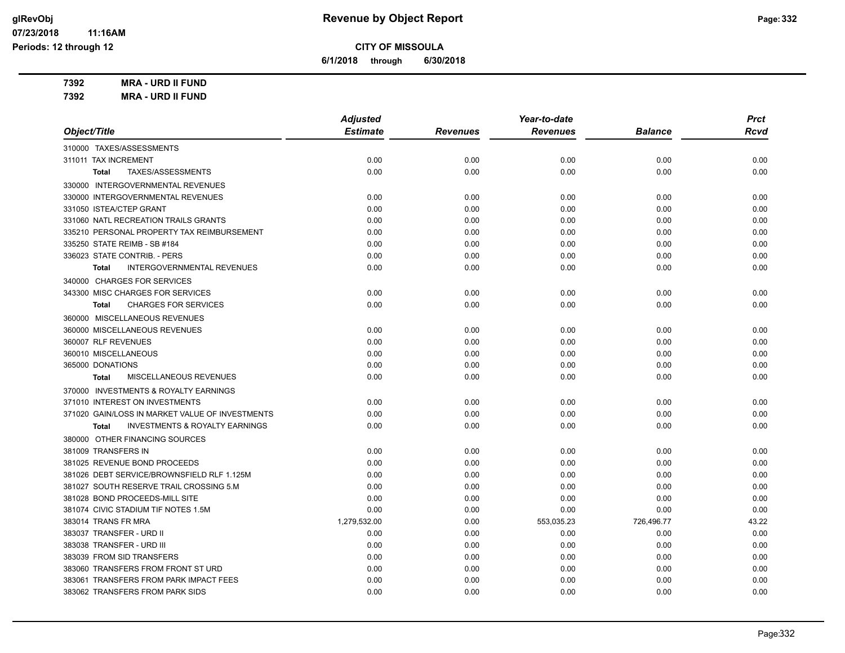**6/1/2018 through 6/30/2018**

**7392 MRA - URD II FUND**

**7392 MRA - URD II FUND**

|                                                           | <b>Adjusted</b> |                 | Year-to-date    |                | <b>Prct</b> |
|-----------------------------------------------------------|-----------------|-----------------|-----------------|----------------|-------------|
| Object/Title                                              | <b>Estimate</b> | <b>Revenues</b> | <b>Revenues</b> | <b>Balance</b> | <b>Rcvd</b> |
| 310000 TAXES/ASSESSMENTS                                  |                 |                 |                 |                |             |
| 311011 TAX INCREMENT                                      | 0.00            | 0.00            | 0.00            | 0.00           | 0.00        |
| TAXES/ASSESSMENTS<br><b>Total</b>                         | 0.00            | 0.00            | 0.00            | 0.00           | 0.00        |
| 330000 INTERGOVERNMENTAL REVENUES                         |                 |                 |                 |                |             |
| 330000 INTERGOVERNMENTAL REVENUES                         | 0.00            | 0.00            | 0.00            | 0.00           | 0.00        |
| 331050 ISTEA/CTEP GRANT                                   | 0.00            | 0.00            | 0.00            | 0.00           | 0.00        |
| 331060 NATL RECREATION TRAILS GRANTS                      | 0.00            | 0.00            | 0.00            | 0.00           | 0.00        |
| 335210 PERSONAL PROPERTY TAX REIMBURSEMENT                | 0.00            | 0.00            | 0.00            | 0.00           | 0.00        |
| 335250 STATE REIMB - SB #184                              | 0.00            | 0.00            | 0.00            | 0.00           | 0.00        |
| 336023 STATE CONTRIB. - PERS                              | 0.00            | 0.00            | 0.00            | 0.00           | 0.00        |
| <b>INTERGOVERNMENTAL REVENUES</b><br><b>Total</b>         | 0.00            | 0.00            | 0.00            | 0.00           | 0.00        |
| 340000 CHARGES FOR SERVICES                               |                 |                 |                 |                |             |
| 343300 MISC CHARGES FOR SERVICES                          | 0.00            | 0.00            | 0.00            | 0.00           | 0.00        |
| <b>CHARGES FOR SERVICES</b><br>Total                      | 0.00            | 0.00            | 0.00            | 0.00           | 0.00        |
| 360000 MISCELLANEOUS REVENUES                             |                 |                 |                 |                |             |
| 360000 MISCELLANEOUS REVENUES                             | 0.00            | 0.00            | 0.00            | 0.00           | 0.00        |
| 360007 RLF REVENUES                                       | 0.00            | 0.00            | 0.00            | 0.00           | 0.00        |
| 360010 MISCELLANEOUS                                      | 0.00            | 0.00            | 0.00            | 0.00           | 0.00        |
| 365000 DONATIONS                                          | 0.00            | 0.00            | 0.00            | 0.00           | 0.00        |
| MISCELLANEOUS REVENUES<br><b>Total</b>                    | 0.00            | 0.00            | 0.00            | 0.00           | 0.00        |
| 370000 INVESTMENTS & ROYALTY EARNINGS                     |                 |                 |                 |                |             |
| 371010 INTEREST ON INVESTMENTS                            | 0.00            | 0.00            | 0.00            | 0.00           | 0.00        |
| 371020 GAIN/LOSS IN MARKET VALUE OF INVESTMENTS           | 0.00            | 0.00            | 0.00            | 0.00           | 0.00        |
| <b>INVESTMENTS &amp; ROYALTY EARNINGS</b><br><b>Total</b> | 0.00            | 0.00            | 0.00            | 0.00           | 0.00        |
| 380000 OTHER FINANCING SOURCES                            |                 |                 |                 |                |             |
| 381009 TRANSFERS IN                                       | 0.00            | 0.00            | 0.00            | 0.00           | 0.00        |
| 381025 REVENUE BOND PROCEEDS                              | 0.00            | 0.00            | 0.00            | 0.00           | 0.00        |
| 381026 DEBT SERVICE/BROWNSFIELD RLF 1.125M                | 0.00            | 0.00            | 0.00            | 0.00           | 0.00        |
| 381027 SOUTH RESERVE TRAIL CROSSING 5.M                   | 0.00            | 0.00            | 0.00            | 0.00           | 0.00        |
| 381028 BOND PROCEEDS-MILL SITE                            | 0.00            | 0.00            | 0.00            | 0.00           | 0.00        |
| 381074 CIVIC STADIUM TIF NOTES 1.5M                       | 0.00            | 0.00            | 0.00            | 0.00           | 0.00        |
| 383014 TRANS FR MRA                                       | 1,279,532.00    | 0.00            | 553,035.23      | 726,496.77     | 43.22       |
| 383037 TRANSFER - URD II                                  | 0.00            | 0.00            | 0.00            | 0.00           | 0.00        |
| 383038 TRANSFER - URD III                                 | 0.00            | 0.00            | 0.00            | 0.00           | 0.00        |
| 383039 FROM SID TRANSFERS                                 | 0.00            | 0.00            | 0.00            | 0.00           | 0.00        |
| 383060 TRANSFERS FROM FRONT ST URD                        | 0.00            | 0.00            | 0.00            | 0.00           | 0.00        |
| 383061 TRANSFERS FROM PARK IMPACT FEES                    | 0.00            | 0.00            | 0.00            | 0.00           | 0.00        |
| 383062 TRANSFERS FROM PARK SIDS                           | 0.00            | 0.00            | 0.00            | 0.00           | 0.00        |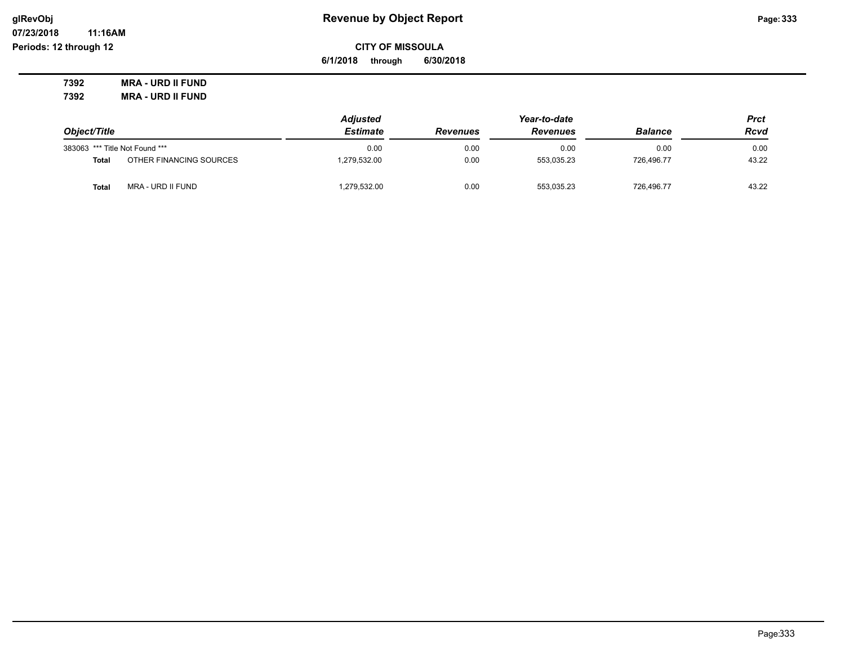**6/1/2018 through 6/30/2018**

**7392 MRA - URD II FUND 7392 MRA - URD II FUND**

|                                |                         | <b>Adjusted</b> | Year-to-date    |                 |                | <b>Prct</b> |
|--------------------------------|-------------------------|-----------------|-----------------|-----------------|----------------|-------------|
| Object/Title                   |                         | <b>Estimate</b> | <b>Revenues</b> | <b>Revenues</b> | <b>Balance</b> | <b>Rcvd</b> |
| 383063 *** Title Not Found *** |                         | 0.00            | 0.00            | 0.00            | 0.00           | 0.00        |
| <b>Total</b>                   | OTHER FINANCING SOURCES | 1,279,532.00    | 0.00            | 553,035.23      | 726.496.77     | 43.22       |
| <b>Total</b>                   | MRA - URD II FUND       | 1,279,532.00    | 0.00            | 553,035.23      | 726,496.77     | 43.22       |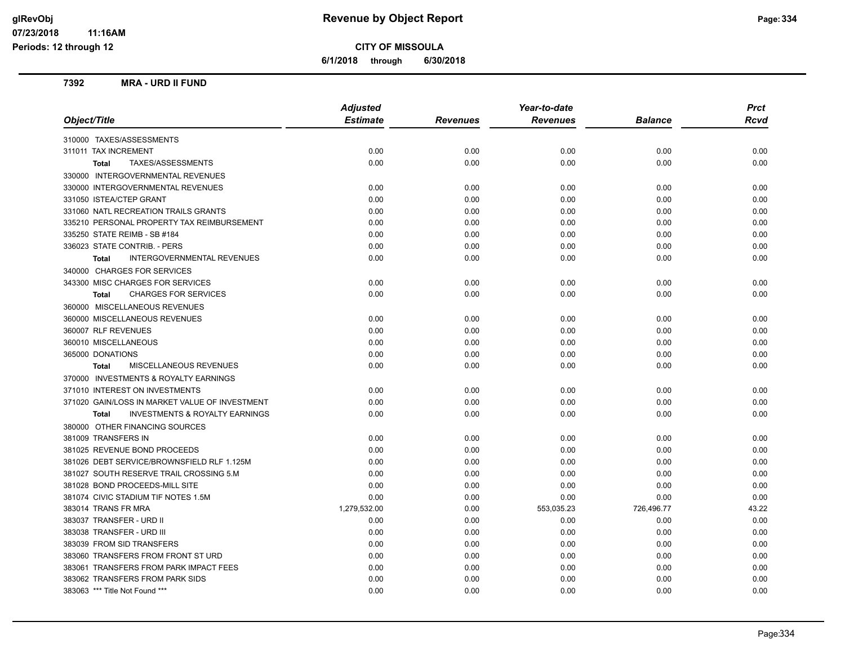**Periods: 12 through 12**

**CITY OF MISSOULA**

**6/1/2018 through 6/30/2018**

## **7392 MRA - URD II FUND**

|                                                           | <b>Adjusted</b> |                 | Year-to-date    |                | <b>Prct</b> |
|-----------------------------------------------------------|-----------------|-----------------|-----------------|----------------|-------------|
| Object/Title                                              | <b>Estimate</b> | <b>Revenues</b> | <b>Revenues</b> | <b>Balance</b> | <b>Rcvd</b> |
| 310000 TAXES/ASSESSMENTS                                  |                 |                 |                 |                |             |
| 311011 TAX INCREMENT                                      | 0.00            | 0.00            | 0.00            | 0.00           | 0.00        |
| TAXES/ASSESSMENTS<br>Total                                | 0.00            | 0.00            | 0.00            | 0.00           | 0.00        |
| 330000 INTERGOVERNMENTAL REVENUES                         |                 |                 |                 |                |             |
| 330000 INTERGOVERNMENTAL REVENUES                         | 0.00            | 0.00            | 0.00            | 0.00           | 0.00        |
| 331050 ISTEA/CTEP GRANT                                   | 0.00            | 0.00            | 0.00            | 0.00           | 0.00        |
| 331060 NATL RECREATION TRAILS GRANTS                      | 0.00            | 0.00            | 0.00            | 0.00           | 0.00        |
| 335210 PERSONAL PROPERTY TAX REIMBURSEMENT                | 0.00            | 0.00            | 0.00            | 0.00           | 0.00        |
| 335250 STATE REIMB - SB #184                              | 0.00            | 0.00            | 0.00            | 0.00           | 0.00        |
| 336023 STATE CONTRIB. - PERS                              | 0.00            | 0.00            | 0.00            | 0.00           | 0.00        |
| Total<br>INTERGOVERNMENTAL REVENUES                       | 0.00            | 0.00            | 0.00            | 0.00           | 0.00        |
| 340000 CHARGES FOR SERVICES                               |                 |                 |                 |                |             |
| 343300 MISC CHARGES FOR SERVICES                          | 0.00            | 0.00            | 0.00            | 0.00           | 0.00        |
| <b>CHARGES FOR SERVICES</b><br>Total                      | 0.00            | 0.00            | 0.00            | 0.00           | 0.00        |
| 360000 MISCELLANEOUS REVENUES                             |                 |                 |                 |                |             |
| 360000 MISCELLANEOUS REVENUES                             | 0.00            | 0.00            | 0.00            | 0.00           | 0.00        |
| 360007 RLF REVENUES                                       | 0.00            | 0.00            | 0.00            | 0.00           | 0.00        |
| 360010 MISCELLANEOUS                                      | 0.00            | 0.00            | 0.00            | 0.00           | 0.00        |
| 365000 DONATIONS                                          | 0.00            | 0.00            | 0.00            | 0.00           | 0.00        |
| MISCELLANEOUS REVENUES<br><b>Total</b>                    | 0.00            | 0.00            | 0.00            | 0.00           | 0.00        |
| 370000 INVESTMENTS & ROYALTY EARNINGS                     |                 |                 |                 |                |             |
| 371010 INTEREST ON INVESTMENTS                            | 0.00            | 0.00            | 0.00            | 0.00           | 0.00        |
| 371020 GAIN/LOSS IN MARKET VALUE OF INVESTMENT            | 0.00            | 0.00            | 0.00            | 0.00           | 0.00        |
| <b>INVESTMENTS &amp; ROYALTY EARNINGS</b><br><b>Total</b> | 0.00            | 0.00            | 0.00            | 0.00           | 0.00        |
| 380000 OTHER FINANCING SOURCES                            |                 |                 |                 |                |             |
| 381009 TRANSFERS IN                                       | 0.00            | 0.00            | 0.00            | 0.00           | 0.00        |
| 381025 REVENUE BOND PROCEEDS                              | 0.00            | 0.00            | 0.00            | 0.00           | 0.00        |
| 381026 DEBT SERVICE/BROWNSFIELD RLF 1.125M                | 0.00            | 0.00            | 0.00            | 0.00           | 0.00        |
| 381027 SOUTH RESERVE TRAIL CROSSING 5.M                   | 0.00            | 0.00            | 0.00            | 0.00           | 0.00        |
| 381028 BOND PROCEEDS-MILL SITE                            | 0.00            | 0.00            | 0.00            | 0.00           | 0.00        |
| 381074 CIVIC STADIUM TIF NOTES 1.5M                       | 0.00            | 0.00            | 0.00            | 0.00           | 0.00        |
| 383014 TRANS FR MRA                                       | 1,279,532.00    | 0.00            | 553,035.23      | 726,496.77     | 43.22       |
| 383037 TRANSFER - URD II                                  | 0.00            | 0.00            | 0.00            | 0.00           | 0.00        |
| 383038 TRANSFER - URD III                                 | 0.00            | 0.00            | 0.00            | 0.00           | 0.00        |
| 383039 FROM SID TRANSFERS                                 | 0.00            | 0.00            | 0.00            | 0.00           | 0.00        |
| 383060 TRANSFERS FROM FRONT ST URD                        | 0.00            | 0.00            | 0.00            | 0.00           | 0.00        |
| 383061 TRANSFERS FROM PARK IMPACT FEES                    | 0.00            | 0.00            | 0.00            | 0.00           | 0.00        |
| 383062 TRANSFERS FROM PARK SIDS                           | 0.00            | 0.00            | 0.00            | 0.00           | 0.00        |
| 383063 *** Title Not Found ***                            | 0.00            | 0.00            | 0.00            | 0.00           | 0.00        |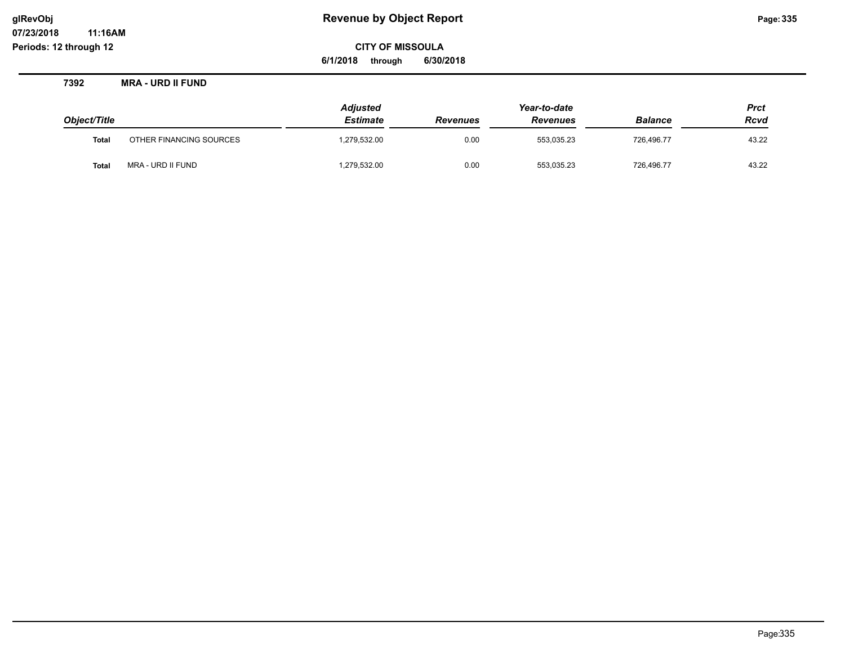**Periods: 12 through 12**

**CITY OF MISSOULA**

**6/1/2018 through 6/30/2018**

**7392 MRA - URD II FUND**

| Object/Title |                         | <b>Adjusted</b><br>Estimate | <b>Revenues</b> | Year-to-date<br><b>Revenues</b> | <b>Balance</b> | <b>Prct</b><br><b>Rcvd</b> |
|--------------|-------------------------|-----------------------------|-----------------|---------------------------------|----------------|----------------------------|
| <b>Total</b> | OTHER FINANCING SOURCES | 1,279,532.00                | 0.00            | 553,035.23                      | 726.496.77     | 43.22                      |
| Tota         | MRA - URD II FUND       | 1,279,532.00                | 0.00            | 553,035.23                      | 726.496.77     | 43.22                      |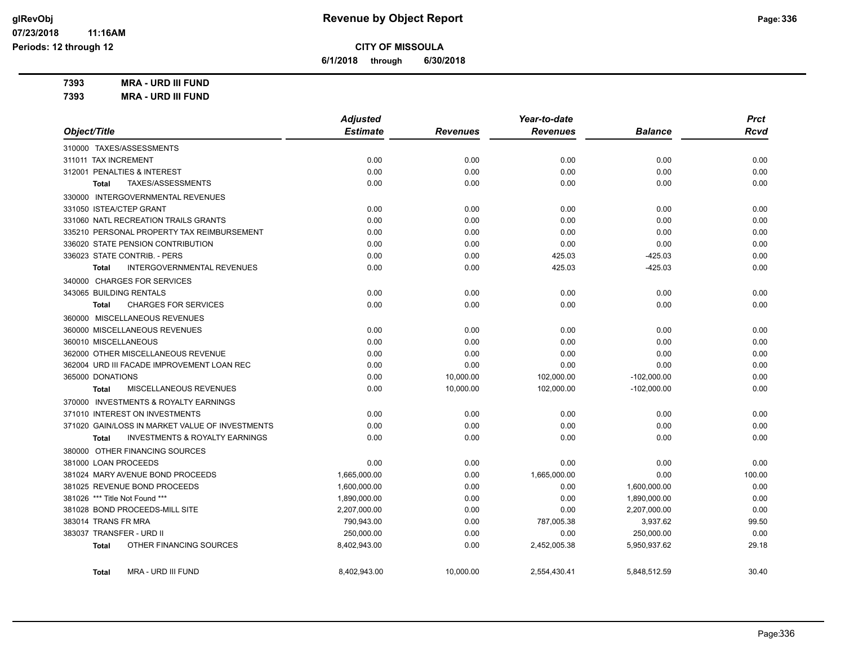**6/1/2018 through 6/30/2018**

**7393 MRA - URD III FUND**

**7393 MRA - URD III FUND**

|                                                           | <b>Adjusted</b> |                 | Year-to-date    |                | <b>Prct</b> |
|-----------------------------------------------------------|-----------------|-----------------|-----------------|----------------|-------------|
| Object/Title                                              | <b>Estimate</b> | <b>Revenues</b> | <b>Revenues</b> | <b>Balance</b> | <b>Rcvd</b> |
| 310000 TAXES/ASSESSMENTS                                  |                 |                 |                 |                |             |
| 311011 TAX INCREMENT                                      | 0.00            | 0.00            | 0.00            | 0.00           | 0.00        |
| 312001 PENALTIES & INTEREST                               | 0.00            | 0.00            | 0.00            | 0.00           | 0.00        |
| TAXES/ASSESSMENTS<br><b>Total</b>                         | 0.00            | 0.00            | 0.00            | 0.00           | 0.00        |
| 330000 INTERGOVERNMENTAL REVENUES                         |                 |                 |                 |                |             |
| 331050 ISTEA/CTEP GRANT                                   | 0.00            | 0.00            | 0.00            | 0.00           | 0.00        |
| 331060 NATL RECREATION TRAILS GRANTS                      | 0.00            | 0.00            | 0.00            | 0.00           | 0.00        |
| 335210 PERSONAL PROPERTY TAX REIMBURSEMENT                | 0.00            | 0.00            | 0.00            | 0.00           | 0.00        |
| 336020 STATE PENSION CONTRIBUTION                         | 0.00            | 0.00            | 0.00            | 0.00           | 0.00        |
| 336023 STATE CONTRIB. - PERS                              | 0.00            | 0.00            | 425.03          | $-425.03$      | 0.00        |
| <b>INTERGOVERNMENTAL REVENUES</b><br><b>Total</b>         | 0.00            | 0.00            | 425.03          | $-425.03$      | 0.00        |
| 340000 CHARGES FOR SERVICES                               |                 |                 |                 |                |             |
| 343065 BUILDING RENTALS                                   | 0.00            | 0.00            | 0.00            | 0.00           | 0.00        |
| <b>CHARGES FOR SERVICES</b><br><b>Total</b>               | 0.00            | 0.00            | 0.00            | 0.00           | 0.00        |
| 360000 MISCELLANEOUS REVENUES                             |                 |                 |                 |                |             |
| 360000 MISCELLANEOUS REVENUES                             | 0.00            | 0.00            | 0.00            | 0.00           | 0.00        |
| 360010 MISCELLANEOUS                                      | 0.00            | 0.00            | 0.00            | 0.00           | 0.00        |
| 362000 OTHER MISCELLANEOUS REVENUE                        | 0.00            | 0.00            | 0.00            | 0.00           | 0.00        |
| 362004 URD III FACADE IMPROVEMENT LOAN REC                | 0.00            | 0.00            | 0.00            | 0.00           | 0.00        |
| 365000 DONATIONS                                          | 0.00            | 10,000.00       | 102,000.00      | $-102,000.00$  | 0.00        |
| MISCELLANEOUS REVENUES<br><b>Total</b>                    | 0.00            | 10,000.00       | 102,000.00      | $-102,000.00$  | 0.00        |
| 370000 INVESTMENTS & ROYALTY EARNINGS                     |                 |                 |                 |                |             |
| 371010 INTEREST ON INVESTMENTS                            | 0.00            | 0.00            | 0.00            | 0.00           | 0.00        |
| 371020 GAIN/LOSS IN MARKET VALUE OF INVESTMENTS           | 0.00            | 0.00            | 0.00            | 0.00           | 0.00        |
| <b>INVESTMENTS &amp; ROYALTY EARNINGS</b><br><b>Total</b> | 0.00            | 0.00            | 0.00            | 0.00           | 0.00        |
| 380000 OTHER FINANCING SOURCES                            |                 |                 |                 |                |             |
| 381000 LOAN PROCEEDS                                      | 0.00            | 0.00            | 0.00            | 0.00           | 0.00        |
| 381024 MARY AVENUE BOND PROCEEDS                          | 1,665,000.00    | 0.00            | 1,665,000.00    | 0.00           | 100.00      |
| 381025 REVENUE BOND PROCEEDS                              | 1,600,000.00    | 0.00            | 0.00            | 1,600,000.00   | 0.00        |
| 381026 *** Title Not Found ***                            | 1,890,000.00    | 0.00            | 0.00            | 1,890,000.00   | 0.00        |
| 381028 BOND PROCEEDS-MILL SITE                            | 2,207,000.00    | 0.00            | 0.00            | 2,207,000.00   | 0.00        |
| 383014 TRANS FR MRA                                       | 790,943.00      | 0.00            | 787,005.38      | 3,937.62       | 99.50       |
| 383037 TRANSFER - URD II                                  | 250,000.00      | 0.00            | 0.00            | 250,000.00     | 0.00        |
| OTHER FINANCING SOURCES<br><b>Total</b>                   | 8,402,943.00    | 0.00            | 2,452,005.38    | 5,950,937.62   | 29.18       |
| MRA - URD III FUND<br><b>Total</b>                        | 8,402,943.00    | 10,000.00       | 2,554,430.41    | 5,848,512.59   | 30.40       |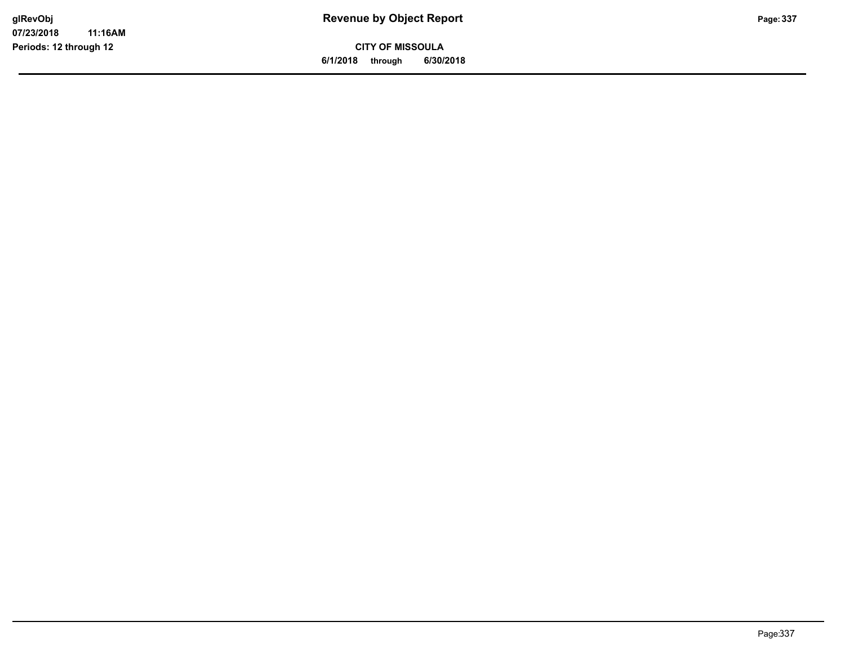**CITY OF MISSOULA 6/1/2018 through 6/30/2018**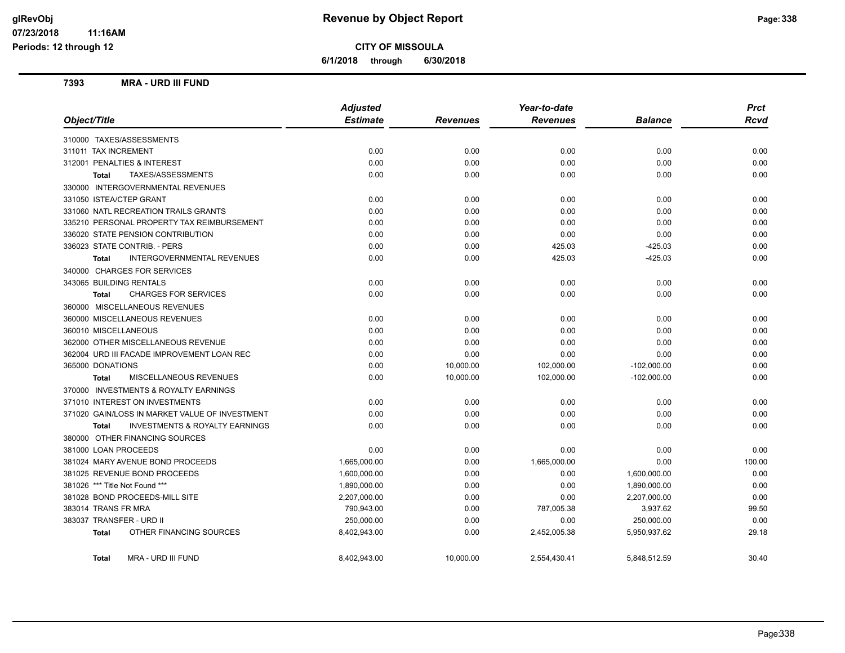**Periods: 12 through 12**

**CITY OF MISSOULA**

**6/1/2018 through 6/30/2018**

#### **7393 MRA - URD III FUND**

|                                                           | <b>Adjusted</b> |                 | Year-to-date    |                | <b>Prct</b> |
|-----------------------------------------------------------|-----------------|-----------------|-----------------|----------------|-------------|
| Object/Title                                              | <b>Estimate</b> | <b>Revenues</b> | <b>Revenues</b> | <b>Balance</b> | <b>Rcvd</b> |
| 310000 TAXES/ASSESSMENTS                                  |                 |                 |                 |                |             |
| 311011 TAX INCREMENT                                      | 0.00            | 0.00            | 0.00            | 0.00           | 0.00        |
| 312001 PENALTIES & INTEREST                               | 0.00            | 0.00            | 0.00            | 0.00           | 0.00        |
| TAXES/ASSESSMENTS<br>Total                                | 0.00            | 0.00            | 0.00            | 0.00           | 0.00        |
| 330000 INTERGOVERNMENTAL REVENUES                         |                 |                 |                 |                |             |
| 331050 ISTEA/CTEP GRANT                                   | 0.00            | 0.00            | 0.00            | 0.00           | 0.00        |
| 331060 NATL RECREATION TRAILS GRANTS                      | 0.00            | 0.00            | 0.00            | 0.00           | 0.00        |
| 335210 PERSONAL PROPERTY TAX REIMBURSEMENT                | 0.00            | 0.00            | 0.00            | 0.00           | 0.00        |
| 336020 STATE PENSION CONTRIBUTION                         | 0.00            | 0.00            | 0.00            | 0.00           | 0.00        |
| 336023 STATE CONTRIB. - PERS                              | 0.00            | 0.00            | 425.03          | $-425.03$      | 0.00        |
| <b>INTERGOVERNMENTAL REVENUES</b><br><b>Total</b>         | 0.00            | 0.00            | 425.03          | $-425.03$      | 0.00        |
| 340000 CHARGES FOR SERVICES                               |                 |                 |                 |                |             |
| 343065 BUILDING RENTALS                                   | 0.00            | 0.00            | 0.00            | 0.00           | 0.00        |
| <b>CHARGES FOR SERVICES</b><br><b>Total</b>               | 0.00            | 0.00            | 0.00            | 0.00           | 0.00        |
| 360000 MISCELLANEOUS REVENUES                             |                 |                 |                 |                |             |
| 360000 MISCELLANEOUS REVENUES                             | 0.00            | 0.00            | 0.00            | 0.00           | 0.00        |
| 360010 MISCELLANEOUS                                      | 0.00            | 0.00            | 0.00            | 0.00           | 0.00        |
| 362000 OTHER MISCELLANEOUS REVENUE                        | 0.00            | 0.00            | 0.00            | 0.00           | 0.00        |
| 362004 URD III FACADE IMPROVEMENT LOAN REC                | 0.00            | 0.00            | 0.00            | 0.00           | 0.00        |
| 365000 DONATIONS                                          | 0.00            | 10,000.00       | 102,000.00      | $-102,000.00$  | 0.00        |
| MISCELLANEOUS REVENUES<br><b>Total</b>                    | 0.00            | 10,000.00       | 102,000.00      | $-102,000.00$  | 0.00        |
| 370000 INVESTMENTS & ROYALTY EARNINGS                     |                 |                 |                 |                |             |
| 371010 INTEREST ON INVESTMENTS                            | 0.00            | 0.00            | 0.00            | 0.00           | 0.00        |
| 371020 GAIN/LOSS IN MARKET VALUE OF INVESTMENT            | 0.00            | 0.00            | 0.00            | 0.00           | 0.00        |
| <b>INVESTMENTS &amp; ROYALTY EARNINGS</b><br><b>Total</b> | 0.00            | 0.00            | 0.00            | 0.00           | 0.00        |
| 380000 OTHER FINANCING SOURCES                            |                 |                 |                 |                |             |
| 381000 LOAN PROCEEDS                                      | 0.00            | 0.00            | 0.00            | 0.00           | 0.00        |
| 381024 MARY AVENUE BOND PROCEEDS                          | 1,665,000.00    | 0.00            | 1,665,000.00    | 0.00           | 100.00      |
| 381025 REVENUE BOND PROCEEDS                              | 1,600,000.00    | 0.00            | 0.00            | 1,600,000.00   | 0.00        |
| 381026 *** Title Not Found ***                            | 1,890,000.00    | 0.00            | 0.00            | 1,890,000.00   | 0.00        |
| 381028 BOND PROCEEDS-MILL SITE                            | 2,207,000.00    | 0.00            | 0.00            | 2,207,000.00   | 0.00        |
| 383014 TRANS FR MRA                                       | 790,943.00      | 0.00            | 787,005.38      | 3,937.62       | 99.50       |
| 383037 TRANSFER - URD II                                  | 250,000.00      | 0.00            | 0.00            | 250,000.00     | 0.00        |
| OTHER FINANCING SOURCES<br><b>Total</b>                   | 8,402,943.00    | 0.00            | 2,452,005.38    | 5,950,937.62   | 29.18       |
| MRA - URD III FUND<br><b>Total</b>                        | 8,402,943.00    | 10,000.00       | 2,554,430.41    | 5,848,512.59   | 30.40       |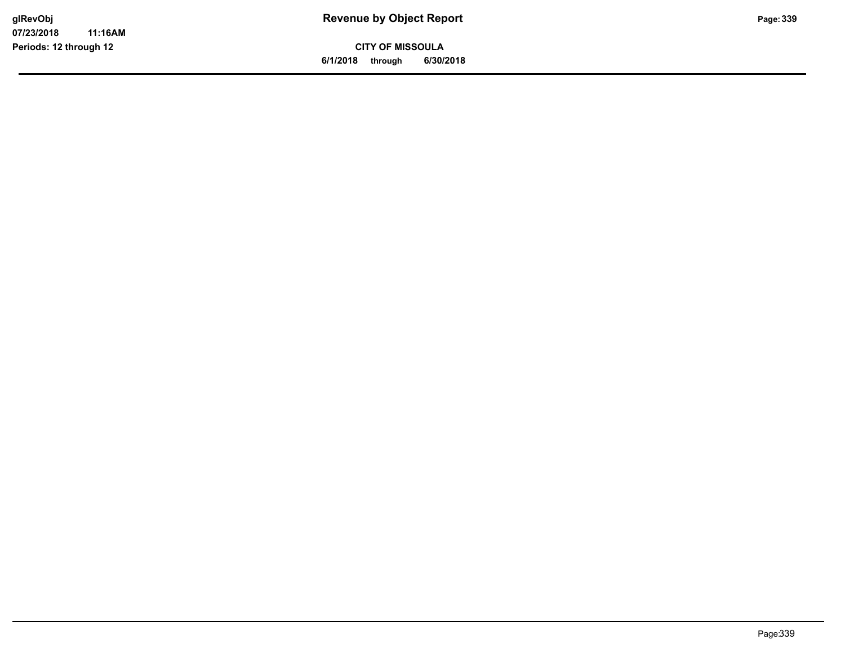**CITY OF MISSOULA 6/1/2018 through 6/30/2018**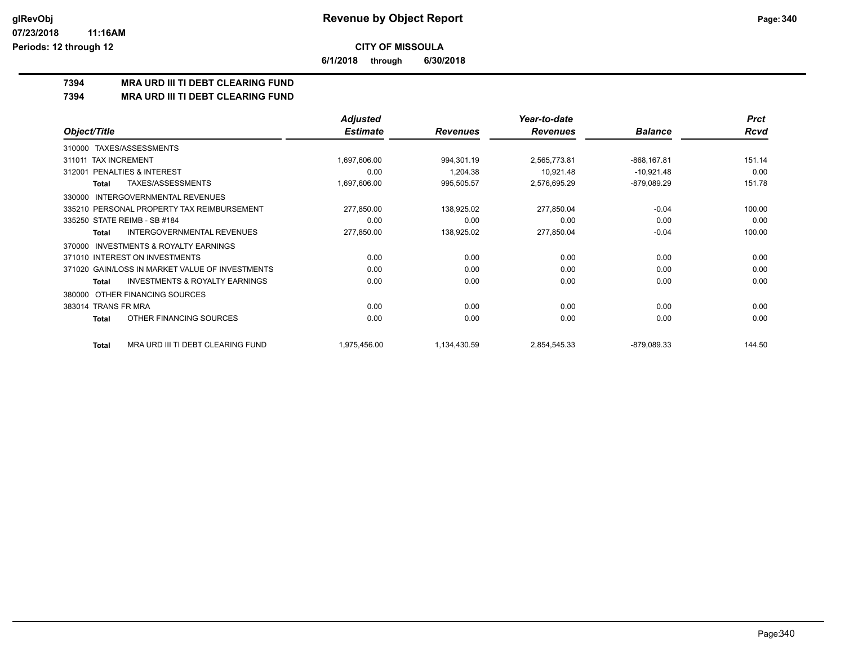**6/1/2018 through 6/30/2018**

### **7394 MRA URD III TI DEBT CLEARING FUND**

**7394 MRA URD III TI DEBT CLEARING FUND**

|                                                    | <b>Adjusted</b> |                 | Year-to-date    |                | <b>Prct</b> |
|----------------------------------------------------|-----------------|-----------------|-----------------|----------------|-------------|
| Object/Title                                       | <b>Estimate</b> | <b>Revenues</b> | <b>Revenues</b> | <b>Balance</b> | Rcvd        |
| TAXES/ASSESSMENTS<br>310000                        |                 |                 |                 |                |             |
| 311011 TAX INCREMENT                               | 1,697,606.00    | 994,301.19      | 2,565,773.81    | $-868, 167.81$ | 151.14      |
| 312001 PENALTIES & INTEREST                        | 0.00            | 1,204.38        | 10,921.48       | $-10,921.48$   | 0.00        |
| TAXES/ASSESSMENTS<br><b>Total</b>                  | 1,697,606.00    | 995,505.57      | 2,576,695.29    | -879,089.29    | 151.78      |
| INTERGOVERNMENTAL REVENUES<br>330000               |                 |                 |                 |                |             |
| 335210 PERSONAL PROPERTY TAX REIMBURSEMENT         | 277,850.00      | 138,925.02      | 277,850.04      | $-0.04$        | 100.00      |
| 335250 STATE REIMB - SB #184                       | 0.00            | 0.00            | 0.00            | 0.00           | 0.00        |
| <b>INTERGOVERNMENTAL REVENUES</b><br>Total         | 277,850.00      | 138,925.02      | 277,850.04      | $-0.04$        | 100.00      |
| INVESTMENTS & ROYALTY EARNINGS<br>370000           |                 |                 |                 |                |             |
| 371010 INTEREST ON INVESTMENTS                     | 0.00            | 0.00            | 0.00            | 0.00           | 0.00        |
| 371020 GAIN/LOSS IN MARKET VALUE OF INVESTMENTS    | 0.00            | 0.00            | 0.00            | 0.00           | 0.00        |
| <b>INVESTMENTS &amp; ROYALTY EARNINGS</b><br>Total | 0.00            | 0.00            | 0.00            | 0.00           | 0.00        |
| OTHER FINANCING SOURCES<br>380000                  |                 |                 |                 |                |             |
| 383014 TRANS FR MRA                                | 0.00            | 0.00            | 0.00            | 0.00           | 0.00        |
| OTHER FINANCING SOURCES<br><b>Total</b>            | 0.00            | 0.00            | 0.00            | 0.00           | 0.00        |
| MRA URD III TI DEBT CLEARING FUND<br>Total         | 1,975,456.00    | 1,134,430.59    | 2,854,545.33    | $-879,089.33$  | 144.50      |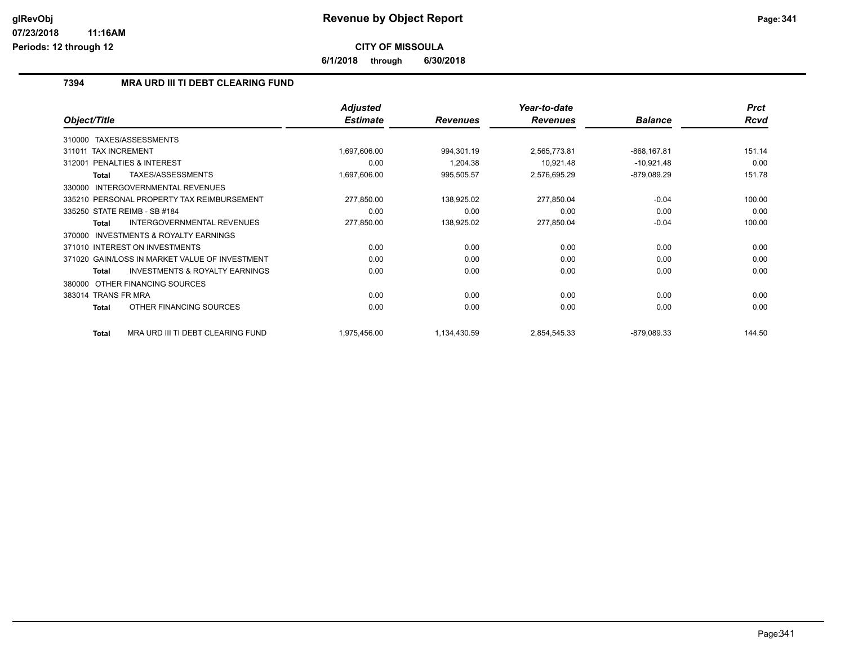**6/1/2018 through 6/30/2018**

### **7394 MRA URD III TI DEBT CLEARING FUND**

|                                                     | <b>Adjusted</b> |                 | Year-to-date    |                | <b>Prct</b> |
|-----------------------------------------------------|-----------------|-----------------|-----------------|----------------|-------------|
| Object/Title                                        | <b>Estimate</b> | <b>Revenues</b> | <b>Revenues</b> | <b>Balance</b> | <b>Rcvd</b> |
| 310000 TAXES/ASSESSMENTS                            |                 |                 |                 |                |             |
| 311011 TAX INCREMENT                                | 1,697,606.00    | 994,301.19      | 2,565,773.81    | $-868, 167.81$ | 151.14      |
| 312001 PENALTIES & INTEREST                         | 0.00            | 1,204.38        | 10,921.48       | $-10,921.48$   | 0.00        |
| TAXES/ASSESSMENTS<br><b>Total</b>                   | 1,697,606.00    | 995,505.57      | 2,576,695.29    | $-879,089.29$  | 151.78      |
| INTERGOVERNMENTAL REVENUES<br>330000                |                 |                 |                 |                |             |
| 335210 PERSONAL PROPERTY TAX REIMBURSEMENT          | 277,850.00      | 138,925.02      | 277,850.04      | $-0.04$        | 100.00      |
| 335250 STATE REIMB - SB #184                        | 0.00            | 0.00            | 0.00            | 0.00           | 0.00        |
| <b>INTERGOVERNMENTAL REVENUES</b><br>Total          | 277,850.00      | 138,925.02      | 277,850.04      | $-0.04$        | 100.00      |
| <b>INVESTMENTS &amp; ROYALTY EARNINGS</b><br>370000 |                 |                 |                 |                |             |
| 371010 INTEREST ON INVESTMENTS                      | 0.00            | 0.00            | 0.00            | 0.00           | 0.00        |
| 371020 GAIN/LOSS IN MARKET VALUE OF INVESTMENT      | 0.00            | 0.00            | 0.00            | 0.00           | 0.00        |
| <b>INVESTMENTS &amp; ROYALTY EARNINGS</b><br>Total  | 0.00            | 0.00            | 0.00            | 0.00           | 0.00        |
| 380000 OTHER FINANCING SOURCES                      |                 |                 |                 |                |             |
| 383014 TRANS FR MRA                                 | 0.00            | 0.00            | 0.00            | 0.00           | 0.00        |
| OTHER FINANCING SOURCES<br><b>Total</b>             | 0.00            | 0.00            | 0.00            | 0.00           | 0.00        |
| MRA URD III TI DEBT CLEARING FUND<br>Total          | 1,975,456.00    | 1,134,430.59    | 2,854,545.33    | $-879,089.33$  | 144.50      |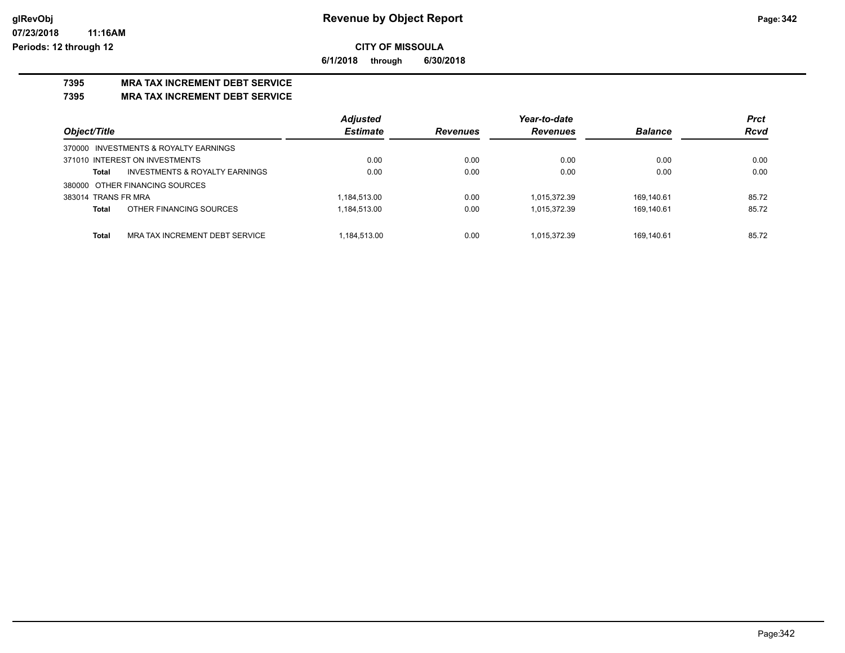**6/1/2018 through 6/30/2018**

# **7395 MRA TAX INCREMENT DEBT SERVICE**

### **7395 MRA TAX INCREMENT DEBT SERVICE**

|                                                | <b>Adjusted</b> |                 | Year-to-date    |                | <b>Prct</b> |
|------------------------------------------------|-----------------|-----------------|-----------------|----------------|-------------|
| Object/Title                                   | <b>Estimate</b> | <b>Revenues</b> | <b>Revenues</b> | <b>Balance</b> | <b>Rcvd</b> |
| 370000 INVESTMENTS & ROYALTY EARNINGS          |                 |                 |                 |                |             |
| 371010 INTEREST ON INVESTMENTS                 | 0.00            | 0.00            | 0.00            | 0.00           | 0.00        |
| INVESTMENTS & ROYALTY EARNINGS<br>Total        | 0.00            | 0.00            | 0.00            | 0.00           | 0.00        |
| 380000 OTHER FINANCING SOURCES                 |                 |                 |                 |                |             |
| 383014 TRANS FR MRA                            | 1,184,513.00    | 0.00            | 1.015.372.39    | 169.140.61     | 85.72       |
| OTHER FINANCING SOURCES<br>Total               | 1,184,513.00    | 0.00            | 1.015.372.39    | 169.140.61     | 85.72       |
|                                                |                 |                 |                 |                |             |
| MRA TAX INCREMENT DEBT SERVICE<br><b>Total</b> | 1.184.513.00    | 0.00            | 1.015.372.39    | 169.140.61     | 85.72       |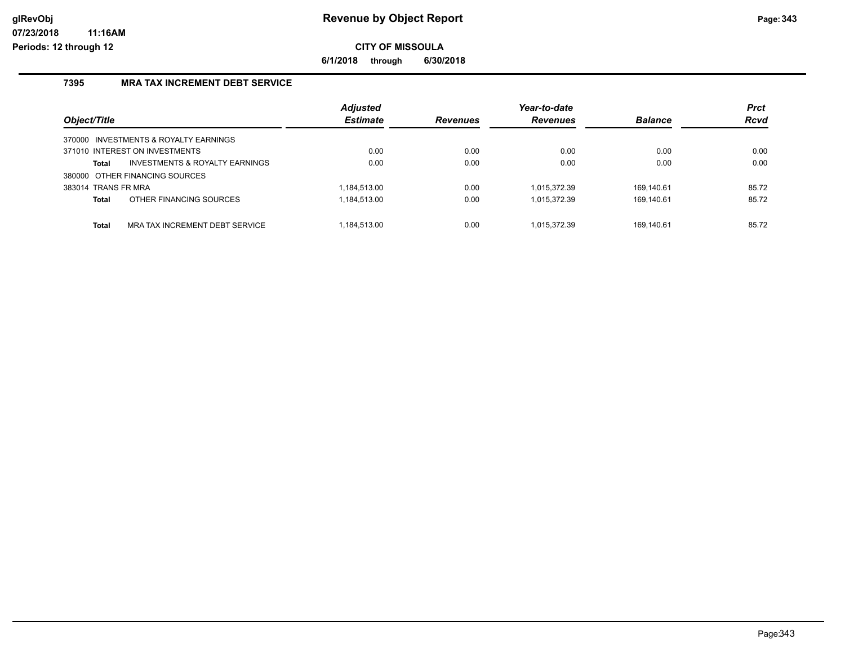**6/1/2018 through 6/30/2018**

### **7395 MRA TAX INCREMENT DEBT SERVICE**

| Object/Title                                   | <b>Adjusted</b><br><b>Estimate</b> | <b>Revenues</b> | Year-to-date<br><b>Revenues</b> | <b>Balance</b> | <b>Prct</b><br><b>Rcvd</b> |
|------------------------------------------------|------------------------------------|-----------------|---------------------------------|----------------|----------------------------|
| 370000 INVESTMENTS & ROYALTY EARNINGS          |                                    |                 |                                 |                |                            |
| 371010 INTEREST ON INVESTMENTS                 | 0.00                               | 0.00            | 0.00                            | 0.00           | 0.00                       |
| INVESTMENTS & ROYALTY EARNINGS<br><b>Total</b> | 0.00                               | 0.00            | 0.00                            | 0.00           | 0.00                       |
| 380000 OTHER FINANCING SOURCES                 |                                    |                 |                                 |                |                            |
| 383014 TRANS FR MRA                            | 1,184,513.00                       | 0.00            | 1.015.372.39                    | 169,140.61     | 85.72                      |
| OTHER FINANCING SOURCES<br><b>Total</b>        | 1,184,513.00                       | 0.00            | 1,015,372.39                    | 169,140.61     | 85.72                      |
|                                                |                                    |                 |                                 |                |                            |
| MRA TAX INCREMENT DEBT SERVICE<br><b>Total</b> | 1.184.513.00                       | 0.00            | 1.015.372.39                    | 169.140.61     | 85.72                      |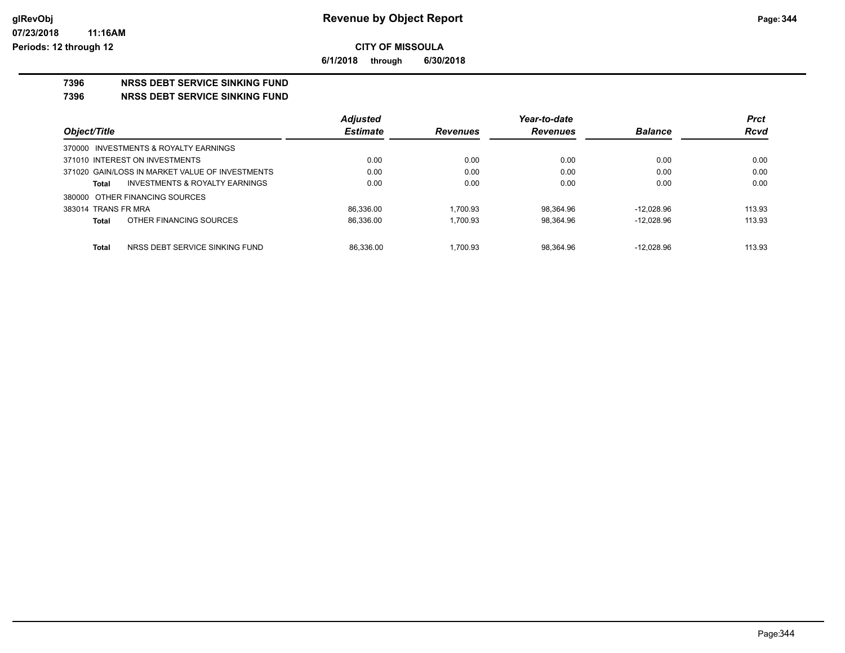**6/1/2018 through 6/30/2018**

### **7396 NRSS DEBT SERVICE SINKING FUND**

**7396 NRSS DEBT SERVICE SINKING FUND**

|                                                 | <b>Adjusted</b> |                 | Year-to-date    |                | <b>Prct</b> |
|-------------------------------------------------|-----------------|-----------------|-----------------|----------------|-------------|
| Object/Title                                    | <b>Estimate</b> | <b>Revenues</b> | <b>Revenues</b> | <b>Balance</b> | <b>Rcvd</b> |
| 370000 INVESTMENTS & ROYALTY EARNINGS           |                 |                 |                 |                |             |
| 371010 INTEREST ON INVESTMENTS                  | 0.00            | 0.00            | 0.00            | 0.00           | 0.00        |
| 371020 GAIN/LOSS IN MARKET VALUE OF INVESTMENTS | 0.00            | 0.00            | 0.00            | 0.00           | 0.00        |
| INVESTMENTS & ROYALTY EARNINGS<br><b>Total</b>  | 0.00            | 0.00            | 0.00            | 0.00           | 0.00        |
| 380000 OTHER FINANCING SOURCES                  |                 |                 |                 |                |             |
| 383014 TRANS FR MRA                             | 86.336.00       | 1.700.93        | 98.364.96       | $-12.028.96$   | 113.93      |
| OTHER FINANCING SOURCES<br><b>Total</b>         | 86.336.00       | 1.700.93        | 98.364.96       | $-12.028.96$   | 113.93      |
| <b>Total</b><br>NRSS DEBT SERVICE SINKING FUND  | 86.336.00       | 1.700.93        | 98.364.96       | $-12.028.96$   | 113.93      |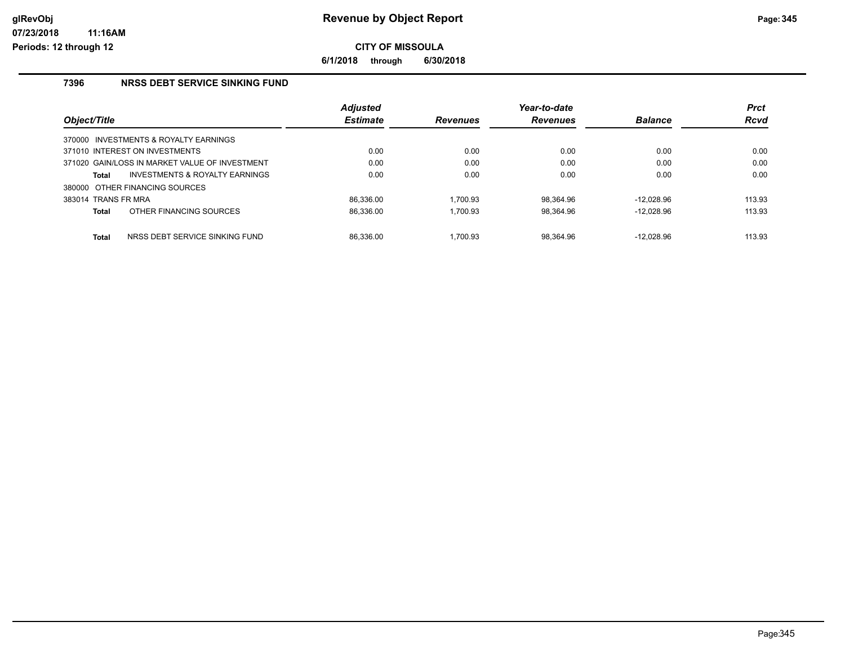**6/1/2018 through 6/30/2018**

### **7396 NRSS DEBT SERVICE SINKING FUND**

|                     |                                                | <b>Adjusted</b> |                 | Year-to-date   |              | <b>Prct</b> |
|---------------------|------------------------------------------------|-----------------|-----------------|----------------|--------------|-------------|
| Object/Title        | <b>Estimate</b>                                | <b>Revenues</b> | <b>Revenues</b> | <b>Balance</b> | <b>Rcvd</b>  |             |
|                     | 370000 INVESTMENTS & ROYALTY EARNINGS          |                 |                 |                |              |             |
|                     | 371010 INTEREST ON INVESTMENTS                 | 0.00            | 0.00            | 0.00           | 0.00         | 0.00        |
|                     | 371020 GAIN/LOSS IN MARKET VALUE OF INVESTMENT | 0.00            | 0.00            | 0.00           | 0.00         | 0.00        |
| <b>Total</b>        | INVESTMENTS & ROYALTY EARNINGS                 | 0.00            | 0.00            | 0.00           | 0.00         | 0.00        |
|                     | 380000 OTHER FINANCING SOURCES                 |                 |                 |                |              |             |
| 383014 TRANS FR MRA |                                                | 86.336.00       | 1.700.93        | 98.364.96      | $-12.028.96$ | 113.93      |
| <b>Total</b>        | OTHER FINANCING SOURCES                        | 86.336.00       | 1.700.93        | 98.364.96      | $-12.028.96$ | 113.93      |
| <b>Total</b>        | NRSS DEBT SERVICE SINKING FUND                 | 86.336.00       | .700.93         | 98.364.96      | $-12.028.96$ | 113.93      |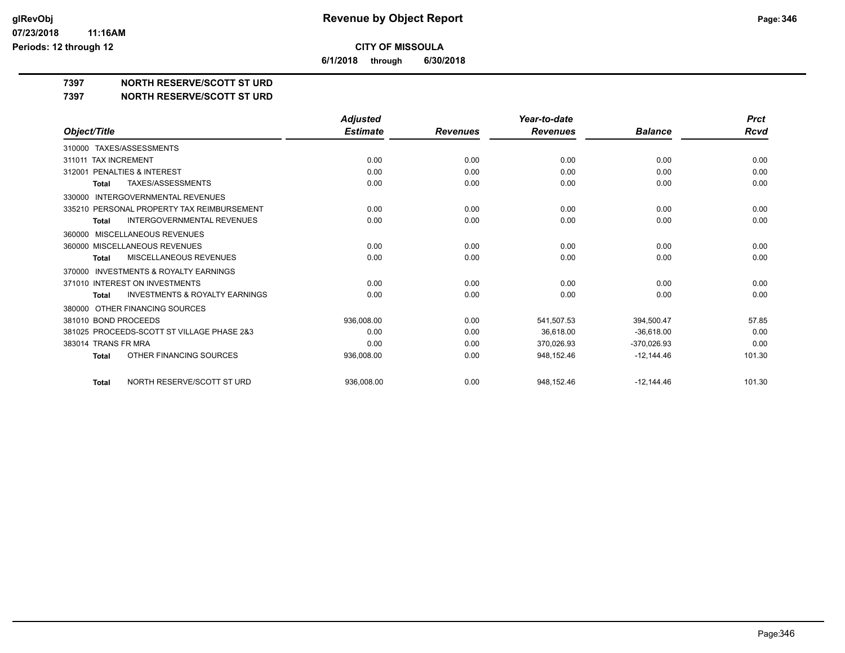**6/1/2018 through 6/30/2018**

**7397 NORTH RESERVE/SCOTT ST URD**

**7397 NORTH RESERVE/SCOTT ST URD**

|                                                           | <b>Adjusted</b> |                 | Year-to-date    |                | <b>Prct</b> |
|-----------------------------------------------------------|-----------------|-----------------|-----------------|----------------|-------------|
| Object/Title                                              | <b>Estimate</b> | <b>Revenues</b> | <b>Revenues</b> | <b>Balance</b> | <b>Rcvd</b> |
| 310000 TAXES/ASSESSMENTS                                  |                 |                 |                 |                |             |
| <b>TAX INCREMENT</b><br>311011                            | 0.00            | 0.00            | 0.00            | 0.00           | 0.00        |
| PENALTIES & INTEREST<br>312001                            | 0.00            | 0.00            | 0.00            | 0.00           | 0.00        |
| <b>TAXES/ASSESSMENTS</b><br><b>Total</b>                  | 0.00            | 0.00            | 0.00            | 0.00           | 0.00        |
| <b>INTERGOVERNMENTAL REVENUES</b><br>330000               |                 |                 |                 |                |             |
| 335210 PERSONAL PROPERTY TAX REIMBURSEMENT                | 0.00            | 0.00            | 0.00            | 0.00           | 0.00        |
| <b>INTERGOVERNMENTAL REVENUES</b><br><b>Total</b>         | 0.00            | 0.00            | 0.00            | 0.00           | 0.00        |
| 360000 MISCELLANEOUS REVENUES                             |                 |                 |                 |                |             |
| 360000 MISCELLANEOUS REVENUES                             | 0.00            | 0.00            | 0.00            | 0.00           | 0.00        |
| MISCELLANEOUS REVENUES<br><b>Total</b>                    | 0.00            | 0.00            | 0.00            | 0.00           | 0.00        |
| 370000 INVESTMENTS & ROYALTY EARNINGS                     |                 |                 |                 |                |             |
| 371010 INTEREST ON INVESTMENTS                            | 0.00            | 0.00            | 0.00            | 0.00           | 0.00        |
| <b>INVESTMENTS &amp; ROYALTY EARNINGS</b><br><b>Total</b> | 0.00            | 0.00            | 0.00            | 0.00           | 0.00        |
| OTHER FINANCING SOURCES<br>380000                         |                 |                 |                 |                |             |
| 381010 BOND PROCEEDS                                      | 936.008.00      | 0.00            | 541,507.53      | 394,500.47     | 57.85       |
| 381025 PROCEEDS-SCOTT ST VILLAGE PHASE 2&3                | 0.00            | 0.00            | 36.618.00       | $-36,618.00$   | 0.00        |
| 383014 TRANS FR MRA                                       | 0.00            | 0.00            | 370,026.93      | $-370,026.93$  | 0.00        |
| OTHER FINANCING SOURCES<br><b>Total</b>                   | 936,008.00      | 0.00            | 948,152.46      | $-12,144.46$   | 101.30      |
|                                                           |                 |                 |                 |                |             |
| NORTH RESERVE/SCOTT ST URD<br><b>Total</b>                | 936.008.00      | 0.00            | 948.152.46      | $-12.144.46$   | 101.30      |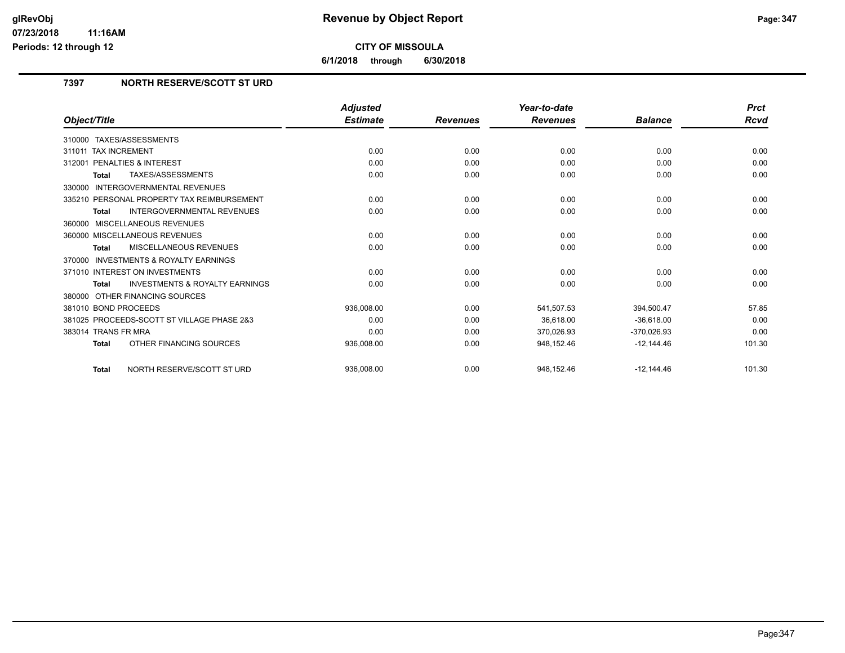**6/1/2018 through 6/30/2018**

### **7397 NORTH RESERVE/SCOTT ST URD**

|                                                           | <b>Adjusted</b> |                 | Year-to-date    |                | <b>Prct</b> |
|-----------------------------------------------------------|-----------------|-----------------|-----------------|----------------|-------------|
| Object/Title                                              | <b>Estimate</b> | <b>Revenues</b> | <b>Revenues</b> | <b>Balance</b> | <b>Rcvd</b> |
| TAXES/ASSESSMENTS<br>310000                               |                 |                 |                 |                |             |
| 311011 TAX INCREMENT                                      | 0.00            | 0.00            | 0.00            | 0.00           | 0.00        |
| 312001 PENALTIES & INTEREST                               | 0.00            | 0.00            | 0.00            | 0.00           | 0.00        |
| TAXES/ASSESSMENTS<br><b>Total</b>                         | 0.00            | 0.00            | 0.00            | 0.00           | 0.00        |
| <b>INTERGOVERNMENTAL REVENUES</b><br>330000               |                 |                 |                 |                |             |
| 335210 PERSONAL PROPERTY TAX REIMBURSEMENT                | 0.00            | 0.00            | 0.00            | 0.00           | 0.00        |
| <b>INTERGOVERNMENTAL REVENUES</b><br><b>Total</b>         | 0.00            | 0.00            | 0.00            | 0.00           | 0.00        |
| 360000 MISCELLANEOUS REVENUES                             |                 |                 |                 |                |             |
| 360000 MISCELLANEOUS REVENUES                             | 0.00            | 0.00            | 0.00            | 0.00           | 0.00        |
| <b>MISCELLANEOUS REVENUES</b><br><b>Total</b>             | 0.00            | 0.00            | 0.00            | 0.00           | 0.00        |
| 370000 INVESTMENTS & ROYALTY EARNINGS                     |                 |                 |                 |                |             |
| 371010 INTEREST ON INVESTMENTS                            | 0.00            | 0.00            | 0.00            | 0.00           | 0.00        |
| <b>INVESTMENTS &amp; ROYALTY EARNINGS</b><br><b>Total</b> | 0.00            | 0.00            | 0.00            | 0.00           | 0.00        |
| 380000 OTHER FINANCING SOURCES                            |                 |                 |                 |                |             |
| 381010 BOND PROCEEDS                                      | 936,008.00      | 0.00            | 541,507.53      | 394,500.47     | 57.85       |
| 381025 PROCEEDS-SCOTT ST VILLAGE PHASE 2&3                | 0.00            | 0.00            | 36.618.00       | $-36.618.00$   | 0.00        |
| 383014 TRANS FR MRA                                       | 0.00            | 0.00            | 370,026.93      | $-370,026.93$  | 0.00        |
| OTHER FINANCING SOURCES<br><b>Total</b>                   | 936.008.00      | 0.00            | 948,152.46      | $-12,144.46$   | 101.30      |
| NORTH RESERVE/SCOTT ST URD<br>Total                       | 936.008.00      | 0.00            | 948.152.46      | $-12.144.46$   | 101.30      |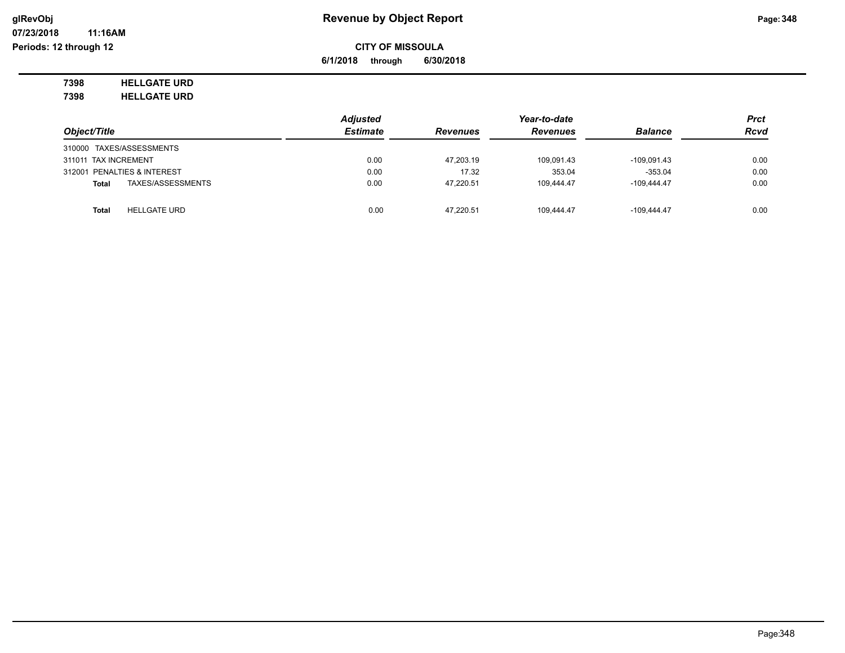**6/1/2018 through 6/30/2018**

**7398 HELLGATE URD**

**7398 HELLGATE URD**

|                                     |  | <b>Adjusted</b> | Year-to-date    |                 |                | <b>Prct</b> |
|-------------------------------------|--|-----------------|-----------------|-----------------|----------------|-------------|
| Object/Title                        |  | <b>Estimate</b> | <b>Revenues</b> | <b>Revenues</b> | <b>Balance</b> | <b>Rcvd</b> |
| 310000 TAXES/ASSESSMENTS            |  |                 |                 |                 |                |             |
| 311011 TAX INCREMENT                |  | 0.00            | 47.203.19       | 109,091.43      | $-109,091.43$  | 0.00        |
| 312001 PENALTIES & INTEREST         |  | 0.00            | 17.32           | 353.04          | $-353.04$      | 0.00        |
| TAXES/ASSESSMENTS<br><b>Total</b>   |  | 0.00            | 47.220.51       | 109,444.47      | $-109,444.47$  | 0.00        |
| <b>HELLGATE URD</b><br><b>Total</b> |  | 0.00            | 47.220.51       | 109.444.47      | $-109.444.47$  | 0.00        |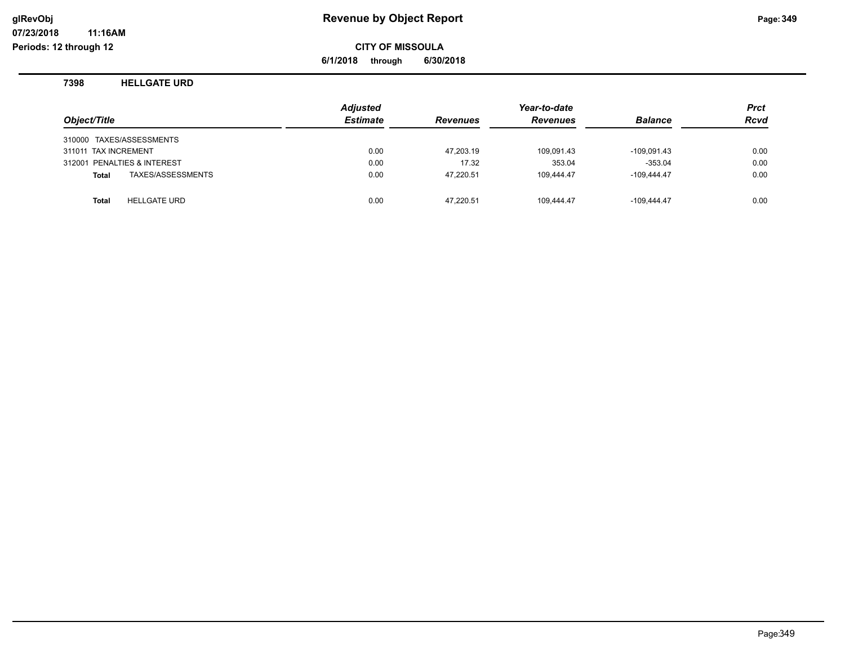**6/1/2018 through 6/30/2018**

#### **7398 HELLGATE URD**

|                                     | <b>Adjusted</b> |                 | Year-to-date    |                | <b>Prct</b> |
|-------------------------------------|-----------------|-----------------|-----------------|----------------|-------------|
| Object/Title                        | <b>Estimate</b> | <b>Revenues</b> | <b>Revenues</b> | <b>Balance</b> | <b>Rcvd</b> |
| 310000 TAXES/ASSESSMENTS            |                 |                 |                 |                |             |
| 311011 TAX INCREMENT                | 0.00            | 47.203.19       | 109.091.43      | $-109.091.43$  | 0.00        |
| 312001 PENALTIES & INTEREST         | 0.00            | 17.32           | 353.04          | $-353.04$      | 0.00        |
| TAXES/ASSESSMENTS<br>Total          | 0.00            | 47.220.51       | 109.444.47      | $-109.444.47$  | 0.00        |
|                                     |                 |                 |                 |                |             |
| <b>HELLGATE URD</b><br><b>Total</b> | 0.00            | 47.220.51       | 109.444.47      | $-109.444.47$  | 0.00        |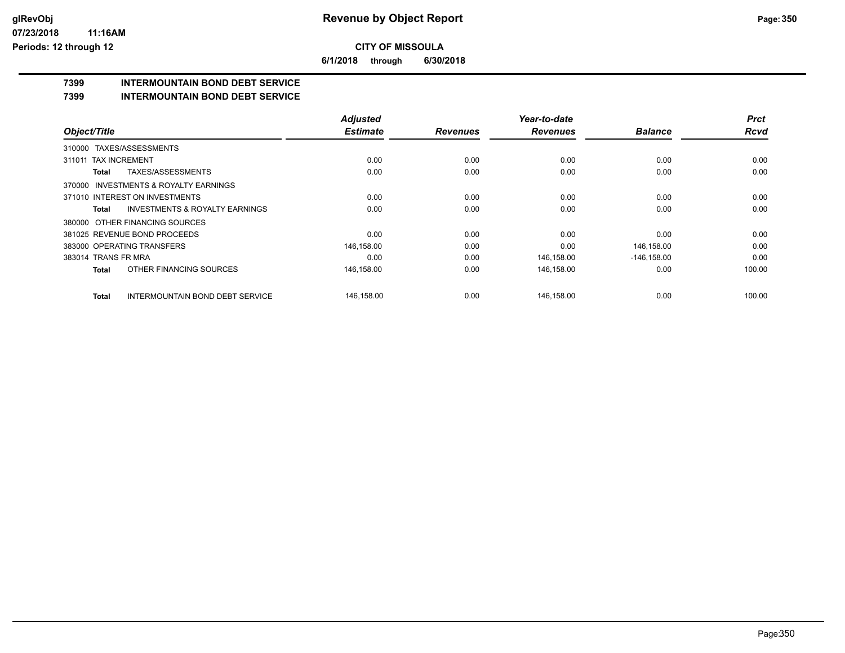**6/1/2018 through 6/30/2018**

### **7399 INTERMOUNTAIN BOND DEBT SERVICE**

### **7399 INTERMOUNTAIN BOND DEBT SERVICE**

|                                                           | <b>Adjusted</b> |                 | Year-to-date    |                | <b>Prct</b> |
|-----------------------------------------------------------|-----------------|-----------------|-----------------|----------------|-------------|
| Object/Title                                              | <b>Estimate</b> | <b>Revenues</b> | <b>Revenues</b> | <b>Balance</b> | <b>Rcvd</b> |
| 310000 TAXES/ASSESSMENTS                                  |                 |                 |                 |                |             |
| <b>TAX INCREMENT</b><br>311011                            | 0.00            | 0.00            | 0.00            | 0.00           | 0.00        |
| TAXES/ASSESSMENTS<br><b>Total</b>                         | 0.00            | 0.00            | 0.00            | 0.00           | 0.00        |
| 370000 INVESTMENTS & ROYALTY EARNINGS                     |                 |                 |                 |                |             |
| 371010 INTEREST ON INVESTMENTS                            | 0.00            | 0.00            | 0.00            | 0.00           | 0.00        |
| <b>INVESTMENTS &amp; ROYALTY EARNINGS</b><br><b>Total</b> | 0.00            | 0.00            | 0.00            | 0.00           | 0.00        |
| 380000 OTHER FINANCING SOURCES                            |                 |                 |                 |                |             |
| 381025 REVENUE BOND PROCEEDS                              | 0.00            | 0.00            | 0.00            | 0.00           | 0.00        |
| 383000 OPERATING TRANSFERS                                | 146,158.00      | 0.00            | 0.00            | 146,158.00     | 0.00        |
| 383014 TRANS FR MRA                                       | 0.00            | 0.00            | 146,158.00      | $-146, 158.00$ | 0.00        |
| OTHER FINANCING SOURCES<br><b>Total</b>                   | 146,158.00      | 0.00            | 146,158.00      | 0.00           | 100.00      |
| <b>INTERMOUNTAIN BOND DEBT SERVICE</b><br>Total           | 146.158.00      | 0.00            | 146.158.00      | 0.00           | 100.00      |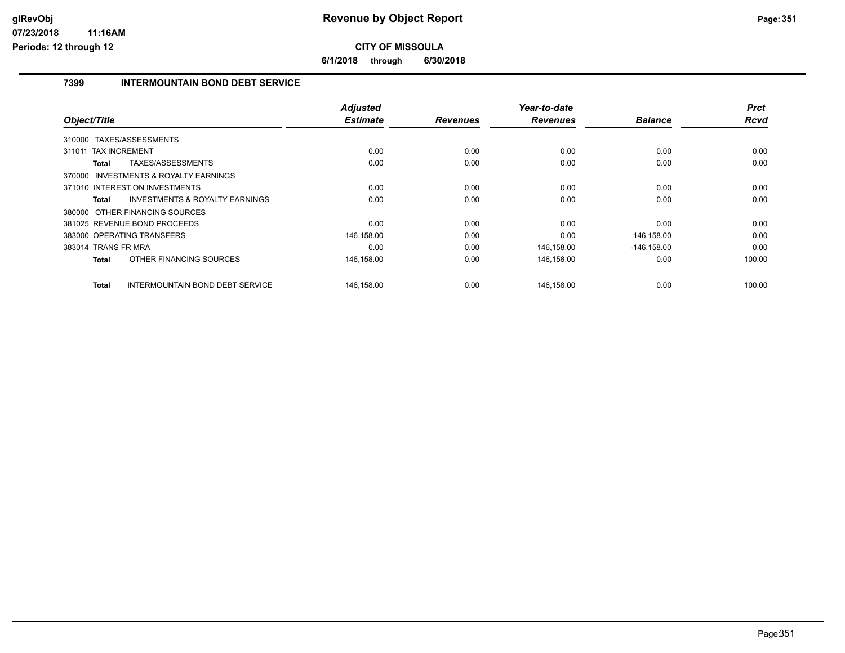**6/1/2018 through 6/30/2018**

### **7399 INTERMOUNTAIN BOND DEBT SERVICE**

| Object/Title                                              | <b>Adjusted</b><br><b>Estimate</b> | <b>Revenues</b> | Year-to-date<br><b>Revenues</b> | <b>Balance</b> | <b>Prct</b><br><b>Rcvd</b> |
|-----------------------------------------------------------|------------------------------------|-----------------|---------------------------------|----------------|----------------------------|
|                                                           |                                    |                 |                                 |                |                            |
| 310000 TAXES/ASSESSMENTS                                  |                                    |                 |                                 |                |                            |
| 311011 TAX INCREMENT                                      | 0.00                               | 0.00            | 0.00                            | 0.00           | 0.00                       |
| TAXES/ASSESSMENTS<br><b>Total</b>                         | 0.00                               | 0.00            | 0.00                            | 0.00           | 0.00                       |
| 370000 INVESTMENTS & ROYALTY EARNINGS                     |                                    |                 |                                 |                |                            |
| 371010 INTEREST ON INVESTMENTS                            | 0.00                               | 0.00            | 0.00                            | 0.00           | 0.00                       |
| <b>INVESTMENTS &amp; ROYALTY EARNINGS</b><br><b>Total</b> | 0.00                               | 0.00            | 0.00                            | 0.00           | 0.00                       |
| 380000 OTHER FINANCING SOURCES                            |                                    |                 |                                 |                |                            |
| 381025 REVENUE BOND PROCEEDS                              | 0.00                               | 0.00            | 0.00                            | 0.00           | 0.00                       |
| 383000 OPERATING TRANSFERS                                | 146,158.00                         | 0.00            | 0.00                            | 146,158.00     | 0.00                       |
| 383014 TRANS FR MRA                                       | 0.00                               | 0.00            | 146,158.00                      | $-146, 158.00$ | 0.00                       |
| OTHER FINANCING SOURCES<br><b>Total</b>                   | 146,158.00                         | 0.00            | 146,158.00                      | 0.00           | 100.00                     |
| <b>INTERMOUNTAIN BOND DEBT SERVICE</b><br>Total           | 146,158.00                         | 0.00            | 146,158.00                      | 0.00           | 100.00                     |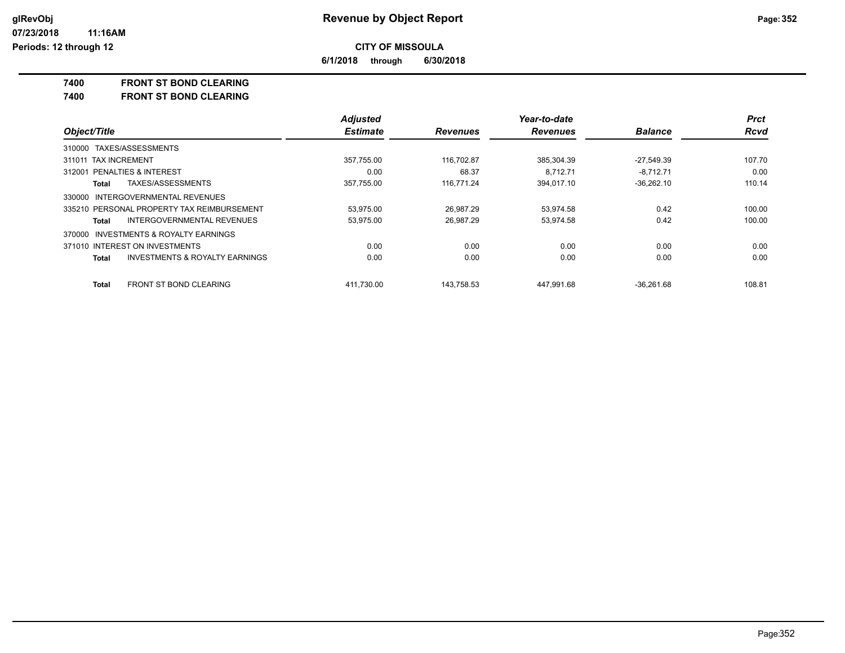**6/1/2018 through 6/30/2018**

**7400 FRONT ST BOND CLEARING**

**7400 FRONT ST BOND CLEARING**

|                                                    | <b>Adjusted</b> |                 | Year-to-date    |                | <b>Prct</b> |
|----------------------------------------------------|-----------------|-----------------|-----------------|----------------|-------------|
| Object/Title                                       | <b>Estimate</b> | <b>Revenues</b> | <b>Revenues</b> | <b>Balance</b> | <b>Rcvd</b> |
| 310000 TAXES/ASSESSMENTS                           |                 |                 |                 |                |             |
| 311011 TAX INCREMENT                               | 357,755.00      | 116.702.87      | 385,304.39      | $-27,549.39$   | 107.70      |
| 312001 PENALTIES & INTEREST                        | 0.00            | 68.37           | 8.712.71        | $-8.712.71$    | 0.00        |
| TAXES/ASSESSMENTS<br>Total                         | 357,755.00      | 116,771.24      | 394,017.10      | $-36,262.10$   | 110.14      |
| 330000 INTERGOVERNMENTAL REVENUES                  |                 |                 |                 |                |             |
| 335210 PERSONAL PROPERTY TAX REIMBURSEMENT         | 53.975.00       | 26.987.29       | 53.974.58       | 0.42           | 100.00      |
| INTERGOVERNMENTAL REVENUES<br>Total                | 53,975.00       | 26.987.29       | 53.974.58       | 0.42           | 100.00      |
| INVESTMENTS & ROYALTY EARNINGS<br>370000           |                 |                 |                 |                |             |
| 371010 INTEREST ON INVESTMENTS                     | 0.00            | 0.00            | 0.00            | 0.00           | 0.00        |
| <b>INVESTMENTS &amp; ROYALTY EARNINGS</b><br>Total | 0.00            | 0.00            | 0.00            | 0.00           | 0.00        |
| <b>FRONT ST BOND CLEARING</b><br><b>Total</b>      | 411.730.00      | 143.758.53      | 447.991.68      | $-36.261.68$   | 108.81      |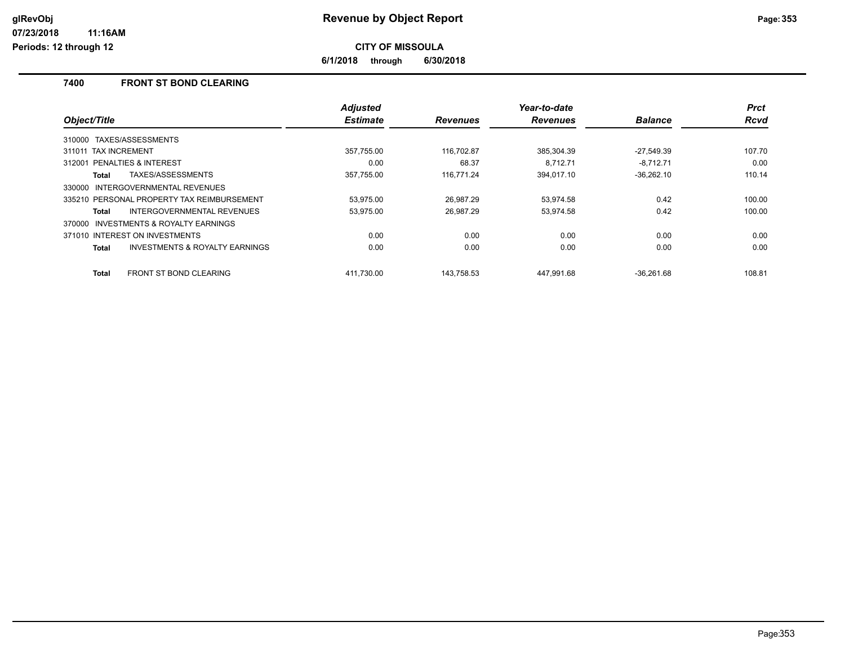**6/1/2018 through 6/30/2018**

### **7400 FRONT ST BOND CLEARING**

|                                                           | <b>Adjusted</b> |                 | Year-to-date    |                | <b>Prct</b> |
|-----------------------------------------------------------|-----------------|-----------------|-----------------|----------------|-------------|
| Object/Title                                              | <b>Estimate</b> | <b>Revenues</b> | <b>Revenues</b> | <b>Balance</b> | <b>Rcvd</b> |
| 310000 TAXES/ASSESSMENTS                                  |                 |                 |                 |                |             |
| 311011 TAX INCREMENT                                      | 357,755.00      | 116,702.87      | 385,304.39      | $-27,549.39$   | 107.70      |
| 312001 PENALTIES & INTEREST                               | 0.00            | 68.37           | 8.712.71        | $-8.712.71$    | 0.00        |
| TAXES/ASSESSMENTS<br><b>Total</b>                         | 357,755.00      | 116.771.24      | 394,017.10      | $-36.262.10$   | 110.14      |
| INTERGOVERNMENTAL REVENUES<br>330000                      |                 |                 |                 |                |             |
| 335210 PERSONAL PROPERTY TAX REIMBURSEMENT                | 53.975.00       | 26.987.29       | 53.974.58       | 0.42           | 100.00      |
| INTERGOVERNMENTAL REVENUES<br><b>Total</b>                | 53.975.00       | 26.987.29       | 53.974.58       | 0.42           | 100.00      |
| 370000 INVESTMENTS & ROYALTY EARNINGS                     |                 |                 |                 |                |             |
| 371010 INTEREST ON INVESTMENTS                            | 0.00            | 0.00            | 0.00            | 0.00           | 0.00        |
| <b>INVESTMENTS &amp; ROYALTY EARNINGS</b><br><b>Total</b> | 0.00            | 0.00            | 0.00            | 0.00           | 0.00        |
| FRONT ST BOND CLEARING<br><b>Total</b>                    | 411.730.00      | 143.758.53      | 447.991.68      | $-36.261.68$   | 108.81      |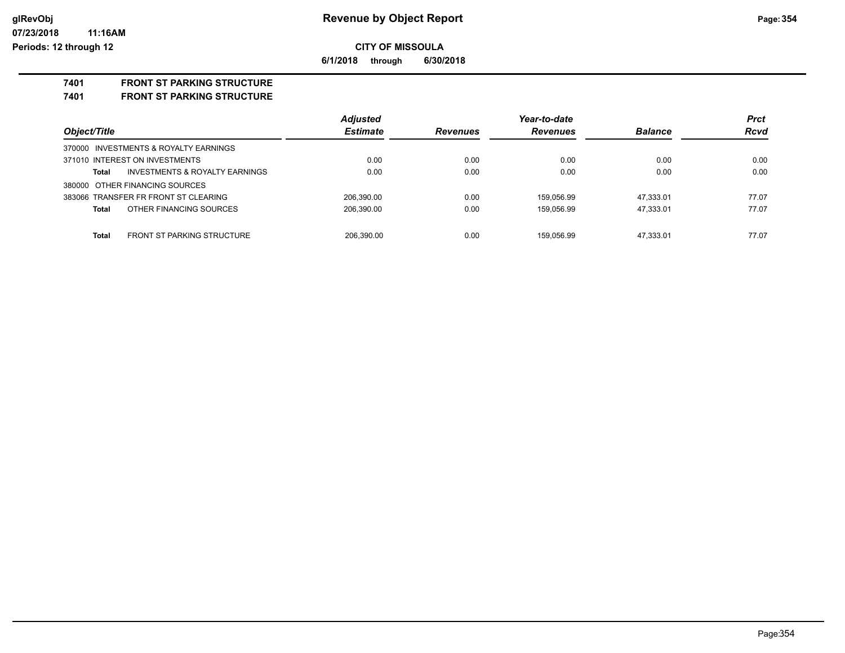**6/1/2018 through 6/30/2018**

### **7401 FRONT ST PARKING STRUCTURE**

**7401 FRONT ST PARKING STRUCTURE**

|                                                   | <b>Adjusted</b> | Year-to-date    |                 |                | <b>Prct</b> |
|---------------------------------------------------|-----------------|-----------------|-----------------|----------------|-------------|
| Object/Title                                      | <b>Estimate</b> | <b>Revenues</b> | <b>Revenues</b> | <b>Balance</b> | <b>Rcvd</b> |
| 370000 INVESTMENTS & ROYALTY EARNINGS             |                 |                 |                 |                |             |
| 371010 INTEREST ON INVESTMENTS                    | 0.00            | 0.00            | 0.00            | 0.00           | 0.00        |
| INVESTMENTS & ROYALTY EARNINGS<br><b>Total</b>    | 0.00            | 0.00            | 0.00            | 0.00           | 0.00        |
| 380000 OTHER FINANCING SOURCES                    |                 |                 |                 |                |             |
| 383066 TRANSFER FR FRONT ST CLEARING              | 206.390.00      | 0.00            | 159.056.99      | 47.333.01      | 77.07       |
| OTHER FINANCING SOURCES<br><b>Total</b>           | 206,390.00      | 0.00            | 159,056.99      | 47.333.01      | 77.07       |
|                                                   |                 |                 |                 |                |             |
| <b>FRONT ST PARKING STRUCTURE</b><br><b>Total</b> | 206.390.00      | 0.00            | 159.056.99      | 47.333.01      | 77.07       |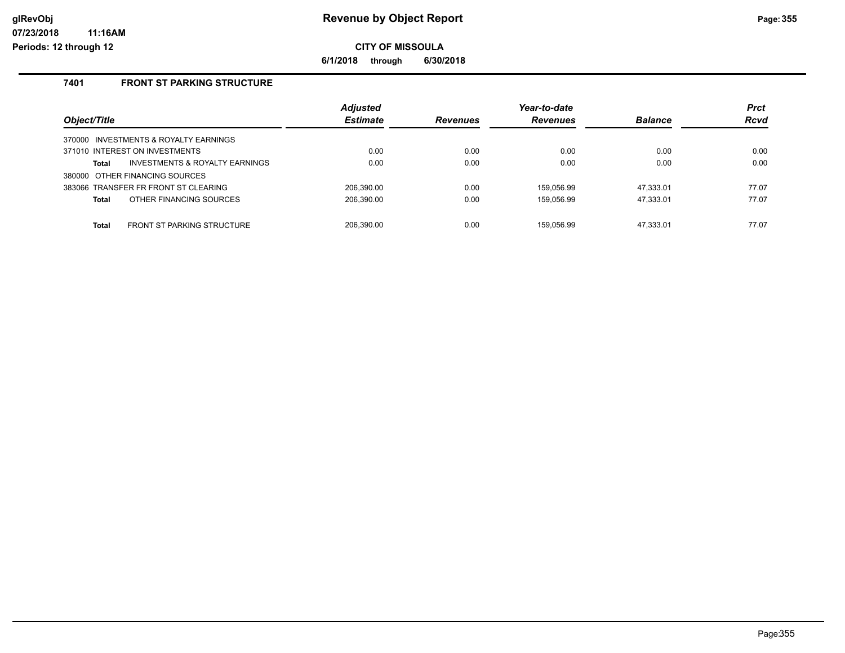**6/1/2018 through 6/30/2018**

### **7401 FRONT ST PARKING STRUCTURE**

| Object/Title |                                           | <b>Adjusted</b><br><b>Estimate</b> | <b>Revenues</b> | Year-to-date<br><b>Revenues</b> | <b>Balance</b> | <b>Prct</b><br><b>Rcvd</b> |
|--------------|-------------------------------------------|------------------------------------|-----------------|---------------------------------|----------------|----------------------------|
|              |                                           |                                    |                 |                                 |                |                            |
| 370000       | INVESTMENTS & ROYALTY EARNINGS            |                                    |                 |                                 |                |                            |
|              | 371010 INTEREST ON INVESTMENTS            | 0.00                               | 0.00            | 0.00                            | 0.00           | 0.00                       |
| Total        | <b>INVESTMENTS &amp; ROYALTY EARNINGS</b> | 0.00                               | 0.00            | 0.00                            | 0.00           | 0.00                       |
|              | 380000 OTHER FINANCING SOURCES            |                                    |                 |                                 |                |                            |
|              | 383066 TRANSFER FR FRONT ST CLEARING      | 206,390.00                         | 0.00            | 159.056.99                      | 47,333.01      | 77.07                      |
| <b>Total</b> | OTHER FINANCING SOURCES                   | 206,390.00                         | 0.00            | 159.056.99                      | 47.333.01      | 77.07                      |
| Total        | <b>FRONT ST PARKING STRUCTURE</b>         | 206.390.00                         | 0.00            | 159.056.99                      | 47.333.01      | 77.07                      |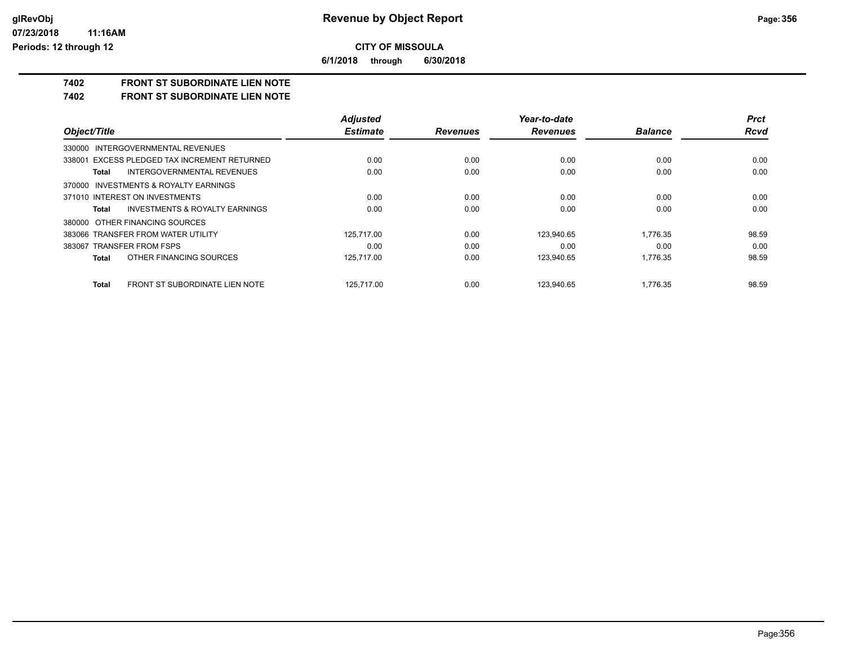**6/1/2018 through 6/30/2018**

### **7402 FRONT ST SUBORDINATE LIEN NOTE**

**7402 FRONT ST SUBORDINATE LIEN NOTE**

|                                                    | <b>Adjusted</b> |                 | Year-to-date    |                | <b>Prct</b> |
|----------------------------------------------------|-----------------|-----------------|-----------------|----------------|-------------|
| Object/Title                                       | <b>Estimate</b> | <b>Revenues</b> | <b>Revenues</b> | <b>Balance</b> | Rcvd        |
| 330000 INTERGOVERNMENTAL REVENUES                  |                 |                 |                 |                |             |
| 338001 EXCESS PLEDGED TAX INCREMENT RETURNED       | 0.00            | 0.00            | 0.00            | 0.00           | 0.00        |
| <b>INTERGOVERNMENTAL REVENUES</b><br>Total         | 0.00            | 0.00            | 0.00            | 0.00           | 0.00        |
| 370000 INVESTMENTS & ROYALTY EARNINGS              |                 |                 |                 |                |             |
| 371010 INTEREST ON INVESTMENTS                     | 0.00            | 0.00            | 0.00            | 0.00           | 0.00        |
| <b>INVESTMENTS &amp; ROYALTY EARNINGS</b><br>Total | 0.00            | 0.00            | 0.00            | 0.00           | 0.00        |
| 380000 OTHER FINANCING SOURCES                     |                 |                 |                 |                |             |
| 383066 TRANSFER FROM WATER UTILITY                 | 125.717.00      | 0.00            | 123.940.65      | 1.776.35       | 98.59       |
| 383067 TRANSFER FROM FSPS                          | 0.00            | 0.00            | 0.00            | 0.00           | 0.00        |
| OTHER FINANCING SOURCES<br>Total                   | 125,717.00      | 0.00            | 123,940.65      | 1,776.35       | 98.59       |
| FRONT ST SUBORDINATE LIEN NOTE<br>Total            | 125.717.00      | 0.00            | 123.940.65      | 1.776.35       | 98.59       |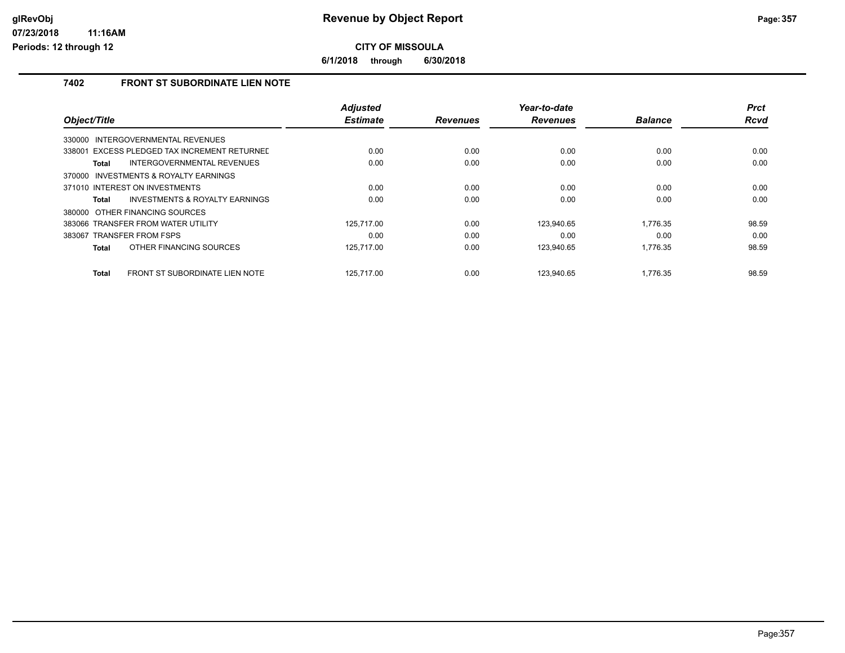**6/1/2018 through 6/30/2018**

### **7402 FRONT ST SUBORDINATE LIEN NOTE**

|                                                    | <b>Adjusted</b> |                 | Year-to-date    |                | <b>Prct</b> |
|----------------------------------------------------|-----------------|-----------------|-----------------|----------------|-------------|
| Object/Title                                       | <b>Estimate</b> | <b>Revenues</b> | <b>Revenues</b> | <b>Balance</b> | Rcvd        |
| INTERGOVERNMENTAL REVENUES<br>330000               |                 |                 |                 |                |             |
| EXCESS PLEDGED TAX INCREMENT RETURNED<br>338001    | 0.00            | 0.00            | 0.00            | 0.00           | 0.00        |
| <b>INTERGOVERNMENTAL REVENUES</b><br>Total         | 0.00            | 0.00            | 0.00            | 0.00           | 0.00        |
| 370000 INVESTMENTS & ROYALTY EARNINGS              |                 |                 |                 |                |             |
| 371010 INTEREST ON INVESTMENTS                     | 0.00            | 0.00            | 0.00            | 0.00           | 0.00        |
| <b>INVESTMENTS &amp; ROYALTY EARNINGS</b><br>Total | 0.00            | 0.00            | 0.00            | 0.00           | 0.00        |
| 380000 OTHER FINANCING SOURCES                     |                 |                 |                 |                |             |
| 383066 TRANSFER FROM WATER UTILITY                 | 125,717.00      | 0.00            | 123.940.65      | 1,776.35       | 98.59       |
| 383067 TRANSFER FROM FSPS                          | 0.00            | 0.00            | 0.00            | 0.00           | 0.00        |
| OTHER FINANCING SOURCES<br>Total                   | 125,717.00      | 0.00            | 123,940.65      | 1,776.35       | 98.59       |
| FRONT ST SUBORDINATE LIEN NOTE<br>Total            | 125.717.00      | 0.00            | 123.940.65      | 1.776.35       | 98.59       |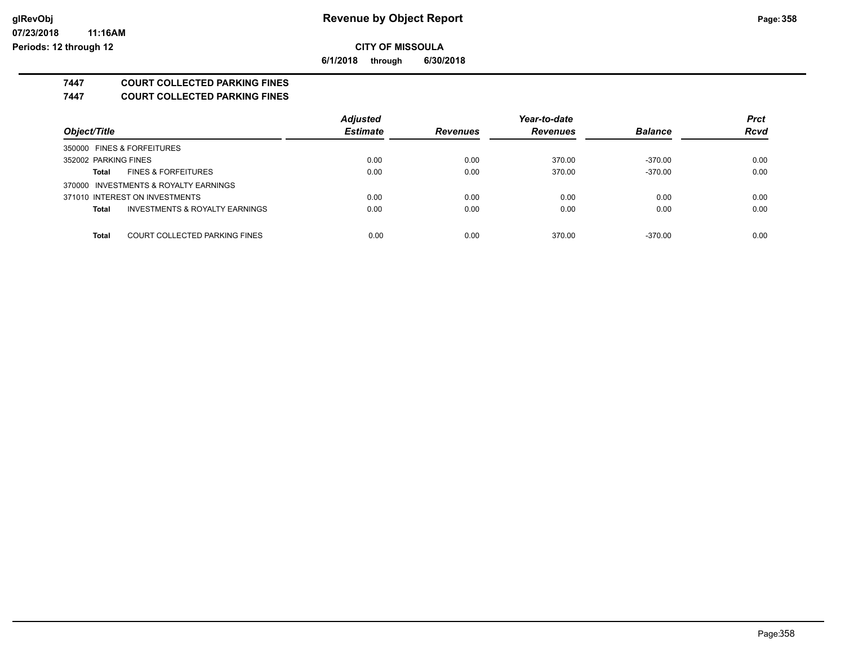**6/1/2018 through 6/30/2018**

### **7447 COURT COLLECTED PARKING FINES**

**7447 COURT COLLECTED PARKING FINES**

|                                                | <b>Adjusted</b> |                 |                 | <b>Prct</b>    |             |
|------------------------------------------------|-----------------|-----------------|-----------------|----------------|-------------|
| Object/Title                                   | <b>Estimate</b> | <b>Revenues</b> | <b>Revenues</b> | <b>Balance</b> | <b>Rcvd</b> |
| 350000 FINES & FORFEITURES                     |                 |                 |                 |                |             |
| 352002 PARKING FINES                           | 0.00            | 0.00            | 370.00          | $-370.00$      | 0.00        |
| <b>FINES &amp; FORFEITURES</b><br>Total        | 0.00            | 0.00            | 370.00          | $-370.00$      | 0.00        |
| 370000 INVESTMENTS & ROYALTY EARNINGS          |                 |                 |                 |                |             |
| 371010 INTEREST ON INVESTMENTS                 | 0.00            | 0.00            | 0.00            | 0.00           | 0.00        |
| INVESTMENTS & ROYALTY EARNINGS<br><b>Total</b> | 0.00            | 0.00            | 0.00            | 0.00           | 0.00        |
|                                                |                 |                 |                 |                |             |
| COURT COLLECTED PARKING FINES<br>Total         | 0.00            | 0.00            | 370.00          | $-370.00$      | 0.00        |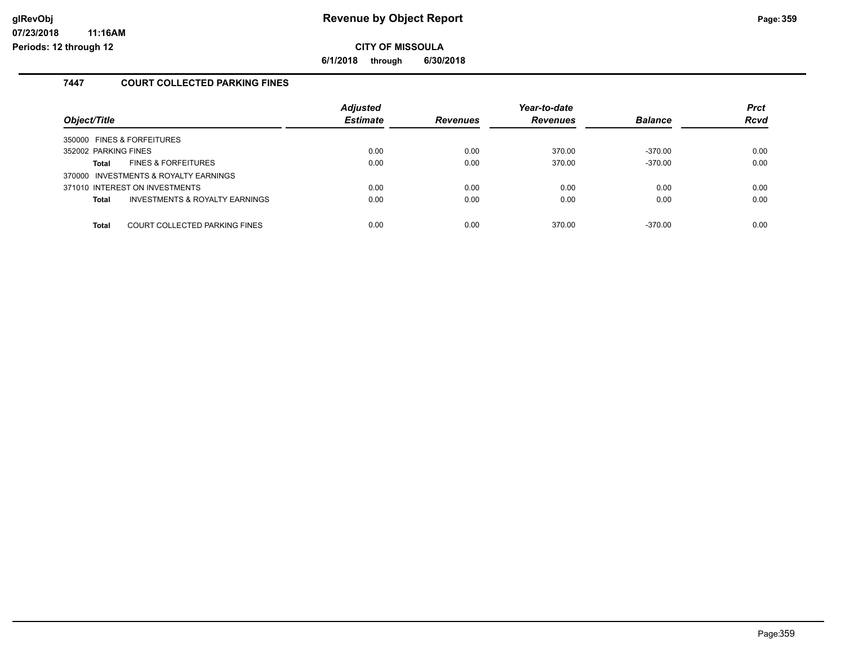**6/1/2018 through 6/30/2018**

### **7447 COURT COLLECTED PARKING FINES**

| Object/Title                                              | <b>Adjusted</b><br><b>Estimate</b> | <b>Revenues</b> | Year-to-date<br><b>Revenues</b> | <b>Balance</b> | <b>Prct</b><br><b>Rcvd</b> |
|-----------------------------------------------------------|------------------------------------|-----------------|---------------------------------|----------------|----------------------------|
| <b>FINES &amp; FORFEITURES</b><br>350000                  |                                    |                 |                                 |                |                            |
| 352002 PARKING FINES                                      | 0.00                               | 0.00            | 370.00                          | $-370.00$      | 0.00                       |
| <b>FINES &amp; FORFEITURES</b><br>Total                   | 0.00                               | 0.00            | 370.00                          | $-370.00$      | 0.00                       |
| 370000 INVESTMENTS & ROYALTY EARNINGS                     |                                    |                 |                                 |                |                            |
| 371010 INTEREST ON INVESTMENTS                            | 0.00                               | 0.00            | 0.00                            | 0.00           | 0.00                       |
| <b>INVESTMENTS &amp; ROYALTY EARNINGS</b><br><b>Total</b> | 0.00                               | 0.00            | 0.00                            | 0.00           | 0.00                       |
| COURT COLLECTED PARKING FINES<br>Total                    | 0.00                               | 0.00            | 370.00                          | $-370.00$      | 0.00                       |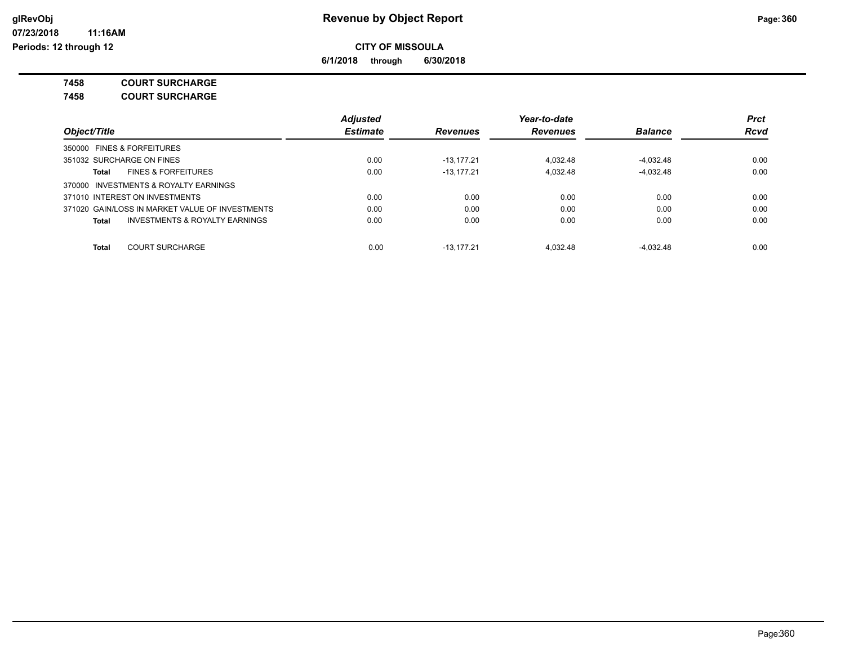**6/1/2018 through 6/30/2018**

**7458 COURT SURCHARGE**

**7458 COURT SURCHARGE**

|                                                    | <b>Adjusted</b> |                 | Year-to-date    |                | <b>Prct</b> |
|----------------------------------------------------|-----------------|-----------------|-----------------|----------------|-------------|
| Object/Title                                       | <b>Estimate</b> | <b>Revenues</b> | <b>Revenues</b> | <b>Balance</b> | <b>Rcvd</b> |
| 350000 FINES & FORFEITURES                         |                 |                 |                 |                |             |
| 351032 SURCHARGE ON FINES                          | 0.00            | $-13.177.21$    | 4.032.48        | $-4.032.48$    | 0.00        |
| <b>FINES &amp; FORFEITURES</b><br>Total            | 0.00            | $-13.177.21$    | 4.032.48        | $-4.032.48$    | 0.00        |
| 370000 INVESTMENTS & ROYALTY EARNINGS              |                 |                 |                 |                |             |
| 371010 INTEREST ON INVESTMENTS                     | 0.00            | 0.00            | 0.00            | 0.00           | 0.00        |
| 371020 GAIN/LOSS IN MARKET VALUE OF INVESTMENTS    | 0.00            | 0.00            | 0.00            | 0.00           | 0.00        |
| <b>INVESTMENTS &amp; ROYALTY EARNINGS</b><br>Total | 0.00            | 0.00            | 0.00            | 0.00           | 0.00        |
| <b>COURT SURCHARGE</b><br><b>Total</b>             | 0.00            | $-13.177.21$    | 4.032.48        | $-4.032.48$    | 0.00        |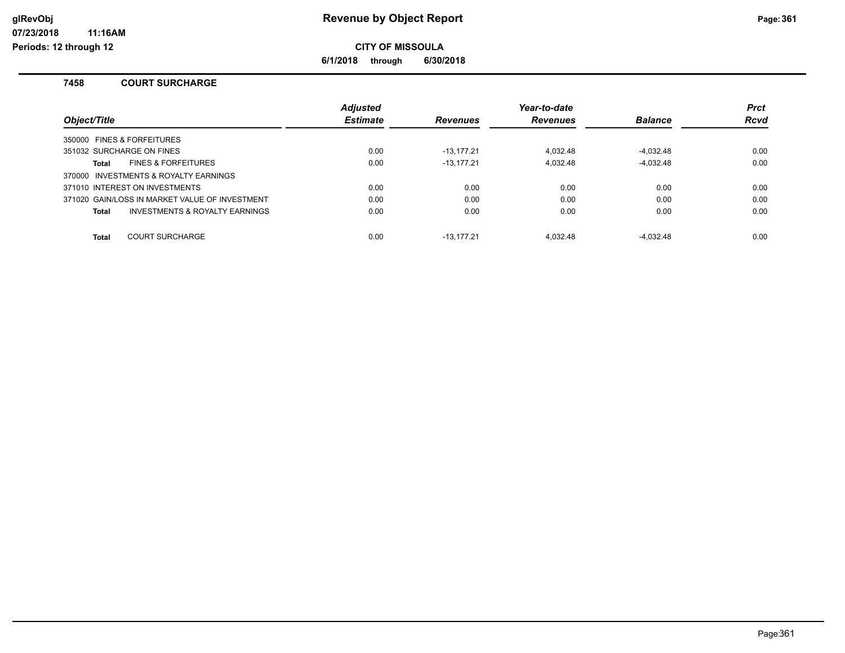**6/1/2018 through 6/30/2018**

#### **7458 COURT SURCHARGE**

|                                                | <b>Adjusted</b> |                 | Year-to-date    |                | <b>Prct</b> |
|------------------------------------------------|-----------------|-----------------|-----------------|----------------|-------------|
| Object/Title                                   | <b>Estimate</b> | <b>Revenues</b> | <b>Revenues</b> | <b>Balance</b> | <b>Rcvd</b> |
| 350000 FINES & FORFEITURES                     |                 |                 |                 |                |             |
| 351032 SURCHARGE ON FINES                      | 0.00            | $-13.177.21$    | 4.032.48        | -4.032.48      | 0.00        |
| <b>FINES &amp; FORFEITURES</b><br>Total        | 0.00            | $-13.177.21$    | 4.032.48        | $-4.032.48$    | 0.00        |
| 370000 INVESTMENTS & ROYALTY EARNINGS          |                 |                 |                 |                |             |
| 371010 INTEREST ON INVESTMENTS                 | 0.00            | 0.00            | 0.00            | 0.00           | 0.00        |
| 371020 GAIN/LOSS IN MARKET VALUE OF INVESTMENT | 0.00            | 0.00            | 0.00            | 0.00           | 0.00        |
| INVESTMENTS & ROYALTY EARNINGS<br>Total        | 0.00            | 0.00            | 0.00            | 0.00           | 0.00        |
| <b>Total</b><br><b>COURT SURCHARGE</b>         | 0.00            | $-13.177.21$    | 4.032.48        | $-4.032.48$    | 0.00        |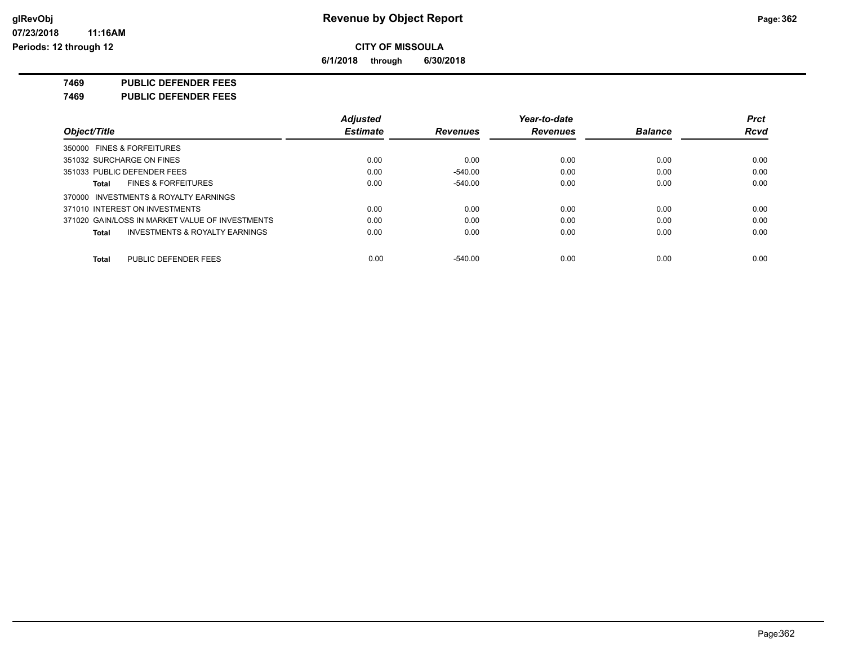**6/1/2018 through 6/30/2018**

**7469 PUBLIC DEFENDER FEES**

**7469 PUBLIC DEFENDER FEES**

|                                                    | <b>Adjusted</b> |                 | Year-to-date    |                | <b>Prct</b> |
|----------------------------------------------------|-----------------|-----------------|-----------------|----------------|-------------|
| Object/Title                                       | <b>Estimate</b> | <b>Revenues</b> | <b>Revenues</b> | <b>Balance</b> | <b>Rcvd</b> |
| 350000 FINES & FORFEITURES                         |                 |                 |                 |                |             |
| 351032 SURCHARGE ON FINES                          | 0.00            | 0.00            | 0.00            | 0.00           | 0.00        |
| 351033 PUBLIC DEFENDER FEES                        | 0.00            | $-540.00$       | 0.00            | 0.00           | 0.00        |
| <b>FINES &amp; FORFEITURES</b><br>Total            | 0.00            | $-540.00$       | 0.00            | 0.00           | 0.00        |
| 370000 INVESTMENTS & ROYALTY EARNINGS              |                 |                 |                 |                |             |
| 371010 INTEREST ON INVESTMENTS                     | 0.00            | 0.00            | 0.00            | 0.00           | 0.00        |
| 371020 GAIN/LOSS IN MARKET VALUE OF INVESTMENTS    | 0.00            | 0.00            | 0.00            | 0.00           | 0.00        |
| <b>INVESTMENTS &amp; ROYALTY EARNINGS</b><br>Total | 0.00            | 0.00            | 0.00            | 0.00           | 0.00        |
| PUBLIC DEFENDER FEES<br>Total                      | 0.00            | $-540.00$       | 0.00            | 0.00           | 0.00        |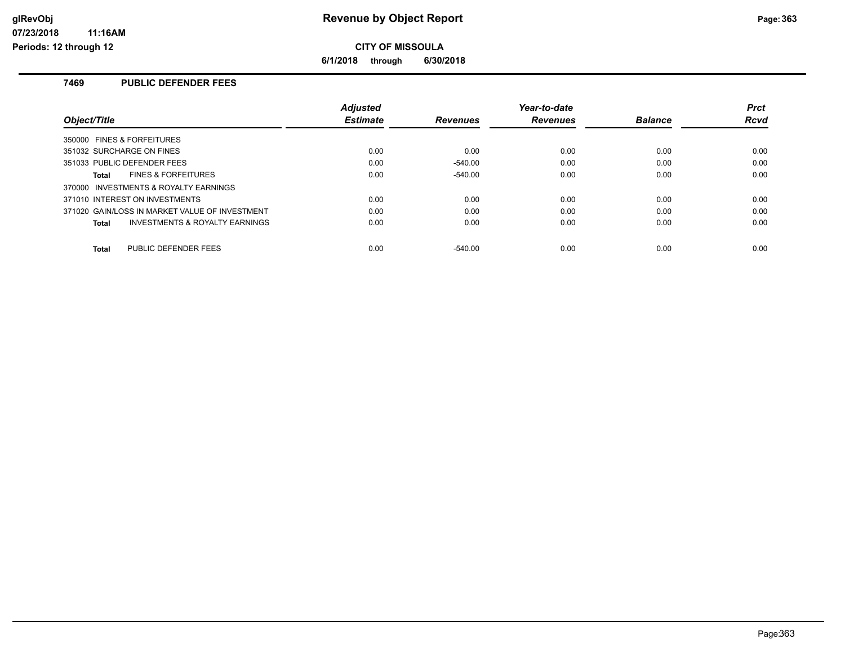**6/1/2018 through 6/30/2018**

#### **7469 PUBLIC DEFENDER FEES**

|                                                | <b>Adiusted</b> |                 | Year-to-date    |                | <b>Prct</b> |
|------------------------------------------------|-----------------|-----------------|-----------------|----------------|-------------|
| Object/Title                                   | <b>Estimate</b> | <b>Revenues</b> | <b>Revenues</b> | <b>Balance</b> | Rcvd        |
| 350000 FINES & FORFEITURES                     |                 |                 |                 |                |             |
| 351032 SURCHARGE ON FINES                      | 0.00            | 0.00            | 0.00            | 0.00           | 0.00        |
| 351033 PUBLIC DEFENDER FEES                    | 0.00            | $-540.00$       | 0.00            | 0.00           | 0.00        |
| <b>FINES &amp; FORFEITURES</b><br><b>Total</b> | 0.00            | $-540.00$       | 0.00            | 0.00           | 0.00        |
| 370000 INVESTMENTS & ROYALTY EARNINGS          |                 |                 |                 |                |             |
| 371010 INTEREST ON INVESTMENTS                 | 0.00            | 0.00            | 0.00            | 0.00           | 0.00        |
| 371020 GAIN/LOSS IN MARKET VALUE OF INVESTMENT | 0.00            | 0.00            | 0.00            | 0.00           | 0.00        |
| INVESTMENTS & ROYALTY EARNINGS<br><b>Total</b> | 0.00            | 0.00            | 0.00            | 0.00           | 0.00        |
| PUBLIC DEFENDER FEES<br><b>Total</b>           | 0.00            | $-540.00$       | 0.00            | 0.00           | 0.00        |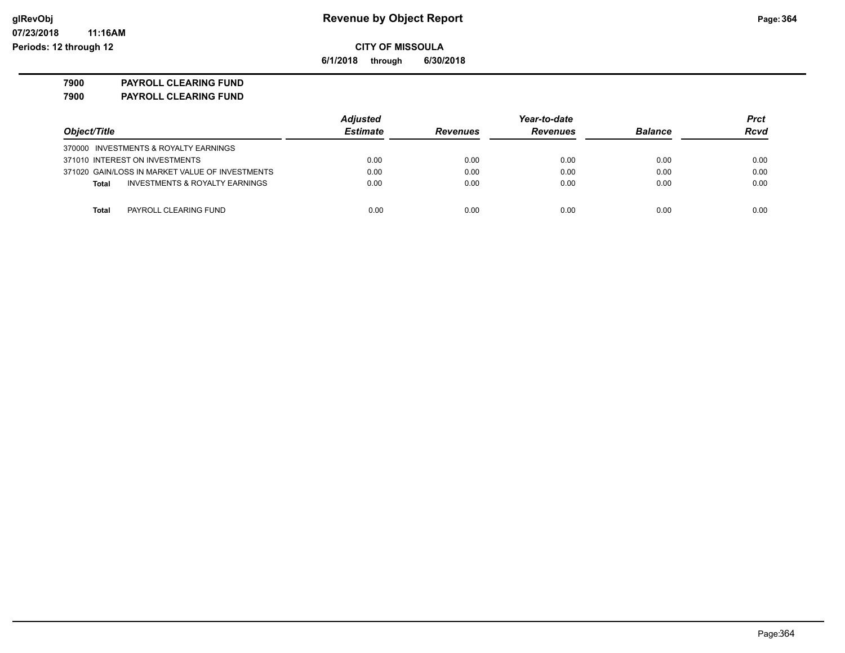**6/1/2018 through 6/30/2018**

## **7900 PAYROLL CLEARING FUND**

**7900 PAYROLL CLEARING FUND**

|                                                           | <b>Adjusted</b> |                 | Year-to-date    |                |      |
|-----------------------------------------------------------|-----------------|-----------------|-----------------|----------------|------|
| Object/Title                                              | <b>Estimate</b> | <b>Revenues</b> | <b>Revenues</b> | <b>Balance</b> | Rcvd |
| 370000 INVESTMENTS & ROYALTY EARNINGS                     |                 |                 |                 |                |      |
| 371010 INTEREST ON INVESTMENTS                            | 0.00            | 0.00            | 0.00            | 0.00           | 0.00 |
| 371020 GAIN/LOSS IN MARKET VALUE OF INVESTMENTS           | 0.00            | 0.00            | 0.00            | 0.00           | 0.00 |
| <b>INVESTMENTS &amp; ROYALTY EARNINGS</b><br><b>Total</b> | 0.00            | 0.00            | 0.00            | 0.00           | 0.00 |
|                                                           |                 |                 |                 |                |      |
| <b>Total</b><br>PAYROLL CLEARING FUND                     | 0.00            | 0.00            | 0.00            | 0.00           | 0.00 |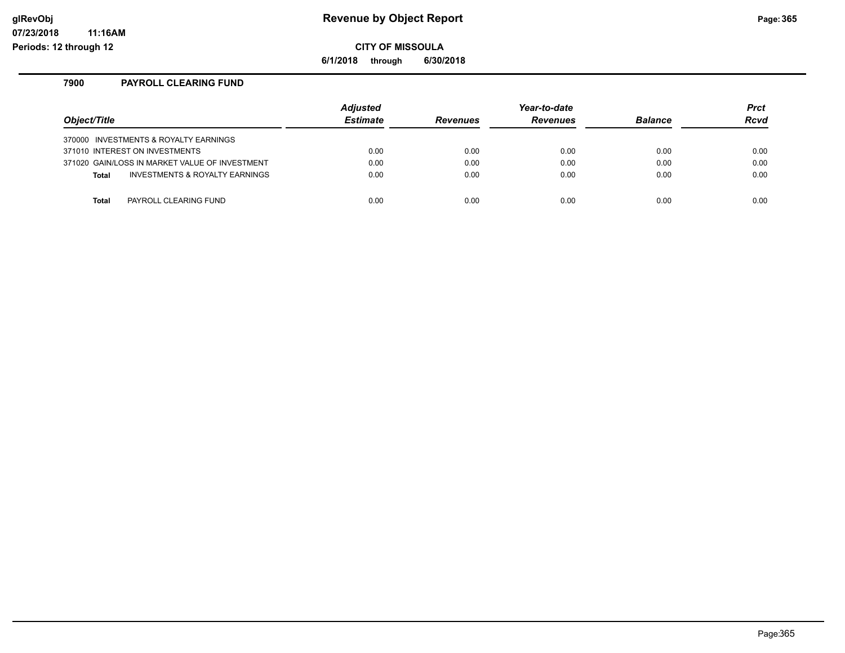**6/1/2018 through 6/30/2018**

#### **7900 PAYROLL CLEARING FUND**

| Object/Title                                              | <b>Adjusted</b><br><b>Estimate</b> | <b>Revenues</b> | Year-to-date<br><b>Revenues</b> | <b>Balance</b> | <b>Prct</b><br><b>Rcvd</b> |
|-----------------------------------------------------------|------------------------------------|-----------------|---------------------------------|----------------|----------------------------|
| 370000 INVESTMENTS & ROYALTY EARNINGS                     |                                    |                 |                                 |                |                            |
| 371010 INTEREST ON INVESTMENTS                            | 0.00                               | 0.00            | 0.00                            | 0.00           | 0.00                       |
| 371020 GAIN/LOSS IN MARKET VALUE OF INVESTMENT            | 0.00                               | 0.00            | 0.00                            | 0.00           | 0.00                       |
| <b>INVESTMENTS &amp; ROYALTY EARNINGS</b><br><b>Total</b> | 0.00                               | 0.00            | 0.00                            | 0.00           | 0.00                       |
|                                                           |                                    |                 |                                 |                |                            |
| PAYROLL CLEARING FUND<br>Total                            | 0.00                               | 0.00            | 0.00                            | 0.00           | 0.00                       |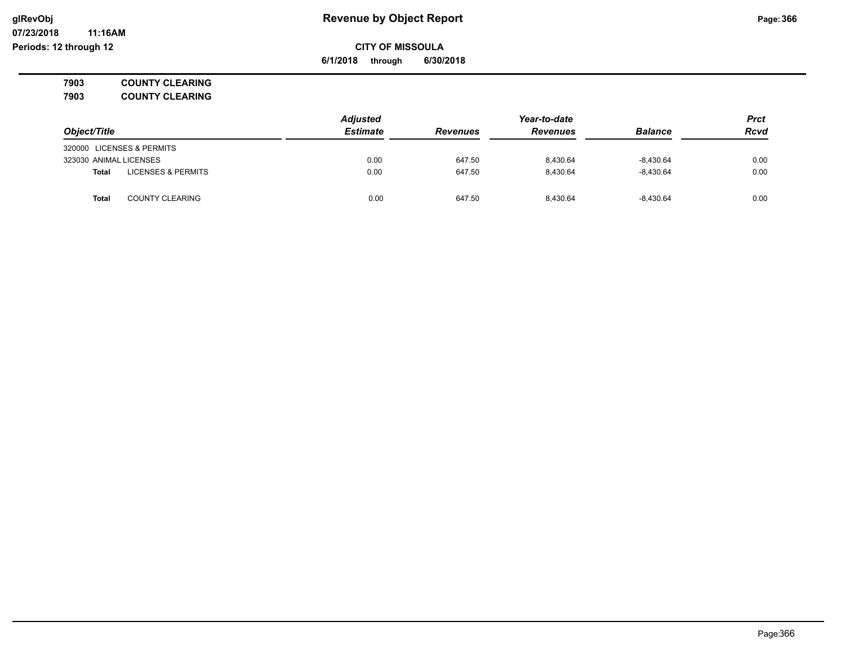**6/1/2018 through 6/30/2018**

**7903 COUNTY CLEARING**

**7903 COUNTY CLEARING**

|                                        | <b>Adjusted</b> |                 | Year-to-date    |                | <b>Prct</b> |
|----------------------------------------|-----------------|-----------------|-----------------|----------------|-------------|
| Object/Title                           | <b>Estimate</b> | <b>Revenues</b> | <b>Revenues</b> | <b>Balance</b> | <b>Rcvd</b> |
| 320000 LICENSES & PERMITS              |                 |                 |                 |                |             |
| 323030 ANIMAL LICENSES                 | 0.00            | 647.50          | 8,430.64        | $-8,430.64$    | 0.00        |
| <b>LICENSES &amp; PERMITS</b><br>Total | 0.00            | 647.50          | 8.430.64        | $-8.430.64$    | 0.00        |
| <b>COUNTY CLEARING</b><br><b>Total</b> | 0.00            | 647.50          | 8,430.64        | $-8.430.64$    | 0.00        |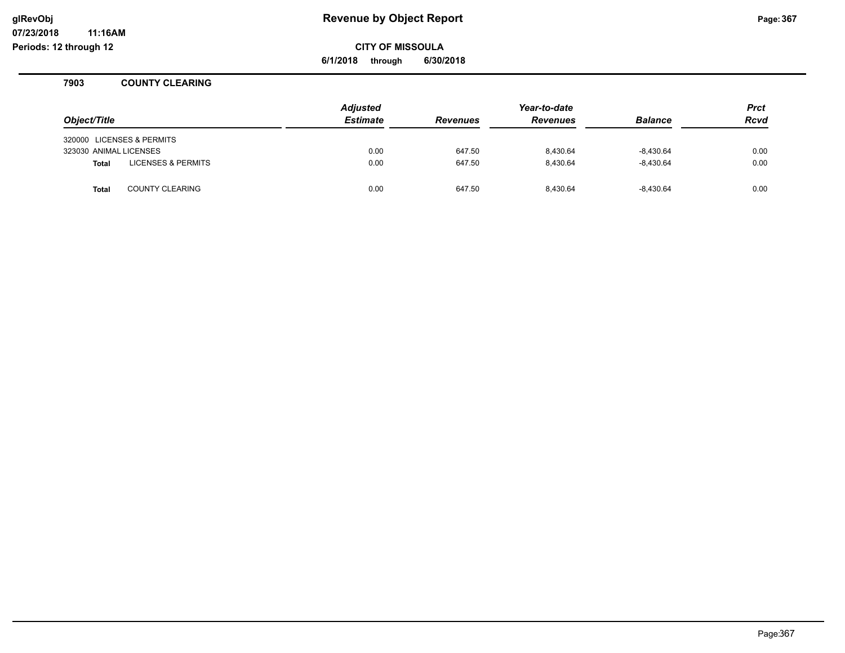**6/1/2018 through 6/30/2018**

#### **7903 COUNTY CLEARING**

| Object/Title              |                               | <b>Adjusted</b><br><b>Estimate</b> | <b>Revenues</b> | Year-to-date<br><b>Revenues</b> | <b>Balance</b> | <b>Prct</b><br><b>Rcvd</b> |
|---------------------------|-------------------------------|------------------------------------|-----------------|---------------------------------|----------------|----------------------------|
| 320000 LICENSES & PERMITS |                               |                                    |                 |                                 |                |                            |
| 323030 ANIMAL LICENSES    |                               | 0.00                               | 647.50          | 8.430.64                        | $-8.430.64$    | 0.00                       |
| <b>Total</b>              | <b>LICENSES &amp; PERMITS</b> | 0.00                               | 647.50          | 8.430.64                        | $-8.430.64$    | 0.00                       |
| <b>Total</b>              | <b>COUNTY CLEARING</b>        | 0.00                               | 647.50          | 8.430.64                        | $-8.430.64$    | 0.00                       |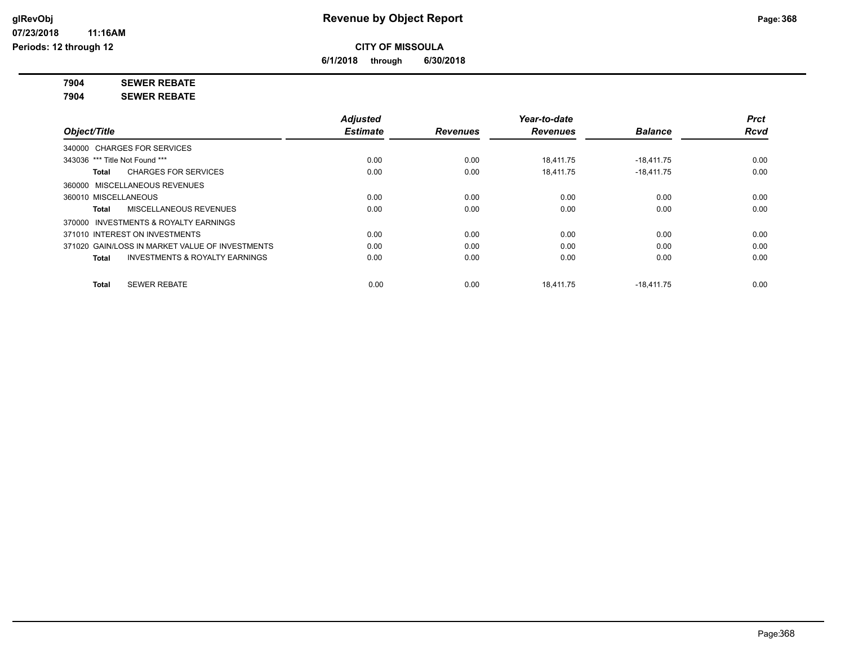**6/1/2018 through 6/30/2018**

**7904 SEWER REBATE**

**7904 SEWER REBATE**

|                                                    | <b>Adjusted</b> |                 | Year-to-date    |                | <b>Prct</b> |
|----------------------------------------------------|-----------------|-----------------|-----------------|----------------|-------------|
| Object/Title                                       | <b>Estimate</b> | <b>Revenues</b> | <b>Revenues</b> | <b>Balance</b> | <b>Rcvd</b> |
| 340000 CHARGES FOR SERVICES                        |                 |                 |                 |                |             |
| 343036 *** Title Not Found ***                     | 0.00            | 0.00            | 18,411.75       | $-18,411.75$   | 0.00        |
| <b>CHARGES FOR SERVICES</b><br>Total               | 0.00            | 0.00            | 18,411.75       | $-18,411.75$   | 0.00        |
| 360000 MISCELLANEOUS REVENUES                      |                 |                 |                 |                |             |
| 360010 MISCELLANEOUS                               | 0.00            | 0.00            | 0.00            | 0.00           | 0.00        |
| MISCELLANEOUS REVENUES<br>Total                    | 0.00            | 0.00            | 0.00            | 0.00           | 0.00        |
| 370000 INVESTMENTS & ROYALTY EARNINGS              |                 |                 |                 |                |             |
| 371010 INTEREST ON INVESTMENTS                     | 0.00            | 0.00            | 0.00            | 0.00           | 0.00        |
| 371020 GAIN/LOSS IN MARKET VALUE OF INVESTMENTS    | 0.00            | 0.00            | 0.00            | 0.00           | 0.00        |
| <b>INVESTMENTS &amp; ROYALTY EARNINGS</b><br>Total | 0.00            | 0.00            | 0.00            | 0.00           | 0.00        |
| <b>SEWER REBATE</b><br><b>Total</b>                | 0.00            | 0.00            | 18.411.75       | $-18.411.75$   | 0.00        |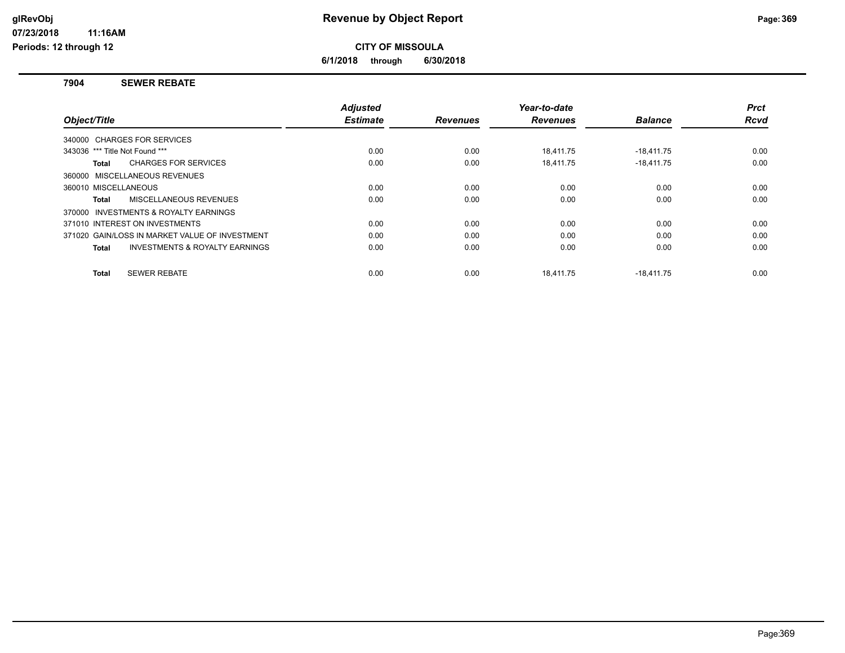**6/1/2018 through 6/30/2018**

#### **7904 SEWER REBATE**

|                                                    | <b>Adjusted</b> |                 | Year-to-date    |                | <b>Prct</b> |
|----------------------------------------------------|-----------------|-----------------|-----------------|----------------|-------------|
| Object/Title                                       | <b>Estimate</b> | <b>Revenues</b> | <b>Revenues</b> | <b>Balance</b> | <b>Rcvd</b> |
| 340000 CHARGES FOR SERVICES                        |                 |                 |                 |                |             |
| 343036 *** Title Not Found ***                     | 0.00            | 0.00            | 18.411.75       | $-18,411.75$   | 0.00        |
| <b>CHARGES FOR SERVICES</b><br>Total               | 0.00            | 0.00            | 18.411.75       | $-18.411.75$   | 0.00        |
| 360000 MISCELLANEOUS REVENUES                      |                 |                 |                 |                |             |
| 360010 MISCELLANEOUS                               | 0.00            | 0.00            | 0.00            | 0.00           | 0.00        |
| MISCELLANEOUS REVENUES<br>Total                    | 0.00            | 0.00            | 0.00            | 0.00           | 0.00        |
| 370000 INVESTMENTS & ROYALTY EARNINGS              |                 |                 |                 |                |             |
| 371010 INTEREST ON INVESTMENTS                     | 0.00            | 0.00            | 0.00            | 0.00           | 0.00        |
| 371020 GAIN/LOSS IN MARKET VALUE OF INVESTMENT     | 0.00            | 0.00            | 0.00            | 0.00           | 0.00        |
| <b>INVESTMENTS &amp; ROYALTY EARNINGS</b><br>Total | 0.00            | 0.00            | 0.00            | 0.00           | 0.00        |
| <b>SEWER REBATE</b><br><b>Total</b>                | 0.00            | 0.00            | 18.411.75       | $-18.411.75$   | 0.00        |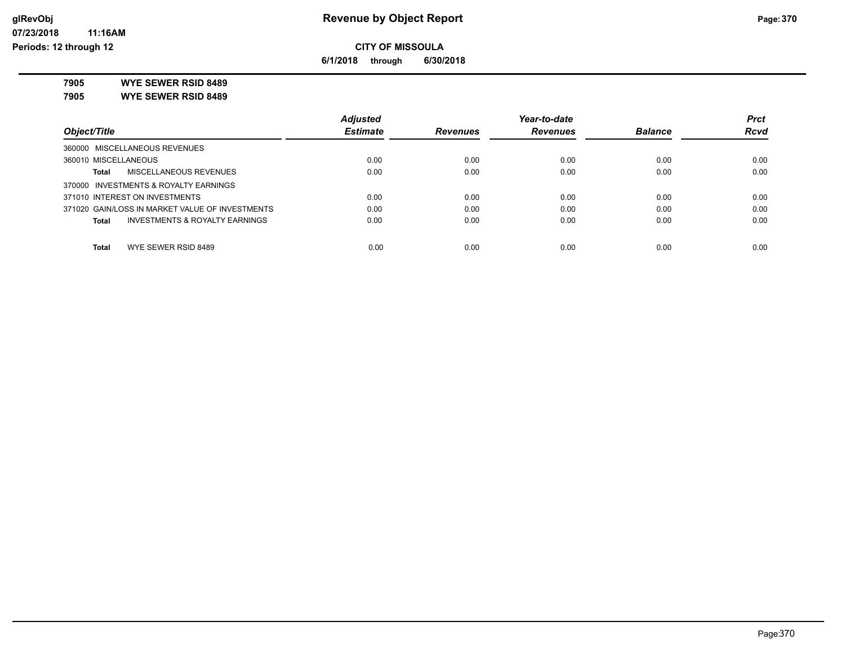**6/1/2018 through 6/30/2018**

**7905 WYE SEWER RSID 8489**

**7905 WYE SEWER RSID 8489**

|                                                           | <b>Adjusted</b> |                 | Year-to-date    |                | <b>Prct</b> |
|-----------------------------------------------------------|-----------------|-----------------|-----------------|----------------|-------------|
| Object/Title                                              | <b>Estimate</b> | <b>Revenues</b> | <b>Revenues</b> | <b>Balance</b> | <b>Rcvd</b> |
| 360000 MISCELLANEOUS REVENUES                             |                 |                 |                 |                |             |
| 360010 MISCELLANEOUS                                      | 0.00            | 0.00            | 0.00            | 0.00           | 0.00        |
| MISCELLANEOUS REVENUES<br>Total                           | 0.00            | 0.00            | 0.00            | 0.00           | 0.00        |
| 370000 INVESTMENTS & ROYALTY EARNINGS                     |                 |                 |                 |                |             |
| 371010 INTEREST ON INVESTMENTS                            | 0.00            | 0.00            | 0.00            | 0.00           | 0.00        |
| 371020 GAIN/LOSS IN MARKET VALUE OF INVESTMENTS           | 0.00            | 0.00            | 0.00            | 0.00           | 0.00        |
| <b>INVESTMENTS &amp; ROYALTY EARNINGS</b><br><b>Total</b> | 0.00            | 0.00            | 0.00            | 0.00           | 0.00        |
| WYE SEWER RSID 8489<br><b>Total</b>                       | 0.00            | 0.00            | 0.00            | 0.00           | 0.00        |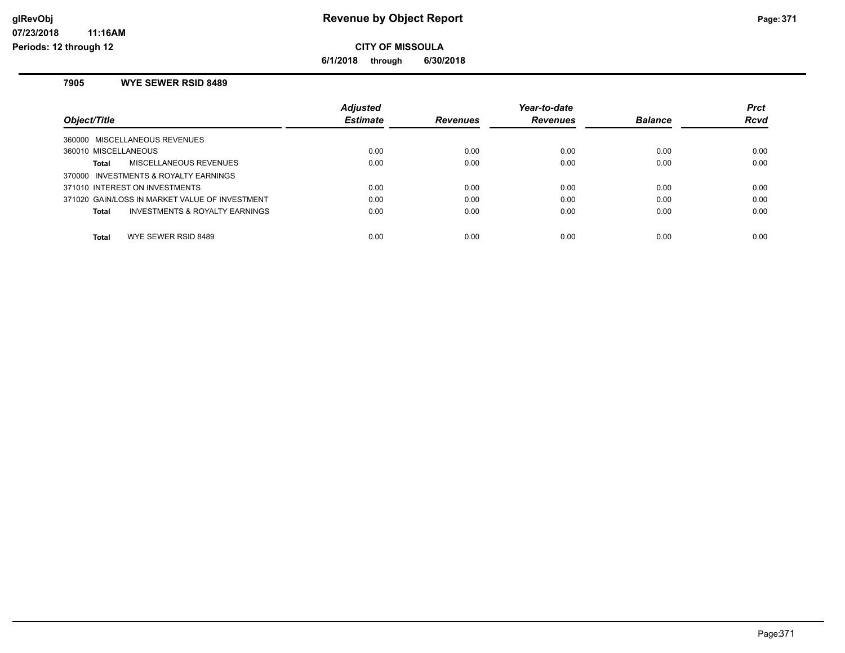**6/1/2018 through 6/30/2018**

#### **7905 WYE SEWER RSID 8489**

|                                                | <b>Adjusted</b> |                 | Year-to-date    |                | <b>Prct</b> |
|------------------------------------------------|-----------------|-----------------|-----------------|----------------|-------------|
| Object/Title                                   | <b>Estimate</b> | <b>Revenues</b> | <b>Revenues</b> | <b>Balance</b> | <b>Rcvd</b> |
| 360000 MISCELLANEOUS REVENUES                  |                 |                 |                 |                |             |
| 360010 MISCELLANEOUS                           | 0.00            | 0.00            | 0.00            | 0.00           | 0.00        |
| MISCELLANEOUS REVENUES<br>Total                | 0.00            | 0.00            | 0.00            | 0.00           | 0.00        |
| 370000 INVESTMENTS & ROYALTY EARNINGS          |                 |                 |                 |                |             |
| 371010 INTEREST ON INVESTMENTS                 | 0.00            | 0.00            | 0.00            | 0.00           | 0.00        |
| 371020 GAIN/LOSS IN MARKET VALUE OF INVESTMENT | 0.00            | 0.00            | 0.00            | 0.00           | 0.00        |
| INVESTMENTS & ROYALTY EARNINGS<br>Total        | 0.00            | 0.00            | 0.00            | 0.00           | 0.00        |
| <b>Total</b><br>WYE SEWER RSID 8489            | 0.00            | 0.00            | 0.00            | 0.00           | 0.00        |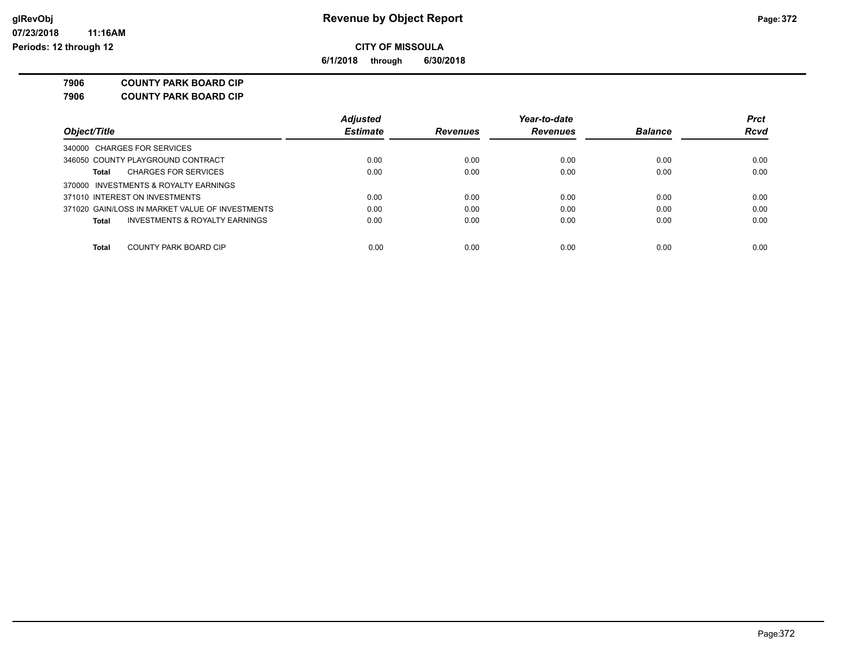**6/1/2018 through 6/30/2018**

**7906 COUNTY PARK BOARD CIP**

**7906 COUNTY PARK BOARD CIP**

|                                                 | <b>Adjusted</b> |                 | Year-to-date    |                | <b>Prct</b> |
|-------------------------------------------------|-----------------|-----------------|-----------------|----------------|-------------|
| Object/Title                                    | <b>Estimate</b> | <b>Revenues</b> | <b>Revenues</b> | <b>Balance</b> | <b>Rcvd</b> |
| 340000 CHARGES FOR SERVICES                     |                 |                 |                 |                |             |
| 346050 COUNTY PLAYGROUND CONTRACT               | 0.00            | 0.00            | 0.00            | 0.00           | 0.00        |
| <b>CHARGES FOR SERVICES</b><br>Total            | 0.00            | 0.00            | 0.00            | 0.00           | 0.00        |
| 370000 INVESTMENTS & ROYALTY EARNINGS           |                 |                 |                 |                |             |
| 371010 INTEREST ON INVESTMENTS                  | 0.00            | 0.00            | 0.00            | 0.00           | 0.00        |
| 371020 GAIN/LOSS IN MARKET VALUE OF INVESTMENTS | 0.00            | 0.00            | 0.00            | 0.00           | 0.00        |
| INVESTMENTS & ROYALTY EARNINGS<br>Total         | 0.00            | 0.00            | 0.00            | 0.00           | 0.00        |
|                                                 |                 |                 |                 |                |             |
| COUNTY PARK BOARD CIP<br>Total                  | 0.00            | 0.00            | 0.00            | 0.00           | 0.00        |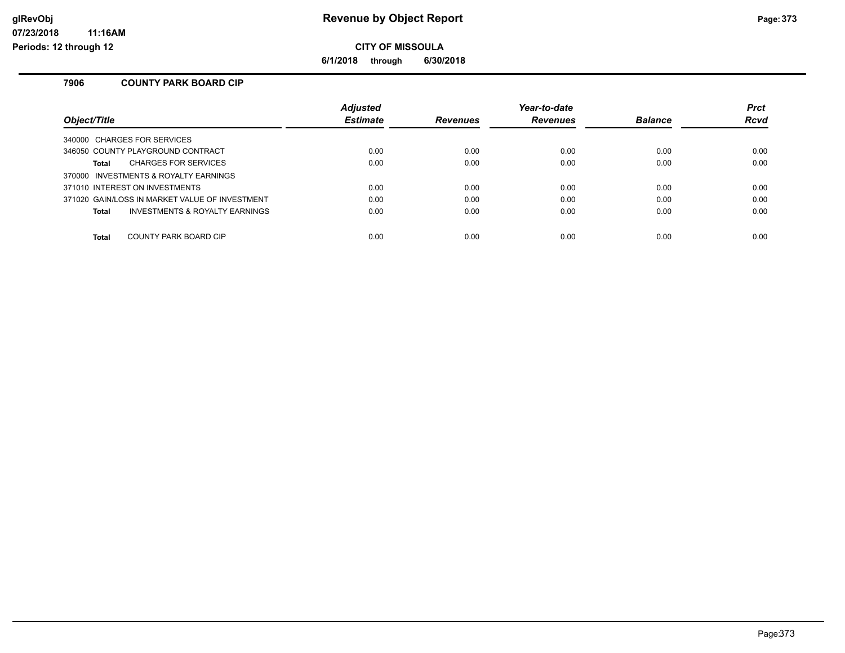**6/1/2018 through 6/30/2018**

#### **7906 COUNTY PARK BOARD CIP**

|                                                    | Adjusted        |                 | Year-to-date    |                | <b>Prct</b> |
|----------------------------------------------------|-----------------|-----------------|-----------------|----------------|-------------|
| Object/Title                                       | <b>Estimate</b> | <b>Revenues</b> | <b>Revenues</b> | <b>Balance</b> | <b>Rcvd</b> |
| 340000 CHARGES FOR SERVICES                        |                 |                 |                 |                |             |
| 346050 COUNTY PLAYGROUND CONTRACT                  | 0.00            | 0.00            | 0.00            | 0.00           | 0.00        |
| <b>CHARGES FOR SERVICES</b><br>Total               | 0.00            | 0.00            | 0.00            | 0.00           | 0.00        |
| 370000 INVESTMENTS & ROYALTY EARNINGS              |                 |                 |                 |                |             |
| 371010 INTEREST ON INVESTMENTS                     | 0.00            | 0.00            | 0.00            | 0.00           | 0.00        |
| 371020 GAIN/LOSS IN MARKET VALUE OF INVESTMENT     | 0.00            | 0.00            | 0.00            | 0.00           | 0.00        |
| <b>INVESTMENTS &amp; ROYALTY EARNINGS</b><br>Total | 0.00            | 0.00            | 0.00            | 0.00           | 0.00        |
| Total<br>COUNTY PARK BOARD CIP                     | 0.00            | 0.00            | 0.00            | 0.00           | 0.00        |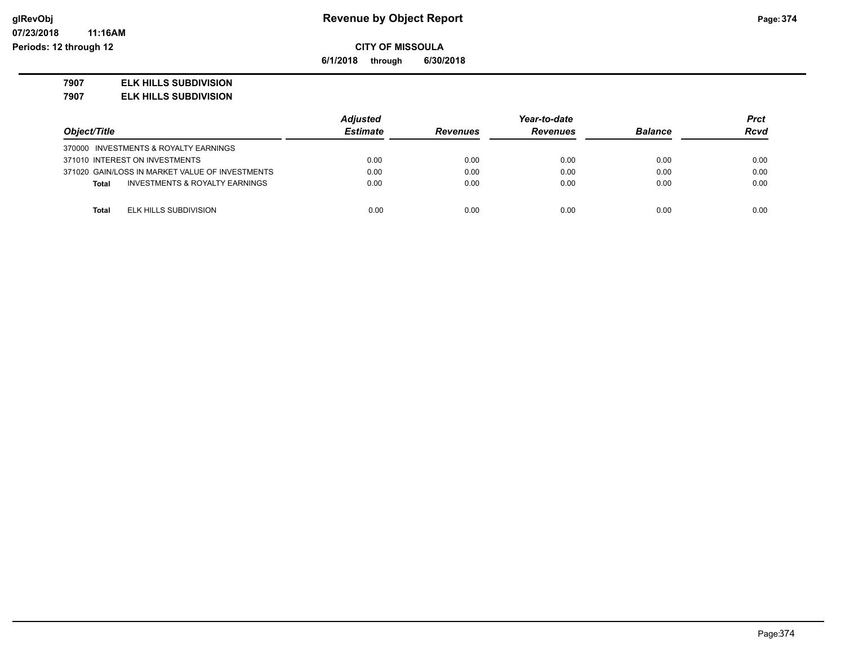**6/1/2018 through 6/30/2018**

## **7907 ELK HILLS SUBDIVISION**

**7907 ELK HILLS SUBDIVISION**

|                                                    | <b>Adjusted</b> |                 | Year-to-date    |                | Prct |  |
|----------------------------------------------------|-----------------|-----------------|-----------------|----------------|------|--|
| Object/Title                                       | <b>Estimate</b> | <b>Revenues</b> | <b>Revenues</b> | <b>Balance</b> | Rcvd |  |
| 370000 INVESTMENTS & ROYALTY EARNINGS              |                 |                 |                 |                |      |  |
| 371010 INTEREST ON INVESTMENTS                     | 0.00            | 0.00            | 0.00            | 0.00           | 0.00 |  |
| 371020 GAIN/LOSS IN MARKET VALUE OF INVESTMENTS    | 0.00            | 0.00            | 0.00            | 0.00           | 0.00 |  |
| <b>INVESTMENTS &amp; ROYALTY EARNINGS</b><br>Total | 0.00            | 0.00            | 0.00            | 0.00           | 0.00 |  |
| Total<br>ELK HILLS SUBDIVISION                     | 0.00            | 0.00            | 0.00            | 0.00           | 0.00 |  |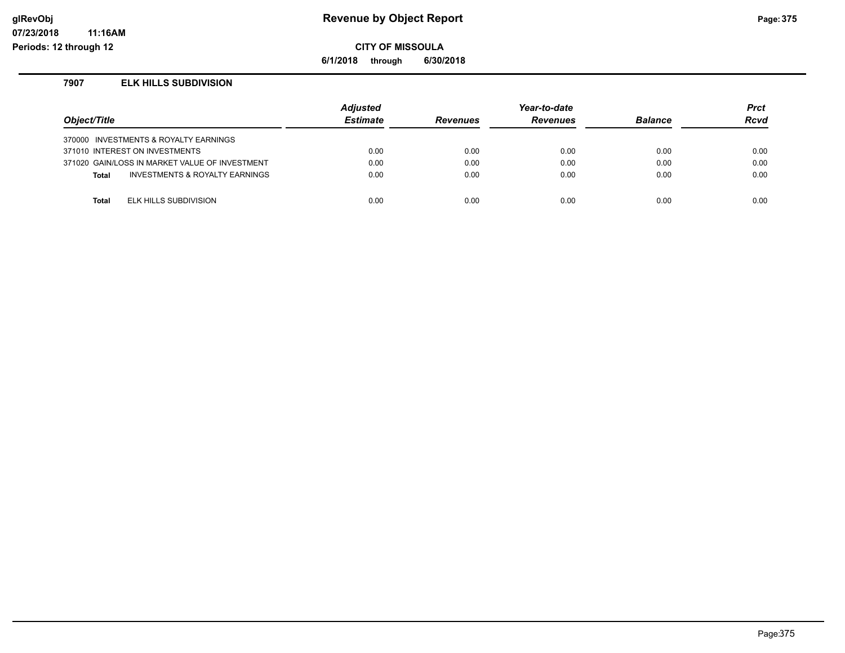**6/1/2018 through 6/30/2018**

#### **7907 ELK HILLS SUBDIVISION**

| Object/Title |                                                | <b>Adjusted</b><br><b>Estimate</b> | <b>Revenues</b> | Year-to-date<br><b>Revenues</b> | <b>Balance</b> | <b>Prct</b><br><b>Rcvd</b> |
|--------------|------------------------------------------------|------------------------------------|-----------------|---------------------------------|----------------|----------------------------|
|              | 370000 INVESTMENTS & ROYALTY EARNINGS          |                                    |                 |                                 |                |                            |
|              | 371010 INTEREST ON INVESTMENTS                 | 0.00                               | 0.00            | 0.00                            | 0.00           | 0.00                       |
|              | 371020 GAIN/LOSS IN MARKET VALUE OF INVESTMENT | 0.00                               | 0.00            | 0.00                            | 0.00           | 0.00                       |
| <b>Total</b> | <b>INVESTMENTS &amp; ROYALTY EARNINGS</b>      | 0.00                               | 0.00            | 0.00                            | 0.00           | 0.00                       |
|              |                                                |                                    |                 |                                 |                |                            |
| <b>Total</b> | ELK HILLS SUBDIVISION                          | 0.00                               | 0.00            | 0.00                            | 0.00           | 0.00                       |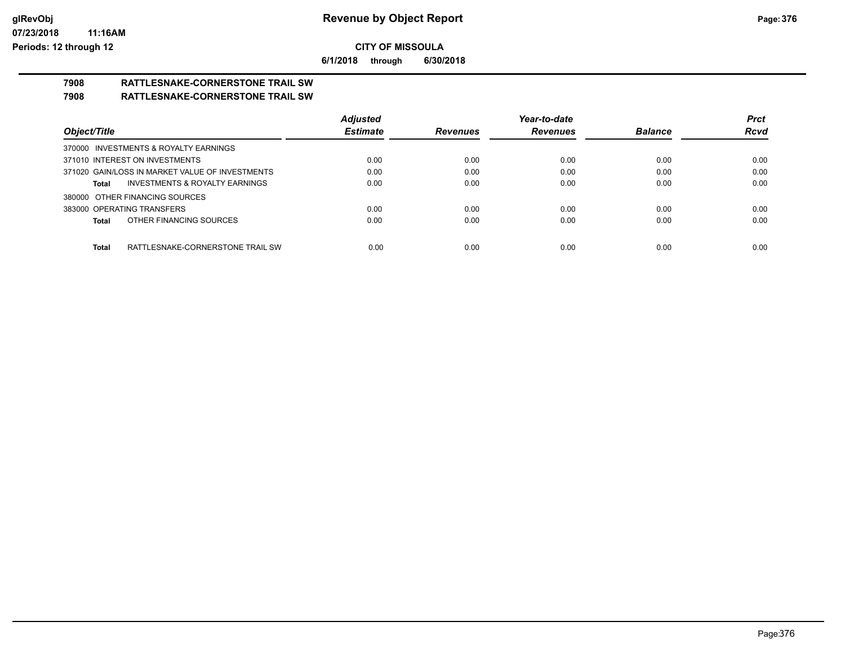**6/1/2018 through 6/30/2018**

# **7908 RATTLESNAKE-CORNERSTONE TRAIL SW**

## **7908 RATTLESNAKE-CORNERSTONE TRAIL SW**

|                                                 | <b>Adjusted</b> |                 | Year-to-date    |                | <b>Prct</b> |
|-------------------------------------------------|-----------------|-----------------|-----------------|----------------|-------------|
| Object/Title                                    | <b>Estimate</b> | <b>Revenues</b> | <b>Revenues</b> | <b>Balance</b> | <b>Rcvd</b> |
| 370000 INVESTMENTS & ROYALTY EARNINGS           |                 |                 |                 |                |             |
| 371010 INTEREST ON INVESTMENTS                  | 0.00            | 0.00            | 0.00            | 0.00           | 0.00        |
| 371020 GAIN/LOSS IN MARKET VALUE OF INVESTMENTS | 0.00            | 0.00            | 0.00            | 0.00           | 0.00        |
| INVESTMENTS & ROYALTY EARNINGS<br>Total         | 0.00            | 0.00            | 0.00            | 0.00           | 0.00        |
| 380000 OTHER FINANCING SOURCES                  |                 |                 |                 |                |             |
| 383000 OPERATING TRANSFERS                      | 0.00            | 0.00            | 0.00            | 0.00           | 0.00        |
| OTHER FINANCING SOURCES<br>Total                | 0.00            | 0.00            | 0.00            | 0.00           | 0.00        |
|                                                 |                 |                 |                 |                |             |
| Total<br>RATTLESNAKE-CORNERSTONE TRAIL SW       | 0.00            | 0.00            | 0.00            | 0.00           | 0.00        |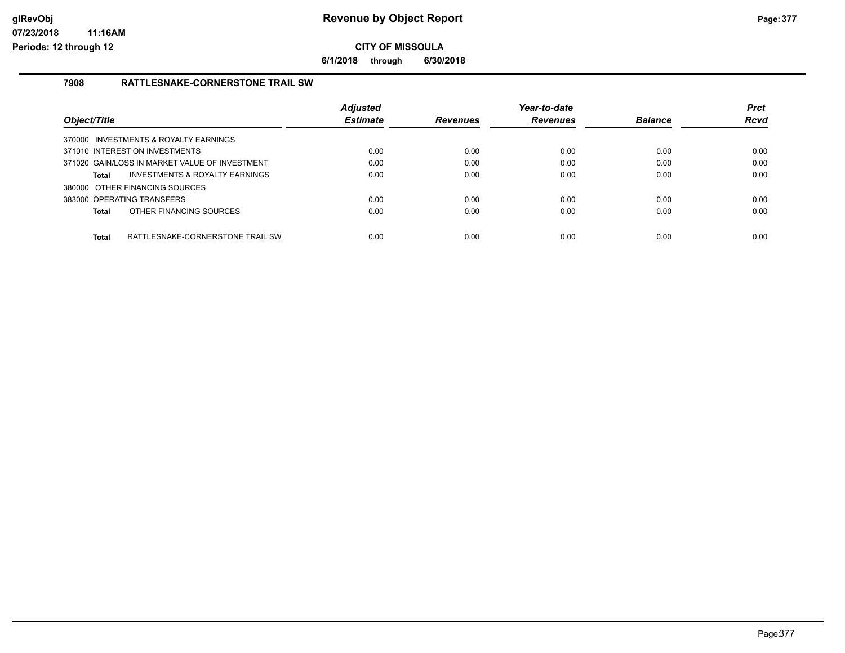**6/1/2018 through 6/30/2018**

#### **7908 RATTLESNAKE-CORNERSTONE TRAIL SW**

|                                                    | <b>Adjusted</b> |                 | Year-to-date    |                | <b>Prct</b> |
|----------------------------------------------------|-----------------|-----------------|-----------------|----------------|-------------|
| Object/Title                                       | <b>Estimate</b> | <b>Revenues</b> | <b>Revenues</b> | <b>Balance</b> | <b>Rcvd</b> |
| 370000 INVESTMENTS & ROYALTY EARNINGS              |                 |                 |                 |                |             |
| 371010 INTEREST ON INVESTMENTS                     | 0.00            | 0.00            | 0.00            | 0.00           | 0.00        |
| 371020 GAIN/LOSS IN MARKET VALUE OF INVESTMENT     | 0.00            | 0.00            | 0.00            | 0.00           | 0.00        |
| <b>INVESTMENTS &amp; ROYALTY EARNINGS</b><br>Total | 0.00            | 0.00            | 0.00            | 0.00           | 0.00        |
| 380000 OTHER FINANCING SOURCES                     |                 |                 |                 |                |             |
| 383000 OPERATING TRANSFERS                         | 0.00            | 0.00            | 0.00            | 0.00           | 0.00        |
| OTHER FINANCING SOURCES<br>Total                   | 0.00            | 0.00            | 0.00            | 0.00           | 0.00        |
|                                                    |                 |                 |                 |                |             |
| <b>Total</b><br>RATTLESNAKE-CORNERSTONE TRAIL SW   | 0.00            | 0.00            | 0.00            | 0.00           | 0.00        |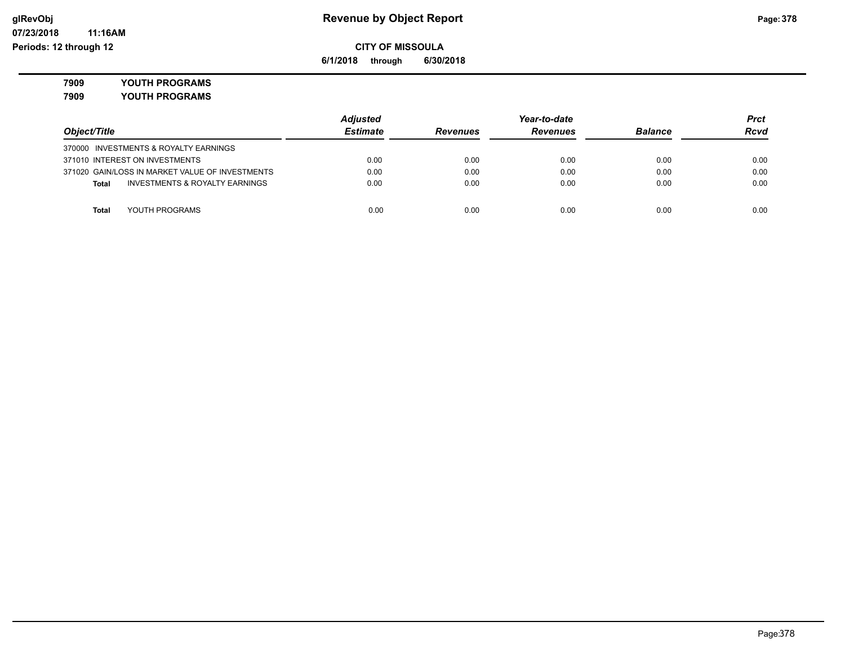**6/1/2018 through 6/30/2018**

**7909 YOUTH PROGRAMS**

**7909 YOUTH PROGRAMS**

|                                                           | <b>Adjusted</b><br>Year-to-date |                 |                 |                | Prct |  |
|-----------------------------------------------------------|---------------------------------|-----------------|-----------------|----------------|------|--|
| Object/Title                                              | <b>Estimate</b>                 | <b>Revenues</b> | <b>Revenues</b> | <b>Balance</b> | Rcvd |  |
| 370000 INVESTMENTS & ROYALTY EARNINGS                     |                                 |                 |                 |                |      |  |
| 371010 INTEREST ON INVESTMENTS                            | 0.00                            | 0.00            | 0.00            | 0.00           | 0.00 |  |
| 371020 GAIN/LOSS IN MARKET VALUE OF INVESTMENTS           | 0.00                            | 0.00            | 0.00            | 0.00           | 0.00 |  |
| <b>INVESTMENTS &amp; ROYALTY EARNINGS</b><br><b>Total</b> | 0.00                            | 0.00            | 0.00            | 0.00           | 0.00 |  |
|                                                           |                                 |                 |                 |                |      |  |
| YOUTH PROGRAMS<br>Total                                   | 0.00                            | 0.00            | 0.00            | 0.00           | 0.00 |  |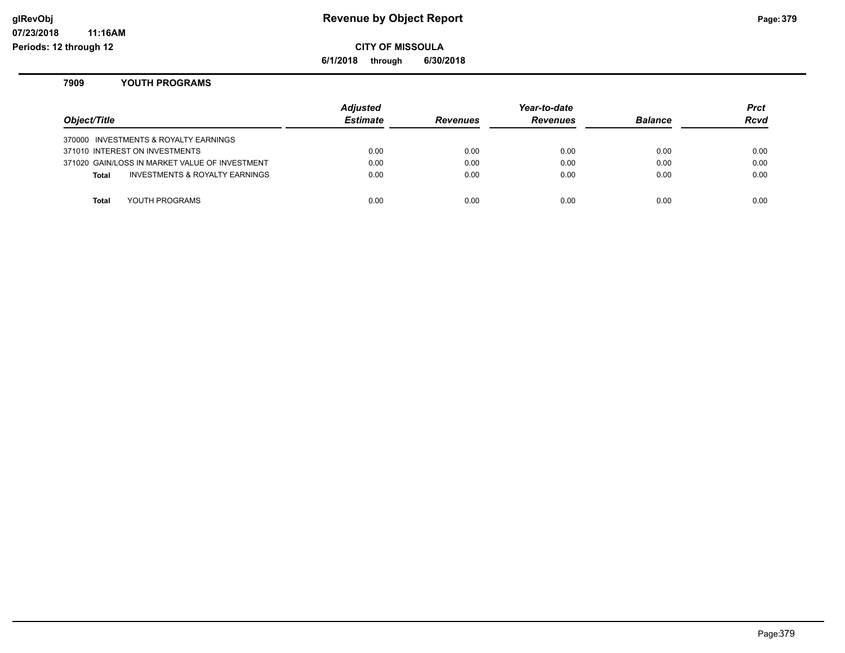**6/1/2018 through 6/30/2018**

#### **7909 YOUTH PROGRAMS**

| Object/Title                                   |                                | <b>Adjusted</b><br><b>Estimate</b> | <b>Revenues</b> | Year-to-date<br><b>Revenues</b> | <b>Balance</b> | <b>Prct</b><br><b>Rcvd</b> |
|------------------------------------------------|--------------------------------|------------------------------------|-----------------|---------------------------------|----------------|----------------------------|
| 370000 INVESTMENTS & ROYALTY EARNINGS          |                                |                                    |                 |                                 |                |                            |
| 371010 INTEREST ON INVESTMENTS                 |                                | 0.00                               | 0.00            | 0.00                            | 0.00           | 0.00                       |
| 371020 GAIN/LOSS IN MARKET VALUE OF INVESTMENT |                                | 0.00                               | 0.00            | 0.00                            | 0.00           | 0.00                       |
| <b>Total</b>                                   | INVESTMENTS & ROYALTY EARNINGS | 0.00                               | 0.00            | 0.00                            | 0.00           | 0.00                       |
|                                                |                                |                                    |                 |                                 |                |                            |
| YOUTH PROGRAMS<br>Total                        |                                | 0.00                               | 0.00            | 0.00                            | 0.00           | 0.00                       |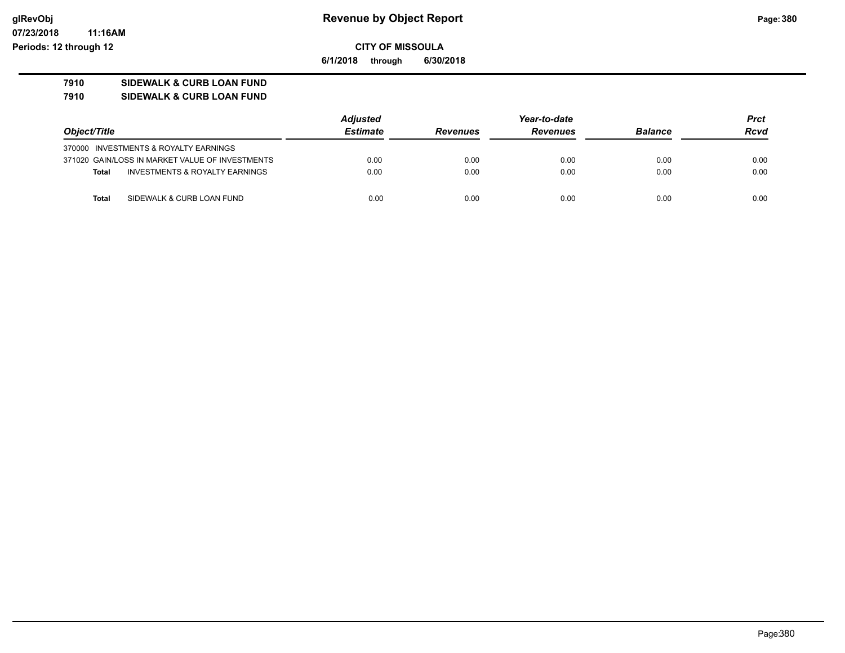**6/1/2018 through 6/30/2018**

## **7910 SIDEWALK & CURB LOAN FUND**

**7910 SIDEWALK & CURB LOAN FUND**

|                                                    |  | <b>Adjusted</b> |                 | Year-to-date    |                | Prct        |
|----------------------------------------------------|--|-----------------|-----------------|-----------------|----------------|-------------|
| Object/Title                                       |  | <b>Estimate</b> | <b>Revenues</b> | <b>Revenues</b> | <b>Balance</b> | <b>Rcvd</b> |
| 370000 INVESTMENTS & ROYALTY EARNINGS              |  |                 |                 |                 |                |             |
| 371020 GAIN/LOSS IN MARKET VALUE OF INVESTMENTS    |  | 0.00            | 0.00            | 0.00            | 0.00           | 0.00        |
| <b>INVESTMENTS &amp; ROYALTY EARNINGS</b><br>Total |  | 0.00            | 0.00            | 0.00            | 0.00           | 0.00        |
| SIDEWALK & CURB LOAN FUND<br><b>Total</b>          |  | 0.00            | 0.00            | 0.00            | 0.00           | 0.00        |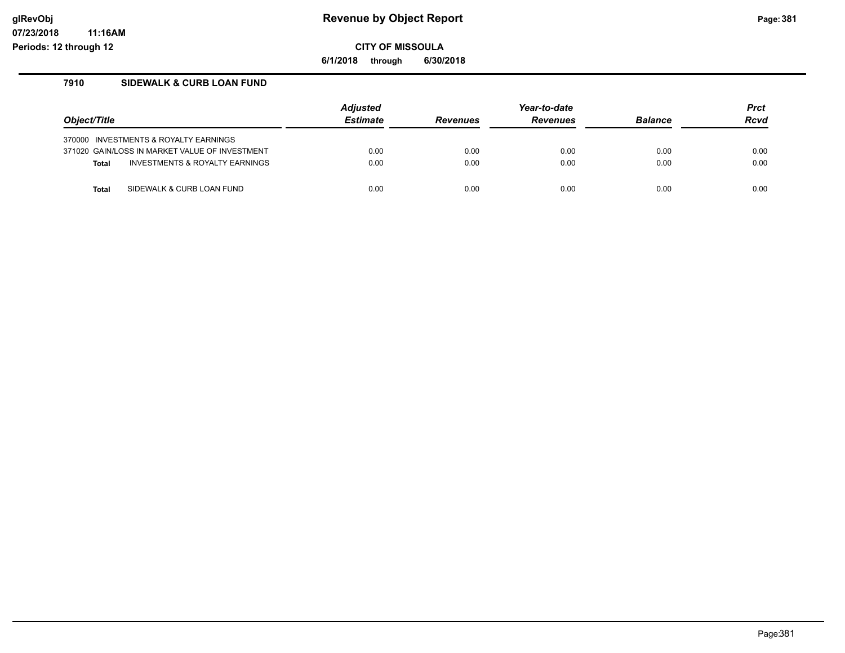**6/1/2018 through 6/30/2018**

### **7910 SIDEWALK & CURB LOAN FUND**

|              |                                                | <b>Adjusted</b> |                 | Year-to-date    |                | <b>Prct</b> |
|--------------|------------------------------------------------|-----------------|-----------------|-----------------|----------------|-------------|
| Object/Title |                                                | <b>Estimate</b> | <b>Revenues</b> | <b>Revenues</b> | <b>Balance</b> | Rcvd        |
|              | 370000 INVESTMENTS & ROYALTY EARNINGS          |                 |                 |                 |                |             |
|              | 371020 GAIN/LOSS IN MARKET VALUE OF INVESTMENT | 0.00            | 0.00            | 0.00            | 0.00           | 0.00        |
| <b>Total</b> | <b>INVESTMENTS &amp; ROYALTY EARNINGS</b>      | 0.00            | 0.00            | 0.00            | 0.00           | 0.00        |
| <b>Total</b> | SIDEWALK & CURB LOAN FUND                      | 0.00            | 0.00            | 0.00            | 0.00           | 0.00        |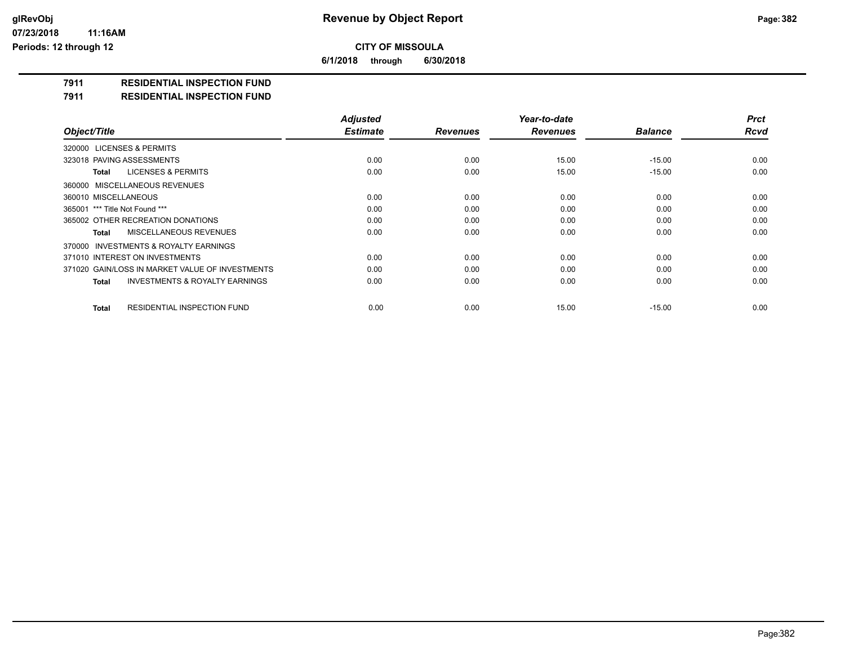**6/1/2018 through 6/30/2018**

**7911 RESIDENTIAL INSPECTION FUND**

**7911 RESIDENTIAL INSPECTION FUND**

|                                                    | <b>Adjusted</b> |                 | Year-to-date    |                | <b>Prct</b> |
|----------------------------------------------------|-----------------|-----------------|-----------------|----------------|-------------|
| Object/Title                                       | <b>Estimate</b> | <b>Revenues</b> | <b>Revenues</b> | <b>Balance</b> | <b>Rcvd</b> |
| 320000 LICENSES & PERMITS                          |                 |                 |                 |                |             |
| 323018 PAVING ASSESSMENTS                          | 0.00            | 0.00            | 15.00           | $-15.00$       | 0.00        |
| <b>LICENSES &amp; PERMITS</b><br>Total             | 0.00            | 0.00            | 15.00           | $-15.00$       | 0.00        |
| 360000 MISCELLANEOUS REVENUES                      |                 |                 |                 |                |             |
| 360010 MISCELLANEOUS                               | 0.00            | 0.00            | 0.00            | 0.00           | 0.00        |
| 365001 *** Title Not Found ***                     | 0.00            | 0.00            | 0.00            | 0.00           | 0.00        |
| 365002 OTHER RECREATION DONATIONS                  | 0.00            | 0.00            | 0.00            | 0.00           | 0.00        |
| MISCELLANEOUS REVENUES<br>Total                    | 0.00            | 0.00            | 0.00            | 0.00           | 0.00        |
| 370000 INVESTMENTS & ROYALTY EARNINGS              |                 |                 |                 |                |             |
| 371010 INTEREST ON INVESTMENTS                     | 0.00            | 0.00            | 0.00            | 0.00           | 0.00        |
| 371020 GAIN/LOSS IN MARKET VALUE OF INVESTMENTS    | 0.00            | 0.00            | 0.00            | 0.00           | 0.00        |
| <b>INVESTMENTS &amp; ROYALTY EARNINGS</b><br>Total | 0.00            | 0.00            | 0.00            | 0.00           | 0.00        |
| RESIDENTIAL INSPECTION FUND<br>Total               | 0.00            | 0.00            | 15.00           | $-15.00$       | 0.00        |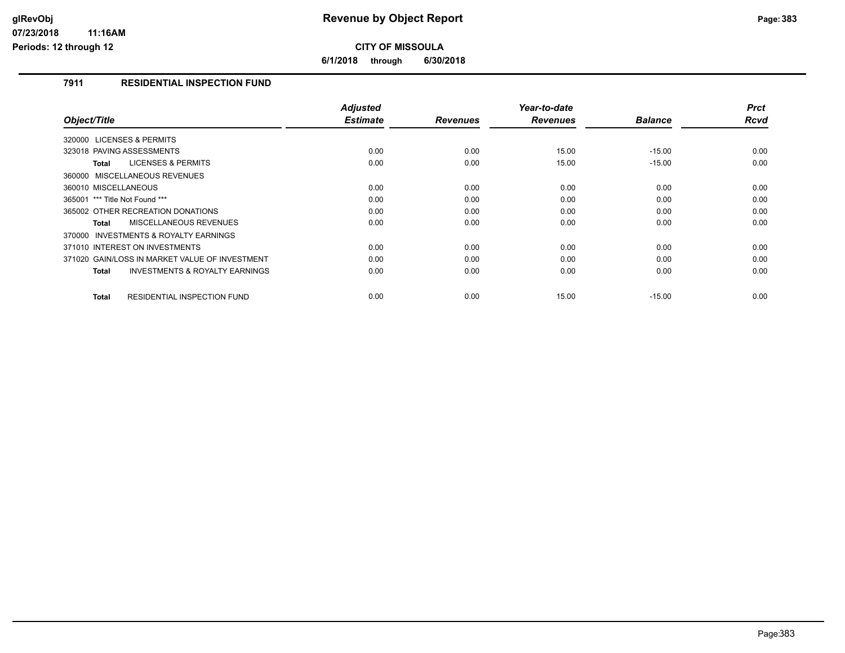**6/1/2018 through 6/30/2018**

## **7911 RESIDENTIAL INSPECTION FUND**

| Object/Title                                              | <b>Adjusted</b><br><b>Estimate</b> | <b>Revenues</b> | Year-to-date<br><b>Revenues</b> | <b>Balance</b> | <b>Prct</b><br>Rcvd |
|-----------------------------------------------------------|------------------------------------|-----------------|---------------------------------|----------------|---------------------|
| <b>LICENSES &amp; PERMITS</b><br>320000                   |                                    |                 |                                 |                |                     |
|                                                           |                                    |                 |                                 |                |                     |
| 323018 PAVING ASSESSMENTS                                 | 0.00                               | 0.00            | 15.00                           | $-15.00$       | 0.00                |
| <b>LICENSES &amp; PERMITS</b><br>Total                    | 0.00                               | 0.00            | 15.00                           | $-15.00$       | 0.00                |
| 360000 MISCELLANEOUS REVENUES                             |                                    |                 |                                 |                |                     |
| 360010 MISCELLANEOUS                                      | 0.00                               | 0.00            | 0.00                            | 0.00           | 0.00                |
| 365001 *** Title Not Found ***                            | 0.00                               | 0.00            | 0.00                            | 0.00           | 0.00                |
| 365002 OTHER RECREATION DONATIONS                         | 0.00                               | 0.00            | 0.00                            | 0.00           | 0.00                |
| <b>MISCELLANEOUS REVENUES</b><br>Total                    | 0.00                               | 0.00            | 0.00                            | 0.00           | 0.00                |
| 370000 INVESTMENTS & ROYALTY EARNINGS                     |                                    |                 |                                 |                |                     |
| 371010 INTEREST ON INVESTMENTS                            | 0.00                               | 0.00            | 0.00                            | 0.00           | 0.00                |
| 371020 GAIN/LOSS IN MARKET VALUE OF INVESTMENT            | 0.00                               | 0.00            | 0.00                            | 0.00           | 0.00                |
| <b>INVESTMENTS &amp; ROYALTY EARNINGS</b><br><b>Total</b> | 0.00                               | 0.00            | 0.00                            | 0.00           | 0.00                |
| <b>RESIDENTIAL INSPECTION FUND</b><br><b>Total</b>        | 0.00                               | 0.00            | 15.00                           | $-15.00$       | 0.00                |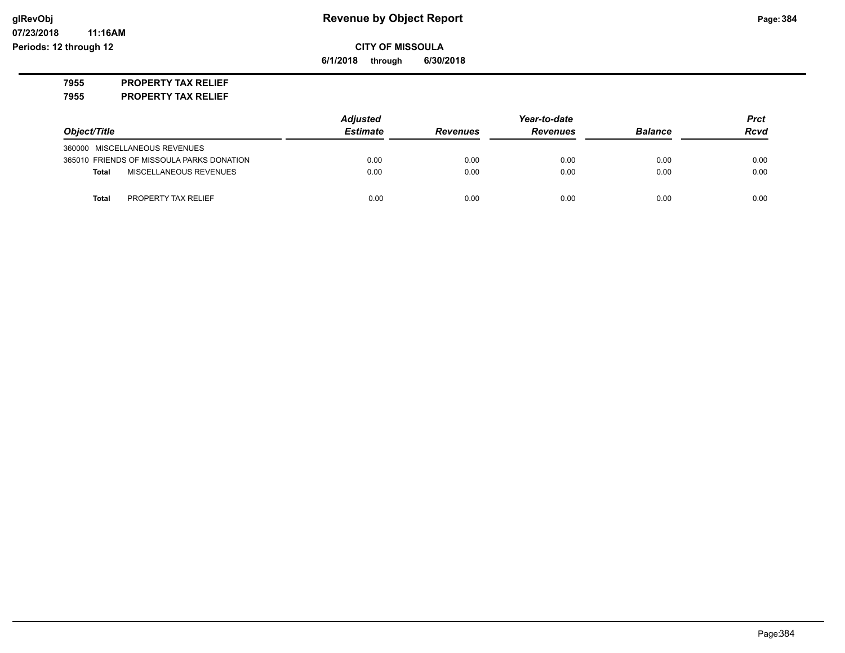**6/1/2018 through 6/30/2018**

### **7955 PROPERTY TAX RELIEF**

**7955 PROPERTY TAX RELIEF**

|              |                                           | <b>Adjusted</b> |                 | Year-to-date    |                | <b>Prct</b> |
|--------------|-------------------------------------------|-----------------|-----------------|-----------------|----------------|-------------|
| Object/Title |                                           | <b>Estimate</b> | <b>Revenues</b> | <b>Revenues</b> | <b>Balance</b> | <b>Rcvd</b> |
|              | 360000 MISCELLANEOUS REVENUES             |                 |                 |                 |                |             |
|              | 365010 FRIENDS OF MISSOULA PARKS DONATION | 0.00            | 0.00            | 0.00            | 0.00           | 0.00        |
| <b>Total</b> | MISCELLANEOUS REVENUES                    | 0.00            | 0.00            | 0.00            | 0.00           | 0.00        |
| Total        | PROPERTY TAX RELIEF                       | 0.00            | 0.00            | 0.00            | 0.00           | 0.00        |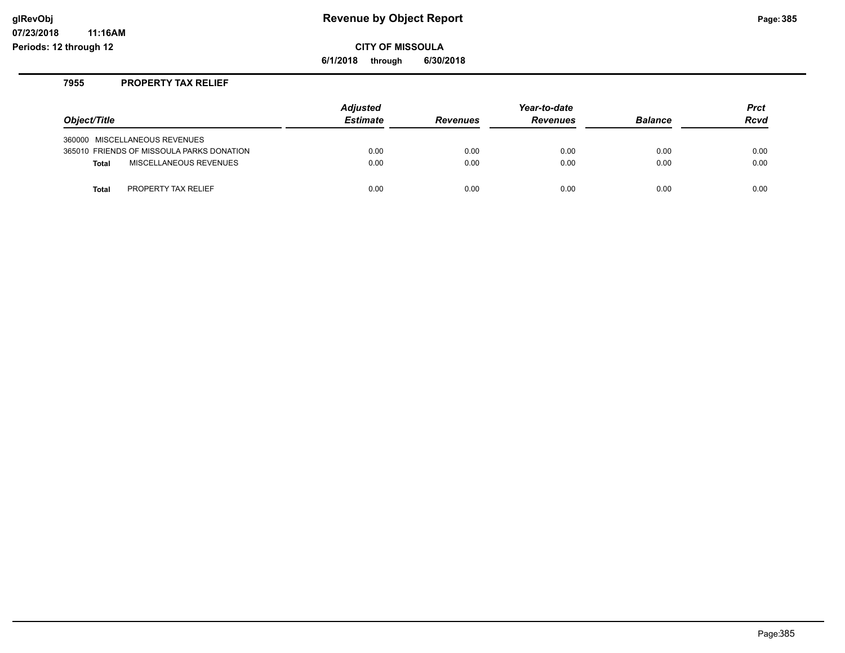**6/1/2018 through 6/30/2018**

#### **7955 PROPERTY TAX RELIEF**

| Object/Title                              | <b>Adjusted</b><br><b>Estimate</b> | <b>Revenues</b> | Year-to-date<br><b>Revenues</b> | <b>Balance</b> | <b>Prct</b><br><b>Rcvd</b> |
|-------------------------------------------|------------------------------------|-----------------|---------------------------------|----------------|----------------------------|
| 360000 MISCELLANEOUS REVENUES             |                                    |                 |                                 |                |                            |
| 365010 FRIENDS OF MISSOULA PARKS DONATION | 0.00                               | 0.00            | 0.00                            | 0.00           | 0.00                       |
| MISCELLANEOUS REVENUES<br><b>Total</b>    | 0.00                               | 0.00            | 0.00                            | 0.00           | 0.00                       |
| <b>Total</b><br>PROPERTY TAX RELIEF       | 0.00                               | 0.00            | 0.00                            | 0.00           | 0.00                       |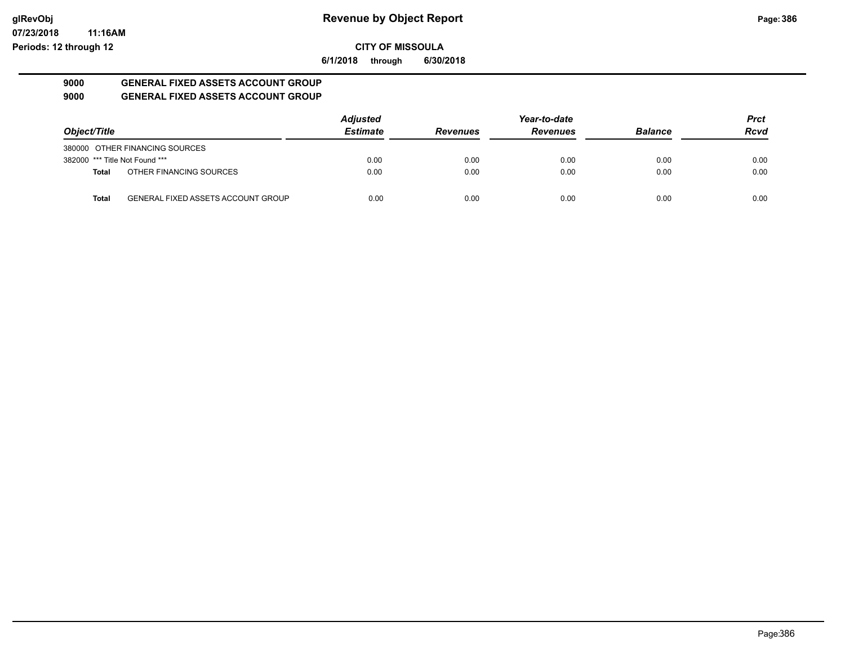#### **07/23/2018 11:16AM Periods: 12 through 12**

## **CITY OF MISSOULA**

**6/1/2018 through 6/30/2018**

#### **9000 GENERAL FIXED ASSETS ACCOUNT GROUP 9000 GENERAL FIXED ASSETS ACCOUNT GROUP**

|                                |                                           | <b>Adjusted</b> |                 | Year-to-date    |                | Prct |
|--------------------------------|-------------------------------------------|-----------------|-----------------|-----------------|----------------|------|
| Object/Title                   |                                           | <b>Estimate</b> | <b>Revenues</b> | <b>Revenues</b> | <b>Balance</b> | Rcvd |
|                                | 380000 OTHER FINANCING SOURCES            |                 |                 |                 |                |      |
| 382000 *** Title Not Found *** |                                           | 0.00            | 0.00            | 0.00            | 0.00           | 0.00 |
| Total                          | OTHER FINANCING SOURCES                   | 0.00            | 0.00            | 0.00            | 0.00           | 0.00 |
| <b>Total</b>                   | <b>GENERAL FIXED ASSETS ACCOUNT GROUP</b> | 0.00            | 0.00            | 0.00            | 0.00           | 0.00 |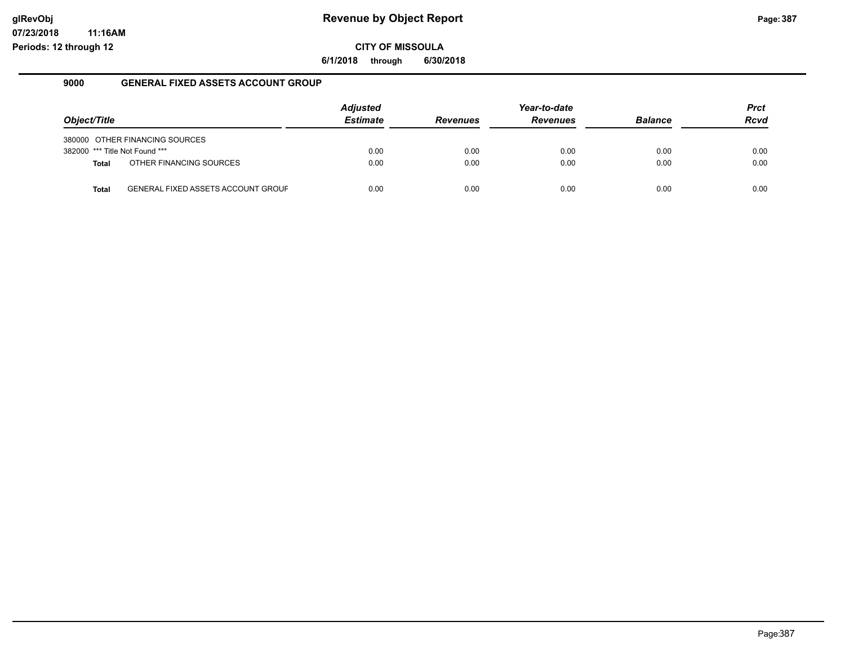**6/1/2018 through 6/30/2018**

#### **9000 GENERAL FIXED ASSETS ACCOUNT GROUP**

|                                |                                           | <b>Adjusted</b><br><b>Estimate</b> | <b>Revenues</b> | Year-to-date<br><b>Revenues</b> | <b>Balance</b> | <b>Prct</b><br>Rcvd |
|--------------------------------|-------------------------------------------|------------------------------------|-----------------|---------------------------------|----------------|---------------------|
| Object/Title                   |                                           |                                    |                 |                                 |                |                     |
|                                | 380000 OTHER FINANCING SOURCES            |                                    |                 |                                 |                |                     |
| 382000 *** Title Not Found *** |                                           | 0.00                               | 0.00            | 0.00                            | 0.00           | 0.00                |
| <b>Total</b>                   | OTHER FINANCING SOURCES                   | 0.00                               | 0.00            | 0.00                            | 0.00           | 0.00                |
|                                |                                           |                                    |                 |                                 |                |                     |
| <b>Total</b>                   | <b>GENERAL FIXED ASSETS ACCOUNT GROUF</b> | 0.00                               | 0.00            | 0.00                            | 0.00           | 0.00                |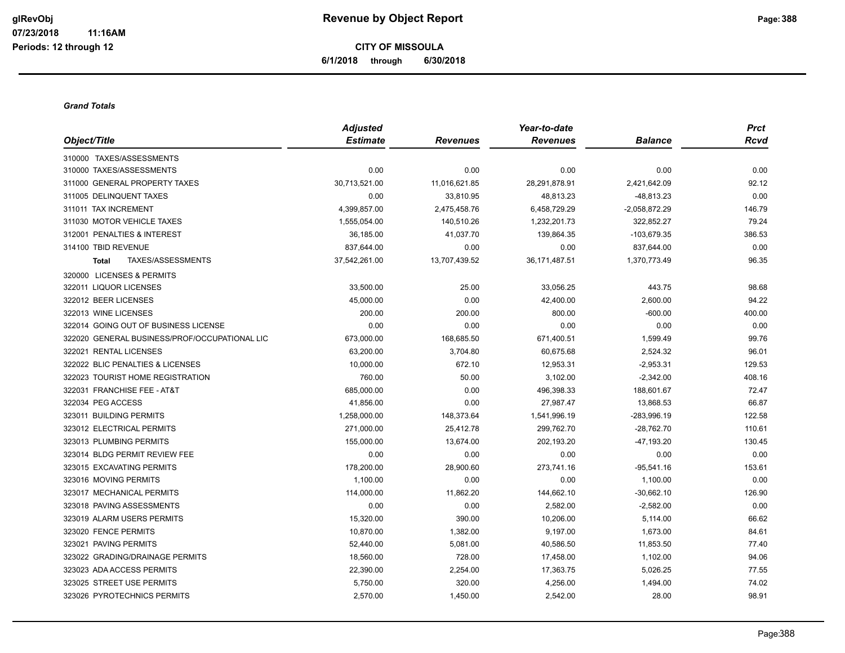**CITY OF MISSOULA 6/1/2018 through 6/30/2018**

#### *Grand Totals*

|                                               | <b>Adjusted</b> |                 | Year-to-date    |                | <b>Prct</b> |
|-----------------------------------------------|-----------------|-----------------|-----------------|----------------|-------------|
| Object/Title                                  | <b>Estimate</b> | <b>Revenues</b> | <b>Revenues</b> | <b>Balance</b> | <b>Rcvd</b> |
| 310000 TAXES/ASSESSMENTS                      |                 |                 |                 |                |             |
| 310000 TAXES/ASSESSMENTS                      | 0.00            | 0.00            | 0.00            | 0.00           | 0.00        |
| 311000 GENERAL PROPERTY TAXES                 | 30,713,521.00   | 11,016,621.85   | 28,291,878.91   | 2,421,642.09   | 92.12       |
| 311005 DELINQUENT TAXES                       | 0.00            | 33,810.95       | 48,813.23       | $-48,813.23$   | 0.00        |
| 311011 TAX INCREMENT                          | 4,399,857.00    | 2,475,458.76    | 6,458,729.29    | -2,058,872.29  | 146.79      |
| 311030 MOTOR VEHICLE TAXES                    | 1,555,054.00    | 140,510.26      | 1,232,201.73    | 322,852.27     | 79.24       |
| 312001 PENALTIES & INTEREST                   | 36,185.00       | 41,037.70       | 139,864.35      | $-103,679.35$  | 386.53      |
| 314100 TBID REVENUE                           | 837,644.00      | 0.00            | 0.00            | 837,644.00     | 0.00        |
| TAXES/ASSESSMENTS<br><b>Total</b>             | 37,542,261.00   | 13,707,439.52   | 36,171,487.51   | 1,370,773.49   | 96.35       |
| 320000 LICENSES & PERMITS                     |                 |                 |                 |                |             |
| 322011 LIQUOR LICENSES                        | 33,500.00       | 25.00           | 33,056.25       | 443.75         | 98.68       |
| 322012 BEER LICENSES                          | 45,000.00       | 0.00            | 42,400.00       | 2,600.00       | 94.22       |
| 322013 WINE LICENSES                          | 200.00          | 200.00          | 800.00          | $-600.00$      | 400.00      |
| 322014 GOING OUT OF BUSINESS LICENSE          | 0.00            | 0.00            | 0.00            | 0.00           | 0.00        |
| 322020 GENERAL BUSINESS/PROF/OCCUPATIONAL LIC | 673,000.00      | 168,685.50      | 671,400.51      | 1,599.49       | 99.76       |
| 322021 RENTAL LICENSES                        | 63,200.00       | 3,704.80        | 60,675.68       | 2,524.32       | 96.01       |
| 322022 BLIC PENALTIES & LICENSES              | 10,000.00       | 672.10          | 12,953.31       | $-2,953.31$    | 129.53      |
| 322023 TOURIST HOME REGISTRATION              | 760.00          | 50.00           | 3,102.00        | $-2,342.00$    | 408.16      |
| 322031 FRANCHISE FEE - AT&T                   | 685,000.00      | 0.00            | 496,398.33      | 188,601.67     | 72.47       |
| 322034 PEG ACCESS                             | 41,856.00       | 0.00            | 27,987.47       | 13,868.53      | 66.87       |
| 323011 BUILDING PERMITS                       | 1,258,000.00    | 148,373.64      | 1,541,996.19    | -283,996.19    | 122.58      |
| 323012 ELECTRICAL PERMITS                     | 271,000.00      | 25,412.78       | 299,762.70      | $-28,762.70$   | 110.61      |
| 323013 PLUMBING PERMITS                       | 155,000.00      | 13,674.00       | 202,193.20      | $-47, 193.20$  | 130.45      |
| 323014 BLDG PERMIT REVIEW FEE                 | 0.00            | 0.00            | 0.00            | 0.00           | 0.00        |
| 323015 EXCAVATING PERMITS                     | 178,200.00      | 28,900.60       | 273,741.16      | $-95,541.16$   | 153.61      |
| 323016 MOVING PERMITS                         | 1,100.00        | 0.00            | 0.00            | 1,100.00       | 0.00        |
| 323017 MECHANICAL PERMITS                     | 114,000.00      | 11,862.20       | 144,662.10      | $-30,662.10$   | 126.90      |
| 323018 PAVING ASSESSMENTS                     | 0.00            | 0.00            | 2,582.00        | $-2,582.00$    | 0.00        |
| 323019 ALARM USERS PERMITS                    | 15,320.00       | 390.00          | 10,206.00       | 5,114.00       | 66.62       |
| 323020 FENCE PERMITS                          | 10,870.00       | 1,382.00        | 9,197.00        | 1,673.00       | 84.61       |
| 323021 PAVING PERMITS                         | 52,440.00       | 5,081.00        | 40,586.50       | 11,853.50      | 77.40       |
| 323022 GRADING/DRAINAGE PERMITS               | 18,560.00       | 728.00          | 17,458.00       | 1,102.00       | 94.06       |
| 323023 ADA ACCESS PERMITS                     | 22,390.00       | 2,254.00        | 17,363.75       | 5,026.25       | 77.55       |
| 323025 STREET USE PERMITS                     | 5,750.00        | 320.00          | 4,256.00        | 1,494.00       | 74.02       |
| 323026 PYROTECHNICS PERMITS                   | 2,570.00        | 1,450.00        | 2,542.00        | 28.00          | 98.91       |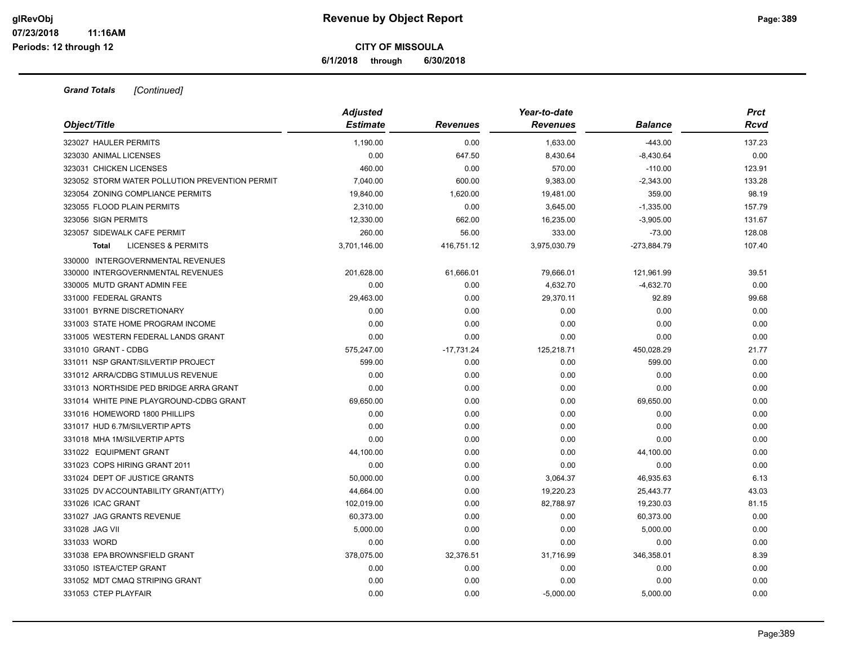**6/1/2018 through 6/30/2018**

| Object/Title                                   | <b>Adjusted</b><br><b>Estimate</b> | Revenues     | Year-to-date<br><b>Revenues</b> | <b>Balance</b> | <b>Prct</b><br>Rcvd |
|------------------------------------------------|------------------------------------|--------------|---------------------------------|----------------|---------------------|
| 323027 HAULER PERMITS                          | 1,190.00                           | 0.00         | 1,633.00                        | $-443.00$      | 137.23              |
| 323030 ANIMAL LICENSES                         | 0.00                               | 647.50       | 8,430.64                        | $-8,430.64$    | 0.00                |
| 323031 CHICKEN LICENSES                        | 460.00                             | 0.00         | 570.00                          | $-110.00$      | 123.91              |
| 323052 STORM WATER POLLUTION PREVENTION PERMIT | 7,040.00                           | 600.00       | 9,383.00                        | $-2,343.00$    | 133.28              |
| 323054 ZONING COMPLIANCE PERMITS               | 19,840.00                          | 1,620.00     | 19,481.00                       | 359.00         | 98.19               |
| 323055 FLOOD PLAIN PERMITS                     | 2,310.00                           | 0.00         | 3,645.00                        | $-1,335.00$    | 157.79              |
| 323056 SIGN PERMITS                            | 12,330.00                          | 662.00       | 16,235.00                       | $-3,905.00$    | 131.67              |
| 323057 SIDEWALK CAFE PERMIT                    | 260.00                             | 56.00        | 333.00                          | $-73.00$       | 128.08              |
| <b>LICENSES &amp; PERMITS</b><br><b>Total</b>  | 3,701,146.00                       | 416,751.12   | 3,975,030.79                    | $-273,884.79$  | 107.40              |
| 330000 INTERGOVERNMENTAL REVENUES              |                                    |              |                                 |                |                     |
| 330000 INTERGOVERNMENTAL REVENUES              | 201,628.00                         | 61,666.01    | 79,666.01                       | 121,961.99     | 39.51               |
| 330005 MUTD GRANT ADMIN FEE                    | 0.00                               | 0.00         | 4,632.70                        | $-4,632.70$    | 0.00                |
| 331000 FEDERAL GRANTS                          | 29,463.00                          | 0.00         | 29,370.11                       | 92.89          | 99.68               |
| 331001 BYRNE DISCRETIONARY                     | 0.00                               | 0.00         | 0.00                            | 0.00           | 0.00                |
| 331003 STATE HOME PROGRAM INCOME               | 0.00                               | 0.00         | 0.00                            | 0.00           | 0.00                |
| 331005 WESTERN FEDERAL LANDS GRANT             | 0.00                               | 0.00         | 0.00                            | 0.00           | 0.00                |
| 331010 GRANT - CDBG                            | 575,247.00                         | $-17,731.24$ | 125,218.71                      | 450,028.29     | 21.77               |
| 331011 NSP GRANT/SILVERTIP PROJECT             | 599.00                             | 0.00         | 0.00                            | 599.00         | 0.00                |
| 331012 ARRA/CDBG STIMULUS REVENUE              | 0.00                               | 0.00         | 0.00                            | 0.00           | 0.00                |
| 331013 NORTHSIDE PED BRIDGE ARRA GRANT         | 0.00                               | 0.00         | 0.00                            | 0.00           | 0.00                |
| 331014 WHITE PINE PLAYGROUND-CDBG GRANT        | 69,650.00                          | 0.00         | 0.00                            | 69,650.00      | 0.00                |
| 331016 HOMEWORD 1800 PHILLIPS                  | 0.00                               | 0.00         | 0.00                            | 0.00           | 0.00                |
| 331017 HUD 6.7M/SILVERTIP APTS                 | 0.00                               | 0.00         | 0.00                            | 0.00           | 0.00                |
| 331018 MHA 1M/SILVERTIP APTS                   | 0.00                               | 0.00         | 0.00                            | 0.00           | 0.00                |
| 331022 EQUIPMENT GRANT                         | 44,100.00                          | 0.00         | 0.00                            | 44,100.00      | 0.00                |
| 331023 COPS HIRING GRANT 2011                  | 0.00                               | 0.00         | 0.00                            | 0.00           | 0.00                |
| 331024 DEPT OF JUSTICE GRANTS                  | 50,000.00                          | 0.00         | 3,064.37                        | 46,935.63      | 6.13                |
| 331025 DV ACCOUNTABILITY GRANT(ATTY)           | 44,664.00                          | 0.00         | 19,220.23                       | 25,443.77      | 43.03               |
| 331026 ICAC GRANT                              | 102,019.00                         | 0.00         | 82,788.97                       | 19,230.03      | 81.15               |
| 331027 JAG GRANTS REVENUE                      | 60,373.00                          | 0.00         | 0.00                            | 60,373.00      | 0.00                |
| 331028 JAG VII                                 | 5,000.00                           | 0.00         | 0.00                            | 5,000.00       | 0.00                |
| 331033 WORD                                    | 0.00                               | 0.00         | 0.00                            | 0.00           | 0.00                |
| 331038 EPA BROWNSFIELD GRANT                   | 378,075.00                         | 32,376.51    | 31,716.99                       | 346,358.01     | 8.39                |
| 331050 ISTEA/CTEP GRANT                        | 0.00                               | 0.00         | 0.00                            | 0.00           | 0.00                |
| 331052 MDT CMAQ STRIPING GRANT                 | 0.00                               | 0.00         | 0.00                            | 0.00           | 0.00                |
| 331053 CTEP PLAYFAIR                           | 0.00                               | 0.00         | $-5,000.00$                     | 5,000.00       | 0.00                |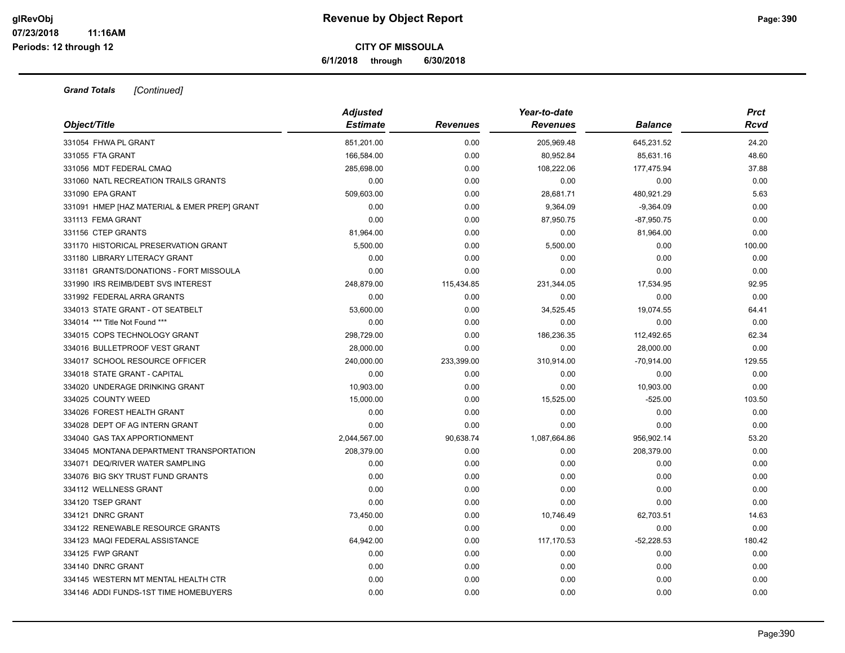**6/1/2018 through 6/30/2018**

|                                              | <b>Adjusted</b> |                 | Year-to-date    |                | <b>Prct</b><br>Rcvd |
|----------------------------------------------|-----------------|-----------------|-----------------|----------------|---------------------|
| Object/Title                                 | <b>Estimate</b> | <b>Revenues</b> | <b>Revenues</b> | <b>Balance</b> |                     |
| 331054 FHWA PL GRANT                         | 851,201.00      | 0.00            | 205,969.48      | 645,231.52     | 24.20               |
| 331055 FTA GRANT                             | 166,584.00      | 0.00            | 80,952.84       | 85,631.16      | 48.60               |
| 331056 MDT FEDERAL CMAQ                      | 285,698.00      | 0.00            | 108,222.06      | 177,475.94     | 37.88               |
| 331060 NATL RECREATION TRAILS GRANTS         | 0.00            | 0.00            | 0.00            | 0.00           | 0.00                |
| 331090 EPA GRANT                             | 509,603.00      | 0.00            | 28,681.71       | 480,921.29     | 5.63                |
| 331091 HMEP [HAZ MATERIAL & EMER PREP] GRANT | 0.00            | 0.00            | 9,364.09        | $-9,364.09$    | 0.00                |
| 331113 FEMA GRANT                            | 0.00            | 0.00            | 87,950.75       | $-87,950.75$   | 0.00                |
| 331156 CTEP GRANTS                           | 81,964.00       | 0.00            | 0.00            | 81,964.00      | 0.00                |
| 331170 HISTORICAL PRESERVATION GRANT         | 5,500.00        | 0.00            | 5,500.00        | 0.00           | 100.00              |
| 331180 LIBRARY LITERACY GRANT                | 0.00            | 0.00            | 0.00            | 0.00           | 0.00                |
| 331181 GRANTS/DONATIONS - FORT MISSOULA      | 0.00            | 0.00            | 0.00            | 0.00           | 0.00                |
| 331990 IRS REIMB/DEBT SVS INTEREST           | 248,879.00      | 115,434.85      | 231,344.05      | 17,534.95      | 92.95               |
| 331992 FEDERAL ARRA GRANTS                   | 0.00            | 0.00            | 0.00            | 0.00           | 0.00                |
| 334013 STATE GRANT - OT SEATBELT             | 53,600.00       | 0.00            | 34,525.45       | 19,074.55      | 64.41               |
| 334014 *** Title Not Found ***               | 0.00            | 0.00            | 0.00            | 0.00           | 0.00                |
| 334015 COPS TECHNOLOGY GRANT                 | 298,729.00      | 0.00            | 186,236.35      | 112,492.65     | 62.34               |
| 334016 BULLETPROOF VEST GRANT                | 28.000.00       | 0.00            | 0.00            | 28,000.00      | 0.00                |
| 334017 SCHOOL RESOURCE OFFICER               | 240,000.00      | 233,399.00      | 310,914.00      | $-70,914.00$   | 129.55              |
| 334018 STATE GRANT - CAPITAL                 | 0.00            | 0.00            | 0.00            | 0.00           | 0.00                |
| 334020 UNDERAGE DRINKING GRANT               | 10,903.00       | 0.00            | 0.00            | 10,903.00      | 0.00                |
| 334025 COUNTY WEED                           | 15,000.00       | 0.00            | 15,525.00       | $-525.00$      | 103.50              |
| 334026 FOREST HEALTH GRANT                   | 0.00            | 0.00            | 0.00            | 0.00           | 0.00                |
| 334028 DEPT OF AG INTERN GRANT               | 0.00            | 0.00            | 0.00            | 0.00           | 0.00                |
| 334040 GAS TAX APPORTIONMENT                 | 2,044,567.00    | 90,638.74       | 1,087,664.86    | 956,902.14     | 53.20               |
| 334045 MONTANA DEPARTMENT TRANSPORTATION     | 208,379.00      | 0.00            | 0.00            | 208,379.00     | 0.00                |
| 334071 DEQ/RIVER WATER SAMPLING              | 0.00            | 0.00            | 0.00            | 0.00           | 0.00                |
| 334076 BIG SKY TRUST FUND GRANTS             | 0.00            | 0.00            | 0.00            | 0.00           | 0.00                |
| 334112 WELLNESS GRANT                        | 0.00            | 0.00            | 0.00            | 0.00           | 0.00                |
| 334120 TSEP GRANT                            | 0.00            | 0.00            | 0.00            | 0.00           | 0.00                |
| 334121 DNRC GRANT                            | 73,450.00       | 0.00            | 10,746.49       | 62,703.51      | 14.63               |
| 334122 RENEWABLE RESOURCE GRANTS             | 0.00            | 0.00            | 0.00            | 0.00           | 0.00                |
| 334123 MAQI FEDERAL ASSISTANCE               | 64,942.00       | 0.00            | 117,170.53      | $-52,228.53$   | 180.42              |
| 334125 FWP GRANT                             | 0.00            | 0.00            | 0.00            | 0.00           | 0.00                |
| 334140 DNRC GRANT                            | 0.00            | 0.00            | 0.00            | 0.00           | 0.00                |
| 334145 WESTERN MT MENTAL HEALTH CTR          | 0.00            | 0.00            | 0.00            | 0.00           | 0.00                |
| 334146 ADDI FUNDS-1ST TIME HOMEBUYERS        | 0.00            | 0.00            | 0.00            | 0.00           | 0.00                |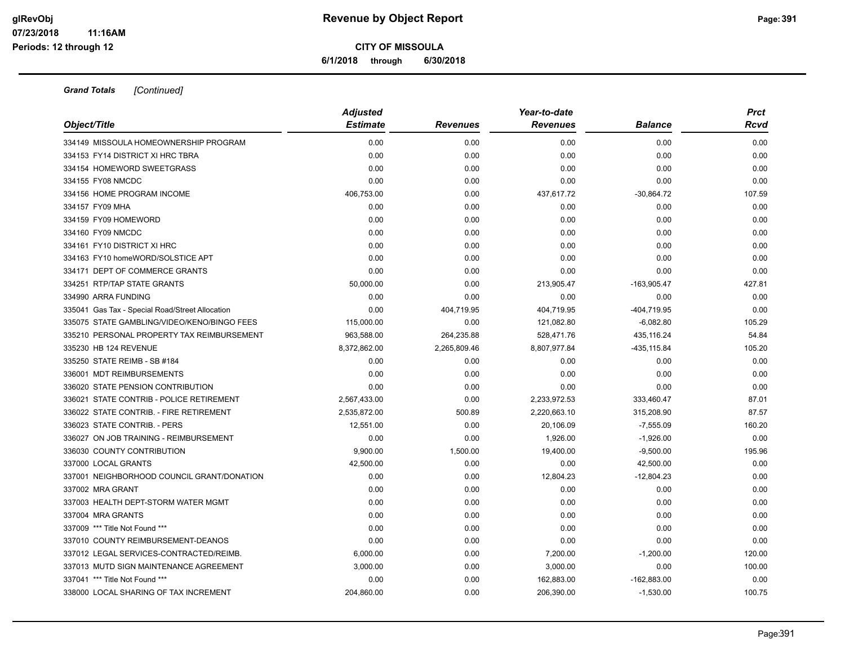**6/1/2018 through 6/30/2018**

|                                                 | <b>Adjusted</b> |                 | Year-to-date    |                | <b>Prct</b> |  |
|-------------------------------------------------|-----------------|-----------------|-----------------|----------------|-------------|--|
| Object/Title                                    | <b>Estimate</b> | <b>Revenues</b> | <b>Revenues</b> | <b>Balance</b> | Rcvd        |  |
| 334149 MISSOULA HOMEOWNERSHIP PROGRAM           | 0.00            | 0.00            | 0.00            | 0.00           | 0.00        |  |
| 334153 FY14 DISTRICT XI HRC TBRA                | 0.00            | 0.00            | 0.00            | 0.00           | 0.00        |  |
| 334154 HOMEWORD SWEETGRASS                      | 0.00            | 0.00            | 0.00            | 0.00           | 0.00        |  |
| 334155 FY08 NMCDC                               | 0.00            | 0.00            | 0.00            | 0.00           | 0.00        |  |
| 334156 HOME PROGRAM INCOME                      | 406,753.00      | 0.00            | 437,617.72      | $-30,864.72$   | 107.59      |  |
| 334157 FY09 MHA                                 | 0.00            | 0.00            | 0.00            | 0.00           | 0.00        |  |
| 334159 FY09 HOMEWORD                            | 0.00            | 0.00            | 0.00            | 0.00           | 0.00        |  |
| 334160 FY09 NMCDC                               | 0.00            | 0.00            | 0.00            | 0.00           | 0.00        |  |
| 334161 FY10 DISTRICT XI HRC                     | 0.00            | 0.00            | 0.00            | 0.00           | 0.00        |  |
| 334163 FY10 homeWORD/SOLSTICE APT               | 0.00            | 0.00            | 0.00            | 0.00           | 0.00        |  |
| 334171 DEPT OF COMMERCE GRANTS                  | 0.00            | 0.00            | 0.00            | 0.00           | 0.00        |  |
| 334251 RTP/TAP STATE GRANTS                     | 50,000.00       | 0.00            | 213,905.47      | $-163,905.47$  | 427.81      |  |
| 334990 ARRA FUNDING                             | 0.00            | 0.00            | 0.00            | 0.00           | 0.00        |  |
| 335041 Gas Tax - Special Road/Street Allocation | 0.00            | 404,719.95      | 404,719.95      | -404,719.95    | 0.00        |  |
| 335075 STATE GAMBLING/VIDEO/KENO/BINGO FEES     | 115,000.00      | 0.00            | 121,082.80      | $-6,082.80$    | 105.29      |  |
| 335210 PERSONAL PROPERTY TAX REIMBURSEMENT      | 963,588.00      | 264,235.88      | 528,471.76      | 435,116.24     | 54.84       |  |
| 335230 HB 124 REVENUE                           | 8,372,862.00    | 2,265,809.46    | 8,807,977.84    | -435,115.84    | 105.20      |  |
| 335250 STATE REIMB - SB #184                    | 0.00            | 0.00            | 0.00            | 0.00           | 0.00        |  |
| 336001 MDT REIMBURSEMENTS                       | 0.00            | 0.00            | 0.00            | 0.00           | 0.00        |  |
| 336020 STATE PENSION CONTRIBUTION               | 0.00            | 0.00            | 0.00            | 0.00           | 0.00        |  |
| 336021 STATE CONTRIB - POLICE RETIREMENT        | 2,567,433.00    | 0.00            | 2,233,972.53    | 333,460.47     | 87.01       |  |
| 336022 STATE CONTRIB. - FIRE RETIREMENT         | 2,535,872.00    | 500.89          | 2,220,663.10    | 315,208.90     | 87.57       |  |
| 336023 STATE CONTRIB. - PERS                    | 12,551.00       | 0.00            | 20,106.09       | $-7,555.09$    | 160.20      |  |
| 336027 ON JOB TRAINING - REIMBURSEMENT          | 0.00            | 0.00            | 1,926.00        | $-1,926.00$    | 0.00        |  |
| 336030 COUNTY CONTRIBUTION                      | 9,900.00        | 1,500.00        | 19,400.00       | $-9,500.00$    | 195.96      |  |
| 337000 LOCAL GRANTS                             | 42,500.00       | 0.00            | 0.00            | 42,500.00      | 0.00        |  |
| 337001 NEIGHBORHOOD COUNCIL GRANT/DONATION      | 0.00            | 0.00            | 12,804.23       | $-12,804.23$   | 0.00        |  |
| 337002 MRA GRANT                                | 0.00            | 0.00            | 0.00            | 0.00           | 0.00        |  |
| 337003 HEALTH DEPT-STORM WATER MGMT             | 0.00            | 0.00            | 0.00            | 0.00           | 0.00        |  |
| 337004 MRA GRANTS                               | 0.00            | 0.00            | 0.00            | 0.00           | 0.00        |  |
| 337009 *** Title Not Found ***                  | 0.00            | 0.00            | 0.00            | 0.00           | 0.00        |  |
| 337010 COUNTY REIMBURSEMENT-DEANOS              | 0.00            | 0.00            | 0.00            | 0.00           | 0.00        |  |
| 337012 LEGAL SERVICES-CONTRACTED/REIMB.         | 6,000.00        | 0.00            | 7,200.00        | $-1,200.00$    | 120.00      |  |
| 337013 MUTD SIGN MAINTENANCE AGREEMENT          | 3,000.00        | 0.00            | 3,000.00        | 0.00           | 100.00      |  |
| 337041 *** Title Not Found ***                  | 0.00            | 0.00            | 162,883.00      | $-162,883.00$  | 0.00        |  |
| 338000 LOCAL SHARING OF TAX INCREMENT           | 204.860.00      | 0.00            | 206,390.00      | $-1,530.00$    | 100.75      |  |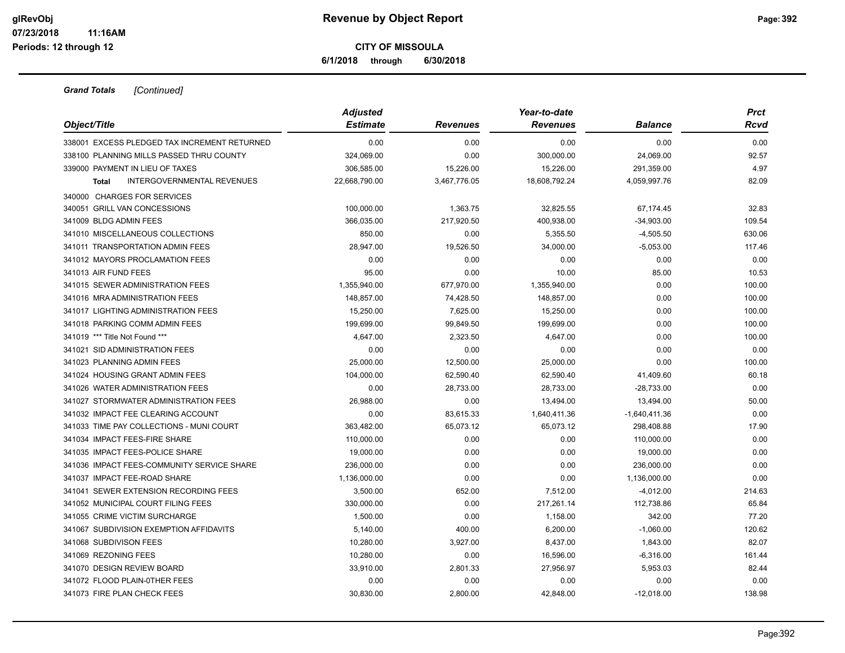**6/1/2018 through 6/30/2018**

| Object/Title                                 | <b>Adjusted</b><br><b>Estimate</b> | <b>Revenues</b> | Year-to-date<br><b>Revenues</b> | <b>Balance</b>  | <b>Prct</b><br>Rcvd |
|----------------------------------------------|------------------------------------|-----------------|---------------------------------|-----------------|---------------------|
| 338001 EXCESS PLEDGED TAX INCREMENT RETURNED | 0.00                               | 0.00            | 0.00                            | 0.00            | 0.00                |
| 338100 PLANNING MILLS PASSED THRU COUNTY     | 324,069.00                         | 0.00            | 300,000.00                      | 24,069.00       | 92.57               |
| 339000 PAYMENT IN LIEU OF TAXES              | 306,585.00                         | 15,226.00       | 15,226.00                       | 291,359.00      | 4.97                |
| <b>INTERGOVERNMENTAL REVENUES</b><br>Total   | 22,668,790.00                      | 3,467,776.05    | 18,608,792.24                   | 4,059,997.76    | 82.09               |
| 340000 CHARGES FOR SERVICES                  |                                    |                 |                                 |                 |                     |
| 340051 GRILL VAN CONCESSIONS                 | 100,000.00                         | 1,363.75        | 32,825.55                       | 67,174.45       | 32.83               |
| 341009 BLDG ADMIN FEES                       | 366,035.00                         | 217,920.50      | 400,938.00                      | $-34,903.00$    | 109.54              |
| 341010 MISCELLANEOUS COLLECTIONS             | 850.00                             | 0.00            | 5,355.50                        | $-4,505.50$     | 630.06              |
| 341011 TRANSPORTATION ADMIN FEES             | 28,947.00                          | 19,526.50       | 34,000.00                       | $-5,053.00$     | 117.46              |
| 341012 MAYORS PROCLAMATION FEES              | 0.00                               | 0.00            | 0.00                            | 0.00            | 0.00                |
| 341013 AIR FUND FEES                         | 95.00                              | 0.00            | 10.00                           | 85.00           | 10.53               |
| 341015 SEWER ADMINISTRATION FEES             | 1,355,940.00                       | 677,970.00      | 1,355,940.00                    | 0.00            | 100.00              |
| 341016 MRA ADMINISTRATION FEES               | 148,857.00                         | 74,428.50       | 148,857.00                      | 0.00            | 100.00              |
| 341017 LIGHTING ADMINISTRATION FEES          | 15,250.00                          | 7,625.00        | 15,250.00                       | 0.00            | 100.00              |
| 341018 PARKING COMM ADMIN FEES               | 199,699.00                         | 99,849.50       | 199,699.00                      | 0.00            | 100.00              |
| 341019 *** Title Not Found ***               | 4,647.00                           | 2,323.50        | 4,647.00                        | 0.00            | 100.00              |
| 341021 SID ADMINISTRATION FEES               | 0.00                               | 0.00            | 0.00                            | 0.00            | 0.00                |
| 341023 PLANNING ADMIN FEES                   | 25,000.00                          | 12,500.00       | 25,000.00                       | 0.00            | 100.00              |
| 341024 HOUSING GRANT ADMIN FEES              | 104,000.00                         | 62,590.40       | 62,590.40                       | 41,409.60       | 60.18               |
| 341026 WATER ADMINISTRATION FEES             | 0.00                               | 28,733.00       | 28,733.00                       | $-28,733.00$    | 0.00                |
| 341027 STORMWATER ADMINISTRATION FEES        | 26,988.00                          | 0.00            | 13,494.00                       | 13,494.00       | 50.00               |
| 341032 IMPACT FEE CLEARING ACCOUNT           | 0.00                               | 83,615.33       | 1,640,411.36                    | $-1,640,411.36$ | 0.00                |
| 341033 TIME PAY COLLECTIONS - MUNI COURT     | 363,482.00                         | 65,073.12       | 65,073.12                       | 298,408.88      | 17.90               |
| 341034 IMPACT FEES-FIRE SHARE                | 110,000.00                         | 0.00            | 0.00                            | 110,000.00      | 0.00                |
| 341035 IMPACT FEES-POLICE SHARE              | 19,000.00                          | 0.00            | 0.00                            | 19,000.00       | 0.00                |
| 341036 IMPACT FEES-COMMUNITY SERVICE SHARE   | 236,000.00                         | 0.00            | 0.00                            | 236,000.00      | 0.00                |
| 341037 IMPACT FEE-ROAD SHARE                 | 1,136,000.00                       | 0.00            | 0.00                            | 1,136,000.00    | 0.00                |
| 341041 SEWER EXTENSION RECORDING FEES        | 3,500.00                           | 652.00          | 7,512.00                        | $-4,012.00$     | 214.63              |
| 341052 MUNICIPAL COURT FILING FEES           | 330,000.00                         | 0.00            | 217,261.14                      | 112,738.86      | 65.84               |
| 341055 CRIME VICTIM SURCHARGE                | 1,500.00                           | 0.00            | 1,158.00                        | 342.00          | 77.20               |
| 341067 SUBDIVISION EXEMPTION AFFIDAVITS      | 5,140.00                           | 400.00          | 6,200.00                        | $-1,060.00$     | 120.62              |
| 341068 SUBDIVISON FEES                       | 10,280.00                          | 3,927.00        | 8,437.00                        | 1,843.00        | 82.07               |
| 341069 REZONING FEES                         | 10,280.00                          | 0.00            | 16,596.00                       | $-6,316.00$     | 161.44              |
| 341070 DESIGN REVIEW BOARD                   | 33,910.00                          | 2,801.33        | 27,956.97                       | 5,953.03        | 82.44               |
| 341072 FLOOD PLAIN-0THER FEES                | 0.00                               | 0.00            | 0.00                            | 0.00            | 0.00                |
| 341073 FIRE PLAN CHECK FEES                  | 30,830.00                          | 2,800.00        | 42,848.00                       | $-12,018.00$    | 138.98              |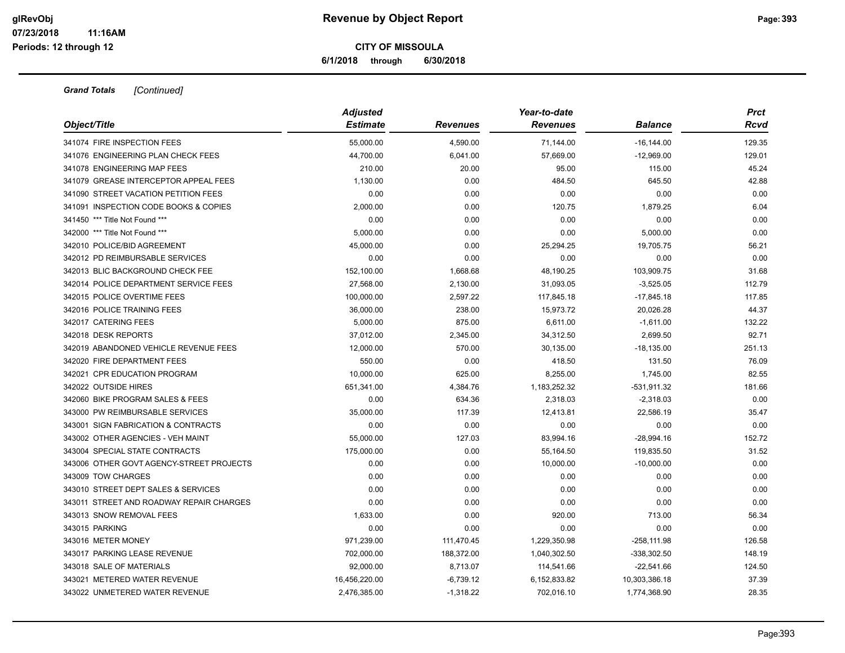**6/1/2018 through 6/30/2018**

| Object/Title                             | <b>Adjusted</b><br><b>Estimate</b> | Revenues    | Year-to-date<br><b>Revenues</b> | <b>Balance</b> | <b>Prct</b><br>Rcvd |
|------------------------------------------|------------------------------------|-------------|---------------------------------|----------------|---------------------|
| 341074 FIRE INSPECTION FEES              | 55,000.00                          | 4,590.00    | 71,144.00                       | $-16, 144.00$  | 129.35              |
| 341076 ENGINEERING PLAN CHECK FEES       | 44,700.00                          | 6,041.00    | 57,669.00                       | $-12,969.00$   | 129.01              |
| 341078 ENGINEERING MAP FEES              | 210.00                             | 20.00       | 95.00                           | 115.00         | 45.24               |
| 341079 GREASE INTERCEPTOR APPEAL FEES    | 1,130.00                           | 0.00        | 484.50                          | 645.50         | 42.88               |
| 341090 STREET VACATION PETITION FEES     | 0.00                               | 0.00        | 0.00                            | 0.00           | 0.00                |
| 341091 INSPECTION CODE BOOKS & COPIES    | 2,000.00                           | 0.00        | 120.75                          | 1,879.25       | 6.04                |
| 341450 *** Title Not Found ***           | 0.00                               | 0.00        | 0.00                            | 0.00           | 0.00                |
| 342000 *** Title Not Found ***           | 5,000.00                           | 0.00        | 0.00                            | 5,000.00       | 0.00                |
| 342010 POLICE/BID AGREEMENT              | 45,000.00                          | 0.00        | 25,294.25                       | 19,705.75      | 56.21               |
| 342012 PD REIMBURSABLE SERVICES          | 0.00                               | 0.00        | 0.00                            | 0.00           | 0.00                |
| 342013 BLIC BACKGROUND CHECK FEE         | 152,100.00                         | 1,668.68    | 48,190.25                       | 103,909.75     | 31.68               |
| 342014 POLICE DEPARTMENT SERVICE FEES    | 27,568.00                          | 2,130.00    | 31,093.05                       | $-3,525.05$    | 112.79              |
| 342015 POLICE OVERTIME FEES              | 100,000.00                         | 2,597.22    | 117,845.18                      | $-17,845.18$   | 117.85              |
| 342016 POLICE TRAINING FEES              | 36,000.00                          | 238.00      | 15,973.72                       | 20,026.28      | 44.37               |
| 342017 CATERING FEES                     | 5,000.00                           | 875.00      | 6,611.00                        | $-1,611.00$    | 132.22              |
| 342018 DESK REPORTS                      | 37,012.00                          | 2,345.00    | 34,312.50                       | 2,699.50       | 92.71               |
| 342019 ABANDONED VEHICLE REVENUE FEES    | 12,000.00                          | 570.00      | 30,135.00                       | $-18,135.00$   | 251.13              |
| 342020 FIRE DEPARTMENT FEES              | 550.00                             | 0.00        | 418.50                          | 131.50         | 76.09               |
| 342021 CPR EDUCATION PROGRAM             | 10,000.00                          | 625.00      | 8,255.00                        | 1,745.00       | 82.55               |
| 342022 OUTSIDE HIRES                     | 651,341.00                         | 4,384.76    | 1,183,252.32                    | -531,911.32    | 181.66              |
| 342060 BIKE PROGRAM SALES & FEES         | 0.00                               | 634.36      | 2,318.03                        | $-2,318.03$    | 0.00                |
| 343000 PW REIMBURSABLE SERVICES          | 35,000.00                          | 117.39      | 12,413.81                       | 22,586.19      | 35.47               |
| 343001 SIGN FABRICATION & CONTRACTS      | 0.00                               | 0.00        | 0.00                            | 0.00           | 0.00                |
| 343002 OTHER AGENCIES - VEH MAINT        | 55,000.00                          | 127.03      | 83,994.16                       | $-28,994.16$   | 152.72              |
| 343004 SPECIAL STATE CONTRACTS           | 175,000.00                         | 0.00        | 55,164.50                       | 119,835.50     | 31.52               |
| 343006 OTHER GOVT AGENCY-STREET PROJECTS | 0.00                               | 0.00        | 10,000.00                       | $-10,000.00$   | 0.00                |
| 343009 TOW CHARGES                       | 0.00                               | 0.00        | 0.00                            | 0.00           | 0.00                |
| 343010 STREET DEPT SALES & SERVICES      | 0.00                               | 0.00        | 0.00                            | 0.00           | 0.00                |
| 343011 STREET AND ROADWAY REPAIR CHARGES | 0.00                               | 0.00        | 0.00                            | 0.00           | 0.00                |
| 343013 SNOW REMOVAL FEES                 | 1,633.00                           | 0.00        | 920.00                          | 713.00         | 56.34               |
| 343015 PARKING                           | 0.00                               | 0.00        | 0.00                            | 0.00           | 0.00                |
| 343016 METER MONEY                       | 971,239.00                         | 111,470.45  | 1,229,350.98                    | -258,111.98    | 126.58              |
| 343017 PARKING LEASE REVENUE             | 702,000.00                         | 188,372.00  | 1,040,302.50                    | $-338,302.50$  | 148.19              |
| 343018 SALE OF MATERIALS                 | 92,000.00                          | 8,713.07    | 114,541.66                      | $-22,541.66$   | 124.50              |
| 343021 METERED WATER REVENUE             | 16,456,220.00                      | $-6,739.12$ | 6,152,833.82                    | 10,303,386.18  | 37.39               |
| 343022 UNMETERED WATER REVENUE           | 2,476,385.00                       | $-1,318.22$ | 702,016.10                      | 1,774,368.90   | 28.35               |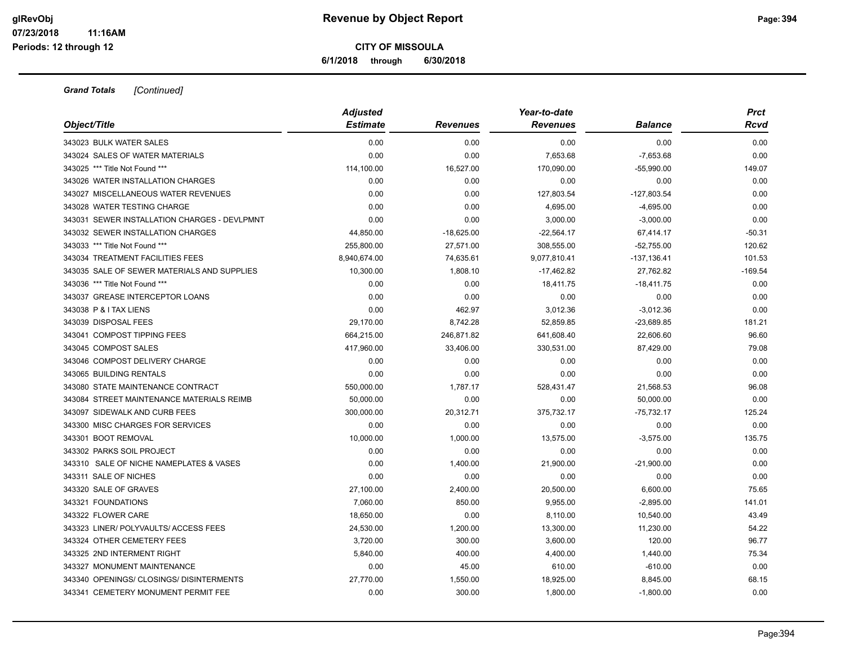**6/1/2018 through 6/30/2018**

| Object/Title                                 | <b>Adjusted</b><br><b>Estimate</b> | <b>Revenues</b> | Year-to-date<br><b>Revenues</b> | <b>Balance</b> | <b>Prct</b><br>Rcvd |
|----------------------------------------------|------------------------------------|-----------------|---------------------------------|----------------|---------------------|
| 343023 BULK WATER SALES                      | 0.00                               | 0.00            | 0.00                            | 0.00           | 0.00                |
| 343024 SALES OF WATER MATERIALS              | 0.00                               | 0.00            | 7,653.68                        | $-7,653.68$    | 0.00                |
| 343025 *** Title Not Found ***               | 114,100.00                         | 16,527.00       | 170,090.00                      | $-55,990.00$   | 149.07              |
| 343026 WATER INSTALLATION CHARGES            | 0.00                               | 0.00            | 0.00                            | 0.00           | 0.00                |
| 343027 MISCELLANEOUS WATER REVENUES          | 0.00                               | 0.00            | 127,803.54                      | $-127,803.54$  | 0.00                |
| 343028 WATER TESTING CHARGE                  | 0.00                               | 0.00            | 4,695.00                        | $-4,695.00$    | 0.00                |
| 343031 SEWER INSTALLATION CHARGES - DEVLPMNT | 0.00                               | 0.00            | 3,000.00                        | $-3,000.00$    | 0.00                |
| 343032 SEWER INSTALLATION CHARGES            | 44,850.00                          | $-18,625.00$    | $-22,564.17$                    | 67,414.17      | $-50.31$            |
| 343033 *** Title Not Found ***               | 255,800.00                         | 27,571.00       | 308,555.00                      | $-52,755.00$   | 120.62              |
| 343034 TREATMENT FACILITIES FEES             | 8,940,674.00                       | 74,635.61       | 9,077,810.41                    | $-137, 136.41$ | 101.53              |
| 343035 SALE OF SEWER MATERIALS AND SUPPLIES  | 10,300.00                          | 1,808.10        | $-17,462.82$                    | 27,762.82      | $-169.54$           |
| 343036 *** Title Not Found ***               | 0.00                               | 0.00            | 18,411.75                       | $-18,411.75$   | 0.00                |
| 343037 GREASE INTERCEPTOR LOANS              | 0.00                               | 0.00            | 0.00                            | 0.00           | 0.00                |
| 343038 P & I TAX LIENS                       | 0.00                               | 462.97          | 3,012.36                        | $-3,012.36$    | 0.00                |
| 343039 DISPOSAL FEES                         | 29,170.00                          | 8,742.28        | 52,859.85                       | $-23,689.85$   | 181.21              |
| 343041 COMPOST TIPPING FEES                  | 664,215.00                         | 246,871.82      | 641,608.40                      | 22,606.60      | 96.60               |
| 343045 COMPOST SALES                         | 417,960.00                         | 33,406.00       | 330,531.00                      | 87,429.00      | 79.08               |
| 343046 COMPOST DELIVERY CHARGE               | 0.00                               | 0.00            | 0.00                            | 0.00           | 0.00                |
| 343065 BUILDING RENTALS                      | 0.00                               | 0.00            | 0.00                            | 0.00           | 0.00                |
| 343080 STATE MAINTENANCE CONTRACT            | 550,000.00                         | 1,787.17        | 528,431.47                      | 21,568.53      | 96.08               |
| 343084 STREET MAINTENANCE MATERIALS REIMB    | 50,000.00                          | 0.00            | 0.00                            | 50,000.00      | 0.00                |
| 343097 SIDEWALK AND CURB FEES                | 300,000.00                         | 20,312.71       | 375,732.17                      | $-75,732.17$   | 125.24              |
| 343300 MISC CHARGES FOR SERVICES             | 0.00                               | 0.00            | 0.00                            | 0.00           | 0.00                |
| 343301 BOOT REMOVAL                          | 10,000.00                          | 1,000.00        | 13,575.00                       | $-3,575.00$    | 135.75              |
| 343302 PARKS SOIL PROJECT                    | 0.00                               | 0.00            | 0.00                            | 0.00           | 0.00                |
| 343310 SALE OF NICHE NAMEPLATES & VASES      | 0.00                               | 1,400.00        | 21,900.00                       | $-21,900.00$   | 0.00                |
| 343311 SALE OF NICHES                        | 0.00                               | 0.00            | 0.00                            | 0.00           | 0.00                |
| 343320 SALE OF GRAVES                        | 27,100.00                          | 2,400.00        | 20,500.00                       | 6,600.00       | 75.65               |
| 343321 FOUNDATIONS                           | 7.060.00                           | 850.00          | 9.955.00                        | $-2,895.00$    | 141.01              |
| 343322 FLOWER CARE                           | 18,650.00                          | 0.00            | 8,110.00                        | 10,540.00      | 43.49               |
| 343323 LINER/ POLYVAULTS/ ACCESS FEES        | 24,530.00                          | 1,200.00        | 13,300.00                       | 11,230.00      | 54.22               |
| 343324 OTHER CEMETERY FEES                   | 3,720.00                           | 300.00          | 3,600.00                        | 120.00         | 96.77               |
| 343325 2ND INTERMENT RIGHT                   | 5,840.00                           | 400.00          | 4,400.00                        | 1,440.00       | 75.34               |
| 343327 MONUMENT MAINTENANCE                  | 0.00                               | 45.00           | 610.00                          | $-610.00$      | 0.00                |
| 343340 OPENINGS/ CLOSINGS/ DISINTERMENTS     | 27,770.00                          | 1,550.00        | 18,925.00                       | 8,845.00       | 68.15               |
| 343341 CEMETERY MONUMENT PERMIT FEE          | 0.00                               | 300.00          | 1,800.00                        | $-1,800.00$    | 0.00                |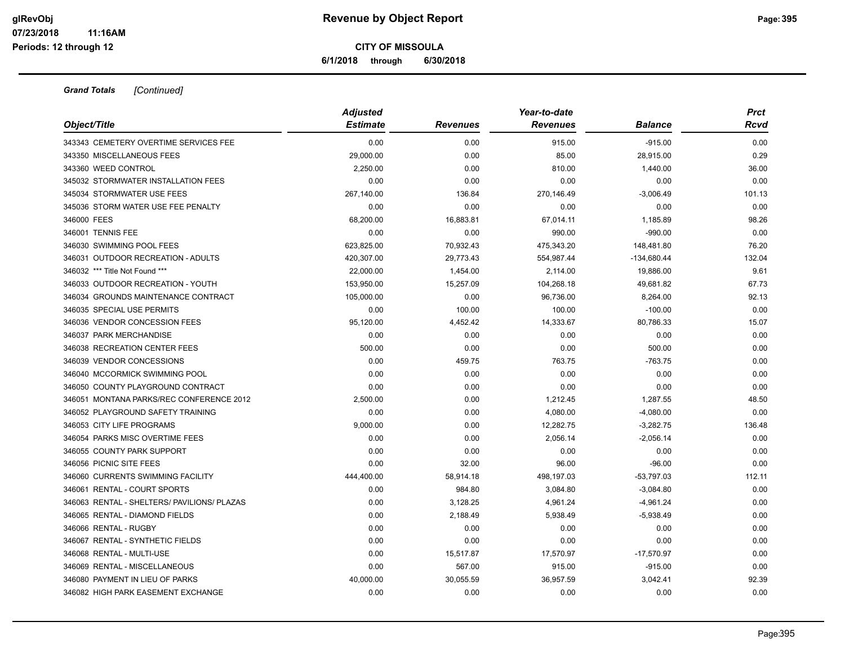**6/1/2018 through 6/30/2018**

| Object/Title                                | <b>Adjusted</b><br><b>Estimate</b> | <b>Revenues</b> | Year-to-date<br><b>Revenues</b> | <b>Balance</b> | <b>Prct</b><br><b>Rcvd</b> |
|---------------------------------------------|------------------------------------|-----------------|---------------------------------|----------------|----------------------------|
|                                             |                                    |                 |                                 |                |                            |
| 343343 CEMETERY OVERTIME SERVICES FEE       | 0.00                               | 0.00            | 915.00                          | $-915.00$      | 0.00                       |
| 343350 MISCELLANEOUS FEES                   | 29,000.00                          | 0.00            | 85.00                           | 28,915.00      | 0.29                       |
| 343360 WEED CONTROL                         | 2,250.00                           | 0.00            | 810.00                          | 1,440.00       | 36.00                      |
| 345032 STORMWATER INSTALLATION FEES         | 0.00                               | 0.00            | 0.00                            | 0.00           | 0.00                       |
| 345034 STORMWATER USE FEES                  | 267,140.00                         | 136.84          | 270,146.49                      | $-3,006.49$    | 101.13                     |
| 345036 STORM WATER USE FEE PENALTY          | 0.00                               | 0.00            | 0.00                            | 0.00           | 0.00                       |
| 346000 FEES                                 | 68,200.00                          | 16,883.81       | 67,014.11                       | 1,185.89       | 98.26                      |
| 346001 TENNIS FEE                           | 0.00                               | 0.00            | 990.00                          | $-990.00$      | 0.00                       |
| 346030 SWIMMING POOL FEES                   | 623,825.00                         | 70,932.43       | 475,343.20                      | 148,481.80     | 76.20                      |
| 346031 OUTDOOR RECREATION - ADULTS          | 420,307.00                         | 29,773.43       | 554,987.44                      | -134,680.44    | 132.04                     |
| 346032 *** Title Not Found ***              | 22,000.00                          | 1,454.00        | 2,114.00                        | 19,886.00      | 9.61                       |
| 346033 OUTDOOR RECREATION - YOUTH           | 153,950.00                         | 15,257.09       | 104,268.18                      | 49,681.82      | 67.73                      |
| 346034 GROUNDS MAINTENANCE CONTRACT         | 105,000.00                         | 0.00            | 96,736.00                       | 8,264.00       | 92.13                      |
| 346035 SPECIAL USE PERMITS                  | 0.00                               | 100.00          | 100.00                          | $-100.00$      | 0.00                       |
| 346036 VENDOR CONCESSION FEES               | 95,120.00                          | 4,452.42        | 14,333.67                       | 80,786.33      | 15.07                      |
| 346037 PARK MERCHANDISE                     | 0.00                               | 0.00            | 0.00                            | 0.00           | 0.00                       |
| 346038 RECREATION CENTER FEES               | 500.00                             | 0.00            | 0.00                            | 500.00         | 0.00                       |
| 346039 VENDOR CONCESSIONS                   | 0.00                               | 459.75          | 763.75                          | $-763.75$      | 0.00                       |
| 346040 MCCORMICK SWIMMING POOL              | 0.00                               | 0.00            | 0.00                            | 0.00           | 0.00                       |
| 346050 COUNTY PLAYGROUND CONTRACT           | 0.00                               | 0.00            | 0.00                            | 0.00           | 0.00                       |
| 346051 MONTANA PARKS/REC CONFERENCE 2012    | 2,500.00                           | 0.00            | 1,212.45                        | 1,287.55       | 48.50                      |
| 346052 PLAYGROUND SAFETY TRAINING           | 0.00                               | 0.00            | 4,080.00                        | $-4,080.00$    | 0.00                       |
| 346053 CITY LIFE PROGRAMS                   | 9,000.00                           | 0.00            | 12,282.75                       | $-3,282.75$    | 136.48                     |
| 346054 PARKS MISC OVERTIME FEES             | 0.00                               | 0.00            | 2,056.14                        | $-2,056.14$    | 0.00                       |
| 346055 COUNTY PARK SUPPORT                  | 0.00                               | 0.00            | 0.00                            | 0.00           | 0.00                       |
| 346056 PICNIC SITE FEES                     | 0.00                               | 32.00           | 96.00                           | $-96.00$       | 0.00                       |
| 346060 CURRENTS SWIMMING FACILITY           | 444,400.00                         | 58,914.18       | 498,197.03                      | $-53,797.03$   | 112.11                     |
| 346061 RENTAL - COURT SPORTS                | 0.00                               | 984.80          | 3,084.80                        | $-3,084.80$    | 0.00                       |
| 346063 RENTAL - SHELTERS/ PAVILIONS/ PLAZAS | 0.00                               | 3,128.25        | 4,961.24                        | $-4,961.24$    | 0.00                       |
| 346065 RENTAL - DIAMOND FIELDS              | 0.00                               | 2,188.49        | 5,938.49                        | $-5,938.49$    | 0.00                       |
| 346066 RENTAL - RUGBY                       | 0.00                               | 0.00            | 0.00                            | 0.00           | 0.00                       |
| 346067 RENTAL - SYNTHETIC FIELDS            | 0.00                               | 0.00            | 0.00                            | 0.00           | 0.00                       |
| 346068 RENTAL - MULTI-USE                   | 0.00                               | 15,517.87       | 17,570.97                       | $-17,570.97$   | 0.00                       |
| 346069 RENTAL - MISCELLANEOUS               | 0.00                               | 567.00          | 915.00                          | $-915.00$      | 0.00                       |
| 346080 PAYMENT IN LIEU OF PARKS             | 40,000.00                          | 30,055.59       | 36,957.59                       | 3,042.41       | 92.39                      |
| 346082 HIGH PARK EASEMENT EXCHANGE          | 0.00                               | 0.00            | 0.00                            | 0.00           | 0.00                       |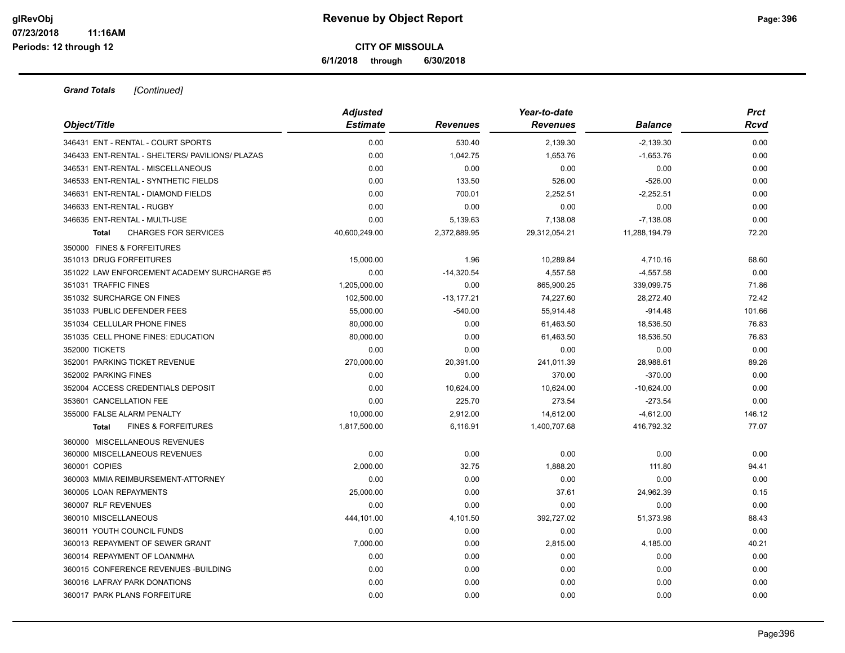**6/1/2018 through 6/30/2018**

| Object/Title                                    | <b>Adjusted</b><br><b>Estimate</b> | <b>Revenues</b> | Year-to-date<br><b>Revenues</b> | <b>Balance</b> | <b>Prct</b><br>Rcvd |
|-------------------------------------------------|------------------------------------|-----------------|---------------------------------|----------------|---------------------|
|                                                 |                                    |                 |                                 |                |                     |
| 346431 ENT - RENTAL - COURT SPORTS              | 0.00                               | 530.40          | 2,139.30                        | $-2,139.30$    | 0.00                |
| 346433 ENT-RENTAL - SHELTERS/ PAVILIONS/ PLAZAS | 0.00                               | 1,042.75        | 1,653.76                        | $-1,653.76$    | 0.00                |
| 346531 ENT-RENTAL - MISCELLANEOUS               | 0.00                               | 0.00            | 0.00                            | 0.00           | 0.00                |
| 346533 ENT-RENTAL - SYNTHETIC FIELDS            | 0.00                               | 133.50          | 526.00                          | $-526.00$      | 0.00                |
| 346631 ENT-RENTAL - DIAMOND FIELDS              | 0.00                               | 700.01          | 2,252.51                        | $-2,252.51$    | 0.00                |
| 346633 ENT-RENTAL - RUGBY                       | 0.00                               | 0.00            | 0.00                            | 0.00           | 0.00                |
| 346635 ENT-RENTAL - MULTI-USE                   | 0.00                               | 5,139.63        | 7,138.08                        | $-7,138.08$    | 0.00                |
| <b>CHARGES FOR SERVICES</b><br><b>Total</b>     | 40,600,249.00                      | 2,372,889.95    | 29,312,054.21                   | 11,288,194.79  | 72.20               |
| 350000 FINES & FORFEITURES                      |                                    |                 |                                 |                |                     |
| 351013 DRUG FORFEITURES                         | 15,000.00                          | 1.96            | 10,289.84                       | 4,710.16       | 68.60               |
| 351022 LAW ENFORCEMENT ACADEMY SURCHARGE #5     | 0.00                               | $-14,320.54$    | 4,557.58                        | $-4,557.58$    | 0.00                |
| 351031 TRAFFIC FINES                            | 1,205,000.00                       | 0.00            | 865,900.25                      | 339,099.75     | 71.86               |
| 351032 SURCHARGE ON FINES                       | 102,500.00                         | $-13, 177.21$   | 74,227.60                       | 28,272.40      | 72.42               |
| 351033 PUBLIC DEFENDER FEES                     | 55,000.00                          | $-540.00$       | 55,914.48                       | $-914.48$      | 101.66              |
| 351034 CELLULAR PHONE FINES                     | 80,000.00                          | 0.00            | 61,463.50                       | 18,536.50      | 76.83               |
| 351035 CELL PHONE FINES: EDUCATION              | 80,000.00                          | 0.00            | 61,463.50                       | 18,536.50      | 76.83               |
| 352000 TICKETS                                  | 0.00                               | 0.00            | 0.00                            | 0.00           | 0.00                |
| 352001 PARKING TICKET REVENUE                   | 270,000.00                         | 20,391.00       | 241,011.39                      | 28,988.61      | 89.26               |
| 352002 PARKING FINES                            | 0.00                               | 0.00            | 370.00                          | $-370.00$      | 0.00                |
| 352004 ACCESS CREDENTIALS DEPOSIT               | 0.00                               | 10,624.00       | 10,624.00                       | $-10,624.00$   | 0.00                |
| 353601 CANCELLATION FEE                         | 0.00                               | 225.70          | 273.54                          | $-273.54$      | 0.00                |
| 355000 FALSE ALARM PENALTY                      | 10,000.00                          | 2,912.00        | 14,612.00                       | $-4,612.00$    | 146.12              |
| <b>FINES &amp; FORFEITURES</b><br><b>Total</b>  | 1,817,500.00                       | 6,116.91        | 1,400,707.68                    | 416,792.32     | 77.07               |
| 360000 MISCELLANEOUS REVENUES                   |                                    |                 |                                 |                |                     |
| 360000 MISCELLANEOUS REVENUES                   | 0.00                               | 0.00            | 0.00                            | 0.00           | 0.00                |
| 360001 COPIES                                   | 2,000.00                           | 32.75           | 1,888.20                        | 111.80         | 94.41               |
| 360003 MMIA REIMBURSEMENT-ATTORNEY              | 0.00                               | 0.00            | 0.00                            | 0.00           | 0.00                |
| 360005 LOAN REPAYMENTS                          | 25,000.00                          | 0.00            | 37.61                           | 24,962.39      | 0.15                |
| 360007 RLF REVENUES                             | 0.00                               | 0.00            | 0.00                            | 0.00           | 0.00                |
| 360010 MISCELLANEOUS                            | 444,101.00                         | 4,101.50        | 392,727.02                      | 51,373.98      | 88.43               |
| 360011 YOUTH COUNCIL FUNDS                      | 0.00                               | 0.00            | 0.00                            | 0.00           | 0.00                |
| 360013 REPAYMENT OF SEWER GRANT                 | 7,000.00                           | 0.00            | 2,815.00                        | 4,185.00       | 40.21               |
| 360014 REPAYMENT OF LOAN/MHA                    | 0.00                               | 0.00            | 0.00                            | 0.00           | 0.00                |
| 360015 CONFERENCE REVENUES - BUILDING           | 0.00                               | 0.00            | 0.00                            | 0.00           | 0.00                |
| 360016 LAFRAY PARK DONATIONS                    | 0.00                               | 0.00            | 0.00                            | 0.00           | 0.00                |
| 360017 PARK PLANS FORFEITURE                    | 0.00                               | 0.00            | 0.00                            | 0.00           | 0.00                |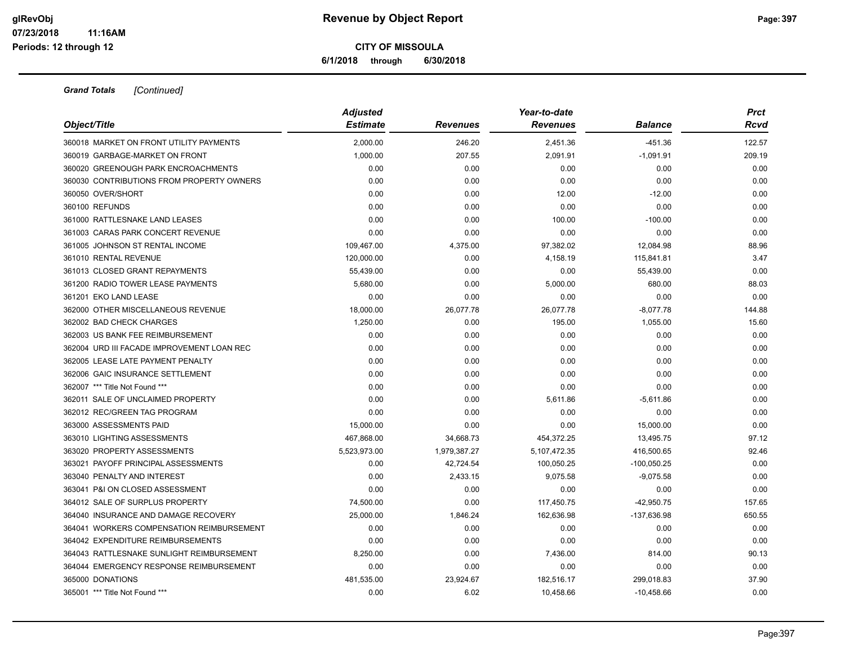**6/1/2018 through 6/30/2018**

| Object/Title                               | <b>Adjusted</b> |                 | Year-to-date    |                | <b>Prct</b> |
|--------------------------------------------|-----------------|-----------------|-----------------|----------------|-------------|
|                                            | <b>Estimate</b> | <b>Revenues</b> | <b>Revenues</b> | <b>Balance</b> | Rcvd        |
| 360018 MARKET ON FRONT UTILITY PAYMENTS    | 2,000.00        | 246.20          | 2,451.36        | $-451.36$      | 122.57      |
| 360019 GARBAGE-MARKET ON FRONT             | 1,000.00        | 207.55          | 2,091.91        | $-1,091.91$    | 209.19      |
| 360020 GREENOUGH PARK ENCROACHMENTS        | 0.00            | 0.00            | 0.00            | 0.00           | 0.00        |
| 360030 CONTRIBUTIONS FROM PROPERTY OWNERS  | 0.00            | 0.00            | 0.00            | 0.00           | 0.00        |
| 360050 OVER/SHORT                          | 0.00            | 0.00            | 12.00           | $-12.00$       | 0.00        |
| 360100 REFUNDS                             | 0.00            | 0.00            | 0.00            | 0.00           | 0.00        |
| 361000 RATTLESNAKE LAND LEASES             | 0.00            | 0.00            | 100.00          | $-100.00$      | 0.00        |
| 361003 CARAS PARK CONCERT REVENUE          | 0.00            | 0.00            | 0.00            | 0.00           | 0.00        |
| 361005 JOHNSON ST RENTAL INCOME            | 109,467.00      | 4,375.00        | 97,382.02       | 12,084.98      | 88.96       |
| 361010 RENTAL REVENUE                      | 120,000.00      | 0.00            | 4,158.19        | 115,841.81     | 3.47        |
| 361013 CLOSED GRANT REPAYMENTS             | 55,439.00       | 0.00            | 0.00            | 55,439.00      | 0.00        |
| 361200 RADIO TOWER LEASE PAYMENTS          | 5,680.00        | 0.00            | 5,000.00        | 680.00         | 88.03       |
| 361201 EKO LAND LEASE                      | 0.00            | 0.00            | 0.00            | 0.00           | 0.00        |
| 362000 OTHER MISCELLANEOUS REVENUE         | 18,000.00       | 26,077.78       | 26,077.78       | $-8,077.78$    | 144.88      |
| 362002 BAD CHECK CHARGES                   | 1,250.00        | 0.00            | 195.00          | 1,055.00       | 15.60       |
| 362003 US BANK FEE REIMBURSEMENT           | 0.00            | 0.00            | 0.00            | 0.00           | 0.00        |
| 362004 URD III FACADE IMPROVEMENT LOAN REC | 0.00            | 0.00            | 0.00            | 0.00           | 0.00        |
| 362005 LEASE LATE PAYMENT PENALTY          | 0.00            | 0.00            | 0.00            | 0.00           | 0.00        |
| 362006 GAIC INSURANCE SETTLEMENT           | 0.00            | 0.00            | 0.00            | 0.00           | 0.00        |
| 362007 *** Title Not Found ***             | 0.00            | 0.00            | 0.00            | 0.00           | 0.00        |
| 362011 SALE OF UNCLAIMED PROPERTY          | 0.00            | 0.00            | 5,611.86        | $-5,611.86$    | 0.00        |
| 362012 REC/GREEN TAG PROGRAM               | 0.00            | 0.00            | 0.00            | 0.00           | 0.00        |
| 363000 ASSESSMENTS PAID                    | 15,000.00       | 0.00            | 0.00            | 15,000.00      | 0.00        |
| 363010 LIGHTING ASSESSMENTS                | 467,868.00      | 34,668.73       | 454,372.25      | 13,495.75      | 97.12       |
| 363020 PROPERTY ASSESSMENTS                | 5,523,973.00    | 1,979,387.27    | 5,107,472.35    | 416,500.65     | 92.46       |
| 363021 PAYOFF PRINCIPAL ASSESSMENTS        | 0.00            | 42,724.54       | 100,050.25      | $-100,050.25$  | 0.00        |
| 363040 PENALTY AND INTEREST                | 0.00            | 2,433.15        | 9,075.58        | $-9,075.58$    | 0.00        |
| 363041 P&I ON CLOSED ASSESSMENT            | 0.00            | 0.00            | 0.00            | 0.00           | 0.00        |
| 364012 SALE OF SURPLUS PROPERTY            | 74,500.00       | 0.00            | 117,450.75      | $-42,950.75$   | 157.65      |
| 364040 INSURANCE AND DAMAGE RECOVERY       | 25,000.00       | 1,846.24        | 162,636.98      | $-137,636.98$  | 650.55      |
| 364041 WORKERS COMPENSATION REIMBURSEMENT  | 0.00            | 0.00            | 0.00            | 0.00           | 0.00        |
| 364042 EXPENDITURE REIMBURSEMENTS          | 0.00            | 0.00            | 0.00            | 0.00           | 0.00        |
| 364043 RATTLESNAKE SUNLIGHT REIMBURSEMENT  | 8,250.00        | 0.00            | 7,436.00        | 814.00         | 90.13       |
| 364044 EMERGENCY RESPONSE REIMBURSEMENT    | 0.00            | 0.00            | 0.00            | 0.00           | 0.00        |
| 365000 DONATIONS                           | 481,535.00      | 23,924.67       | 182,516.17      | 299,018.83     | 37.90       |
| 365001 *** Title Not Found ***             | 0.00            | 6.02            | 10,458.66       | $-10,458.66$   | 0.00        |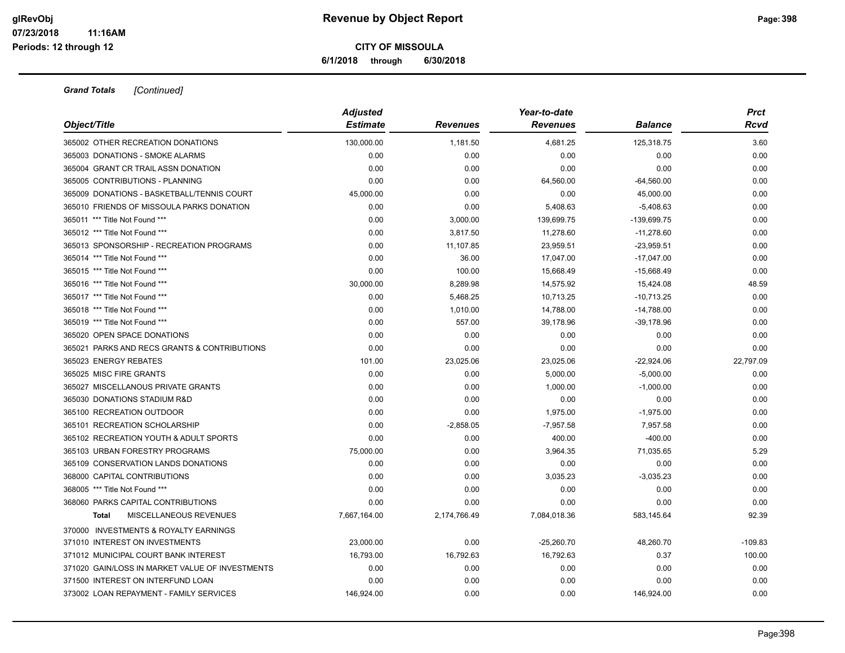**6/1/2018 through 6/30/2018**

| Object/Title                                    | <b>Adjusted</b> |                 | Year-to-date    |                | <b>Prct</b> |
|-------------------------------------------------|-----------------|-----------------|-----------------|----------------|-------------|
|                                                 | <b>Estimate</b> | <b>Revenues</b> | <b>Revenues</b> | <b>Balance</b> | Rcvd        |
| 365002 OTHER RECREATION DONATIONS               | 130,000.00      | 1,181.50        | 4,681.25        | 125,318.75     | 3.60        |
| 365003 DONATIONS - SMOKE ALARMS                 | 0.00            | 0.00            | 0.00            | 0.00           | 0.00        |
| 365004 GRANT CR TRAIL ASSN DONATION             | 0.00            | 0.00            | 0.00            | 0.00           | 0.00        |
| 365005 CONTRIBUTIONS - PLANNING                 | 0.00            | 0.00            | 64,560.00       | $-64,560.00$   | 0.00        |
| 365009 DONATIONS - BASKETBALL/TENNIS COURT      | 45,000.00       | 0.00            | 0.00            | 45,000.00      | 0.00        |
| 365010 FRIENDS OF MISSOULA PARKS DONATION       | 0.00            | 0.00            | 5,408.63        | $-5,408.63$    | 0.00        |
| 365011 *** Title Not Found ***                  | 0.00            | 3,000.00        | 139,699.75      | -139,699.75    | 0.00        |
| 365012 *** Title Not Found ***                  | 0.00            | 3,817.50        | 11,278.60       | $-11,278.60$   | 0.00        |
| 365013 SPONSORSHIP - RECREATION PROGRAMS        | 0.00            | 11,107.85       | 23,959.51       | $-23,959.51$   | 0.00        |
| 365014 *** Title Not Found ***                  | 0.00            | 36.00           | 17,047.00       | $-17,047.00$   | 0.00        |
| 365015 *** Title Not Found ***                  | 0.00            | 100.00          | 15,668.49       | $-15,668.49$   | 0.00        |
| 365016 *** Title Not Found ***                  | 30,000.00       | 8,289.98        | 14,575.92       | 15,424.08      | 48.59       |
| 365017 *** Title Not Found ***                  | 0.00            | 5,468.25        | 10,713.25       | $-10,713.25$   | 0.00        |
| 365018 *** Title Not Found ***                  | 0.00            | 1,010.00        | 14,788.00       | $-14,788.00$   | 0.00        |
| 365019 *** Title Not Found ***                  | 0.00            | 557.00          | 39,178.96       | $-39,178.96$   | 0.00        |
| 365020 OPEN SPACE DONATIONS                     | 0.00            | 0.00            | 0.00            | 0.00           | 0.00        |
| 365021 PARKS AND RECS GRANTS & CONTRIBUTIONS    | 0.00            | 0.00            | 0.00            | 0.00           | 0.00        |
| 365023 ENERGY REBATES                           | 101.00          | 23,025.06       | 23,025.06       | $-22,924.06$   | 22,797.09   |
| 365025 MISC FIRE GRANTS                         | 0.00            | 0.00            | 5,000.00        | $-5,000.00$    | 0.00        |
| 365027 MISCELLANOUS PRIVATE GRANTS              | 0.00            | 0.00            | 1,000.00        | $-1,000.00$    | 0.00        |
| 365030 DONATIONS STADIUM R&D                    | 0.00            | 0.00            | 0.00            | 0.00           | 0.00        |
| 365100 RECREATION OUTDOOR                       | 0.00            | 0.00            | 1,975.00        | $-1,975.00$    | 0.00        |
| 365101 RECREATION SCHOLARSHIP                   | 0.00            | $-2,858.05$     | $-7,957.58$     | 7,957.58       | 0.00        |
| 365102 RECREATION YOUTH & ADULT SPORTS          | 0.00            | 0.00            | 400.00          | $-400.00$      | 0.00        |
| 365103 URBAN FORESTRY PROGRAMS                  | 75,000.00       | 0.00            | 3,964.35        | 71,035.65      | 5.29        |
| 365109 CONSERVATION LANDS DONATIONS             | 0.00            | 0.00            | 0.00            | 0.00           | 0.00        |
| 368000 CAPITAL CONTRIBUTIONS                    | 0.00            | 0.00            | 3,035.23        | $-3,035.23$    | 0.00        |
| 368005 *** Title Not Found ***                  | 0.00            | 0.00            | 0.00            | 0.00           | 0.00        |
| 368060 PARKS CAPITAL CONTRIBUTIONS              | 0.00            | 0.00            | 0.00            | 0.00           | 0.00        |
| MISCELLANEOUS REVENUES<br>Total                 | 7,667,164.00    | 2,174,766.49    | 7,084,018.36    | 583,145.64     | 92.39       |
| 370000 INVESTMENTS & ROYALTY EARNINGS           |                 |                 |                 |                |             |
| 371010 INTEREST ON INVESTMENTS                  | 23,000.00       | 0.00            | $-25,260.70$    | 48,260.70      | $-109.83$   |
| 371012 MUNICIPAL COURT BANK INTEREST            | 16,793.00       | 16,792.63       | 16,792.63       | 0.37           | 100.00      |
| 371020 GAIN/LOSS IN MARKET VALUE OF INVESTMENTS | 0.00            | 0.00            | 0.00            | 0.00           | 0.00        |
| 371500 INTEREST ON INTERFUND LOAN               | 0.00            | 0.00            | 0.00            | 0.00           | 0.00        |
| 373002 LOAN REPAYMENT - FAMILY SERVICES         | 146.924.00      | 0.00            | 0.00            | 146,924.00     | 0.00        |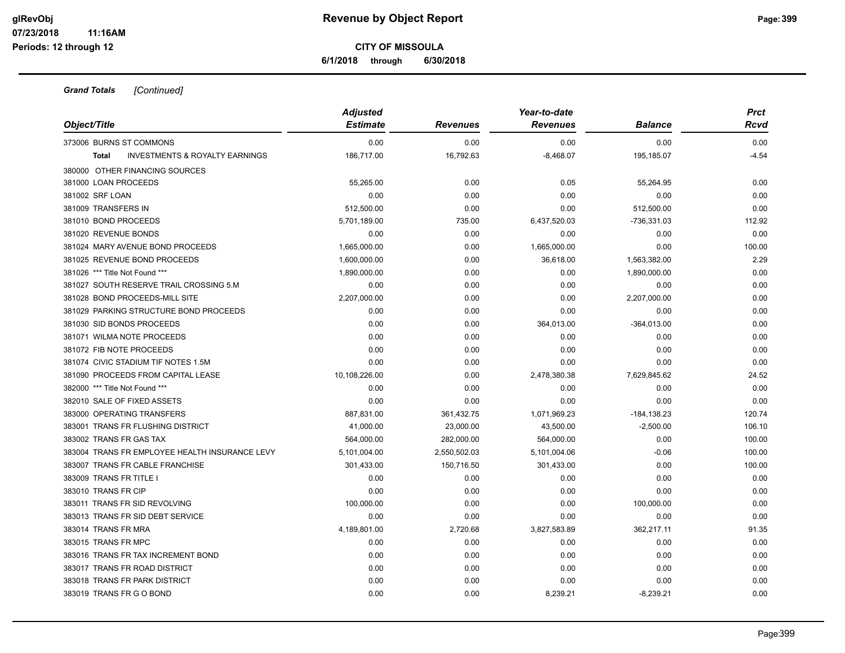**6/1/2018 through 6/30/2018**

| Object/Title                                              | <b>Adjusted</b><br><b>Estimate</b> | <b>Revenues</b> | Year-to-date<br><b>Revenues</b> | <b>Balance</b> | <b>Prct</b><br>Rcvd |
|-----------------------------------------------------------|------------------------------------|-----------------|---------------------------------|----------------|---------------------|
| 373006 BURNS ST COMMONS                                   | 0.00                               | 0.00            | 0.00                            | 0.00           | 0.00                |
| <b>INVESTMENTS &amp; ROYALTY EARNINGS</b><br><b>Total</b> | 186,717.00                         | 16,792.63       | $-8,468.07$                     | 195,185.07     | $-4.54$             |
| 380000 OTHER FINANCING SOURCES                            |                                    |                 |                                 |                |                     |
| 381000 LOAN PROCEEDS                                      | 55,265.00                          | 0.00            | 0.05                            | 55,264.95      | 0.00                |
| 381002 SRF LOAN                                           | 0.00                               | 0.00            | 0.00                            | 0.00           | 0.00                |
| 381009 TRANSFERS IN                                       | 512,500.00                         | 0.00            | 0.00                            | 512,500.00     | 0.00                |
| 381010 BOND PROCEEDS                                      | 5,701,189.00                       | 735.00          | 6,437,520.03                    | $-736,331.03$  | 112.92              |
| 381020 REVENUE BONDS                                      | 0.00                               | 0.00            | 0.00                            | 0.00           | 0.00                |
| 381024 MARY AVENUE BOND PROCEEDS                          | 1,665,000.00                       | 0.00            | 1,665,000.00                    | 0.00           | 100.00              |
| 381025 REVENUE BOND PROCEEDS                              | 1,600,000.00                       | 0.00            | 36,618.00                       | 1,563,382.00   | 2.29                |
| 381026 *** Title Not Found ***                            | 1,890,000.00                       | 0.00            | 0.00                            | 1,890,000.00   | 0.00                |
| 381027 SOUTH RESERVE TRAIL CROSSING 5.M                   | 0.00                               | 0.00            | 0.00                            | 0.00           | 0.00                |
| 381028 BOND PROCEEDS-MILL SITE                            | 2,207,000.00                       | 0.00            | 0.00                            | 2,207,000.00   | 0.00                |
| 381029 PARKING STRUCTURE BOND PROCEEDS                    | 0.00                               | 0.00            | 0.00                            | 0.00           | 0.00                |
| 381030 SID BONDS PROCEEDS                                 | 0.00                               | 0.00            | 364,013.00                      | $-364,013.00$  | 0.00                |
| 381071 WILMA NOTE PROCEEDS                                | 0.00                               | 0.00            | 0.00                            | 0.00           | 0.00                |
| 381072 FIB NOTE PROCEEDS                                  | 0.00                               | 0.00            | 0.00                            | 0.00           | 0.00                |
| 381074 CIVIC STADIUM TIF NOTES 1.5M                       | 0.00                               | 0.00            | 0.00                            | 0.00           | 0.00                |
| 381090 PROCEEDS FROM CAPITAL LEASE                        | 10,108,226.00                      | 0.00            | 2,478,380.38                    | 7,629,845.62   | 24.52               |
| 382000 *** Title Not Found ***                            | 0.00                               | 0.00            | 0.00                            | 0.00           | 0.00                |
| 382010 SALE OF FIXED ASSETS                               | 0.00                               | 0.00            | 0.00                            | 0.00           | 0.00                |
| 383000 OPERATING TRANSFERS                                | 887,831.00                         | 361,432.75      | 1,071,969.23                    | $-184, 138.23$ | 120.74              |
| 383001 TRANS FR FLUSHING DISTRICT                         | 41,000.00                          | 23,000.00       | 43,500.00                       | $-2,500.00$    | 106.10              |
| 383002 TRANS FR GAS TAX                                   | 564,000.00                         | 282,000.00      | 564,000.00                      | 0.00           | 100.00              |
| 383004 TRANS FR EMPLOYEE HEALTH INSURANCE LEVY            | 5,101,004.00                       | 2,550,502.03    | 5,101,004.06                    | $-0.06$        | 100.00              |
| 383007 TRANS FR CABLE FRANCHISE                           | 301,433.00                         | 150,716.50      | 301,433.00                      | 0.00           | 100.00              |
| 383009 TRANS FR TITLE I                                   | 0.00                               | 0.00            | 0.00                            | 0.00           | 0.00                |
| 383010 TRANS FR CIP                                       | 0.00                               | 0.00            | 0.00                            | 0.00           | 0.00                |
| 383011 TRANS FR SID REVOLVING                             | 100,000.00                         | 0.00            | 0.00                            | 100,000.00     | 0.00                |
| 383013 TRANS FR SID DEBT SERVICE                          | 0.00                               | 0.00            | 0.00                            | 0.00           | 0.00                |
| 383014 TRANS FR MRA                                       | 4,189,801.00                       | 2,720.68        | 3,827,583.89                    | 362,217.11     | 91.35               |
| 383015 TRANS FR MPC                                       | 0.00                               | 0.00            | 0.00                            | 0.00           | 0.00                |
| 383016 TRANS FR TAX INCREMENT BOND                        | 0.00                               | 0.00            | 0.00                            | 0.00           | 0.00                |
| 383017 TRANS FR ROAD DISTRICT                             | 0.00                               | 0.00            | 0.00                            | 0.00           | 0.00                |
| 383018 TRANS FR PARK DISTRICT                             | 0.00                               | 0.00            | 0.00                            | 0.00           | 0.00                |
| 383019 TRANS FR G O BOND                                  | 0.00                               | 0.00            | 8,239.21                        | $-8,239.21$    | 0.00                |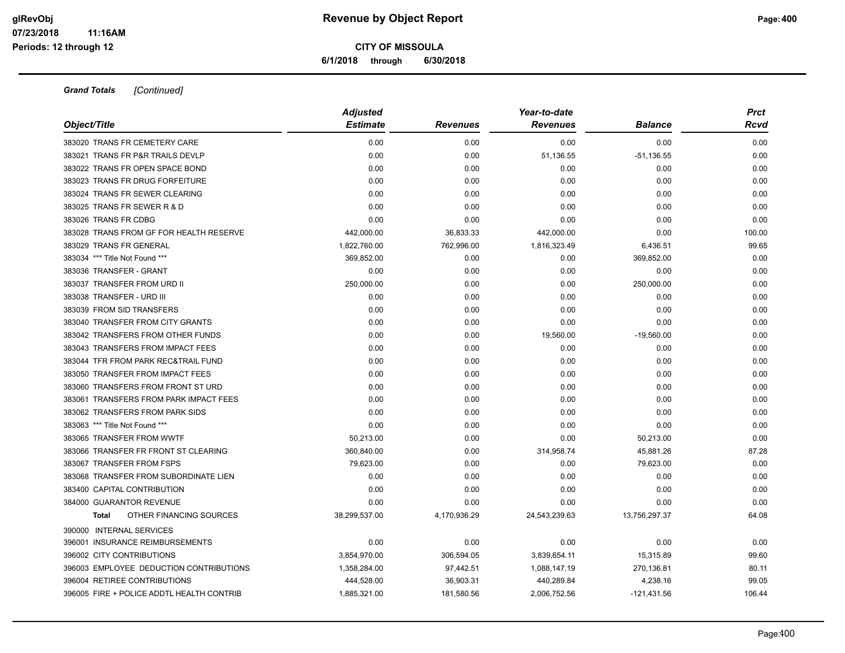**6/1/2018 through 6/30/2018**

| Object/Title                              | <b>Adjusted</b> | Year-to-date |                 |                | <b>Prct</b> |
|-------------------------------------------|-----------------|--------------|-----------------|----------------|-------------|
|                                           | <b>Estimate</b> | Revenues     | <b>Revenues</b> | <b>Balance</b> | Rcvd        |
| 383020 TRANS FR CEMETERY CARE             | 0.00            | 0.00         | 0.00            | 0.00           | 0.00        |
| 383021 TRANS FR P&R TRAILS DEVLP          | 0.00            | 0.00         | 51,136.55       | $-51, 136.55$  | 0.00        |
| 383022 TRANS FR OPEN SPACE BOND           | 0.00            | 0.00         | 0.00            | 0.00           | 0.00        |
| 383023 TRANS FR DRUG FORFEITURE           | 0.00            | 0.00         | 0.00            | 0.00           | 0.00        |
| 383024 TRANS FR SEWER CLEARING            | 0.00            | 0.00         | 0.00            | 0.00           | 0.00        |
| 383025 TRANS FR SEWER R & D               | 0.00            | 0.00         | 0.00            | 0.00           | 0.00        |
| 383026 TRANS FR CDBG                      | 0.00            | 0.00         | 0.00            | 0.00           | 0.00        |
| 383028 TRANS FROM GF FOR HEALTH RESERVE   | 442,000.00      | 36,833.33    | 442,000.00      | 0.00           | 100.00      |
| 383029 TRANS FR GENERAL                   | 1,822,760.00    | 762,996.00   | 1,816,323.49    | 6,436.51       | 99.65       |
| 383034 *** Title Not Found ***            | 369,852.00      | 0.00         | 0.00            | 369,852.00     | 0.00        |
| 383036 TRANSFER - GRANT                   | 0.00            | 0.00         | 0.00            | 0.00           | 0.00        |
| 383037 TRANSFER FROM URD II               | 250,000.00      | 0.00         | 0.00            | 250,000.00     | 0.00        |
| 383038 TRANSFER - URD III                 | 0.00            | 0.00         | 0.00            | 0.00           | 0.00        |
| 383039 FROM SID TRANSFERS                 | 0.00            | 0.00         | 0.00            | 0.00           | 0.00        |
| 383040 TRANSFER FROM CITY GRANTS          | 0.00            | 0.00         | 0.00            | 0.00           | 0.00        |
| 383042 TRANSFERS FROM OTHER FUNDS         | 0.00            | 0.00         | 19,560.00       | $-19,560.00$   | 0.00        |
| 383043 TRANSFERS FROM IMPACT FEES         | 0.00            | 0.00         | 0.00            | 0.00           | 0.00        |
| 383044 TFR FROM PARK REC&TRAIL FUND       | 0.00            | 0.00         | 0.00            | 0.00           | 0.00        |
| 383050 TRANSFER FROM IMPACT FEES          | 0.00            | 0.00         | 0.00            | 0.00           | 0.00        |
| 383060 TRANSFERS FROM FRONT ST URD        | 0.00            | 0.00         | 0.00            | 0.00           | 0.00        |
| 383061 TRANSFERS FROM PARK IMPACT FEES    | 0.00            | 0.00         | 0.00            | 0.00           | 0.00        |
| 383062 TRANSFERS FROM PARK SIDS           | 0.00            | 0.00         | 0.00            | 0.00           | 0.00        |
| 383063 *** Title Not Found ***            | 0.00            | 0.00         | 0.00            | 0.00           | 0.00        |
| 383065 TRANSFER FROM WWTF                 | 50,213.00       | 0.00         | 0.00            | 50,213.00      | 0.00        |
| 383066 TRANSFER FR FRONT ST CLEARING      | 360,840.00      | 0.00         | 314,958.74      | 45,881.26      | 87.28       |
| 383067 TRANSFER FROM FSPS                 | 79,623.00       | 0.00         | 0.00            | 79,623.00      | 0.00        |
| 383068 TRANSFER FROM SUBORDINATE LIEN     | 0.00            | 0.00         | 0.00            | 0.00           | 0.00        |
| 383400 CAPITAL CONTRIBUTION               | 0.00            | 0.00         | 0.00            | 0.00           | 0.00        |
| 384000 GUARANTOR REVENUE                  | 0.00            | 0.00         | 0.00            | 0.00           | 0.00        |
| OTHER FINANCING SOURCES<br><b>Total</b>   | 38,299,537.00   | 4,170,936.29 | 24,543,239.63   | 13,756,297.37  | 64.08       |
| 390000 INTERNAL SERVICES                  |                 |              |                 |                |             |
| 396001 INSURANCE REIMBURSEMENTS           | 0.00            | 0.00         | 0.00            | 0.00           | 0.00        |
| 396002 CITY CONTRIBUTIONS                 | 3,854,970.00    | 306,594.05   | 3,839,654.11    | 15,315.89      | 99.60       |
| 396003 EMPLOYEE DEDUCTION CONTRIBUTIONS   | 1,358,284.00    | 97,442.51    | 1,088,147.19    | 270,136.81     | 80.11       |
| 396004 RETIREE CONTRIBUTIONS              | 444,528.00      | 36,903.31    | 440,289.84      | 4,238.16       | 99.05       |
| 396005 FIRE + POLICE ADDTL HEALTH CONTRIB | 1,885,321.00    | 181,580.56   | 2,006,752.56    | $-121,431.56$  | 106.44      |